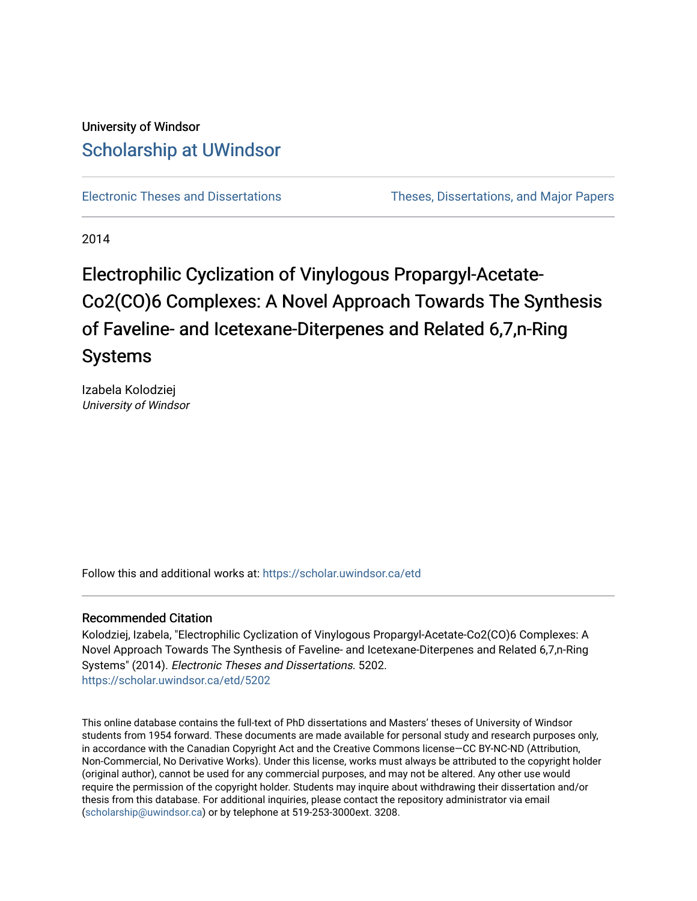## University of Windsor [Scholarship at UWindsor](https://scholar.uwindsor.ca/)

[Electronic Theses and Dissertations](https://scholar.uwindsor.ca/etd) [Theses, Dissertations, and Major Papers](https://scholar.uwindsor.ca/theses-dissertations-major-papers) 

2014

## Electrophilic Cyclization of Vinylogous Propargyl-Acetate-Co2(CO)6 Complexes: A Novel Approach Towards The Synthesis of Faveline- and Icetexane-Diterpenes and Related 6,7,n-Ring Systems

Izabela Kolodziej University of Windsor

Follow this and additional works at: [https://scholar.uwindsor.ca/etd](https://scholar.uwindsor.ca/etd?utm_source=scholar.uwindsor.ca%2Fetd%2F5202&utm_medium=PDF&utm_campaign=PDFCoverPages) 

#### Recommended Citation

Kolodziej, Izabela, "Electrophilic Cyclization of Vinylogous Propargyl-Acetate-Co2(CO)6 Complexes: A Novel Approach Towards The Synthesis of Faveline- and Icetexane-Diterpenes and Related 6,7,n-Ring Systems" (2014). Electronic Theses and Dissertations. 5202. [https://scholar.uwindsor.ca/etd/5202](https://scholar.uwindsor.ca/etd/5202?utm_source=scholar.uwindsor.ca%2Fetd%2F5202&utm_medium=PDF&utm_campaign=PDFCoverPages) 

This online database contains the full-text of PhD dissertations and Masters' theses of University of Windsor students from 1954 forward. These documents are made available for personal study and research purposes only, in accordance with the Canadian Copyright Act and the Creative Commons license—CC BY-NC-ND (Attribution, Non-Commercial, No Derivative Works). Under this license, works must always be attributed to the copyright holder (original author), cannot be used for any commercial purposes, and may not be altered. Any other use would require the permission of the copyright holder. Students may inquire about withdrawing their dissertation and/or thesis from this database. For additional inquiries, please contact the repository administrator via email [\(scholarship@uwindsor.ca\)](mailto:scholarship@uwindsor.ca) or by telephone at 519-253-3000ext. 3208.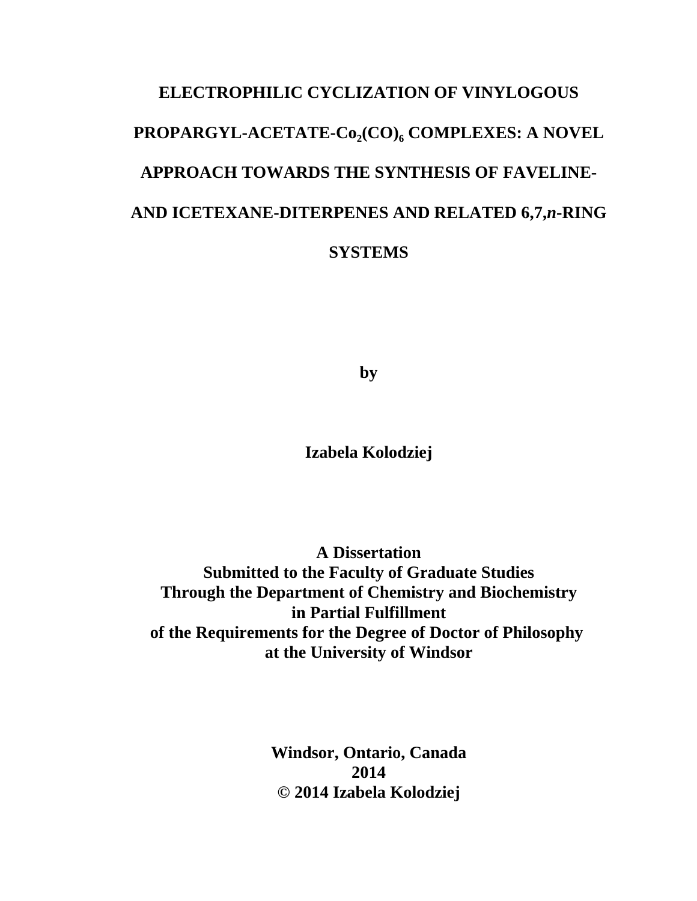# **ELECTROPHILIC CYCLIZATION OF VINYLOGOUS** PROPARGYL-ACETATE-Co<sub>2</sub>(CO)<sub>6</sub> COMPLEXES: A NOVEL **APPROACH TOWARDS THE SYNTHESIS OF FAVELINE-AND ICETEXANE-DITERPENES AND RELATED 6,7,***n***-RING SYSTEMS**

**by**

**Izabela Kolodziej**

**A Dissertation Submitted to the Faculty of Graduate Studies Through the Department of Chemistry and Biochemistry in Partial Fulfillment of the Requirements for the Degree of Doctor of Philosophy at the University of Windsor**

> **Windsor, Ontario, Canada 2014 © 2014 Izabela Kolodziej**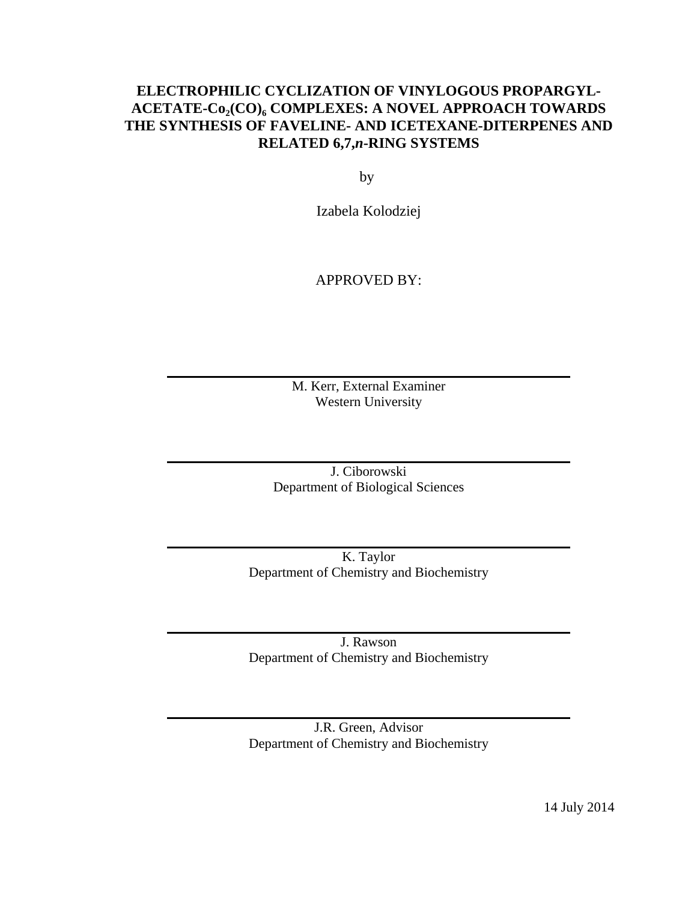## **ELECTROPHILIC CYCLIZATION OF VINYLOGOUS PROPARGYL-**ACETATE-Co<sub>2</sub>(CO)<sub>6</sub> COMPLEXES: A NOVEL APPROACH TOWARDS **THE SYNTHESIS OF FAVELINE- AND ICETEXANE-DITERPENES AND RELATED 6,7,***n***-RING SYSTEMS**

by

Izabela Kolodziej

## APPROVED BY:

M. Kerr, External Examiner Western University

J. Ciborowski Department of Biological Sciences

K. Taylor Department of Chemistry and Biochemistry

J. Rawson Department of Chemistry and Biochemistry

J.R. Green, Advisor Department of Chemistry and Biochemistry

14 July 2014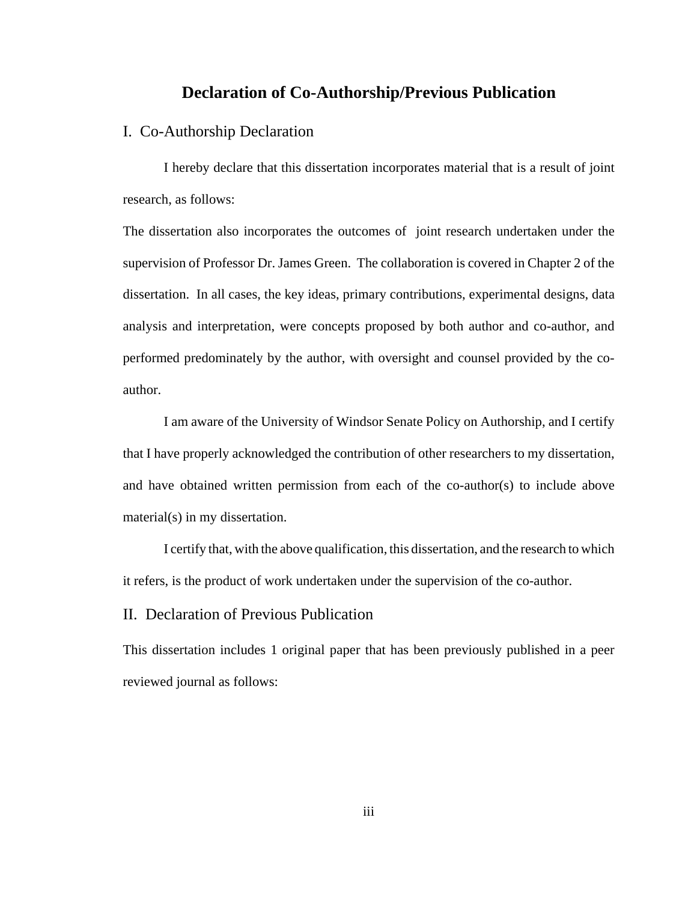## **Declaration of Co-Authorship/Previous Publication**

#### I. Co-Authorship Declaration

I hereby declare that this dissertation incorporates material that is a result of joint research, as follows:

The dissertation also incorporates the outcomes of joint research undertaken under the supervision of Professor Dr. James Green. The collaboration is covered in Chapter 2 of the dissertation. In all cases, the key ideas, primary contributions, experimental designs, data analysis and interpretation, were concepts proposed by both author and co-author, and performed predominately by the author, with oversight and counsel provided by the coauthor.

I am aware of the University of Windsor Senate Policy on Authorship, and I certify that I have properly acknowledged the contribution of other researchers to my dissertation, and have obtained written permission from each of the co-author(s) to include above material(s) in my dissertation.

I certify that, with the above qualification, this dissertation, and the research to which it refers, is the product of work undertaken under the supervision of the co-author.

#### II. Declaration of Previous Publication

This dissertation includes 1 original paper that has been previously published in a peer reviewed journal as follows: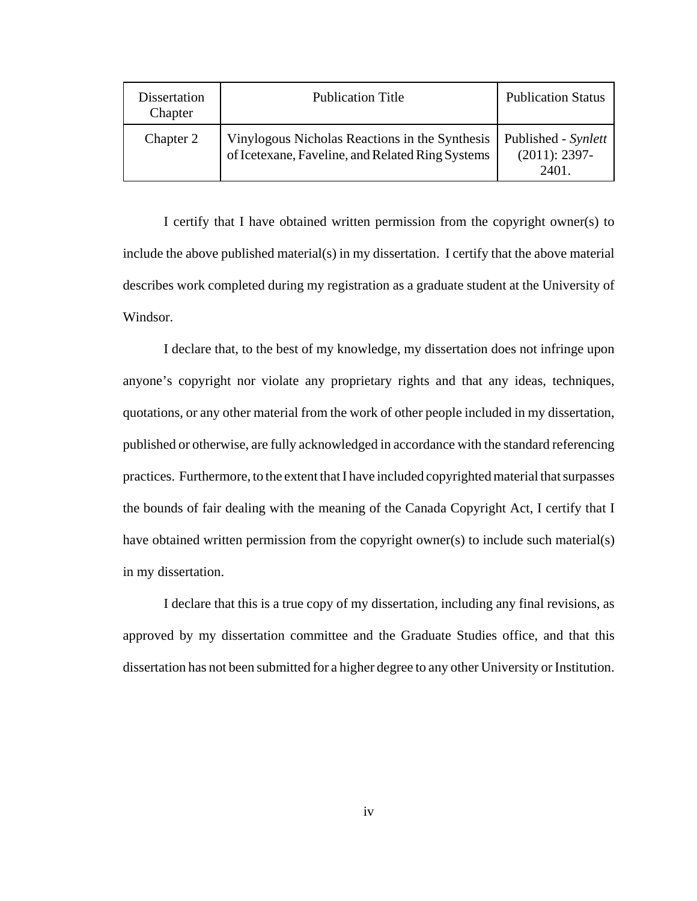| Dissertation<br>Chapter | <b>Publication Title</b>                                                                           | <b>Publication Status</b>                        |
|-------------------------|----------------------------------------------------------------------------------------------------|--------------------------------------------------|
| Chapter 2               | Vinylogous Nicholas Reactions in the Synthesis<br>of Icetexane, Faveline, and Related Ring Systems | Published - Synlett<br>$(2011): 2397 -$<br>2401. |

I certify that I have obtained written permission from the copyright owner(s) to include the above published material(s) in my dissertation. I certify that the above material describes work completed during my registration as a graduate student at the University of Windsor.

I declare that, to the best of my knowledge, my dissertation does not infringe upon anyone's copyright nor violate any proprietary rights and that any ideas, techniques, quotations, or any other material from the work of other people included in my dissertation, published or otherwise, are fully acknowledged in accordance with the standard referencing practices. Furthermore, to the extent that I have included copyrighted material that surpasses the bounds of fair dealing with the meaning of the Canada Copyright Act, I certify that I have obtained written permission from the copyright owner(s) to include such material(s) in my dissertation.

I declare that this is a true copy of my dissertation, including any final revisions, as approved by my dissertation committee and the Graduate Studies office, and that this dissertation has not been submitted for a higher degree to any other University or Institution.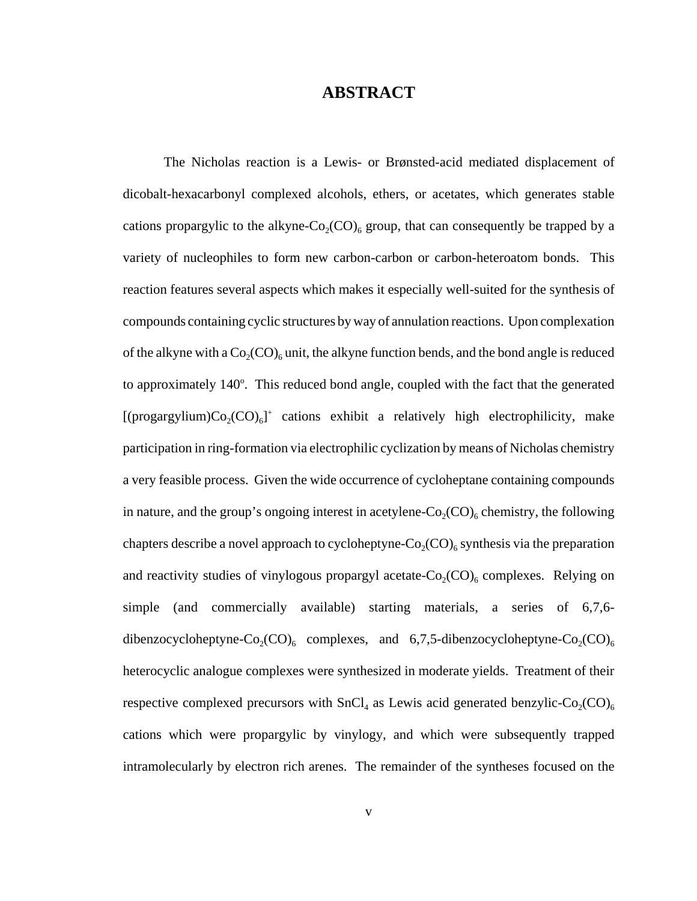## **ABSTRACT**

The Nicholas reaction is a Lewis- or Brønsted-acid mediated displacement of dicobalt-hexacarbonyl complexed alcohols, ethers, or acetates, which generates stable cations propargylic to the alkyne-Co<sub>2</sub>(CO)<sub>6</sub> group, that can consequently be trapped by a variety of nucleophiles to form new carbon-carbon or carbon-heteroatom bonds. This reaction features several aspects which makes it especially well-suited for the synthesis of compounds containing cyclic structures by way of annulation reactions. Upon complexation of the alkyne with a  $Co_2(CO)_{6}$  unit, the alkyne function bends, and the bond angle is reduced to approximately 140°. This reduced bond angle, coupled with the fact that the generated [(progargylium) $Co_2(CO)_6$ ]<sup>+</sup> cations exhibit a relatively high electrophilicity, make participation in ring-formation via electrophilic cyclization by means of Nicholas chemistry a very feasible process. Given the wide occurrence of cycloheptane containing compounds in nature, and the group's ongoing interest in acetylene- $Co_2(CO)_{6}$  chemistry, the following chapters describe a novel approach to cycloheptyne- $Co_2(CO)_6$  synthesis via the preparation and reactivity studies of vinylogous propargyl acetate- $Co_2(CO)_{6}$  complexes. Relying on simple (and commercially available) starting materials, a series of 6,7,6 dibenzocycloheptyne-Co<sub>2</sub>(CO)<sub>6</sub> complexes, and 6,7,5-dibenzocycloheptyne-Co<sub>2</sub>(CO)<sub>6</sub> heterocyclic analogue complexes were synthesized in moderate yields. Treatment of their respective complexed precursors with  $SnCl<sub>4</sub>$  as Lewis acid generated benzylic-Co<sub>2</sub>(CO)<sub>6</sub> cations which were propargylic by vinylogy, and which were subsequently trapped intramolecularly by electron rich arenes. The remainder of the syntheses focused on the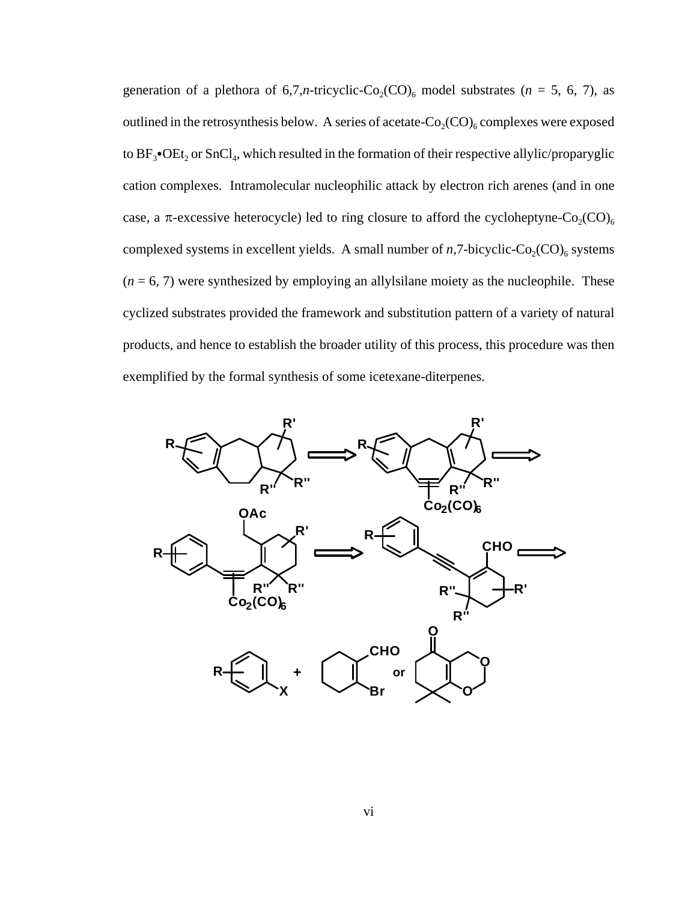generation of a plethora of  $6,7,n$ -tricyclic-Co<sub>2</sub>(CO)<sub>6</sub> model substrates ( $n = 5, 6, 7$ ), as outlined in the retrosynthesis below. A series of acetate- $Co_2(CO)_6$  complexes were exposed to  $BF_3$ • $OEt_2$  or  $SnCl_4$ , which resulted in the formation of their respective allylic/proparyglic cation complexes. Intramolecular nucleophilic attack by electron rich arenes (and in one case, a  $\pi$ -excessive heterocycle) led to ring closure to afford the cycloheptyne-Co<sub>2</sub>(CO)<sub>6</sub> complexed systems in excellent yields. A small number of  $n$ ,7-bicyclic-Co<sub>2</sub>(CO)<sub>6</sub> systems  $(n = 6, 7)$  were synthesized by employing an allylsilane moiety as the nucleophile. These cyclized substrates provided the framework and substitution pattern of a variety of natural products, and hence to establish the broader utility of this process, this procedure was then exemplified by the formal synthesis of some icetexane-diterpenes.

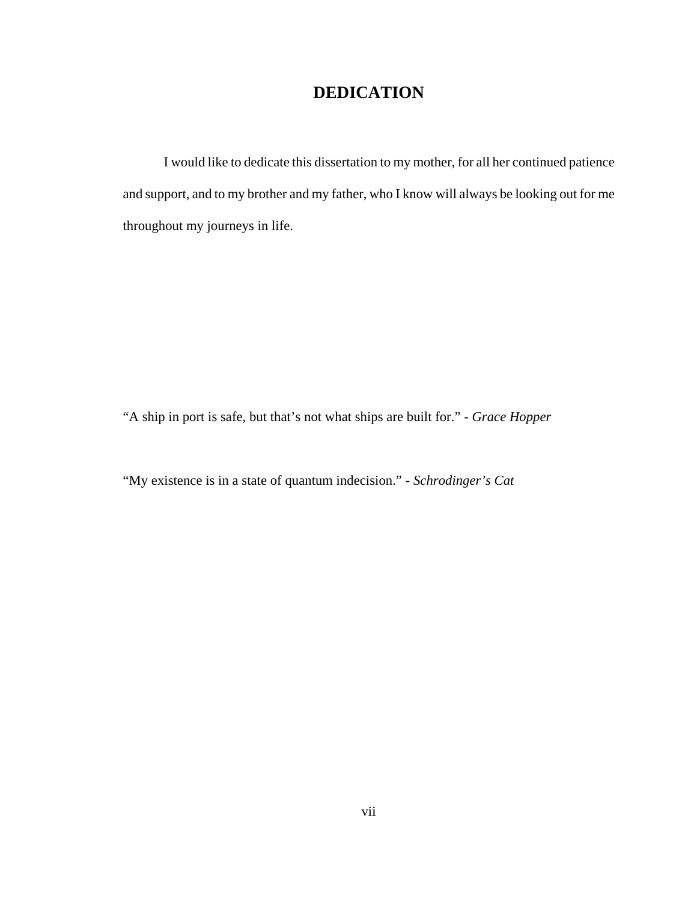## **DEDICATION**

I would like to dedicate this dissertation to my mother, for all her continued patience and support, and to my brother and my father, who I know will always be looking out for me throughout my journeys in life.

"A ship in port is safe, but that's not what ships are built for." - *Grace Hopper*

"My existence is in a state of quantum indecision." - *Schrodinger's Cat*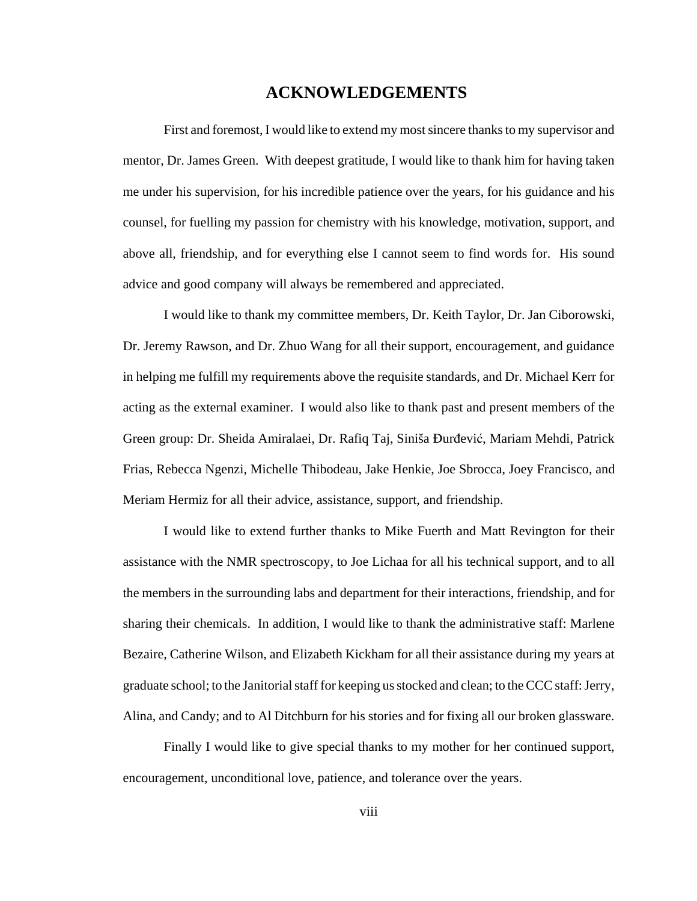## **ACKNOWLEDGEMENTS**

First and foremost, I would like to extend my most sincere thanks to my supervisor and mentor, Dr. James Green. With deepest gratitude, I would like to thank him for having taken me under his supervision, for his incredible patience over the years, for his guidance and his counsel, for fuelling my passion for chemistry with his knowledge, motivation, support, and above all, friendship, and for everything else I cannot seem to find words for. His sound advice and good company will always be remembered and appreciated.

I would like to thank my committee members, Dr. Keith Taylor, Dr. Jan Ciborowski, Dr. Jeremy Rawson, and Dr. Zhuo Wang for all their support, encouragement, and guidance in helping me fulfill my requirements above the requisite standards, and Dr. Michael Kerr for acting as the external examiner. I would also like to thank past and present members of the Green group: Dr. Sheida Amiralaei, Dr. Rafiq Taj, Siniša Đurđević, Mariam Mehdi, Patrick Frias, Rebecca Ngenzi, Michelle Thibodeau, Jake Henkie, Joe Sbrocca, Joey Francisco, and Meriam Hermiz for all their advice, assistance, support, and friendship.

I would like to extend further thanks to Mike Fuerth and Matt Revington for their assistance with the NMR spectroscopy, to Joe Lichaa for all his technical support, and to all the members in the surrounding labs and department for their interactions, friendship, and for sharing their chemicals. In addition, I would like to thank the administrative staff: Marlene Bezaire, Catherine Wilson, and Elizabeth Kickham for all their assistance during my years at graduate school; to the Janitorial staff for keeping us stocked and clean; to the CCC staff: Jerry, Alina, and Candy; and to Al Ditchburn for his stories and for fixing all our broken glassware.

Finally I would like to give special thanks to my mother for her continued support, encouragement, unconditional love, patience, and tolerance over the years.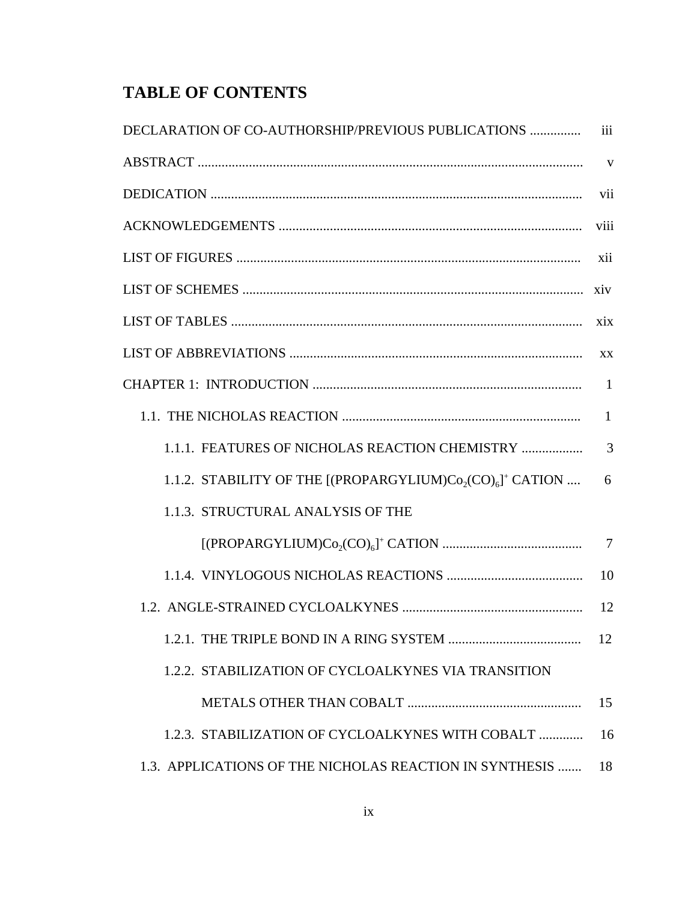## **TABLE OF CONTENTS**

| DECLARATION OF CO-AUTHORSHIP/PREVIOUS PUBLICATIONS          | iii             |
|-------------------------------------------------------------|-----------------|
|                                                             | $\mathbf{V}$    |
|                                                             | vii             |
|                                                             | viii            |
|                                                             | xii             |
|                                                             | xiv             |
|                                                             | xix             |
|                                                             | XX              |
|                                                             | $\mathbf{1}$    |
|                                                             | $\mathbf{1}$    |
| 1.1.1. FEATURES OF NICHOLAS REACTION CHEMISTRY              | $\overline{3}$  |
| 1.1.2. STABILITY OF THE $[(PROPARGYLIUM)Co2(CO)6]+ CATION $ | 6               |
| 1.1.3. STRUCTURAL ANALYSIS OF THE                           |                 |
|                                                             | $7\phantom{.0}$ |
|                                                             | 10              |
|                                                             | 12              |
|                                                             | 12              |
| 1.2.2. STABILIZATION OF CYCLOALKYNES VIA TRANSITION         |                 |
|                                                             | 15              |
| 1.2.3. STABILIZATION OF CYCLOALKYNES WITH COBALT            | 16              |
| 1.3. APPLICATIONS OF THE NICHOLAS REACTION IN SYNTHESIS     | 18              |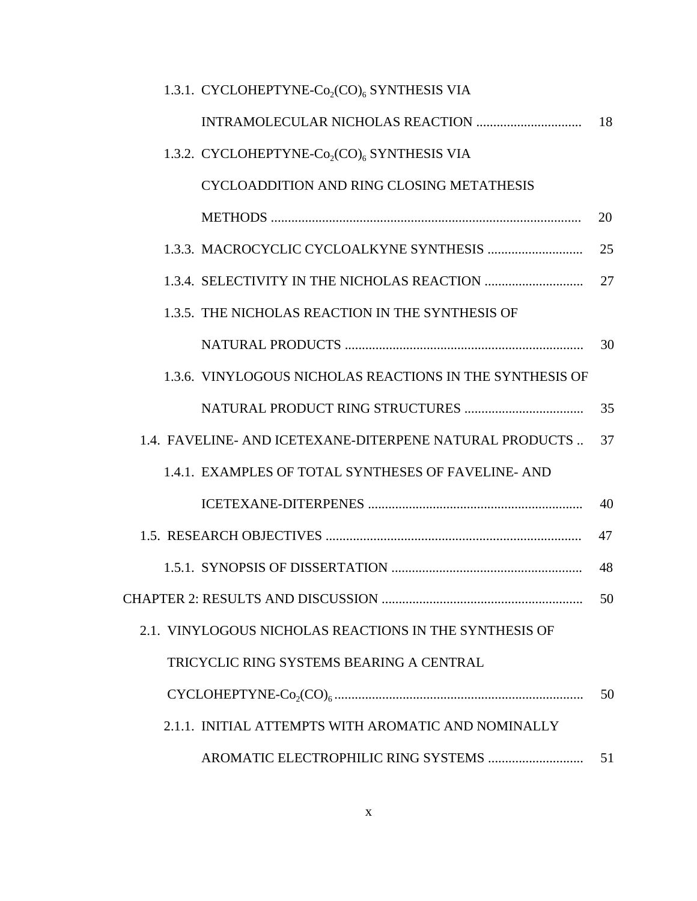| 1.3.1. CYCLOHEPTYNE-Co <sub>2</sub> (CO) <sub>6</sub> SYNTHESIS VIA |    |
|---------------------------------------------------------------------|----|
|                                                                     | 18 |
| 1.3.2. CYCLOHEPTYNE-Co <sub>2</sub> (CO) <sub>6</sub> SYNTHESIS VIA |    |
| CYCLOADDITION AND RING CLOSING METATHESIS                           |    |
|                                                                     | 20 |
|                                                                     | 25 |
|                                                                     | 27 |
| 1.3.5. THE NICHOLAS REACTION IN THE SYNTHESIS OF                    |    |
|                                                                     | 30 |
| 1.3.6. VINYLOGOUS NICHOLAS REACTIONS IN THE SYNTHESIS OF            |    |
|                                                                     | 35 |
| 1.4. FAVELINE- AND ICETEXANE-DITERPENE NATURAL PRODUCTS             | 37 |
| 1.4.1. EXAMPLES OF TOTAL SYNTHESES OF FAVELINE-AND                  |    |
|                                                                     | 40 |
|                                                                     | 47 |
|                                                                     | 48 |
|                                                                     | 50 |
| 2.1. VINYLOGOUS NICHOLAS REACTIONS IN THE SYNTHESIS OF              |    |
| TRICYCLIC RING SYSTEMS BEARING A CENTRAL                            |    |
|                                                                     | 50 |
| 2.1.1. INITIAL ATTEMPTS WITH AROMATIC AND NOMINALLY                 |    |
|                                                                     | 51 |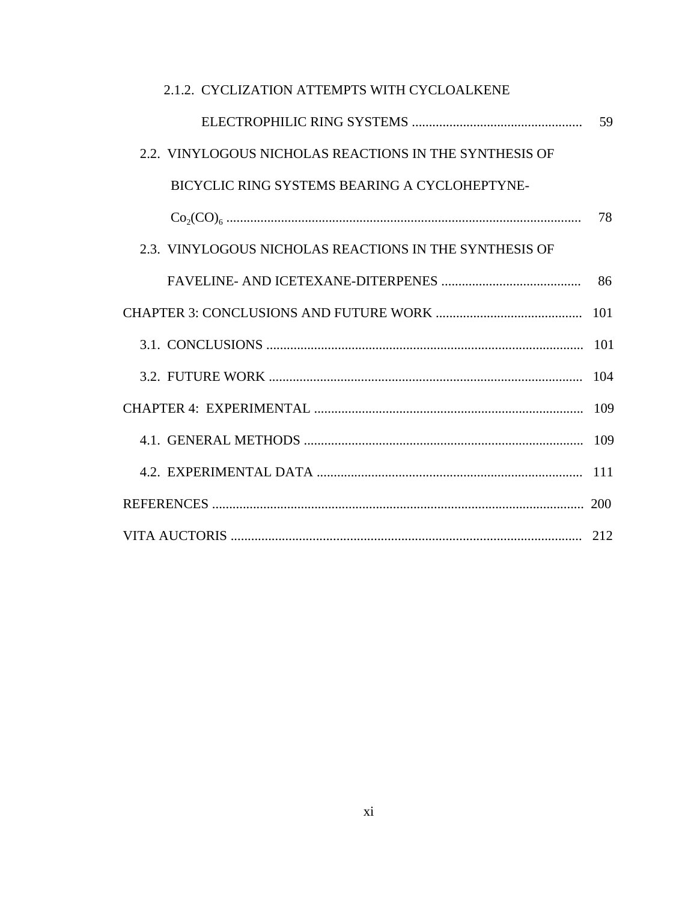| 2.1.2. CYCLIZATION ATTEMPTS WITH CYCLOALKENE           |     |
|--------------------------------------------------------|-----|
|                                                        | 59  |
| 2.2. VINYLOGOUS NICHOLAS REACTIONS IN THE SYNTHESIS OF |     |
| BICYCLIC RING SYSTEMS BEARING A CYCLOHEPTYNE-          |     |
|                                                        | 78  |
| 2.3. VINYLOGOUS NICHOLAS REACTIONS IN THE SYNTHESIS OF |     |
|                                                        | 86  |
|                                                        | 101 |
|                                                        |     |
|                                                        | 104 |
|                                                        | 109 |
|                                                        |     |
|                                                        |     |
|                                                        |     |
|                                                        |     |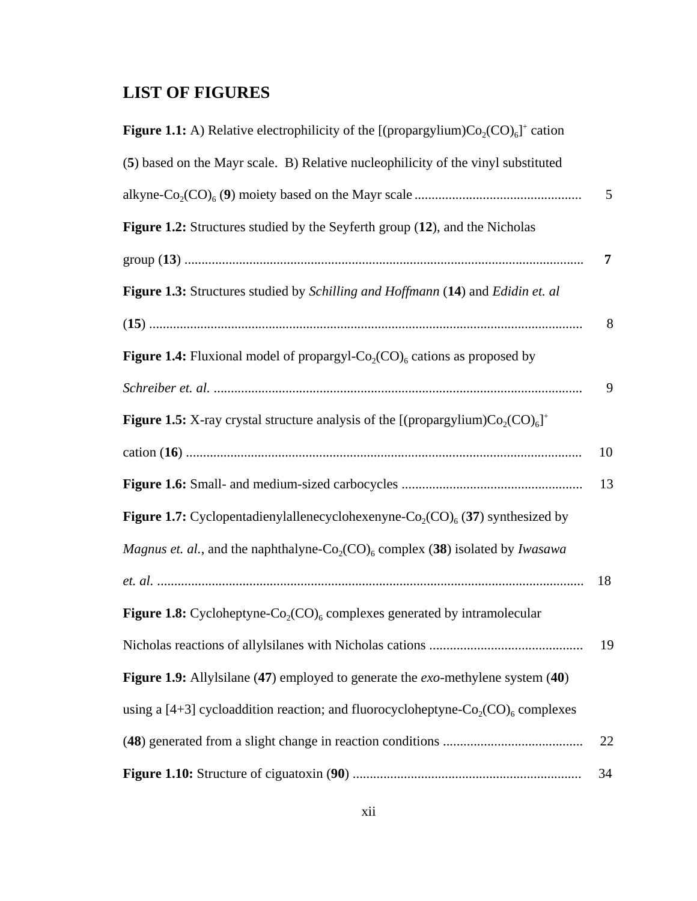## **LIST OF FIGURES**

| <b>Figure 1.1:</b> A) Relative electrophilicity of the [(propargylium) $Co_2(CO)_{6}$ ] <sup>+</sup> cation           |    |
|-----------------------------------------------------------------------------------------------------------------------|----|
| (5) based on the Mayr scale. B) Relative nucleophilicity of the vinyl substituted                                     |    |
|                                                                                                                       | 5  |
| Figure 1.2: Structures studied by the Seyferth group (12), and the Nicholas                                           |    |
|                                                                                                                       | 7  |
| Figure 1.3: Structures studied by Schilling and Hoffmann (14) and Edidin et. al                                       |    |
|                                                                                                                       | 8  |
| <b>Figure 1.4:</b> Fluxional model of propargyl- $Co_2(CO)_{6}$ cations as proposed by                                |    |
|                                                                                                                       | 9  |
| <b>Figure 1.5:</b> X-ray crystal structure analysis of the [(propargylium) $Co_2(CO)_{6}$ ] <sup>+</sup>              |    |
|                                                                                                                       | 10 |
|                                                                                                                       | 13 |
| <b>Figure 1.7:</b> Cyclopentadienylallenecyclohexenyne- $Co_2(CO)_6$ (37) synthesized by                              |    |
| <i>Magnus et. al.</i> , and the naphthalyne-Co <sub>2</sub> (CO) <sub>6</sub> complex (38) isolated by <i>Iwasawa</i> |    |
|                                                                                                                       | 18 |
| <b>Figure 1.8:</b> Cycloheptyne-Co <sub>2</sub> (CO) <sub>6</sub> complexes generated by intramolecular               |    |
|                                                                                                                       | 19 |
| Figure 1.9: Allylsilane (47) employed to generate the <i>exo</i> -methylene system (40)                               |    |
| using a [4+3] cycloaddition reaction; and fluorocycloheptyne- $Co_2(CO)_{6}$ complexes                                |    |
|                                                                                                                       | 22 |
|                                                                                                                       | 34 |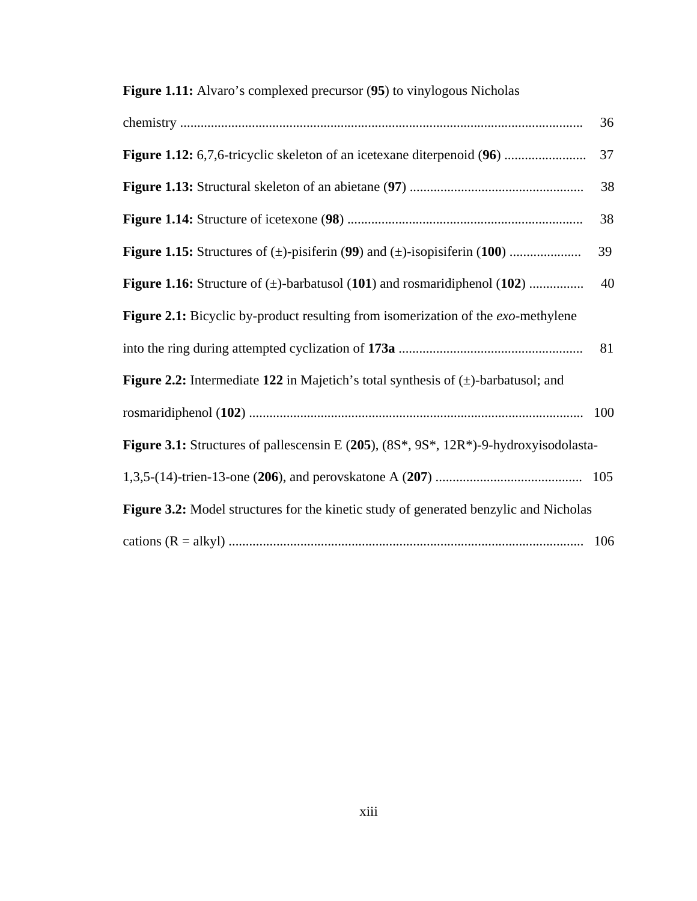## **Figure 1.11:** Alvaro's complexed precursor (**95**) to vinylogous Nicholas

|                                                                                                | 36  |
|------------------------------------------------------------------------------------------------|-----|
|                                                                                                | 37  |
|                                                                                                | 38  |
|                                                                                                | 38  |
|                                                                                                | 39  |
| <b>Figure 1.16:</b> Structure of $(\pm)$ -barbatusol (101) and rosmaridiphenol (102)           | 40  |
| Figure 2.1: Bicyclic by-product resulting from isomerization of the <i>exo</i> -methylene      |     |
|                                                                                                | 81  |
| <b>Figure 2.2:</b> Intermediate 122 in Majetich's total synthesis of $(\pm)$ -barbatusol; and  |     |
|                                                                                                | 100 |
| Figure 3.1: Structures of pallescensin E $(205)$ , $(8S^*, 9S^*, 12R^*)$ -9-hydroxyisodolasta- |     |
|                                                                                                |     |
| Figure 3.2: Model structures for the kinetic study of generated benzylic and Nicholas          |     |
|                                                                                                |     |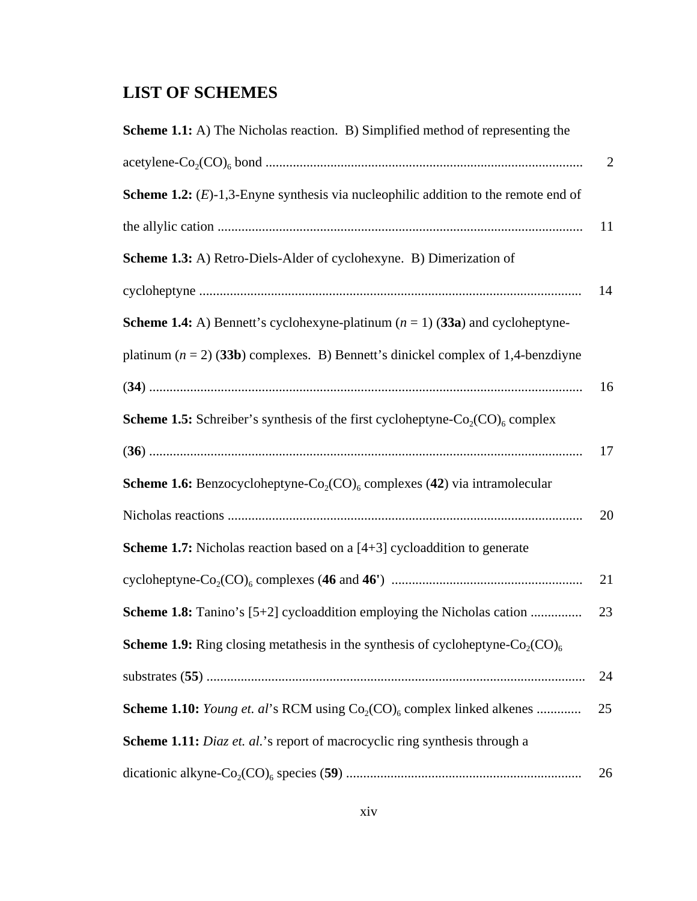## **LIST OF SCHEMES**

| <b>Scheme 1.1:</b> A) The Nicholas reaction. B) Simplified method of representing the                    |                |
|----------------------------------------------------------------------------------------------------------|----------------|
|                                                                                                          | $\overline{2}$ |
| <b>Scheme 1.2:</b> $(E)$ -1,3-Enyne synthesis via nucleophilic addition to the remote end of             |                |
|                                                                                                          | 11             |
| Scheme 1.3: A) Retro-Diels-Alder of cyclohexyne. B) Dimerization of                                      |                |
|                                                                                                          | 14             |
| <b>Scheme 1.4:</b> A) Bennett's cyclohexyne-platinum $(n = 1)$ (33a) and cycloheptyne-                   |                |
| platinum $(n = 2)$ (33b) complexes. B) Bennett's dinickel complex of 1,4-benzdiyne                       |                |
|                                                                                                          | 16             |
| <b>Scheme 1.5:</b> Schreiber's synthesis of the first cycloheptyne- $Co_2(CO)_{6}$ complex               |                |
|                                                                                                          | 17             |
| <b>Scheme 1.6:</b> Benzocycloheptyne-Co <sub>2</sub> (CO) <sub>6</sub> complexes (42) via intramolecular |                |
|                                                                                                          | 20             |
| <b>Scheme 1.7:</b> Nicholas reaction based on a $[4+3]$ cycloaddition to generate                        |                |
|                                                                                                          | 21             |
| <b>Scheme 1.8:</b> Tanino's [5+2] cycloaddition employing the Nicholas cation                            | 23             |
| <b>Scheme 1.9:</b> Ring closing metathesis in the synthesis of cycloheptyne- $Co_2(CO)_{6}$              |                |
|                                                                                                          | 24             |
| <b>Scheme 1.10:</b> Young et. al's RCM using $Co_2(CO)_6$ complex linked alkenes                         | 25             |
| Scheme 1.11: Diaz et. al.'s report of macrocyclic ring synthesis through a                               |                |
|                                                                                                          | 26             |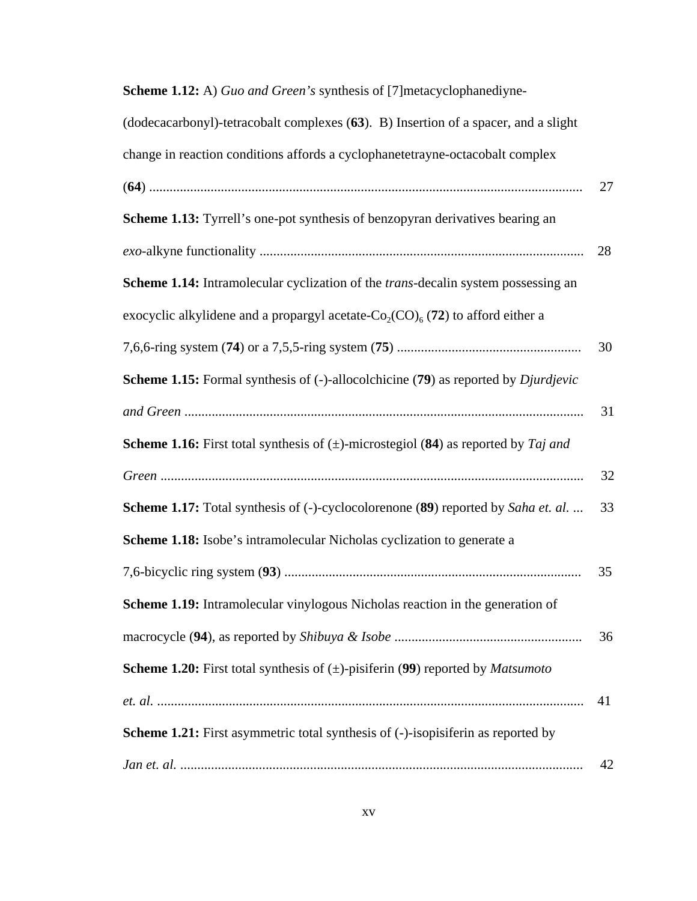| <b>Scheme 1.12:</b> A) Guo and Green's synthesis of [7] metacyclophanediyne-                      |    |
|---------------------------------------------------------------------------------------------------|----|
| (dodecacarbonyl)-tetracobalt complexes (63). B) Insertion of a spacer, and a slight               |    |
| change in reaction conditions affords a cyclophanetetrayne-octacobalt complex                     |    |
|                                                                                                   | 27 |
| <b>Scheme 1.13:</b> Tyrrell's one-pot synthesis of benzopyran derivatives bearing an              |    |
|                                                                                                   | 28 |
| Scheme 1.14: Intramolecular cyclization of the <i>trans</i> -decalin system possessing an         |    |
| exocyclic alkylidene and a propargyl acetate- $Co_2(CO)_{6}$ (72) to afford either a              |    |
|                                                                                                   | 30 |
| <b>Scheme 1.15:</b> Formal synthesis of (-)-allocolchicine (79) as reported by <i>Djurdjevic</i>  |    |
|                                                                                                   | 31 |
| <b>Scheme 1.16:</b> First total synthesis of $(\pm)$ -microstegiol (84) as reported by Taj and    |    |
|                                                                                                   | 32 |
| <b>Scheme 1.17:</b> Total synthesis of (-)-cyclocolorenone (89) reported by Saha et. al.          | 33 |
| <b>Scheme 1.18:</b> Isobe's intramolecular Nicholas cyclization to generate a                     |    |
|                                                                                                   | 35 |
| Scheme 1.19: Intramolecular vinylogous Nicholas reaction in the generation of                     |    |
|                                                                                                   | 36 |
| <b>Scheme 1.20:</b> First total synthesis of $(\pm)$ -pisiferin (99) reported by <i>Matsumoto</i> |    |
|                                                                                                   | 41 |
| Scheme 1.21: First asymmetric total synthesis of (-)-isopisiferin as reported by                  |    |
|                                                                                                   | 42 |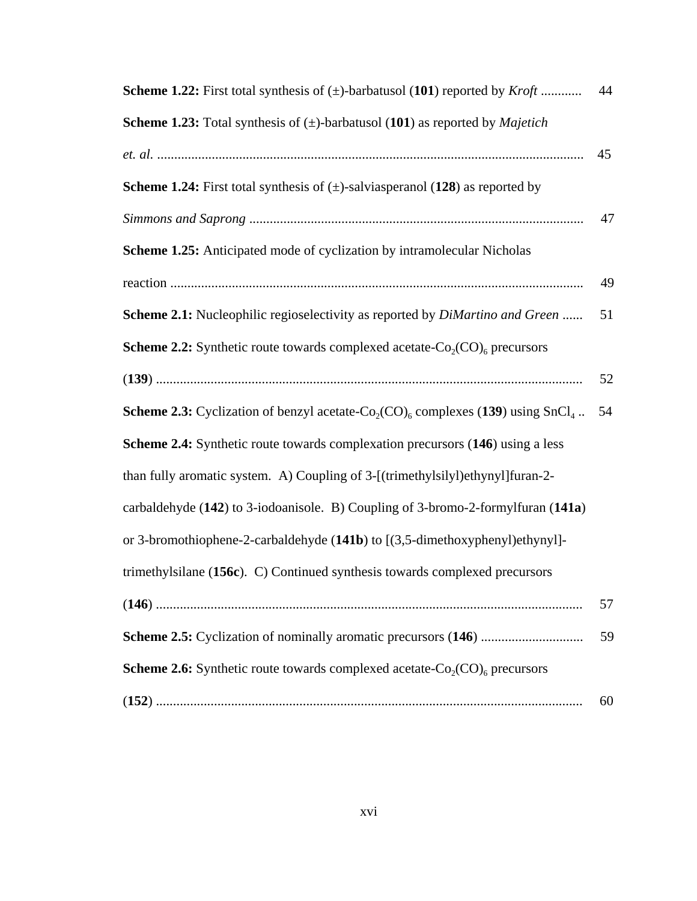| <b>Scheme 1.22:</b> First total synthesis of $(\pm)$ -barbatusol (101) reported by <i>Kroft</i>                            | 44 |
|----------------------------------------------------------------------------------------------------------------------------|----|
| <b>Scheme 1.23:</b> Total synthesis of $(\pm)$ -barbatusol (101) as reported by <i>Majetich</i>                            |    |
|                                                                                                                            | 45 |
| <b>Scheme 1.24:</b> First total synthesis of $(\pm)$ -salviasperanol (128) as reported by                                  |    |
|                                                                                                                            | 47 |
| <b>Scheme 1.25:</b> Anticipated mode of cyclization by intramolecular Nicholas                                             |    |
|                                                                                                                            | 49 |
| Scheme 2.1: Nucleophilic regioselectivity as reported by <i>DiMartino and Green</i>                                        | 51 |
| <b>Scheme 2.2:</b> Synthetic route towards complexed acetate- $Co_2(CO)_{6}$ precursors                                    |    |
|                                                                                                                            | 52 |
| <b>Scheme 2.3:</b> Cyclization of benzyl acetate-Co <sub>2</sub> (CO) <sub>6</sub> complexes (139) using SnCl <sub>4</sub> | 54 |
| Scheme 2.4: Synthetic route towards complexation precursors (146) using a less                                             |    |
| than fully aromatic system. A) Coupling of 3-[(trimethylsilyl)ethynyl]furan-2-                                             |    |
| carbaldehyde (142) to 3-iodoanisole. B) Coupling of 3-bromo-2-formylfuran (141a)                                           |    |
| or 3-bromothiophene-2-carbaldehyde (141b) to [(3,5-dimethoxyphenyl)ethynyl]-                                               |    |
| trimethylsilane (156c). C) Continued synthesis towards complexed precursors                                                |    |
|                                                                                                                            | 57 |
|                                                                                                                            | 59 |
| <b>Scheme 2.6:</b> Synthetic route towards complexed acetate- $Co_2(CO)_{6}$ precursors                                    |    |
|                                                                                                                            | 60 |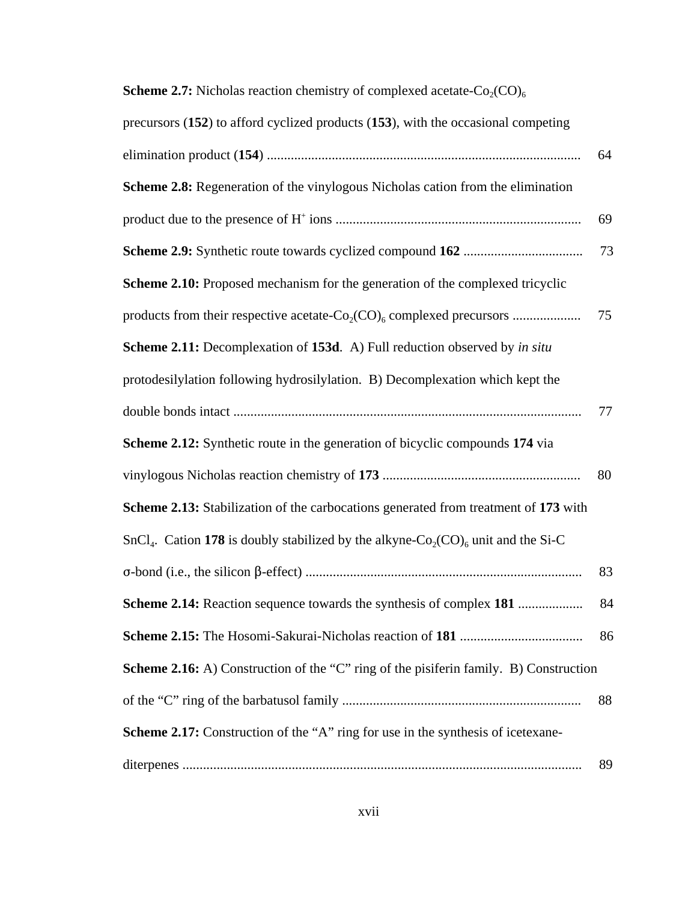| <b>SCHEME 2.7.</b> TYREHORES TEACHEDIT CHEMISTY OF COMPRESSED ACCRET CO $\gamma(\mathcal{CO})_6$                      |    |
|-----------------------------------------------------------------------------------------------------------------------|----|
| precursors (152) to afford cyclized products (153), with the occasional competing                                     |    |
|                                                                                                                       | 64 |
| <b>Scheme 2.8:</b> Regeneration of the vinylogous Nicholas cation from the elimination                                |    |
|                                                                                                                       | 69 |
|                                                                                                                       | 73 |
| Scheme 2.10: Proposed mechanism for the generation of the complexed tricyclic                                         |    |
|                                                                                                                       | 75 |
| Scheme 2.11: Decomplexation of 153d. A) Full reduction observed by in situ                                            |    |
| protodesilylation following hydrosilylation. B) Decomplexation which kept the                                         |    |
|                                                                                                                       | 77 |
| <b>Scheme 2.12:</b> Synthetic route in the generation of bicyclic compounds 174 via                                   |    |
|                                                                                                                       | 80 |
| Scheme 2.13: Stabilization of the carbocations generated from treatment of 173 with                                   |    |
| SnCl <sub>4</sub> . Cation 178 is doubly stabilized by the alkyne-Co <sub>2</sub> (CO) <sub>6</sub> unit and the Si-C |    |
|                                                                                                                       | 83 |
| Scheme 2.14: Reaction sequence towards the synthesis of complex 181                                                   | 84 |
|                                                                                                                       | 86 |
| Scheme 2.16: A) Construction of the "C" ring of the pisiferin family. B) Construction                                 |    |
|                                                                                                                       | 88 |
| <b>Scheme 2.17:</b> Construction of the "A" ring for use in the synthesis of icetexane-                               |    |
|                                                                                                                       | 89 |

## **Scheme 2.7:** Nicholas reaction chemistry of complexed acetate-Co<sub>2</sub>(CO)<sub>6</sub>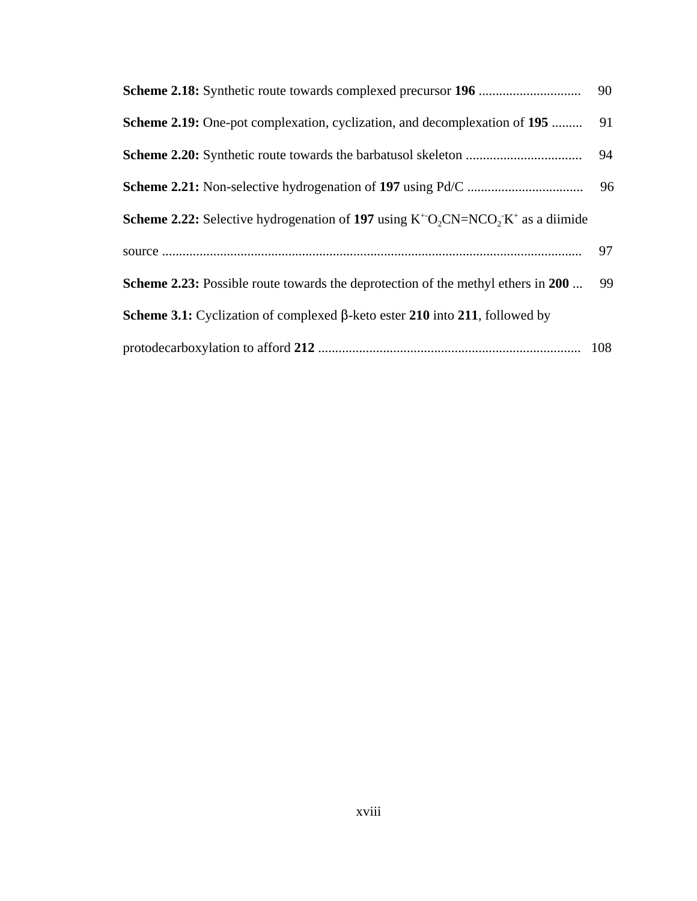|                                                                                                 | 90 |
|-------------------------------------------------------------------------------------------------|----|
| <b>Scheme 2.19:</b> One-pot complexation, cyclization, and decomplexation of 195                | 91 |
|                                                                                                 | 94 |
|                                                                                                 | 96 |
| <b>Scheme 2.22:</b> Selective hydrogenation of 197 using $K^+O$ , $CN=NCO$ , $K^+$ as a diimide |    |
|                                                                                                 | 97 |
| <b>Scheme 2.23:</b> Possible route towards the deprotection of the methyl ethers in 200         | 99 |
| <b>Scheme 3.1:</b> Cyclization of complexed $\beta$ -keto ester 210 into 211, followed by       |    |
|                                                                                                 |    |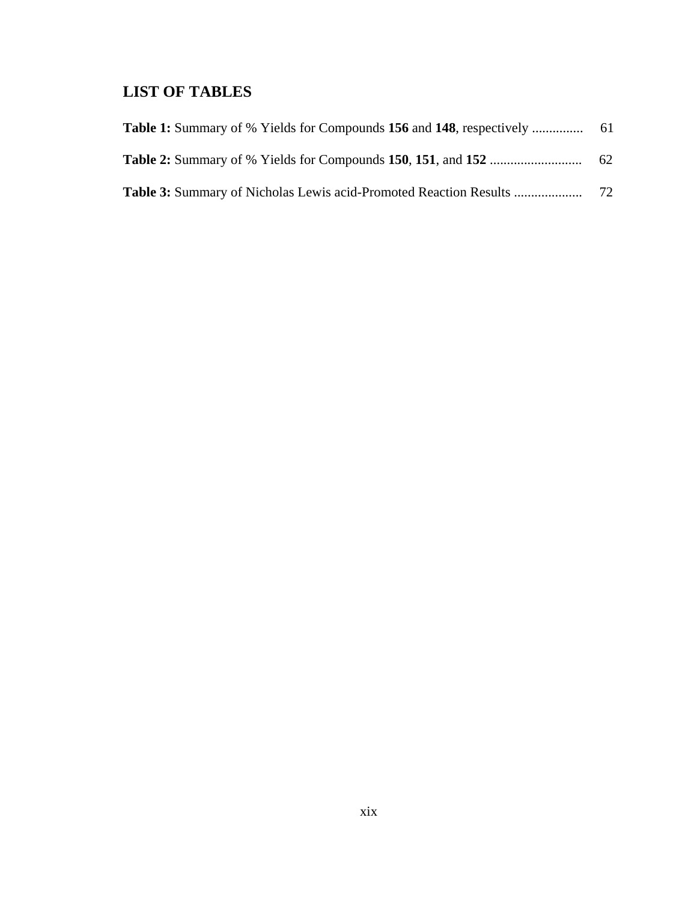## **LIST OF TABLES**

| <b>Table 1:</b> Summary of % Yields for Compounds 156 and 148, respectively | -61 |
|-----------------------------------------------------------------------------|-----|
|                                                                             | 62  |
| <b>Table 3:</b> Summary of Nicholas Lewis acid-Promoted Reaction Results    | 72  |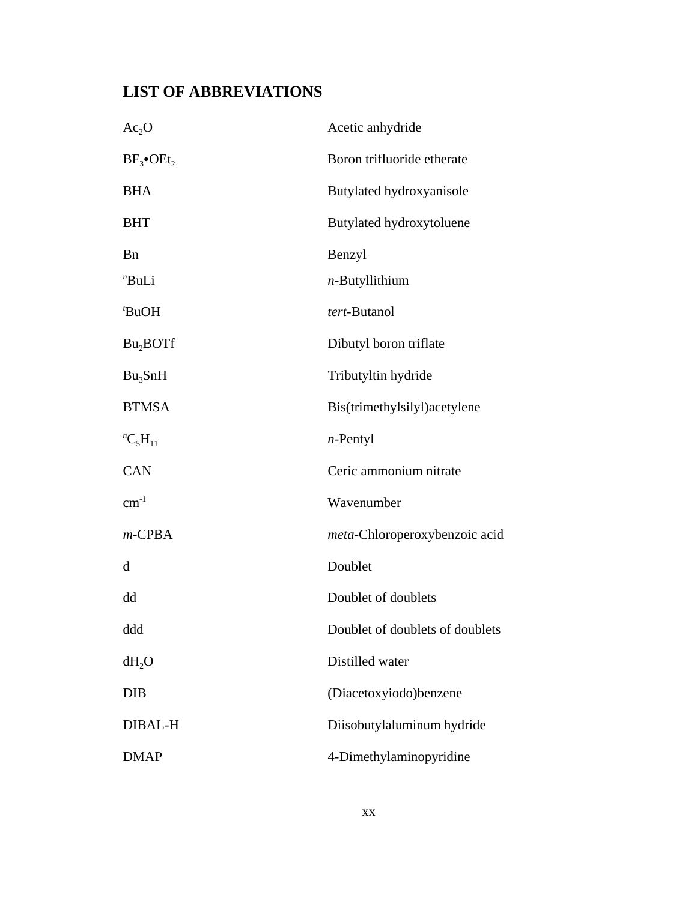## **LIST OF ABBREVIATIONS**

| $Ac_2O$                    | Acetic anhydride                |
|----------------------------|---------------------------------|
| $BF_{3}$ •OEt <sub>2</sub> | Boron trifluoride etherate      |
| <b>BHA</b>                 | Butylated hydroxyanisole        |
| <b>BHT</b>                 | Butylated hydroxytoluene        |
| <b>B</b> n                 | Benzyl                          |
| "BuLi                      | $n$ -Butyllithium               |
| 'BuOH                      | tert-Butanol                    |
| Bu <sub>2</sub> BOTf       | Dibutyl boron triflate          |
| $Bu_3SnH$                  | Tributyltin hydride             |
| <b>BTMSA</b>               | Bis(trimethylsilyl)acetylene    |
| ${}^{n}C_{5}H_{11}$        | $n$ -Pentyl                     |
| <b>CAN</b>                 | Ceric ammonium nitrate          |
| $cm^{-1}$                  | Wavenumber                      |
| $m$ -CPBA                  | meta-Chloroperoxybenzoic acid   |
| d                          | Doublet                         |
| dd                         | Doublet of doublets             |
| ddd                        | Doublet of doublets of doublets |
| $dH_2O$                    | Distilled water                 |
| <b>DIB</b>                 | (Diacetoxyiodo)benzene          |
| DIBAL-H                    | Diisobutylaluminum hydride      |
| <b>DMAP</b>                | 4-Dimethylaminopyridine         |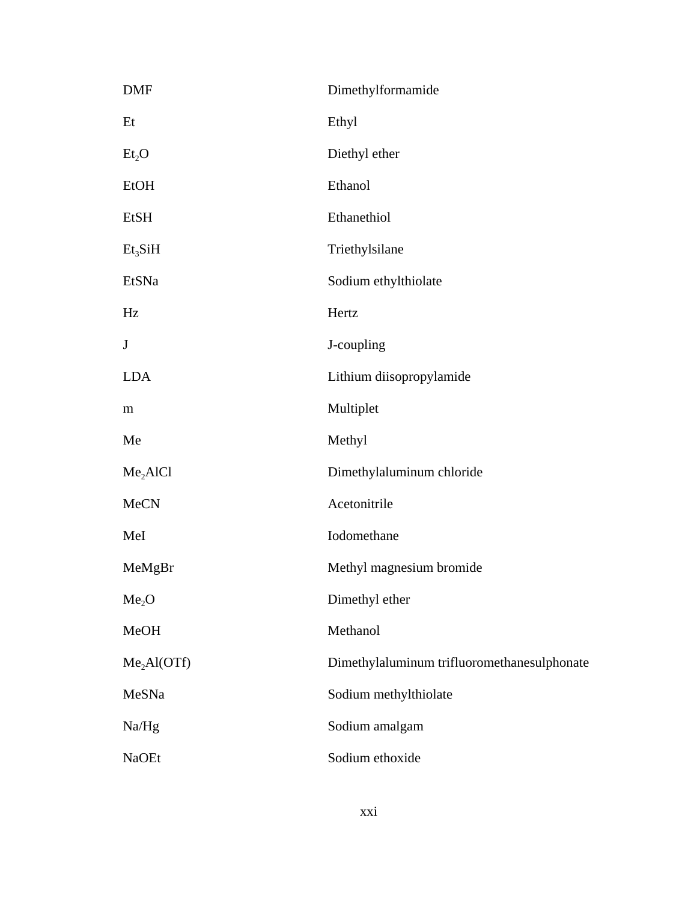| <b>DMF</b>              | Dimethylformamide                           |
|-------------------------|---------------------------------------------|
| Et                      | Ethyl                                       |
| Et <sub>2</sub> O       | Diethyl ether                               |
| <b>EtOH</b>             | Ethanol                                     |
| EtSH                    | Ethanethiol                                 |
| $Et_{3}SiH$             | Triethylsilane                              |
| EtSNa                   | Sodium ethylthiolate                        |
| Hz                      | Hertz                                       |
| $\bf J$                 | J-coupling                                  |
| <b>LDA</b>              | Lithium diisopropylamide                    |
| m                       | Multiplet                                   |
| Me                      | Methyl                                      |
| Me <sub>2</sub> AIC1    | Dimethylaluminum chloride                   |
| <b>MeCN</b>             | Acetonitrile                                |
| MeI                     | Iodomethane                                 |
| MeMgBr                  | Methyl magnesium bromide                    |
| Me <sub>2</sub> O       | Dimethyl ether                              |
| MeOH                    | Methanol                                    |
| Me <sub>2</sub> Al(OTf) | Dimethylaluminum trifluoromethanesulphonate |
| MeSNa                   | Sodium methylthiolate                       |
| Na/Hg                   | Sodium amalgam                              |
| <b>NaOEt</b>            | Sodium ethoxide                             |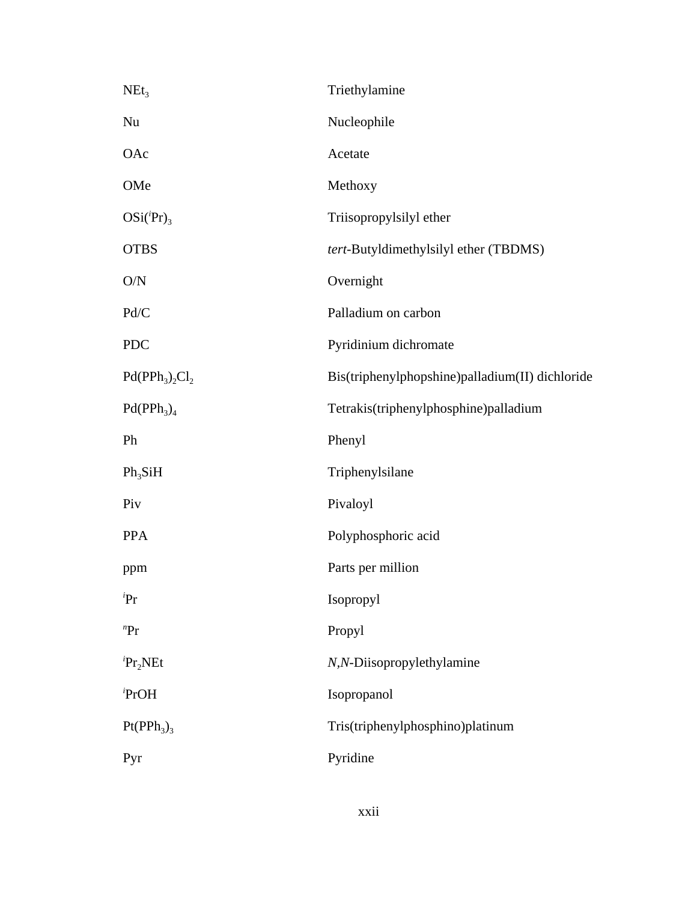| $NEt_3$             | Triethylamine                                   |
|---------------------|-------------------------------------------------|
| $\rm Nu$            | Nucleophile                                     |
| OAc                 | Acetate                                         |
| OMe                 | Methoxy                                         |
| $OSi({}^{i}Pr)_{3}$ | Triisopropylsilyl ether                         |
| <b>OTBS</b>         | tert-Butyldimethylsilyl ether (TBDMS)           |
| O/N                 | Overnight                                       |
| Pd/C                | Palladium on carbon                             |
| <b>PDC</b>          | Pyridinium dichromate                           |
| $Pd(PPh_3)_{2}Cl_2$ | Bis(triphenylphopshine)palladium(II) dichloride |
| $Pd(PPh_3)_4$       | Tetrakis(triphenylphosphine)palladium           |
| Ph                  | Phenyl                                          |
| $Ph_3SiH$           | Triphenylsilane                                 |
| Piv                 | Pivaloyl                                        |
| <b>PPA</b>          | Polyphosphoric acid                             |
| ppm                 | Parts per million                               |
| iPr                 | Isopropyl                                       |
| ${}^{n}Pr$          | Propyl                                          |
| $P_{r_2}NEt$        | N,N-Diisopropylethylamine                       |
| PrOH                | Isopropanol                                     |
| $Pt(PPh_3)_3$       | Tris(triphenylphosphino)platinum                |
| Pyr                 | Pyridine                                        |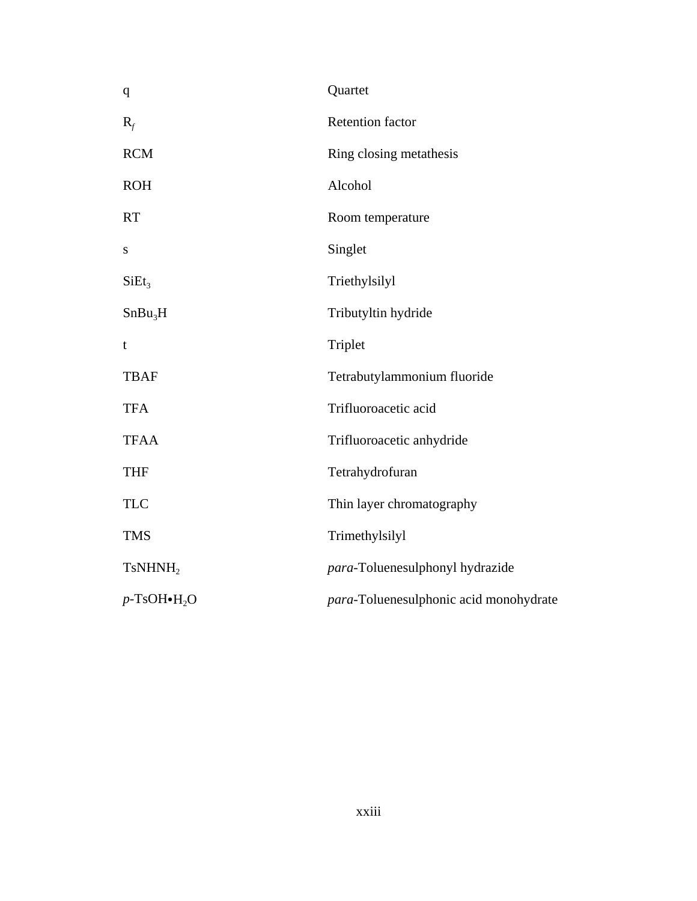| q                                    | Quartet                                |
|--------------------------------------|----------------------------------------|
| $R_f$                                | <b>Retention factor</b>                |
| <b>RCM</b>                           | Ring closing metathesis                |
| <b>ROH</b>                           | Alcohol                                |
| <b>RT</b>                            | Room temperature                       |
| S                                    | Singlet                                |
| SiEt <sub>3</sub>                    | Triethylsilyl                          |
| SnBu <sub>3</sub> H                  | Tributyltin hydride                    |
| t                                    | Triplet                                |
| <b>TBAF</b>                          | Tetrabutylammonium fluoride            |
| <b>TFA</b>                           | Trifluoroacetic acid                   |
| <b>TFAA</b>                          | Trifluoroacetic anhydride              |
| <b>THF</b>                           | Tetrahydrofuran                        |
| <b>TLC</b>                           | Thin layer chromatography              |
| <b>TMS</b>                           | Trimethylsilyl                         |
| TsNHNH <sub>2</sub>                  | para-Toluenesulphonyl hydrazide        |
| $p$ -TsOH $\bullet$ H <sub>2</sub> O | para-Toluenesulphonic acid monohydrate |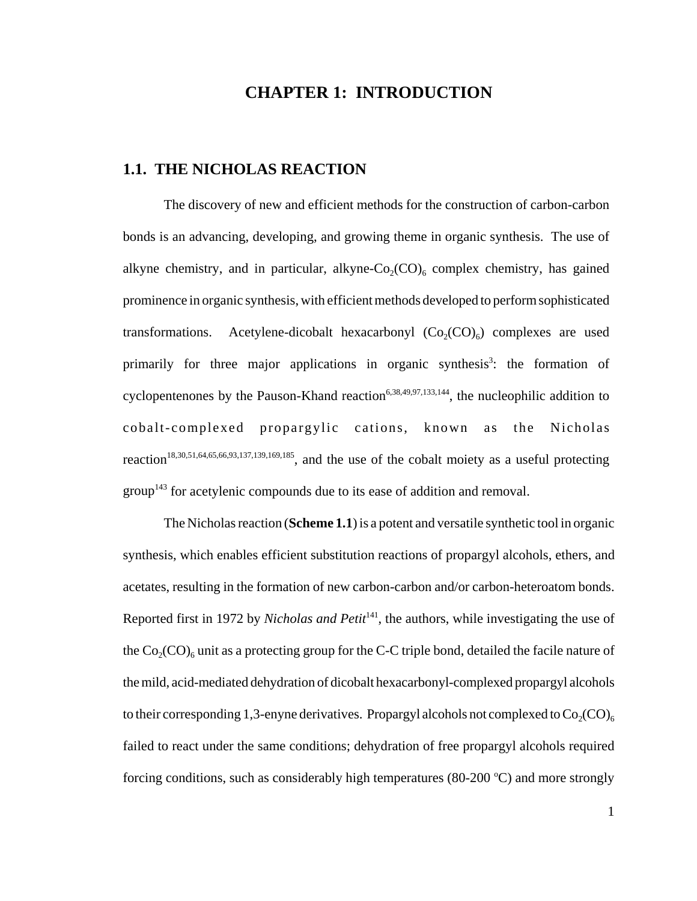## **CHAPTER 1: INTRODUCTION**

## **1.1. THE NICHOLAS REACTION**

The discovery of new and efficient methods for the construction of carbon-carbon bonds is an advancing, developing, and growing theme in organic synthesis. The use of alkyne chemistry, and in particular, alkyne- $Co_2(CO)$ <sub>6</sub> complex chemistry, has gained prominence in organic synthesis, with efficient methods developed to perform sophisticated transformations. Acetylene-dicobalt hexacarbonyl  $(Co<sub>2</sub>(CO)<sub>6</sub>)$  complexes are used primarily for three major applications in organic synthesis<sup>3</sup>: the formation of cyclopentenones by the Pauson-Khand reaction<sup>6,38,49,97,133,144</sup>, the nucleophilic addition to cobalt-complexed propargylic cations, known as the Nicholas reaction18,30,51,64,65,66,93,137,139,169,185, and the use of the cobalt moiety as a useful protecting group<sup>143</sup> for acetylenic compounds due to its ease of addition and removal.

The Nicholas reaction (**Scheme 1.1**) is a potent and versatile synthetic tool in organic synthesis, which enables efficient substitution reactions of propargyl alcohols, ethers, and acetates, resulting in the formation of new carbon-carbon and/or carbon-heteroatom bonds. Reported first in 1972 by *Nicholas and Petit*<sup>141</sup>, the authors, while investigating the use of the  $Co_2(CO)_{6}$  unit as a protecting group for the C-C triple bond, detailed the facile nature of the mild, acid-mediated dehydration of dicobalt hexacarbonyl-complexed propargyl alcohols to their corresponding 1,3-enyne derivatives. Propargyl alcohols not complexed to  $Co_2(CO)_{6}$ failed to react under the same conditions; dehydration of free propargyl alcohols required forcing conditions, such as considerably high temperatures (80-200  $^{\circ}$ C) and more strongly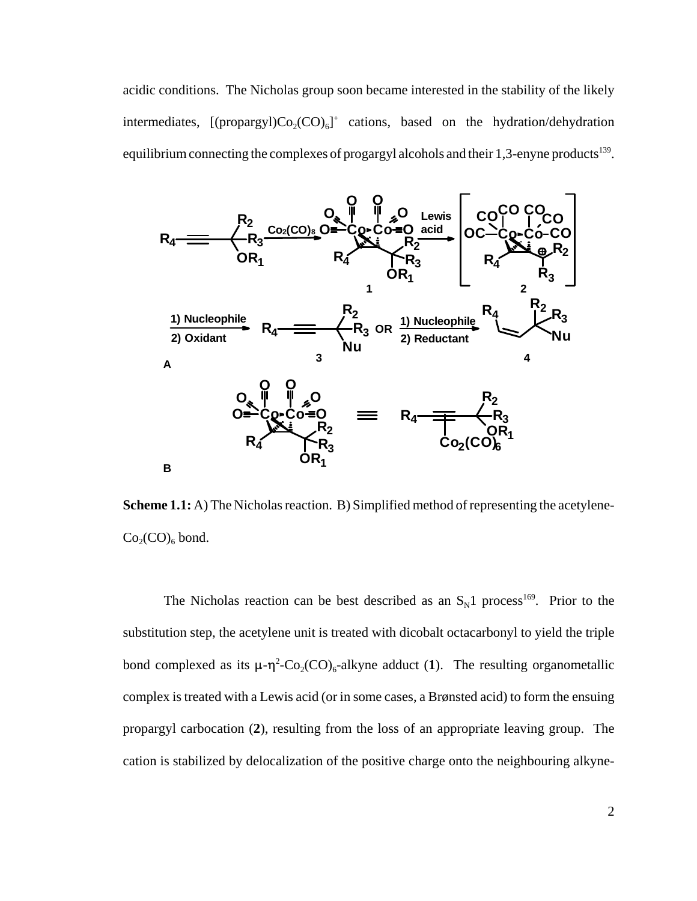acidic conditions. The Nicholas group soon became interested in the stability of the likely intermediates,  $[(\text{propargyl})\text{Co}_2(\text{CO})_6]^+$  cations, based on the hydration/dehydration equilibrium connecting the complexes of progargyl alcohols and their  $1,3$ -enyne products<sup>139</sup>.



**Scheme 1.1:** A) The Nicholas reaction. B) Simplified method of representing the acetylene- $Co_2(CO)_6$  bond.

The Nicholas reaction can be best described as an  $S_N1$  process<sup>169</sup>. Prior to the substitution step, the acetylene unit is treated with dicobalt octacarbonyl to yield the triple bond complexed as its  $\mu$ - $\eta$ <sup>2</sup>-Co<sub>2</sub>(CO)<sub>6</sub>-alkyne adduct (1). The resulting organometallic complex is treated with a Lewis acid (or in some cases, a Brønsted acid) to form the ensuing propargyl carbocation (**2**), resulting from the loss of an appropriate leaving group. The cation is stabilized by delocalization of the positive charge onto the neighbouring alkyne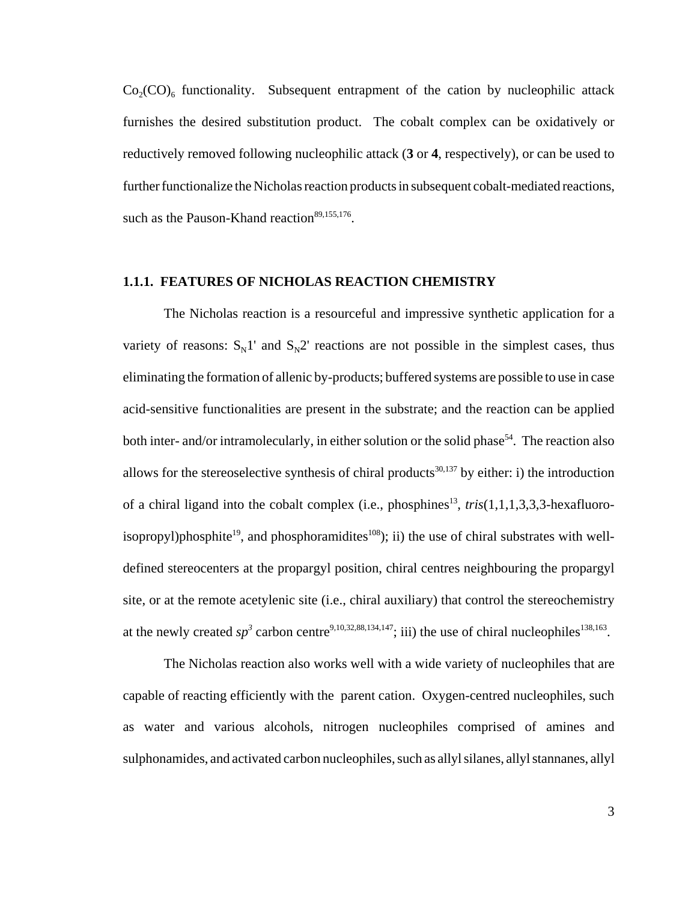$Co_2(CO)$ <sub>6</sub> functionality. Subsequent entrapment of the cation by nucleophilic attack furnishes the desired substitution product. The cobalt complex can be oxidatively or reductively removed following nucleophilic attack (**3** or **4**, respectively), or can be used to further functionalize the Nicholas reaction products in subsequent cobalt-mediated reactions, such as the Pauson-Khand reaction<sup>89,155,176</sup>.

#### **1.1.1. FEATURES OF NICHOLAS REACTION CHEMISTRY**

The Nicholas reaction is a resourceful and impressive synthetic application for a variety of reasons:  $S_N1'$  and  $S_N2'$  reactions are not possible in the simplest cases, thus eliminating the formation of allenic by-products; buffered systems are possible to use in case acid-sensitive functionalities are present in the substrate; and the reaction can be applied both inter- and/or intramolecularly, in either solution or the solid phase<sup>54</sup>. The reaction also allows for the stereoselective synthesis of chiral products<sup>30,137</sup> by either: i) the introduction of a chiral ligand into the cobalt complex (i.e., phosphines<sup>13</sup>, *tris*(1,1,1,3,3,3-hexafluoroisopropyl)phosphite<sup>19</sup>, and phosphoramidites<sup>108</sup>); ii) the use of chiral substrates with welldefined stereocenters at the propargyl position, chiral centres neighbouring the propargyl site, or at the remote acetylenic site (i.e., chiral auxiliary) that control the stereochemistry at the newly created  $sp^3$  carbon centre<sup>9,10,32,88,134,147</sup>; iii) the use of chiral nucleophiles<sup>138,163</sup>.

The Nicholas reaction also works well with a wide variety of nucleophiles that are capable of reacting efficiently with the parent cation. Oxygen-centred nucleophiles, such as water and various alcohols, nitrogen nucleophiles comprised of amines and sulphonamides, and activated carbon nucleophiles, such as allyl silanes, allyl stannanes, allyl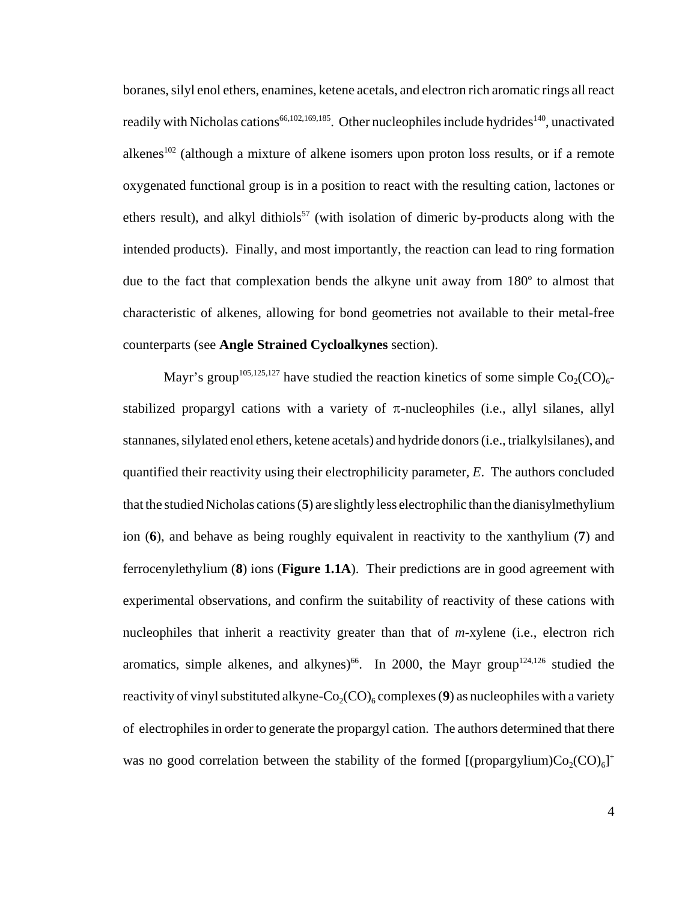boranes, silyl enol ethers, enamines, ketene acetals, and electron rich aromatic rings all react readily with Nicholas cations<sup>66,102,169,185</sup>. Other nucleophiles include hydrides<sup>140</sup>, unactivated alkenes<sup>102</sup> (although a mixture of alkene isomers upon proton loss results, or if a remote oxygenated functional group is in a position to react with the resulting cation, lactones or ethers result), and alkyl dithiols<sup>57</sup> (with isolation of dimeric by-products along with the intended products). Finally, and most importantly, the reaction can lead to ring formation due to the fact that complexation bends the alkyne unit away from  $180^\circ$  to almost that characteristic of alkenes, allowing for bond geometries not available to their metal-free counterparts (see **Angle Strained Cycloalkynes** section).

Mayr's group<sup>105,125,127</sup> have studied the reaction kinetics of some simple  $Co_2(CO)_{6-}$ stabilized propargyl cations with a variety of  $\pi$ -nucleophiles (i.e., allyl silanes, allyl stannanes, silylated enol ethers, ketene acetals) and hydride donors (i.e., trialkylsilanes), and quantified their reactivity using their electrophilicity parameter, *E*. The authors concluded that the studied Nicholas cations (**5**) are slightly less electrophilic than the dianisylmethylium ion (**6**), and behave as being roughly equivalent in reactivity to the xanthylium (**7**) and ferrocenylethylium (**8**) ions (**Figure 1.1A**). Their predictions are in good agreement with experimental observations, and confirm the suitability of reactivity of these cations with nucleophiles that inherit a reactivity greater than that of *m*-xylene (i.e., electron rich aromatics, simple alkenes, and alkynes)<sup>66</sup>. In 2000, the Mayr group<sup>124,126</sup> studied the reactivity of vinyl substituted alkyne- $Co_2(CO)_{6}$  complexes (9) as nucleophiles with a variety of electrophiles in order to generate the propargyl cation. The authors determined that there was no good correlation between the stability of the formed [(propargylium) $Co_2(CO)_{6}$ ]<sup>+</sup>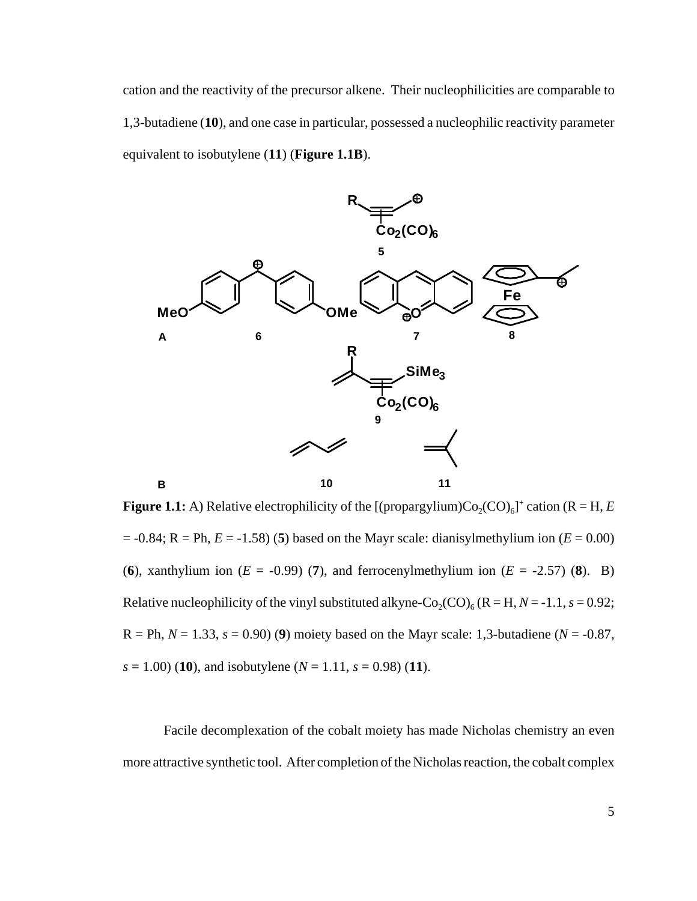cation and the reactivity of the precursor alkene. Their nucleophilicities are comparable to 1,3-butadiene (**10**), and one case in particular, possessed a nucleophilic reactivity parameter equivalent to isobutylene (**11**) (**Figure 1.1B**).



**Figure 1.1:** A) Relative electrophilicity of the  $[(\text{propargplium})\text{Co}_2(\text{CO})_6]^+$  cation  $(R = H, E)$  $= -0.84$ ; R = Ph,  $E = -1.58$ ) (5) based on the Mayr scale: dianisylmethylium ion ( $E = 0.00$ ) (6), xanthylium ion  $(E = -0.99)$  (7), and ferrocenylmethylium ion  $(E = -2.57)$  (8). B) Relative nucleophilicity of the vinyl substituted alkyne-Co<sub>2</sub>(CO)<sub>6</sub> (R = H, *N* = -1.1, *s* = 0.92;  $R = Ph, N = 1.33, s = 0.90$  (9) moiety based on the Mayr scale: 1,3-butadiene ( $N = -0.87$ ,  $s = 1.00$  (10), and isobutylene ( $N = 1.11$ ,  $s = 0.98$ ) (11).

Facile decomplexation of the cobalt moiety has made Nicholas chemistry an even more attractive synthetic tool. After completion of the Nicholas reaction, the cobalt complex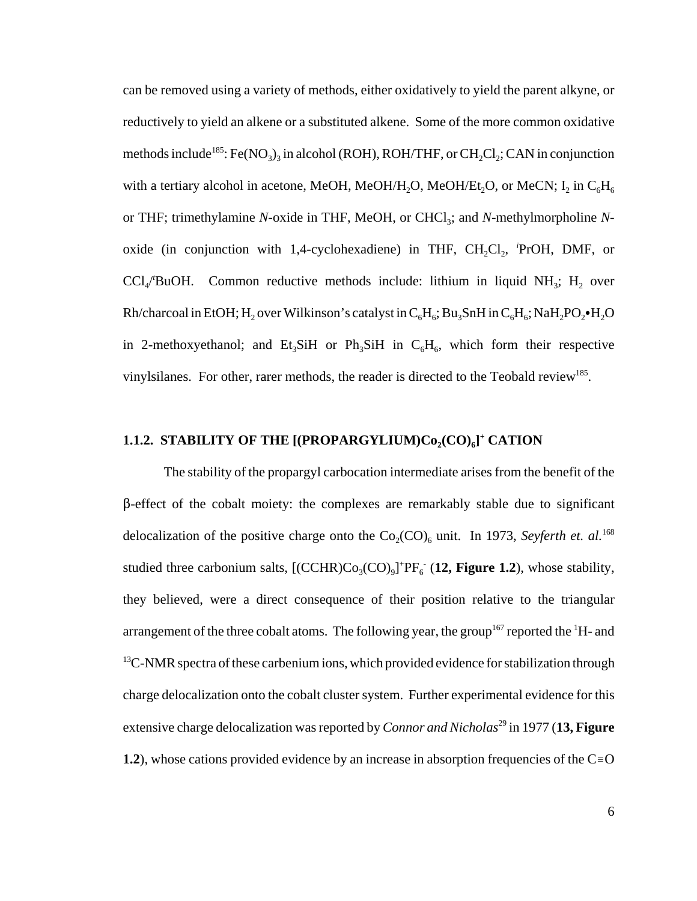can be removed using a variety of methods, either oxidatively to yield the parent alkyne, or reductively to yield an alkene or a substituted alkene. Some of the more common oxidative methods include<sup>185</sup>: Fe(NO<sub>3</sub>)<sub>3</sub> in alcohol (ROH), ROH/THF, or CH<sub>2</sub>Cl<sub>2</sub>; CAN in conjunction with a tertiary alcohol in acetone, MeOH, MeOH/H<sub>2</sub>O, MeOH/Et<sub>2</sub>O, or MeCN; I<sub>2</sub> in C<sub>6</sub>H<sub>6</sub> or THF; trimethylamine *N*-oxide in THF, MeOH, or CHCl<sub>3</sub>; and *N*-methylmorpholine *N*oxide (in conjunction with 1,4-cyclohexadiene) in THF, CH<sub>2</sub>Cl<sub>2</sub>, <sup>*i*</sup>PrOH, DMF, or  $\text{CCl}_4/\text{BuOH}$ . Common reductive methods include: lithium in liquid NH<sub>3</sub>; H<sub>2</sub> over Rh/charcoal in EtOH; H<sub>2</sub> over Wilkinson's catalyst in  $C_6H_6$ ; Bu<sub>3</sub>SnH in  $C_6H_6$ ; NaH<sub>2</sub>PO<sub>2</sub>•H<sub>2</sub>O in 2-methoxyethanol; and Et<sub>3</sub>SiH or Ph<sub>3</sub>SiH in  $C_6H_6$ , which form their respective vinylsilanes. For other, rarer methods, the reader is directed to the Teobald review<sup>185</sup>.

## 1.1.2. STABILITY OF THE [(PROPARGYLIUM)Co<sub>2</sub>(CO)<sub>6</sub>]<sup>+</sup> CATION

The stability of the propargyl carbocation intermediate arises from the benefit of the  $\beta$ -effect of the cobalt moiety: the complexes are remarkably stable due to significant delocalization of the positive charge onto the  $Co_2(CO)_6$  unit. In 1973, *Seyferth et. al.*<sup>168</sup> studied three carbonium salts,  $[(CCHR)Co<sub>3</sub>(CO)<sub>9</sub>]<sup>+</sup>PF<sub>6</sub>$  (12, Figure 1.2), whose stability, they believed, were a direct consequence of their position relative to the triangular arrangement of the three cobalt atoms. The following year, the group<sup>167</sup> reported the <sup>1</sup>H- and  $13C-NMR$  spectra of these carbenium ions, which provided evidence for stabilization through charge delocalization onto the cobalt cluster system. Further experimental evidence for this extensive charge delocalization was reported by *Connor and Nicholas*<sup>29</sup> in 1977 (13, Figure **1.2**), whose cations provided evidence by an increase in absorption frequencies of the  $C = O$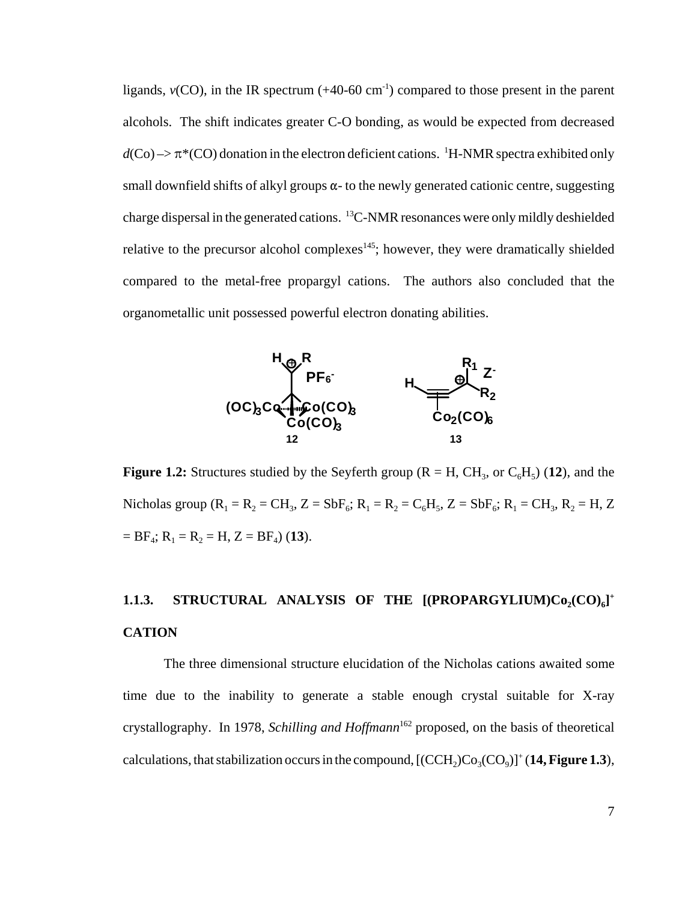ligands,  $v(CO)$ , in the IR spectrum  $(+40-60 \text{ cm}^{-1})$  compared to those present in the parent alcohols. The shift indicates greater C-O bonding, as would be expected from decreased  $d$ (Co)  $\rightarrow \pi^*$ (CO) donation in the electron deficient cations. <sup>1</sup>H-NMR spectra exhibited only small downfield shifts of alkyl groups  $\alpha$ - to the newly generated cationic centre, suggesting charge dispersal in the generated cations. 13C-NMR resonances were only mildly deshielded relative to the precursor alcohol complexes $145$ ; however, they were dramatically shielded compared to the metal-free propargyl cations. The authors also concluded that the organometallic unit possessed powerful electron donating abilities.



**Figure 1.2:** Structures studied by the Seyferth group ( $R = H$ ,  $CH_3$ , or  $C_6H_5$ ) (12), and the Nicholas group ( $R_1 = R_2 = CH_3$ ,  $Z = SbF_6$ ;  $R_1 = R_2 = C_6H_5$ ,  $Z = SbF_6$ ;  $R_1 = CH_3$ ,  $R_2 = H_1 Z$  $=$  BF<sub>4</sub>; R<sub>1</sub> = R<sub>2</sub> = H, Z = BF<sub>4</sub>) (13).

## 1.1.3. STRUCTURAL ANALYSIS OF THE [(PROPARGYLIUM)Co<sub>2</sub>(CO)<sub>6</sub>]<sup>+</sup> **CATION**

The three dimensional structure elucidation of the Nicholas cations awaited some time due to the inability to generate a stable enough crystal suitable for X-ray crystallography. In 1978, *Schilling and Hoffmann*<sup>162</sup> proposed, on the basis of theoretical calculations, that stabilization occurs in the compound,  $[{\rm (CCH_2)Co}_3{\rm (CO_9)}]^+$  (**14, Figure 1.3**),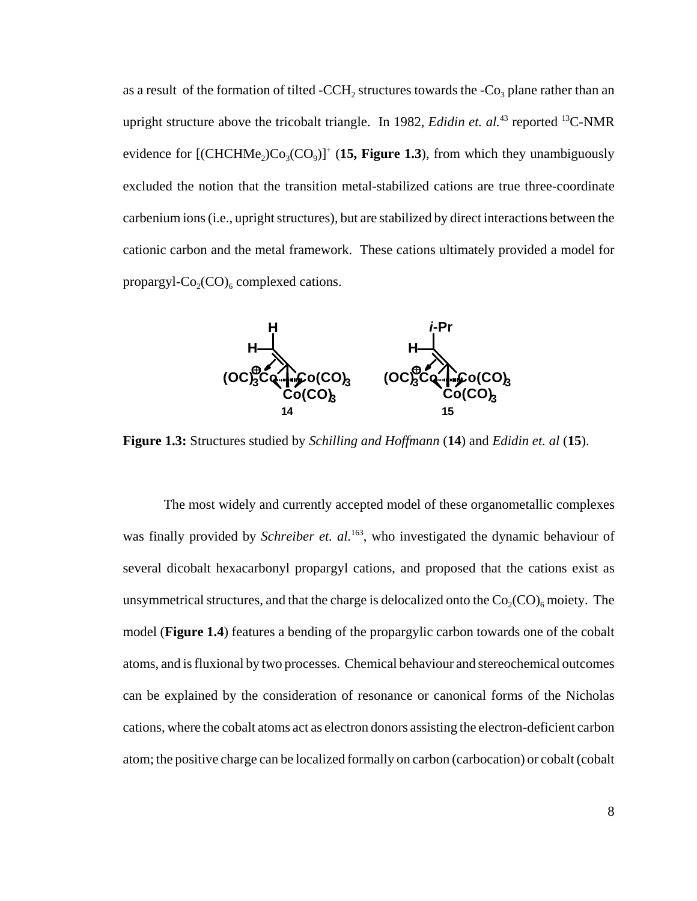as a result of the formation of tilted -CCH<sub>2</sub> structures towards the  $\text{-Co}_3$  plane rather than an upright structure above the tricobalt triangle. In 1982, *Edidin et. al.*<sup>43</sup> reported <sup>13</sup>C-NMR evidence for  $[(CHCHMe<sub>2</sub>)Co<sub>3</sub>(CO<sub>9</sub>)]<sup>+</sup>$  (15, Figure 1.3), from which they unambiguously excluded the notion that the transition metal-stabilized cations are true three-coordinate carbenium ions (i.e., upright structures), but are stabilized by direct interactions between the cationic carbon and the metal framework. These cations ultimately provided a model for propargyl- $Co_2(CO)_6$  complexed cations.



**Figure 1.3:** Structures studied by *Schilling and Hoffmann* (**14**) and *Edidin et. al* (**15**).

The most widely and currently accepted model of these organometallic complexes was finally provided by *Schreiber et. al.*<sup>163</sup>, who investigated the dynamic behaviour of several dicobalt hexacarbonyl propargyl cations, and proposed that the cations exist as unsymmetrical structures, and that the charge is delocalized onto the  $Co_2(CO)_{6}$  moiety. The model (**Figure 1.4**) features a bending of the propargylic carbon towards one of the cobalt atoms, and is fluxional by two processes. Chemical behaviour and stereochemical outcomes can be explained by the consideration of resonance or canonical forms of the Nicholas cations, where the cobalt atoms act as electron donors assisting the electron-deficient carbon atom; the positive charge can be localized formally on carbon (carbocation) or cobalt (cobalt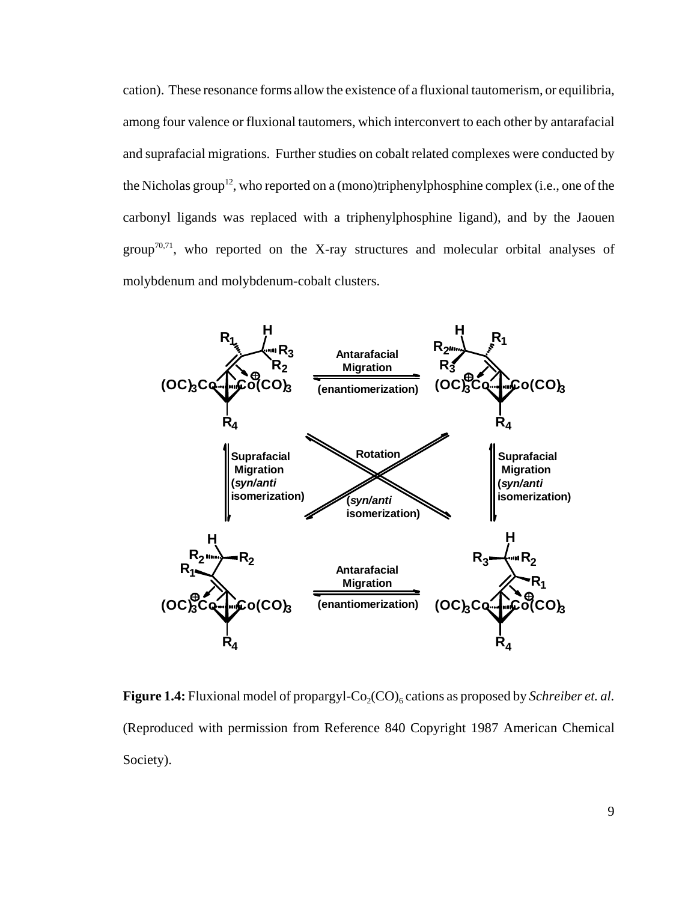cation). These resonance forms allow the existence of a fluxional tautomerism, or equilibria, among four valence or fluxional tautomers, which interconvert to each other by antarafacial and suprafacial migrations. Further studies on cobalt related complexes were conducted by the Nicholas group<sup>12</sup>, who reported on a (mono)triphenylphosphine complex (i.e., one of the carbonyl ligands was replaced with a triphenylphosphine ligand), and by the Jaouen group<sup>70,71</sup>, who reported on the X-ray structures and molecular orbital analyses of molybdenum and molybdenum-cobalt clusters.



Figure 1.4: Fluxional model of propargyl-Co<sub>2</sub>(CO)<sub>6</sub> cations as proposed by *Schreiber et. al.* (Reproduced with permission from Reference 840 Copyright 1987 American Chemical Society).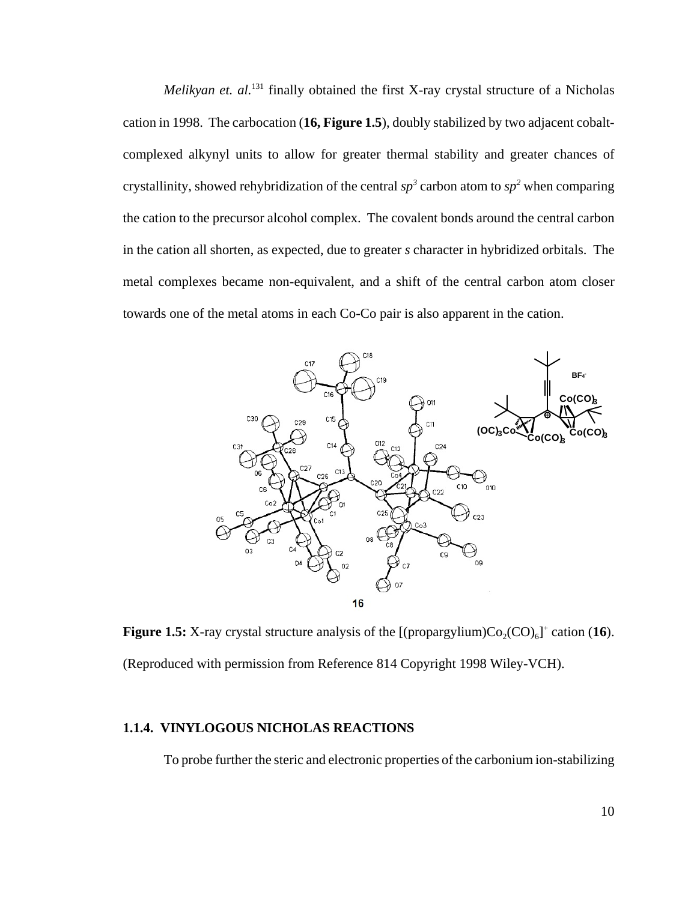*Melikyan et. al.*<sup>131</sup> finally obtained the first X-ray crystal structure of a Nicholas cation in 1998. The carbocation (**16, Figure 1.5**), doubly stabilized by two adjacent cobaltcomplexed alkynyl units to allow for greater thermal stability and greater chances of crystallinity, showed rehybridization of the central  $sp^3$  carbon atom to  $sp^2$  when comparing the cation to the precursor alcohol complex. The covalent bonds around the central carbon in the cation all shorten, as expected, due to greater *s* character in hybridized orbitals. The metal complexes became non-equivalent, and a shift of the central carbon atom closer towards one of the metal atoms in each Co-Co pair is also apparent in the cation.



**Figure 1.5:** X-ray crystal structure analysis of the  $[(\text{propargylium})\text{Co}_2(\text{CO})_6]^+$  cation (16). (Reproduced with permission from Reference 814 Copyright 1998 Wiley-VCH).

#### **1.1.4. VINYLOGOUS NICHOLAS REACTIONS**

To probe further the steric and electronic properties of the carbonium ion-stabilizing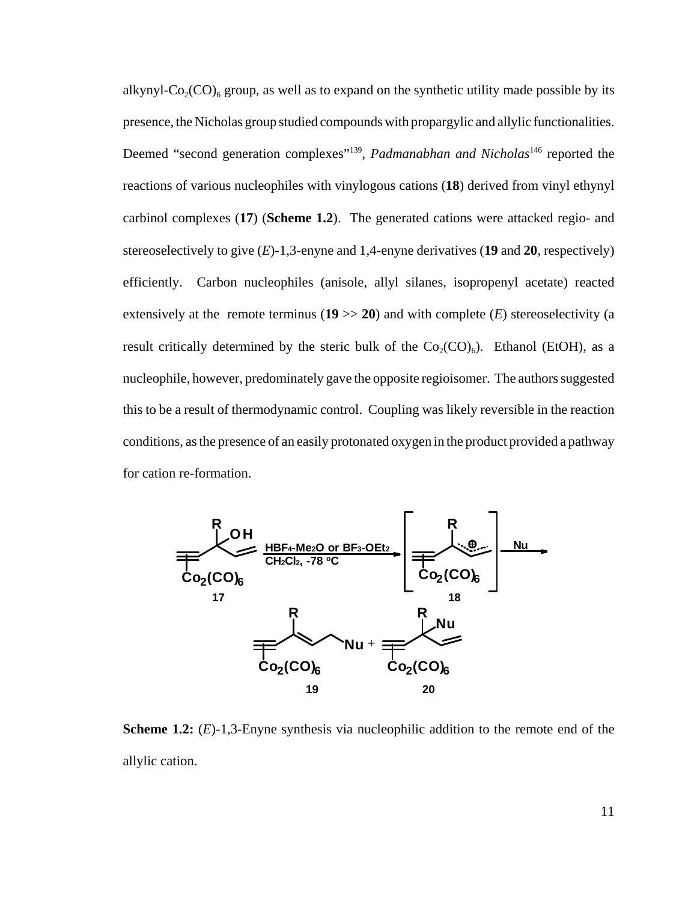alkynyl- $Co_2(CO)_{6}$  group, as well as to expand on the synthetic utility made possible by its presence, the Nicholas group studied compounds with propargylic and allylic functionalities. Deemed "second generation complexes"<sup>139</sup>, *Padmanabhan and Nicholas*<sup>146</sup> reported the reactions of various nucleophiles with vinylogous cations (**18**) derived from vinyl ethynyl carbinol complexes (**17**) (**Scheme 1.2**). The generated cations were attacked regio- and stereoselectively to give (*E*)-1,3-enyne and 1,4-enyne derivatives (**19** and **20**, respectively) efficiently. Carbon nucleophiles (anisole, allyl silanes, isopropenyl acetate) reacted extensively at the remote terminus  $(19 \gg 20)$  and with complete  $(E)$  stereoselectivity (a result critically determined by the steric bulk of the  $Co_2(CO)_{6}$ ). Ethanol (EtOH), as a nucleophile, however, predominately gave the opposite regioisomer. The authors suggested this to be a result of thermodynamic control. Coupling was likely reversible in the reaction conditions, as the presence of an easily protonated oxygen in the product provided a pathway for cation re-formation.



**Scheme 1.2:** (*E*)-1,3-Enyne synthesis via nucleophilic addition to the remote end of the allylic cation.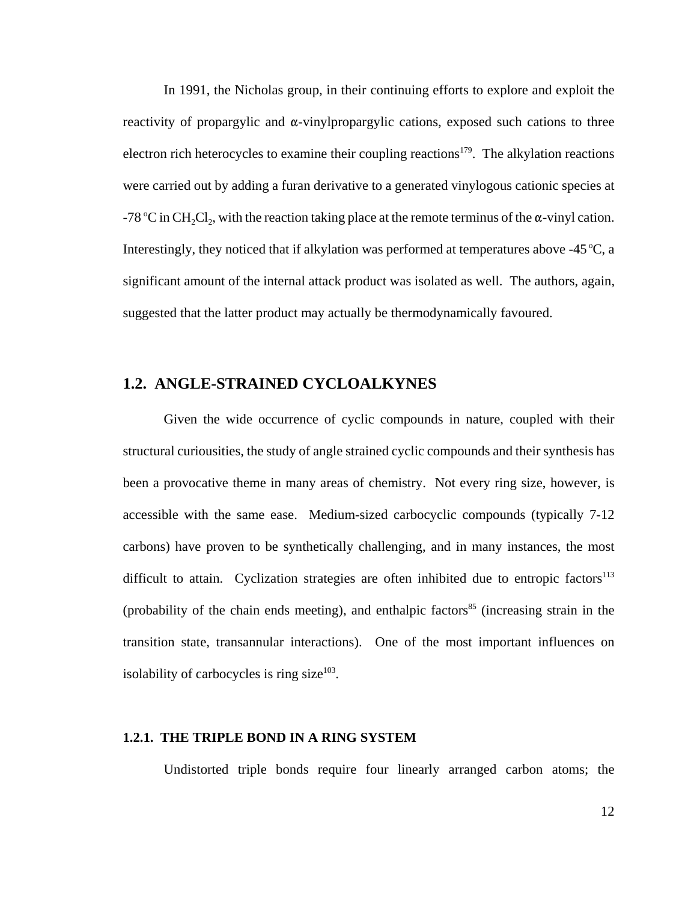In 1991, the Nicholas group, in their continuing efforts to explore and exploit the reactivity of propargylic and  $\alpha$ -vinylpropargylic cations, exposed such cations to three electron rich heterocycles to examine their coupling reactions<sup>179</sup>. The alkylation reactions were carried out by adding a furan derivative to a generated vinylogous cationic species at -78 °C in CH<sub>2</sub>Cl<sub>2</sub>, with the reaction taking place at the remote terminus of the  $\alpha$ -vinyl cation. Interestingly, they noticed that if alkylation was performed at temperatures above -45  $\degree$ C, a significant amount of the internal attack product was isolated as well. The authors, again, suggested that the latter product may actually be thermodynamically favoured.

## **1.2. ANGLE-STRAINED CYCLOALKYNES**

Given the wide occurrence of cyclic compounds in nature, coupled with their structural curiousities, the study of angle strained cyclic compounds and their synthesis has been a provocative theme in many areas of chemistry. Not every ring size, however, is accessible with the same ease. Medium-sized carbocyclic compounds (typically 7-12 carbons) have proven to be synthetically challenging, and in many instances, the most difficult to attain. Cyclization strategies are often inhibited due to entropic factors<sup>113</sup> (probability of the chain ends meeting), and enthalpic factors<sup>85</sup> (increasing strain in the transition state, transannular interactions). One of the most important influences on isolability of carbocycles is ring size $103$ .

#### **1.2.1. THE TRIPLE BOND IN A RING SYSTEM**

Undistorted triple bonds require four linearly arranged carbon atoms; the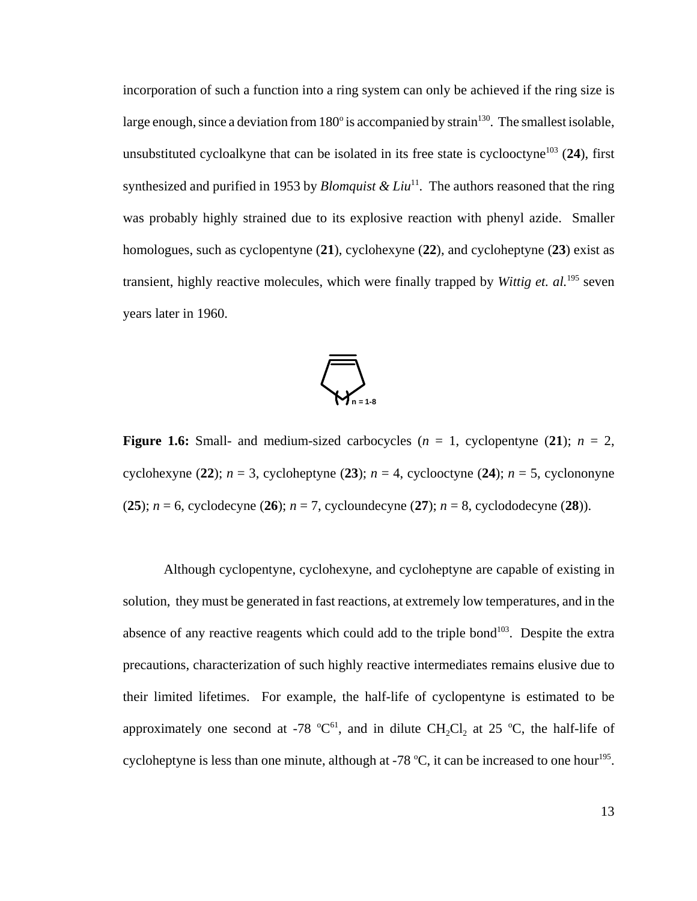incorporation of such a function into a ring system can only be achieved if the ring size is large enough, since a deviation from  $180^{\circ}$  is accompanied by strain<sup>130</sup>. The smallest isolable, unsubstituted cycloalkyne that can be isolated in its free state is cyclooctyne<sup>103</sup> (24), first synthesized and purified in 1953 by *Blomquist & Liu*<sup>11</sup>. The authors reasoned that the ring was probably highly strained due to its explosive reaction with phenyl azide. Smaller homologues, such as cyclopentyne (**21**), cyclohexyne (**22**), and cycloheptyne (**23**) exist as transient, highly reactive molecules, which were finally trapped by *Wittig et. al.*195 seven years later in 1960.



**Figure 1.6:** Small- and medium-sized carbocycles  $(n = 1,$  cyclopentyne  $(21)$ ;  $n = 2$ , cyclohexyne (22);  $n = 3$ , cycloheptyne (23);  $n = 4$ , cyclooctyne (24);  $n = 5$ , cyclononyne (**25**); *n* = 6, cyclodecyne (**26**); *n* = 7, cycloundecyne (**27**); *n* = 8, cyclododecyne (**28**)).

Although cyclopentyne, cyclohexyne, and cycloheptyne are capable of existing in solution, they must be generated in fast reactions, at extremely low temperatures, and in the absence of any reactive reagents which could add to the triple bond<sup>103</sup>. Despite the extra precautions, characterization of such highly reactive intermediates remains elusive due to their limited lifetimes. For example, the half-life of cyclopentyne is estimated to be approximately one second at -78  $^{\circ}C^{61}$ , and in dilute CH<sub>2</sub>Cl<sub>2</sub> at 25  $^{\circ}C$ , the half-life of cycloheptyne is less than one minute, although at -78  $^{\circ}$ C, it can be increased to one hour<sup>195</sup>.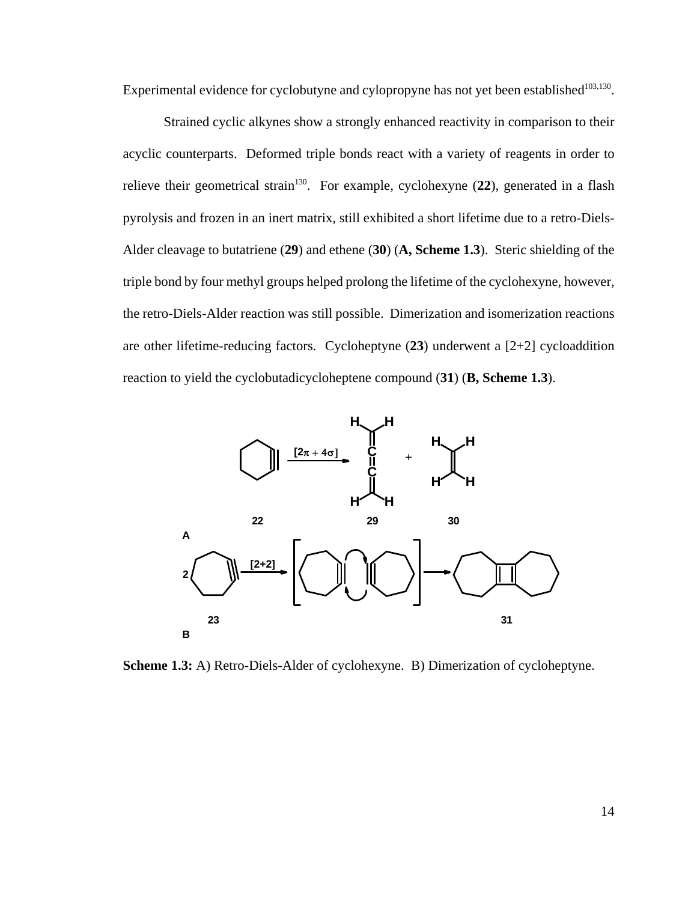Experimental evidence for cyclobutyne and cylopropyne has not yet been established $103,130$ .

Strained cyclic alkynes show a strongly enhanced reactivity in comparison to their acyclic counterparts. Deformed triple bonds react with a variety of reagents in order to relieve their geometrical strain<sup>130</sup>. For example, cyclohexyne (22), generated in a flash pyrolysis and frozen in an inert matrix, still exhibited a short lifetime due to a retro-Diels-Alder cleavage to butatriene (**29**) and ethene (**30**) (**A, Scheme 1.3**). Steric shielding of the triple bond by four methyl groups helped prolong the lifetime of the cyclohexyne, however, the retro-Diels-Alder reaction was still possible. Dimerization and isomerization reactions are other lifetime-reducing factors. Cycloheptyne (**23**) underwent a [2+2] cycloaddition reaction to yield the cyclobutadicycloheptene compound (**31**) (**B, Scheme 1.3**).



**Scheme 1.3:** A) Retro-Diels-Alder of cyclohexyne. B) Dimerization of cycloheptyne.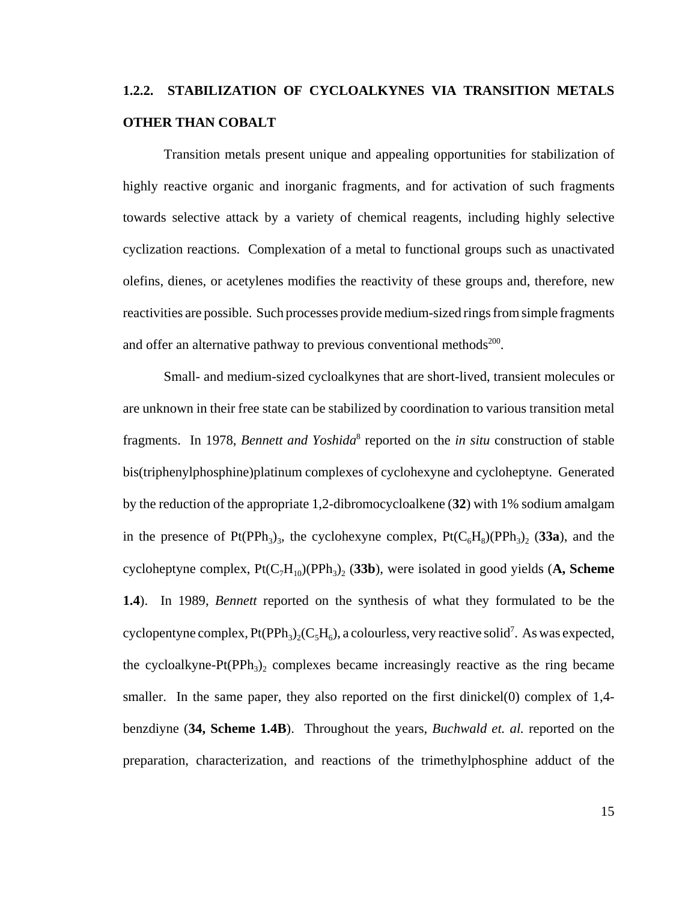### **1.2.2. STABILIZATION OF CYCLOALKYNES VIA TRANSITION METALS OTHER THAN COBALT**

Transition metals present unique and appealing opportunities for stabilization of highly reactive organic and inorganic fragments, and for activation of such fragments towards selective attack by a variety of chemical reagents, including highly selective cyclization reactions. Complexation of a metal to functional groups such as unactivated olefins, dienes, or acetylenes modifies the reactivity of these groups and, therefore, new reactivities are possible. Such processes provide medium-sized rings from simple fragments and offer an alternative pathway to previous conventional methods<sup>200</sup>.

Small- and medium-sized cycloalkynes that are short-lived, transient molecules or are unknown in their free state can be stabilized by coordination to various transition metal fragments. In 1978, *Bennett and Yoshida*<sup>8</sup> reported on the *in situ* construction of stable bis(triphenylphosphine)platinum complexes of cyclohexyne and cycloheptyne. Generated by the reduction of the appropriate 1,2-dibromocycloalkene (**32**) with 1% sodium amalgam in the presence of Pt(PPh<sub>3</sub>)<sub>3</sub>, the cyclohexyne complex, Pt( $C_6H_8$ )(PPh<sub>3</sub>), (33a), and the cycloheptyne complex,  $Pt(C_7H_{10})(PPh_3)$ <sub>2</sub> (33b), were isolated in good yields (A, Scheme **1.4**). In 1989, *Bennett* reported on the synthesis of what they formulated to be the cyclopentyne complex,  $Pt(PPh_3)_2(C_5H_6)$ , a colourless, very reactive solid<sup>7</sup>. As was expected, the cycloalkyne-Pt(PPh<sub>3</sub>), complexes became increasingly reactive as the ring became smaller. In the same paper, they also reported on the first dinickel (0) complex of 1,4benzdiyne (**34, Scheme 1.4B**). Throughout the years, *Buchwald et. al.* reported on the preparation, characterization, and reactions of the trimethylphosphine adduct of the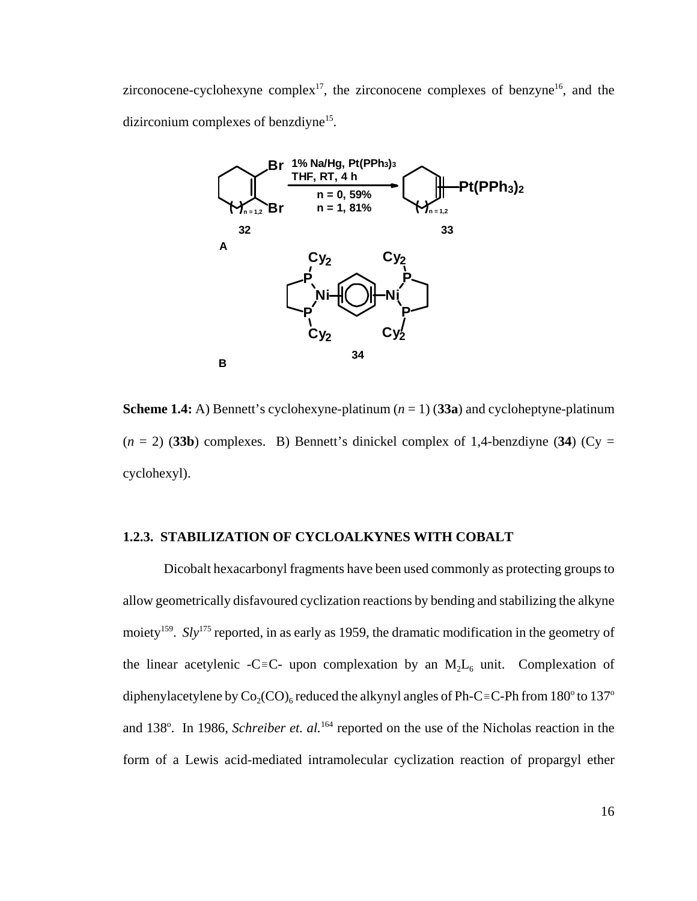zirconocene-cyclohexyne complex<sup>17</sup>, the zirconocene complexes of benzyne<sup>16</sup>, and the dizirconium complexes of benzdiyne<sup>15</sup>.



**Scheme 1.4:** A) Bennett's cyclohexyne-platinum  $(n = 1)$  (33a) and cycloheptyne-platinum  $(n = 2)$  (33b) complexes. B) Bennett's dinickel complex of 1,4-benzdiyne (34) (Cy = cyclohexyl).

#### **1.2.3. STABILIZATION OF CYCLOALKYNES WITH COBALT**

Dicobalt hexacarbonyl fragments have been used commonly as protecting groups to allow geometrically disfavoured cyclization reactions by bending and stabilizing the alkyne moiety<sup>159</sup>. *Sly*<sup>175</sup> reported, in as early as 1959, the dramatic modification in the geometry of the linear acetylenic -C=C- upon complexation by an  $M_2L_6$  unit. Complexation of diphenylacetylene by  $\mathrm{Co}_2(\mathrm{CO})_6$  reduced the alkynyl angles of Ph-C=C-Ph from 180° to 137° and 138°. In 1986, *Schreiber et. al.*<sup>164</sup> reported on the use of the Nicholas reaction in the form of a Lewis acid-mediated intramolecular cyclization reaction of propargyl ether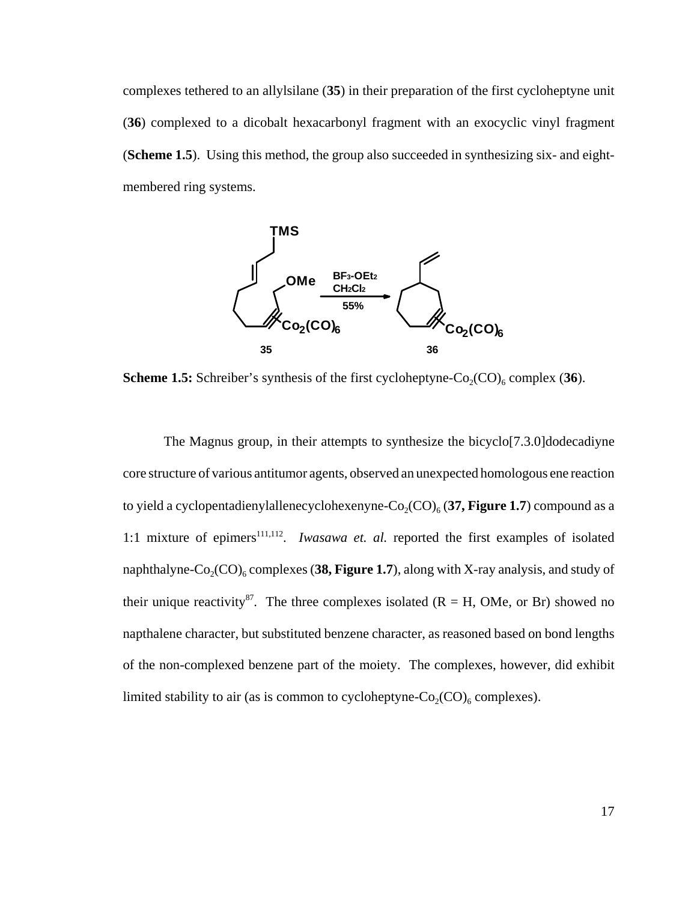complexes tethered to an allylsilane (**35**) in their preparation of the first cycloheptyne unit (**36**) complexed to a dicobalt hexacarbonyl fragment with an exocyclic vinyl fragment (**Scheme 1.5**). Using this method, the group also succeeded in synthesizing six- and eightmembered ring systems.



**Scheme 1.5:** Schreiber's synthesis of the first cycloheptyne- $Co_2(CO)_6$  complex (36).

The Magnus group, in their attempts to synthesize the bicyclo[7.3.0]dodecadiyne core structure of various antitumor agents, observed an unexpected homologous ene reaction to yield a cyclopentadienylallenecyclohexenyne- $Co_2(CO)_6$  (37, Figure 1.7) compound as a 1:1 mixture of epimers<sup>111,112</sup>. *Iwasawa et. al.* reported the first examples of isolated naphthalyne- $Co_2(CO)_{6}$  complexes (38, Figure 1.7), along with X-ray analysis, and study of their unique reactivity<sup>87</sup>. The three complexes isolated ( $R = H$ , OMe, or Br) showed no napthalene character, but substituted benzene character, as reasoned based on bond lengths of the non-complexed benzene part of the moiety. The complexes, however, did exhibit limited stability to air (as is common to cycloheptyne- $Co_2(CO)_6$  complexes).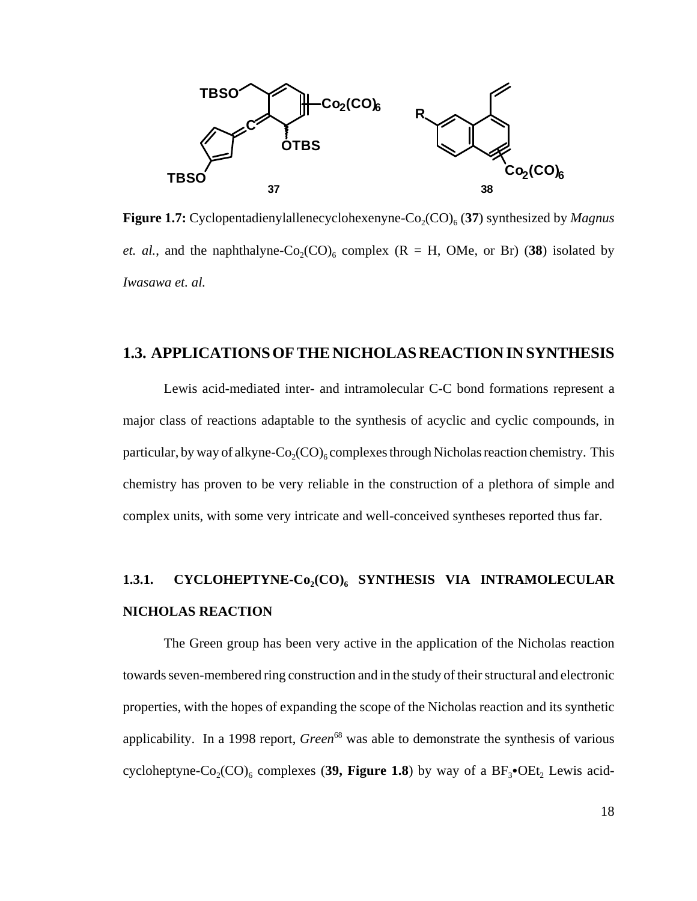

**Figure 1.7:** Cyclopentadienylallenecyclohexenyne-Co<sub>2</sub>(CO)<sub>6</sub> (37) synthesized by *Magnus et. al.*, and the naphthalyne-Co<sub>2</sub>(CO)<sub>6</sub> complex (R = H, OMe, or Br) (38) isolated by *Iwasawa et. al.* 

#### **1.3. APPLICATIONS OF THE NICHOLAS REACTION IN SYNTHESIS**

Lewis acid-mediated inter- and intramolecular C-C bond formations represent a major class of reactions adaptable to the synthesis of acyclic and cyclic compounds, in particular, by way of alkyne- $Co_2(CO)_{6}$  complexes through Nicholas reaction chemistry. This chemistry has proven to be very reliable in the construction of a plethora of simple and complex units, with some very intricate and well-conceived syntheses reported thus far.

### 1.3.1. CYCLOHEPTYNE-Co<sub>2</sub>(CO)<sub>6</sub> SYNTHESIS VIA INTRAMOLECULAR **NICHOLAS REACTION**

The Green group has been very active in the application of the Nicholas reaction towards seven-membered ring construction and in the study of their structural and electronic properties, with the hopes of expanding the scope of the Nicholas reaction and its synthetic applicability. In a 1998 report, *Green*<sup>68</sup> was able to demonstrate the synthesis of various cycloheptyne-Co<sub>2</sub>(CO)<sub>6</sub> complexes (39, Figure 1.8) by way of a  $BF_3$ •OEt<sub>2</sub> Lewis acid-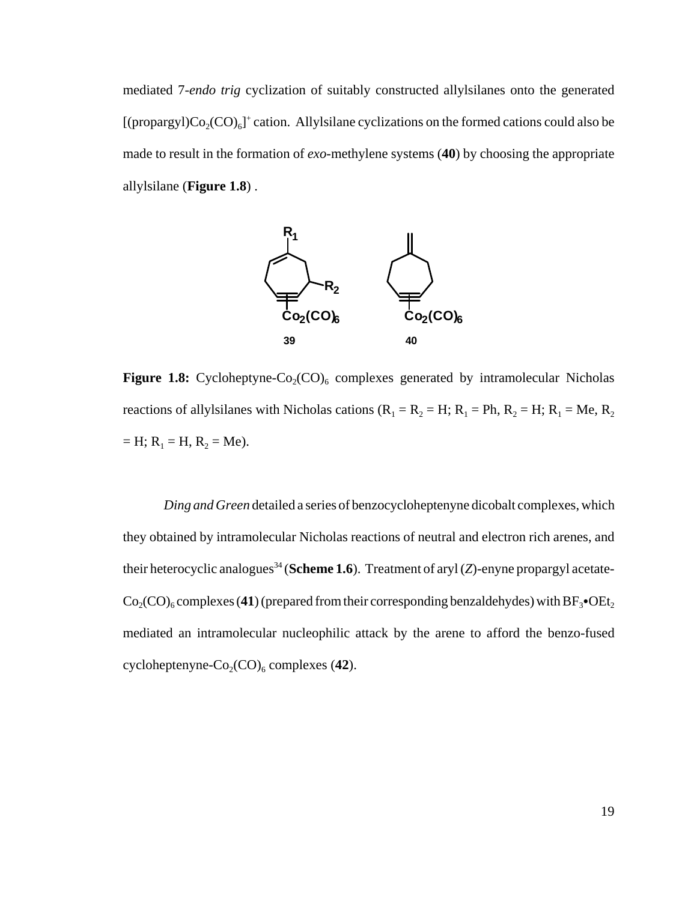mediated 7-*endo trig* cyclization of suitably constructed allylsilanes onto the generated [(propargyl) $Co_2(CO)_6$ ]<sup>+</sup> cation. Allylsilane cyclizations on the formed cations could also be made to result in the formation of *exo*-methylene systems (**40**) by choosing the appropriate allylsilane (**Figure 1.8**) .



**Figure 1.8:** Cycloheptyne-Co<sub>2</sub>(CO)<sub>6</sub> complexes generated by intramolecular Nicholas reactions of allylsilanes with Nicholas cations ( $R_1 = R_2 = H$ ;  $R_1 = Ph$ ,  $R_2 = H$ ;  $R_1 = Me$ ,  $R_2$  $=$  H; R<sub>1</sub> = H, R<sub>2</sub> = Me).

*Ding and Green* detailed a series of benzocycloheptenyne dicobalt complexes, which they obtained by intramolecular Nicholas reactions of neutral and electron rich arenes, and their heterocyclic analogues<sup>34</sup> (Scheme 1.6). Treatment of aryl (*Z*)-enyne propargyl acetate- $Co<sub>2</sub>(CO)<sub>6</sub> complexes (41) (prepared from their corresponding benzaldehyde) with BF<sub>3</sub>• OEt<sub>2</sub>$ mediated an intramolecular nucleophilic attack by the arene to afford the benzo-fused cycloheptenyne-Co<sub>2</sub>(CO)<sub>6</sub> complexes (42).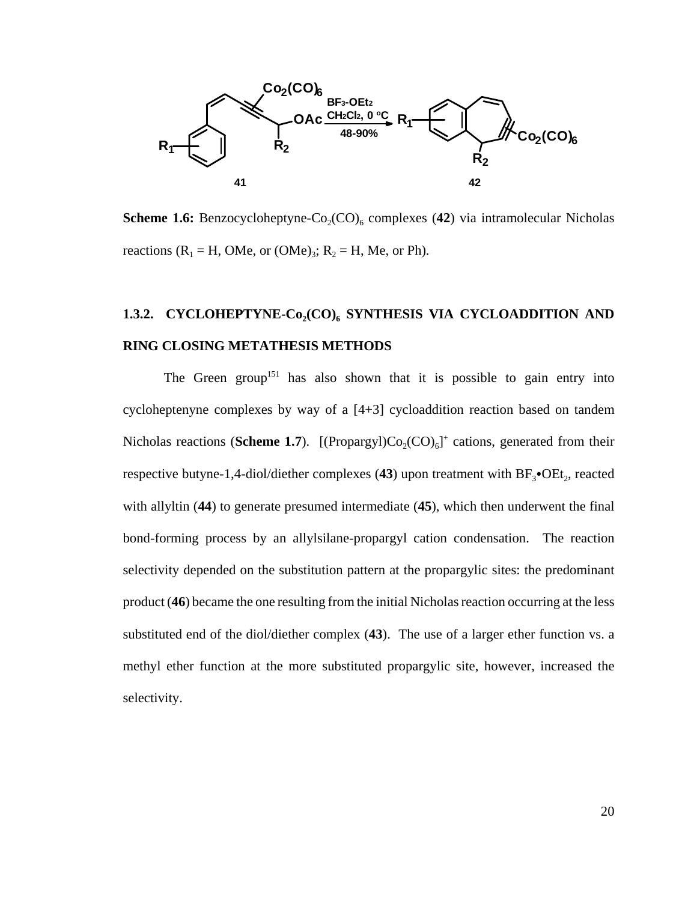

**Scheme 1.6:** Benzocycloheptyne- $Co_2(CO)_6$  complexes (42) via intramolecular Nicholas reactions ( $R_1$  = H, OMe, or (OMe)<sub>3</sub>;  $R_2$  = H, Me, or Ph).

## 1.3.2. CYCLOHEPTYNE-Co<sub>2</sub>(CO)<sub>6</sub> SYNTHESIS VIA CYCLOADDITION AND **RING CLOSING METATHESIS METHODS**

The Green group<sup>151</sup> has also shown that it is possible to gain entry into cycloheptenyne complexes by way of a [4+3] cycloaddition reaction based on tandem Nicholas reactions (**Scheme 1.7**). [(Propargyl) $Co_2(CO)_6$ <sup>1+</sup> cations, generated from their respective butyne-1,4-diol/diether complexes (43) upon treatment with  $BF_3$ •OEt<sub>2</sub>, reacted with allyltin (**44**) to generate presumed intermediate (**45**), which then underwent the final bond-forming process by an allylsilane-propargyl cation condensation. The reaction selectivity depended on the substitution pattern at the propargylic sites: the predominant product (**46**) became the one resulting from the initial Nicholas reaction occurring at the less substituted end of the diol/diether complex (**43**). The use of a larger ether function vs. a methyl ether function at the more substituted propargylic site, however, increased the selectivity.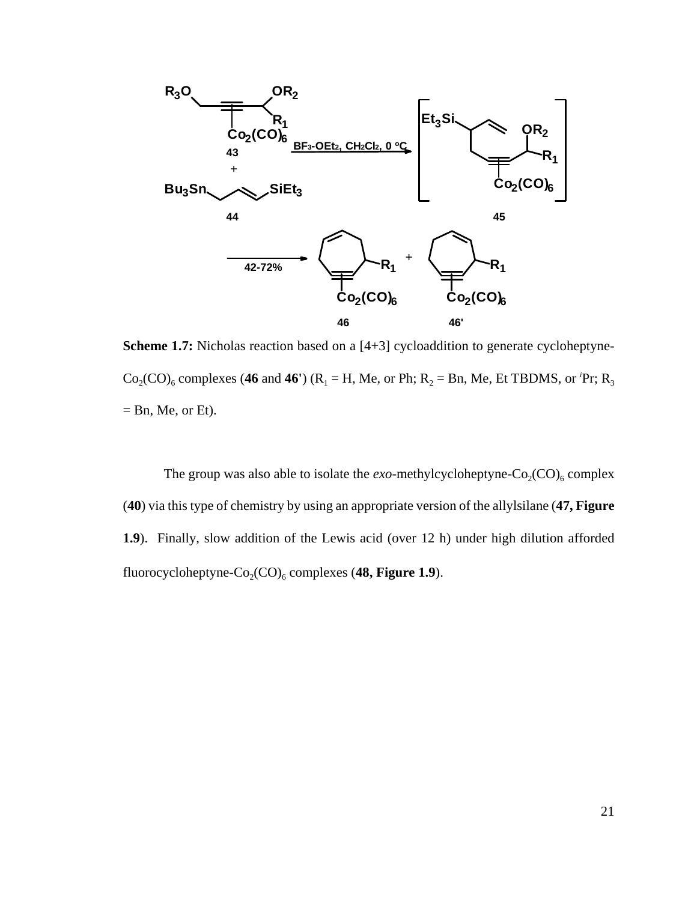

**Scheme 1.7:** Nicholas reaction based on a [4+3] cycloaddition to generate cycloheptyne- $Co_2(CO)_6$  complexes (46 and 46<sup>r</sup>) (R<sub>1</sub> = H, Me, or Ph; R<sub>2</sub> = Bn, Me, Et TBDMS, or <sup>*i*</sup>Pr; R<sub>3</sub>  $=$  Bn, Me, or Et).

The group was also able to isolate the  $exo$ -methylcycloheptyne- $Co_2(CO)_6$  complex (**40**) via this type of chemistry by using an appropriate version of the allylsilane (**47, Figure 1.9**). Finally, slow addition of the Lewis acid (over 12 h) under high dilution afforded fluorocycloheptyne-Co<sub>2</sub>(CO)<sub>6</sub> complexes (48, Figure 1.9).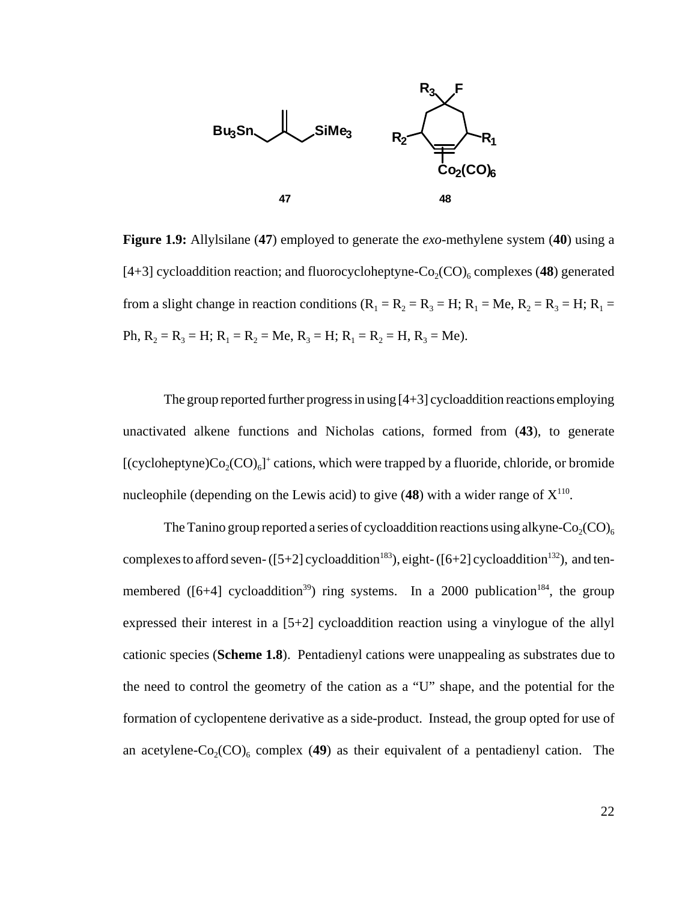

**Figure 1.9:** Allylsilane (**47**) employed to generate the *exo*-methylene system (**40**) using a [4+3] cycloaddition reaction; and fluorocycloheptyne- $Co_2(CO)_6$  complexes (48) generated from a slight change in reaction conditions ( $R_1 = R_2 = R_3 = H$ ;  $R_1 = Me$ ,  $R_2 = R_3 = H$ ;  $R_1 =$ Ph,  $R_2 = R_3 = H$ ;  $R_1 = R_2 = Me$ ,  $R_3 = H$ ;  $R_1 = R_2 = H$ ,  $R_3 = Me$ ).

The group reported further progress in using [4+3] cycloaddition reactions employing unactivated alkene functions and Nicholas cations, formed from (**43**), to generate [(cycloheptyne) $Co_2(CO)_6$ ]<sup>+</sup> cations, which were trapped by a fluoride, chloride, or bromide nucleophile (depending on the Lewis acid) to give  $(48)$  with a wider range of  $X^{110}$ .

The Tanino group reported a series of cycloaddition reactions using alkyne- $Co_2(CO)_6$ complexes to afford seven-  $([5+2]$  cycloaddition<sup>183</sup>), eight-  $([6+2]$  cycloaddition<sup>132</sup>), and tenmembered ( $[6+4]$  cycloaddition<sup>39</sup>) ring systems. In a 2000 publication<sup>184</sup>, the group expressed their interest in a [5+2] cycloaddition reaction using a vinylogue of the allyl cationic species (**Scheme 1.8**). Pentadienyl cations were unappealing as substrates due to the need to control the geometry of the cation as a "U" shape, and the potential for the formation of cyclopentene derivative as a side-product. Instead, the group opted for use of an acetylene- $Co_2(CO)_{6}$  complex (49) as their equivalent of a pentadienyl cation. The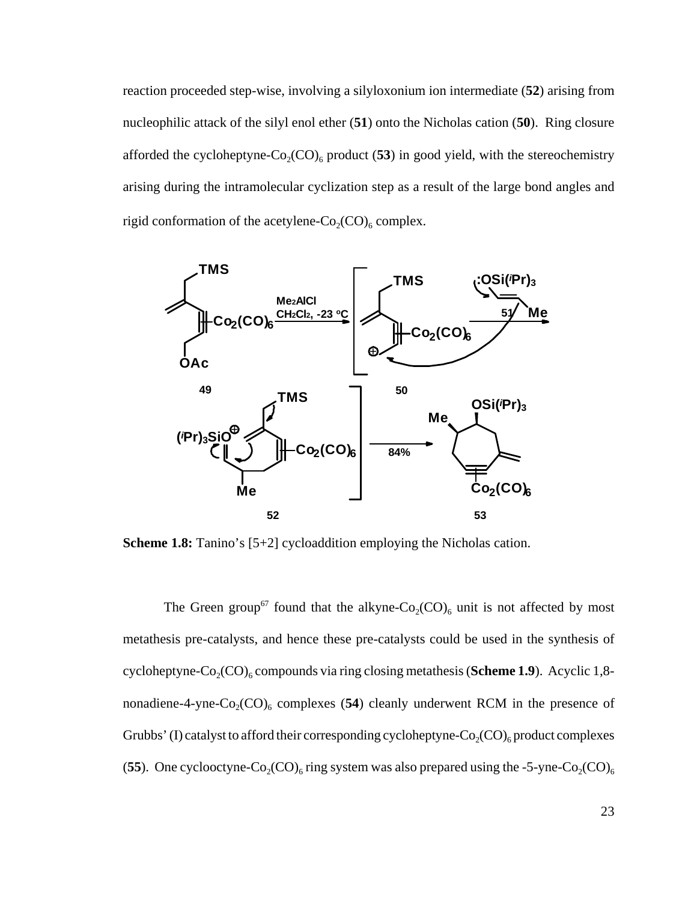reaction proceeded step-wise, involving a silyloxonium ion intermediate (**52**) arising from nucleophilic attack of the silyl enol ether (**51**) onto the Nicholas cation (**50**). Ring closure afforded the cycloheptyne- $Co_2(CO)_6$  product (53) in good yield, with the stereochemistry arising during the intramolecular cyclization step as a result of the large bond angles and rigid conformation of the acetylene- $Co_2(CO)_6$  complex.



**Scheme 1.8:** Tanino's [5+2] cycloaddition employing the Nicholas cation.

The Green group<sup>67</sup> found that the alkyne- $Co_2(CO)_6$  unit is not affected by most metathesis pre-catalysts, and hence these pre-catalysts could be used in the synthesis of cycloheptyne- $Co_2(CO)_{6}$  compounds via ring closing metathesis (**Scheme 1.9**). Acyclic 1,8nonadiene-4-yne- $Co_2(CO)_6$  complexes (54) cleanly underwent RCM in the presence of Grubbs' (I) catalyst to afford their corresponding cycloheptyne- $Co_2(CO)_6$  product complexes (55). One cyclooctyne-Co<sub>2</sub>(CO)<sub>6</sub> ring system was also prepared using the -5-yne-Co<sub>2</sub>(CO)<sub>6</sub>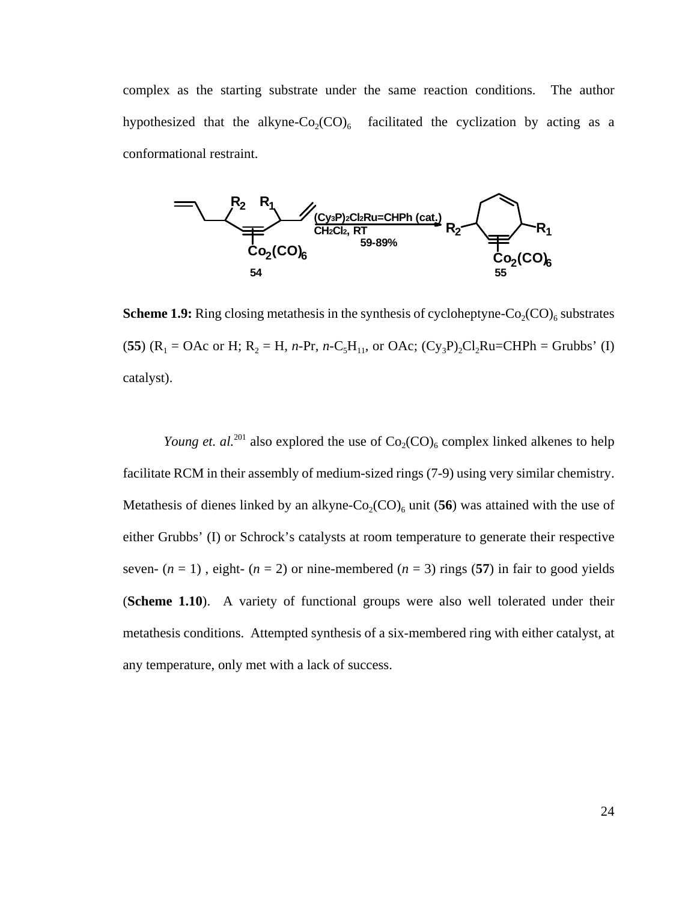complex as the starting substrate under the same reaction conditions. The author hypothesized that the alkyne- $Co_2(CO)_6$  facilitated the cyclization by acting as a conformational restraint.



**Scheme 1.9:** Ring closing metathesis in the synthesis of cycloheptyne- $Co_2(CO)_{6}$  substrates (**55**) ( $R_1 = OAc$  or H;  $R_2 = H$ , *n*-Pr, *n*-C<sub>5</sub>H<sub>11</sub>, or OAc; (Cy<sub>3</sub>P)<sub>2</sub>Cl<sub>2</sub>Ru=CHPh = Grubbs' (I) catalyst).

*Young et. al.*<sup>201</sup> also explored the use of  $Co_2(CO)_6$  complex linked alkenes to help facilitate RCM in their assembly of medium-sized rings (7-9) using very similar chemistry. Metathesis of dienes linked by an alkyne- $Co_2(CO)_6$  unit (56) was attained with the use of either Grubbs' (I) or Schrock's catalysts at room temperature to generate their respective seven-  $(n = 1)$ , eight-  $(n = 2)$  or nine-membered  $(n = 3)$  rings (57) in fair to good yields (**Scheme 1.10**). A variety of functional groups were also well tolerated under their metathesis conditions. Attempted synthesis of a six-membered ring with either catalyst, at any temperature, only met with a lack of success.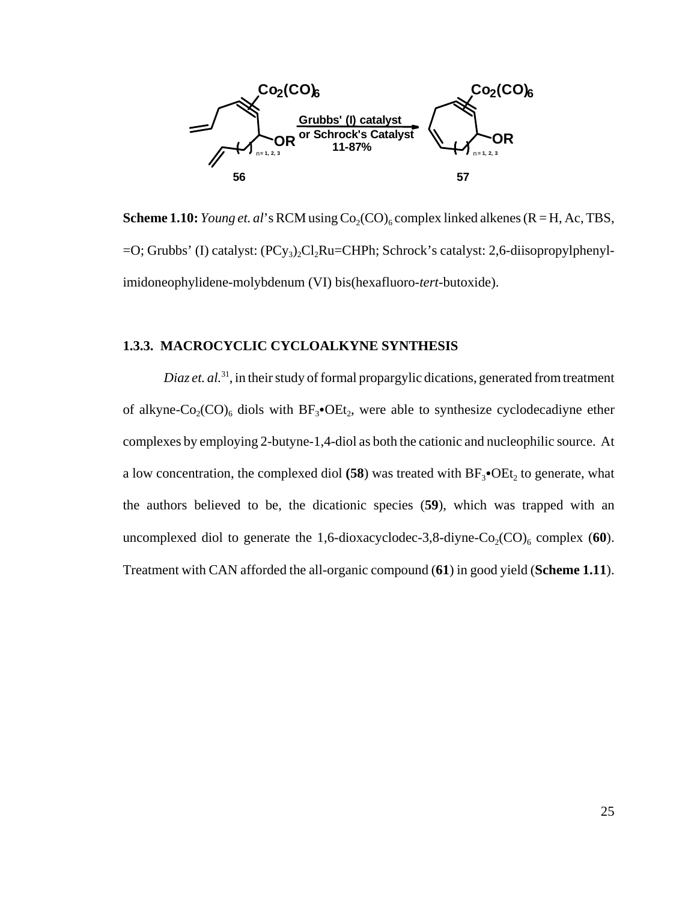

**Scheme 1.10:** *Young et. al*'s RCM using  $Co_2(CO)_{6}$  complex linked alkenes (R = H, Ac, TBS,  $=$ O; Grubbs' (I) catalyst: (PCy<sub>3</sub>),Cl<sub>2</sub>Ru=CHPh; Schrock's catalyst: 2,6-diisopropylphenylimidoneophylidene-molybdenum (VI) bis(hexafluoro-*tert*-butoxide).

#### **1.3.3. MACROCYCLIC CYCLOALKYNE SYNTHESIS**

*Diaz et. al.*<sup>31</sup>, in their study of formal propargylic dications, generated from treatment of alkyne- $Co_2(CO)_6$  diols with  $BF_3\bullet$ OEt<sub>2</sub>, were able to synthesize cyclodecadiyne ether complexes by employing 2-butyne-1,4-diol as both the cationic and nucleophilic source. At a low concentration, the complexed diol  $(58)$  was treated with  $BF_3$ • $OE_2$  to generate, what the authors believed to be, the dicationic species (**59**), which was trapped with an uncomplexed diol to generate the 1,6-dioxacyclodec-3,8-diyne- $Co_2(CO)_6$  complex (60). Treatment with CAN afforded the all-organic compound (**61**) in good yield (**Scheme 1.11**).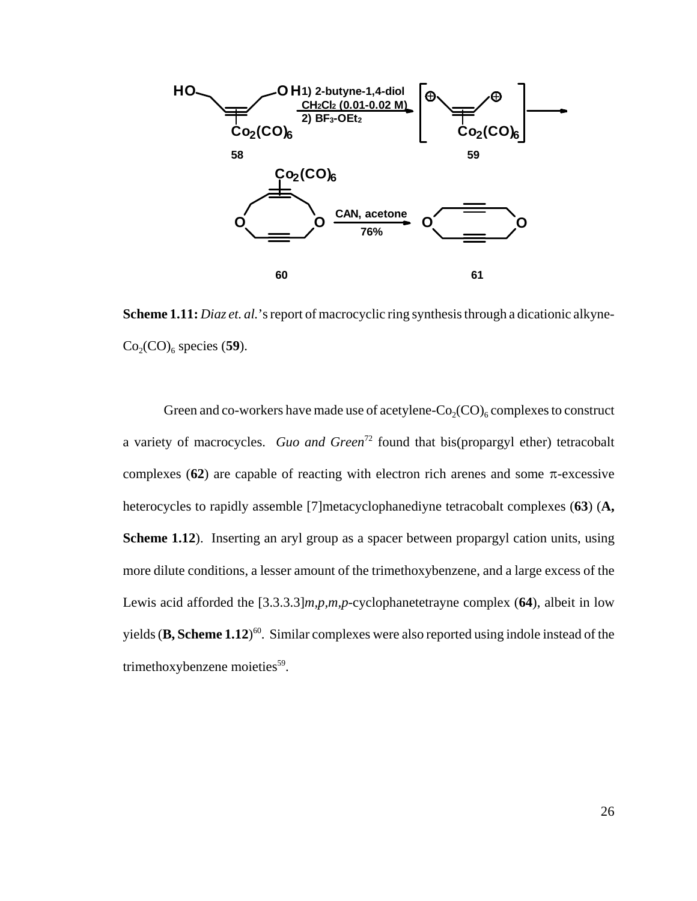

**Scheme 1.11:** *Diaz et. al.*'s report of macrocyclic ring synthesis through a dicationic alkyne- $Co<sub>2</sub>(CO)<sub>6</sub>$  species (59).

Green and co-workers have made use of acetylene- $Co_2(CO)_{6}$  complexes to construct a variety of macrocycles. *Guo and Green*<sup>72</sup> found that bis(propargyl ether) tetracobalt complexes  $(62)$  are capable of reacting with electron rich arenes and some  $\pi$ -excessive heterocycles to rapidly assemble [7]metacyclophanediyne tetracobalt complexes (**63**) (**A, Scheme 1.12**). Inserting an aryl group as a spacer between propargyl cation units, using more dilute conditions, a lesser amount of the trimethoxybenzene, and a large excess of the Lewis acid afforded the [3.3.3.3]*m,p,m,p*-cyclophanetetrayne complex (**64**), albeit in low yields (**B, Scheme 1.12**) 60. Similar complexes were also reported using indole instead of the trimethoxybenzene moieties $59$ .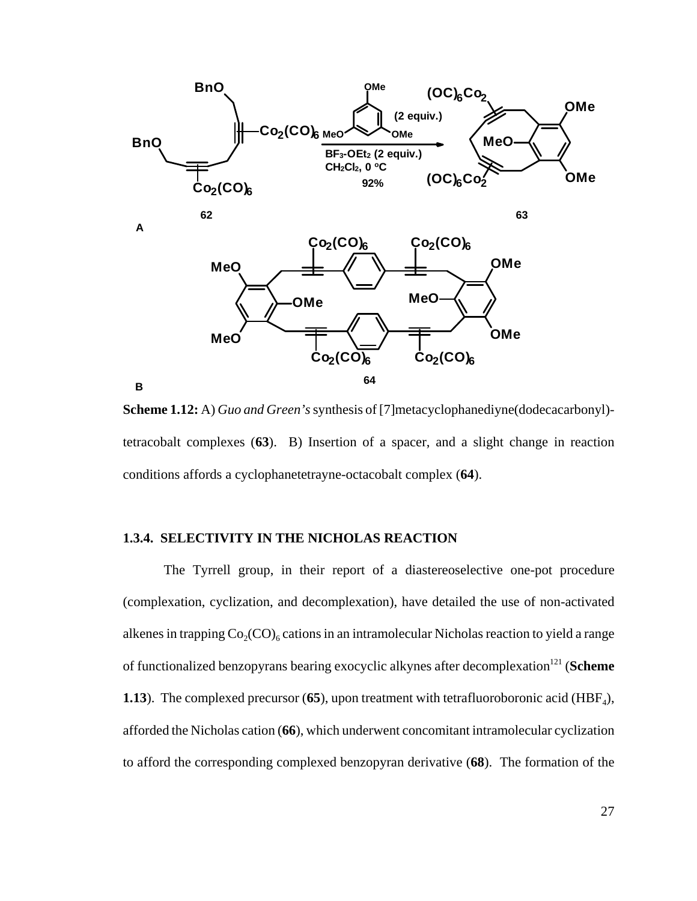

**Scheme 1.12:** A) *Guo and Green's* synthesis of [7]metacyclophanediyne(dodecacarbonyl) tetracobalt complexes (**63**). B) Insertion of a spacer, and a slight change in reaction conditions affords a cyclophanetetrayne-octacobalt complex (**64**).

#### **1.3.4. SELECTIVITY IN THE NICHOLAS REACTION**

The Tyrrell group, in their report of a diastereoselective one-pot procedure (complexation, cyclization, and decomplexation), have detailed the use of non-activated alkenes in trapping  $Co_2(CO)_6$  cations in an intramolecular Nicholas reaction to yield a range of functionalized benzopyrans bearing exocyclic alkynes after decomplexation<sup>121</sup> (**Scheme**) **1.13**). The complexed precursor  $(65)$ , upon treatment with tetrafluoroboronic acid  $(HBF<sub>4</sub>)$ , afforded the Nicholas cation (**66**), which underwent concomitant intramolecular cyclization to afford the corresponding complexed benzopyran derivative (**68**). The formation of the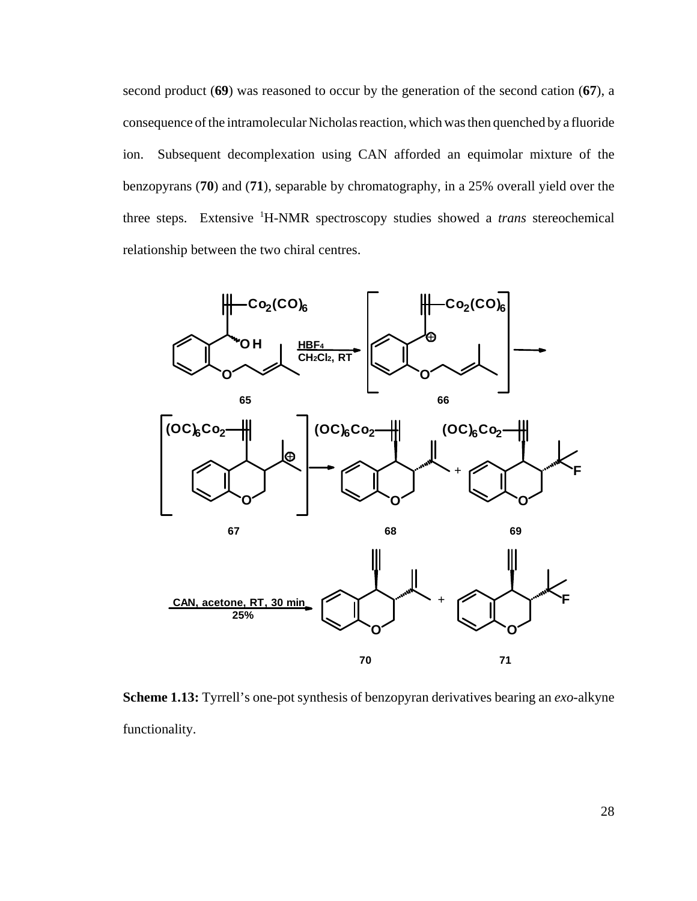second product (**69**) was reasoned to occur by the generation of the second cation (**67**), a consequence of the intramolecular Nicholas reaction, which was then quenched by a fluoride ion. Subsequent decomplexation using CAN afforded an equimolar mixture of the benzopyrans (**70**) and (**71**), separable by chromatography, in a 25% overall yield over the three steps. Extensive 1 H-NMR spectroscopy studies showed a *trans* stereochemical relationship between the two chiral centres.



**Scheme 1.13:** Tyrrell's one-pot synthesis of benzopyran derivatives bearing an *exo*-alkyne functionality.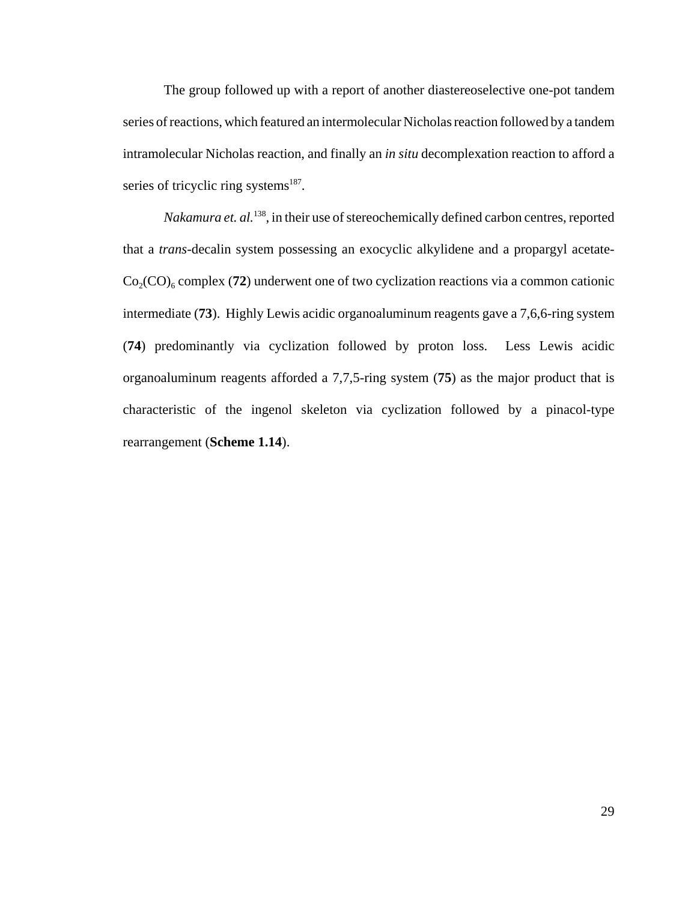The group followed up with a report of another diastereoselective one-pot tandem series of reactions, which featured an intermolecular Nicholas reaction followed by a tandem intramolecular Nicholas reaction, and finally an *in situ* decomplexation reaction to afford a series of tricyclic ring systems $187$ .

*Nakamura et. al.*138, in their use of stereochemically defined carbon centres, reported that a *trans*-decalin system possessing an exocyclic alkylidene and a propargyl acetate- $Co_2(CO)$ <sub>6</sub> complex (**72**) underwent one of two cyclization reactions via a common cationic intermediate (**73**). Highly Lewis acidic organoaluminum reagents gave a 7,6,6-ring system (**74**) predominantly via cyclization followed by proton loss. Less Lewis acidic organoaluminum reagents afforded a 7,7,5-ring system (**75**) as the major product that is characteristic of the ingenol skeleton via cyclization followed by a pinacol-type rearrangement (**Scheme 1.14**).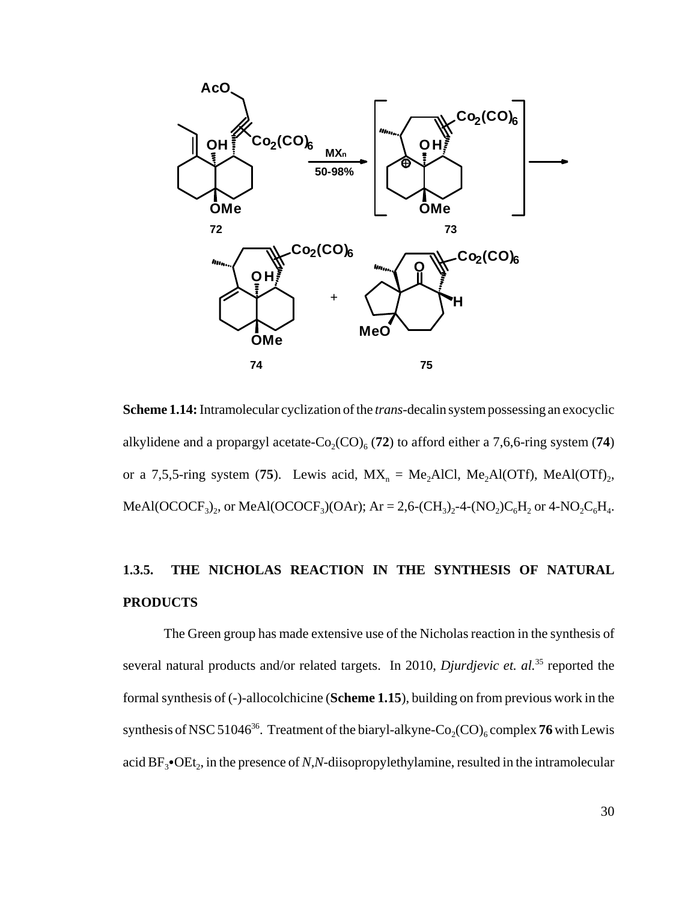

**Scheme 1.14:** Intramolecular cyclization of the *trans*-decalin system possessing an exocyclic alkylidene and a propargyl acetate- $Co_2(CO)_6$  (72) to afford either a 7,6,6-ring system (74) or a 7,5,5-ring system (75). Lewis acid,  $MX_n = Me_2AICI$ ,  $Me_2AI(OTf)$ ,  $MeAl(OTf)$ <sub>2</sub>, MeAl(OCOCF<sub>3</sub>)<sub>2</sub>, or MeAl(OCOCF<sub>3</sub>)(OAr); Ar = 2,6-(CH<sub>3</sub>)<sub>2</sub>-4-(NO<sub>2</sub>)C<sub>6</sub>H<sub>2</sub> or 4-NO<sub>2</sub>C<sub>6</sub>H<sub>4</sub>.

### **1.3.5. THE NICHOLAS REACTION IN THE SYNTHESIS OF NATURAL PRODUCTS**

The Green group has made extensive use of the Nicholas reaction in the synthesis of several natural products and/or related targets. In 2010, *Djurdjevic et. al.*<sup>35</sup> reported the formal synthesis of (-)-allocolchicine (**Scheme 1.15**), building on from previous work in the synthesis of NSC 51046<sup>36</sup>. Treatment of the biaryl-alkyne- $Co_2(CO)_6$  complex **76** with Lewis acid  $BF_3$ • $OEt_2$ , in the presence of *N,N*-diisopropylethylamine, resulted in the intramolecular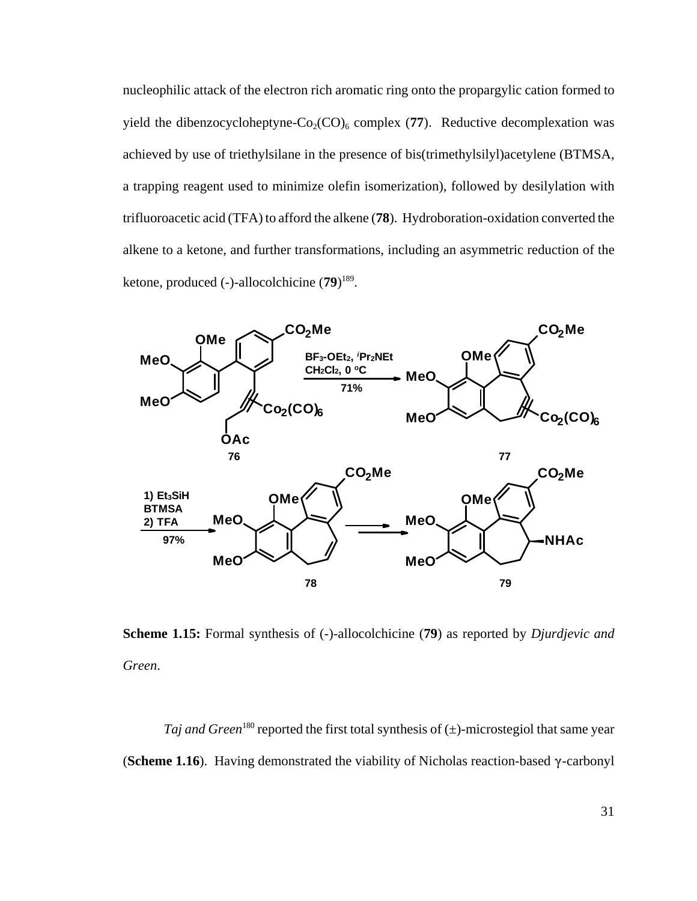nucleophilic attack of the electron rich aromatic ring onto the propargylic cation formed to yield the dibenzocycloheptyne- $Co_2(CO)_6$  complex (77). Reductive decomplexation was achieved by use of triethylsilane in the presence of bis(trimethylsilyl)acetylene (BTMSA, a trapping reagent used to minimize olefin isomerization), followed by desilylation with trifluoroacetic acid (TFA) to afford the alkene (**78**). Hydroboration-oxidation converted the alkene to a ketone, and further transformations, including an asymmetric reduction of the ketone, produced (-)-allocolchicine (**79**) 189.



**Scheme 1.15:** Formal synthesis of (-)-allocolchicine (**79**) as reported by *Djurdjevic and Green*.

*Taj and Green*<sup>180</sup> reported the first total synthesis of  $(\pm)$ -microstegiol that same year (**Scheme 1.16**). Having demonstrated the viability of Nicholas reaction-based  $\gamma$ -carbonyl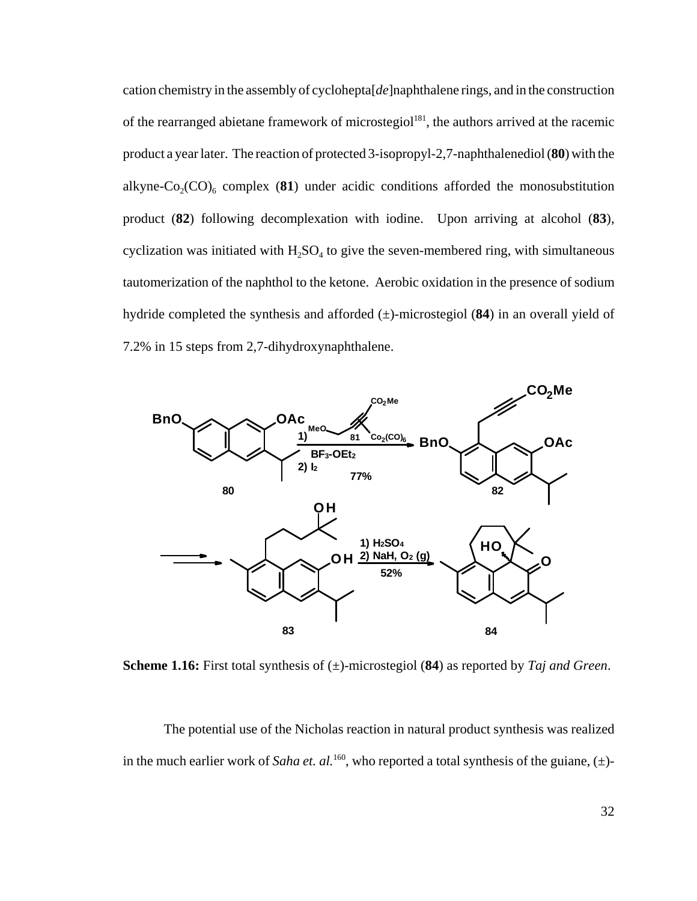cation chemistry in the assembly of cyclohepta[*de*]naphthalene rings, and in the construction of the rearranged abietane framework of microstegiol<sup>181</sup>, the authors arrived at the racemic product a year later. The reaction of protected 3-isopropyl-2,7-naphthalenediol (**80**) with the alkyne-Co<sub>2</sub>(CO)<sub>6</sub> complex (81) under acidic conditions afforded the monosubstitution product (**82**) following decomplexation with iodine. Upon arriving at alcohol (**83**), cyclization was initiated with  $H_2SO_4$  to give the seven-membered ring, with simultaneous tautomerization of the naphthol to the ketone. Aerobic oxidation in the presence of sodium hydride completed the synthesis and afforded (±)-microstegiol (**84**) in an overall yield of 7.2% in 15 steps from 2,7-dihydroxynaphthalene.



**Scheme 1.16:** First total synthesis of (±)-microstegiol (**84**) as reported by *Taj and Green*.

The potential use of the Nicholas reaction in natural product synthesis was realized in the much earlier work of *Saha et. al.*<sup>160</sup>, who reported a total synthesis of the guiane,  $(\pm)$ -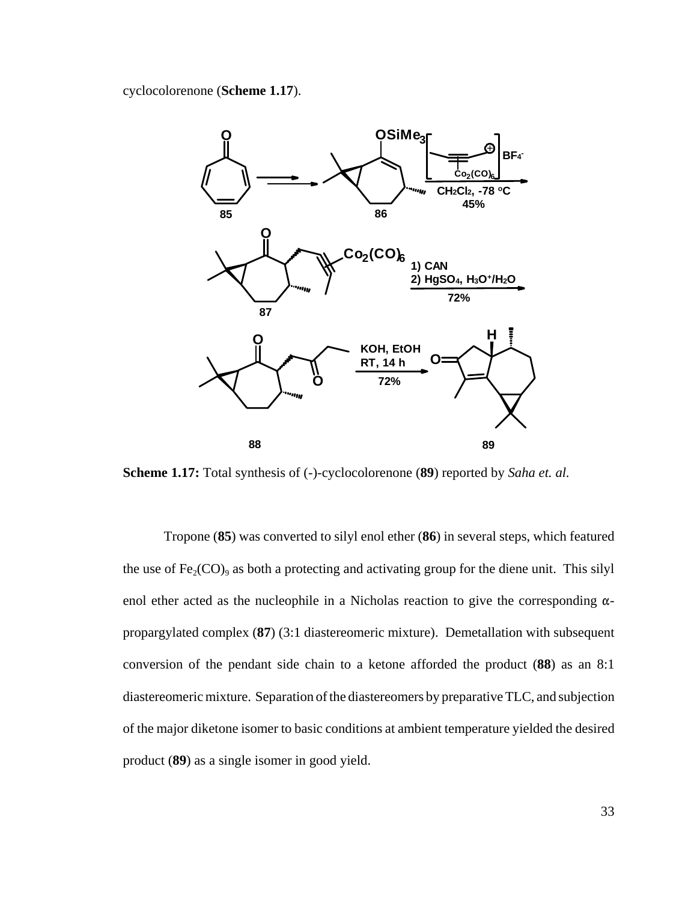cyclocolorenone (**Scheme 1.17**).



**Scheme 1.17:** Total synthesis of (-)-cyclocolorenone (**89**) reported by *Saha et. al.*

Tropone (**85**) was converted to silyl enol ether (**86**) in several steps, which featured the use of  $Fe<sub>2</sub>(CO)<sub>9</sub>$  as both a protecting and activating group for the diene unit. This silyl enol ether acted as the nucleophile in a Nicholas reaction to give the corresponding  $\alpha$ propargylated complex (**87**) (3:1 diastereomeric mixture). Demetallation with subsequent conversion of the pendant side chain to a ketone afforded the product (**88**) as an 8:1 diastereomeric mixture. Separation of the diastereomers by preparative TLC, and subjection of the major diketone isomer to basic conditions at ambient temperature yielded the desired product (**89**) as a single isomer in good yield.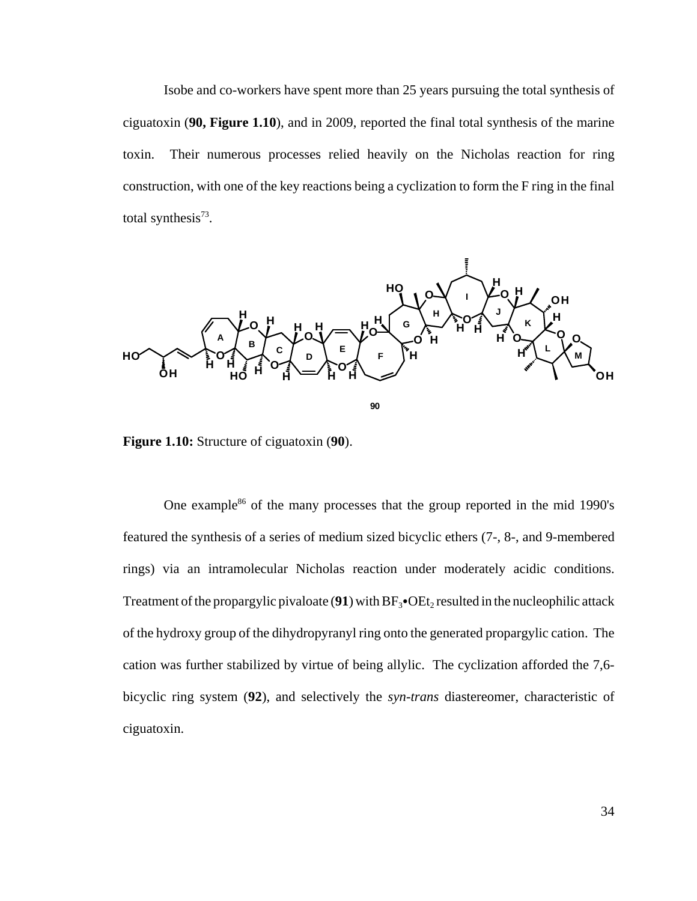Isobe and co-workers have spent more than 25 years pursuing the total synthesis of ciguatoxin (**90, Figure 1.10**), and in 2009, reported the final total synthesis of the marine toxin. Their numerous processes relied heavily on the Nicholas reaction for ring construction, with one of the key reactions being a cyclization to form the F ring in the final total synthesis $^{73}$ .



**Figure 1.10:** Structure of ciguatoxin (**90**).

One example<sup>86</sup> of the many processes that the group reported in the mid 1990's featured the synthesis of a series of medium sized bicyclic ethers (7-, 8-, and 9-membered rings) via an intramolecular Nicholas reaction under moderately acidic conditions. Treatment of the propargylic pivaloate  $(91)$  with  $BF_3$ • $OE_2$  resulted in the nucleophilic attack of the hydroxy group of the dihydropyranyl ring onto the generated propargylic cation. The cation was further stabilized by virtue of being allylic. The cyclization afforded the 7,6 bicyclic ring system (**92**), and selectively the *syn-trans* diastereomer, characteristic of ciguatoxin.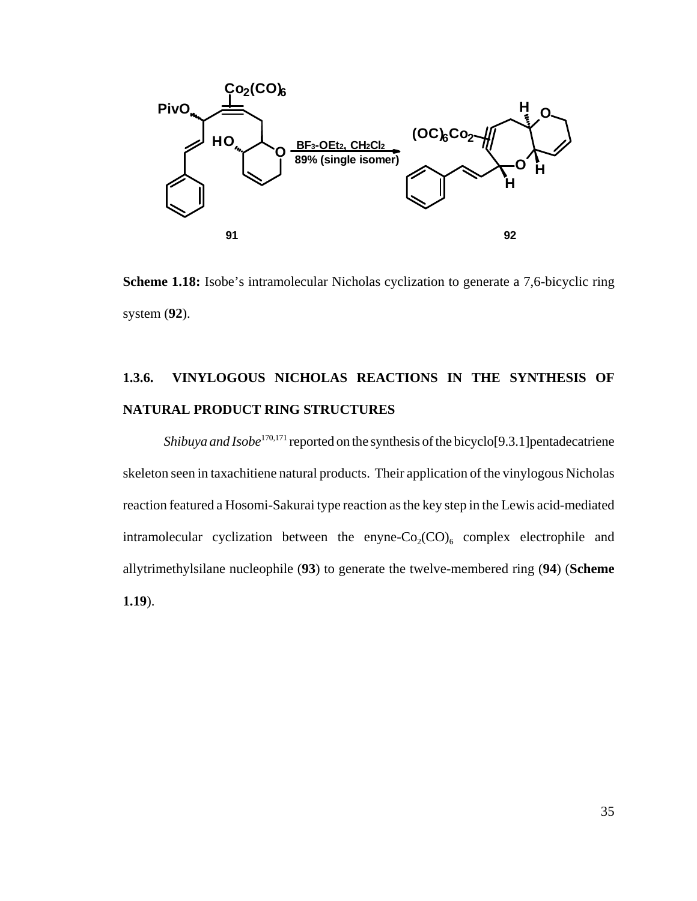

**Scheme 1.18:** Isobe's intramolecular Nicholas cyclization to generate a 7,6-bicyclic ring system (**92**).

## **1.3.6. VINYLOGOUS NICHOLAS REACTIONS IN THE SYNTHESIS OF NATURAL PRODUCT RING STRUCTURES**

*Shibuya and Isobe*<sup>170,171</sup> reported on the synthesis of the bicyclo<sup>[9.3.1</sup>] pentadecatriene skeleton seen in taxachitiene natural products. Their application of the vinylogous Nicholas reaction featured a Hosomi-Sakurai type reaction as the key step in the Lewis acid-mediated intramolecular cyclization between the enyne- $Co_2(CO)_6$  complex electrophile and allytrimethylsilane nucleophile (**93**) to generate the twelve-membered ring (**94**) (**Scheme 1.19**).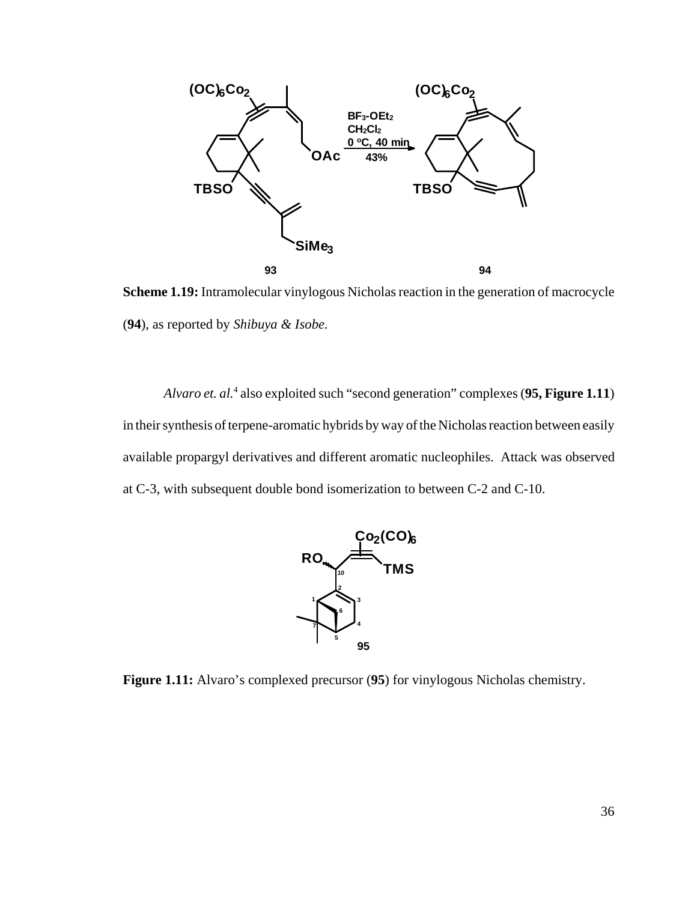

**Scheme 1.19:** Intramolecular vinylogous Nicholas reaction in the generation of macrocycle (**94**), as reported by *Shibuya & Isobe.*

Alvaro et. al.<sup>4</sup> also exploited such "second generation" complexes (95, Figure 1.11) in their synthesis of terpene-aromatic hybrids by way of the Nicholas reaction between easily available propargyl derivatives and different aromatic nucleophiles. Attack was observed at C-3, with subsequent double bond isomerization to between C-2 and C-10.



**Figure 1.11:** Alvaro's complexed precursor (**95**) for vinylogous Nicholas chemistry.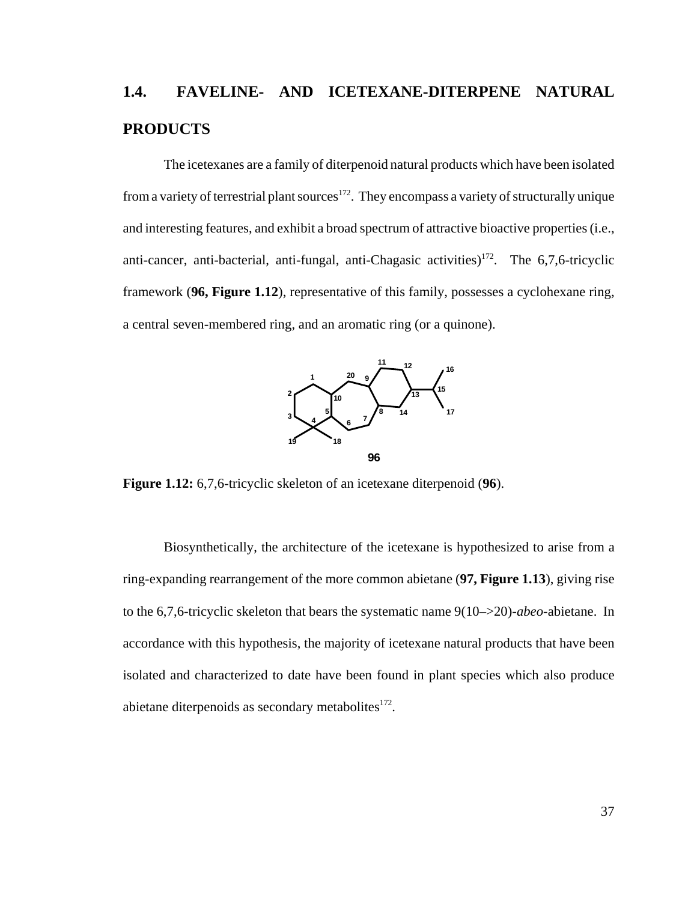# **1.4. FAVELINE- AND ICETEXANE-DITERPENE NATURAL PRODUCTS**

The icetexanes are a family of diterpenoid natural products which have been isolated from a variety of terrestrial plant sources<sup>172</sup>. They encompass a variety of structurally unique and interesting features, and exhibit a broad spectrum of attractive bioactive properties (i.e., anti-cancer, anti-bacterial, anti-fungal, anti-Chagasic activities)<sup>172</sup>. The  $6,7,6$ -tricyclic framework (**96, Figure 1.12**), representative of this family, possesses a cyclohexane ring, a central seven-membered ring, and an aromatic ring (or a quinone).



**Figure 1.12:** 6,7,6-tricyclic skeleton of an icetexane diterpenoid (**96**).

Biosynthetically, the architecture of the icetexane is hypothesized to arise from a ring-expanding rearrangement of the more common abietane (**97, Figure 1.13**), giving rise to the 6,7,6-tricyclic skeleton that bears the systematic name 9(10–>20)-*abeo*-abietane. In accordance with this hypothesis, the majority of icetexane natural products that have been isolated and characterized to date have been found in plant species which also produce abietane diterpenoids as secondary metabolites $172$ .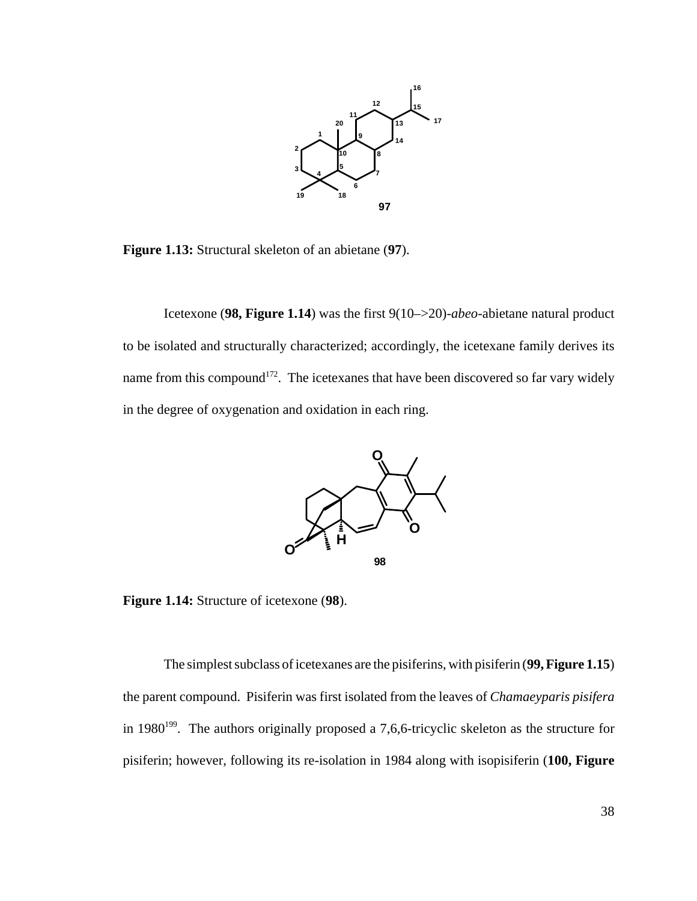

**Figure 1.13:** Structural skeleton of an abietane (**97**).

Icetexone (**98, Figure 1.14**) was the first 9(10–>20)*-abeo*-abietane natural product to be isolated and structurally characterized; accordingly, the icetexane family derives its name from this compound<sup>172</sup>. The icetexanes that have been discovered so far vary widely in the degree of oxygenation and oxidation in each ring.



**Figure 1.14:** Structure of icetexone (**98**).

The simplest subclass of icetexanes are the pisiferins, with pisiferin (**99, Figure 1.15**) the parent compound. Pisiferin was first isolated from the leaves of *Chamaeyparis pisifera* in 1980<sup>199</sup>. The authors originally proposed a 7,6,6-tricyclic skeleton as the structure for pisiferin; however, following its re-isolation in 1984 along with isopisiferin (**100, Figure**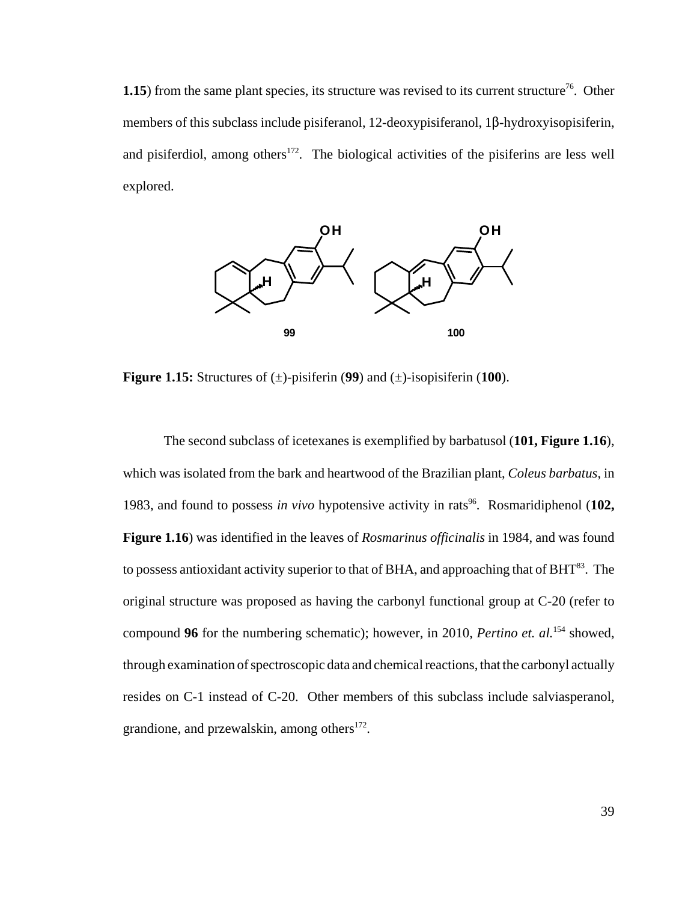**1.15**) from the same plant species, its structure was revised to its current structure<sup>76</sup>. Other members of this subclass include pisiferanol, 12-deoxypisiferanol,  $1\beta$ -hydroxyisopisiferin, and pisiferdiol, among others<sup>172</sup>. The biological activities of the pisiferins are less well explored.



**Figure 1.15:** Structures of  $(\pm)$ -pisiferin (99) and  $(\pm)$ -isopisiferin (100).

The second subclass of icetexanes is exemplified by barbatusol (**101, Figure 1.16**), which was isolated from the bark and heartwood of the Brazilian plant, *Coleus barbatus*, in 1983, and found to possess *in vivo* hypotensive activity in rats<sup>96</sup>. Rosmaridiphenol (102, **Figure 1.16**) was identified in the leaves of *Rosmarinus officinalis* in 1984, and was found to possess antioxidant activity superior to that of BHA, and approaching that of  $BHT^{83}$ . The original structure was proposed as having the carbonyl functional group at C-20 (refer to compound **96** for the numbering schematic); however, in 2010, *Pertino et. al.*154 showed, through examination of spectroscopic data and chemical reactions, that the carbonyl actually resides on C-1 instead of C-20. Other members of this subclass include salviasperanol, grandione, and przewalskin, among others $172$ .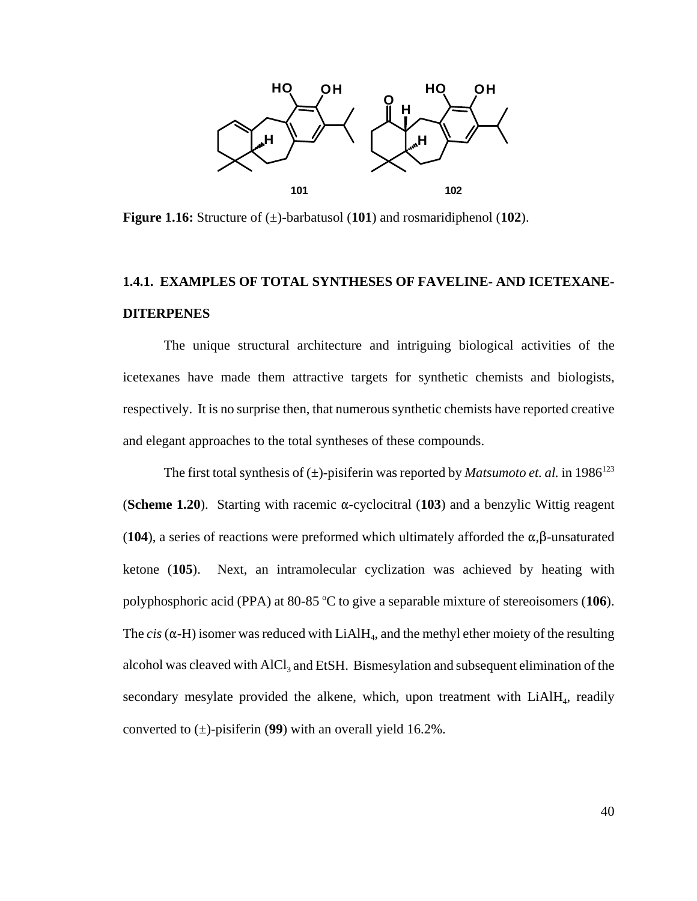

**Figure 1.16:** Structure of (±)-barbatusol (**101**) and rosmaridiphenol (**102**).

### **1.4.1. EXAMPLES OF TOTAL SYNTHESES OF FAVELINE- AND ICETEXANE-DITERPENES**

The unique structural architecture and intriguing biological activities of the icetexanes have made them attractive targets for synthetic chemists and biologists, respectively. It is no surprise then, that numerous synthetic chemists have reported creative and elegant approaches to the total syntheses of these compounds.

The first total synthesis of  $(\pm)$ -pisiferin was reported by *Matsumoto et. al.* in 1986<sup>123</sup> (**Scheme 1.20**). Starting with racemic  $\alpha$ -cyclocitral (103) and a benzylic Wittig reagent (**104**), a series of reactions were preformed which ultimately afforded the  $\alpha$ , $\beta$ -unsaturated ketone (**105**). Next, an intramolecular cyclization was achieved by heating with polyphosphoric acid (PPA) at 80-85 °C to give a separable mixture of stereoisomers (106). The *cis* ( $\alpha$ -H) isomer was reduced with LiAlH<sub>4</sub>, and the methyl ether moiety of the resulting alcohol was cleaved with AlCl<sub>3</sub> and EtSH. Bismesylation and subsequent elimination of the secondary mesylate provided the alkene, which, upon treatment with  $LiAlH<sub>4</sub>$ , readily converted to (±)-pisiferin (**99**) with an overall yield 16.2%.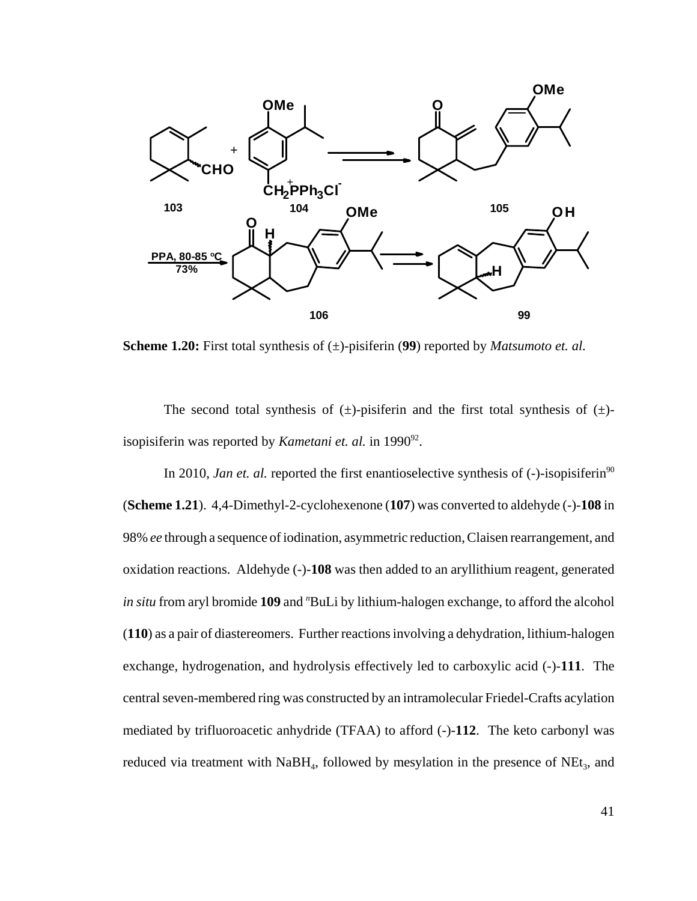

**Scheme 1.20:** First total synthesis of (±)-pisiferin (**99**) reported by *Matsumoto et. al.*

The second total synthesis of  $(\pm)$ -pisiferin and the first total synthesis of  $(\pm)$ isopisiferin was reported by *Kametani et. al.* in 1990<sup>92</sup>.

In 2010, *Jan et. al.* reported the first enantioselective synthesis of (-)-isopisiferin<sup>90</sup> (**Scheme 1.21**). 4,4-Dimethyl-2-cyclohexenone (**107**) was converted to aldehyde (-)-**108** in 98% *ee* through a sequence of iodination, asymmetric reduction, Claisen rearrangement, and oxidation reactions. Aldehyde (-)-**108** was then added to an aryllithium reagent, generated in situ from aryl bromide 109 and "BuLi by lithium-halogen exchange, to afford the alcohol (**110**) as a pair of diastereomers. Further reactions involving a dehydration, lithium-halogen exchange, hydrogenation, and hydrolysis effectively led to carboxylic acid (-)-**111**. The central seven-membered ring was constructed by an intramolecular Friedel-Crafts acylation mediated by trifluoroacetic anhydride (TFAA) to afford (-)-**112**. The keto carbonyl was reduced via treatment with  $NabH_4$ , followed by mesylation in the presence of  $NEt_3$ , and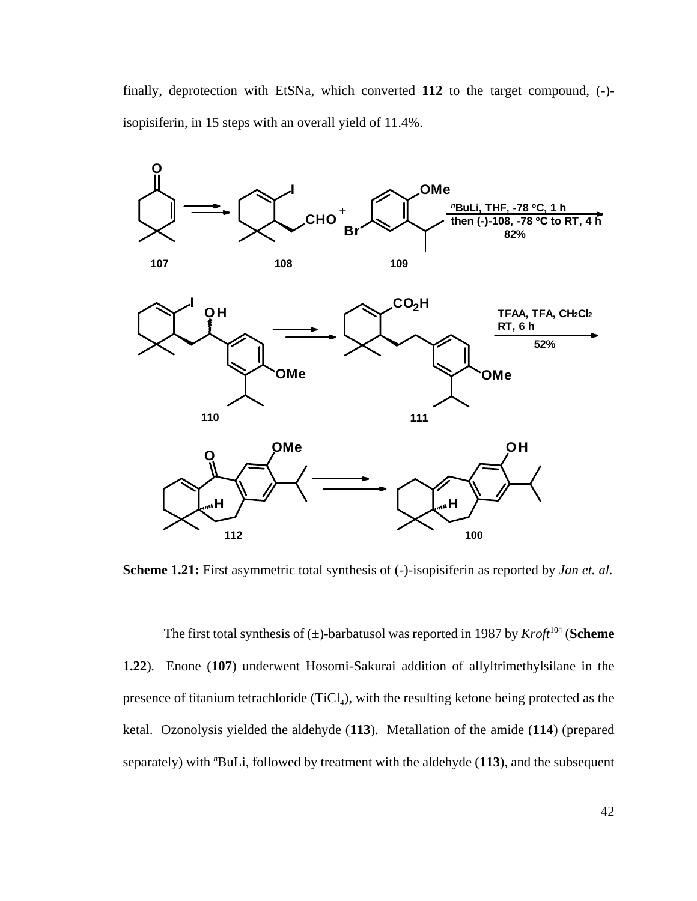finally, deprotection with EtSNa, which converted **112** to the target compound, (-) isopisiferin, in 15 steps with an overall yield of 11.4%.



**Scheme 1.21:** First asymmetric total synthesis of  $(-)$ -isopisiferin as reported by *Jan et. al.* 

The first total synthesis of  $(\pm)$ -barbatusol was reported in 1987 by *Kroft*<sup>104</sup> (**Scheme 1.22**)*.* Enone (**107**) underwent Hosomi-Sakurai addition of allyltrimethylsilane in the presence of titanium tetrachloride  $(TiCl<sub>4</sub>)$ , with the resulting ketone being protected as the ketal. Ozonolysis yielded the aldehyde (**113**). Metallation of the amide (**114**) (prepared separately) with "BuLi, followed by treatment with the aldehyde (113), and the subsequent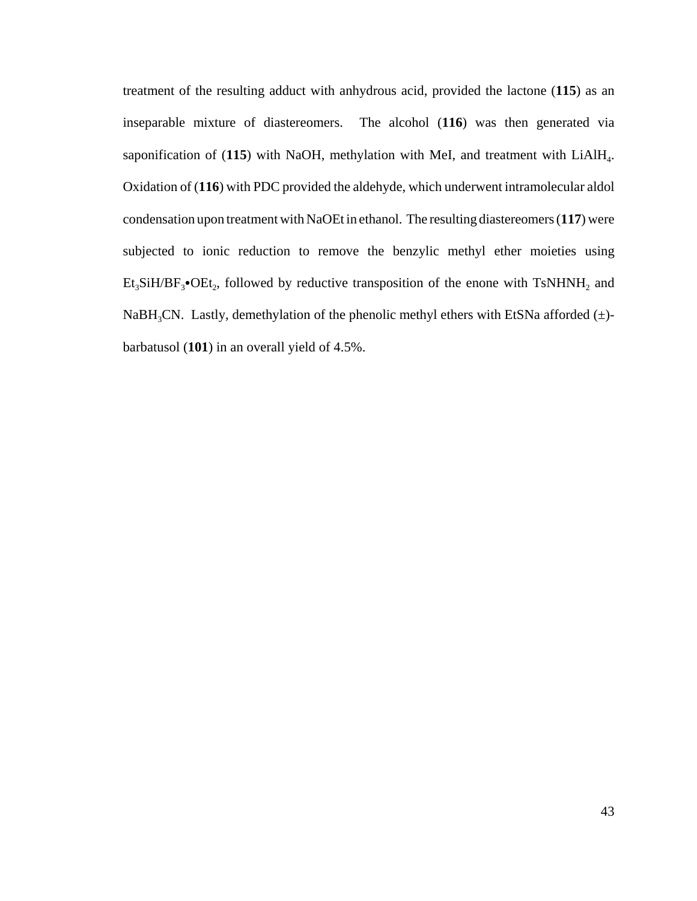treatment of the resulting adduct with anhydrous acid, provided the lactone (**115**) as an inseparable mixture of diastereomers. The alcohol (**116**) was then generated via saponification of (115) with NaOH, methylation with MeI, and treatment with LiAlH<sub>4</sub>. Oxidation of (**116**) with PDC provided the aldehyde, which underwent intramolecular aldol condensation upon treatment with NaOEt in ethanol. The resulting diastereomers (**117**) were subjected to ionic reduction to remove the benzylic methyl ether moieties using  $Et_3SH/BF_3\bullet OEt_2$ , followed by reductive transposition of the enone with TsNHNH<sub>2</sub> and NaBH<sub>3</sub>CN. Lastly, demethylation of the phenolic methyl ethers with EtSNa afforded  $(±)$ barbatusol (**101**) in an overall yield of 4.5%.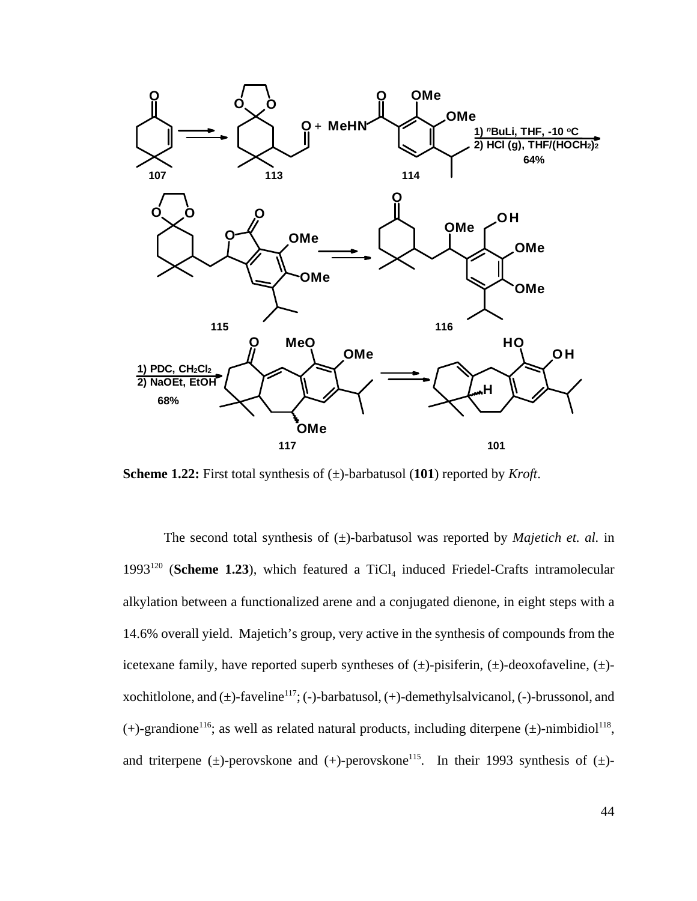

**Scheme 1.22:** First total synthesis of (±)-barbatusol (**101**) reported by *Kroft*.

The second total synthesis of  $(\pm)$ -barbatusol was reported by *Majetich et. al.* in 1993<sup>120</sup> (**Scheme 1.23**), which featured a TiCl<sub>4</sub> induced Friedel-Crafts intramolecular alkylation between a functionalized arene and a conjugated dienone, in eight steps with a 14.6% overall yield. Majetich's group, very active in the synthesis of compounds from the icetexane family, have reported superb syntheses of  $(\pm)$ -pisiferin,  $(\pm)$ -deoxofaveline,  $(\pm)$ xochitlolone, and  $(\pm)$ -faveline<sup>117</sup>; (-)-barbatusol, (+)-demethylsalvicanol, (-)-brussonol, and (+)-grandione<sup>116</sup>; as well as related natural products, including diterpene ( $\pm$ )-nimbidiol<sup>118</sup>, and triterpene ( $\pm$ )-perovskone and (+)-perovskone<sup>115</sup>. In their 1993 synthesis of ( $\pm$ )-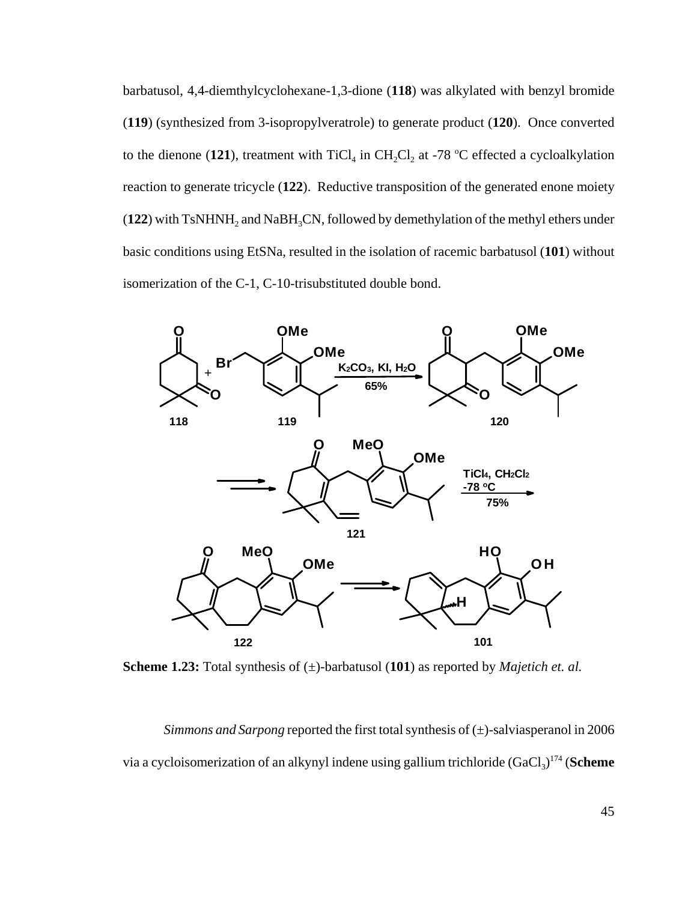barbatusol, 4,4-diemthylcyclohexane-1,3-dione (**118**) was alkylated with benzyl bromide (**119**) (synthesized from 3-isopropylveratrole) to generate product (**120**). Once converted to the dienone (121), treatment with  $TiCl_4$  in  $CH_2Cl_2$  at -78 °C effected a cycloalkylation reaction to generate tricycle (**122**). Reductive transposition of the generated enone moiety  $(122)$  with TsNHNH<sub>2</sub> and NaBH<sub>3</sub>CN, followed by demethylation of the methyl ethers under basic conditions using EtSNa, resulted in the isolation of racemic barbatusol (**101**) without isomerization of the C-1, C-10-trisubstituted double bond.



**Scheme 1.23:** Total synthesis of (±)-barbatusol (**101**) as reported by *Majetich et. al.*

*Simmons and Sarpong* reported the first total synthesis of  $(\pm)$ -salviasperanol in 2006 via a cycloisomerization of an alkynyl indene using gallium trichloride (GaCl<sub>3</sub>)<sup>174</sup> (**Scheme**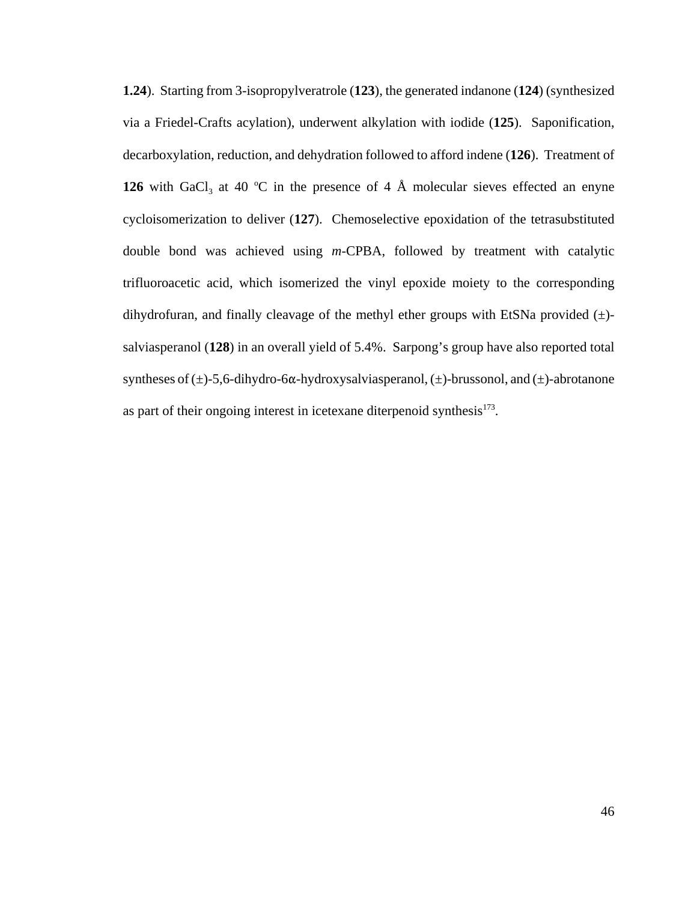**1.24**). Starting from 3-isopropylveratrole (**123**), the generated indanone (**124**) (synthesized via a Friedel-Crafts acylation), underwent alkylation with iodide (**125**). Saponification, decarboxylation, reduction, and dehydration followed to afford indene (**126**). Treatment of **126** with GaCl<sub>3</sub> at 40 °C in the presence of 4 Å molecular sieves effected an enyne cycloisomerization to deliver (**127**). Chemoselective epoxidation of the tetrasubstituted double bond was achieved using *m*-CPBA, followed by treatment with catalytic trifluoroacetic acid, which isomerized the vinyl epoxide moiety to the corresponding dihydrofuran, and finally cleavage of the methyl ether groups with EtSNa provided  $(\pm)$ salviasperanol (**128**) in an overall yield of 5.4%. Sarpong's group have also reported total syntheses of  $(\pm)$ -5,6-dihydro-6 $\alpha$ -hydroxysalviasperanol,  $(\pm)$ -brussonol, and  $(\pm)$ -abrotanone as part of their ongoing interest in icetexane diterpenoid synthesis $173$ .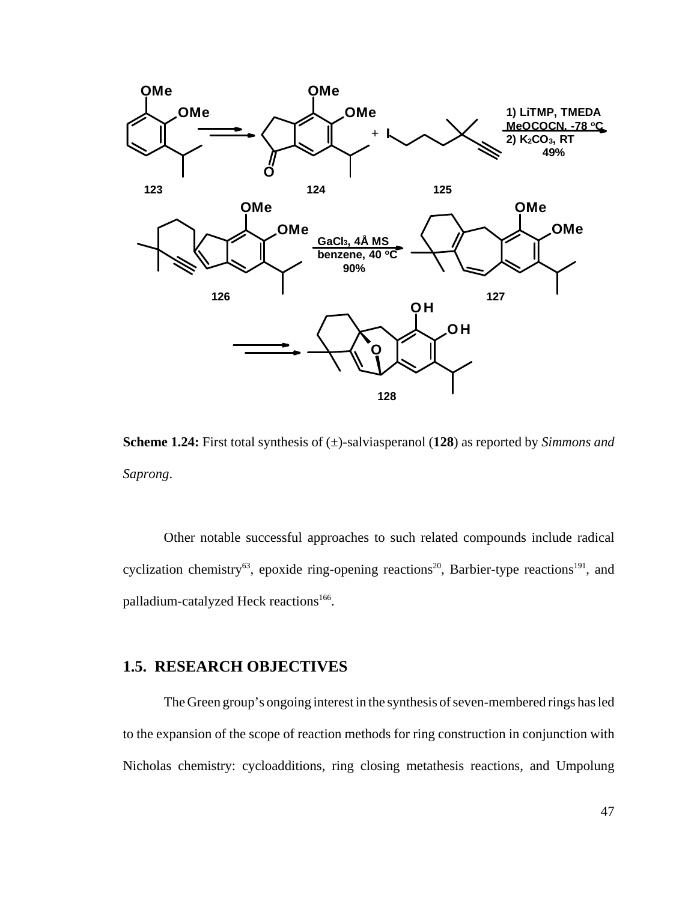

**Scheme 1.24:** First total synthesis of (±)-salviasperanol (**128**) as reported by *Simmons and Saprong*.

Other notable successful approaches to such related compounds include radical cyclization chemistry<sup>63</sup>, epoxide ring-opening reactions<sup>20</sup>, Barbier-type reactions<sup>191</sup>, and palladium-catalyzed Heck reactions<sup>166</sup>.

#### **1.5. RESEARCH OBJECTIVES**

The Green group's ongoing interest in the synthesis of seven-membered rings has led to the expansion of the scope of reaction methods for ring construction in conjunction with Nicholas chemistry: cycloadditions, ring closing metathesis reactions, and Umpolung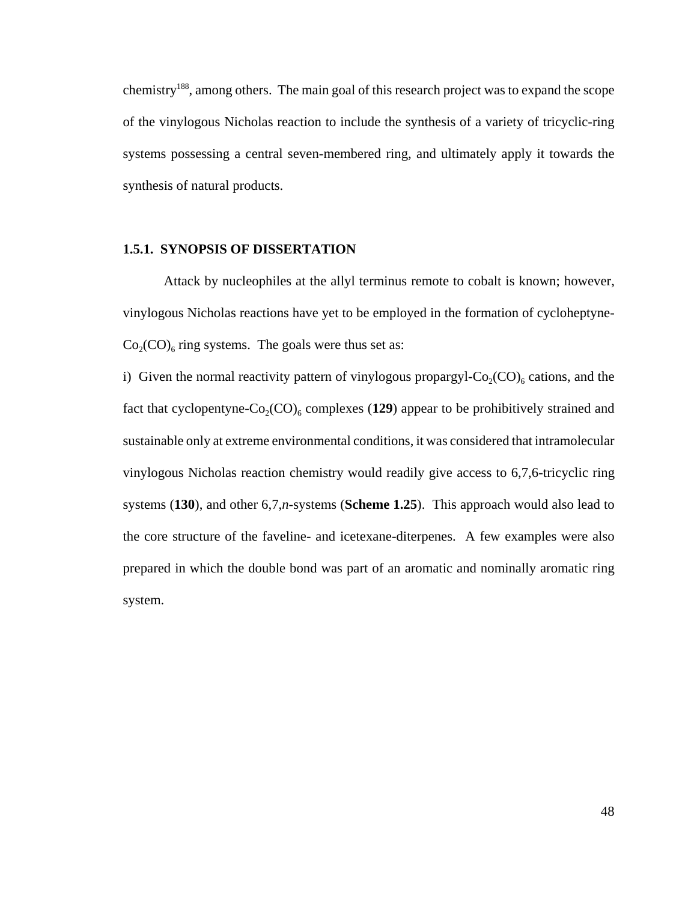chemistry188, among others. The main goal of this research project was to expand the scope of the vinylogous Nicholas reaction to include the synthesis of a variety of tricyclic-ring systems possessing a central seven-membered ring, and ultimately apply it towards the synthesis of natural products.

#### **1.5.1. SYNOPSIS OF DISSERTATION**

Attack by nucleophiles at the allyl terminus remote to cobalt is known; however, vinylogous Nicholas reactions have yet to be employed in the formation of cycloheptyne- $Co<sub>2</sub>(CO)<sub>6</sub>$  ring systems. The goals were thus set as:

i) Given the normal reactivity pattern of vinylogous propargyl- $Co_2(CO)_{6}$  cations, and the fact that cyclopentyne- $Co_2(CO)_6$  complexes (129) appear to be prohibitively strained and sustainable only at extreme environmental conditions, it was considered that intramolecular vinylogous Nicholas reaction chemistry would readily give access to 6,7,6-tricyclic ring systems (**130**), and other 6,7,*n*-systems (**Scheme 1.25**). This approach would also lead to the core structure of the faveline- and icetexane-diterpenes. A few examples were also prepared in which the double bond was part of an aromatic and nominally aromatic ring system.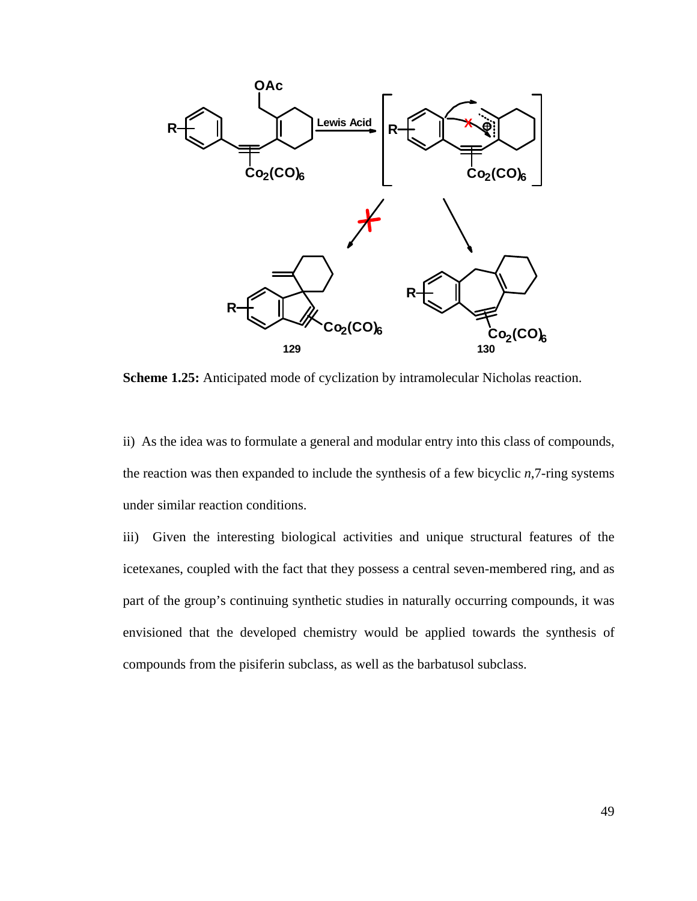

**Scheme 1.25:** Anticipated mode of cyclization by intramolecular Nicholas reaction.

ii) As the idea was to formulate a general and modular entry into this class of compounds, the reaction was then expanded to include the synthesis of a few bicyclic *n*,7-ring systems under similar reaction conditions.

iii) Given the interesting biological activities and unique structural features of the icetexanes, coupled with the fact that they possess a central seven-membered ring, and as part of the group's continuing synthetic studies in naturally occurring compounds, it was envisioned that the developed chemistry would be applied towards the synthesis of compounds from the pisiferin subclass, as well as the barbatusol subclass.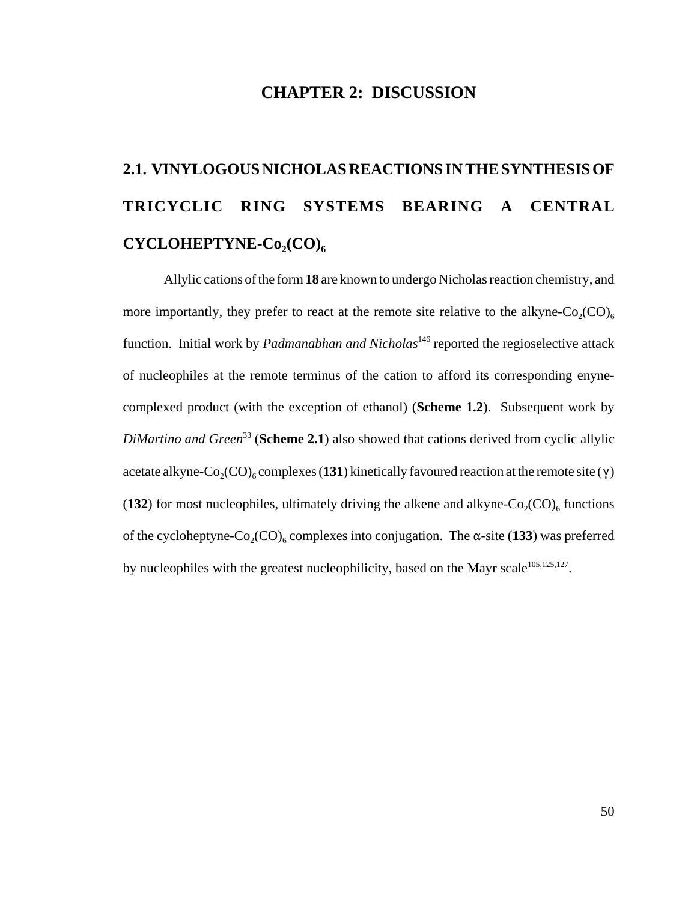#### **CHAPTER 2: DISCUSSION**

# **2.1. VINYLOGOUS NICHOLAS REACTIONS IN THE SYNTHESIS OF TRICYCLIC RING SYSTEMS BEARING A CENTRAL CYCLOHEPTYNE-Co<sub>2</sub>(CO)<sub>6</sub>**

Allylic cations of the form **18** are known to undergo Nicholas reaction chemistry, and more importantly, they prefer to react at the remote site relative to the alkyne- $Co_2(CO)_{6}$ function. Initial work by *Padmanabhan and Nicholas*146 reported the regioselective attack of nucleophiles at the remote terminus of the cation to afford its corresponding enynecomplexed product (with the exception of ethanol) (**Scheme 1.2**). Subsequent work by *DiMartino and Green*<sup>33</sup> (**Scheme 2.1**) also showed that cations derived from cyclic allylic acetate alkyne-Co<sub>2</sub>(CO)<sub>6</sub> complexes (131) kinetically favoured reaction at the remote site ( $\gamma$ ) (**132**) for most nucleophiles, ultimately driving the alkene and alkyne- $Co_2(CO)_{6}$  functions of the cycloheptyne-Co<sub>2</sub>(CO)<sub>6</sub> complexes into conjugation. The  $\alpha$ -site (133) was preferred by nucleophiles with the greatest nucleophilicity, based on the Mayr scale $105,125,127$ .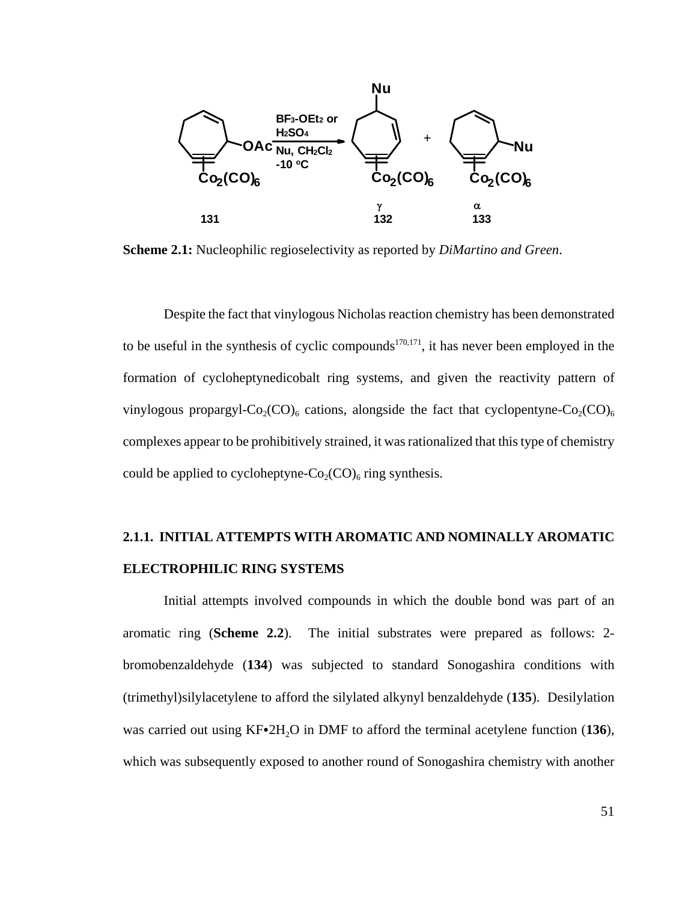

**Scheme 2.1:** Nucleophilic regioselectivity as reported by *DiMartino and Green*.

Despite the fact that vinylogous Nicholas reaction chemistry has been demonstrated to be useful in the synthesis of cyclic compounds<sup>170,171</sup>, it has never been employed in the formation of cycloheptynedicobalt ring systems, and given the reactivity pattern of vinylogous propargyl-Co<sub>2</sub>(CO)<sub>6</sub> cations, alongside the fact that cyclopentyne-Co<sub>2</sub>(CO)<sub>6</sub> complexes appear to be prohibitively strained, it was rationalized that this type of chemistry could be applied to cycloheptyne- $Co_2(CO)_6$  ring synthesis.

#### **2.1.1. INITIAL ATTEMPTS WITH AROMATIC AND NOMINALLY AROMATIC ELECTROPHILIC RING SYSTEMS**

Initial attempts involved compounds in which the double bond was part of an aromatic ring (**Scheme 2.2**). The initial substrates were prepared as follows: 2 bromobenzaldehyde (**134**) was subjected to standard Sonogashira conditions with (trimethyl)silylacetylene to afford the silylated alkynyl benzaldehyde (**135**). Desilylation was carried out using  $KF \cdot 2H_2O$  in DMF to afford the terminal acetylene function (136), which was subsequently exposed to another round of Sonogashira chemistry with another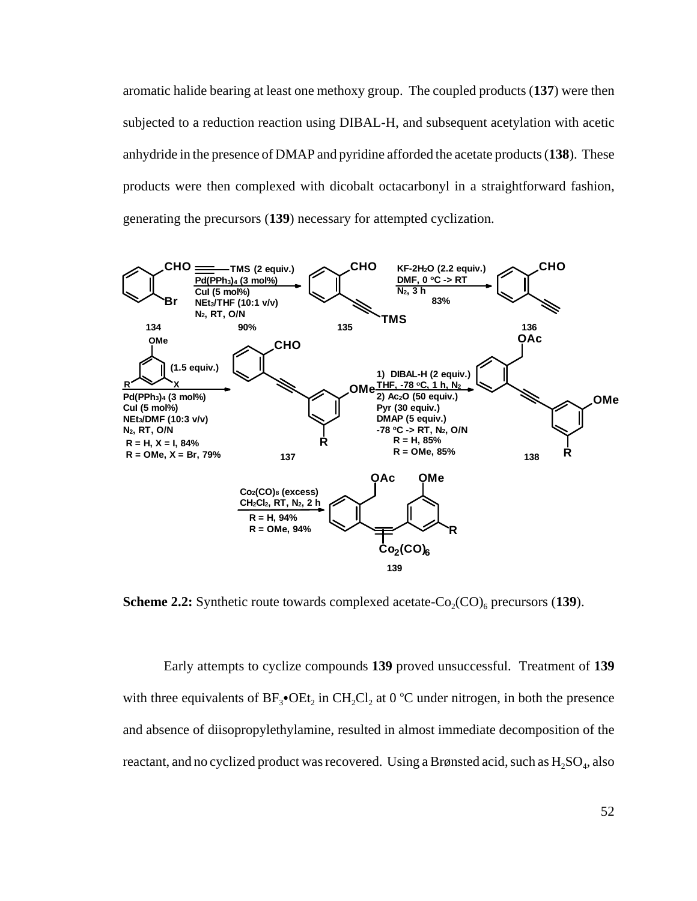aromatic halide bearing at least one methoxy group. The coupled products (**137**) were then subjected to a reduction reaction using DIBAL-H, and subsequent acetylation with acetic anhydride in the presence of DMAP and pyridine afforded the acetate products (**138**). These products were then complexed with dicobalt octacarbonyl in a straightforward fashion, generating the precursors (**139**) necessary for attempted cyclization.



**Scheme 2.2:** Synthetic route towards complexed acetate- $Co_2(CO)_{6}$  precursors (139).

Early attempts to cyclize compounds **139** proved unsuccessful. Treatment of **139** with three equivalents of  $BF_3$ • $OEt_2$  in  $CH_2Cl_2$  at 0 °C under nitrogen, in both the presence and absence of diisopropylethylamine, resulted in almost immediate decomposition of the reactant, and no cyclized product was recovered. Using a Brønsted acid, such as  $H_2SO_4$ , also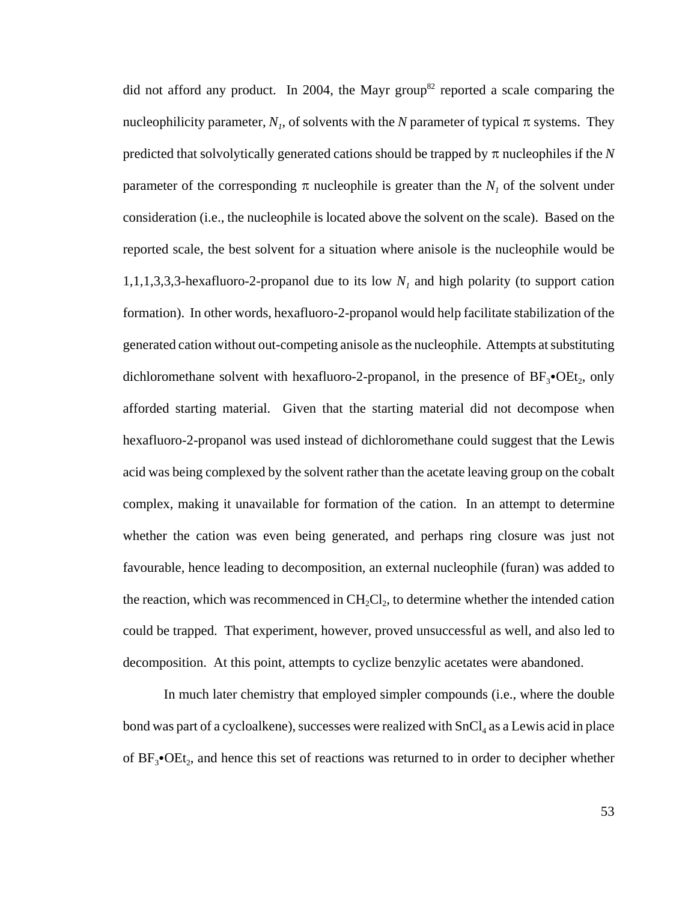did not afford any product. In 2004, the Mayr group<sup>82</sup> reported a scale comparing the nucleophilicity parameter,  $N<sub>1</sub>$ , of solvents with the N parameter of typical  $\pi$  systems. They predicted that solvolytically generated cations should be trapped by  $\pi$  nucleophiles if the  $N$ parameter of the corresponding  $\pi$  nucleophile is greater than the  $N<sub>1</sub>$  of the solvent under consideration (i.e., the nucleophile is located above the solvent on the scale). Based on the reported scale, the best solvent for a situation where anisole is the nucleophile would be 1,1,1,3,3,3-hexafluoro-2-propanol due to its low  $N<sub>1</sub>$  and high polarity (to support cation formation). In other words, hexafluoro-2-propanol would help facilitate stabilization of the generated cation without out-competing anisole as the nucleophile. Attempts at substituting dichloromethane solvent with hexafluoro-2-propanol, in the presence of  $BF_3\bullet OEt_2$ , only afforded starting material. Given that the starting material did not decompose when hexafluoro-2-propanol was used instead of dichloromethane could suggest that the Lewis acid was being complexed by the solvent rather than the acetate leaving group on the cobalt complex, making it unavailable for formation of the cation. In an attempt to determine whether the cation was even being generated, and perhaps ring closure was just not favourable, hence leading to decomposition, an external nucleophile (furan) was added to the reaction, which was recommenced in  $CH_2Cl_2$ , to determine whether the intended cation could be trapped. That experiment, however, proved unsuccessful as well, and also led to decomposition. At this point, attempts to cyclize benzylic acetates were abandoned.

In much later chemistry that employed simpler compounds (i.e., where the double bond was part of a cycloalkene), successes were realized with  $SnCl<sub>4</sub>$  as a Lewis acid in place of  $BF_3$ • $OEt_2$ , and hence this set of reactions was returned to in order to decipher whether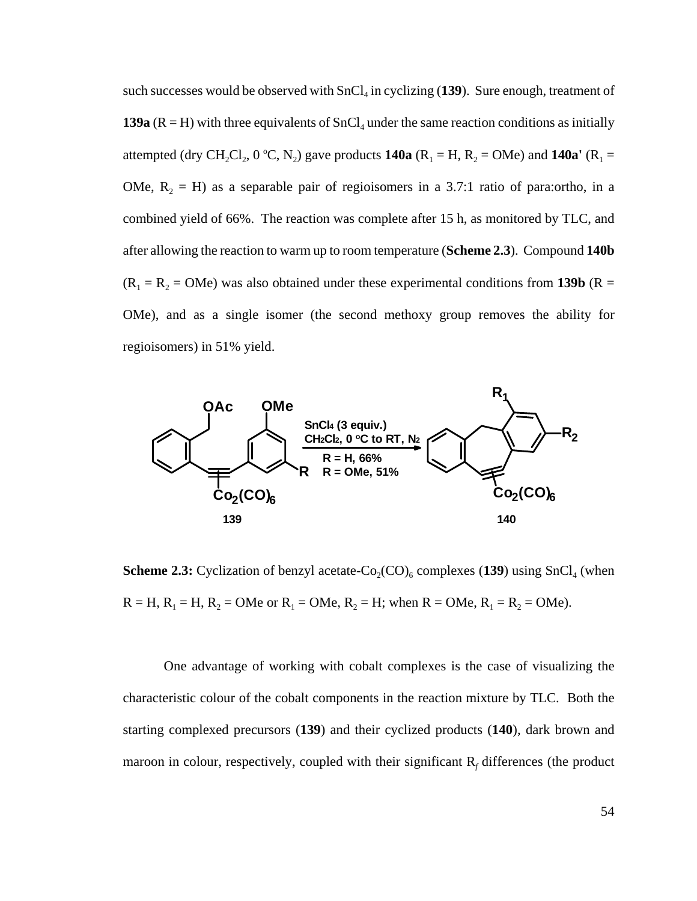such successes would be observed with SnCl<sub>4</sub> in cyclizing (139). Sure enough, treatment of **139a** ( $R = H$ ) with three equivalents of  $SnCl<sub>4</sub>$  under the same reaction conditions as initially attempted (dry CH<sub>2</sub>Cl<sub>2</sub>, 0 °C, N<sub>2</sub>) gave products **140a** (R<sub>1</sub> = H, R<sub>2</sub> = OMe) and **140a'** (R<sub>1</sub> = OMe,  $R_2 = H$ ) as a separable pair of regioisomers in a 3.7:1 ratio of para:ortho, in a combined yield of 66%. The reaction was complete after 15 h, as monitored by TLC, and after allowing the reaction to warm up to room temperature (**Scheme 2.3**). Compound **140b**  $(R_1 = R_2 = OMe)$  was also obtained under these experimental conditions from **139b** (R = OMe), and as a single isomer (the second methoxy group removes the ability for regioisomers) in 51% yield.



**Scheme 2.3:** Cyclization of benzyl acetate- $Co_2(CO)_6$  complexes (139) using SnCl<sub>4</sub> (when  $R = H$ ,  $R_1 = H$ ,  $R_2 = OMe$  or  $R_1 = OMe$ ,  $R_2 = H$ ; when  $R = OMe$ ,  $R_1 = R_2 = OMe$ ).

One advantage of working with cobalt complexes is the case of visualizing the characteristic colour of the cobalt components in the reaction mixture by TLC. Both the starting complexed precursors (**139**) and their cyclized products (**140**), dark brown and maroon in colour, respectively, coupled with their significant R<sub>f</sub> differences (the product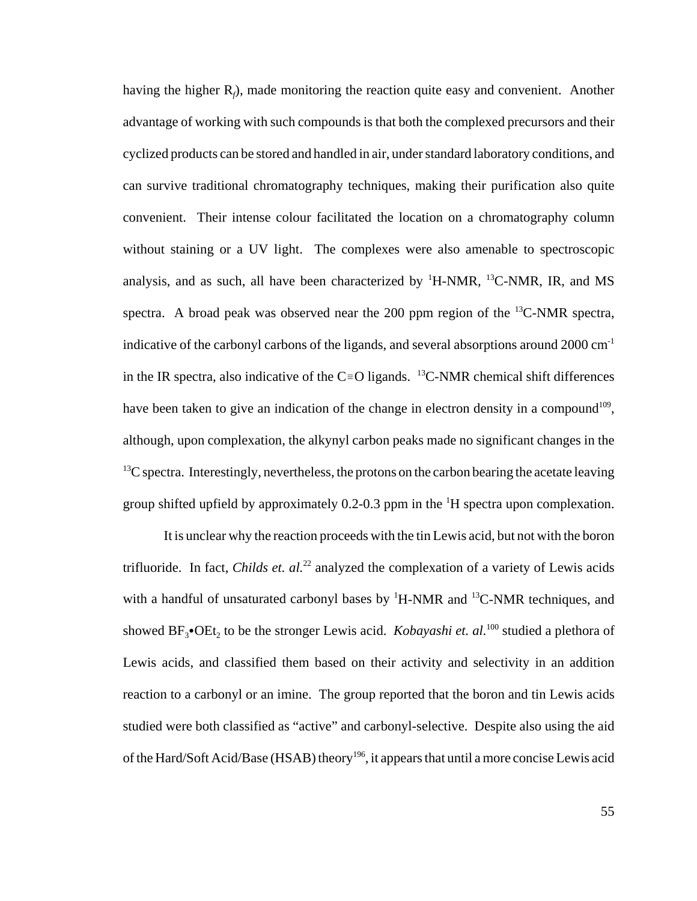having the higher R<sub>f</sub>), made monitoring the reaction quite easy and convenient. Another advantage of working with such compounds is that both the complexed precursors and their cyclized products can be stored and handled in air, under standard laboratory conditions, and can survive traditional chromatography techniques, making their purification also quite convenient. Their intense colour facilitated the location on a chromatography column without staining or a UV light. The complexes were also amenable to spectroscopic analysis, and as such, all have been characterized by  $H-MMR$ ,  $H^3C-NMR$ , IR, and MS spectra. A broad peak was observed near the 200 ppm region of the  ${}^{13}$ C-NMR spectra, indicative of the carbonyl carbons of the ligands, and several absorptions around  $2000 \text{ cm}^{-1}$ in the IR spectra, also indicative of the C=O ligands. <sup>13</sup>C-NMR chemical shift differences have been taken to give an indication of the change in electron density in a compound<sup>109</sup>, although, upon complexation, the alkynyl carbon peaks made no significant changes in the  $^{13}$ C spectra. Interestingly, nevertheless, the protons on the carbon bearing the acetate leaving group shifted upfield by approximately  $0.2$ -0.3 ppm in the  $\mathrm{^{1}H}$  spectra upon complexation.

It is unclear why the reaction proceeds with the tin Lewis acid, but not with the boron trifluoride. In fact, *Childs et. al.*<sup>22</sup> analyzed the complexation of a variety of Lewis acids with a handful of unsaturated carbonyl bases by  ${}^{1}$ H-NMR and  ${}^{13}$ C-NMR techniques, and showed  $BF_3\bullet$ OEt<sub>2</sub> to be the stronger Lewis acid. *Kobayashi et. al.*<sup>100</sup> studied a plethora of Lewis acids, and classified them based on their activity and selectivity in an addition reaction to a carbonyl or an imine. The group reported that the boron and tin Lewis acids studied were both classified as "active" and carbonyl-selective. Despite also using the aid of the Hard/Soft Acid/Base (HSAB) theory<sup>196</sup>, it appears that until a more concise Lewis acid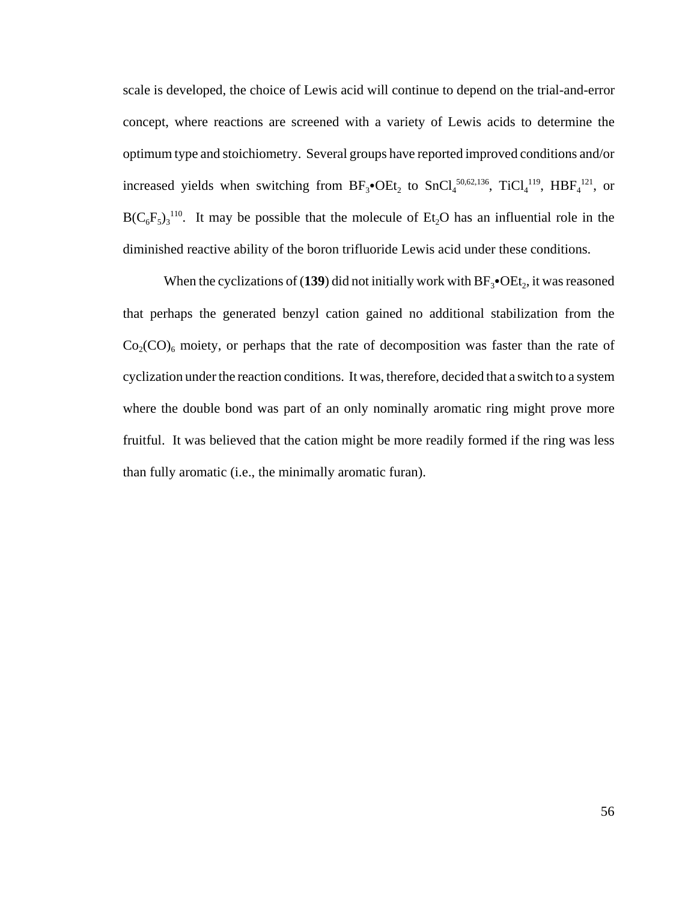scale is developed, the choice of Lewis acid will continue to depend on the trial-and-error concept, where reactions are screened with a variety of Lewis acids to determine the optimum type and stoichiometry. Several groups have reported improved conditions and/or increased yields when switching from  $BF_3\bullet OEt_2$  to  $SnCl_4^{50,62,136}$ ,  $TiCl_4^{119}$ ,  $HBF_4^{121}$ , or  $B(C_6F_5)_3$ <sup>110</sup>. It may be possible that the molecule of Et<sub>2</sub>O has an influential role in the diminished reactive ability of the boron trifluoride Lewis acid under these conditions.

When the cyclizations of (139) did not initially work with  $BF_3$ • $OEt_2$ , it was reasoned that perhaps the generated benzyl cation gained no additional stabilization from the  $Co<sub>2</sub>(CO)<sub>6</sub>$  moiety, or perhaps that the rate of decomposition was faster than the rate of cyclization under the reaction conditions. It was, therefore, decided that a switch to a system where the double bond was part of an only nominally aromatic ring might prove more fruitful. It was believed that the cation might be more readily formed if the ring was less than fully aromatic (i.e., the minimally aromatic furan).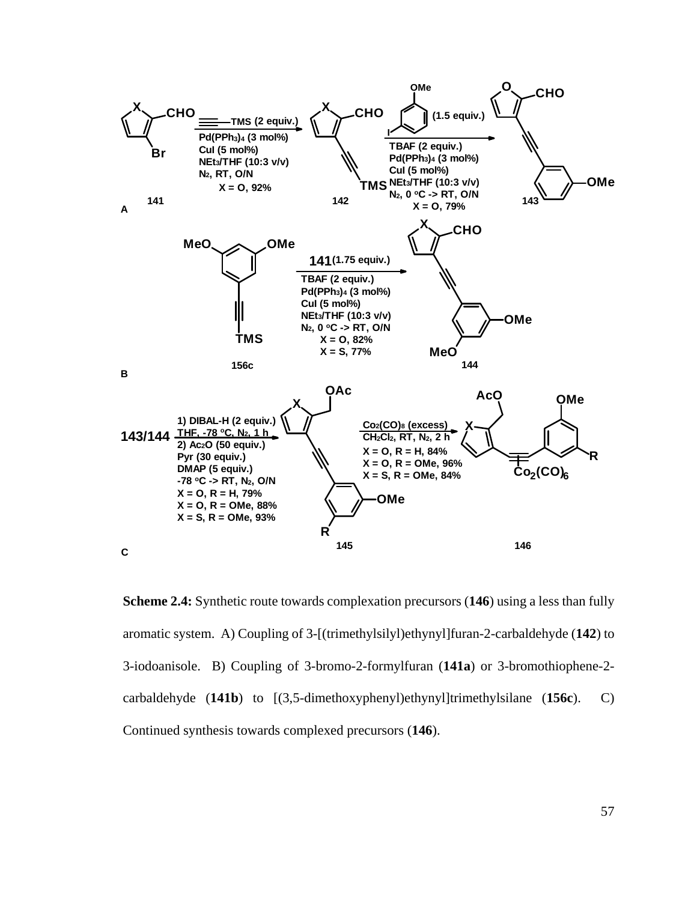

**Scheme 2.4:** Synthetic route towards complexation precursors (**146**) using a less than fully aromatic system. A) Coupling of 3-[(trimethylsilyl)ethynyl]furan-2-carbaldehyde (**142**) to 3-iodoanisole. B) Coupling of 3-bromo-2-formylfuran (**141a**) or 3-bromothiophene-2 carbaldehyde (**141b**) to [(3,5-dimethoxyphenyl)ethynyl]trimethylsilane (**156c**). C) Continued synthesis towards complexed precursors (**146**).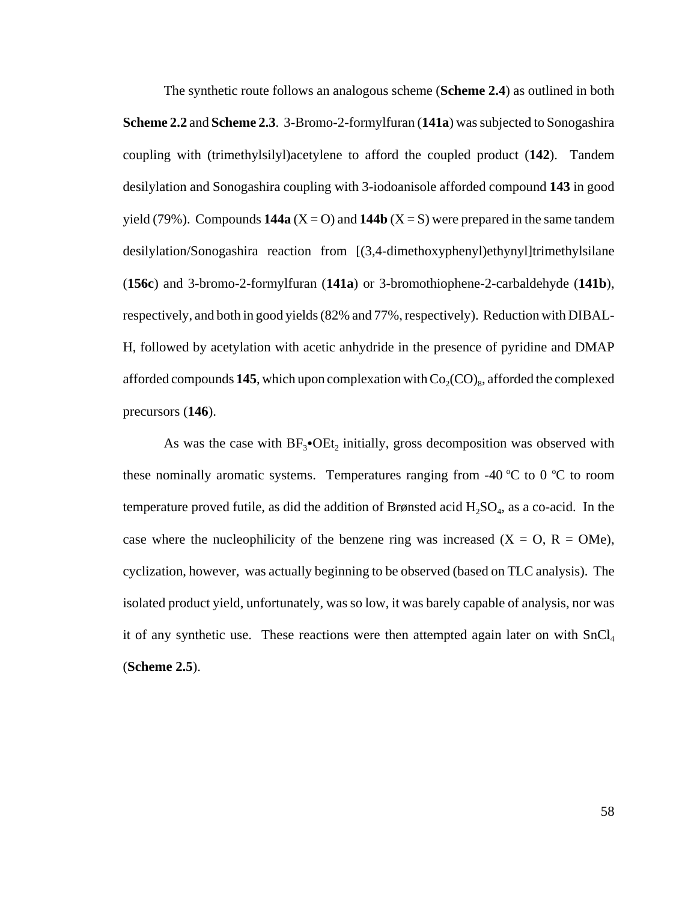The synthetic route follows an analogous scheme (**Scheme 2.4**) as outlined in both **Scheme 2.2** and **Scheme 2.3**. 3-Bromo-2-formylfuran (**141a**) was subjected to Sonogashira coupling with (trimethylsilyl)acetylene to afford the coupled product (**142**). Tandem desilylation and Sonogashira coupling with 3-iodoanisole afforded compound **143** in good yield (79%). Compounds  $144a$  (X = O) and  $144b$  (X = S) were prepared in the same tandem desilylation/Sonogashira reaction from [(3,4-dimethoxyphenyl)ethynyl]trimethylsilane (**156c**) and 3-bromo-2-formylfuran (**141a**) or 3-bromothiophene-2-carbaldehyde (**141b**), respectively, and both in good yields (82% and 77%, respectively). Reduction with DIBAL-H, followed by acetylation with acetic anhydride in the presence of pyridine and DMAP afforded compounds **145**, which upon complexation with  $Co_2(CO)_{8}$ , afforded the complexed precursors (**146**).

As was the case with  $BF_3$ • $OEt_2$  initially, gross decomposition was observed with these nominally aromatic systems. Temperatures ranging from -40  $\rm{°C}$  to 0  $\rm{°C}$  to room temperature proved futile, as did the addition of Brønsted acid  $H_2SO_4$ , as a co-acid. In the case where the nucleophilicity of the benzene ring was increased  $(X = O, R = OMe)$ , cyclization, however, was actually beginning to be observed (based on TLC analysis). The isolated product yield, unfortunately, was so low, it was barely capable of analysis, nor was it of any synthetic use. These reactions were then attempted again later on with  $SnCl<sub>4</sub>$ (**Scheme 2.5**).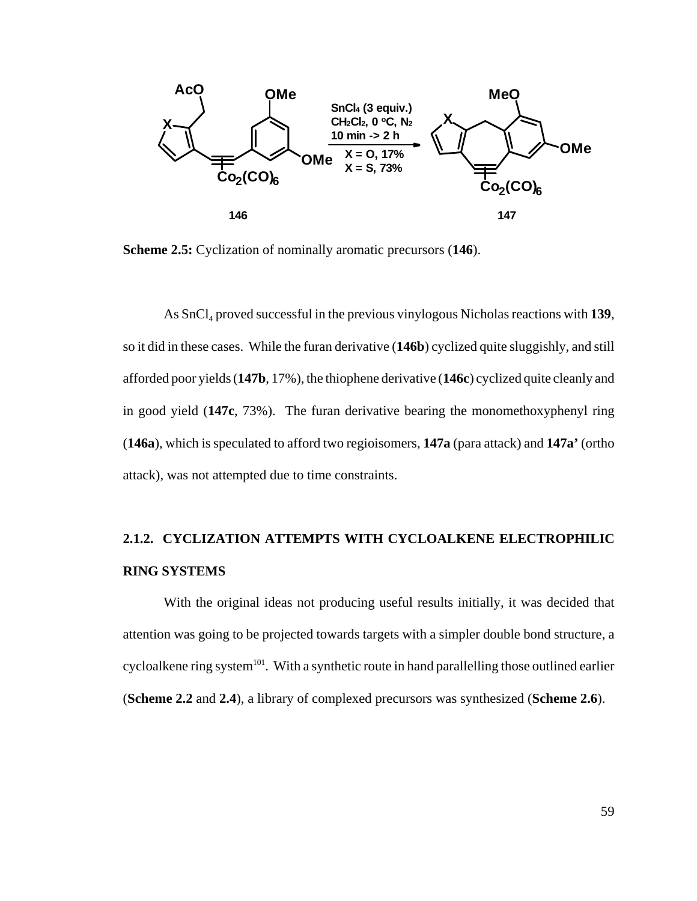

**Scheme 2.5:** Cyclization of nominally aromatic precursors (**146**).

As SnCl<sub>4</sub> proved successful in the previous vinylogous Nicholas reactions with 139, so it did in these cases. While the furan derivative (**146b**) cyclized quite sluggishly, and still afforded poor yields (**147b**, 17%), the thiophene derivative (**146c**) cyclized quite cleanly and in good yield (**147c**, 73%). The furan derivative bearing the monomethoxyphenyl ring (**146a**), which is speculated to afford two regioisomers, **147a** (para attack) and **147a'** (ortho attack), was not attempted due to time constraints.

### **2.1.2. CYCLIZATION ATTEMPTS WITH CYCLOALKENE ELECTROPHILIC RING SYSTEMS**

With the original ideas not producing useful results initially, it was decided that attention was going to be projected towards targets with a simpler double bond structure, a cycloalkene ring system<sup>101</sup>. With a synthetic route in hand parallelling those outlined earlier (**Scheme 2.2** and **2.4**), a library of complexed precursors was synthesized (**Scheme 2.6**).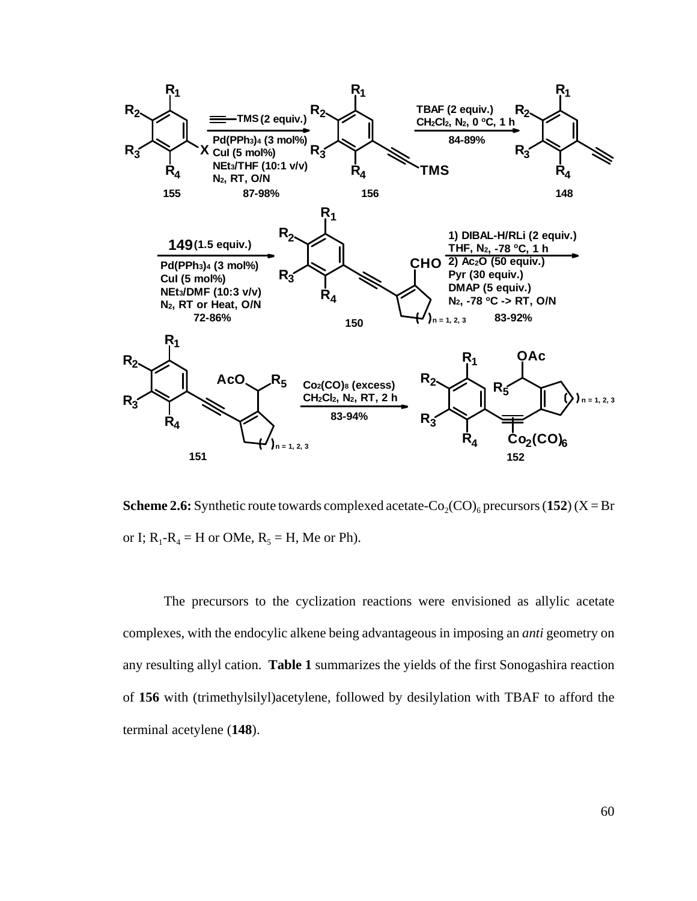

**Scheme 2.6:** Synthetic route towards complexed acetate- $Co_2(CO)_{6}$  precursors (152) (X = Br or I;  $R_1-R_4 = H$  or OMe,  $R_5 = H$ , Me or Ph).

The precursors to the cyclization reactions were envisioned as allylic acetate complexes, with the endocylic alkene being advantageous in imposing an *anti* geometry on any resulting allyl cation. **Table 1** summarizes the yields of the first Sonogashira reaction of **156** with (trimethylsilyl)acetylene, followed by desilylation with TBAF to afford the terminal acetylene (**148**).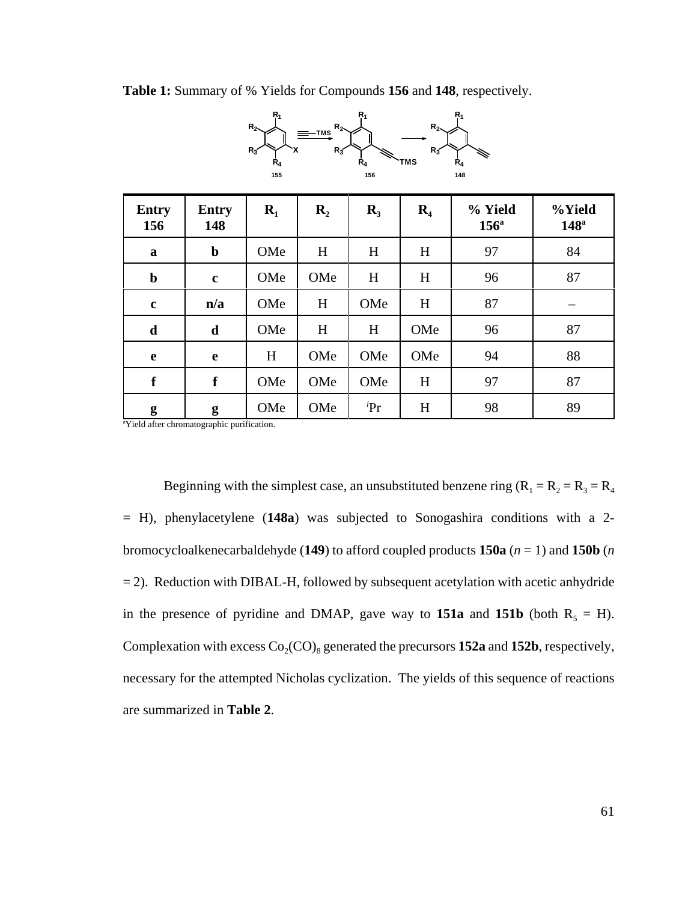**Table 1:** Summary of % Yields for Compounds **156** and **148**, respectively.

**TMS**

**R1**

**R2**

**R2**

| $R_3$<br>$R_3$<br>$R_3$<br>Ŕ4<br>TMS<br>$\dot{\mathsf{R}}_4$<br>$R_4$<br>155<br>156<br>148 |                     |       |                  |            |                |                          |                            |
|--------------------------------------------------------------------------------------------|---------------------|-------|------------------|------------|----------------|--------------------------|----------------------------|
| <b>Entry</b><br>156                                                                        | <b>Entry</b><br>148 | $R_1$ | $\mathbf{R}_{2}$ | $R_3$      | $\mathbf{R}_4$ | % Yield<br>$156^{\circ}$ | %Yield<br>148 <sup>a</sup> |
| a                                                                                          | $\mathbf b$         | OMe   | H                | H          | H              | 97                       | 84                         |
| $\mathbf b$                                                                                | $\mathbf c$         | OMe   | OMe              | H          | H              | 96                       | 87                         |
| $\mathbf c$                                                                                | n/a                 | OMe   | H                | OMe        | H              | 87                       |                            |
| $\mathbf d$                                                                                | $\mathbf d$         | OMe   | H                | H          | OMe            | 96                       | 87                         |
| $\mathbf e$                                                                                | $\mathbf e$         | H     | OMe              | OMe        | OMe            | 94                       | 88                         |
| $\mathbf f$                                                                                | $\mathbf f$         | OMe   | OMe              | OMe        | H              | 97                       | 87                         |
| g                                                                                          | g                   | OMe   | OMe              | ${}^{i}Pr$ | H              | 98                       | 89                         |

**R1**

**R1**

**R2**

a Yield after chromatographic purification.

Beginning with the simplest case, an unsubstituted benzene ring  $(R_1 = R_2 = R_3 = R_4$ = H), phenylacetylene (**148a**) was subjected to Sonogashira conditions with a 2 bromocycloalkenecarbaldehyde (**149**) to afford coupled products **150a** (*n* = 1) and **150b** (*n*  $= 2$ ). Reduction with DIBAL-H, followed by subsequent acetylation with acetic anhydride in the presence of pyridine and DMAP, gave way to **151a** and **151b** (both  $R_5 = H$ ). Complexation with excess  $Co_2(CO)_8$  generated the precursors **152a** and **152b**, respectively, necessary for the attempted Nicholas cyclization. The yields of this sequence of reactions are summarized in **Table 2**.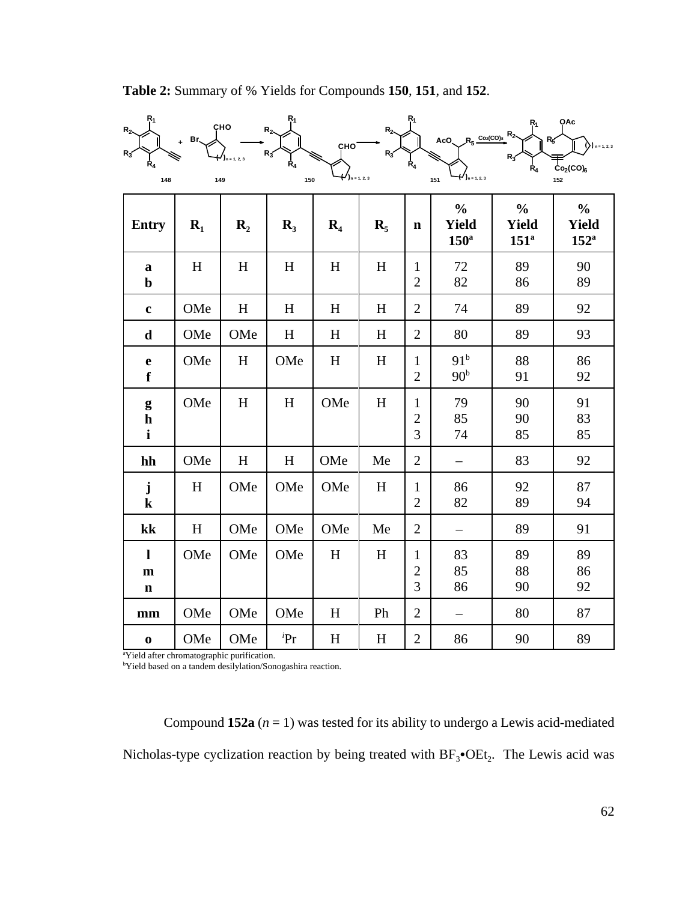| R <sub>1</sub><br>R <sub>2</sub><br>R٠<br>$\mathtt{R_4}$<br>148 | Br.   | CHO<br>149       | $R_1$<br>$R_{2}$<br>R3<br>$\mathsf{R}_4$<br>150 | CHO <sup>®</sup><br>$($ )n = 1, 2, 3 | R <sub>2</sub><br>$R_3$   | R <sub>1</sub><br>$R_{4}$           | $R_5$ Co <sub>2</sub> (CO) <sub>8</sub> R <sub>2</sub><br>AcO.<br>$(1)$ n = 1, 2, 3<br>151 | $R_3$<br>Ŕ4                              | QAc<br>$n = 1, 2, 3$<br>Co <sub>2</sub> (CO) <sub>6</sub><br>152 |
|-----------------------------------------------------------------|-------|------------------|-------------------------------------------------|--------------------------------------|---------------------------|-------------------------------------|--------------------------------------------------------------------------------------------|------------------------------------------|------------------------------------------------------------------|
| <b>Entry</b>                                                    | $R_1$ | $\mathbf{R}_{2}$ | $R_3$                                           | $\mathbf{R}_4$                       | $\mathbf{R}_{5}$          | $\mathbf n$                         | $\frac{0}{0}$<br><b>Yield</b><br>$150^{\rm a}$                                             | $\frac{0}{0}$<br><b>Yield</b><br>$151^a$ | $\frac{0}{0}$<br><b>Yield</b><br>$152^{\circ}$                   |
| a<br>$\mathbf b$                                                | H     | H                | H                                               | H                                    | H                         | $\mathbf{1}$<br>$\overline{2}$      | 72<br>82                                                                                   | 89<br>86                                 | 90<br>89                                                         |
| $\bf c$                                                         | OMe   | $H_{\rm}$        | H                                               | H                                    | H                         | $\overline{2}$                      | 74                                                                                         | 89                                       | 92                                                               |
| $\mathbf d$                                                     | OMe   | OMe              | H                                               | H                                    | H                         | $\overline{2}$                      | 80                                                                                         | 89                                       | 93                                                               |
| $\mathbf e$<br>$\mathbf f$                                      | OMe   | H                | OMe                                             | H                                    | H                         | $\mathbf{1}$<br>$\overline{2}$      | 91 <sup>b</sup><br>90 <sup>b</sup>                                                         | 88<br>91                                 | 86<br>92                                                         |
| $\boldsymbol{g}$<br>${\bf h}$<br>$\mathbf{i}$                   | OMe   | H                | H                                               | OMe                                  | H                         | $\mathbf{1}$<br>$\overline{c}$<br>3 | 79<br>85<br>74                                                                             | 90<br>90<br>85                           | 91<br>83<br>85                                                   |
| hh                                                              | OMe   | H                | H                                               | OMe                                  | Me                        | $\overline{2}$                      | $\qquad \qquad -$                                                                          | 83                                       | 92                                                               |
| ${\bf j}$<br>${\bf k}$                                          | H     | OMe              | OMe                                             | OMe                                  | H                         | $\mathbf{1}$<br>$\overline{2}$      | 86<br>82                                                                                   | 92<br>89                                 | 87<br>94                                                         |
| kk                                                              | H     | OMe              | OMe                                             | OMe                                  | Me                        | $\mathfrak{2}$                      | —                                                                                          | 89                                       | 91                                                               |
| 1<br>$\mathbf{m}$<br>$\mathbf n$                                | OMe   | OMe              | OMe                                             | $H_{\rm}$                            | $\boldsymbol{\mathrm{H}}$ | 1<br>$\mathfrak{2}$<br>3            | 83<br>85<br>86                                                                             | 89<br>88<br>90                           | 89<br>86<br>92                                                   |
| mm                                                              | OMe   | OMe              | OMe                                             | H                                    | Ph                        | $\mathfrak{2}$                      |                                                                                            | 80                                       | 87                                                               |
| $\mathbf 0$                                                     | OMe   | OMe              | ${}^{i}Pr$                                      | $H_{\rm}$                            | $H_{\rm}$                 | $\mathbf{2}$                        | 86                                                                                         | 90                                       | 89                                                               |

**Table 2:** Summary of % Yields for Compounds **150**, **151**, and **152**.

a Yield after chromatographic purification. b Yield based on a tandem desilylation/Sonogashira reaction.

Compound **152a**  $(n = 1)$  was tested for its ability to undergo a Lewis acid-mediated Nicholas-type cyclization reaction by being treated with  $BF_3\bullet OEt_2$ . The Lewis acid was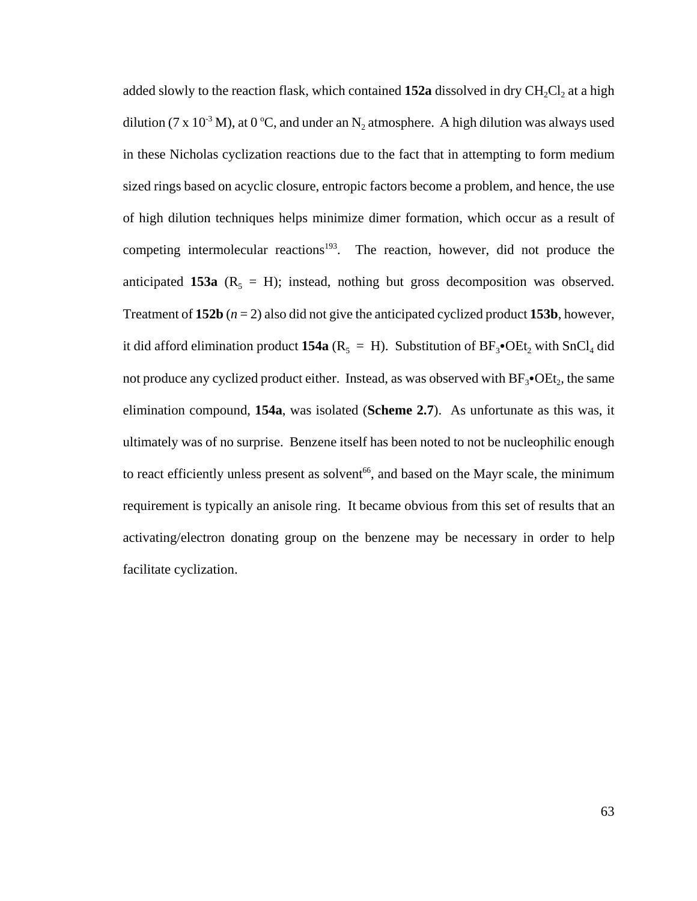added slowly to the reaction flask, which contained  $152a$  dissolved in dry  $CH_2Cl_2$  at a high dilution (7 x 10<sup>-3</sup> M), at 0 °C, and under an N<sub>2</sub> atmosphere. A high dilution was always used in these Nicholas cyclization reactions due to the fact that in attempting to form medium sized rings based on acyclic closure, entropic factors become a problem, and hence, the use of high dilution techniques helps minimize dimer formation, which occur as a result of competing intermolecular reactions<sup>193</sup>. The reaction, however, did not produce the anticipated **153a** ( $R_5 = H$ ); instead, nothing but gross decomposition was observed. Treatment of  $152b$   $(n = 2)$  also did not give the anticipated cyclized product  $153b$ , however, it did afford elimination product **154a** ( $R_5 = H$ ). Substitution of  $BF_3$ •OEt, with SnCl<sub>4</sub> did not produce any cyclized product either. Instead, as was observed with  $BF_3\bullet OEt_2$ , the same elimination compound, **154a**, was isolated (**Scheme 2.7**). As unfortunate as this was, it ultimately was of no surprise. Benzene itself has been noted to not be nucleophilic enough to react efficiently unless present as solvent<sup>66</sup>, and based on the Mayr scale, the minimum requirement is typically an anisole ring. It became obvious from this set of results that an activating/electron donating group on the benzene may be necessary in order to help facilitate cyclization.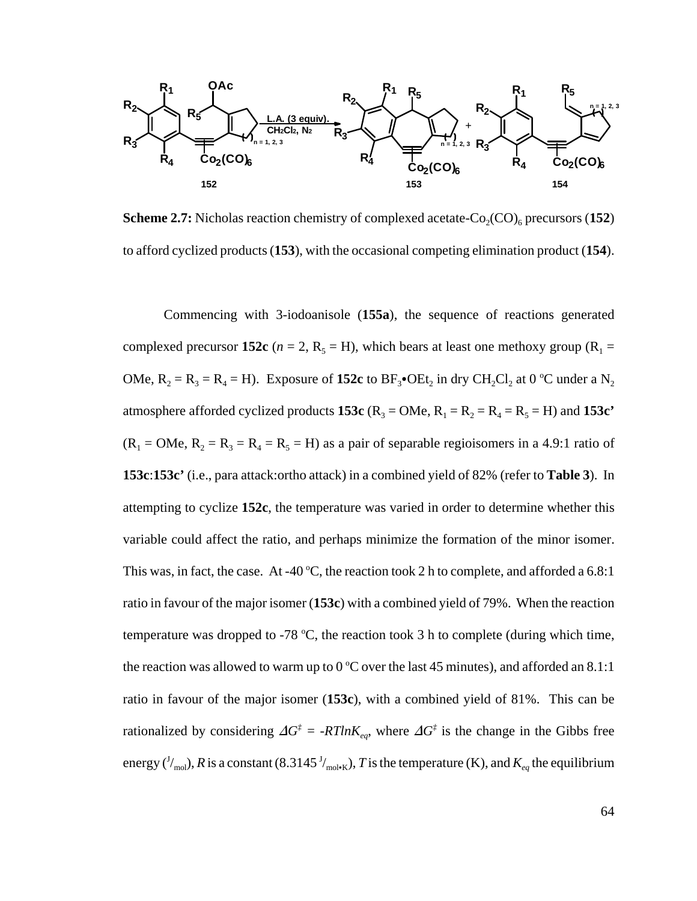

**Scheme 2.7:** Nicholas reaction chemistry of complexed acetate- $Co_2(CO)$ <sub>6</sub> precursors (152) to afford cyclized products (**153**), with the occasional competing elimination product (**154**).

Commencing with 3-iodoanisole (**155a**), the sequence of reactions generated complexed precursor **152c** ( $n = 2$ ,  $R_5 = H$ ), which bears at least one methoxy group ( $R_1 =$ OMe,  $R_2 = R_3 = R_4 = H$ ). Exposure of 152c to  $BF_3$ •OEt<sub>2</sub> in dry CH<sub>2</sub>Cl<sub>2</sub> at 0 °C under a N<sub>2</sub> atmosphere afforded cyclized products **153c** ( $R_3 = OMe$ ,  $R_1 = R_2 = R_4 = R_5 = H$ ) and **153c'**  $(R_1 = OMe, R_2 = R_3 = R_4 = R_5 = H)$  as a pair of separable regioisomers in a 4.9:1 ratio of **153c**:**153c'** (i.e., para attack:ortho attack) in a combined yield of 82% (refer to **Table 3**). In attempting to cyclize **152c**, the temperature was varied in order to determine whether this variable could affect the ratio, and perhaps minimize the formation of the minor isomer. This was, in fact, the case. At -40 °C, the reaction took 2 h to complete, and afforded a 6.8:1 ratio in favour of the major isomer (**153c**) with a combined yield of 79%. When the reaction temperature was dropped to -78  $\degree$ C, the reaction took 3 h to complete (during which time, the reaction was allowed to warm up to  $0^{\circ}$ C over the last 45 minutes), and afforded an 8.1:1 ratio in favour of the major isomer (**153c**), with a combined yield of 81%. This can be rationalized by considering  $\Delta G^{\dagger} = -RTlnK_{eq}$ , where  $\Delta G^{\dagger}$  is the change in the Gibbs free energy ( $^J/_{\rm mol}$ ),  $R$  is a constant (8.3145  $^J/_{\rm mol\cdot K}$ ),  $T$  is the temperature (K), and  $K_{eq}$  the equilibrium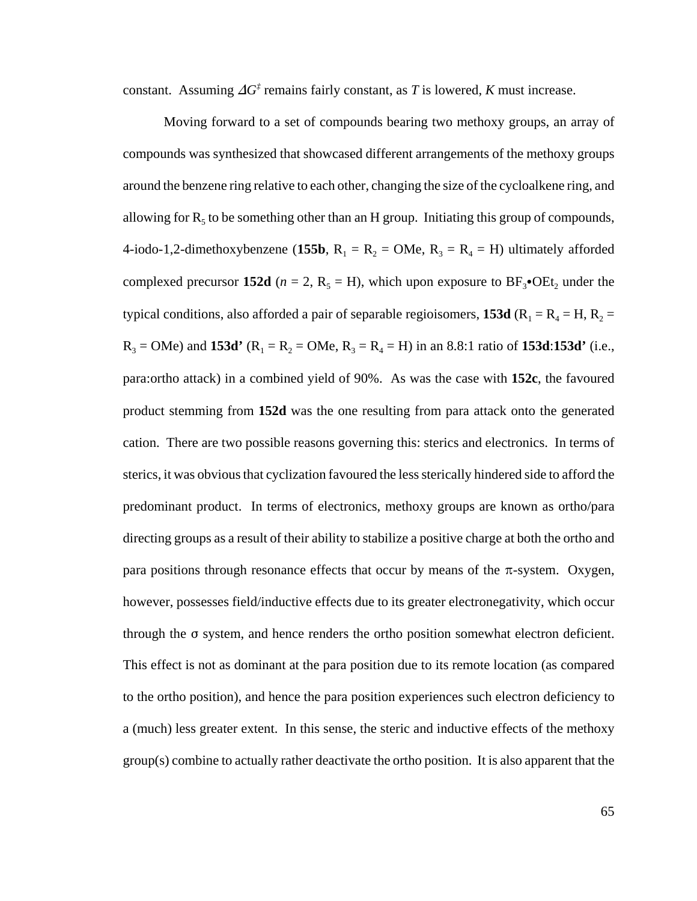constant. Assuming  $\Delta G^{\dagger}$  remains fairly constant, as *T* is lowered, *K* must increase.

Moving forward to a set of compounds bearing two methoxy groups, an array of compounds was synthesized that showcased different arrangements of the methoxy groups around the benzene ring relative to each other, changing the size of the cycloalkene ring, and allowing for  $R_5$  to be something other than an H group. Initiating this group of compounds, 4-iodo-1,2-dimethoxybenzene (155b,  $R_1 = R_2 = OMe$ ,  $R_3 = R_4 = H$ ) ultimately afforded complexed precursor **152d** ( $n = 2$ , R<sub>5</sub> = H), which upon exposure to BF<sub>3</sub>•OEt<sub>2</sub> under the typical conditions, also afforded a pair of separable regioisomers, **153d** ( $R_1 = R_4 = H$ ,  $R_2 = H$  $R_3 = OMe$ ) and **153d'** ( $R_1 = R_2 = OMe$ ,  $R_3 = R_4 = H$ ) in an 8.8:1 ratio of **153d:153d'** (i.e., para:ortho attack) in a combined yield of 90%. As was the case with **152c**, the favoured product stemming from **152d** was the one resulting from para attack onto the generated cation. There are two possible reasons governing this: sterics and electronics. In terms of sterics, it was obvious that cyclization favoured the less sterically hindered side to afford the predominant product. In terms of electronics, methoxy groups are known as ortho/para directing groups as a result of their ability to stabilize a positive charge at both the ortho and para positions through resonance effects that occur by means of the  $\pi$ -system. Oxygen, however, possesses field/inductive effects due to its greater electronegativity, which occur through the  $\sigma$  system, and hence renders the ortho position somewhat electron deficient. This effect is not as dominant at the para position due to its remote location (as compared to the ortho position), and hence the para position experiences such electron deficiency to a (much) less greater extent. In this sense, the steric and inductive effects of the methoxy group(s) combine to actually rather deactivate the ortho position. It is also apparent that the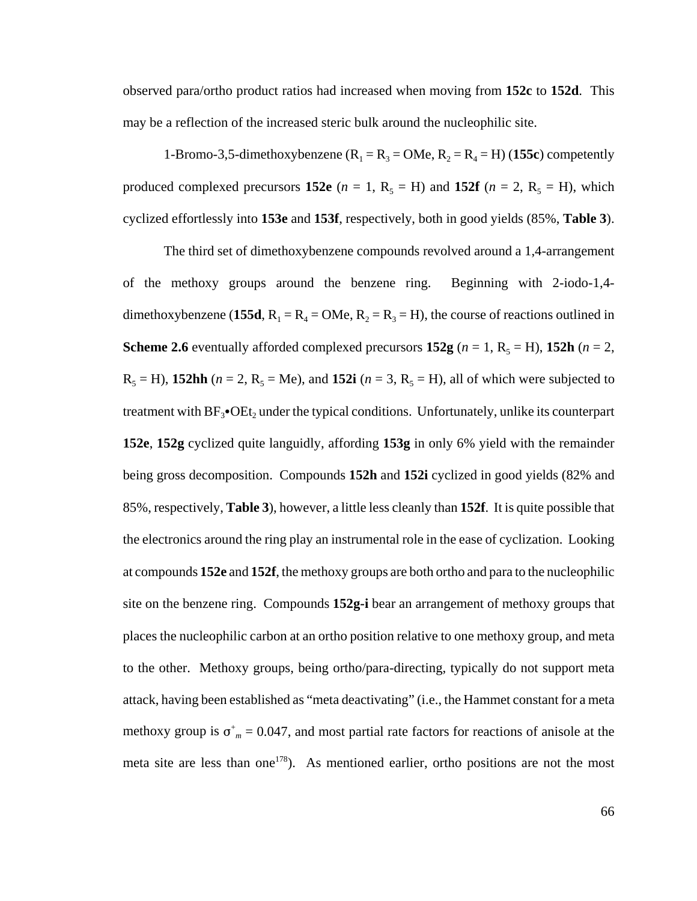observed para/ortho product ratios had increased when moving from **152c** to **152d**. This may be a reflection of the increased steric bulk around the nucleophilic site.

1-Bromo-3,5-dimethoxybenzene ( $R_1 = R_3 = OMe$ ,  $R_2 = R_4 = H$ ) (155c) competently produced complexed precursors **152e**  $(n = 1, R_5 = H)$  and **152f**  $(n = 2, R_5 = H)$ , which cyclized effortlessly into **153e** and **153f**, respectively, both in good yields (85%, **Table 3**).

The third set of dimethoxybenzene compounds revolved around a 1,4-arrangement of the methoxy groups around the benzene ring. Beginning with 2-iodo-1,4 dimethoxybenzene (155d,  $R_1 = R_4 = OMe$ ,  $R_2 = R_3 = H$ ), the course of reactions outlined in **Scheme 2.6** eventually afforded complexed precursors  $152g$  ( $n = 1$ ,  $R_5 = H$ ),  $152h$  ( $n = 2$ ,  $R_5 = H$ ), **152hh** ( $n = 2$ ,  $R_5 = Me$ ), and **152i** ( $n = 3$ ,  $R_5 = H$ ), all of which were subjected to treatment with  $BF_3\bullet$ OEt<sub>2</sub> under the typical conditions. Unfortunately, unlike its counterpart **152e**, **152g** cyclized quite languidly, affording **153g** in only 6% yield with the remainder being gross decomposition. Compounds **152h** and **152i** cyclized in good yields (82% and 85%, respectively, **Table 3**), however, a little less cleanly than **152f**. It is quite possible that the electronics around the ring play an instrumental role in the ease of cyclization. Looking at compounds **152e** and **152f**, the methoxy groups are both ortho and para to the nucleophilic site on the benzene ring. Compounds **152g-i** bear an arrangement of methoxy groups that places the nucleophilic carbon at an ortho position relative to one methoxy group, and meta to the other. Methoxy groups, being ortho/para-directing, typically do not support meta attack, having been established as "meta deactivating" (i.e., the Hammet constant for a meta methoxy group is  $\sigma_{m}^{+} = 0.047$ , and most partial rate factors for reactions of anisole at the meta site are less than one<sup>178</sup>). As mentioned earlier, ortho positions are not the most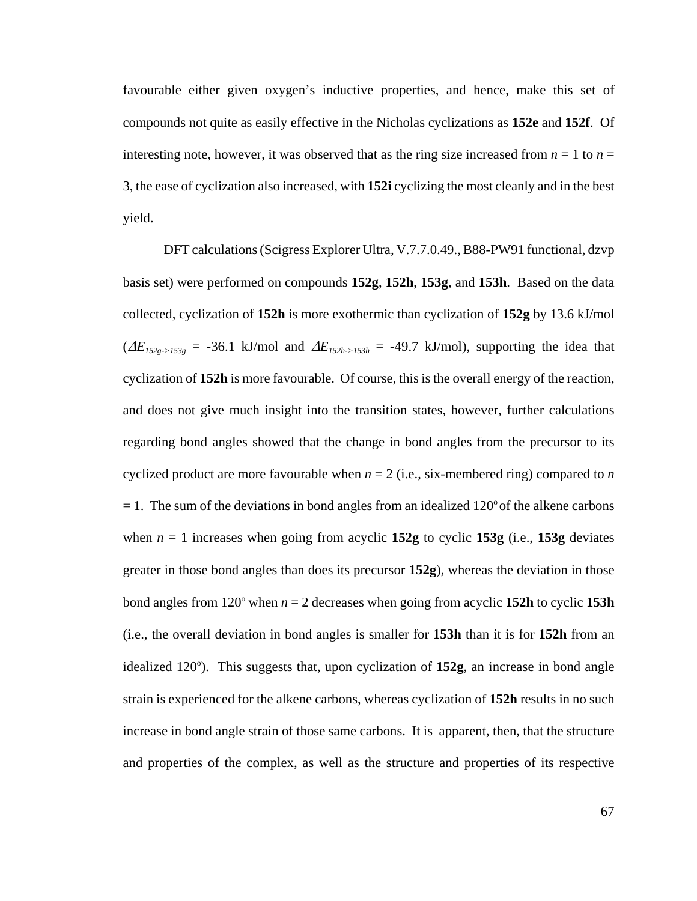favourable either given oxygen's inductive properties, and hence, make this set of compounds not quite as easily effective in the Nicholas cyclizations as **152e** and **152f**. Of interesting note, however, it was observed that as the ring size increased from  $n = 1$  to  $n =$ 3, the ease of cyclization also increased, with **152i** cyclizing the most cleanly and in the best yield.

DFT calculations (Scigress Explorer Ultra, V.7.7.0.49., B88-PW91 functional, dzvp basis set) were performed on compounds **152g**, **152h**, **153g**, and **153h**. Based on the data collected, cyclization of **152h** is more exothermic than cyclization of **152g** by 13.6 kJ/mol  $(\Delta E_{152g\rightarrow153g}$  = -36.1 kJ/mol and  $\Delta E_{152h\rightarrow153h}$  = -49.7 kJ/mol), supporting the idea that cyclization of **152h** is more favourable. Of course, this is the overall energy of the reaction, and does not give much insight into the transition states, however, further calculations regarding bond angles showed that the change in bond angles from the precursor to its cyclized product are more favourable when  $n = 2$  (i.e., six-membered ring) compared to *n*  $= 1$ . The sum of the deviations in bond angles from an idealized 120 $^{\circ}$  of the alkene carbons when  $n = 1$  increases when going from acyclic 152g to cyclic 153g (i.e., 153g deviates greater in those bond angles than does its precursor **152g**), whereas the deviation in those bond angles from  $120^{\circ}$  when  $n = 2$  decreases when going from acyclic **152h** to cyclic **153h** (i.e., the overall deviation in bond angles is smaller for **153h** than it is for **152h** from an idealized 120°). This suggests that, upon cyclization of 152g, an increase in bond angle strain is experienced for the alkene carbons, whereas cyclization of **152h** results in no such increase in bond angle strain of those same carbons. It is apparent, then, that the structure and properties of the complex, as well as the structure and properties of its respective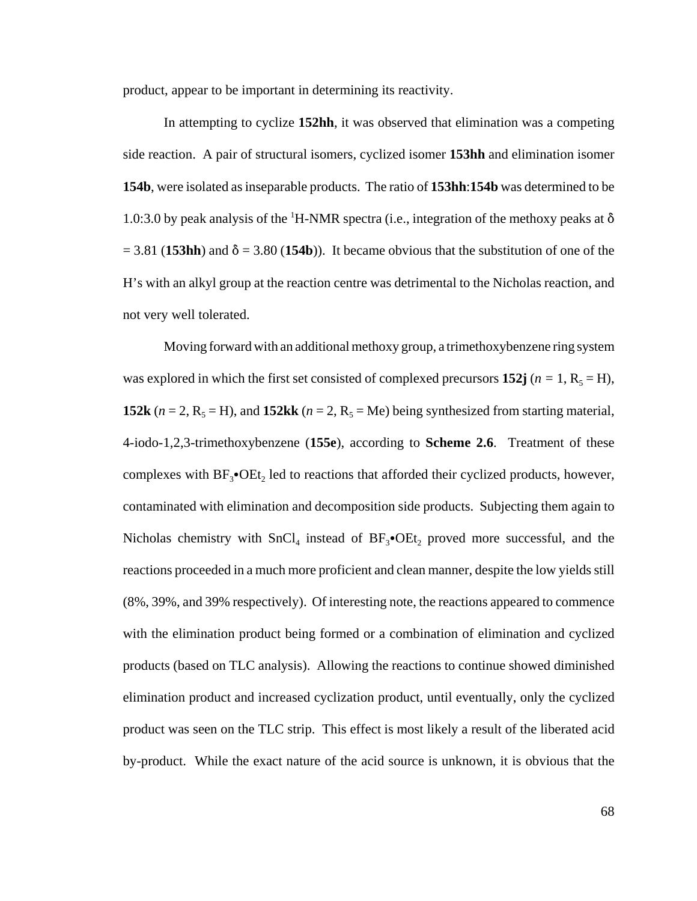product, appear to be important in determining its reactivity.

In attempting to cyclize **152hh**, it was observed that elimination was a competing side reaction. A pair of structural isomers, cyclized isomer **153hh** and elimination isomer **154b**, were isolated as inseparable products. The ratio of **153hh**:**154b** was determined to be 1.0:3.0 by peak analysis of the <sup>1</sup>H-NMR spectra (i.e., integration of the methoxy peaks at  $\delta$  $= 3.81$  (**153hh**) and  $\delta = 3.80$  (**154b**)). It became obvious that the substitution of one of the H's with an alkyl group at the reaction centre was detrimental to the Nicholas reaction, and not very well tolerated.

Moving forward with an additional methoxy group, a trimethoxybenzene ring system was explored in which the first set consisted of complexed precursors **152j** ( $n = 1$ ,  $R_5 = H$ ), **152k** ( $n = 2$ ,  $R_5 = H$ ), and **152kk** ( $n = 2$ ,  $R_5 = Me$ ) being synthesized from starting material, 4-iodo-1,2,3-trimethoxybenzene (**155e**), according to **Scheme 2.6**. Treatment of these complexes with  $BF_3$ • $OEt_2$  led to reactions that afforded their cyclized products, however, contaminated with elimination and decomposition side products. Subjecting them again to Nicholas chemistry with  $SnCl<sub>4</sub>$  instead of  $BF<sub>3</sub>•OE<sub>4</sub>$  proved more successful, and the reactions proceeded in a much more proficient and clean manner, despite the low yields still (8%, 39%, and 39% respectively). Of interesting note, the reactions appeared to commence with the elimination product being formed or a combination of elimination and cyclized products (based on TLC analysis). Allowing the reactions to continue showed diminished elimination product and increased cyclization product, until eventually, only the cyclized product was seen on the TLC strip. This effect is most likely a result of the liberated acid by-product. While the exact nature of the acid source is unknown, it is obvious that the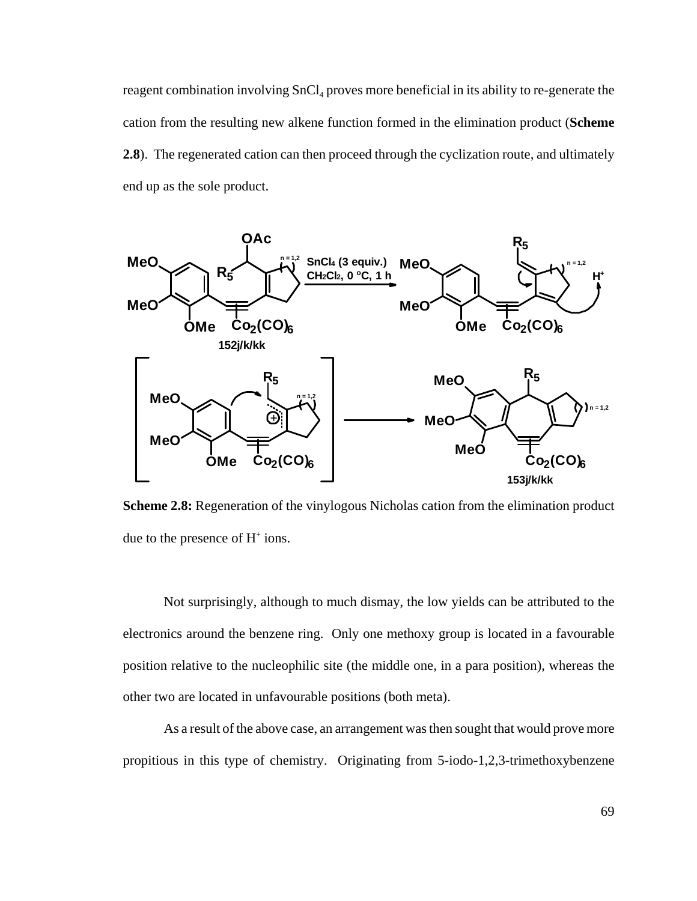reagent combination involving  $SnCl<sub>4</sub>$  proves more beneficial in its ability to re-generate the cation from the resulting new alkene function formed in the elimination product (**Scheme 2.8**). The regenerated cation can then proceed through the cyclization route, and ultimately end up as the sole product.



**Scheme 2.8:** Regeneration of the vinylogous Nicholas cation from the elimination product due to the presence of  $H^+$  ions.

Not surprisingly, although to much dismay, the low yields can be attributed to the electronics around the benzene ring. Only one methoxy group is located in a favourable position relative to the nucleophilic site (the middle one, in a para position), whereas the other two are located in unfavourable positions (both meta).

As a result of the above case, an arrangement was then sought that would prove more propitious in this type of chemistry. Originating from 5-iodo-1,2,3-trimethoxybenzene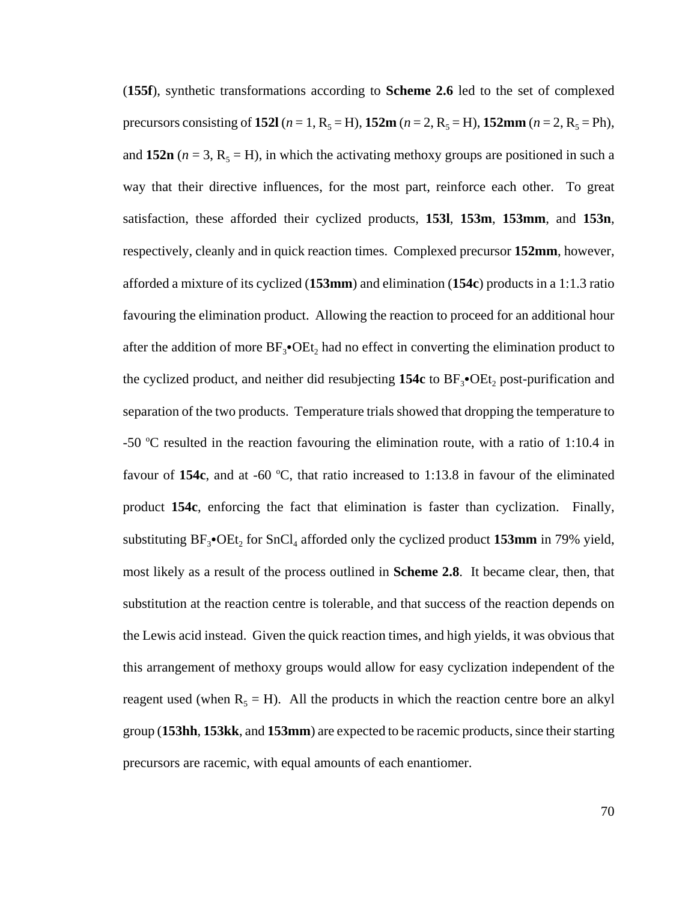(**155f**), synthetic transformations according to **Scheme 2.6** led to the set of complexed precursors consisting of **152l** ( $n = 1$ ,  $R_5 = H$ ), **152m** ( $n = 2$ ,  $R_5 = H$ ), **152mm** ( $n = 2$ ,  $R_5 = Ph$ ), and 152n ( $n = 3$ ,  $R_5 = H$ ), in which the activating methoxy groups are positioned in such a way that their directive influences, for the most part, reinforce each other. To great satisfaction, these afforded their cyclized products, **153l**, **153m**, **153mm**, and **153n**, respectively, cleanly and in quick reaction times. Complexed precursor **152mm**, however, afforded a mixture of its cyclized (**153mm**) and elimination (**154c**) products in a 1:1.3 ratio favouring the elimination product. Allowing the reaction to proceed for an additional hour after the addition of more  $BF_3\bullet OEt_2$  had no effect in converting the elimination product to the cyclized product, and neither did resubjecting  $154c$  to  $BF_3$ <sup>o</sup>OEt<sub>2</sub> post-purification and separation of the two products. Temperature trials showed that dropping the temperature to -50 °C resulted in the reaction favouring the elimination route, with a ratio of 1:10.4 in favour of  $154c$ , and at -60 °C, that ratio increased to 1:13.8 in favour of the eliminated product **154c**, enforcing the fact that elimination is faster than cyclization. Finally, substituting  $BF_3$ • $OEt_2$  for  $SnCl_4$  afforded only the cyclized product **153mm** in 79% yield, most likely as a result of the process outlined in **Scheme 2.8**. It became clear, then, that substitution at the reaction centre is tolerable, and that success of the reaction depends on the Lewis acid instead. Given the quick reaction times, and high yields, it was obvious that this arrangement of methoxy groups would allow for easy cyclization independent of the reagent used (when  $R_5 = H$ ). All the products in which the reaction centre bore an alkyl group (**153hh**, **153kk**, and **153mm**) are expected to be racemic products, since their starting precursors are racemic, with equal amounts of each enantiomer.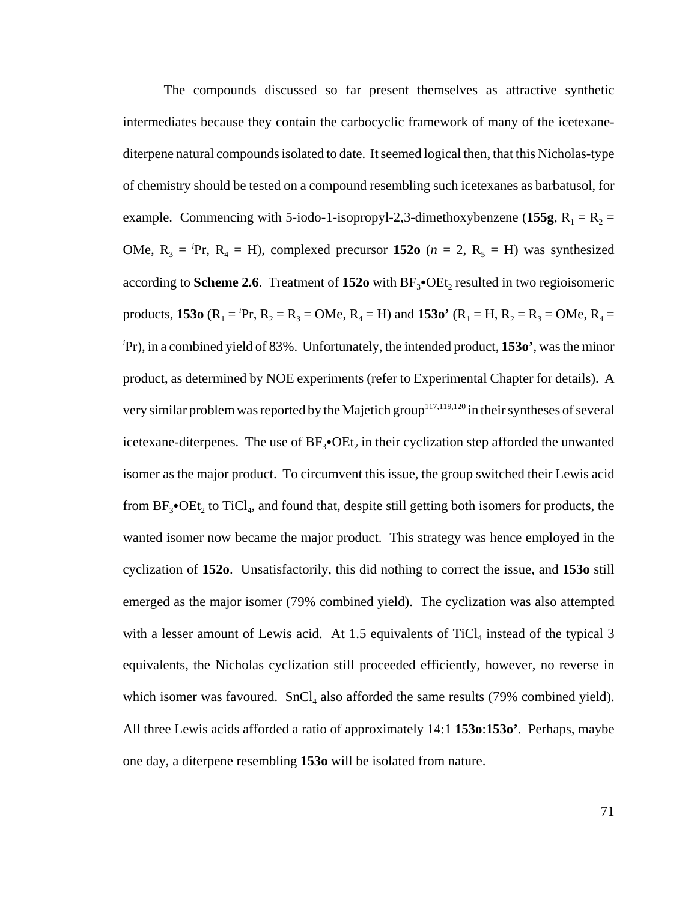The compounds discussed so far present themselves as attractive synthetic intermediates because they contain the carbocyclic framework of many of the icetexanediterpene natural compounds isolated to date. It seemed logical then, that this Nicholas-type of chemistry should be tested on a compound resembling such icetexanes as barbatusol, for example. Commencing with 5-iodo-1-isopropyl-2,3-dimethoxybenzene (155g,  $R_1 = R_2$  = OMe,  $R_3 = P$ r,  $R_4 = H$ ), complexed precursor 152o ( $n = 2$ ,  $R_5 = H$ ) was synthesized according to **Scheme 2.6**. Treatment of 152o with BF<sub>3</sub>•OEt<sub>2</sub> resulted in two regioisomeric products, **153o** ( $R_1 = P$ r,  $R_2 = R_3 = OMe$ ,  $R_4 = H$ ) and **153o**<sup> $\bullet$ </sup> ( $R_1 = H$ ,  $R_2 = R_3 = OMe$ ,  $R_4 = O$ *i* Pr), in a combined yield of 83%. Unfortunately, the intended product, **153o'**, was the minor product, as determined by NOE experiments (refer to Experimental Chapter for details). A very similar problem was reported by the Majetich group<sup>117,119,120</sup> in their syntheses of several icetexane-diterpenes. The use of  $BF_3\bullet$ OEt, in their cyclization step afforded the unwanted isomer as the major product. To circumvent this issue, the group switched their Lewis acid from  $BF_3\bullet OEt_2$  to TiCl<sub>4</sub>, and found that, despite still getting both isomers for products, the wanted isomer now became the major product. This strategy was hence employed in the cyclization of **152o**. Unsatisfactorily, this did nothing to correct the issue, and **153o** still emerged as the major isomer (79% combined yield). The cyclization was also attempted with a lesser amount of Lewis acid. At 1.5 equivalents of  $TiCl<sub>4</sub>$  instead of the typical 3 equivalents, the Nicholas cyclization still proceeded efficiently, however, no reverse in which isomer was favoured.  $SnCl<sub>4</sub>$  also afforded the same results (79% combined yield). All three Lewis acids afforded a ratio of approximately 14:1 **153o**:**153o'**. Perhaps, maybe one day, a diterpene resembling **153o** will be isolated from nature.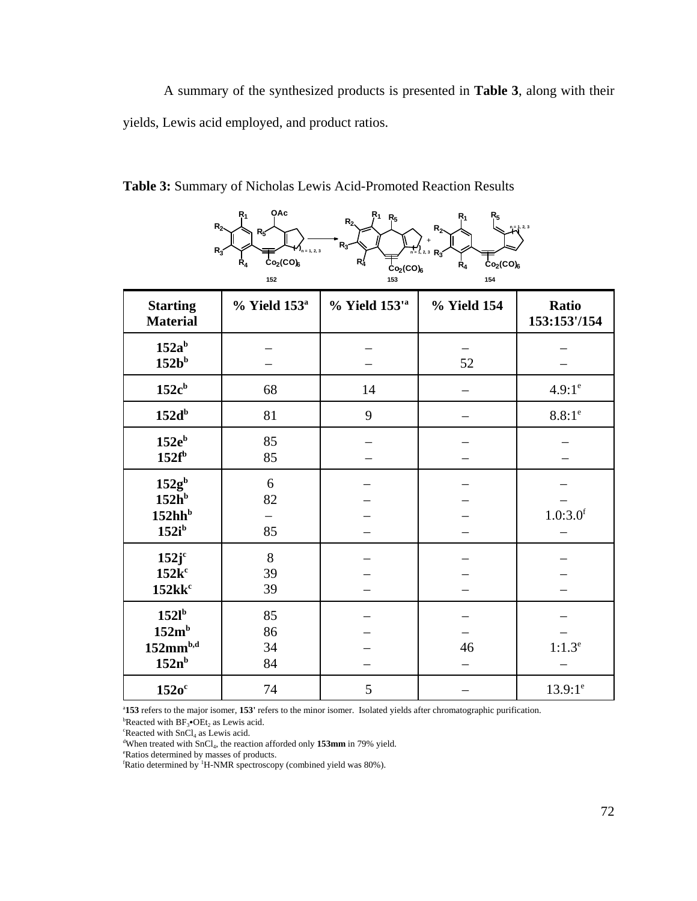A summary of the synthesized products is presented in **Table 3**, along with their yields, Lewis acid employed, and product ratios.



|                                                                 | 152                  | $21 - 70$<br>153              | 154         |                       |
|-----------------------------------------------------------------|----------------------|-------------------------------|-------------|-----------------------|
| <b>Starting</b><br><b>Material</b>                              | $%$ Yield $153^a$    | $%$ Yield $153'$ <sup>a</sup> | % Yield 154 | Ratio<br>153:153'/154 |
| $152a^b$<br>$152b^b$                                            |                      |                               | 52          |                       |
| $152c^b$                                                        | 68                   | 14                            |             | $4.9:1^e$             |
| 152d <sup>b</sup>                                               | 81                   | 9                             |             | $8.8:1^e$             |
| $152e^b$<br>$152f^b$                                            | 85<br>85             |                               |             |                       |
| $152g^b$<br>152h <sup>b</sup><br>152hh <sup>b</sup><br>$152i^b$ | 6<br>82<br>85        |                               |             | 1.0:3.0 <sup>f</sup>  |
| 152j <sup>c</sup><br>$152k^c$<br>$152$ k $kc$                   | $8\,$<br>39<br>39    |                               |             |                       |
| $152l^b$<br>152m <sup>b</sup><br>$152mm^{b,d}$<br>$152n^b$      | 85<br>86<br>34<br>84 |                               | 46          | $1:1.3^e$             |
| $152o^c$                                                        | 74                   | 5                             |             | $13.9:1^e$            |

**Table 3:** Summary of Nicholas Lewis Acid-Promoted Reaction Results

a **153** refers to the major isomer, **153'** refers to the minor isomer. Isolated yields after chromatographic purification.

**Executed with BF<sub>3</sub>•OEt<sub>2</sub>** as Lewis acid.

 ${}^{\rm c}$ Reacted with SnCl<sub>4</sub> as Lewis acid. <sup>d</sup>When treated with SnCl<sub>4</sub>, the reaction afforded only 153mm in 79% yield.

Ratios determined by masses of products.

 ${}^{\text{f}}$ Ratio determined by <sup>1</sup>H-NMR spectroscopy (combined yield was 80%).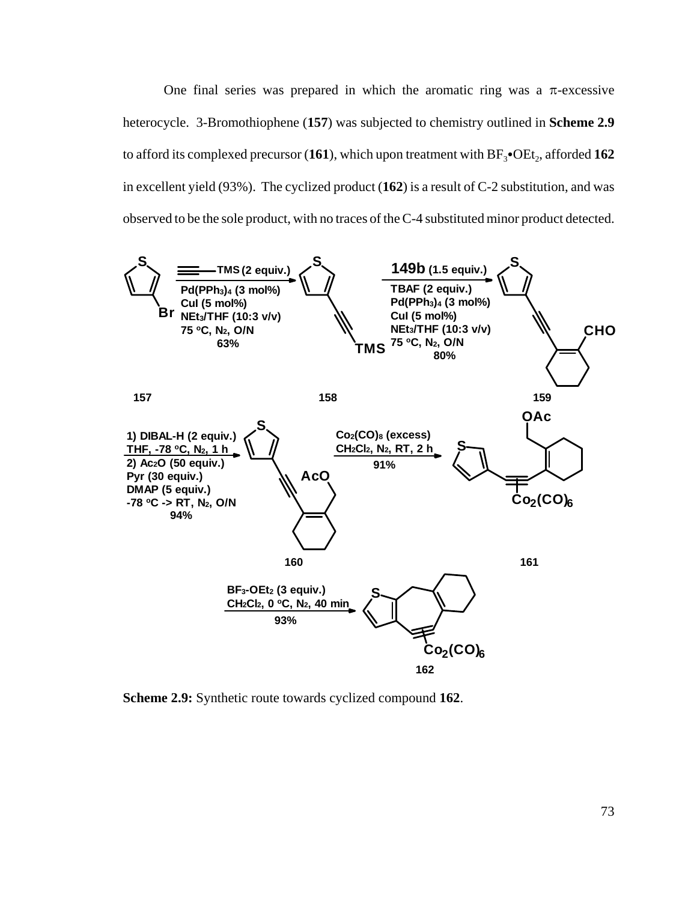One final series was prepared in which the aromatic ring was a  $\pi$ -excessive heterocycle. 3-Bromothiophene (**157**) was subjected to chemistry outlined in **Scheme 2.9** to afford its complexed precursor  $(161)$ , which upon treatment with  $BF_3\bullet$ OEt<sub>2</sub>, afforded **162** in excellent yield (93%). The cyclized product (**162**) is a result of C-2 substitution, and was observed to be the sole product, with no traces of the C-4 substituted minor product detected.



**Scheme 2.9:** Synthetic route towards cyclized compound **162**.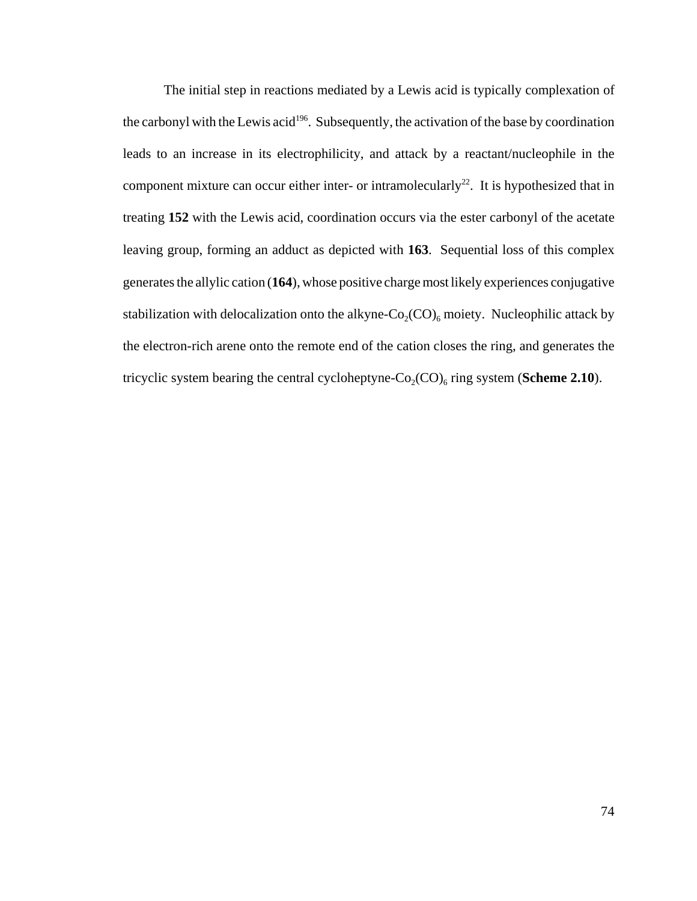The initial step in reactions mediated by a Lewis acid is typically complexation of the carbonyl with the Lewis acid<sup>196</sup>. Subsequently, the activation of the base by coordination leads to an increase in its electrophilicity, and attack by a reactant/nucleophile in the component mixture can occur either inter- or intramolecularly<sup>22</sup>. It is hypothesized that in treating **152** with the Lewis acid, coordination occurs via the ester carbonyl of the acetate leaving group, forming an adduct as depicted with **163**. Sequential loss of this complex generates the allylic cation (**164**), whose positive charge most likely experiences conjugative stabilization with delocalization onto the alkyne- $Co_2(CO)_6$  moiety. Nucleophilic attack by the electron-rich arene onto the remote end of the cation closes the ring, and generates the tricyclic system bearing the central cycloheptyne- $Co_2(CO)_6$  ring system (**Scheme 2.10**).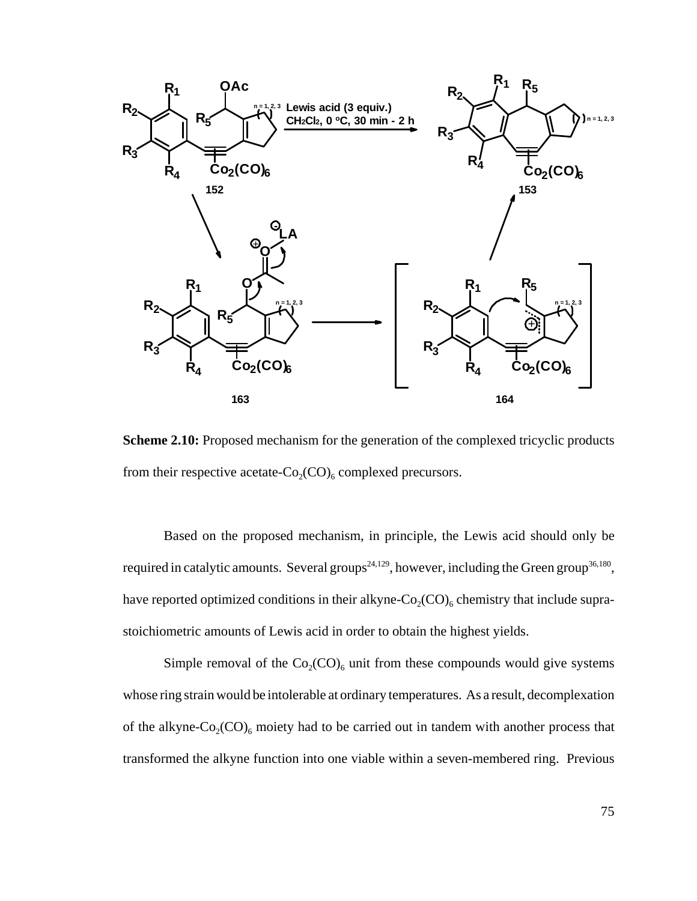

**Scheme 2.10:** Proposed mechanism for the generation of the complexed tricyclic products from their respective acetate- $Co_2(CO)_6$  complexed precursors.

Based on the proposed mechanism, in principle, the Lewis acid should only be required in catalytic amounts. Several groups<sup>24,129</sup>, however, including the Green group<sup>36,180</sup>, have reported optimized conditions in their alkyne- $Co_2(CO)_6$  chemistry that include suprastoichiometric amounts of Lewis acid in order to obtain the highest yields.

Simple removal of the  $Co_2(CO)_6$  unit from these compounds would give systems whose ring strain would be intolerable at ordinary temperatures. As a result, decomplexation of the alkyne- $Co_2(CO)_6$  moiety had to be carried out in tandem with another process that transformed the alkyne function into one viable within a seven-membered ring. Previous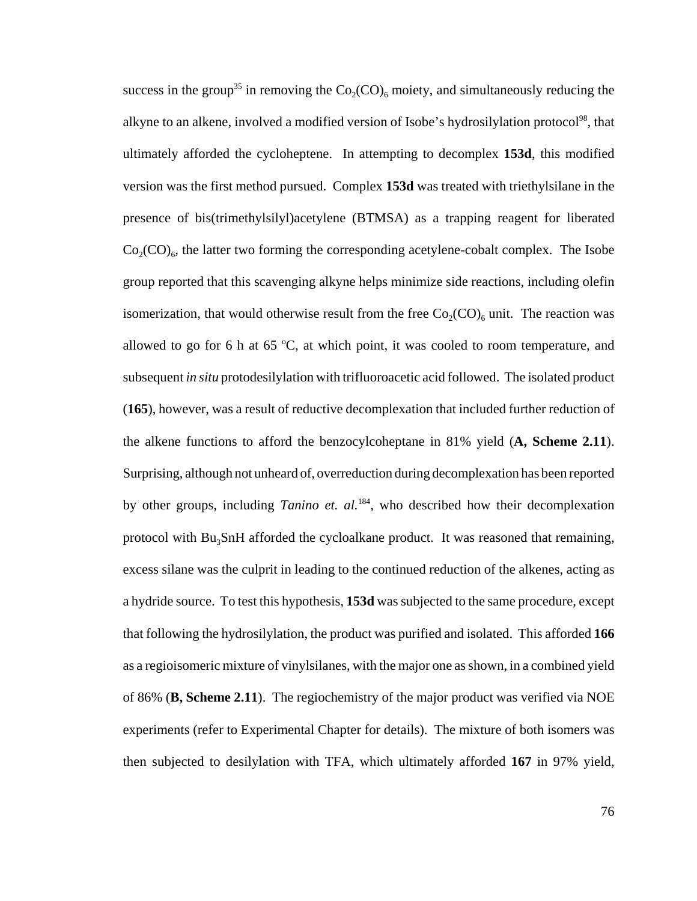success in the group<sup>35</sup> in removing the  $Co_2(CO)_{6}$  moiety, and simultaneously reducing the alkyne to an alkene, involved a modified version of Isobe's hydrosilylation protocol<sup>98</sup>, that ultimately afforded the cycloheptene. In attempting to decomplex **153d**, this modified version was the first method pursued. Complex **153d** was treated with triethylsilane in the presence of bis(trimethylsilyl)acetylene (BTMSA) as a trapping reagent for liberated  $Co_2(CO)_6$ , the latter two forming the corresponding acetylene-cobalt complex. The Isobe group reported that this scavenging alkyne helps minimize side reactions, including olefin isomerization, that would otherwise result from the free  $Co_2(CO)_6$  unit. The reaction was allowed to go for 6 h at 65  $°C$ , at which point, it was cooled to room temperature, and subsequent *in situ* protodesilylation with trifluoroacetic acid followed. The isolated product (**165**), however, was a result of reductive decomplexation that included further reduction of the alkene functions to afford the benzocylcoheptane in 81% yield (**A, Scheme 2.11**). Surprising, although not unheard of, overreduction during decomplexation has been reported by other groups, including *Tanino et. al.*<sup>184</sup>, who described how their decomplexation protocol with Bu<sub>3</sub>SnH afforded the cycloalkane product. It was reasoned that remaining, excess silane was the culprit in leading to the continued reduction of the alkenes, acting as a hydride source. To test this hypothesis, **153d** was subjected to the same procedure, except that following the hydrosilylation, the product was purified and isolated. This afforded **166** as a regioisomeric mixture of vinylsilanes, with the major one as shown, in a combined yield of 86% (**B, Scheme 2.11**). The regiochemistry of the major product was verified via NOE experiments (refer to Experimental Chapter for details). The mixture of both isomers was then subjected to desilylation with TFA, which ultimately afforded **167** in 97% yield,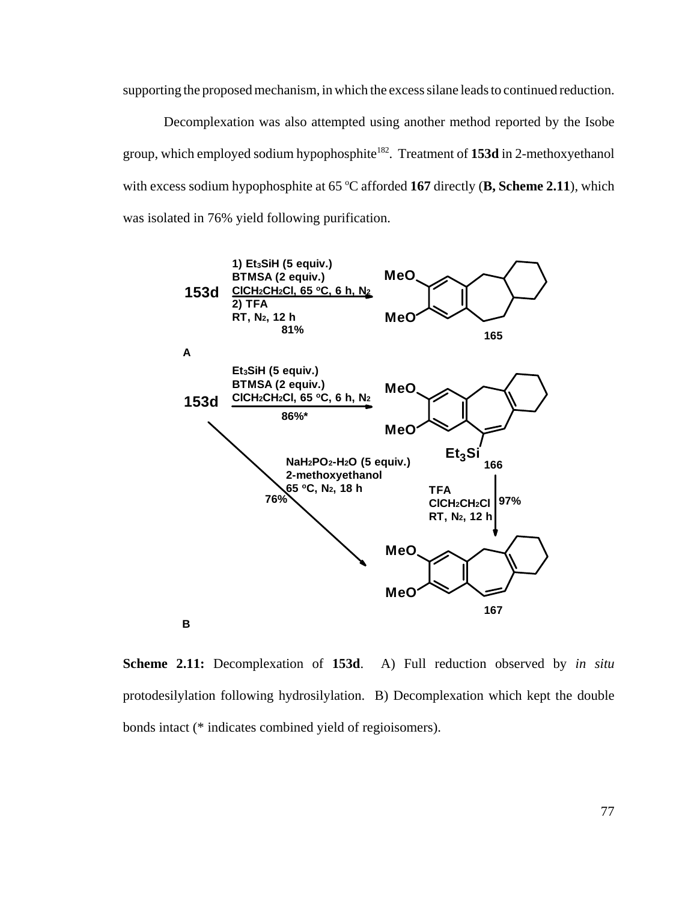supporting the proposed mechanism, in which the excess silane leads to continued reduction.

Decomplexation was also attempted using another method reported by the Isobe group, which employed sodium hypophosphite182. Treatment of **153d** in 2-methoxyethanol with excess sodium hypophosphite at 65 °C afforded 167 directly (B, Scheme 2.11), which was isolated in 76% yield following purification.



**Scheme 2.11:** Decomplexation of **153d**. A) Full reduction observed by *in situ* protodesilylation following hydrosilylation. B) Decomplexation which kept the double bonds intact (\* indicates combined yield of regioisomers).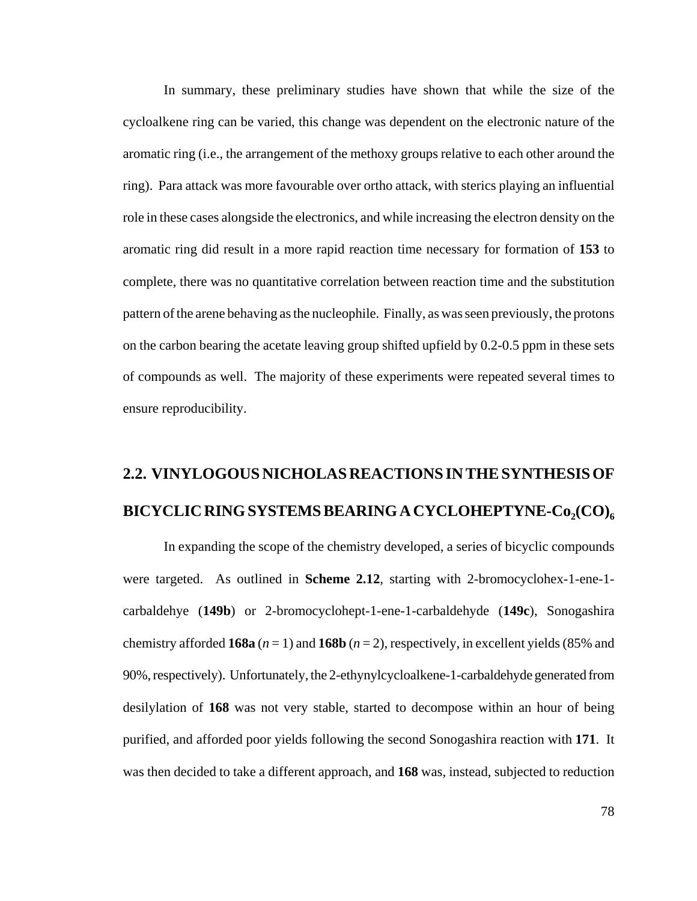In summary, these preliminary studies have shown that while the size of the cycloalkene ring can be varied, this change was dependent on the electronic nature of the aromatic ring (i.e., the arrangement of the methoxy groups relative to each other around the ring). Para attack was more favourable over ortho attack, with sterics playing an influential role in these cases alongside the electronics, and while increasing the electron density on the aromatic ring did result in a more rapid reaction time necessary for formation of **153** to complete, there was no quantitative correlation between reaction time and the substitution pattern of the arene behaving as the nucleophile. Finally, as was seen previously, the protons on the carbon bearing the acetate leaving group shifted upfield by 0.2-0.5 ppm in these sets of compounds as well. The majority of these experiments were repeated several times to ensure reproducibility.

## **2.2. VINYLOGOUS NICHOLAS REACTIONS IN THE SYNTHESIS OF** BICYCLIC RING SYSTEMS BEARING A CYCLOHEPTYNE-Co<sub>2</sub>(CO)<sub>6</sub>

In expanding the scope of the chemistry developed, a series of bicyclic compounds were targeted. As outlined in **Scheme 2.12**, starting with 2-bromocyclohex-1-ene-1 carbaldehye (**149b**) or 2-bromocyclohept-1-ene-1-carbaldehyde (**149c**), Sonogashira chemistry afforded **168a**  $(n = 1)$  and **168b**  $(n = 2)$ , respectively, in excellent yields (85% and 90%, respectively). Unfortunately, the 2-ethynylcycloalkene-1-carbaldehyde generated from desilylation of **168** was not very stable, started to decompose within an hour of being purified, and afforded poor yields following the second Sonogashira reaction with **171**. It was then decided to take a different approach, and **168** was, instead, subjected to reduction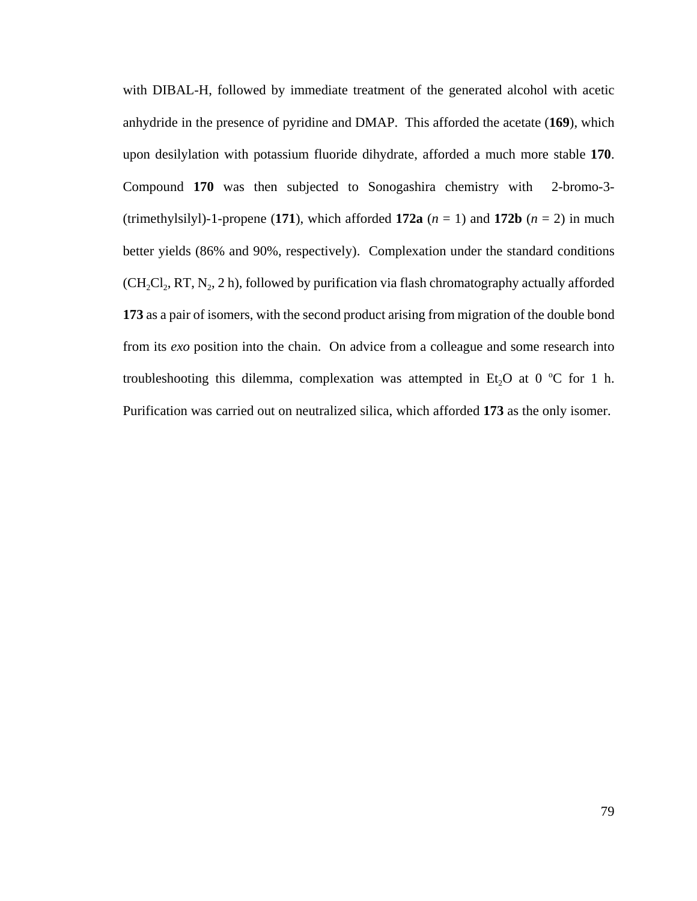with DIBAL-H, followed by immediate treatment of the generated alcohol with acetic anhydride in the presence of pyridine and DMAP. This afforded the acetate (**169**), which upon desilylation with potassium fluoride dihydrate, afforded a much more stable **170**. Compound **170** was then subjected to Sonogashira chemistry with 2-bromo-3- (trimethylsilyl)-1-propene (171), which afforded 172a  $(n = 1)$  and 172b  $(n = 2)$  in much better yields (86% and 90%, respectively). Complexation under the standard conditions  $(CH_2Cl_2, RT, N<sub>2</sub>, 2 h)$ , followed by purification via flash chromatography actually afforded **173** as a pair of isomers, with the second product arising from migration of the double bond from its *exo* position into the chain. On advice from a colleague and some research into troubleshooting this dilemma, complexation was attempted in Et<sub>2</sub>O at 0 °C for 1 h. Purification was carried out on neutralized silica, which afforded **173** as the only isomer.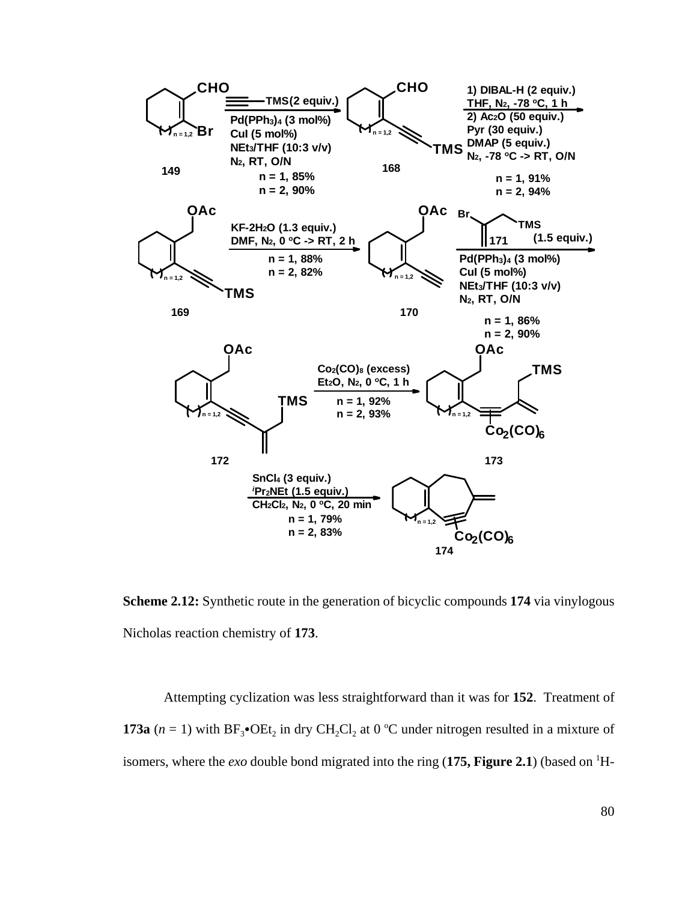

**Scheme 2.12:** Synthetic route in the generation of bicyclic compounds **174** via vinylogous Nicholas reaction chemistry of **173**.

Attempting cyclization was less straightforward than it was for **152**. Treatment of **173a**  $(n = 1)$  with  $BF_3$ • $OEt_2$  in dry  $CH_2Cl_2$  at 0 °C under nitrogen resulted in a mixture of isomers, where the *exo* double bond migrated into the ring (175, Figure 2.1) (based on <sup>1</sup>H-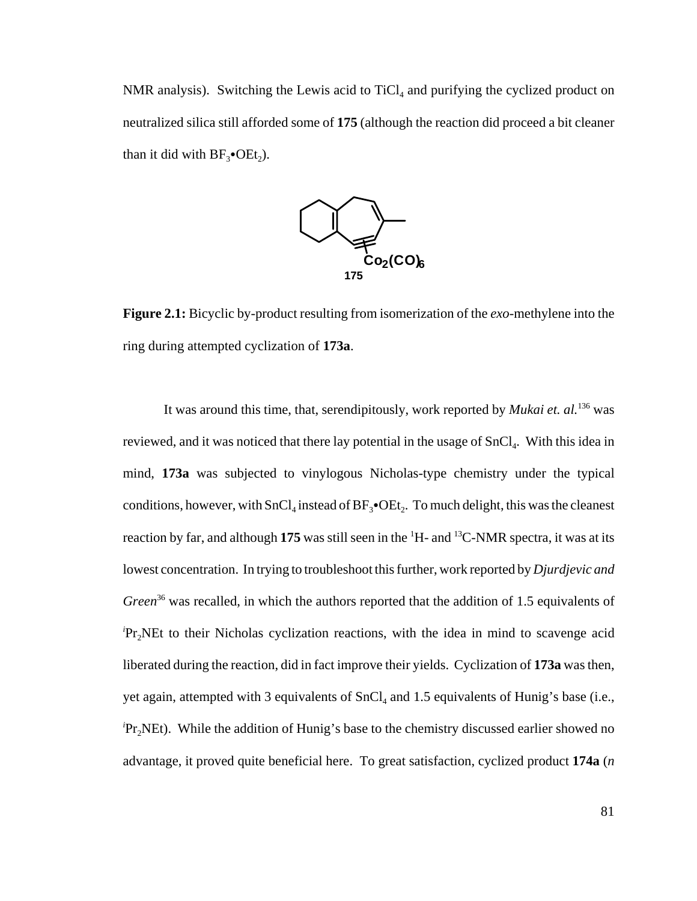NMR analysis). Switching the Lewis acid to  $TiCl<sub>4</sub>$  and purifying the cyclized product on neutralized silica still afforded some of **175** (although the reaction did proceed a bit cleaner than it did with  $BF_3$ •OEt<sub>2</sub>).



**Figure 2.1:** Bicyclic by-product resulting from isomerization of the *exo*-methylene into the ring during attempted cyclization of **173a**.

It was around this time, that, serendipitously, work reported by *Mukai et. al.*136 was reviewed, and it was noticed that there lay potential in the usage of  $SnCl<sub>4</sub>$ . With this idea in mind, **173a** was subjected to vinylogous Nicholas-type chemistry under the typical conditions, however, with  $SnCl<sub>4</sub>$  instead of  $BF<sub>3</sub>•OEt<sub>2</sub>$ . To much delight, this was the cleanest reaction by far, and although 175 was still seen in the <sup>1</sup>H- and <sup>13</sup>C-NMR spectra, it was at its lowest concentration. In trying to troubleshoot this further, work reported by *Djurdjevic and Green*<sup>36</sup> was recalled, in which the authors reported that the addition of 1.5 equivalents of <sup>*i*</sup>Pr<sub>2</sub>NEt to their Nicholas cyclization reactions, with the idea in mind to scavenge acid liberated during the reaction, did in fact improve their yields. Cyclization of **173a** was then, yet again, attempted with 3 equivalents of  $SnCl<sub>4</sub>$  and 1.5 equivalents of Hunig's base (i.e., <sup>*i*</sup>Pr<sub>2</sub>NEt). While the addition of Hunig's base to the chemistry discussed earlier showed no advantage, it proved quite beneficial here. To great satisfaction, cyclized product **174a** (*n*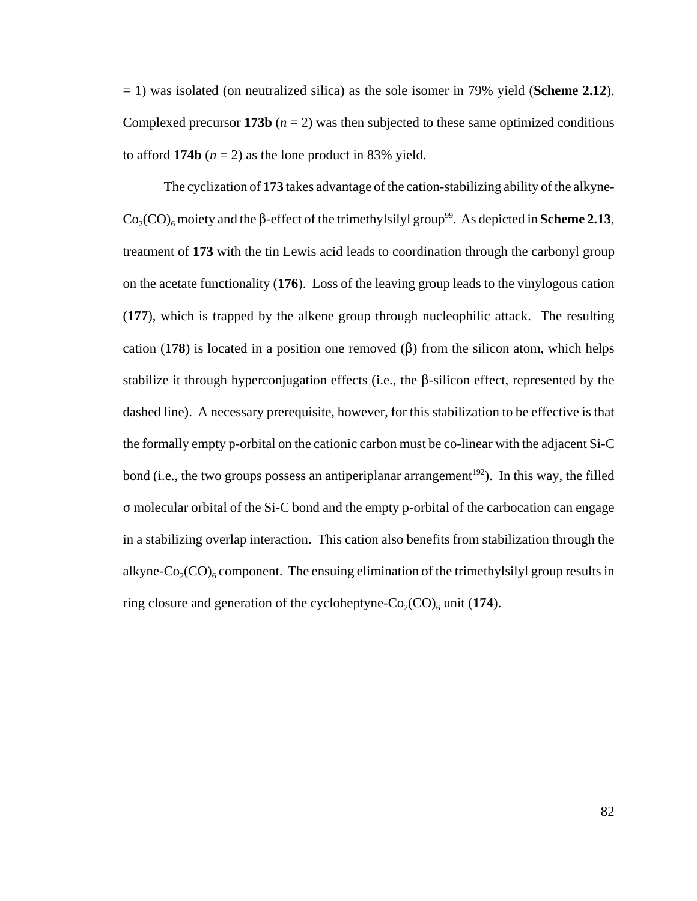= 1) was isolated (on neutralized silica) as the sole isomer in 79% yield (**Scheme 2.12**). Complexed precursor **173b** ( $n = 2$ ) was then subjected to these same optimized conditions to afford **174b**  $(n = 2)$  as the lone product in 83% yield.

The cyclization of **173** takes advantage of the cation-stabilizing ability of the alkyne- $\text{Co}_2(\text{CO})_6$  moiety and the  $\beta$ -effect of the trimethylsilyl group<sup>99</sup>. As depicted in **Scheme 2.13**, treatment of **173** with the tin Lewis acid leads to coordination through the carbonyl group on the acetate functionality (**176**). Loss of the leaving group leads to the vinylogous cation (**177**), which is trapped by the alkene group through nucleophilic attack. The resulting cation (178) is located in a position one removed  $(\beta)$  from the silicon atom, which helps stabilize it through hyperconjugation effects (i.e., the  $\beta$ -silicon effect, represented by the dashed line). A necessary prerequisite, however, for this stabilization to be effective is that the formally empty p-orbital on the cationic carbon must be co-linear with the adjacent Si-C bond (i.e., the two groups possess an antiperiplanar arrangement<sup>192</sup>). In this way, the filled  $\sigma$  molecular orbital of the Si-C bond and the empty p-orbital of the carbocation can engage in a stabilizing overlap interaction. This cation also benefits from stabilization through the alkyne- $Co_2(CO)$ <sub>6</sub> component. The ensuing elimination of the trimethylsilyl group results in ring closure and generation of the cycloheptyne- $Co_2(CO)_6$  unit (174).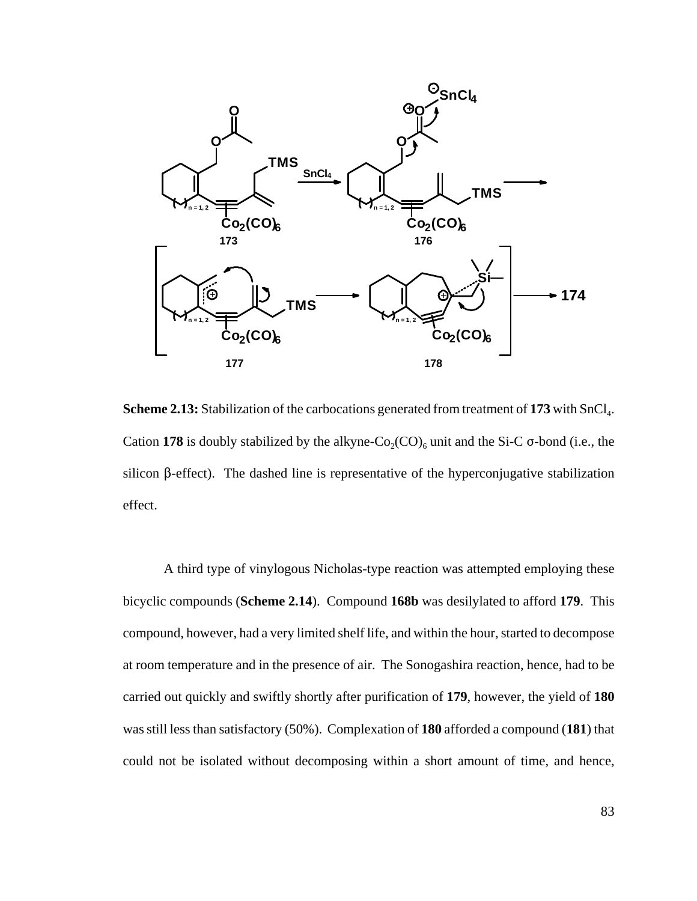

**Scheme 2.13:** Stabilization of the carbocations generated from treatment of 173 with SnCl<sub>4</sub>. Cation 178 is doubly stabilized by the alkyne- $Co_2(CO)_6$  unit and the Si-C  $\sigma$ -bond (i.e., the silicon  $\beta$ -effect). The dashed line is representative of the hyperconjugative stabilization effect.

A third type of vinylogous Nicholas-type reaction was attempted employing these bicyclic compounds (**Scheme 2.14**). Compound **168b** was desilylated to afford **179**. This compound, however, had a very limited shelf life, and within the hour, started to decompose at room temperature and in the presence of air. The Sonogashira reaction, hence, had to be carried out quickly and swiftly shortly after purification of **179**, however, the yield of **180** was still less than satisfactory (50%). Complexation of **180** afforded a compound (**181**) that could not be isolated without decomposing within a short amount of time, and hence,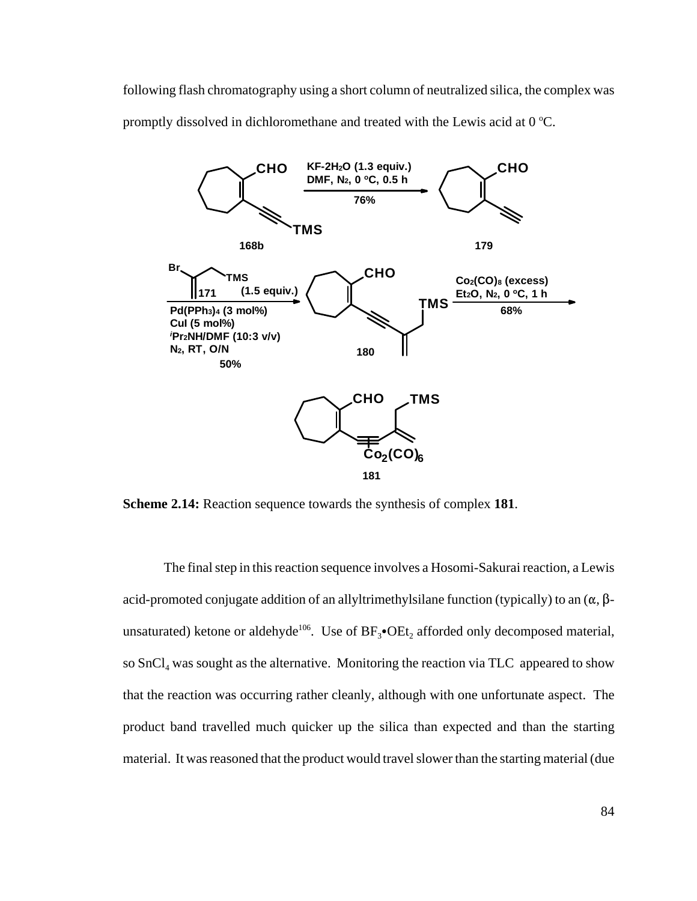following flash chromatography using a short column of neutralized silica, the complex was promptly dissolved in dichloromethane and treated with the Lewis acid at  $0^{\circ}$ C.



**Scheme 2.14:** Reaction sequence towards the synthesis of complex **181**.

The final step in this reaction sequence involves a Hosomi-Sakurai reaction, a Lewis acid-promoted conjugate addition of an allyltrimethylsilane function (typically) to an  $(\alpha, \beta$ unsaturated) ketone or aldehyde<sup>106</sup>. Use of  $BF_3\bullet OEt_2$  afforded only decomposed material, so  $SnCl<sub>4</sub>$  was sought as the alternative. Monitoring the reaction via TLC appeared to show that the reaction was occurring rather cleanly, although with one unfortunate aspect. The product band travelled much quicker up the silica than expected and than the starting material. It was reasoned that the product would travel slower than the starting material (due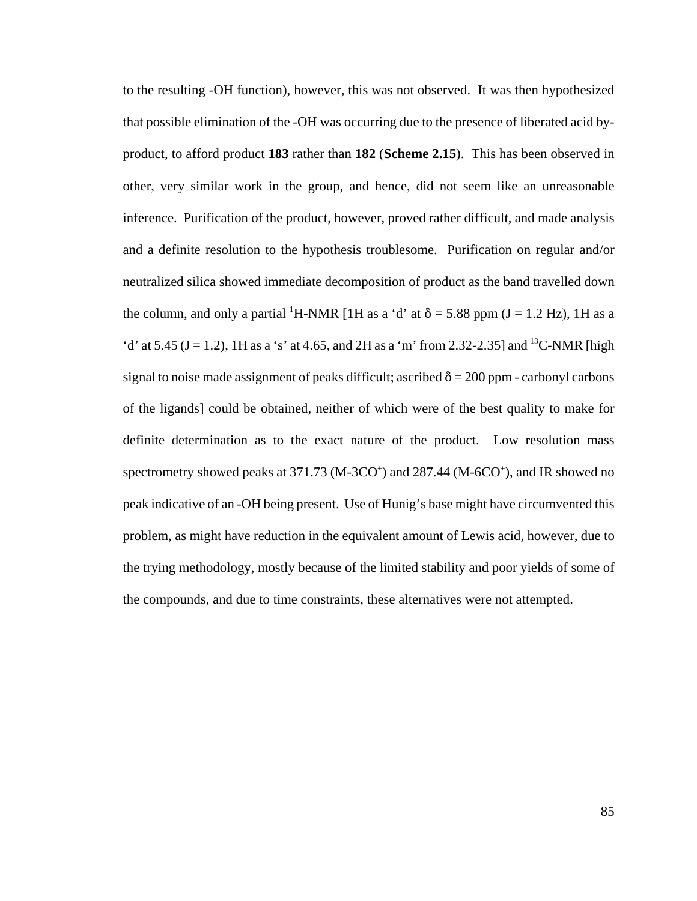to the resulting -OH function), however, this was not observed. It was then hypothesized that possible elimination of the -OH was occurring due to the presence of liberated acid byproduct, to afford product **183** rather than **182** (**Scheme 2.15**). This has been observed in other, very similar work in the group, and hence, did not seem like an unreasonable inference. Purification of the product, however, proved rather difficult, and made analysis and a definite resolution to the hypothesis troublesome. Purification on regular and/or neutralized silica showed immediate decomposition of product as the band travelled down the column, and only a partial <sup>1</sup>H-NMR [1H as a 'd' at  $\delta$  = 5.88 ppm (J = 1.2 Hz), 1H as a 'd' at 5.45 (J = 1.2), 1H as a 's' at 4.65, and 2H as a 'm' from 2.32-2.35] and <sup>13</sup>C-NMR [high signal to noise made assignment of peaks difficult; ascribed  $\delta = 200$  ppm - carbonyl carbons of the ligands] could be obtained, neither of which were of the best quality to make for definite determination as to the exact nature of the product. Low resolution mass spectrometry showed peaks at 371.73 (M-3CO<sup>+</sup>) and 287.44 (M-6CO<sup>+</sup>), and IR showed no peak indicative of an -OH being present. Use of Hunig's base might have circumvented this problem, as might have reduction in the equivalent amount of Lewis acid, however, due to the trying methodology, mostly because of the limited stability and poor yields of some of the compounds, and due to time constraints, these alternatives were not attempted.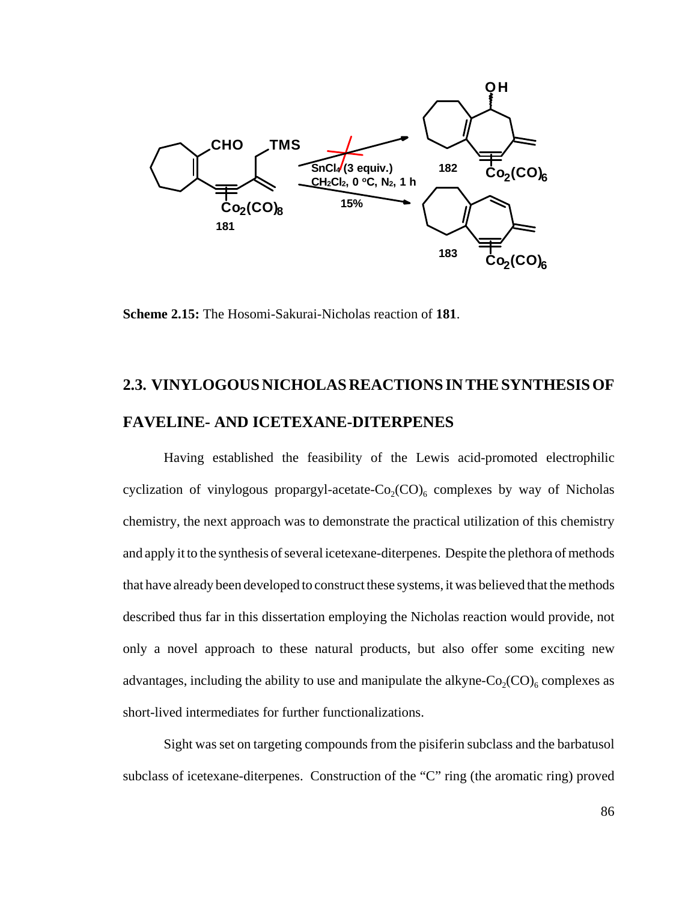

**Scheme 2.15:** The Hosomi-Sakurai-Nicholas reaction of **181**.

# **2.3. VINYLOGOUS NICHOLAS REACTIONS IN THE SYNTHESIS OF FAVELINE- AND ICETEXANE-DITERPENES**

Having established the feasibility of the Lewis acid-promoted electrophilic cyclization of vinylogous propargyl-acetate- $Co_2(CO)_6$  complexes by way of Nicholas chemistry, the next approach was to demonstrate the practical utilization of this chemistry and apply it to the synthesis of several icetexane-diterpenes. Despite the plethora of methods that have already been developed to construct these systems, it was believed that the methods described thus far in this dissertation employing the Nicholas reaction would provide, not only a novel approach to these natural products, but also offer some exciting new advantages, including the ability to use and manipulate the alkyne- $Co_2(CO)_{6}$  complexes as short-lived intermediates for further functionalizations.

Sight was set on targeting compounds from the pisiferin subclass and the barbatusol subclass of icetexane-diterpenes. Construction of the "C" ring (the aromatic ring) proved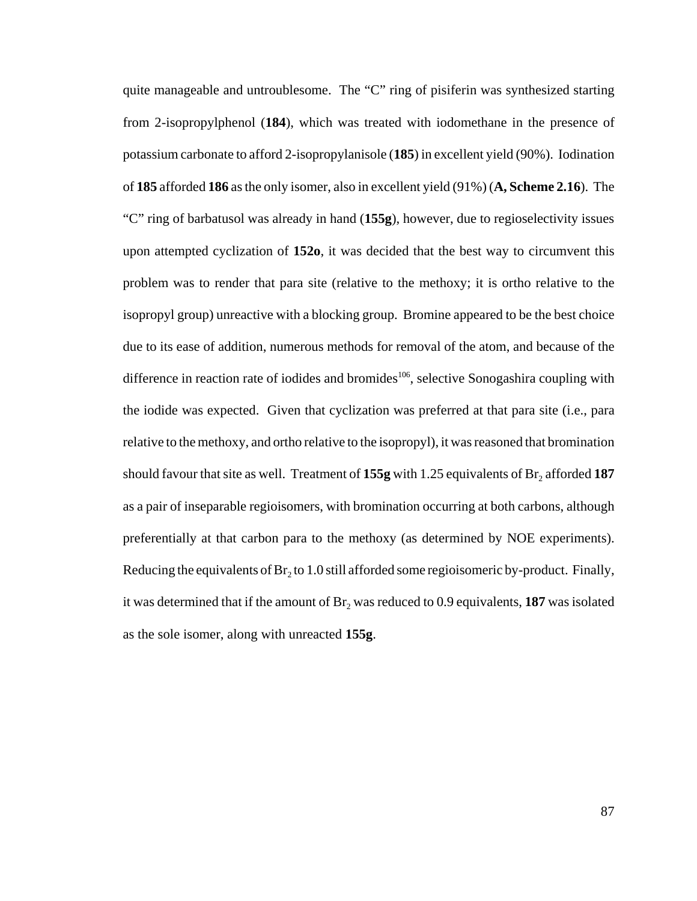quite manageable and untroublesome. The "C" ring of pisiferin was synthesized starting from 2-isopropylphenol (**184**), which was treated with iodomethane in the presence of potassium carbonate to afford 2-isopropylanisole (**185**) in excellent yield (90%). Iodination of **185** afforded **186** as the only isomer, also in excellent yield (91%) (**A, Scheme 2.16**). The "C" ring of barbatusol was already in hand (**155g**), however, due to regioselectivity issues upon attempted cyclization of **152o**, it was decided that the best way to circumvent this problem was to render that para site (relative to the methoxy; it is ortho relative to the isopropyl group) unreactive with a blocking group. Bromine appeared to be the best choice due to its ease of addition, numerous methods for removal of the atom, and because of the difference in reaction rate of iodides and bromides<sup>106</sup>, selective Sonogashira coupling with the iodide was expected. Given that cyclization was preferred at that para site (i.e., para relative to the methoxy, and ortho relative to the isopropyl), it was reasoned that bromination should favour that site as well. Treatment of  $155g$  with 1.25 equivalents of  $Br<sub>2</sub>$  afforded  $187$ as a pair of inseparable regioisomers, with bromination occurring at both carbons, although preferentially at that carbon para to the methoxy (as determined by NOE experiments). Reducing the equivalents of  $Br<sub>2</sub>$  to 1.0 still afforded some regioisomeric by-product. Finally, it was determined that if the amount of  $Br<sub>2</sub>$  was reduced to 0.9 equivalents, **187** was isolated as the sole isomer, along with unreacted **155g**.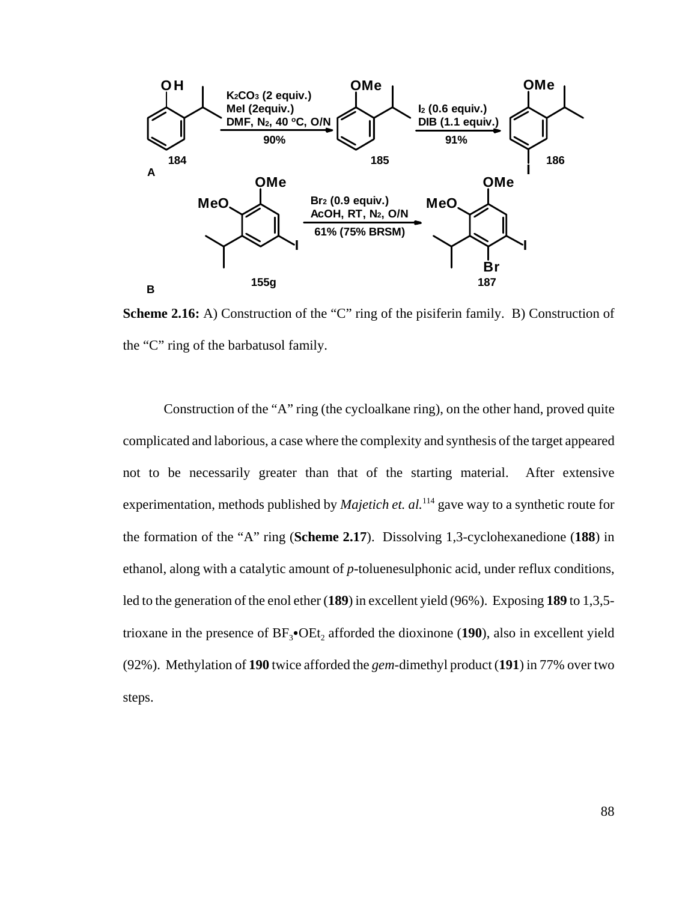

**Scheme 2.16:** A) Construction of the "C" ring of the pisiferin family. B) Construction of the "C" ring of the barbatusol family.

Construction of the "A" ring (the cycloalkane ring), on the other hand, proved quite complicated and laborious, a case where the complexity and synthesis of the target appeared not to be necessarily greater than that of the starting material. After extensive experimentation, methods published by *Majetich et. al.*<sup>114</sup> gave way to a synthetic route for the formation of the "A" ring (**Scheme 2.17**). Dissolving 1,3-cyclohexanedione (**188**) in ethanol, along with a catalytic amount of *p*-toluenesulphonic acid, under reflux conditions, led to the generation of the enol ether (**189**) in excellent yield (96%). Exposing **189** to 1,3,5 trioxane in the presence of  $BF_3$ • $OEt_2$  afforded the dioxinone (190), also in excellent yield (92%). Methylation of **190** twice afforded the *gem*-dimethyl product (**191**) in 77% over two steps.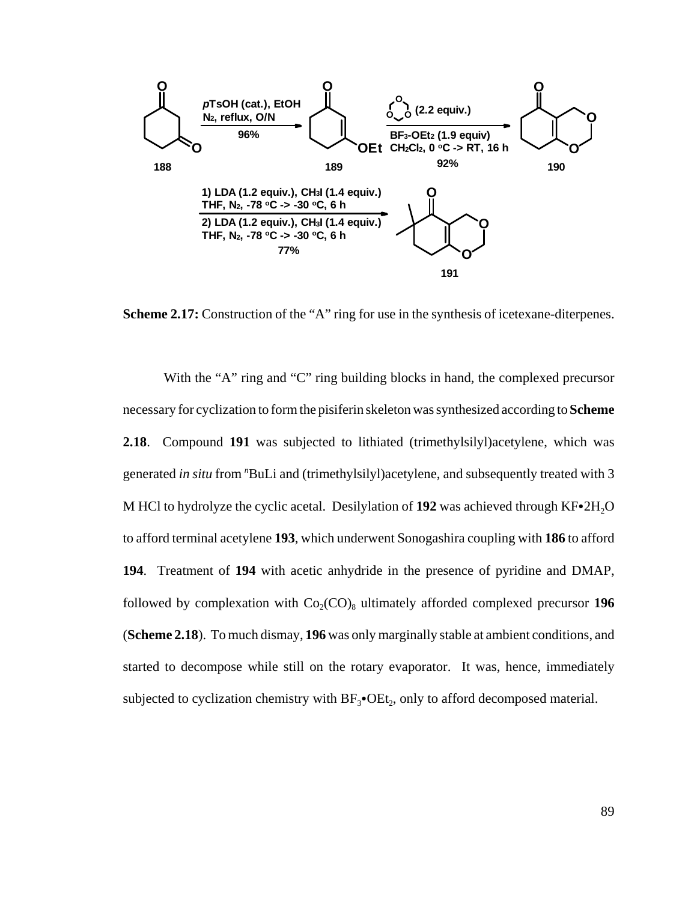

**Scheme 2.17:** Construction of the "A" ring for use in the synthesis of icetexane-diterpenes.

With the "A" ring and "C" ring building blocks in hand, the complexed precursor necessary for cyclization to form the pisiferin skeleton was synthesized according to **Scheme 2.18**. Compound **191** was subjected to lithiated (trimethylsilyl)acetylene, which was generated *in situ* from "BuLi and (trimethylsilyl)acetylene, and subsequently treated with 3 M HCl to hydrolyze the cyclic acetal. Desilylation of 192 was achieved through KF $\cdot$ 2H<sub>2</sub>O to afford terminal acetylene **193**, which underwent Sonogashira coupling with **186** to afford **194**. Treatment of **194** with acetic anhydride in the presence of pyridine and DMAP, followed by complexation with  $Co_2(CO)_8$  ultimately afforded complexed precursor 196 (**Scheme 2.18**). To much dismay, **196** was only marginally stable at ambient conditions, and started to decompose while still on the rotary evaporator. It was, hence, immediately subjected to cyclization chemistry with  $BF_3$ •OEt<sub>2</sub>, only to afford decomposed material.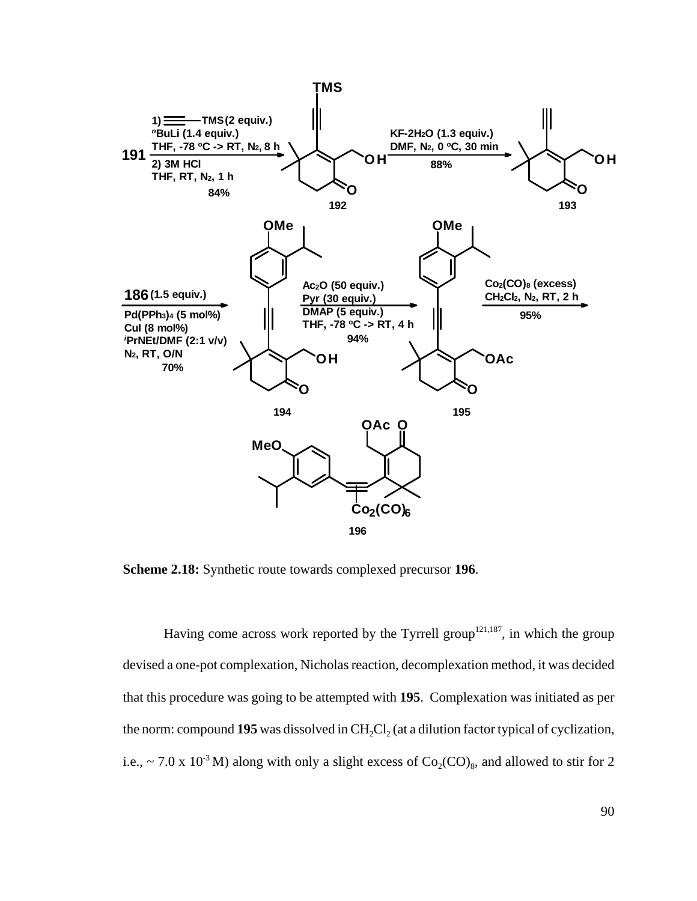

**Scheme 2.18:** Synthetic route towards complexed precursor **196**.

Having come across work reported by the Tyrrell group<sup>121,187</sup>, in which the group devised a one-pot complexation, Nicholas reaction, decomplexation method, it was decided that this procedure was going to be attempted with **195**. Complexation was initiated as per the norm: compound 195 was dissolved in CH<sub>2</sub>Cl<sub>2</sub> (at a dilution factor typical of cyclization, i.e., ~ 7.0 x 10<sup>-3</sup> M) along with only a slight excess of  $Co_2(CO)_8$ , and allowed to stir for 2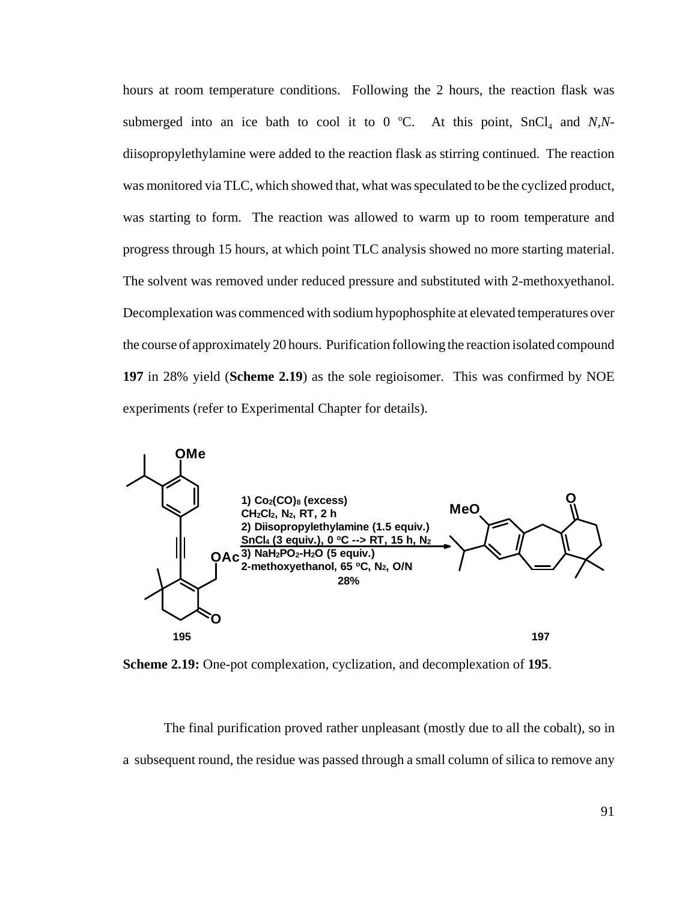hours at room temperature conditions. Following the 2 hours, the reaction flask was submerged into an ice bath to cool it to  $0^{\circ}$ C. At this point, SnCl<sub>4</sub> and *N,N*diisopropylethylamine were added to the reaction flask as stirring continued. The reaction was monitored via TLC, which showed that, what was speculated to be the cyclized product, was starting to form. The reaction was allowed to warm up to room temperature and progress through 15 hours, at which point TLC analysis showed no more starting material. The solvent was removed under reduced pressure and substituted with 2-methoxyethanol. Decomplexation was commenced with sodium hypophosphite at elevated temperatures over the course of approximately 20 hours. Purification following the reaction isolated compound **197** in 28% yield (**Scheme 2.19**) as the sole regioisomer. This was confirmed by NOE experiments (refer to Experimental Chapter for details).



**Scheme 2.19:** One-pot complexation, cyclization, and decomplexation of **195**.

The final purification proved rather unpleasant (mostly due to all the cobalt), so in a subsequent round, the residue was passed through a small column of silica to remove any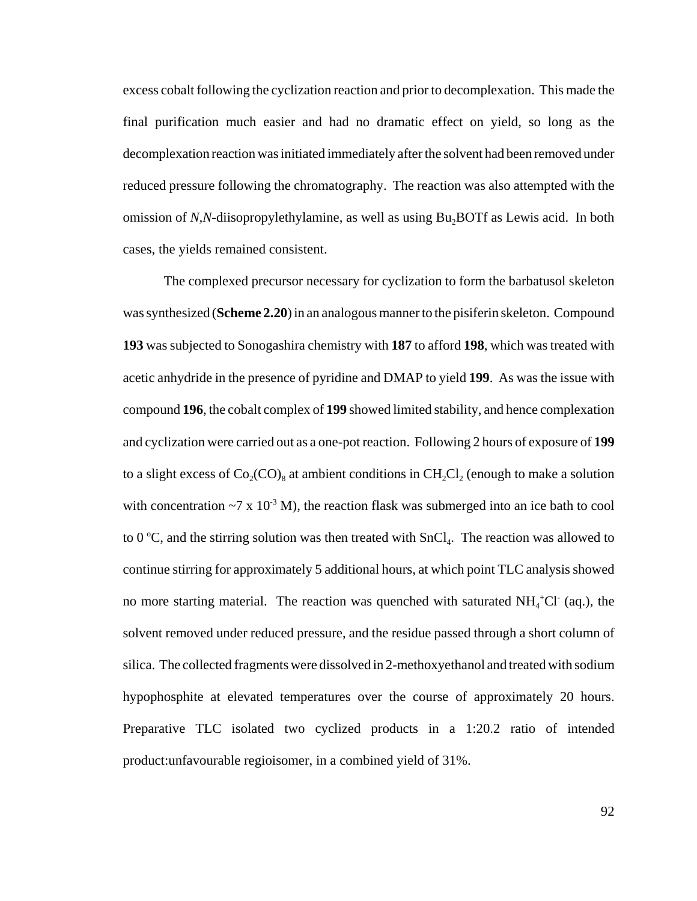excess cobalt following the cyclization reaction and prior to decomplexation. This made the final purification much easier and had no dramatic effect on yield, so long as the decomplexation reaction was initiated immediately after the solvent had been removed under reduced pressure following the chromatography. The reaction was also attempted with the omission of *N,N*-diisopropylethylamine, as well as using Bu<sub>2</sub>BOTf as Lewis acid. In both cases, the yields remained consistent.

The complexed precursor necessary for cyclization to form the barbatusol skeleton was synthesized (**Scheme 2.20**) in an analogous manner to the pisiferin skeleton. Compound **193** was subjected to Sonogashira chemistry with **187** to afford **198**, which was treated with acetic anhydride in the presence of pyridine and DMAP to yield **199**. As was the issue with compound **196**, the cobalt complex of **199** showed limited stability, and hence complexation and cyclization were carried out as a one-pot reaction. Following 2 hours of exposure of **199** to a slight excess of  $Co_2(CO)_8$  at ambient conditions in  $CH_2Cl_2$  (enough to make a solution with concentration  $\sim$ 7 x 10<sup>-3</sup> M), the reaction flask was submerged into an ice bath to cool to 0 °C, and the stirring solution was then treated with  $SnCl<sub>4</sub>$ . The reaction was allowed to continue stirring for approximately 5 additional hours, at which point TLC analysis showed no more starting material. The reaction was quenched with saturated  $NH_4^+Cl^-(aq.)$ , the solvent removed under reduced pressure, and the residue passed through a short column of silica. The collected fragments were dissolved in 2-methoxyethanol and treated with sodium hypophosphite at elevated temperatures over the course of approximately 20 hours. Preparative TLC isolated two cyclized products in a 1:20.2 ratio of intended product:unfavourable regioisomer, in a combined yield of 31%.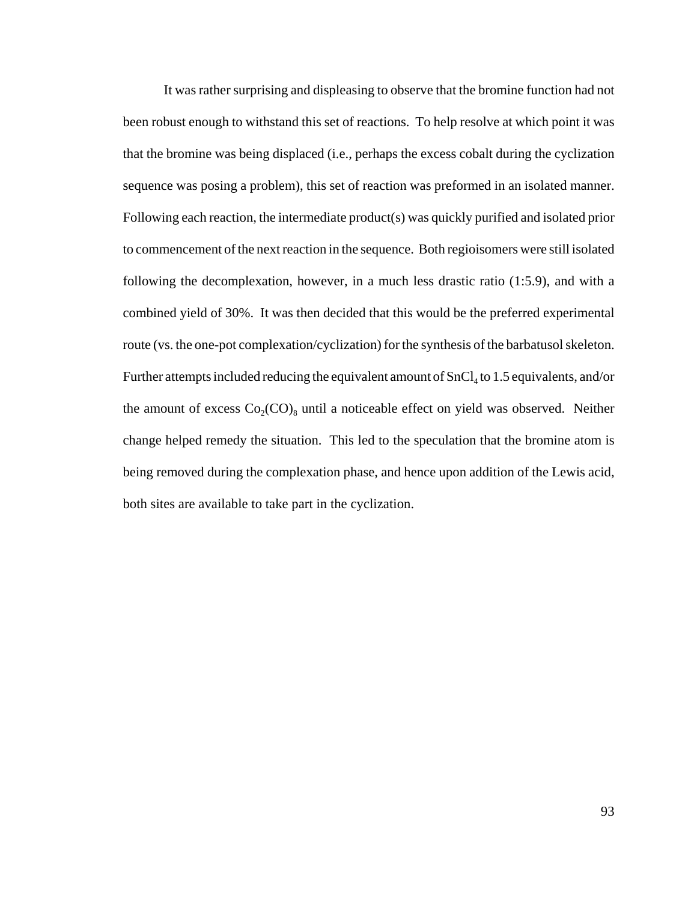It was rather surprising and displeasing to observe that the bromine function had not been robust enough to withstand this set of reactions. To help resolve at which point it was that the bromine was being displaced (i.e., perhaps the excess cobalt during the cyclization sequence was posing a problem), this set of reaction was preformed in an isolated manner. Following each reaction, the intermediate product(s) was quickly purified and isolated prior to commencement of the next reaction in the sequence. Both regioisomers were still isolated following the decomplexation, however, in a much less drastic ratio (1:5.9), and with a combined yield of 30%. It was then decided that this would be the preferred experimental route (vs. the one-pot complexation/cyclization) for the synthesis of the barbatusol skeleton. Further attempts included reducing the equivalent amount of  $SnCl<sub>4</sub>$  to 1.5 equivalents, and/or the amount of excess  $Co_2(CO)_8$  until a noticeable effect on yield was observed. Neither change helped remedy the situation. This led to the speculation that the bromine atom is being removed during the complexation phase, and hence upon addition of the Lewis acid, both sites are available to take part in the cyclization.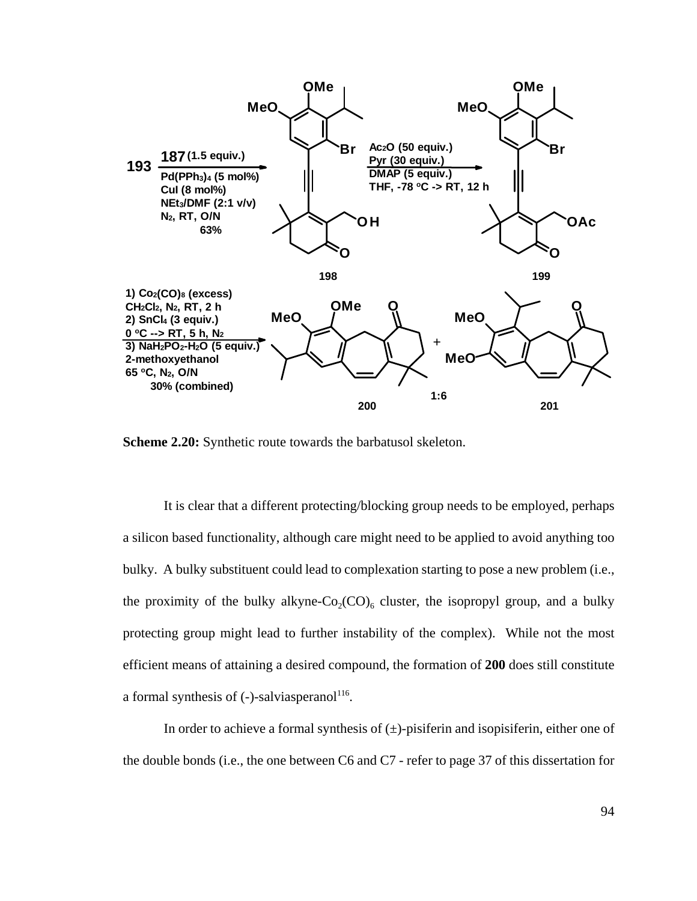

**Scheme 2.20:** Synthetic route towards the barbatusol skeleton.

It is clear that a different protecting/blocking group needs to be employed, perhaps a silicon based functionality, although care might need to be applied to avoid anything too bulky. A bulky substituent could lead to complexation starting to pose a new problem (i.e., the proximity of the bulky alkyne- $Co_2(CO)_6$  cluster, the isopropyl group, and a bulky protecting group might lead to further instability of the complex). While not the most efficient means of attaining a desired compound, the formation of **200** does still constitute a formal synthesis of  $(-)$ -salviasperanol<sup>116</sup>.

In order to achieve a formal synthesis of  $(\pm)$ -pisiferin and isopisiferin, either one of the double bonds (i.e., the one between C6 and C7 - refer to page 37 of this dissertation for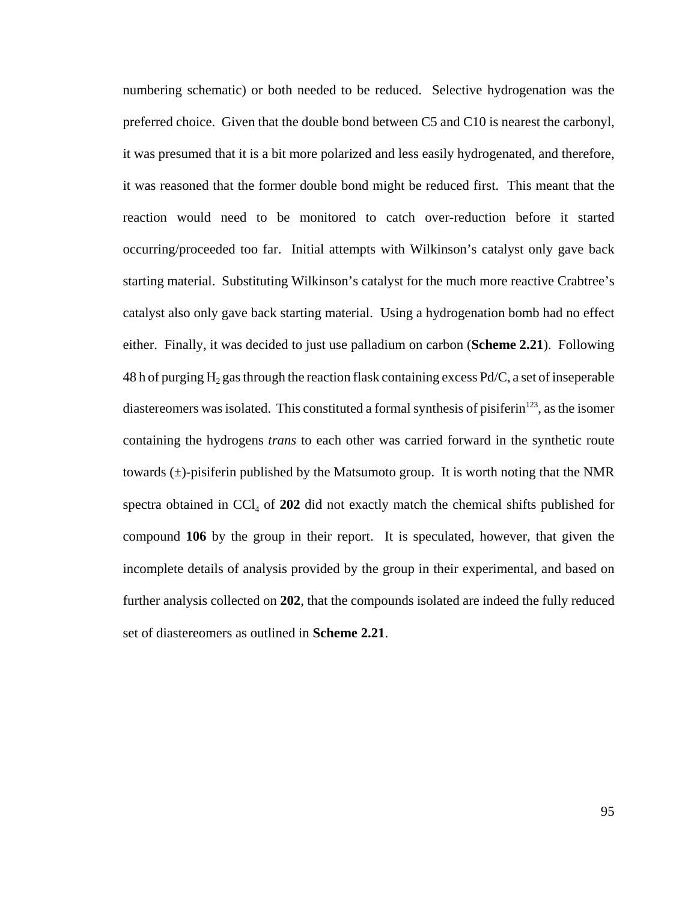numbering schematic) or both needed to be reduced. Selective hydrogenation was the preferred choice. Given that the double bond between C5 and C10 is nearest the carbonyl, it was presumed that it is a bit more polarized and less easily hydrogenated, and therefore, it was reasoned that the former double bond might be reduced first. This meant that the reaction would need to be monitored to catch over-reduction before it started occurring/proceeded too far. Initial attempts with Wilkinson's catalyst only gave back starting material. Substituting Wilkinson's catalyst for the much more reactive Crabtree's catalyst also only gave back starting material. Using a hydrogenation bomb had no effect either. Finally, it was decided to just use palladium on carbon (**Scheme 2.21**). Following 48 h of purging H<sub>2</sub> gas through the reaction flask containing excess Pd/C, a set of inseperable diastereomers was isolated. This constituted a formal synthesis of pisiferin<sup>123</sup>, as the isomer containing the hydrogens *trans* to each other was carried forward in the synthetic route towards  $(\pm)$ -pisiferin published by the Matsumoto group. It is worth noting that the NMR spectra obtained in  $\text{CCI}_4$  of 202 did not exactly match the chemical shifts published for compound **106** by the group in their report. It is speculated, however, that given the incomplete details of analysis provided by the group in their experimental, and based on further analysis collected on **202**, that the compounds isolated are indeed the fully reduced set of diastereomers as outlined in **Scheme 2.21**.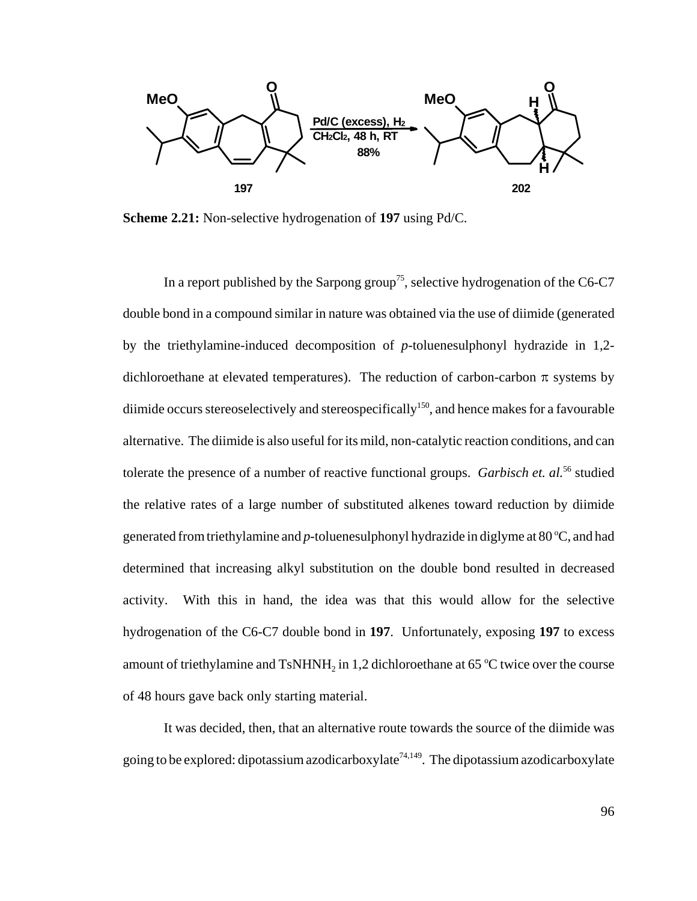

**Scheme 2.21:** Non-selective hydrogenation of **197** using Pd/C.

In a report published by the Sarpong group<sup>75</sup>, selective hydrogenation of the C6-C7 double bond in a compound similar in nature was obtained via the use of diimide (generated by the triethylamine-induced decomposition of *p*-toluenesulphonyl hydrazide in 1,2 dichloroethane at elevated temperatures). The reduction of carbon-carbon  $\pi$  systems by diimide occurs stereoselectively and stereospecifically<sup>150</sup>, and hence makes for a favourable alternative. The diimide is also useful for its mild, non-catalytic reaction conditions, and can tolerate the presence of a number of reactive functional groups. *Garbisch et. al.*<sup>56</sup> studied the relative rates of a large number of substituted alkenes toward reduction by diimide generated from triethylamine and  $p$ -toluenesulphonyl hydrazide in diglyme at 80 °C, and had determined that increasing alkyl substitution on the double bond resulted in decreased activity. With this in hand, the idea was that this would allow for the selective hydrogenation of the C6-C7 double bond in **197**. Unfortunately, exposing **197** to excess amount of triethylamine and  $TsNHNH<sub>2</sub>$  in 1,2 dichloroethane at 65 °C twice over the course of 48 hours gave back only starting material.

It was decided, then, that an alternative route towards the source of the diimide was going to be explored: dipotassium azodicarboxylate<sup>74,149</sup>. The dipotassium azodicarboxylate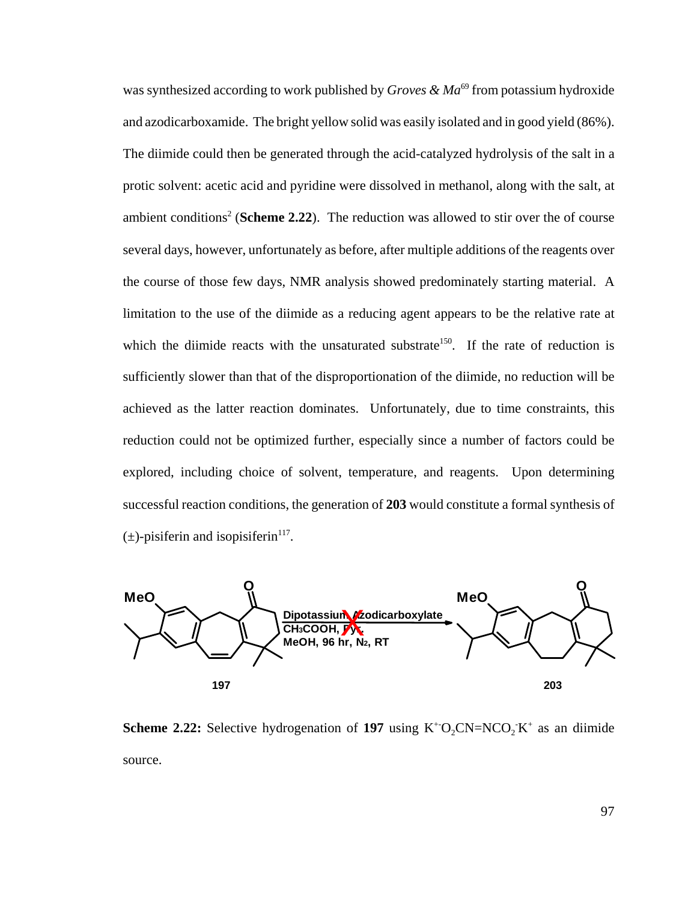was synthesized according to work published by *Groves & Ma*<sup>69</sup> from potassium hydroxide and azodicarboxamide. The bright yellow solid was easily isolated and in good yield (86%). The diimide could then be generated through the acid-catalyzed hydrolysis of the salt in a protic solvent: acetic acid and pyridine were dissolved in methanol, along with the salt, at ambient conditions<sup>2</sup> (Scheme 2.22). The reduction was allowed to stir over the of course several days, however, unfortunately as before, after multiple additions of the reagents over the course of those few days, NMR analysis showed predominately starting material. A limitation to the use of the diimide as a reducing agent appears to be the relative rate at which the diimide reacts with the unsaturated substrate<sup>150</sup>. If the rate of reduction is sufficiently slower than that of the disproportionation of the diimide, no reduction will be achieved as the latter reaction dominates. Unfortunately, due to time constraints, this reduction could not be optimized further, especially since a number of factors could be explored, including choice of solvent, temperature, and reagents. Upon determining successful reaction conditions, the generation of **203** would constitute a formal synthesis of  $(\pm)$ -pisiferin and isopisiferin<sup>117</sup>.



**Scheme 2.22:** Selective hydrogenation of 197 using  $K^+O_2CN=NCO_2K^+$  as an diimide source.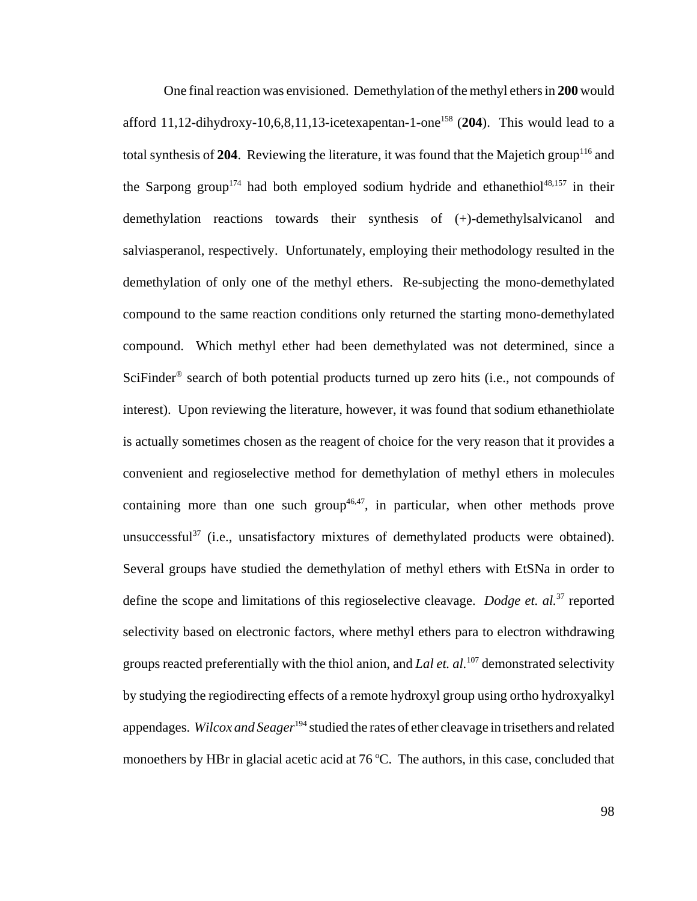One final reaction was envisioned. Demethylation of the methyl ethers in **200** would afford  $11,12$ -dihydroxy-10,6,8,11,13-icetexapentan-1-one<sup>158</sup> (204). This would lead to a total synthesis of 204. Reviewing the literature, it was found that the Majetich group<sup>116</sup> and the Sarpong group<sup>174</sup> had both employed sodium hydride and ethanethiol<sup>48,157</sup> in their demethylation reactions towards their synthesis of (+)-demethylsalvicanol and salviasperanol, respectively. Unfortunately, employing their methodology resulted in the demethylation of only one of the methyl ethers. Re-subjecting the mono-demethylated compound to the same reaction conditions only returned the starting mono-demethylated compound. Which methyl ether had been demethylated was not determined, since a SciFinder® search of both potential products turned up zero hits (i.e., not compounds of interest). Upon reviewing the literature, however, it was found that sodium ethanethiolate is actually sometimes chosen as the reagent of choice for the very reason that it provides a convenient and regioselective method for demethylation of methyl ethers in molecules containing more than one such group<sup>46,47</sup>, in particular, when other methods prove unsuccessful<sup>37</sup> (i.e., unsatisfactory mixtures of demethylated products were obtained). Several groups have studied the demethylation of methyl ethers with EtSNa in order to define the scope and limitations of this regioselective cleavage. *Dodge et. al.*<sup>37</sup> reported selectivity based on electronic factors, where methyl ethers para to electron withdrawing groups reacted preferentially with the thiol anion, and *Lal et. al.*107 demonstrated selectivity by studying the regiodirecting effects of a remote hydroxyl group using ortho hydroxyalkyl appendages. *Wilcox and Seager*<sup>194</sup> studied the rates of ether cleavage in trisethers and related monoethers by HBr in glacial acetic acid at  $76^{\circ}$ C. The authors, in this case, concluded that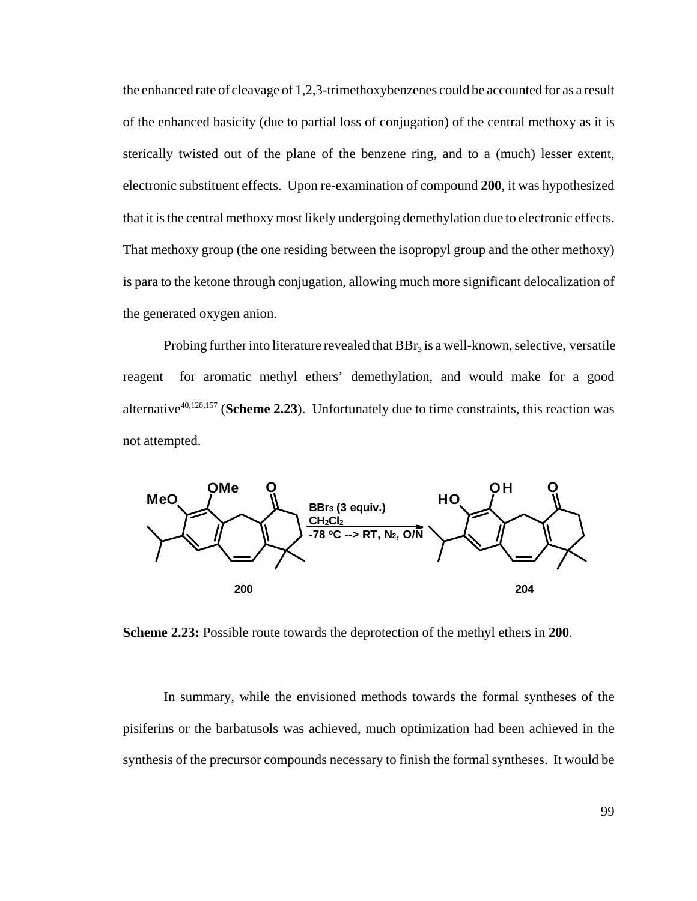the enhanced rate of cleavage of 1,2,3-trimethoxybenzenes could be accounted for as a result of the enhanced basicity (due to partial loss of conjugation) of the central methoxy as it is sterically twisted out of the plane of the benzene ring, and to a (much) lesser extent, electronic substituent effects. Upon re-examination of compound **200**, it was hypothesized that it is the central methoxy most likely undergoing demethylation due to electronic effects. That methoxy group (the one residing between the isopropyl group and the other methoxy) is para to the ketone through conjugation, allowing much more significant delocalization of the generated oxygen anion.

Probing further into literature revealed that  $BBr<sub>3</sub>$  is a well-known, selective, versatile reagent for aromatic methyl ethers' demethylation, and would make for a good alternative<sup>40,128,157</sup> (Scheme 2.23). Unfortunately due to time constraints, this reaction was not attempted.



**Scheme 2.23:** Possible route towards the deprotection of the methyl ethers in **200**.

In summary, while the envisioned methods towards the formal syntheses of the pisiferins or the barbatusols was achieved, much optimization had been achieved in the synthesis of the precursor compounds necessary to finish the formal syntheses. It would be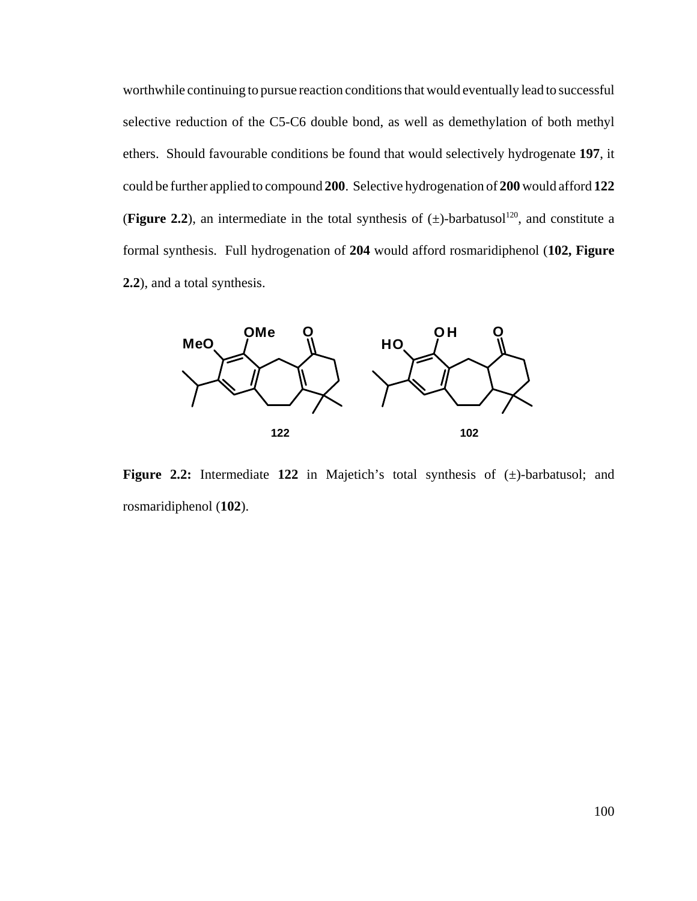worthwhile continuing to pursue reaction conditions that would eventually lead to successful selective reduction of the C5-C6 double bond, as well as demethylation of both methyl ethers. Should favourable conditions be found that would selectively hydrogenate **197**, it could be further applied to compound **200**. Selective hydrogenation of **200** would afford **122** (**Figure 2.2**), an intermediate in the total synthesis of  $(\pm)$ -barbatusol<sup>120</sup>, and constitute a formal synthesis. Full hydrogenation of **204** would afford rosmaridiphenol (**102, Figure 2.2**), and a total synthesis.



**Figure 2.2:** Intermediate **122** in Majetich's total synthesis of (±)-barbatusol; and rosmaridiphenol (**102**).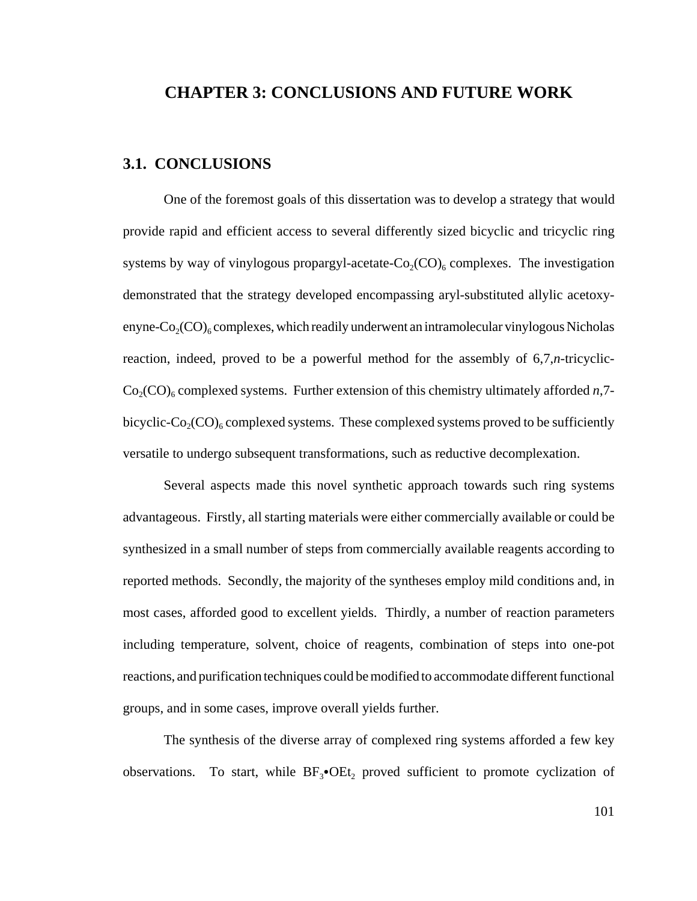## **CHAPTER 3: CONCLUSIONS AND FUTURE WORK**

## **3.1. CONCLUSIONS**

One of the foremost goals of this dissertation was to develop a strategy that would provide rapid and efficient access to several differently sized bicyclic and tricyclic ring systems by way of vinylogous propargyl-acetate- $Co_2(CO)_{6}$  complexes. The investigation demonstrated that the strategy developed encompassing aryl-substituted allylic acetoxyenyne- $Co_2(CO)_{6}$  complexes, which readily underwent an intramolecular vinylogous Nicholas reaction, indeed, proved to be a powerful method for the assembly of 6,7,*n*-tricyclic- $Co<sub>2</sub>(CO)<sub>6</sub>$  complexed systems. Further extension of this chemistry ultimately afforded *n*,7bicyclic-Co<sub>2</sub>(CO)<sub>6</sub> complexed systems. These complexed systems proved to be sufficiently versatile to undergo subsequent transformations, such as reductive decomplexation.

Several aspects made this novel synthetic approach towards such ring systems advantageous. Firstly, all starting materials were either commercially available or could be synthesized in a small number of steps from commercially available reagents according to reported methods. Secondly, the majority of the syntheses employ mild conditions and, in most cases, afforded good to excellent yields. Thirdly, a number of reaction parameters including temperature, solvent, choice of reagents, combination of steps into one-pot reactions, and purification techniques could be modified to accommodate different functional groups, and in some cases, improve overall yields further.

The synthesis of the diverse array of complexed ring systems afforded a few key observations. To start, while  $BF_3$ •OEt, proved sufficient to promote cyclization of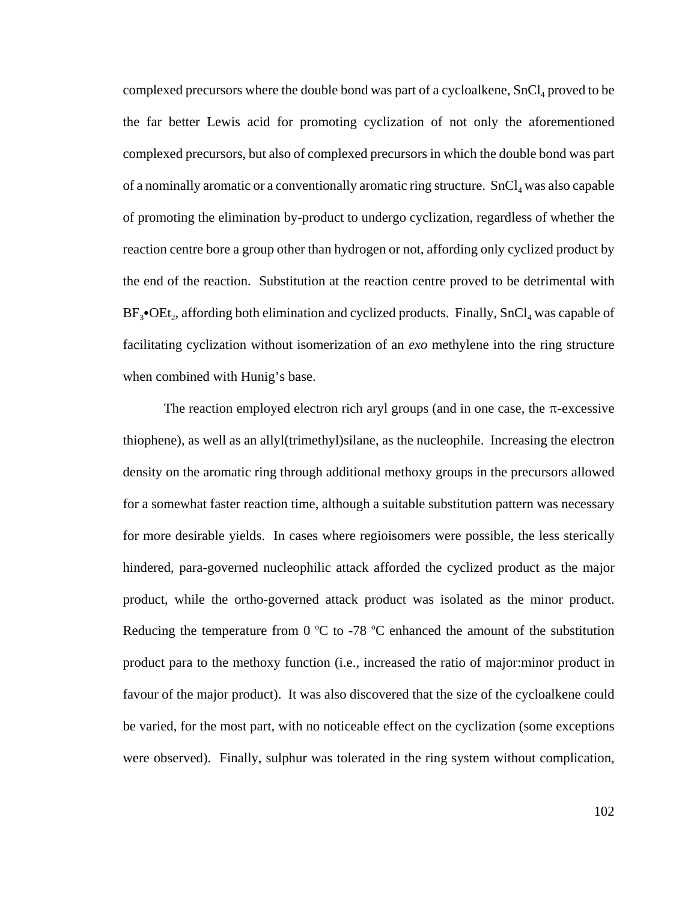complexed precursors where the double bond was part of a cycloalkene,  $SnCl<sub>4</sub>$  proved to be the far better Lewis acid for promoting cyclization of not only the aforementioned complexed precursors, but also of complexed precursors in which the double bond was part of a nominally aromatic or a conventionally aromatic ring structure.  $SnCl<sub>4</sub>$  was also capable of promoting the elimination by-product to undergo cyclization, regardless of whether the reaction centre bore a group other than hydrogen or not, affording only cyclized product by the end of the reaction. Substitution at the reaction centre proved to be detrimental with  $BF_3$ • $OEt_2$ , affording both elimination and cyclized products. Finally, SnCl<sub>4</sub> was capable of facilitating cyclization without isomerization of an *exo* methylene into the ring structure when combined with Hunig's base.

The reaction employed electron rich aryl groups (and in one case, the  $\pi$ -excessive thiophene), as well as an allyl(trimethyl)silane, as the nucleophile. Increasing the electron density on the aromatic ring through additional methoxy groups in the precursors allowed for a somewhat faster reaction time, although a suitable substitution pattern was necessary for more desirable yields. In cases where regioisomers were possible, the less sterically hindered, para-governed nucleophilic attack afforded the cyclized product as the major product, while the ortho-governed attack product was isolated as the minor product. Reducing the temperature from  $0^{\circ}$ C to -78  $^{\circ}$ C enhanced the amount of the substitution product para to the methoxy function (i.e., increased the ratio of major:minor product in favour of the major product). It was also discovered that the size of the cycloalkene could be varied, for the most part, with no noticeable effect on the cyclization (some exceptions were observed). Finally, sulphur was tolerated in the ring system without complication,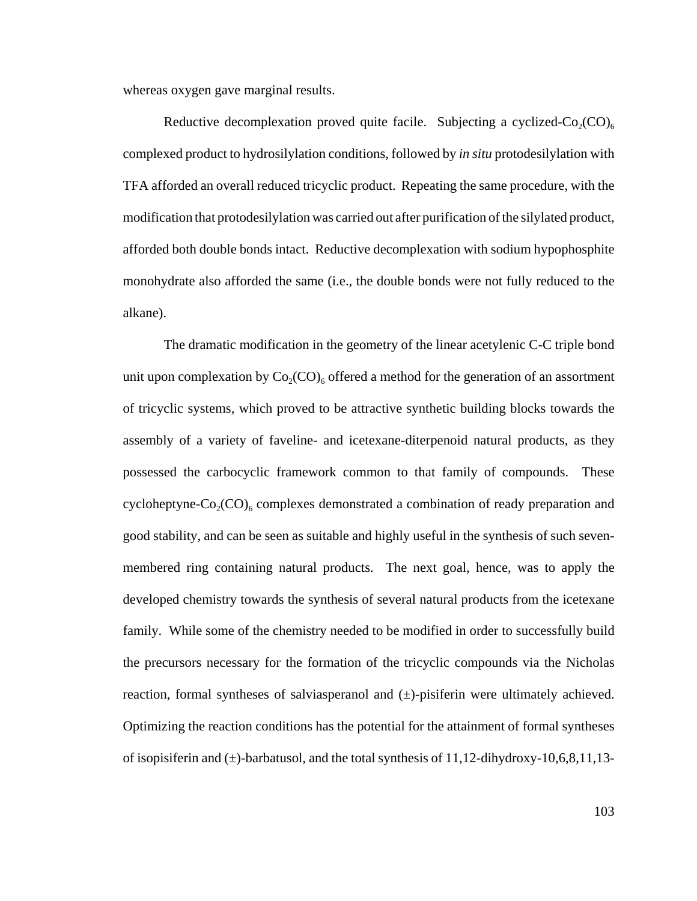whereas oxygen gave marginal results.

Reductive decomplexation proved quite facile. Subjecting a cyclized- $Co_2(CO)_{6}$ complexed product to hydrosilylation conditions, followed by *in situ* protodesilylation with TFA afforded an overall reduced tricyclic product. Repeating the same procedure, with the modification that protodesilylation was carried out after purification of the silylated product, afforded both double bonds intact. Reductive decomplexation with sodium hypophosphite monohydrate also afforded the same (i.e., the double bonds were not fully reduced to the alkane).

The dramatic modification in the geometry of the linear acetylenic C-C triple bond unit upon complexation by  $Co_2(CO)_{6}$  offered a method for the generation of an assortment of tricyclic systems, which proved to be attractive synthetic building blocks towards the assembly of a variety of faveline- and icetexane-diterpenoid natural products, as they possessed the carbocyclic framework common to that family of compounds. These cycloheptyne- $Co_2(CO)$ <sub>6</sub> complexes demonstrated a combination of ready preparation and good stability, and can be seen as suitable and highly useful in the synthesis of such sevenmembered ring containing natural products. The next goal, hence, was to apply the developed chemistry towards the synthesis of several natural products from the icetexane family. While some of the chemistry needed to be modified in order to successfully build the precursors necessary for the formation of the tricyclic compounds via the Nicholas reaction, formal syntheses of salviasperanol and (±)-pisiferin were ultimately achieved. Optimizing the reaction conditions has the potential for the attainment of formal syntheses of isopisiferin and  $(\pm)$ -barbatusol, and the total synthesis of 11,12-dihydroxy-10,6,8,11,13-

103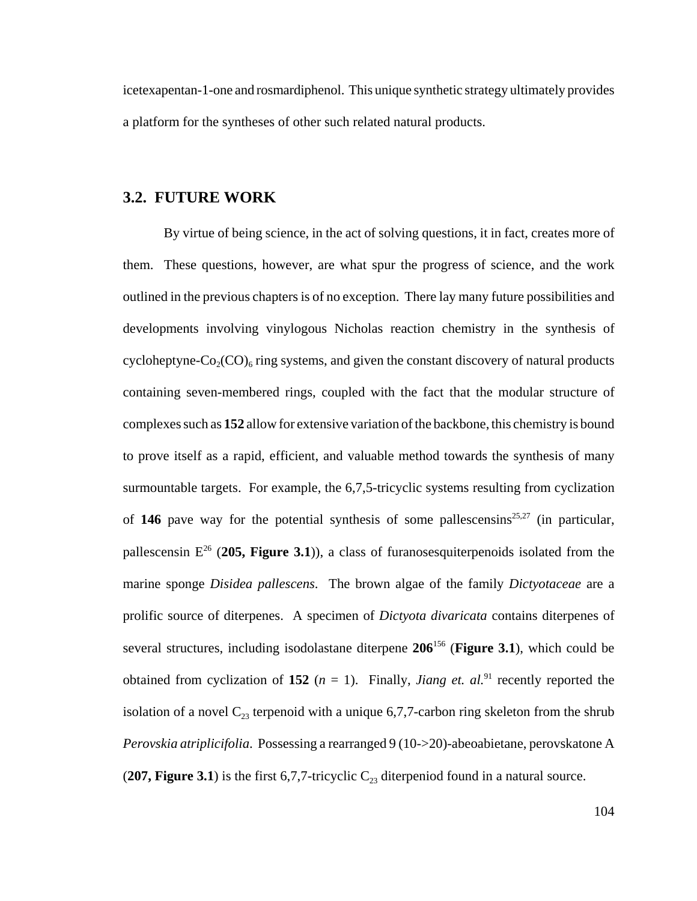icetexapentan-1-one and rosmardiphenol. This unique synthetic strategy ultimately provides a platform for the syntheses of other such related natural products.

## **3.2. FUTURE WORK**

By virtue of being science, in the act of solving questions, it in fact, creates more of them. These questions, however, are what spur the progress of science, and the work outlined in the previous chapters is of no exception. There lay many future possibilities and developments involving vinylogous Nicholas reaction chemistry in the synthesis of cycloheptyne- $Co_2(CO)_{6}$  ring systems, and given the constant discovery of natural products containing seven-membered rings, coupled with the fact that the modular structure of complexes such as **152** allow for extensive variation of the backbone, this chemistry is bound to prove itself as a rapid, efficient, and valuable method towards the synthesis of many surmountable targets. For example, the 6,7,5-tricyclic systems resulting from cyclization of **146** pave way for the potential synthesis of some pallescensins<sup>25,27</sup> (in particular, pallescensin E26 (**205, Figure 3.1**)), a class of furanosesquiterpenoids isolated from the marine sponge *Disidea pallescens*. The brown algae of the family *Dictyotaceae* are a prolific source of diterpenes. A specimen of *Dictyota divaricata* contains diterpenes of several structures, including isodolastane diterpene **206**156 (**Figure 3.1**), which could be obtained from cyclization of **152** ( $n = 1$ ). Finally, *Jiang et. al.*<sup>91</sup> recently reported the isolation of a novel  $C_{23}$  terpenoid with a unique 6,7,7-carbon ring skeleton from the shrub *Perovskia atriplicifolia*. Possessing a rearranged 9 (10->20)-abeoabietane, perovskatone A (**207, Figure 3.1**) is the first 6,7,7-tricyclic  $C_{23}$  diterpeniod found in a natural source.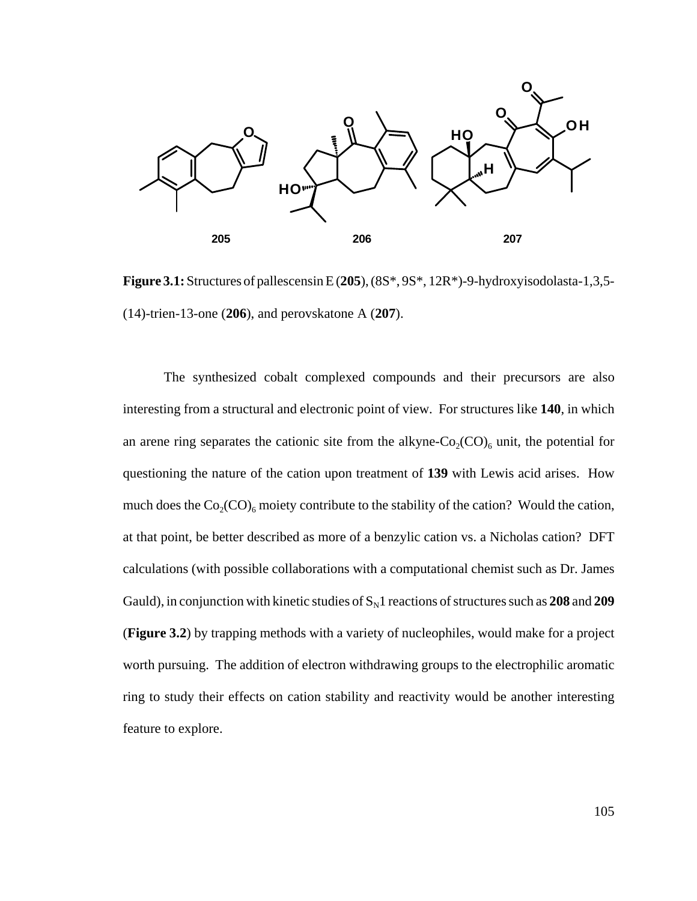

**Figure 3.1:** Structures of pallescensin E (**205**), (8S\*, 9S\*, 12R\*)-9-hydroxyisodolasta-1,3,5- (14)-trien-13-one (**206**), and perovskatone A (**207**).

The synthesized cobalt complexed compounds and their precursors are also interesting from a structural and electronic point of view. For structures like **140**, in which an arene ring separates the cationic site from the alkyne- $Co_2(CO)_6$  unit, the potential for questioning the nature of the cation upon treatment of **139** with Lewis acid arises. How much does the  $Co_2(CO)_{6}$  moiety contribute to the stability of the cation? Would the cation, at that point, be better described as more of a benzylic cation vs. a Nicholas cation? DFT calculations (with possible collaborations with a computational chemist such as Dr. James Gauld), in conjunction with kinetic studies of  $S<sub>N</sub>1$  reactions of structures such as 208 and 209 (**Figure 3.2**) by trapping methods with a variety of nucleophiles, would make for a project worth pursuing. The addition of electron withdrawing groups to the electrophilic aromatic ring to study their effects on cation stability and reactivity would be another interesting feature to explore.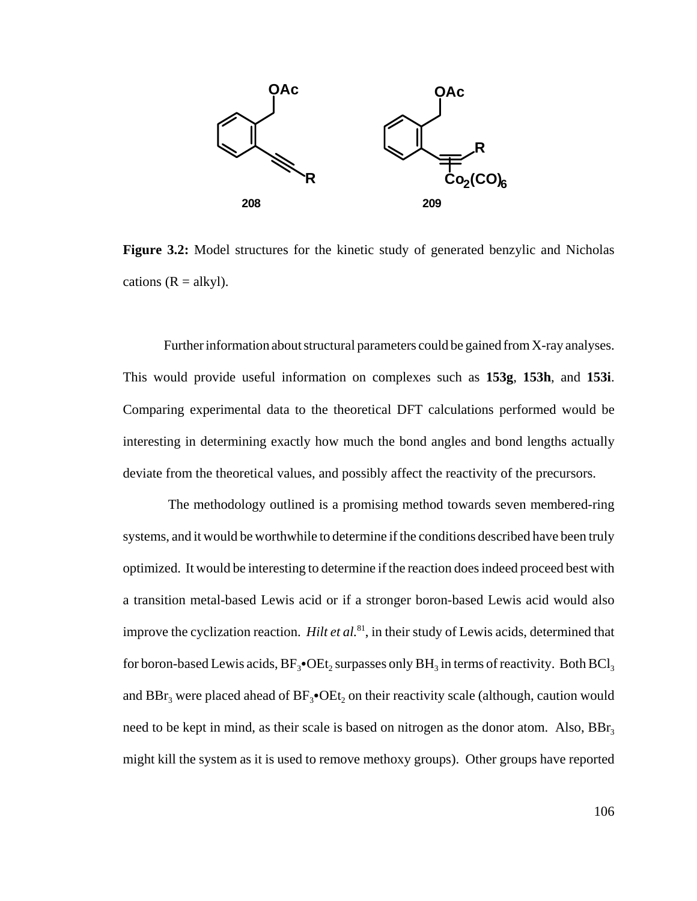

**Figure 3.2:** Model structures for the kinetic study of generated benzylic and Nicholas cations  $(R = alkyl)$ .

Further information about structural parameters could be gained from X-ray analyses. This would provide useful information on complexes such as **153g**, **153h**, and **153i**. Comparing experimental data to the theoretical DFT calculations performed would be interesting in determining exactly how much the bond angles and bond lengths actually deviate from the theoretical values, and possibly affect the reactivity of the precursors.

 The methodology outlined is a promising method towards seven membered-ring systems, and it would be worthwhile to determine if the conditions described have been truly optimized. It would be interesting to determine if the reaction does indeed proceed best with a transition metal-based Lewis acid or if a stronger boron-based Lewis acid would also improve the cyclization reaction. *Hilt et al.*<sup>81</sup>, in their study of Lewis acids, determined that for boron-based Lewis acids,  $BF_3\bullet$ OEt<sub>2</sub> surpasses only  $BH_3$  in terms of reactivity. Both BCl<sub>3</sub> and  $BBr_3$  were placed ahead of  $BF_3\bullet OEt_2$  on their reactivity scale (although, caution would need to be kept in mind, as their scale is based on nitrogen as the donor atom. Also,  $BBr<sub>3</sub>$ might kill the system as it is used to remove methoxy groups). Other groups have reported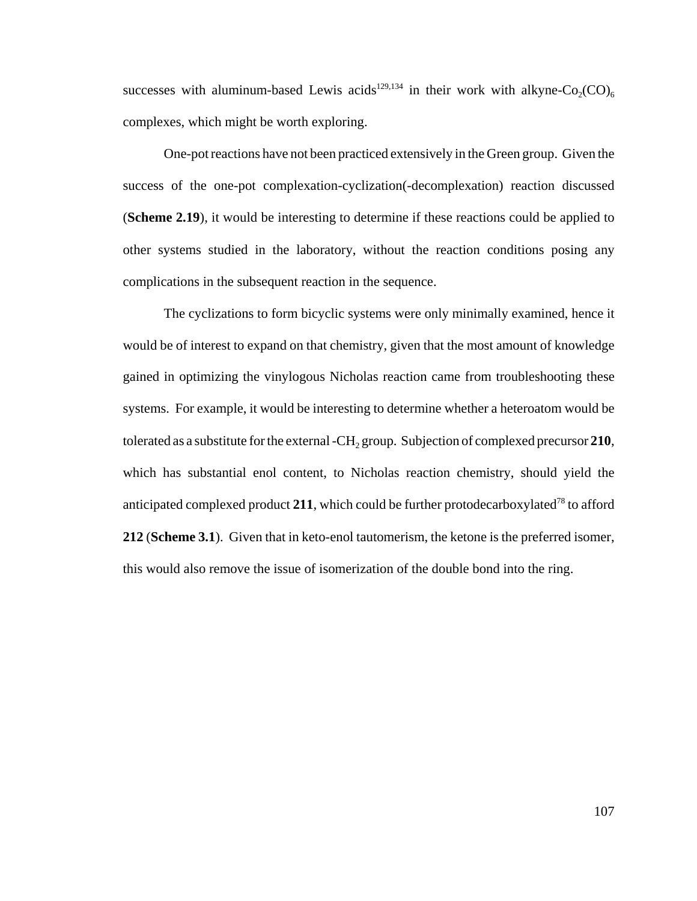successes with aluminum-based Lewis acids<sup>129,134</sup> in their work with alkyne-Co<sub>2</sub>(CO)<sub>6</sub> complexes, which might be worth exploring.

One-pot reactions have not been practiced extensively in the Green group. Given the success of the one-pot complexation-cyclization(-decomplexation) reaction discussed (**Scheme 2.19**), it would be interesting to determine if these reactions could be applied to other systems studied in the laboratory, without the reaction conditions posing any complications in the subsequent reaction in the sequence.

The cyclizations to form bicyclic systems were only minimally examined, hence it would be of interest to expand on that chemistry, given that the most amount of knowledge gained in optimizing the vinylogous Nicholas reaction came from troubleshooting these systems. For example, it would be interesting to determine whether a heteroatom would be tolerated as a substitute for the external -CH<sub>2</sub> group. Subjection of complexed precursor 210, which has substantial enol content, to Nicholas reaction chemistry, should yield the anticipated complexed product  $211$ , which could be further protodecarboxylated<sup>78</sup> to afford **212** (**Scheme 3.1**). Given that in keto-enol tautomerism, the ketone is the preferred isomer, this would also remove the issue of isomerization of the double bond into the ring.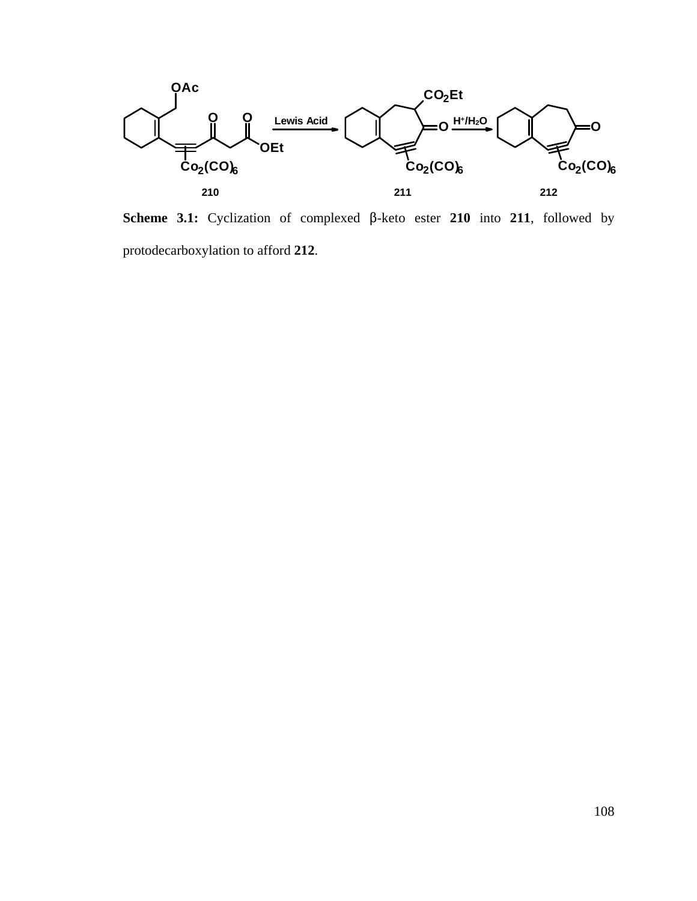

**Scheme 3.1:** Cyclization of complexed  $\beta$ -keto ester 210 into 211, followed by protodecarboxylation to afford **212**.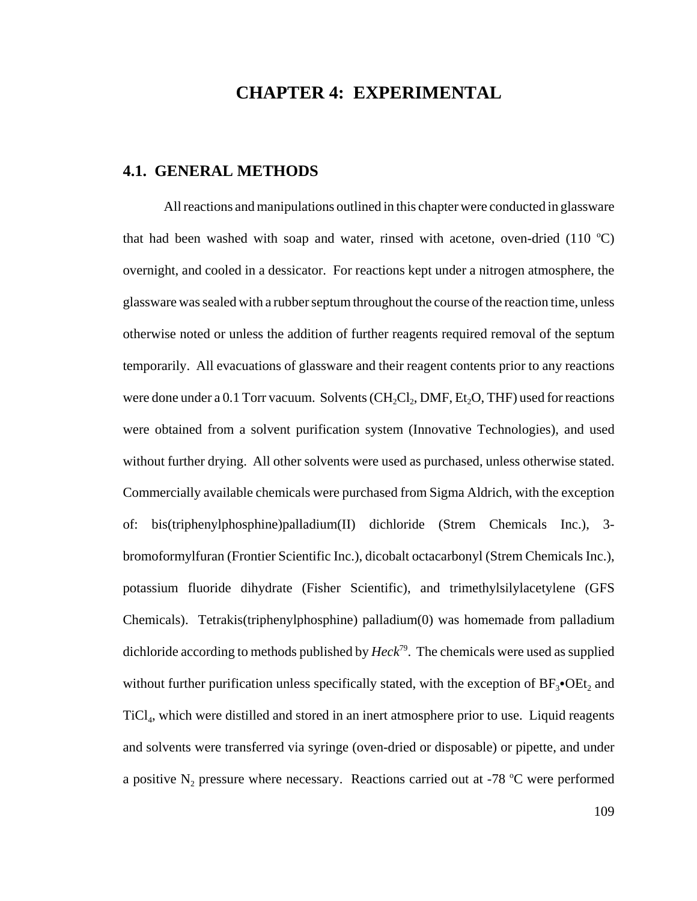## **CHAPTER 4: EXPERIMENTAL**

### **4.1. GENERAL METHODS**

All reactions and manipulations outlined in this chapter were conducted in glassware that had been washed with soap and water, rinsed with acetone, oven-dried  $(110 \degree C)$ overnight, and cooled in a dessicator. For reactions kept under a nitrogen atmosphere, the glassware was sealed with a rubber septum throughout the course of the reaction time, unless otherwise noted or unless the addition of further reagents required removal of the septum temporarily. All evacuations of glassware and their reagent contents prior to any reactions were done under a 0.1 Torr vacuum. Solvents  $(CH_2Cl_2, DMF, Et_2O, THF)$  used for reactions were obtained from a solvent purification system (Innovative Technologies), and used without further drying. All other solvents were used as purchased, unless otherwise stated. Commercially available chemicals were purchased from Sigma Aldrich, with the exception of: bis(triphenylphosphine)palladium(II) dichloride (Strem Chemicals Inc.), 3 bromoformylfuran (Frontier Scientific Inc.), dicobalt octacarbonyl (Strem Chemicals Inc.), potassium fluoride dihydrate (Fisher Scientific), and trimethylsilylacetylene (GFS Chemicals). Tetrakis(triphenylphosphine) palladium(0) was homemade from palladium dichloride according to methods published by *Heck*79. The chemicals were used as supplied without further purification unless specifically stated, with the exception of  $BF_3\bullet$ OEt, and  $TiCl<sub>4</sub>$ , which were distilled and stored in an inert atmosphere prior to use. Liquid reagents and solvents were transferred via syringe (oven-dried or disposable) or pipette, and under a positive  $N_2$  pressure where necessary. Reactions carried out at -78 °C were performed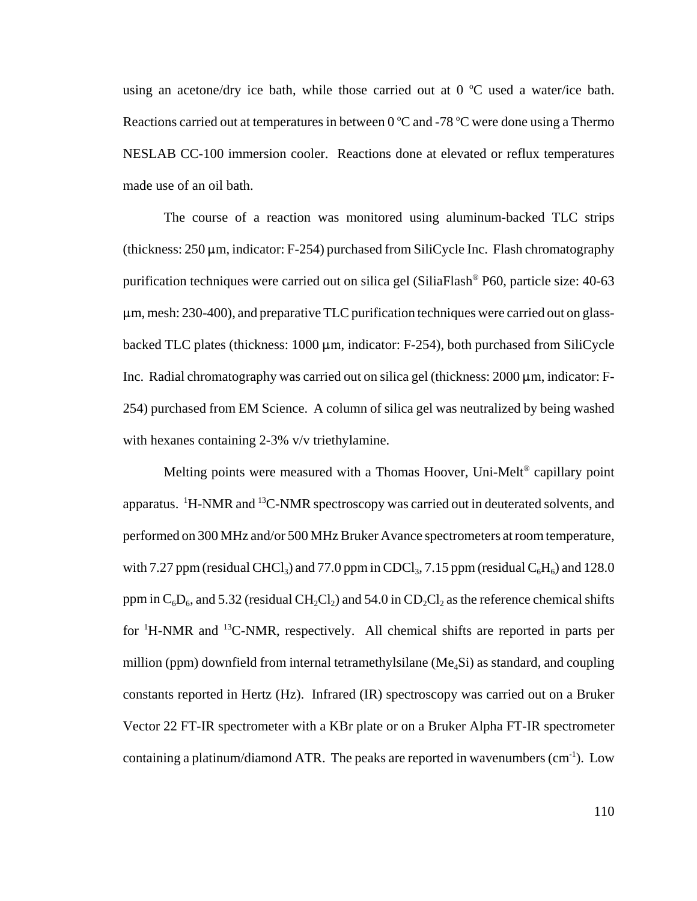using an acetone/dry ice bath, while those carried out at  $0^{\circ}$ C used a water/ice bath. Reactions carried out at temperatures in between  $0^{\circ}$ C and -78  $^{\circ}$ C were done using a Thermo NESLAB CC-100 immersion cooler. Reactions done at elevated or reflux temperatures made use of an oil bath.

The course of a reaction was monitored using aluminum-backed TLC strips (thickness:  $250 \mu m$ , indicator: F-254) purchased from SiliCycle Inc. Flash chromatography purification techniques were carried out on silica gel (SiliaFlash® P60, particle size: 40-63  $\mu$ m, mesh: 230-400), and preparative TLC purification techniques were carried out on glassbacked TLC plates (thickness:  $1000 \mu m$ , indicator: F-254), both purchased from SiliCycle Inc. Radial chromatography was carried out on silica gel (thickness:  $2000 \mu m$ , indicator: F-254) purchased from EM Science. A column of silica gel was neutralized by being washed with hexanes containing 2-3% v/v triethylamine.

Melting points were measured with a Thomas Hoover, Uni-Melt<sup>®</sup> capillary point apparatus. <sup>1</sup>H-NMR and <sup>13</sup>C-NMR spectroscopy was carried out in deuterated solvents, and performed on 300 MHz and/or 500 MHz Bruker Avance spectrometers at room temperature, with 7.27 ppm (residual CHCl<sub>3</sub>) and 77.0 ppm in CDCl<sub>3</sub>, 7.15 ppm (residual  $C_6H_6$ ) and 128.0 ppm in  $C_6D_6$ , and 5.32 (residual CH<sub>2</sub>Cl<sub>2</sub>) and 54.0 in CD<sub>2</sub>Cl<sub>2</sub> as the reference chemical shifts for <sup>1</sup>H-NMR and <sup>13</sup>C-NMR, respectively. All chemical shifts are reported in parts per million (ppm) downfield from internal tetramethylsilane ( $Me<sub>a</sub>Si$ ) as standard, and coupling constants reported in Hertz (Hz). Infrared (IR) spectroscopy was carried out on a Bruker Vector 22 FT-IR spectrometer with a KBr plate or on a Bruker Alpha FT-IR spectrometer containing a platinum/diamond ATR. The peaks are reported in wavenumbers  $(cm<sup>-1</sup>)$ . Low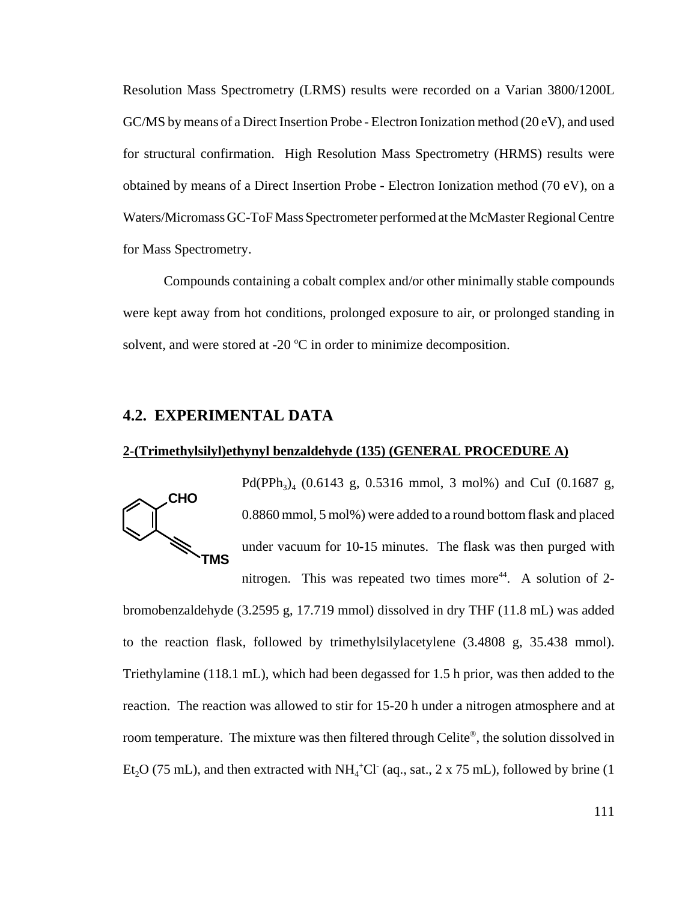Resolution Mass Spectrometry (LRMS) results were recorded on a Varian 3800/1200L GC/MS by means of a Direct Insertion Probe - Electron Ionization method (20 eV), and used for structural confirmation. High Resolution Mass Spectrometry (HRMS) results were obtained by means of a Direct Insertion Probe - Electron Ionization method (70 eV), on a Waters/Micromass GC-ToF Mass Spectrometer performed at the McMaster Regional Centre for Mass Spectrometry.

Compounds containing a cobalt complex and/or other minimally stable compounds were kept away from hot conditions, prolonged exposure to air, or prolonged standing in solvent, and were stored at -20  $^{\circ}$ C in order to minimize decomposition.

## **4.2. EXPERIMENTAL DATA**

#### **2-(Trimethylsilyl)ethynyl benzaldehyde (135) (GENERAL PROCEDURE A)**



Pd(PPh<sub>3</sub>)<sub>4</sub> (0.6143 g, 0.5316 mmol, 3 mol%) and CuI (0.1687 g, 0.8860 mmol, 5 mol%) were added to a round bottom flask and placed under vacuum for 10-15 minutes. The flask was then purged with nitrogen. This was repeated two times more<sup>44</sup>. A solution of 2-

bromobenzaldehyde (3.2595 g, 17.719 mmol) dissolved in dry THF (11.8 mL) was added to the reaction flask, followed by trimethylsilylacetylene (3.4808 g, 35.438 mmol). Triethylamine (118.1 mL), which had been degassed for 1.5 h prior, was then added to the reaction. The reaction was allowed to stir for 15-20 h under a nitrogen atmosphere and at room temperature. The mixture was then filtered through Celite®, the solution dissolved in Et<sub>2</sub>O (75 mL), and then extracted with NH<sub>4</sub><sup>+</sup>Cl<sup>-</sup> (aq., sat., 2 x 75 mL), followed by brine (1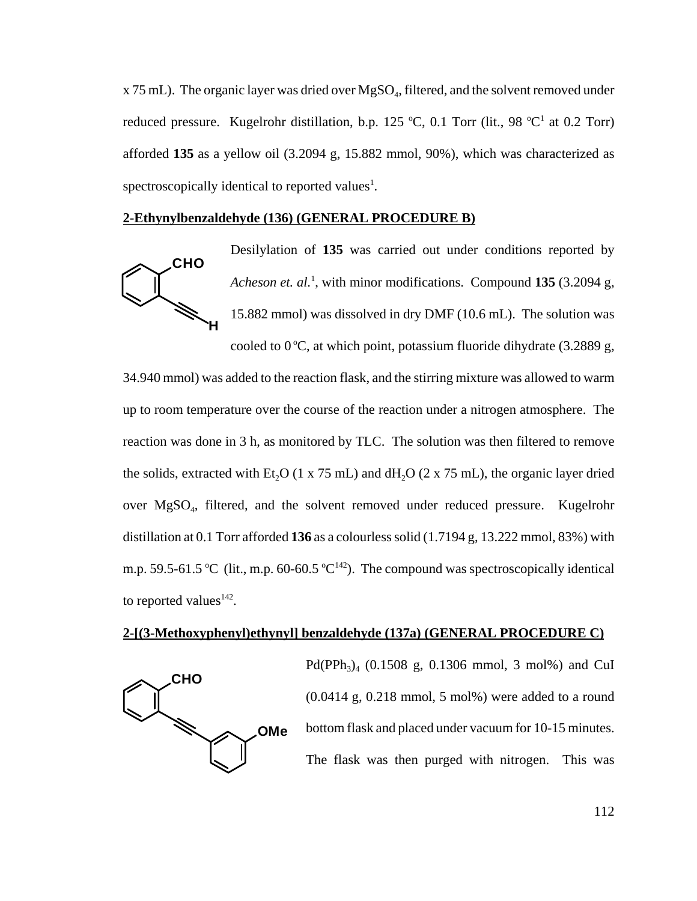$x$  75 mL). The organic layer was dried over  $MgSO<sub>4</sub>$ , filtered, and the solvent removed under reduced pressure. Kugelrohr distillation, b.p. 125 °C, 0.1 Torr (lit., 98 °C<sup>1</sup> at 0.2 Torr) afforded **135** as a yellow oil (3.2094 g, 15.882 mmol, 90%), which was characterized as spectroscopically identical to reported values<sup>1</sup>.

#### **2-Ethynylbenzaldehyde (136) (GENERAL PROCEDURE B)**



Desilylation of **135** was carried out under conditions reported by Acheson et. al.<sup>1</sup>, with minor modifications. Compound 135 (3.2094 g, 15.882 mmol) was dissolved in dry DMF (10.6 mL). The solution was cooled to  $0^{\circ}$ C, at which point, potassium fluoride dihydrate (3.2889 g,

34.940 mmol) was added to the reaction flask, and the stirring mixture was allowed to warm up to room temperature over the course of the reaction under a nitrogen atmosphere. The reaction was done in 3 h, as monitored by TLC. The solution was then filtered to remove the solids, extracted with Et<sub>2</sub>O (1 x 75 mL) and dH<sub>2</sub>O (2 x 75 mL), the organic layer dried over MgSO4, filtered, and the solvent removed under reduced pressure. Kugelrohr distillation at 0.1 Torr afforded **136** as a colourless solid (1.7194 g, 13.222 mmol, 83%) with m.p. 59.5-61.5 °C (lit., m.p. 60-60.5 °C<sup>142</sup>). The compound was spectroscopically identical to reported values $^{142}$ .

#### **2-[(3-Methoxyphenyl)ethynyl] benzaldehyde (137a) (GENERAL PROCEDURE C)**



 $Pd(PPh_3)_{4}$  (0.1508 g, 0.1306 mmol, 3 mol%) and CuI (0.0414 g, 0.218 mmol, 5 mol%) were added to a round bottom flask and placed under vacuum for 10-15 minutes. The flask was then purged with nitrogen. This was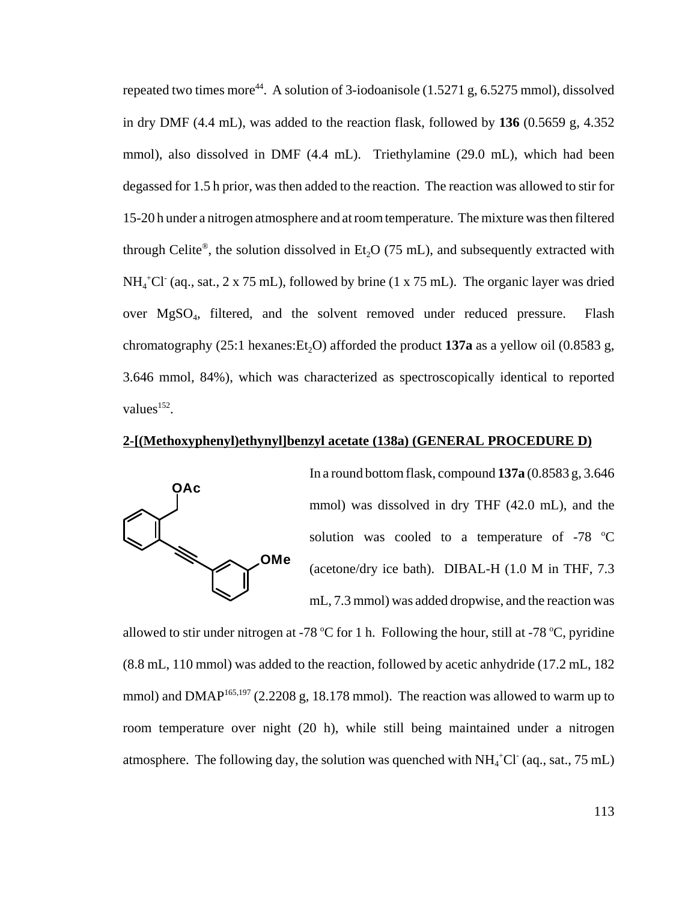repeated two times more<sup>44</sup>. A solution of 3-iodoanisole  $(1.5271 \text{ g}, 6.5275 \text{ mmol})$ , dissolved in dry DMF (4.4 mL), was added to the reaction flask, followed by **136** (0.5659 g, 4.352 mmol), also dissolved in DMF (4.4 mL). Triethylamine (29.0 mL), which had been degassed for 1.5 h prior, was then added to the reaction. The reaction was allowed to stir for 15-20 h under a nitrogen atmosphere and at room temperature. The mixture was then filtered through Celite®, the solution dissolved in Et<sub>2</sub>O (75 mL), and subsequently extracted with  $NH<sub>4</sub>$ <sup>+</sup>Cl<sup>-</sup> (aq., sat., 2 x 75 mL), followed by brine (1 x 75 mL). The organic layer was dried over MgSO<sub>4</sub>, filtered, and the solvent removed under reduced pressure. Flash chromatography  $(25:1 \text{ hexanes:Et}, O)$  afforded the product **137a** as a yellow oil  $(0.8583 \text{ g}, O)$ 3.646 mmol, 84%), which was characterized as spectroscopically identical to reported values $^{152}$ .

#### **2-[(Methoxyphenyl)ethynyl]benzyl acetate (138a) (GENERAL PROCEDURE D)**



In a round bottom flask, compound **137a** (0.8583 g, 3.646 mmol) was dissolved in dry THF (42.0 mL), and the solution was cooled to a temperature of  $-78$  °C (acetone/dry ice bath). DIBAL-H (1.0 M in THF, 7.3 mL, 7.3 mmol) was added dropwise, and the reaction was

allowed to stir under nitrogen at -78  $^{\circ}$ C for 1 h. Following the hour, still at -78  $^{\circ}$ C, pyridine (8.8 mL, 110 mmol) was added to the reaction, followed by acetic anhydride (17.2 mL, 182 mmol) and DMAP<sup>165,197</sup> (2.2208 g, 18.178 mmol). The reaction was allowed to warm up to room temperature over night (20 h), while still being maintained under a nitrogen atmosphere. The following day, the solution was quenched with  $NH_4^+Cl^-(aq., sat., 75 mL)$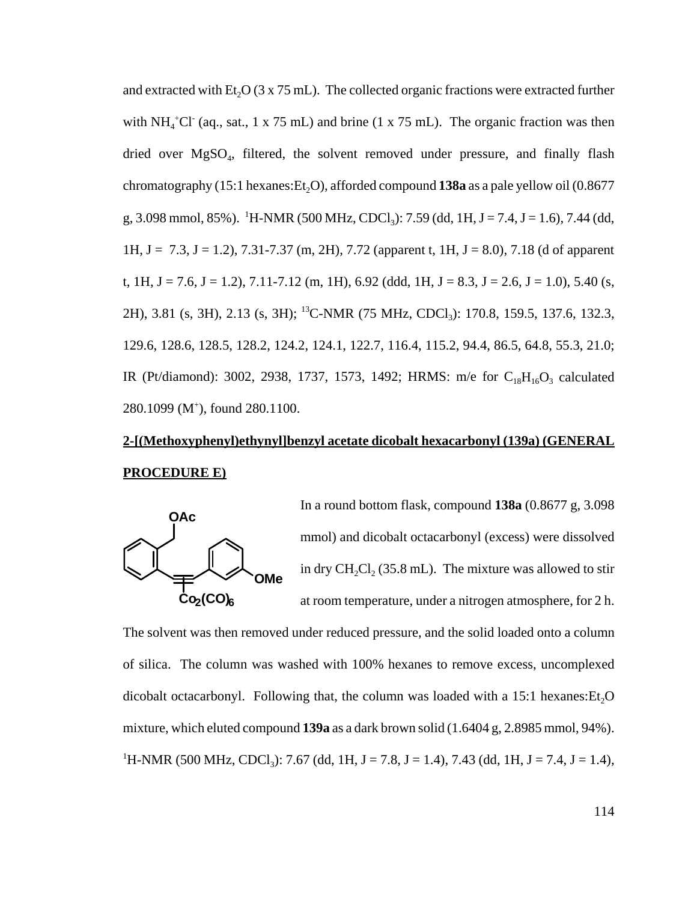and extracted with Et<sub>2</sub>O ( $3 \times 75$  mL). The collected organic fractions were extracted further with NH<sub>4</sub><sup>+</sup>Cl<sup>-</sup> (aq., sat., 1 x 75 mL) and brine (1 x 75 mL). The organic fraction was then dried over MgSO<sub>4</sub>, filtered, the solvent removed under pressure, and finally flash chromatography  $(15:1$  hexanes:  $Et<sub>2</sub>O$ , afforded compound **138a** as a pale yellow oil  $(0.8677)$ g, 3.098 mmol, 85%). <sup>1</sup>H-NMR (500 MHz, CDCl<sub>3</sub>): 7.59 (dd, 1H, J = 7.4, J = 1.6), 7.44 (dd, 1H,  $J = 7.3$ ,  $J = 1.2$ ),  $7.31 - 7.37$  (m, 2H),  $7.72$  (apparent t, 1H,  $J = 8.0$ ),  $7.18$  (d of apparent t, 1H, J = 7.6, J = 1.2), 7.11-7.12 (m, 1H), 6.92 (ddd, 1H, J = 8.3, J = 2.6, J = 1.0), 5.40 (s, 2H), 3.81 (s, 3H), 2.13 (s, 3H); <sup>13</sup>C-NMR (75 MHz, CDCl<sub>3</sub>): 170.8, 159.5, 137.6, 132.3, 129.6, 128.6, 128.5, 128.2, 124.2, 124.1, 122.7, 116.4, 115.2, 94.4, 86.5, 64.8, 55.3, 21.0; IR (Pt/diamond): 3002, 2938, 1737, 1573, 1492; HRMS: m/e for  $C_{18}H_{16}O_3$  calculated 280.1099 (M<sup>+</sup>), found 280.1100.

## **2-[(Methoxyphenyl)ethynyl]benzyl acetate dicobalt hexacarbonyl (139a) (GENERAL PROCEDURE E)**



In a round bottom flask, compound **138a** (0.8677 g, 3.098 mmol) and dicobalt octacarbonyl (excess) were dissolved in dry CH<sub>2</sub>Cl<sub>2</sub> (35.8 mL). The mixture was allowed to stir at room temperature, under a nitrogen atmosphere, for 2 h.

The solvent was then removed under reduced pressure, and the solid loaded onto a column of silica. The column was washed with 100% hexanes to remove excess, uncomplexed dicobalt octacarbonyl. Following that, the column was loaded with a  $15:1$  hexanes:  $Et<sub>2</sub>O$ mixture, which eluted compound **139a** as a dark brown solid (1.6404 g, 2.8985 mmol, 94%). <sup>1</sup>H-NMR (500 MHz, CDCl<sub>3</sub>): 7.67 (dd, 1H, J = 7.8, J = 1.4), 7.43 (dd, 1H, J = 7.4, J = 1.4),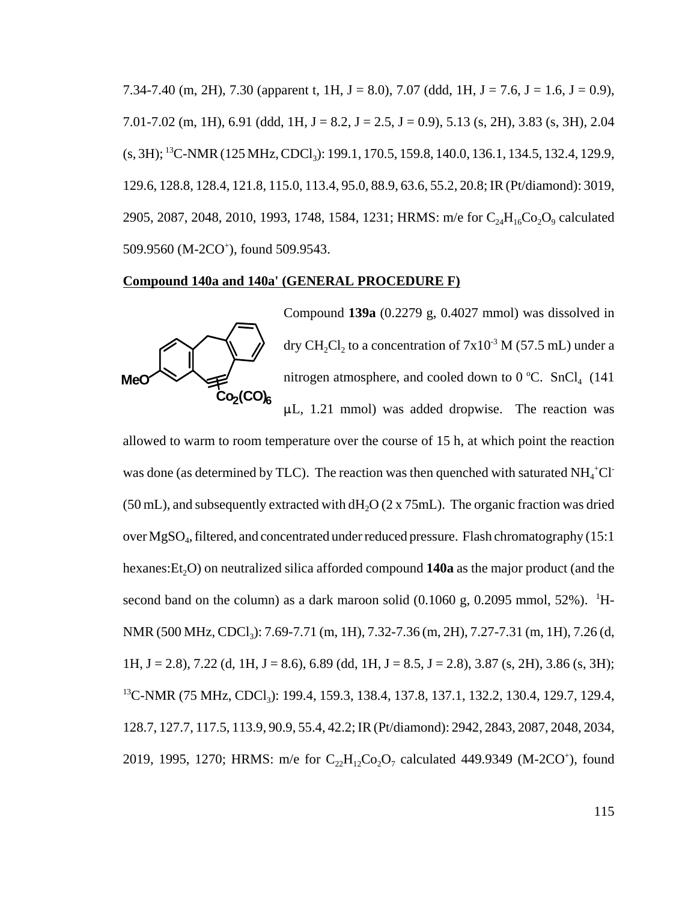7.34-7.40 (m, 2H), 7.30 (apparent t, 1H,  $J = 8.0$ ), 7.07 (ddd, 1H,  $J = 7.6$ ,  $J = 1.6$ ,  $J = 0.9$ ), 7.01-7.02 (m, 1H), 6.91 (ddd, 1H, J = 8.2, J = 2.5, J = 0.9), 5.13 (s, 2H), 3.83 (s, 3H), 2.04 (s, 3H); <sup>13</sup>C-NMR (125 MHz, CDCl<sub>3</sub>): 199.1, 170.5, 159.8, 140.0, 136.1, 134.5, 132.4, 129.9, 129.6, 128.8, 128.4, 121.8, 115.0, 113.4, 95.0, 88.9, 63.6, 55.2, 20.8; IR (Pt/diamond): 3019, 2905, 2087, 2048, 2010, 1993, 1748, 1584, 1231; HRMS: m/e for  $C_{24}H_{16}Co_2O_9$  calculated 509.9560 (M-2CO<sup>+</sup>), found 509.9543.

#### **Compound 140a and 140a' (GENERAL PROCEDURE F)**



Compound **139a** (0.2279 g, 0.4027 mmol) was dissolved in dry CH<sub>2</sub>Cl<sub>2</sub> to a concentration of  $7x10^{-3}$  M (57.5 mL) under a nitrogen atmosphere, and cooled down to  $0^{\circ}$ C. SnCl<sub>4</sub> (141)  $\mu$ L, 1.21 mmol) was added dropwise. The reaction was

allowed to warm to room temperature over the course of 15 h, at which point the reaction was done (as determined by TLC). The reaction was then quenched with saturated  $NH_4^+Cl^-$ (50 mL), and subsequently extracted with  $dH<sub>2</sub>O$  (2 x 75mL). The organic fraction was dried over MgSO<sub>4</sub>, filtered, and concentrated under reduced pressure. Flash chromatography (15:1 hexanes: Et<sub>2</sub>O) on neutralized silica afforded compound **140a** as the major product (and the second band on the column) as a dark maroon solid  $(0.1060 \text{ g}, 0.2095 \text{ mmol}, 52\%)$ . <sup>1</sup>H-NMR (500 MHz, CDCl<sub>3</sub>): 7.69-7.71 (m, 1H), 7.32-7.36 (m, 2H), 7.27-7.31 (m, 1H), 7.26 (d, 1H, J = 2.8), 7.22 (d, 1H, J = 8.6), 6.89 (dd, 1H, J = 8.5, J = 2.8), 3.87 (s, 2H), 3.86 (s, 3H); <sup>13</sup>C-NMR (75 MHz, CDCl<sub>3</sub>): 199.4, 159.3, 138.4, 137.8, 137.1, 132.2, 130.4, 129.7, 129.4, 128.7, 127.7, 117.5, 113.9, 90.9, 55.4, 42.2; IR (Pt/diamond): 2942, 2843, 2087, 2048, 2034, 2019, 1995, 1270; HRMS: m/e for  $C_{22}H_{12}Co_2O_7$  calculated 449.9349 (M-2CO<sup>+</sup>), found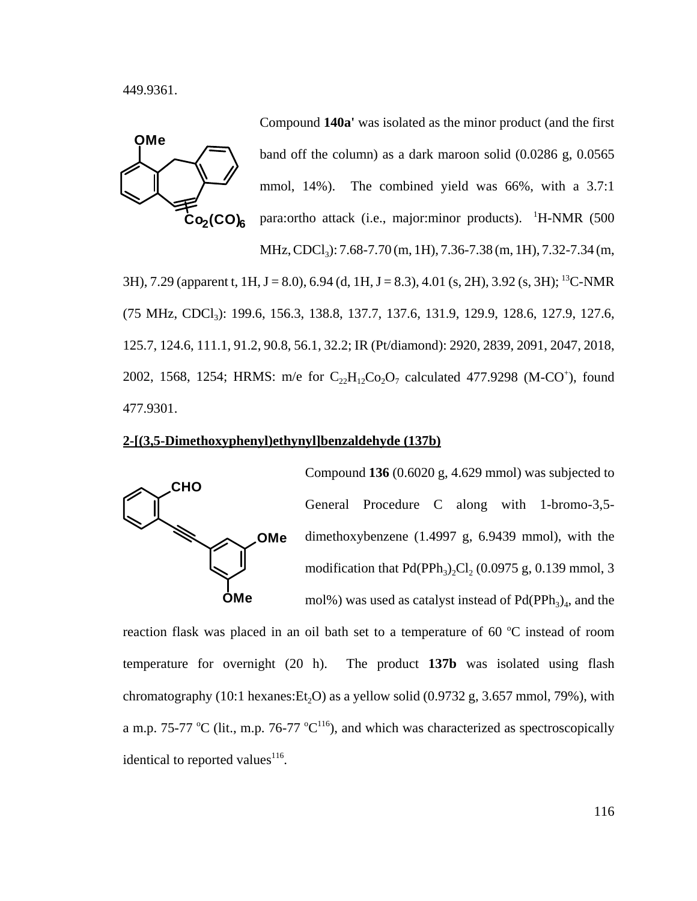449.9361.



Compound **140a'** was isolated as the minor product (and the first band off the column) as a dark maroon solid (0.0286 g, 0.0565 mmol, 14%). The combined yield was 66%, with a 3.7:1 para:ortho attack (i.e., major:minor products). <sup>1</sup>H-NMR (500

MHz, CDCl<sub>3</sub>): 7.68-7.70 (m, 1H), 7.36-7.38 (m, 1H), 7.32-7.34 (m,

3H), 7.29 (apparent t, 1H, J = 8.0), 6.94 (d, 1H, J = 8.3), 4.01 (s, 2H), 3.92 (s, 3H); <sup>13</sup>C-NMR (75 MHz, CDCl<sub>3</sub>): 199.6, 156.3, 138.8, 137.7, 137.6, 131.9, 129.9, 128.6, 127.9, 127.6, 125.7, 124.6, 111.1, 91.2, 90.8, 56.1, 32.2; IR (Pt/diamond): 2920, 2839, 2091, 2047, 2018, 2002, 1568, 1254; HRMS: m/e for  $C_{22}H_{12}Co_2O_7$  calculated 477.9298 (M-CO<sup>+</sup>), found 477.9301.

#### **2-[(3,5-Dimethoxyphenyl)ethynyl]benzaldehyde (137b)**



Compound **136** (0.6020 g, 4.629 mmol) was subjected to General Procedure C along with 1-bromo-3,5 dimethoxybenzene (1.4997 g, 6.9439 mmol), with the modification that  $Pd(PPh_3)_{2}Cl_2 (0.0975 \text{ g}, 0.139 \text{ mmol}, 3)$ mol%) was used as catalyst instead of  $Pd(PPh<sub>3</sub>)<sub>4</sub>$ , and the

reaction flask was placed in an oil bath set to a temperature of  $60 °C$  instead of room temperature for overnight (20 h). The product **137b** was isolated using flash chromatography (10:1 hexanes:  $Et<sub>2</sub>O$ ) as a yellow solid (0.9732 g, 3.657 mmol, 79%), with a m.p. 75-77 °C (lit., m.p. 76-77 °C<sup>116</sup>), and which was characterized as spectroscopically identical to reported values $116$ .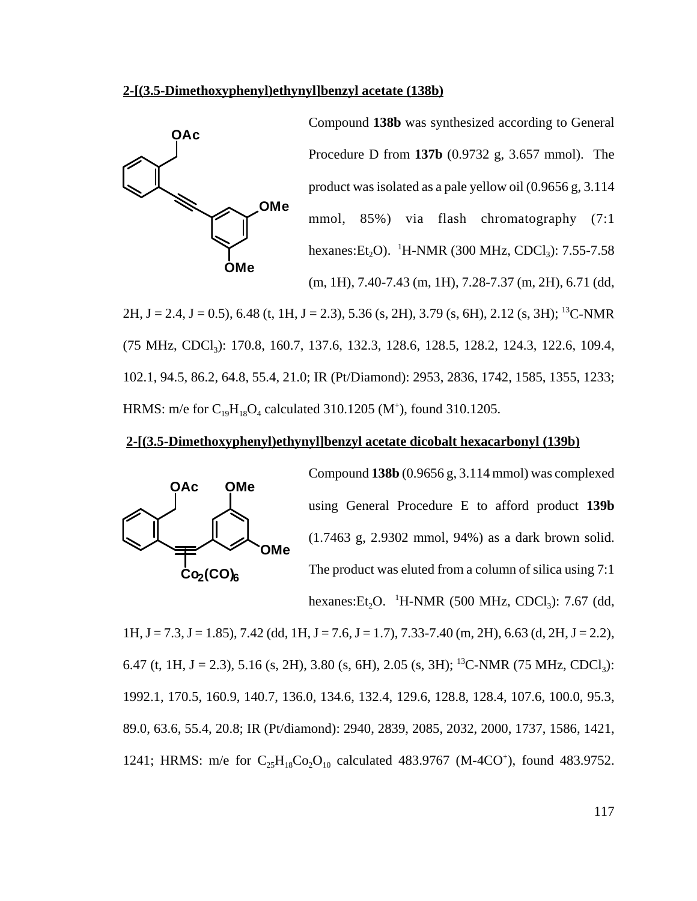#### **2-[(3.5-Dimethoxyphenyl)ethynyl]benzyl acetate (138b)**



Compound **138b** was synthesized according to General Procedure D from **137b** (0.9732 g, 3.657 mmol). The product was isolated as a pale yellow oil (0.9656 g, 3.114 mmol, 85%) via flash chromatography (7:1 hexanes: $Et_2O$ ). <sup>1</sup>H-NMR (300 MHz, CDCl<sub>3</sub>): 7.55-7.58 (m, 1H), 7.40-7.43 (m, 1H), 7.28-7.37 (m, 2H), 6.71 (dd,

2H, J = 2.4, J = 0.5), 6.48 (t, 1H, J = 2.3), 5.36 (s, 2H), 3.79 (s, 6H), 2.12 (s, 3H); <sup>13</sup>C-NMR (75 MHz, CDCl<sub>3</sub>): 170.8, 160.7, 137.6, 132.3, 128.6, 128.5, 128.2, 124.3, 122.6, 109.4, 102.1, 94.5, 86.2, 64.8, 55.4, 21.0; IR (Pt/Diamond): 2953, 2836, 1742, 1585, 1355, 1233; HRMS: m/e for  $C_{19}H_{18}O_4$  calculated 310.1205 (M<sup>+</sup>), found 310.1205.

#### **2-[(3.5-Dimethoxyphenyl)ethynyl]benzyl acetate dicobalt hexacarbonyl (139b)**



Compound **138b** (0.9656 g, 3.114 mmol) was complexed using General Procedure E to afford product **139b** (1.7463 g, 2.9302 mmol, 94%) as a dark brown solid. The product was eluted from a column of silica using 7:1 hexanes: $Et_2O.$ <sup>1</sup>H-NMR (500 MHz, CDCl<sub>3</sub>): 7.67 (dd,

 $1H, J = 7.3, J = 1.85$ ,  $7.42$  (dd,  $1H, J = 7.6, J = 1.7$ ),  $7.33-7.40$  (m,  $2H$ ),  $6.63$  (d,  $2H, J = 2.2$ ), 6.47 (t, 1H, J = 2.3), 5.16 (s, 2H), 3.80 (s, 6H), 2.05 (s, 3H); <sup>13</sup>C-NMR (75 MHz, CDCl<sub>3</sub>): 1992.1, 170.5, 160.9, 140.7, 136.0, 134.6, 132.4, 129.6, 128.8, 128.4, 107.6, 100.0, 95.3, 89.0, 63.6, 55.4, 20.8; IR (Pt/diamond): 2940, 2839, 2085, 2032, 2000, 1737, 1586, 1421, 1241; HRMS: m/e for  $C_{25}H_{18}Co_2O_{10}$  calculated 483.9767 (M-4CO<sup>+</sup>), found 483.9752.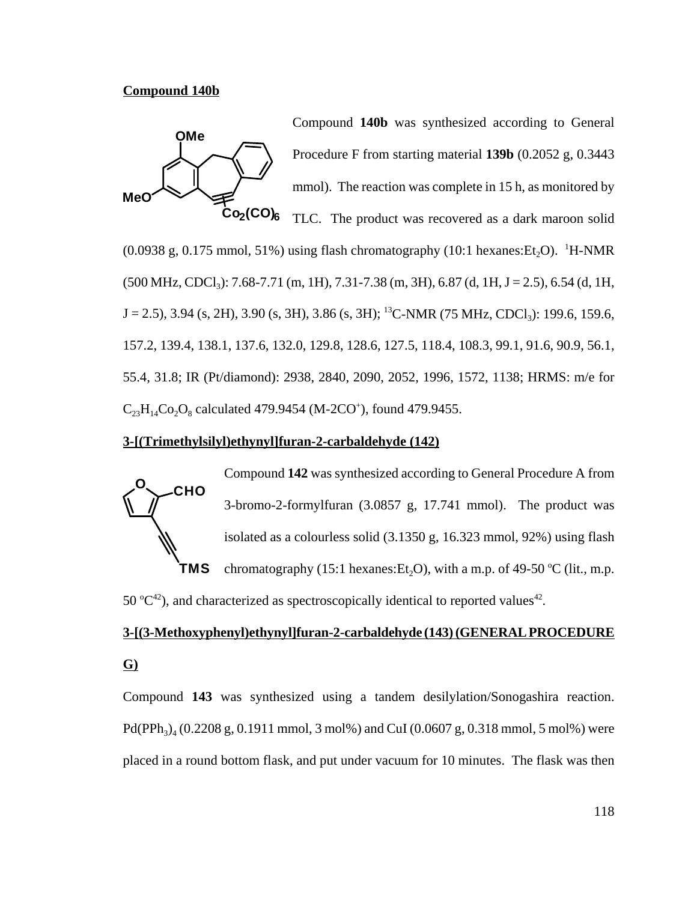#### **Compound 140b**



Compound **140b** was synthesized according to General Procedure F from starting material **139b** (0.2052 g, 0.3443 mmol). The reaction was complete in 15 h, as monitored by TLC. The product was recovered as a dark maroon solid

(0.0938 g, 0.175 mmol, 51%) using flash chromatography (10:1 hexanes:  $Et_2O$ ). <sup>1</sup>H-NMR  $(500 \text{ MHz}, \text{CDCl}_3)$ : 7.68-7.71 (m, 1H), 7.31-7.38 (m, 3H), 6.87 (d, 1H, J = 2.5), 6.54 (d, 1H,  $J = 2.5$ ), 3.94 (s, 2H), 3.90 (s, 3H), 3.86 (s, 3H); <sup>13</sup>C-NMR (75 MHz, CDCl<sub>3</sub>): 199.6, 159.6, 157.2, 139.4, 138.1, 137.6, 132.0, 129.8, 128.6, 127.5, 118.4, 108.3, 99.1, 91.6, 90.9, 56.1, 55.4, 31.8; IR (Pt/diamond): 2938, 2840, 2090, 2052, 1996, 1572, 1138; HRMS: m/e for  $C_{23}H_{14}Co_2O_8$  calculated 479.9454 (M-2CO<sup>+</sup>), found 479.9455.

#### **3-[(Trimethylsilyl)ethynyl]furan-2-carbaldehyde (142)**



Compound **142** was synthesized according to General Procedure A from 3-bromo-2-formylfuran (3.0857 g, 17.741 mmol). The product was isolated as a colourless solid (3.1350 g, 16.323 mmol, 92%) using flash chromatography (15:1 hexanes:  $Et_2O$ ), with a m.p. of 49-50 °C (lit., m.p.

50  $^{\circ}C^{42}$ ), and characterized as spectroscopically identical to reported values<sup>42</sup>.

## **3-[(3-Methoxyphenyl)ethynyl]furan-2-carbaldehyde (143) (GENERAL PROCEDURE G)**

Compound **143** was synthesized using a tandem desilylation/Sonogashira reaction.  $Pd(PPh<sub>3)</sub><sub>4</sub> (0.2208 g, 0.1911 mmol, 3 mol%)$  and CuI (0.0607 g, 0.318 mmol, 5 mol%) were placed in a round bottom flask, and put under vacuum for 10 minutes. The flask was then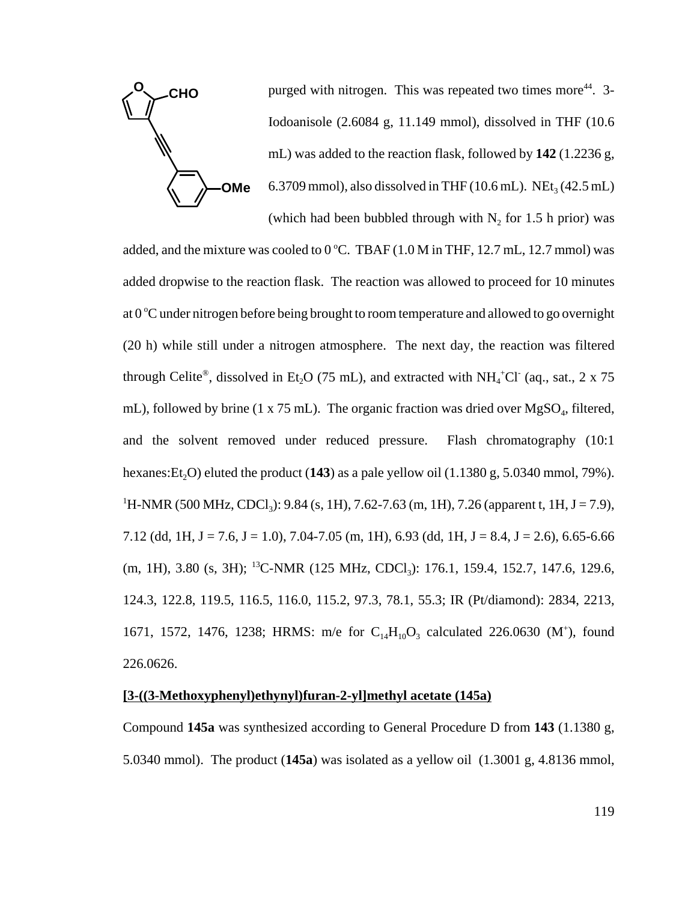

**CHO Durged with nitrogen.** This was repeated two times more<sup>44</sup>. 3-Iodoanisole (2.6084 g, 11.149 mmol), dissolved in THF (10.6 mL) was added to the reaction flask, followed by **142** (1.2236 g, 6.3709 mmol), also dissolved in THF (10.6 mL). NEt<sub>3</sub> (42.5 mL) (which had been bubbled through with  $N_2$  for 1.5 h prior) was

added, and the mixture was cooled to  $0^{\circ}$ C. TBAF (1.0 M in THF, 12.7 mL, 12.7 mmol) was added dropwise to the reaction flask. The reaction was allowed to proceed for 10 minutes at 0 °C under nitrogen before being brought to room temperature and allowed to go overnight (20 h) while still under a nitrogen atmosphere. The next day, the reaction was filtered through Celite®, dissolved in Et<sub>2</sub>O (75 mL), and extracted with NH<sub>4</sub><sup>+</sup>Cl<sup>-</sup> (aq., sat., 2 x 75 mL), followed by brine  $(1 \times 75 \text{ mL})$ . The organic fraction was dried over  $MgSO_4$ , filtered, and the solvent removed under reduced pressure. Flash chromatography (10:1 hexanes: Et<sub>2</sub>O) eluted the product (143) as a pale yellow oil (1.1380 g, 5.0340 mmol, 79%). <sup>1</sup>H-NMR (500 MHz, CDCl<sub>3</sub>): 9.84 (s, 1H), 7.62-7.63 (m, 1H), 7.26 (apparent t, 1H, J = 7.9), 7.12 (dd, 1H, J = 7.6, J = 1.0), 7.04-7.05 (m, 1H), 6.93 (dd, 1H, J = 8.4, J = 2.6), 6.65-6.66 (m, 1H), 3.80 (s, 3H); <sup>13</sup>C-NMR (125 MHz, CDCl<sub>3</sub>): 176.1, 159.4, 152.7, 147.6, 129.6, 124.3, 122.8, 119.5, 116.5, 116.0, 115.2, 97.3, 78.1, 55.3; IR (Pt/diamond): 2834, 2213, 1671, 1572, 1476, 1238; HRMS: m/e for  $C_{14}H_{10}O_3$  calculated 226.0630 (M<sup>+</sup>), found 226.0626.

#### **[3-((3-Methoxyphenyl)ethynyl)furan-2-yl]methyl acetate (145a)**

Compound **145a** was synthesized according to General Procedure D from **143** (1.1380 g, 5.0340 mmol). The product (**145a**) was isolated as a yellow oil (1.3001 g, 4.8136 mmol,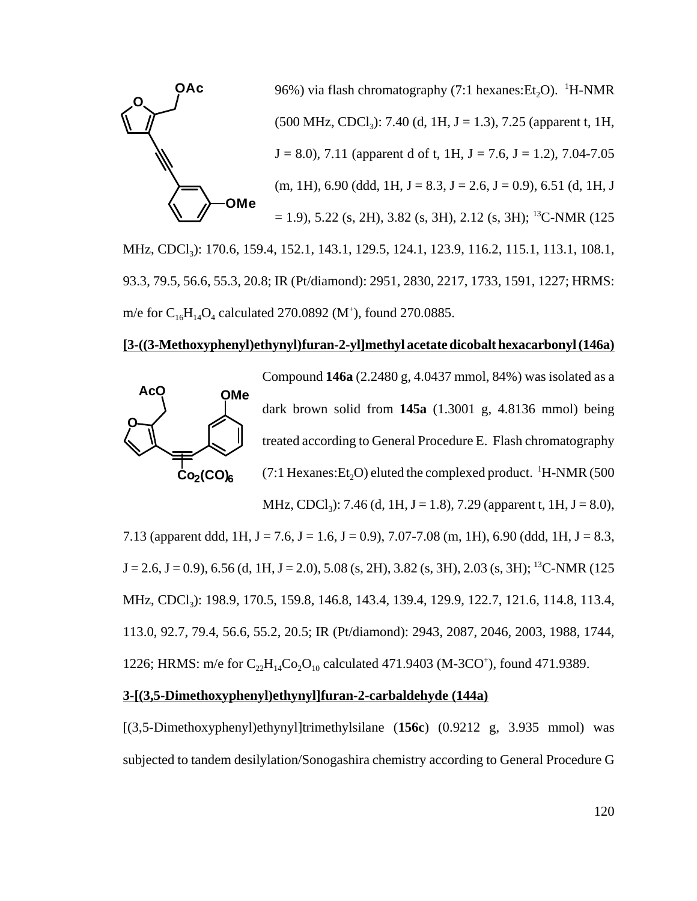

93.3, 79.5, 56.6, 55.3, 20.8; IR (Pt/diamond): 2951, 2830, 2217, 1733, 1591, 1227; HRMS: m/e for  $C_{16}H_{14}O_4$  calculated 270.0892 (M<sup>+</sup>), found 270.0885.

#### **[3-((3-Methoxyphenyl)ethynyl)furan-2-yl]methyl acetate dicobalt hexacarbonyl (146a)**



Compound **146a** (2.2480 g, 4.0437 mmol, 84%) was isolated as a dark brown solid from **145a** (1.3001 g, 4.8136 mmol) being treated according to General Procedure E. Flash chromatography (7:1 Hexanes:  $Et_2O$ ) eluted the complexed product. <sup>1</sup>H-NMR (500

MHz, CDCl<sub>3</sub>): 7.46 (d, 1H, J = 1.8), 7.29 (apparent t, 1H, J = 8.0),

7.13 (apparent ddd, 1H, J = 7.6, J = 1.6, J = 0.9), 7.07-7.08 (m, 1H), 6.90 (ddd, 1H, J = 8.3,  $J = 2.6$ ,  $J = 0.9$ ), 6.56 (d, 1H,  $J = 2.0$ ), 5.08 (s, 2H), 3.82 (s, 3H), 2.03 (s, 3H); <sup>13</sup>C-NMR (125 MHz, CDCl<sub>3</sub>): 198.9, 170.5, 159.8, 146.8, 143.4, 139.4, 129.9, 122.7, 121.6, 114.8, 113.4, 113.0, 92.7, 79.4, 56.6, 55.2, 20.5; IR (Pt/diamond): 2943, 2087, 2046, 2003, 1988, 1744, 1226; HRMS: m/e for  $C_{22}H_{14}Co_{2}O_{10}$  calculated 471.9403 (M-3CO<sup>+</sup>), found 471.9389.

#### **3-[(3,5-Dimethoxyphenyl)ethynyl]furan-2-carbaldehyde (144a)**

[(3,5-Dimethoxyphenyl)ethynyl]trimethylsilane (**156c**) (0.9212 g, 3.935 mmol) was subjected to tandem desilylation/Sonogashira chemistry according to General Procedure G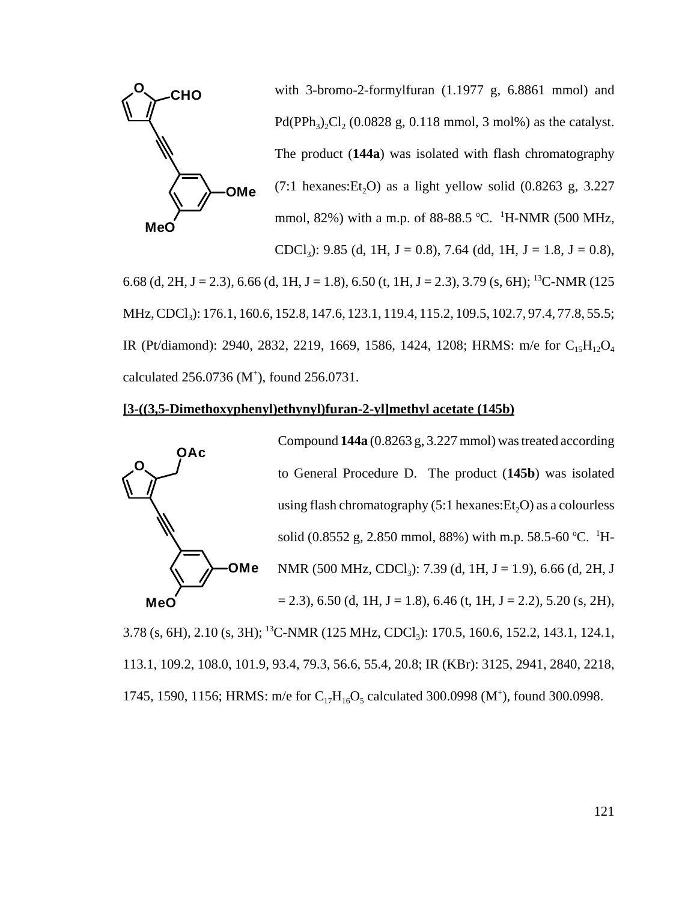

with 3-bromo-2-formylfuran (1.1977 g, 6.8861 mmol) and Pd(PPh<sub>3</sub>)<sub>2</sub>Cl<sub>2</sub> (0.0828 g, 0.118 mmol, 3 mol%) as the catalyst. The product (**144a**) was isolated with flash chromatography  $(7:1 \text{ hexanes:Et}, O)$  as a light yellow solid  $(0.8263 \text{ g}, 3.227)$ mmol, 82%) with a m.p. of 88-88.5 °C. <sup>1</sup>H-NMR (500 MHz, CDCl<sub>3</sub>): 9.85 (d, 1H, J = 0.8), 7.64 (dd, 1H, J = 1.8, J = 0.8),

6.68 (d, 2H, J = 2.3), 6.66 (d, 1H, J = 1.8), 6.50 (t, 1H, J = 2.3), 3.79 (s, 6H); <sup>13</sup>C-NMR (125 MHz, CDCl<sub>3</sub>): 176.1, 160.6, 152.8, 147.6, 123.1, 119.4, 115.2, 109.5, 102.7, 97.4, 77.8, 55.5; IR (Pt/diamond): 2940, 2832, 2219, 1669, 1586, 1424, 1208; HRMS: m/e for C<sub>15</sub>H<sub>12</sub>O<sub>4</sub> calculated  $256.0736$  (M<sup>+</sup>), found  $256.0731$ .

# **[3-((3,5-Dimethoxyphenyl)ethynyl)furan-2-yl]methyl acetate (145b)**



3.78 (s, 6H), 2.10 (s, 3H); <sup>13</sup>C-NMR (125 MHz, CDCl<sub>3</sub>): 170.5, 160.6, 152.2, 143.1, 124.1, 113.1, 109.2, 108.0, 101.9, 93.4, 79.3, 56.6, 55.4, 20.8; IR (KBr): 3125, 2941, 2840, 2218, 1745, 1590, 1156; HRMS: m/e for  $C_{17}H_{16}O_5$  calculated 300.0998 (M<sup>+</sup>), found 300.0998.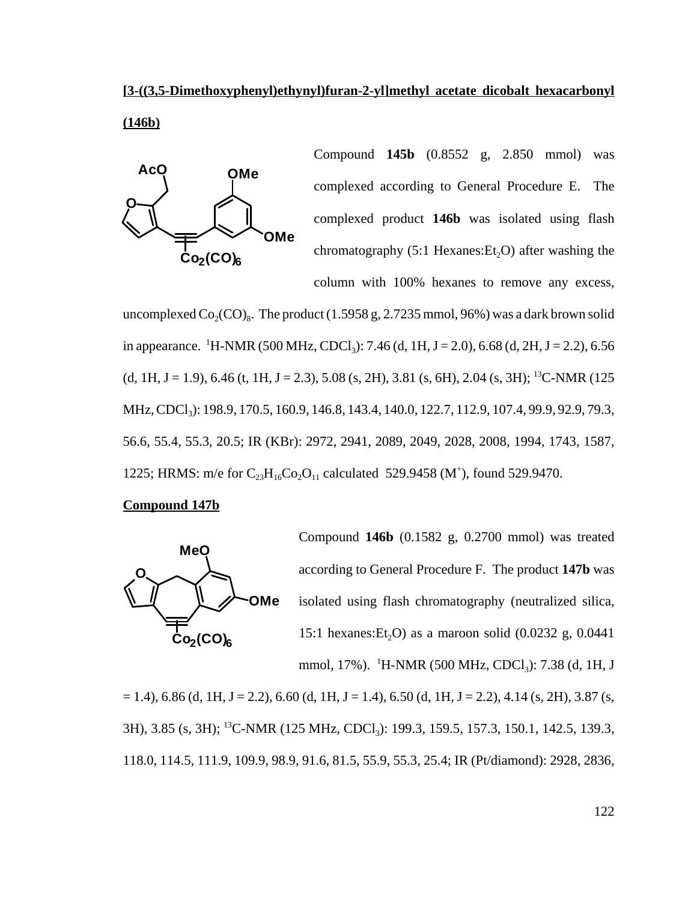# **[3-((3,5-Dimethoxyphenyl)ethynyl)furan-2-yl]methyl acetate dicobalt hexacarbonyl (146b)**



Compound **145b** (0.8552 g, 2.850 mmol) was complexed according to General Procedure E. The complexed product **146b** was isolated using flash chromatography  $(5:1$  Hexanes:  $Et<sub>2</sub>O$  after washing the column with 100% hexanes to remove any excess,

uncomplexed  $Co_2(CO)_8$ . The product (1.5958 g, 2.7235 mmol, 96%) was a dark brown solid in appearance. <sup>1</sup>H-NMR (500 MHz, CDCl<sub>3</sub>): 7.46 (d, 1H, J = 2.0), 6.68 (d, 2H, J = 2.2), 6.56  $(d, 1H, J = 1.9)$ , 6.46  $(t, 1H, J = 2.3)$ , 5.08  $(s, 2H)$ , 3.81  $(s, 6H)$ , 2.04  $(s, 3H)$ ; <sup>13</sup>C-NMR (125) MHz, CDCl<sub>3</sub>): 198.9, 170.5, 160.9, 146.8, 143.4, 140.0, 122.7, 112.9, 107.4, 99.9, 92.9, 79.3, 56.6, 55.4, 55.3, 20.5; IR (KBr): 2972, 2941, 2089, 2049, 2028, 2008, 1994, 1743, 1587, 1225; HRMS: m/e for  $C_{23}H_{16}Co_2O_{11}$  calculated 529.9458 (M<sup>+</sup>), found 529.9470.

### **Compound 147b**



Compound **146b** (0.1582 g, 0.2700 mmol) was treated according to General Procedure F. The product **147b** was isolated using flash chromatography (neutralized silica, 15:1 hexanes: Et<sub>2</sub>O) as a maroon solid  $(0.0232 \text{ g}, 0.0441)$ mmol, 17%). <sup>1</sup>H-NMR (500 MHz, CDCl<sub>3</sub>): 7.38 (d, 1H, J

 $= 1.4$ ), 6.86 (d, 1H, J = 2.2), 6.60 (d, 1H, J = 1.4), 6.50 (d, 1H, J = 2.2), 4.14 (s, 2H), 3.87 (s, 3H), 3.85 (s, 3H); <sup>13</sup>C-NMR (125 MHz, CDCl<sub>3</sub>): 199.3, 159.5, 157.3, 150.1, 142.5, 139.3, 118.0, 114.5, 111.9, 109.9, 98.9, 91.6, 81.5, 55.9, 55.3, 25.4; IR (Pt/diamond): 2928, 2836,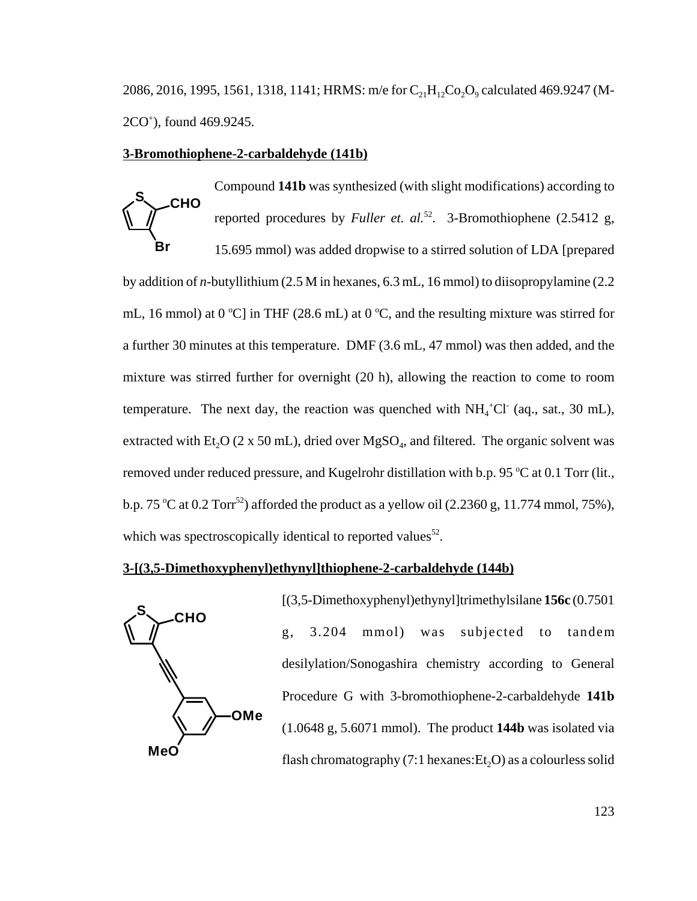2086, 2016, 1995, 1561, 1318, 1141; HRMS: m/e for  $C_{21}H_{12}Co_2O_9$  calculated 469.9247 (M-2CO+ ), found 469.9245.

Compound **141b** was synthesized (with slight modifications) according to

#### **3-Bromothiophene-2-carbaldehyde (141b)**

**CHO Br S** reported procedures by *Fuller et. al.*<sup>52</sup>. 3-Bromothiophene (2.5412 g, 15.695 mmol) was added dropwise to a stirred solution of LDA [prepared by addition of *n*-butyllithium (2.5 M in hexanes, 6.3 mL, 16 mmol) to diisopropylamine (2.2 mL, 16 mmol) at 0 °C] in THF (28.6 mL) at 0 °C, and the resulting mixture was stirred for a further 30 minutes at this temperature. DMF (3.6 mL, 47 mmol) was then added, and the mixture was stirred further for overnight (20 h), allowing the reaction to come to room temperature. The next day, the reaction was quenched with  $NH_4^+Cl^-$  (aq., sat., 30 mL), extracted with Et<sub>2</sub>O (2 x 50 mL), dried over MgSO<sub>4</sub>, and filtered. The organic solvent was removed under reduced pressure, and Kugelrohr distillation with b.p. 95 °C at 0.1 Torr (lit., b.p. 75 °C at 0.2 Torr<sup>52</sup>) afforded the product as a yellow oil  $(2.2360 \text{ g}, 11.774 \text{ mmol}, 75\%)$ , which was spectroscopically identical to reported values<sup>52</sup>.

#### **3-[(3,5-Dimethoxyphenyl)ethynyl]thiophene-2-carbaldehyde (144b)**



[(3,5-Dimethoxyphenyl)ethynyl]trimethylsilane **156c** (0.7501 g, 3.204 mmol) was subjected to tandem desilylation/Sonogashira chemistry according to General Procedure G with 3-bromothiophene-2-carbaldehyde **141b** (1.0648 g, 5.6071 mmol). The product **144b** was isolated via flash chromatography (7:1 hexanes: $Et<sub>2</sub>O$ ) as a colourless solid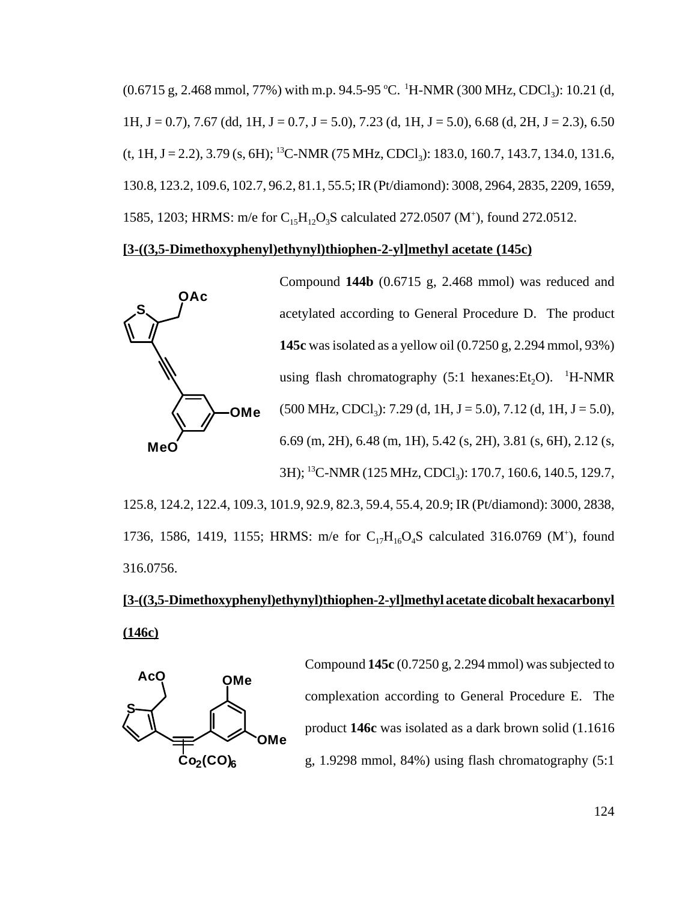(0.6715 g, 2.468 mmol, 77%) with m.p. 94.5-95 °C. <sup>1</sup>H-NMR (300 MHz, CDCl<sub>3</sub>): 10.21 (d, 1H, J = 0.7), 7.67 (dd, 1H, J = 0.7, J = 5.0), 7.23 (d, 1H, J = 5.0), 6.68 (d, 2H, J = 2.3), 6.50  $(t, 1H, J = 2.2), 3.79$  (s, 6H); <sup>13</sup>C-NMR (75 MHz, CDCl<sub>3</sub>): 183.0, 160.7, 143.7, 134.0, 131.6, 130.8, 123.2, 109.6, 102.7, 96.2, 81.1, 55.5; IR (Pt/diamond): 3008, 2964, 2835, 2209, 1659, 1585, 1203; HRMS: m/e for  $C_{15}H_{12}O_3S$  calculated 272.0507 (M<sup>+</sup>), found 272.0512.

# **[3-((3,5-Dimethoxyphenyl)ethynyl)thiophen-2-yl]methyl acetate (145c)**



Compound **144b** (0.6715 g, 2.468 mmol) was reduced and acetylated according to General Procedure D. The product **145c** was isolated as a yellow oil (0.7250 g, 2.294 mmol, 93%) using flash chromatography  $(5:1 \text{ hexanes:} Et_2O)$ . <sup>1</sup>H-NMR  $(500 \text{ MHz}, \text{CDCl}_3)$ : 7.29 (d, 1H, J = 5.0), 7.12 (d, 1H, J = 5.0), 6.69 (m, 2H), 6.48 (m, 1H), 5.42 (s, 2H), 3.81 (s, 6H), 2.12 (s, 3H); <sup>13</sup>C-NMR (125 MHz, CDCl<sub>3</sub>): 170.7, 160.6, 140.5, 129.7,

125.8, 124.2, 122.4, 109.3, 101.9, 92.9, 82.3, 59.4, 55.4, 20.9; IR (Pt/diamond): 3000, 2838, 1736, 1586, 1419, 1155; HRMS: m/e for  $C_{17}H_{16}O_4S$  calculated 316.0769 (M<sup>+</sup>), found 316.0756.

# **[3-((3,5-Dimethoxyphenyl)ethynyl)thiophen-2-yl]methyl acetate dicobalt hexacarbonyl (146c)**



Compound **145c** (0.7250 g, 2.294 mmol) was subjected to complexation according to General Procedure E. The product **146c** was isolated as a dark brown solid (1.1616 g, 1.9298 mmol, 84%) using flash chromatography (5:1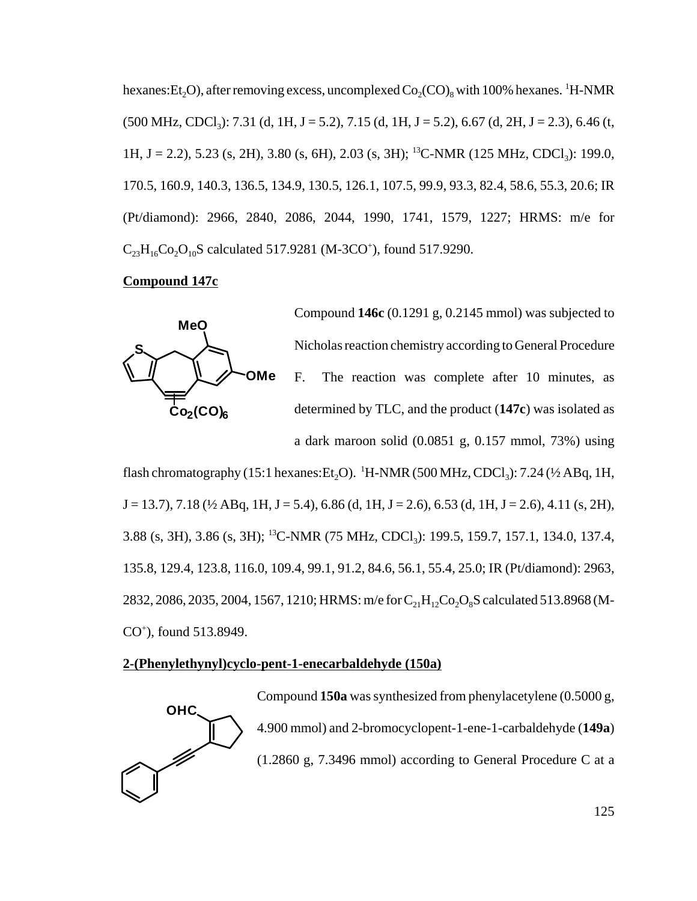hexanes: Et<sub>2</sub>O), after removing excess, uncomplexed  $Co_2(CO)_8$  with 100% hexanes. <sup>1</sup>H-NMR  $(500 \text{ MHz}, \text{CDCl}_3)$ : 7.31 (d, 1H, J = 5.2), 7.15 (d, 1H, J = 5.2), 6.67 (d, 2H, J = 2.3), 6.46 (t, 1H, J = 2.2), 5.23 (s, 2H), 3.80 (s, 6H), 2.03 (s, 3H); <sup>13</sup>C-NMR (125 MHz, CDCl<sub>3</sub>): 199.0, 170.5, 160.9, 140.3, 136.5, 134.9, 130.5, 126.1, 107.5, 99.9, 93.3, 82.4, 58.6, 55.3, 20.6; IR (Pt/diamond): 2966, 2840, 2086, 2044, 1990, 1741, 1579, 1227; HRMS: m/e for  $C_{23}H_{16}Co_2O_{10}S$  calculated 517.9281 (M-3CO<sup>+</sup>), found 517.9290.

# **Compound 147c**



Compound **146c** (0.1291 g, 0.2145 mmol) was subjected to Nicholas reaction chemistry according to General Procedure F. The reaction was complete after 10 minutes, as determined by TLC, and the product (**147c**) was isolated as a dark maroon solid (0.0851 g, 0.157 mmol, 73%) using

flash chromatography (15:1 hexanes:Et<sub>2</sub>O). <sup>1</sup>H-NMR (500 MHz, CDCl<sub>3</sub>): 7.24 (½ ABq, 1H,  $J = 13.7$ ),  $7.18$  ( $\frac{1}{2}$  ABq, 1H,  $J = 5.4$ ), 6.86 (d, 1H,  $J = 2.6$ ), 6.53 (d, 1H,  $J = 2.6$ ), 4.11 (s, 2H), 3.88 (s, 3H), 3.86 (s, 3H); <sup>13</sup>C-NMR (75 MHz, CDCl<sub>3</sub>): 199.5, 159.7, 157.1, 134.0, 137.4, 135.8, 129.4, 123.8, 116.0, 109.4, 99.1, 91.2, 84.6, 56.1, 55.4, 25.0; IR (Pt/diamond): 2963, 2832, 2086, 2035, 2004, 1567, 1210; HRMS: m/e for  $C_{21}H_{12}Co_2O_8S$  calculated 513.8968 (M-CO+ ), found 513.8949.

# **2-(Phenylethynyl)cyclo-pent-1-enecarbaldehyde (150a)**

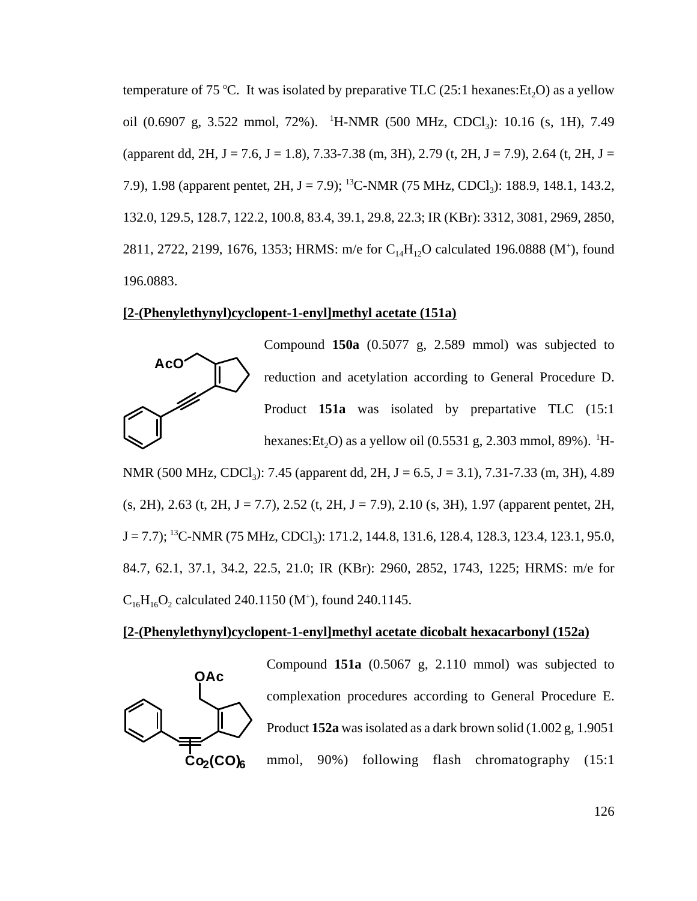temperature of 75 °C. It was isolated by preparative TLC  $(25:1 \text{ hexanes:Et}_2O)$  as a yellow oil (0.6907 g, 3.522 mmol, 72%). <sup>1</sup>H-NMR (500 MHz, CDCl<sub>3</sub>): 10.16 (s, 1H), 7.49 (apparent dd, 2H, J = 7.6, J = 1.8), 7.33-7.38 (m, 3H), 2.79 (t, 2H, J = 7.9), 2.64 (t, 2H, J = 7.9), 1.98 (apparent pentet, 2H, J = 7.9); <sup>13</sup>C-NMR (75 MHz, CDCl<sub>3</sub>): 188.9, 148.1, 143.2, 132.0, 129.5, 128.7, 122.2, 100.8, 83.4, 39.1, 29.8, 22.3; IR (KBr): 3312, 3081, 2969, 2850, 2811, 2722, 2199, 1676, 1353; HRMS: m/e for  $C_{14}H_{12}O$  calculated 196.0888 (M<sup>+</sup>), found 196.0883.

# **[2-(Phenylethynyl)cyclopent-1-enyl]methyl acetate (151a)**



Compound **150a** (0.5077 g, 2.589 mmol) was subjected to reduction and acetylation according to General Procedure D. Product **151a** was isolated by prepartative TLC (15:1 hexanes: Et<sub>2</sub>O) as a yellow oil (0.5531 g, 2.303 mmol, 89%). <sup>1</sup>H-

NMR (500 MHz, CDCl<sub>3</sub>): 7.45 (apparent dd, 2H, J = 6.5, J = 3.1), 7.31-7.33 (m, 3H), 4.89  $(s, 2H)$ , 2.63 (t, 2H, J = 7.7), 2.52 (t, 2H, J = 7.9), 2.10 (s, 3H), 1.97 (apparent pentet, 2H,  $J = 7.7$ ); <sup>13</sup>C-NMR (75 MHz, CDCl<sub>3</sub>): 171.2, 144.8, 131.6, 128.4, 128.3, 123.4, 123.1, 95.0, 84.7, 62.1, 37.1, 34.2, 22.5, 21.0; IR (KBr): 2960, 2852, 1743, 1225; HRMS: m/e for  $C_{16}H_{16}O_2$  calculated 240.1150 (M<sup>+</sup>), found 240.1145.

# **[2-(Phenylethynyl)cyclopent-1-enyl]methyl acetate dicobalt hexacarbonyl (152a)**

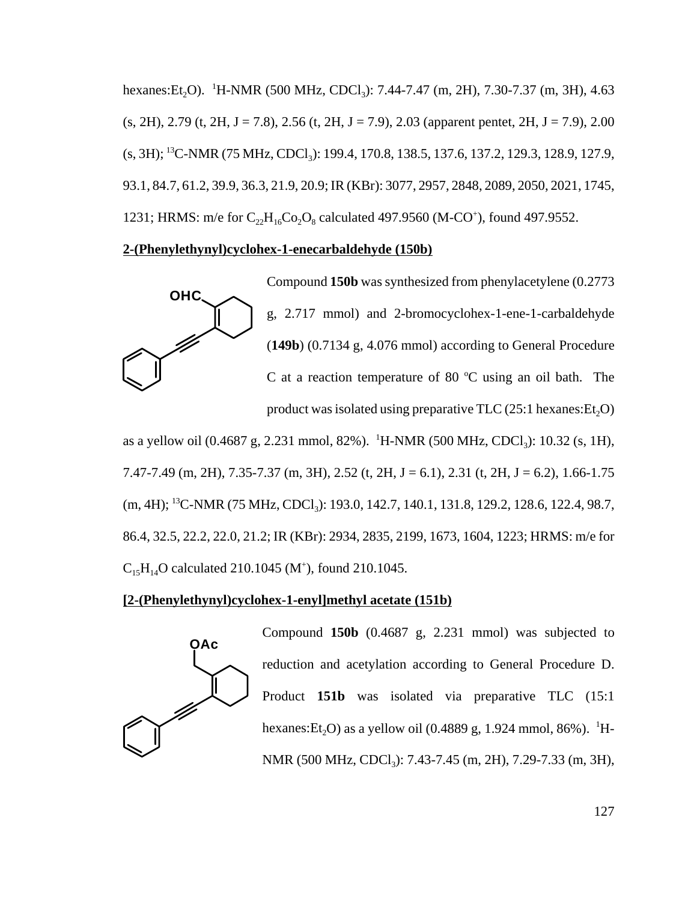hexanes: Et<sub>2</sub>O). <sup>1</sup>H-NMR (500 MHz, CDCl<sub>3</sub>): 7.44-7.47 (m, 2H), 7.30-7.37 (m, 3H), 4.63  $(s, 2H)$ , 2.79 (t, 2H, J = 7.8), 2.56 (t, 2H, J = 7.9), 2.03 (apparent pentet, 2H, J = 7.9), 2.00 (s, 3H); <sup>13</sup>C-NMR (75 MHz, CDCl<sub>3</sub>): 199.4, 170.8, 138.5, 137.6, 137.2, 129.3, 128.9, 127.9, 93.1, 84.7, 61.2, 39.9, 36.3, 21.9, 20.9; IR (KBr): 3077, 2957, 2848, 2089, 2050, 2021, 1745, 1231; HRMS: m/e for  $C_{22}H_{16}Co_2O_8$  calculated 497.9560 (M-CO<sup>+</sup>), found 497.9552.

# **2-(Phenylethynyl)cyclohex-1-enecarbaldehyde (150b)**



Compound **150b** was synthesized from phenylacetylene (0.2773 g, 2.717 mmol) and 2-bromocyclohex-1-ene-1-carbaldehyde (**149b**) (0.7134 g, 4.076 mmol) according to General Procedure C at a reaction temperature of 80  $^{\circ}$ C using an oil bath. The product was isolated using preparative  $TLC(25:1$  hexanes: $Et<sub>2</sub>O$ )

as a yellow oil (0.4687 g, 2.231 mmol, 82%). <sup>1</sup>H-NMR (500 MHz, CDCl<sub>3</sub>): 10.32 (s, 1H), 7.47-7.49 (m, 2H), 7.35-7.37 (m, 3H), 2.52 (t, 2H, J = 6.1), 2.31 (t, 2H, J = 6.2), 1.66-1.75 (m, 4H); <sup>13</sup>C-NMR (75 MHz, CDCl<sub>3</sub>): 193.0, 142.7, 140.1, 131.8, 129.2, 128.6, 122.4, 98.7, 86.4, 32.5, 22.2, 22.0, 21.2; IR (KBr): 2934, 2835, 2199, 1673, 1604, 1223; HRMS: m/e for  $C_{15}H_{14}O$  calculated 210.1045 (M<sup>+</sup>), found 210.1045.

# **[2-(Phenylethynyl)cyclohex-1-enyl]methyl acetate (151b)**



Compound **150b** (0.4687 g, 2.231 mmol) was subjected to reduction and acetylation according to General Procedure D. Product **151b** was isolated via preparative TLC (15:1 hexanes:Et<sub>2</sub>O) as a yellow oil (0.4889 g, 1.924 mmol, 86%). <sup>1</sup>H-NMR (500 MHz, CDCl<sub>3</sub>): 7.43-7.45 (m, 2H), 7.29-7.33 (m, 3H),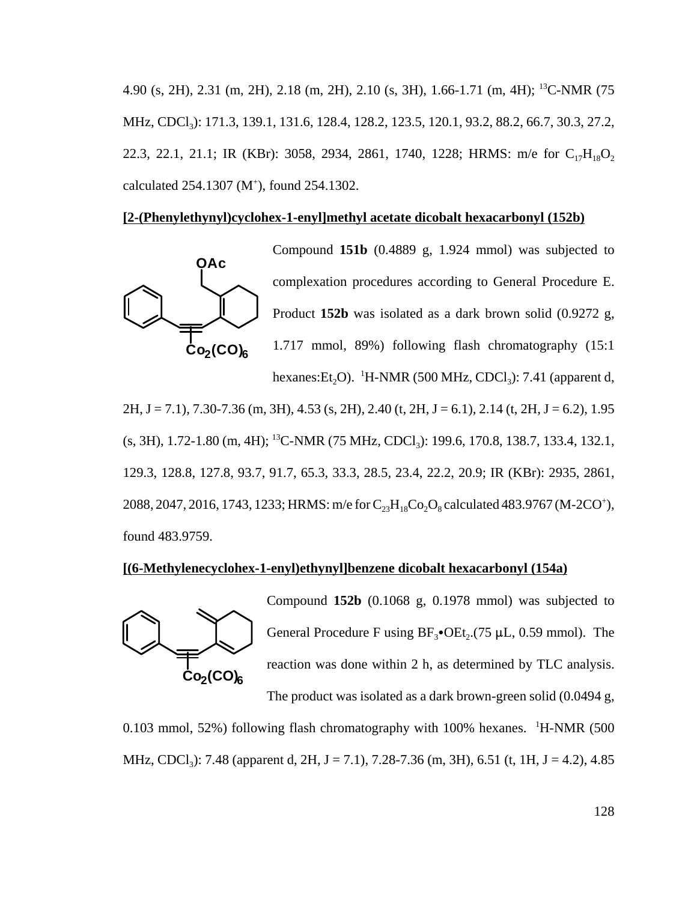4.90 (s, 2H), 2.31 (m, 2H), 2.18 (m, 2H), 2.10 (s, 3H), 1.66-1.71 (m, 4H); 13C-NMR (75 MHz, CDCl<sub>3</sub>): 171.3, 139.1, 131.6, 128.4, 128.2, 123.5, 120.1, 93.2, 88.2, 66.7, 30.3, 27.2, 22.3, 22.1, 21.1; IR (KBr): 3058, 2934, 2861, 1740, 1228; HRMS: m/e for  $C_{17}H_{18}O_2$ calculated  $254.1307$  (M<sup>+</sup>), found  $254.1302$ .

### **[2-(Phenylethynyl)cyclohex-1-enyl]methyl acetate dicobalt hexacarbonyl (152b)**



 $2H, J = 7.1$ ,  $7.30 - 7.36$  (m,  $3H$ ),  $4.53$  (s,  $2H$ ),  $2.40$  (t,  $2H, J = 6.1$ ),  $2.14$  (t,  $2H, J = 6.2$ ),  $1.95$ (s, 3H), 1.72-1.80 (m, 4H); <sup>13</sup>C-NMR (75 MHz, CDCl<sub>3</sub>): 199.6, 170.8, 138.7, 133.4, 132.1, 129.3, 128.8, 127.8, 93.7, 91.7, 65.3, 33.3, 28.5, 23.4, 22.2, 20.9; IR (KBr): 2935, 2861, 2088, 2047, 2016, 1743, 1233; HRMS: m/e for  $C_{23}H_{18}Co_2O_8$  calculated 483.9767 (M-2CO<sup>+</sup>), found 483.9759.

### **[(6-Methylenecyclohex-1-enyl)ethynyl]benzene dicobalt hexacarbonyl (154a)**



Compound **152b** (0.1068 g, 0.1978 mmol) was subjected to General Procedure F using  $BF_3\bullet$ OEt<sub>2</sub>.(75 µL, 0.59 mmol). The reaction was done within 2 h, as determined by TLC analysis. The product was isolated as a dark brown-green solid (0.0494 g,

0.103 mmol, 52%) following flash chromatography with 100% hexanes. <sup>1</sup>H-NMR (500 MHz, CDCl<sub>3</sub>): 7.48 (apparent d, 2H, J = 7.1), 7.28-7.36 (m, 3H), 6.51 (t, 1H, J = 4.2), 4.85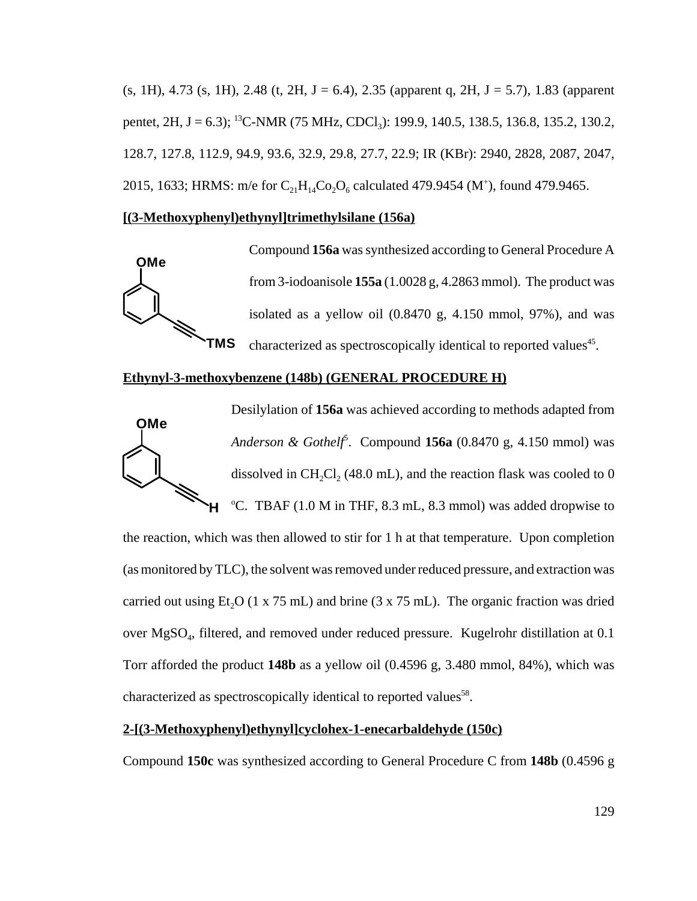$(s, 1H), 4.73$   $(s, 1H), 2.48$   $(t, 2H, J = 6.4), 2.35$  (apparent q, 2H,  $J = 5.7$ ), 1.83 (apparent pentet, 2H, J = 6.3); <sup>13</sup>C-NMR (75 MHz, CDCl<sub>3</sub>): 199.9, 140.5, 138.5, 136.8, 135.2, 130.2, 128.7, 127.8, 112.9, 94.9, 93.6, 32.9, 29.8, 27.7, 22.9; IR (KBr): 2940, 2828, 2087, 2047, 2015, 1633; HRMS: m/e for  $C_{21}H_{14}Co_2O_6$  calculated 479.9454 (M<sup>+</sup>), found 479.9465.

#### **[(3-Methoxyphenyl)ethynyl]trimethylsilane (156a)**



Compound **156a** was synthesized according to General Procedure A from 3-iodoanisole **155a** (1.0028 g, 4.2863 mmol). The product was isolated as a yellow oil (0.8470 g, 4.150 mmol, 97%), and was characterized as spectroscopically identical to reported values<sup>45</sup>.

### **Ethynyl-3-methoxybenzene (148b) (GENERAL PROCEDURE H)**



**H**

Desilylation of **156a** was achieved according to methods adapted from Anderson & Gothelf<sup>5</sup>. Compound 156a (0.8470 g, 4.150 mmol) was dissolved in CH<sub>2</sub>Cl<sub>2</sub> (48.0 mL), and the reaction flask was cooled to 0 o C. TBAF (1.0 M in THF, 8.3 mL, 8.3 mmol) was added dropwise to

the reaction, which was then allowed to stir for 1 h at that temperature. Upon completion (as monitored by TLC), the solvent was removed under reduced pressure, and extraction was carried out using Et<sub>2</sub>O (1 x 75 mL) and brine (3 x 75 mL). The organic fraction was dried over MgSO<sub>4</sub>, filtered, and removed under reduced pressure. Kugelrohr distillation at 0.1 Torr afforded the product **148b** as a yellow oil (0.4596 g, 3.480 mmol, 84%), which was characterized as spectroscopically identical to reported values<sup>58</sup>.

#### **2-[(3-Methoxyphenyl)ethynyl]cyclohex-1-enecarbaldehyde (150c)**

Compound **150c** was synthesized according to General Procedure C from **148b** (0.4596 g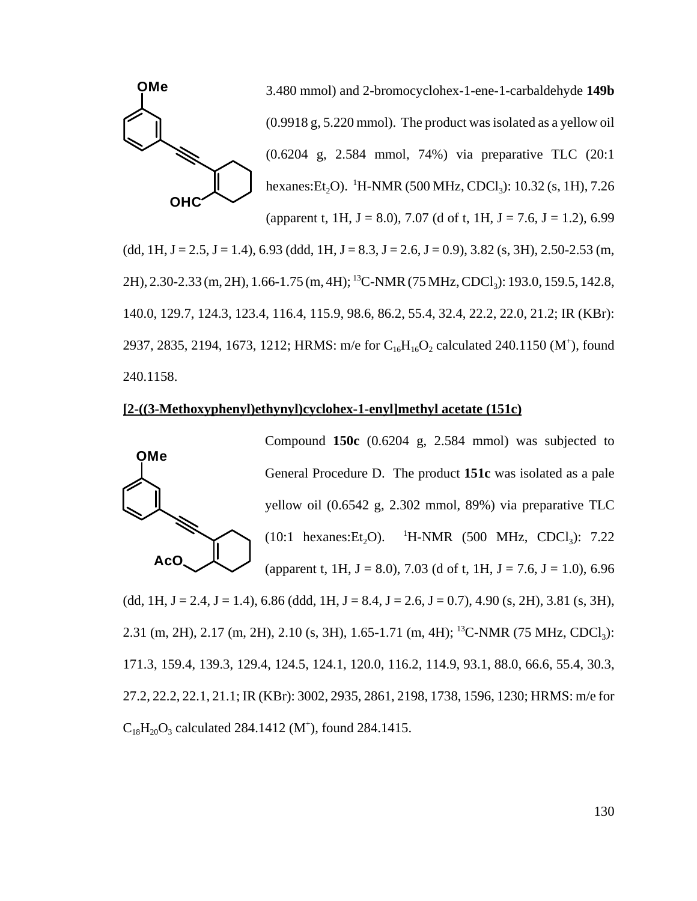

 $(dd, 1H, J = 2.5, J = 1.4$ ), 6.93 (ddd, 1H, J = 8.3, J = 2.6, J = 0.9), 3.82 (s, 3H), 2.50-2.53 (m, 2H), 2.30-2.33 (m, 2H), 1.66-1.75 (m, 4H); <sup>13</sup>C-NMR (75 MHz, CDCl<sub>3</sub>): 193.0, 159.5, 142.8, 140.0, 129.7, 124.3, 123.4, 116.4, 115.9, 98.6, 86.2, 55.4, 32.4, 22.2, 22.0, 21.2; IR (KBr): 2937, 2835, 2194, 1673, 1212; HRMS: m/e for  $C_{16}H_{16}O_2$  calculated 240.1150 (M<sup>+</sup>), found 240.1158.

# **[2-((3-Methoxyphenyl)ethynyl)cyclohex-1-enyl]methyl acetate (151c)**



General Procedure D. The product **151c** was isolated as a pale yellow oil (0.6542 g, 2.302 mmol, 89%) via preparative TLC  $(10:1$  hexanes:  $Et<sub>2</sub>O$ ).  $H\text{-NMR}$  (500 MHz, CDCl<sub>3</sub>): 7.22 (apparent t, 1H,  $J = 8.0$ ), 7.03 (d of t, 1H,  $J = 7.6$ ,  $J = 1.0$ ), 6.96  $(dd, 1H, J = 2.4, J = 1.4$ , 6.86  $(ddd, 1H, J = 8.4, J = 2.6, J = 0.7$ , 4.90  $(s, 2H), 3.81 (s, 3H),$ 2.31 (m, 2H), 2.17 (m, 2H), 2.10 (s, 3H), 1.65-1.71 (m, 4H); <sup>13</sup>C-NMR (75 MHz, CDCl<sub>3</sub>): 171.3, 159.4, 139.3, 129.4, 124.5, 124.1, 120.0, 116.2, 114.9, 93.1, 88.0, 66.6, 55.4, 30.3, 27.2, 22.2, 22.1, 21.1; IR (KBr): 3002, 2935, 2861, 2198, 1738, 1596, 1230; HRMS: m/e for  $C_{18}H_{20}O_3$  calculated 284.1412 (M<sup>+</sup>), found 284.1415.

Compound **150c** (0.6204 g, 2.584 mmol) was subjected to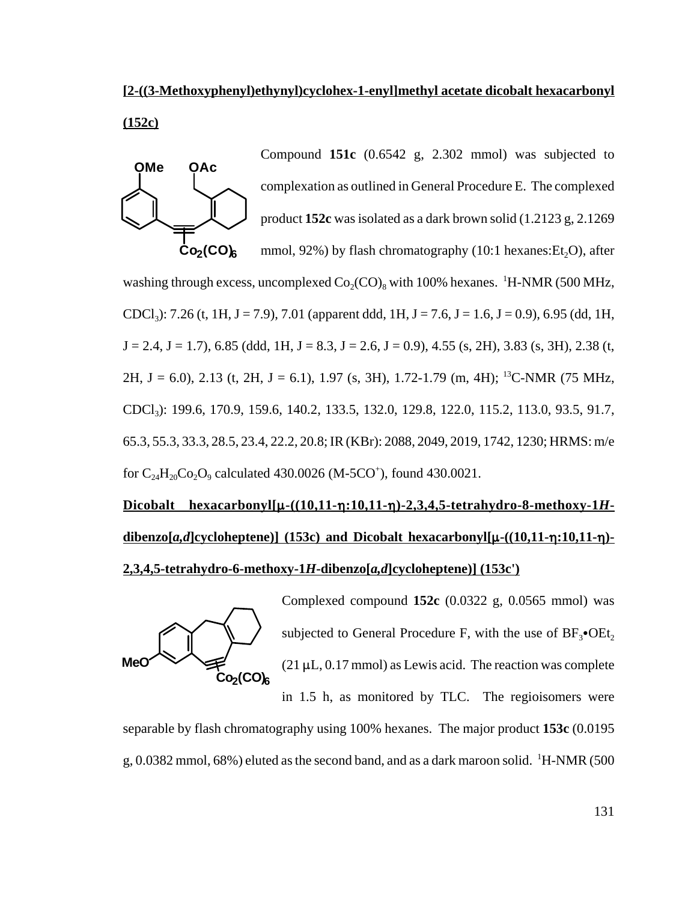# **[2-((3-Methoxyphenyl)ethynyl)cyclohex-1-enyl]methyl acetate dicobalt hexacarbonyl (152c)**



Compound **151c** (0.6542 g, 2.302 mmol) was subjected to complexation as outlined in General Procedure E. The complexed product **152c** was isolated as a dark brown solid (1.2123 g, 2.1269 mmol,  $92\%$ ) by flash chromatography (10:1 hexanes: Et<sub>2</sub>O), after

washing through excess, uncomplexed  $Co_2(CO)_8$  with 100% hexanes. <sup>1</sup>H-NMR (500 MHz, CDCl<sub>3</sub>): 7.26 (t, 1H, J = 7.9), 7.01 (apparent ddd, 1H, J = 7.6, J = 1.6, J = 0.9), 6.95 (dd, 1H,  $J = 2.4$ ,  $J = 1.7$ ), 6.85 (ddd, 1H,  $J = 8.3$ ,  $J = 2.6$ ,  $J = 0.9$ ), 4.55 (s, 2H), 3.83 (s, 3H), 2.38 (t, 2H, J = 6.0), 2.13 (t, 2H, J = 6.1), 1.97 (s, 3H), 1.72-1.79 (m, 4H); <sup>13</sup>C-NMR (75 MHz, CDCl<sub>3</sub>): 199.6, 170.9, 159.6, 140.2, 133.5, 132.0, 129.8, 122.0, 115.2, 113.0, 93.5, 91.7, 65.3, 55.3, 33.3, 28.5, 23.4, 22.2, 20.8; IR (KBr): 2088, 2049, 2019, 1742, 1230; HRMS: m/e for  $C_{24}H_{20}Co_2O_9$  calculated 430.0026 (M-5CO<sup>+</sup>), found 430.0021.

# $Dicbalt$  hexacarbonyl[ $\mu$ <sup>-</sup>((10,11- $\eta$ ):10,11- $\eta$ )-2,3,4,5-tetrahydro-8-methoxy-1*H*- $\frac{d\text{ibenzo}[a,d]\text{cycloheptene}}{153c}$  and Dicobalt hexacarbonyl[ $\mu$ - $((10,11-\eta:10,11-\eta)$ -**2,3,4,5-tetrahydro-6-methoxy-1***H***-dibenzo[***a,d***]cycloheptene)] (153c')**



Complexed compound **152c** (0.0322 g, 0.0565 mmol) was subjected to General Procedure F, with the use of  $BF_3$ • $OEt_2$  $(21 \mu L, 0.17 \text{ mmol})$  as Lewis acid. The reaction was complete in 1.5 h, as monitored by TLC. The regioisomers were

separable by flash chromatography using 100% hexanes. The major product **153c** (0.0195

g, 0.0382 mmol, 68%) eluted as the second band, and as a dark maroon solid.  $\mathrm{^{1}H\text{-}NMR}$  (500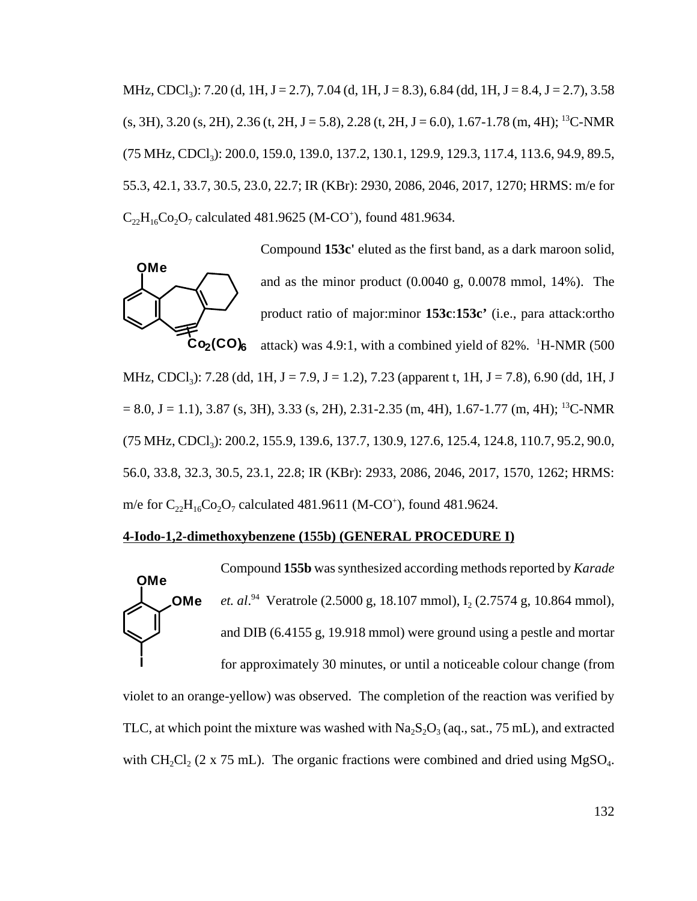MHz, CDCl<sub>3</sub>): 7.20 (d, 1H, J = 2.7), 7.04 (d, 1H, J = 8.3), 6.84 (dd, 1H, J = 8.4, J = 2.7), 3.58  $(s, 3H), 3.20 (s, 2H), 2.36 (t, 2H, J = 5.8), 2.28 (t, 2H, J = 6.0), 1.67-1.78 (m, 4H);$ <sup>13</sup>C-NMR (75 MHz, CDCl<sub>3</sub>): 200.0, 159.0, 139.0, 137.2, 130.1, 129.9, 129.3, 117.4, 113.6, 94.9, 89.5, 55.3, 42.1, 33.7, 30.5, 23.0, 22.7; IR (KBr): 2930, 2086, 2046, 2017, 1270; HRMS: m/e for  $C_{22}H_{16}Co_2O_7$  calculated 481.9625 (M-CO<sup>+</sup>), found 481.9634.



Compound **153c'** eluted as the first band, as a dark maroon solid, and as the minor product (0.0040 g, 0.0078 mmol, 14%). The product ratio of major:minor **153c**:**153c'** (i.e., para attack:ortho attack) was 4.9:1, with a combined yield of 82%. <sup>1</sup>H-NMR (500

MHz, CDCl<sub>3</sub>): 7.28 (dd, 1H, J = 7.9, J = 1.2), 7.23 (apparent t, 1H, J = 7.8), 6.90 (dd, 1H, J  $= 8.0, J = 1.1$ , 3.87 (s, 3H), 3.33 (s, 2H), 2.31-2.35 (m, 4H), 1.67-1.77 (m, 4H); <sup>13</sup>C-NMR (75 MHz, CDCl<sub>3</sub>): 200.2, 155.9, 139.6, 137.7, 130.9, 127.6, 125.4, 124.8, 110.7, 95.2, 90.0, 56.0, 33.8, 32.3, 30.5, 23.1, 22.8; IR (KBr): 2933, 2086, 2046, 2017, 1570, 1262; HRMS: m/e for  $C_{22}H_{16}Co_2O_7$  calculated 481.9611 (M-CO<sup>+</sup>), found 481.9624.

#### **4-Iodo-1,2-dimethoxybenzene (155b) (GENERAL PROCEDURE I)**



violet to an orange-yellow) was observed. The completion of the reaction was verified by TLC, at which point the mixture was washed with  $Na<sub>2</sub>S<sub>2</sub>O<sub>3</sub>$  (aq., sat., 75 mL), and extracted with  $CH_2Cl_2$  (2 x 75 mL). The organic fractions were combined and dried using MgSO<sub>4</sub>.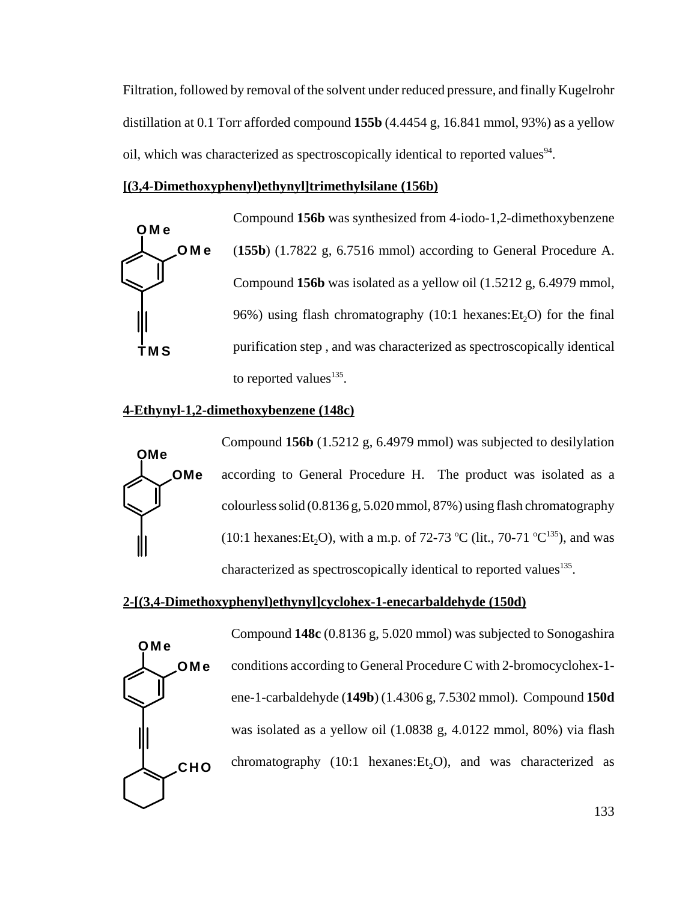Filtration, followed by removal of the solvent under reduced pressure, and finally Kugelrohr distillation at 0.1 Torr afforded compound **155b** (4.4454 g, 16.841 mmol, 93%) as a yellow oil, which was characterized as spectroscopically identical to reported values<sup>94</sup>.

### **[(3,4-Dimethoxyphenyl)ethynyl]trimethylsilane (156b)**



Compound **156b** was synthesized from 4-iodo-1,2-dimethoxybenzene (**155b**) (1.7822 g, 6.7516 mmol) according to General Procedure A. Compound **156b** was isolated as a yellow oil (1.5212 g, 6.4979 mmol, 96%) using flash chromatography  $(10:1 \text{ hexanes:Et}, O)$  for the final purification step , and was characterized as spectroscopically identical to reported values<sup>135</sup>.

### **4-Ethynyl-1,2-dimethoxybenzene (148c)**



Compound **156b** (1.5212 g, 6.4979 mmol) was subjected to desilylation according to General Procedure H. The product was isolated as a colourless solid (0.8136 g, 5.020 mmol, 87%) using flash chromatography (10:1 hexanes: Et<sub>2</sub>O), with a m.p. of 72-73 °C (lit., 70-71 °C<sup>135</sup>), and was characterized as spectroscopically identical to reported values<sup>135</sup>.

# **2-[(3,4-Dimethoxyphenyl)ethynyl]cyclohex-1-enecarbaldehyde (150d)**



Compound **148c** (0.8136 g, 5.020 mmol) was subjected to Sonogashira conditions according to General Procedure C with 2-bromocyclohex-1 ene-1-carbaldehyde (**149b**) (1.4306 g, 7.5302 mmol). Compound **150d** was isolated as a yellow oil (1.0838 g, 4.0122 mmol, 80%) via flash chromatography (10:1 hexanes: $Et<sub>2</sub>O$ ), and was characterized as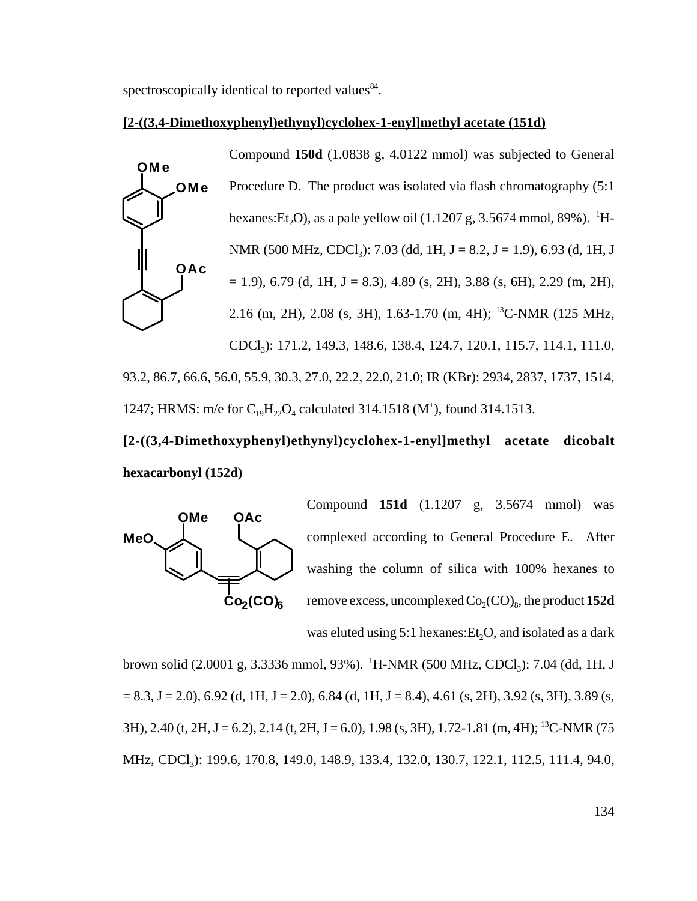spectroscopically identical to reported values<sup>84</sup>.

#### **[2-((3,4-Dimethoxyphenyl)ethynyl)cyclohex-1-enyl]methyl acetate (151d)**



Compound **150d** (1.0838 g, 4.0122 mmol) was subjected to General Procedure D. The product was isolated via flash chromatography (5:1 hexanes:Et<sub>2</sub>O), as a pale yellow oil (1.1207 g, 3.5674 mmol, 89%). <sup>1</sup>H-NMR (500 MHz, CDCl<sub>3</sub>): 7.03 (dd, 1H, J = 8.2, J = 1.9), 6.93 (d, 1H, J  $= 1.9$ , 6.79 (d, 1H, J = 8.3), 4.89 (s, 2H), 3.88 (s, 6H), 2.29 (m, 2H), 2.16 (m, 2H), 2.08 (s, 3H), 1.63-1.70 (m, 4H); 13C-NMR (125 MHz, CDCl3): 171.2, 149.3, 148.6, 138.4, 124.7, 120.1, 115.7, 114.1, 111.0, 93.2, 86.7, 66.6, 56.0, 55.9, 30.3, 27.0, 22.2, 22.0, 21.0; IR (KBr): 2934, 2837, 1737, 1514,

1247; HRMS: m/e for  $C_{19}H_{22}O_4$  calculated 314.1518 (M<sup>+</sup>), found 314.1513.

# **[2-((3,4-Dimethoxyphenyl)ethynyl)cyclohex-1-enyl]methyl acetate dicobalt hexacarbonyl (152d)**



Compound **151d** (1.1207 g, 3.5674 mmol) was complexed according to General Procedure E. After washing the column of silica with 100% hexanes to remove excess, uncomplexed  $Co_2(CO)_8$ , the product 152d was eluted using  $5:1$  hexanes:  $Et<sub>2</sub>O$ , and isolated as a dark

brown solid (2.0001 g, 3.3336 mmol, 93%). <sup>1</sup>H-NMR (500 MHz, CDCl<sub>3</sub>): 7.04 (dd, 1H, J  $= 8.3$ , J  $= 2.0$ ), 6.92 (d, 1H, J  $= 2.0$ ), 6.84 (d, 1H, J  $= 8.4$ ), 4.61 (s, 2H), 3.92 (s, 3H), 3.89 (s,  $3H$ ), 2.40 (t, 2H, J = 6.2), 2.14 (t, 2H, J = 6.0), 1.98 (s, 3H), 1.72-1.81 (m, 4H); <sup>13</sup>C-NMR (75 MHz, CDCl<sub>3</sub>): 199.6, 170.8, 149.0, 148.9, 133.4, 132.0, 130.7, 122.1, 112.5, 111.4, 94.0,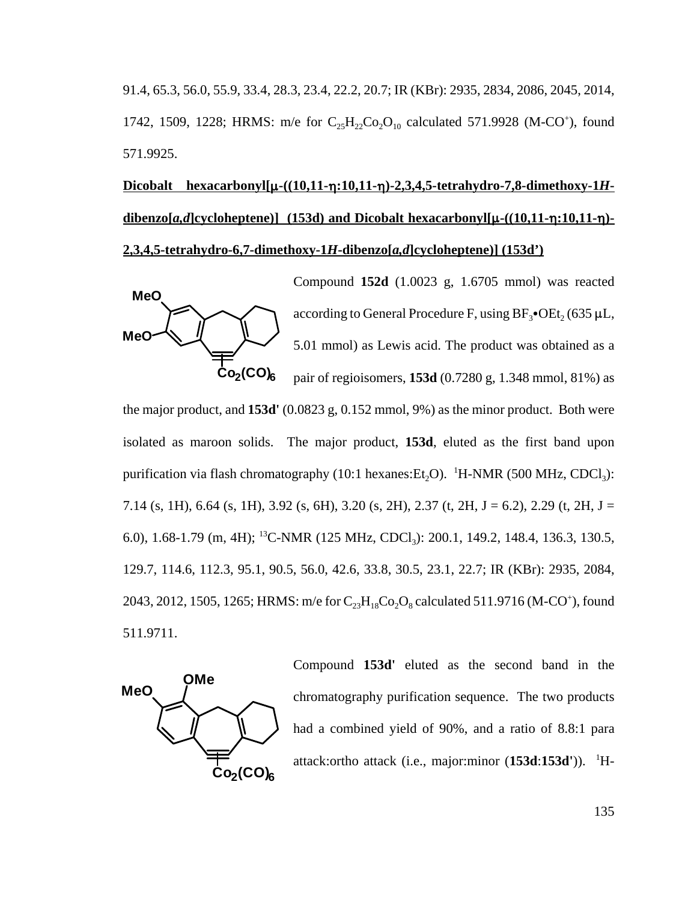91.4, 65.3, 56.0, 55.9, 33.4, 28.3, 23.4, 22.2, 20.7; IR (KBr): 2935, 2834, 2086, 2045, 2014, 1742, 1509, 1228; HRMS: m/e for  $C_{25}H_{22}Co_{2}O_{10}$  calculated 571.9928 (M-CO<sup>+</sup>), found 571.9925.

# $Dicobalt$  hexacarbonyl[ $\mu$ - $((10,11-\eta:10,11-\eta)-2,3,4,5$ -tetrahydro-7,8-dimethoxy-1*H***dibenzo[a,d]cycloheptene)]** (153d) and Dicobalt hexacarbonyl[ $\mu$ -((10,11- $\eta$ :10,11- $\eta$ )-**2,3,4,5-tetrahydro-6,7-dimethoxy-1***H***-dibenzo[***a,d***]cycloheptene)] (153d')**



Compound **152d** (1.0023 g, 1.6705 mmol) was reacted according to General Procedure F, using  $BF_3\bullet$ OEt, (635 µL, 5.01 mmol) as Lewis acid. The product was obtained as a pair of regioisomers, **153d** (0.7280 g, 1.348 mmol, 81%) as

the major product, and **153d'** (0.0823 g, 0.152 mmol, 9%) as the minor product. Both were isolated as maroon solids. The major product, **153d**, eluted as the first band upon purification via flash chromatography (10:1 hexanes: $Et_2O$ ). <sup>1</sup>H-NMR (500 MHz, CDCl<sub>3</sub>): 7.14 (s, 1H), 6.64 (s, 1H), 3.92 (s, 6H), 3.20 (s, 2H), 2.37 (t, 2H, J = 6.2), 2.29 (t, 2H, J = 6.0), 1.68-1.79 (m, 4H); <sup>13</sup>C-NMR (125 MHz, CDCl<sub>3</sub>): 200.1, 149.2, 148.4, 136.3, 130.5, 129.7, 114.6, 112.3, 95.1, 90.5, 56.0, 42.6, 33.8, 30.5, 23.1, 22.7; IR (KBr): 2935, 2084, 2043, 2012, 1505, 1265; HRMS: m/e for  $C_{23}H_{18}Co_2O_8$  calculated 511.9716 (M-CO<sup>+</sup>), found 511.9711.



Compound **153d'** eluted as the second band in the chromatography purification sequence. The two products had a combined yield of 90%, and a ratio of 8.8:1 para attack:ortho attack (i.e., major:minor (153d:153d')). <sup>1</sup>H-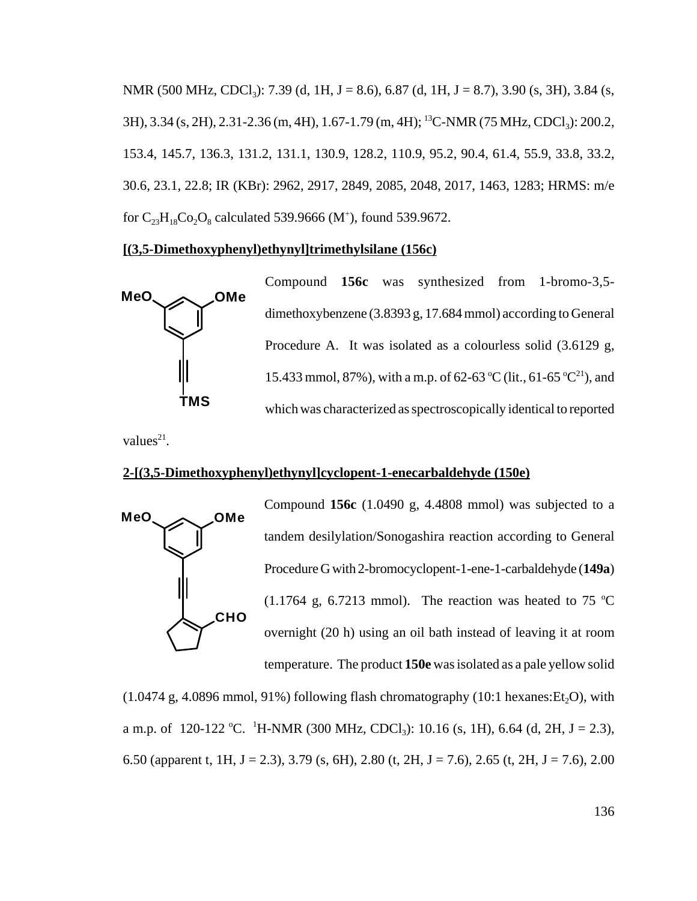NMR (500 MHz, CDCl<sub>3</sub>): 7.39 (d, 1H, J = 8.6), 6.87 (d, 1H, J = 8.7), 3.90 (s, 3H), 3.84 (s, 3H), 3.34 (s, 2H), 2.31-2.36 (m, 4H), 1.67-1.79 (m, 4H); <sup>13</sup>C-NMR (75 MHz, CDCl<sub>3</sub>): 200.2, 153.4, 145.7, 136.3, 131.2, 131.1, 130.9, 128.2, 110.9, 95.2, 90.4, 61.4, 55.9, 33.8, 33.2, 30.6, 23.1, 22.8; IR (KBr): 2962, 2917, 2849, 2085, 2048, 2017, 1463, 1283; HRMS: m/e for  $C_{23}H_{18}Co_2O_8$  calculated 539.9666 (M<sup>+</sup>), found 539.9672.

### **[(3,5-Dimethoxyphenyl)ethynyl]trimethylsilane (156c)**



Compound **156c** was synthesized from 1-bromo-3,5 dimethoxybenzene (3.8393 g, 17.684 mmol) according to General Procedure A. It was isolated as a colourless solid (3.6129 g, 15.433 mmol, 87%), with a m.p. of 62-63 °C (lit., 61-65 °C<sup>21</sup>), and which was characterized as spectroscopically identical to reported

values $^{21}$ .

# **2-[(3,5-Dimethoxyphenyl)ethynyl]cyclopent-1-enecarbaldehyde (150e)**



Compound **156c** (1.0490 g, 4.4808 mmol) was subjected to a tandem desilylation/Sonogashira reaction according to General Procedure G with 2-bromocyclopent-1-ene-1-carbaldehyde (**149a**)  $(1.1764 \text{ g}, 6.7213 \text{ mmol})$ . The reaction was heated to 75 °C overnight (20 h) using an oil bath instead of leaving it at room temperature. The product **150e** was isolated as a pale yellow solid

 $(1.0474 \text{ g}, 4.0896 \text{ mmol}, 91\%)$  following flash chromatography  $(10:1 \text{ hexanes:Et}, O)$ , with a m.p. of 120-122 °C. <sup>1</sup>H-NMR (300 MHz, CDCl<sub>3</sub>): 10.16 (s, 1H), 6.64 (d, 2H, J = 2.3), 6.50 (apparent t, 1H, J = 2.3), 3.79 (s, 6H), 2.80 (t, 2H, J = 7.6), 2.65 (t, 2H, J = 7.6), 2.00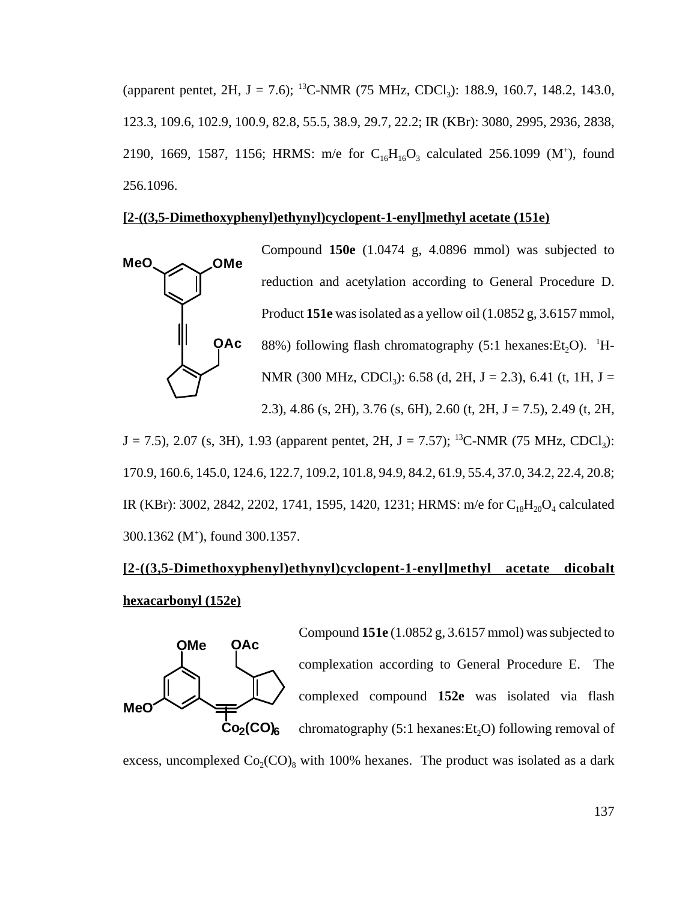(apparent pentet, 2H, J = 7.6); <sup>13</sup>C-NMR (75 MHz, CDCl<sub>3</sub>): 188.9, 160.7, 148.2, 143.0, 123.3, 109.6, 102.9, 100.9, 82.8, 55.5, 38.9, 29.7, 22.2; IR (KBr): 3080, 2995, 2936, 2838, 2190, 1669, 1587, 1156; HRMS: m/e for  $C_{16}H_{16}O_3$  calculated 256.1099 (M<sup>+</sup>), found 256.1096.

### **[2-((3,5-Dimethoxyphenyl)ethynyl)cyclopent-1-enyl]methyl acetate (151e)**



 $J = 7.5$ ), 2.07 (s, 3H), 1.93 (apparent pentet, 2H,  $J = 7.57$ ); <sup>13</sup>C-NMR (75 MHz, CDCl<sub>3</sub>): 170.9, 160.6, 145.0, 124.6, 122.7, 109.2, 101.8, 94.9, 84.2, 61.9, 55.4, 37.0, 34.2, 22.4, 20.8; IR (KBr): 3002, 2842, 2202, 1741, 1595, 1420, 1231; HRMS: m/e for  $C_{18}H_{20}O_4$  calculated 300.1362 (M+ ), found 300.1357.

# **[2-((3,5-Dimethoxyphenyl)ethynyl)cyclopent-1-enyl]methyl acetate dicobalt hexacarbonyl (152e)**



Compound **151e** (1.0852 g, 3.6157 mmol) was subjected to complexation according to General Procedure E. The complexed compound **152e** was isolated via flash chromatography  $(5:1$  hexanes:  $Et<sub>2</sub>O$ ) following removal of

excess, uncomplexed  $Co_2(CO)_{8}$  with 100% hexanes. The product was isolated as a dark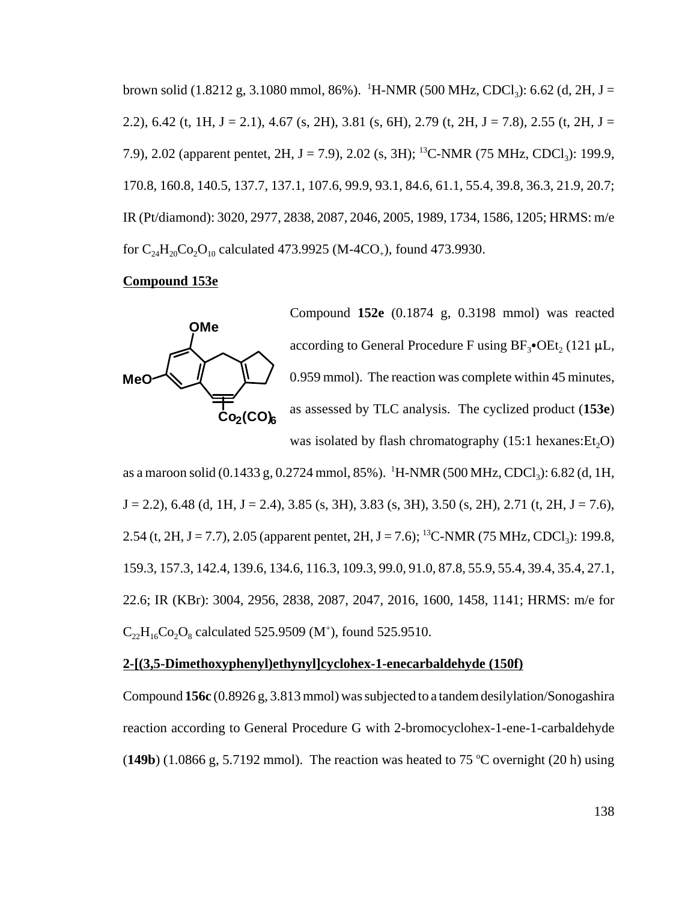brown solid (1.8212 g, 3.1080 mmol, 86%). <sup>1</sup>H-NMR (500 MHz, CDCl<sub>3</sub>): 6.62 (d, 2H, J = 2.2), 6.42 (t, 1H, J = 2.1), 4.67 (s, 2H), 3.81 (s, 6H), 2.79 (t, 2H, J = 7.8), 2.55 (t, 2H, J = 7.9), 2.02 (apparent pentet, 2H, J = 7.9), 2.02 (s, 3H); <sup>13</sup>C-NMR (75 MHz, CDCl<sub>3</sub>): 199.9, 170.8, 160.8, 140.5, 137.7, 137.1, 107.6, 99.9, 93.1, 84.6, 61.1, 55.4, 39.8, 36.3, 21.9, 20.7; IR (Pt/diamond): 3020, 2977, 2838, 2087, 2046, 2005, 1989, 1734, 1586, 1205; HRMS: m/e for  $C_{24}H_{20}Co_2O_{10}$  calculated 473.9925 (M-4CO<sub>+</sub>), found 473.9930.

### **Compound 153e**



Compound **152e** (0.1874 g, 0.3198 mmol) was reacted according to General Procedure F using  $BF_3$ •OEt, (121  $\mu$ L, 0.959 mmol). The reaction was complete within 45 minutes, as assessed by TLC analysis. The cyclized product (**153e**) was isolated by flash chromatography  $(15:1 \text{ hexanes:Et}_{2}O)$ 

as a maroon solid (0.1433 g, 0.2724 mmol, 85%). <sup>1</sup>H-NMR (500 MHz, CDCl<sub>3</sub>): 6.82 (d, 1H,  $J = 2.2$ ), 6.48 (d, 1H,  $J = 2.4$ ), 3.85 (s, 3H), 3.83 (s, 3H), 3.50 (s, 2H), 2.71 (t, 2H,  $J = 7.6$ ), 2.54 (t, 2H, J = 7.7), 2.05 (apparent pentet, 2H, J = 7.6); <sup>13</sup>C-NMR (75 MHz, CDCl<sub>3</sub>): 199.8, 159.3, 157.3, 142.4, 139.6, 134.6, 116.3, 109.3, 99.0, 91.0, 87.8, 55.9, 55.4, 39.4, 35.4, 27.1, 22.6; IR (KBr): 3004, 2956, 2838, 2087, 2047, 2016, 1600, 1458, 1141; HRMS: m/e for  $C_{22}H_{16}Co_2O_8$  calculated 525.9509 (M<sup>+</sup>), found 525.9510.

### **2-[(3,5-Dimethoxyphenyl)ethynyl]cyclohex-1-enecarbaldehyde (150f)**

Compound **156c** (0.8926 g, 3.813 mmol) was subjected to a tandem desilylation/Sonogashira reaction according to General Procedure G with 2-bromocyclohex-1-ene-1-carbaldehyde  $(149b)$  (1.0866 g, 5.7192 mmol). The reaction was heated to 75 °C overnight (20 h) using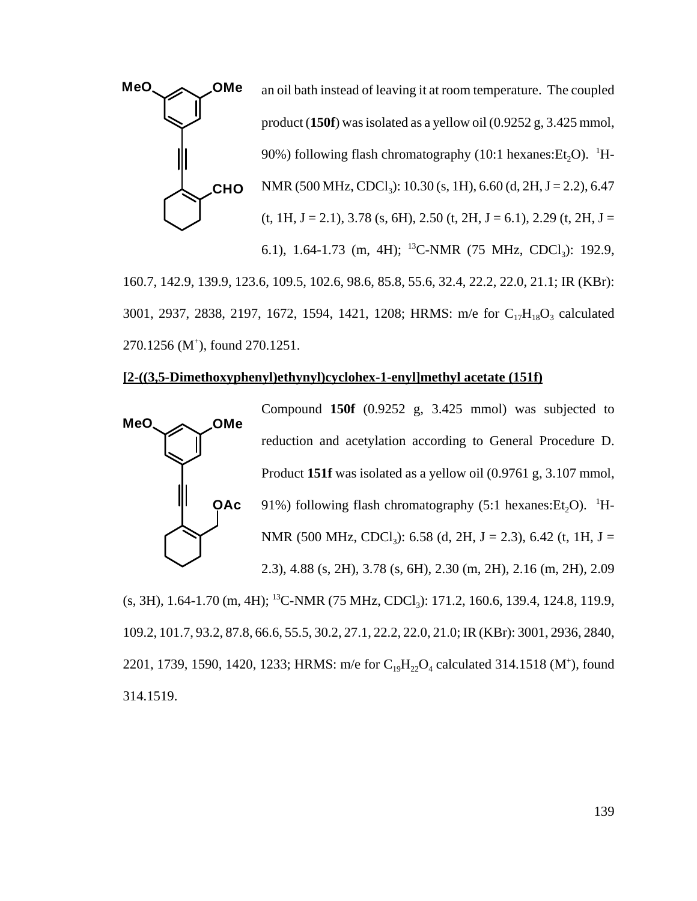

3001, 2937, 2838, 2197, 1672, 1594, 1421, 1208; HRMS: m/e for C<sub>17</sub>H<sub>18</sub>O<sub>3</sub> calculated 270.1256 (M<sup>+</sup>), found 270.1251.

#### **[2-((3,5-Dimethoxyphenyl)ethynyl)cyclohex-1-enyl]methyl acetate (151f)**



Compound **150f** (0.9252 g, 3.425 mmol) was subjected to reduction and acetylation according to General Procedure D. Product **151f** was isolated as a yellow oil (0.9761 g, 3.107 mmol, 91%) following flash chromatography (5:1 hexanes:  $Et_2O$ ). <sup>1</sup>H-NMR (500 MHz, CDCl<sub>3</sub>): 6.58 (d, 2H, J = 2.3), 6.42 (t, 1H, J = 2.3), 4.88 (s, 2H), 3.78 (s, 6H), 2.30 (m, 2H), 2.16 (m, 2H), 2.09

 $(s, 3H)$ , 1.64-1.70 (m, 4H); <sup>13</sup>C-NMR (75 MHz, CDCl<sub>3</sub>): 171.2, 160.6, 139.4, 124.8, 119.9, 109.2, 101.7, 93.2, 87.8, 66.6, 55.5, 30.2, 27.1, 22.2, 22.0, 21.0; IR (KBr): 3001, 2936, 2840, 2201, 1739, 1590, 1420, 1233; HRMS: m/e for  $C_{19}H_{22}O_4$  calculated 314.1518 (M<sup>+</sup>), found 314.1519.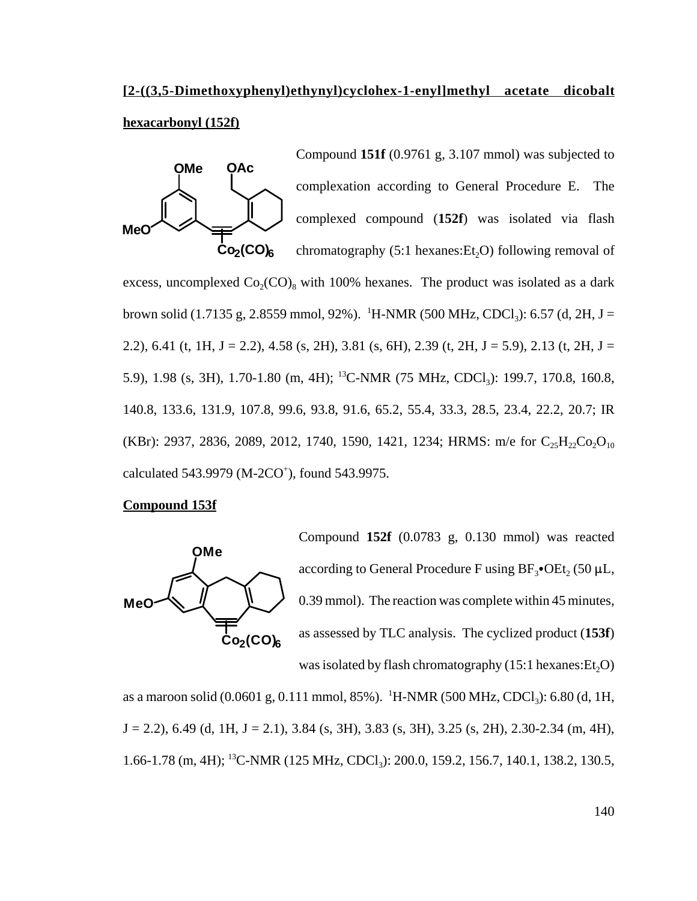# **[2-((3,5-Dimethoxyphenyl)ethynyl)cyclohex-1-enyl]methyl acetate dicobalt**

# **hexacarbonyl (152f)**

**Me OMe OAc Co2(CO)6** Compound **151f** (0.9761 g, 3.107 mmol) was subjected to complexation according to General Procedure E. The complexed compound (**152f**) was isolated via flash chromatography  $(5:1$  hexanes:  $Et<sub>2</sub>O$ ) following removal of excess, uncomplexed  $Co_2(CO)_{8}$  with 100% hexanes. The product was isolated as a dark brown solid (1.7135 g, 2.8559 mmol, 92%). <sup>1</sup>H-NMR (500 MHz, CDCl<sub>3</sub>): 6.57 (d, 2H, J = 2.2), 6.41 (t, 1H, J = 2.2), 4.58 (s, 2H), 3.81 (s, 6H), 2.39 (t, 2H, J = 5.9), 2.13 (t, 2H, J = 5.9), 1.98 (s, 3H), 1.70-1.80 (m, 4H); <sup>13</sup>C-NMR (75 MHz, CDCl<sub>3</sub>): 199.7, 170.8, 160.8, 140.8, 133.6, 131.9, 107.8, 99.6, 93.8, 91.6, 65.2, 55.4, 33.3, 28.5, 23.4, 22.2, 20.7; IR (KBr): 2937, 2836, 2089, 2012, 1740, 1590, 1421, 1234; HRMS: m/e for  $C_{25}H_{22}Co_2O_{10}$ calculated 543.9979 (M-2CO<sup>+</sup>), found 543.9975.

# **Compound 153f**



Compound **152f** (0.0783 g, 0.130 mmol) was reacted according to General Procedure F using  $BF_3$ •OEt, (50 µL, 0.39 mmol). The reaction was complete within 45 minutes, as assessed by TLC analysis. The cyclized product (**153f**) was isolated by flash chromatography  $(15:1$  hexanes: $Et<sub>2</sub>O$ )

as a maroon solid (0.0601 g, 0.111 mmol, 85%). <sup>1</sup>H-NMR (500 MHz, CDCl<sub>3</sub>): 6.80 (d, 1H,  $J = 2.2$ ), 6.49 (d, 1H,  $J = 2.1$ ), 3.84 (s, 3H), 3.83 (s, 3H), 3.25 (s, 2H), 2.30-2.34 (m, 4H), 1.66-1.78 (m, 4H); <sup>13</sup>C-NMR (125 MHz, CDCl<sub>3</sub>): 200.0, 159.2, 156.7, 140.1, 138.2, 130.5,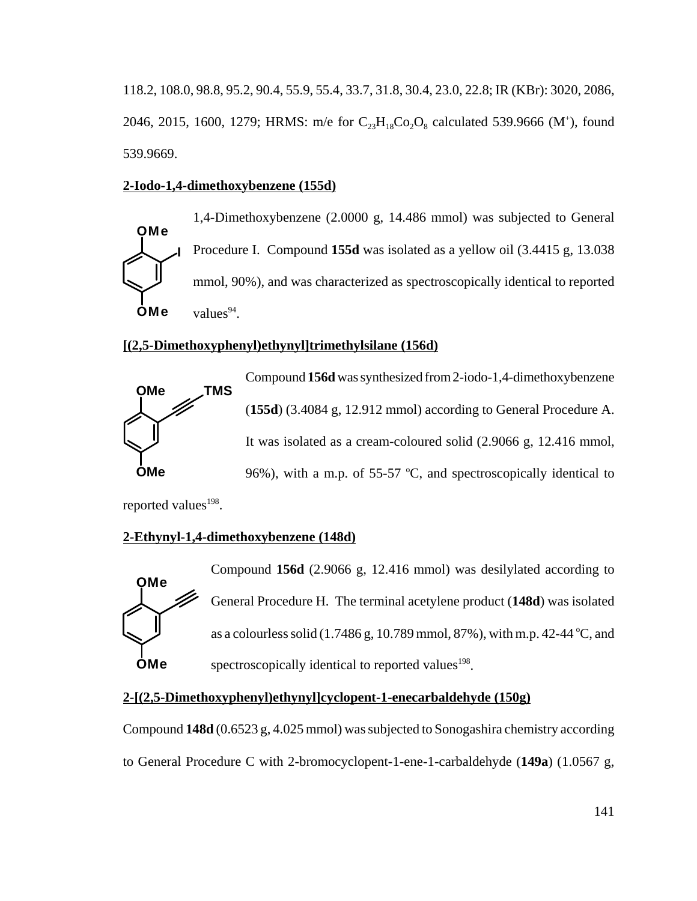118.2, 108.0, 98.8, 95.2, 90.4, 55.9, 55.4, 33.7, 31.8, 30.4, 23.0, 22.8; IR (KBr): 3020, 2086, 2046, 2015, 1600, 1279; HRMS: m/e for  $C_{23}H_{18}Co_2O_8$  calculated 539.9666 (M<sup>+</sup>), found 539.9669.

# **2-Iodo-1,4-dimethoxybenzene (155d)**

**OMe OMe I** 1,4-Dimethoxybenzene (2.0000 g, 14.486 mmol) was subjected to General Procedure I. Compound **155d** was isolated as a yellow oil (3.4415 g, 13.038 mmol, 90%), and was characterized as spectroscopically identical to reported values $94$ .

### **[(2,5-Dimethoxyphenyl)ethynyl]trimethylsilane (156d)**



Compound **156d** was synthesized from 2-iodo-1,4-dimethoxybenzene (**155d**) (3.4084 g, 12.912 mmol) according to General Procedure A. It was isolated as a cream-coloured solid (2.9066 g, 12.416 mmol, 96%), with a m.p. of 55-57  $°C$ , and spectroscopically identical to

reported values<sup>198</sup>.

# **2-Ethynyl-1,4-dimethoxybenzene (148d)**



Compound **156d** (2.9066 g, 12.416 mmol) was desilylated according to General Procedure H. The terminal acetylene product (**148d**) was isolated as a colourless solid  $(1.7486 \text{ g}, 10.789 \text{ mmol}, 87\%)$ , with m.p. 42-44 °C, and spectroscopically identical to reported values<sup>198</sup>.

# **2-[(2,5-Dimethoxyphenyl)ethynyl]cyclopent-1-enecarbaldehyde (150g)**

Compound **148d** (0.6523 g, 4.025 mmol) was subjected to Sonogashira chemistry according to General Procedure C with 2-bromocyclopent-1-ene-1-carbaldehyde (**149a**) (1.0567 g,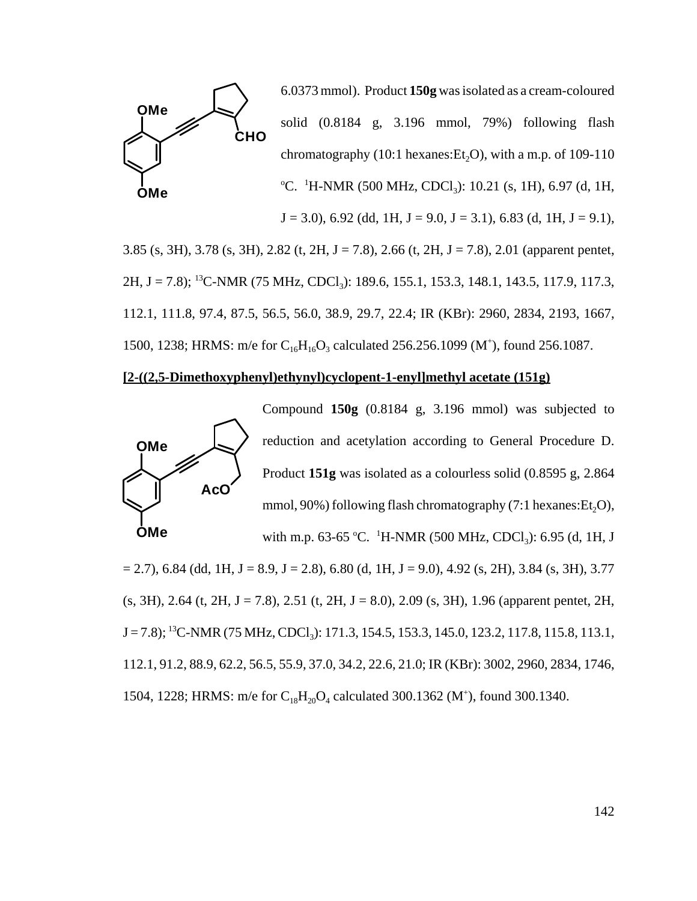

6.0373 mmol). Product **150g** was isolated as a cream-coloured solid (0.8184 g, 3.196 mmol, 79%) following flash chromatography (10:1 hexanes:  $Et<sub>2</sub>O$ ), with a m.p. of 109-110  $^{\circ}$ C. <sup>1</sup>H-NMR (500 MHz, CDCl<sub>3</sub>): 10.21 (s, 1H), 6.97 (d, 1H,  $J = 3.0$ , 6.92 (dd, 1H,  $J = 9.0$ ,  $J = 3.1$ ), 6.83 (d, 1H,  $J = 9.1$ ),

3.85 (s, 3H), 3.78 (s, 3H), 2.82 (t, 2H, J = 7.8), 2.66 (t, 2H, J = 7.8), 2.01 (apparent pentet, 2H, J = 7.8); <sup>13</sup>C-NMR (75 MHz, CDCl<sub>3</sub>): 189.6, 155.1, 153.3, 148.1, 143.5, 117.9, 117.3, 112.1, 111.8, 97.4, 87.5, 56.5, 56.0, 38.9, 29.7, 22.4; IR (KBr): 2960, 2834, 2193, 1667, 1500, 1238; HRMS: m/e for  $C_{16}H_{16}O_3$  calculated 256.256.1099 (M<sup>+</sup>), found 256.1087.

### **[2-((2,5-Dimethoxyphenyl)ethynyl)cyclopent-1-enyl]methyl acetate (151g)**



Compound **150g** (0.8184 g, 3.196 mmol) was subjected to reduction and acetylation according to General Procedure D. Product **151g** was isolated as a colourless solid (0.8595 g, 2.864 mmol,  $90\%$ ) following flash chromatography (7:1 hexanes:  $Et<sub>2</sub>O$ ),

with m.p. 63-65 °C. <sup>1</sup>H-NMR (500 MHz, CDCl<sub>3</sub>): 6.95 (d, 1H, J  $= 2.7$ ), 6.84 (dd, 1H, J = 8.9, J = 2.8), 6.80 (d, 1H, J = 9.0), 4.92 (s, 2H), 3.84 (s, 3H), 3.77  $(s, 3H)$ , 2.64 (t, 2H, J = 7.8), 2.51 (t, 2H, J = 8.0), 2.09 (s, 3H), 1.96 (apparent pentet, 2H, J = 7.8); <sup>13</sup>C-NMR (75 MHz, CDCl<sub>3</sub>): 171.3, 154.5, 153.3, 145.0, 123.2, 117.8, 115.8, 113.1, 112.1, 91.2, 88.9, 62.2, 56.5, 55.9, 37.0, 34.2, 22.6, 21.0; IR (KBr): 3002, 2960, 2834, 1746, 1504, 1228; HRMS: m/e for  $C_{18}H_{20}O_4$  calculated 300.1362 (M<sup>+</sup>), found 300.1340.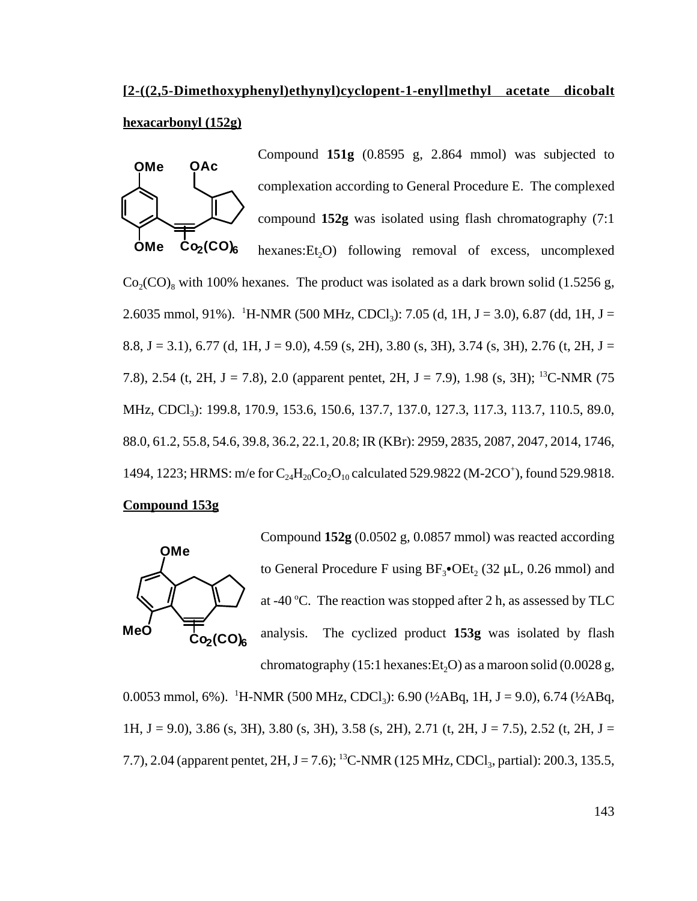# **[2-((2,5-Dimethoxyphenyl)ethynyl)cyclopent-1-enyl]methyl acetate dicobalt hexacarbonyl (152g)**

Compound **151g** (0.8595 g, 2.864 mmol) was subjected to



**OMe**  $Co<sub>2</sub>(CO)<sub>6</sub>$ complexation according to General Procedure E. The complexed compound **152g** was isolated using flash chromatography (7:1 hexanes: Et<sub>2</sub>O) following removal of excess, uncomplexed  $Co_2(CO)$ , with 100% hexanes. The product was isolated as a dark brown solid (1.5256 g, 2.6035 mmol, 91%). <sup>1</sup>H-NMR (500 MHz, CDCl<sub>3</sub>): 7.05 (d, 1H, J = 3.0), 6.87 (dd, 1H, J = 8.8, J = 3.1), 6.77 (d, 1H, J = 9.0), 4.59 (s, 2H), 3.80 (s, 3H), 3.74 (s, 3H), 2.76 (t, 2H, J = 7.8), 2.54 (t, 2H, J = 7.8), 2.0 (apparent pentet, 2H, J = 7.9), 1.98 (s, 3H); <sup>13</sup>C-NMR (75 MHz, CDCl<sub>3</sub>): 199.8, 170.9, 153.6, 150.6, 137.7, 137.0, 127.3, 117.3, 113.7, 110.5, 89.0, 88.0, 61.2, 55.8, 54.6, 39.8, 36.2, 22.1, 20.8; IR (KBr): 2959, 2835, 2087, 2047, 2014, 1746, 1494, 1223; HRMS: m/e for  $C_{24}H_{20}Co_2O_{10}$  calculated 529.9822 (M-2CO<sup>+</sup>), found 529.9818.

### **Compound 153g**



Compound **152g** (0.0502 g, 0.0857 mmol) was reacted according to General Procedure F using  $BF_3$ •OEt, (32 µL, 0.26 mmol) and at -40 °C. The reaction was stopped after 2 h, as assessed by TLC analysis. The cyclized product **153g** was isolated by flash chromatography (15:1 hexanes:  $Et<sub>2</sub>O$ ) as a maroon solid (0.0028 g,

0.0053 mmol, 6%). <sup>1</sup>H-NMR (500 MHz, CDCl<sub>3</sub>): 6.90 (½ABq, 1H, J = 9.0), 6.74 (½ABq, 1H, J = 9.0), 3.86 (s, 3H), 3.80 (s, 3H), 3.58 (s, 2H), 2.71 (t, 2H, J = 7.5), 2.52 (t, 2H, J = 7.7), 2.04 (apparent pentet,  $2H$ ,  $J = 7.6$ ); <sup>13</sup>C-NMR (125 MHz, CDCl<sub>3</sub>, partial): 200.3, 135.5,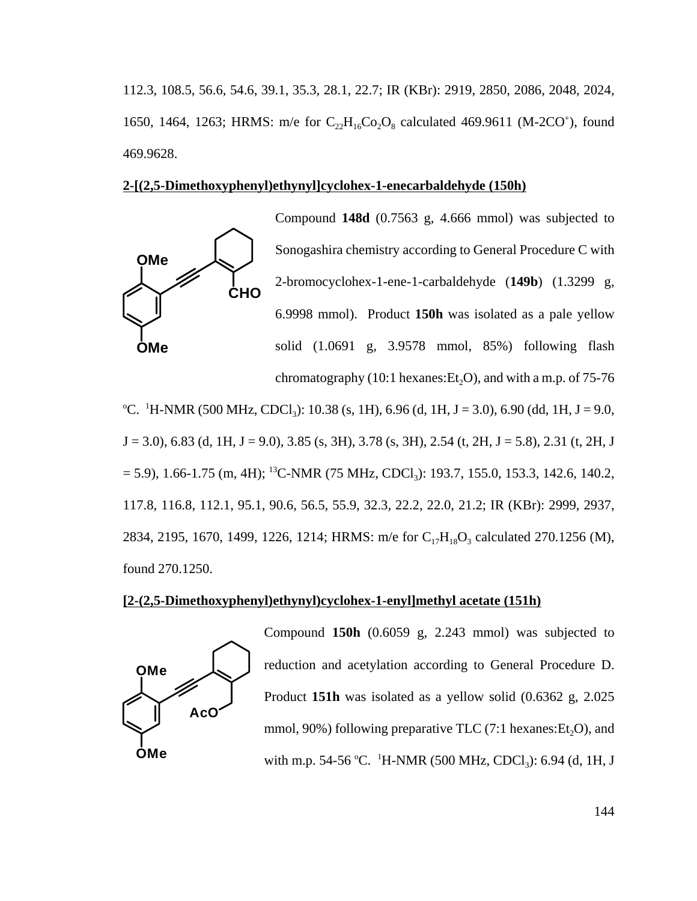112.3, 108.5, 56.6, 54.6, 39.1, 35.3, 28.1, 22.7; IR (KBr): 2919, 2850, 2086, 2048, 2024, 1650, 1464, 1263; HRMS: m/e for  $C_{22}H_{16}Co_2O_8$  calculated 469.9611 (M-2CO<sup>+</sup>), found 469.9628.

#### **2-[(2,5-Dimethoxyphenyl)ethynyl]cyclohex-1-enecarbaldehyde (150h)**



<sup>o</sup>C. <sup>1</sup>H-NMR (500 MHz, CDCl<sub>3</sub>): 10.38 (s, 1H), 6.96 (d, 1H, J = 3.0), 6.90 (dd, 1H, J = 9.0,  $J = 3.0$ , 6.83 (d, 1H,  $J = 9.0$ ), 3.85 (s, 3H), 3.78 (s, 3H), 2.54 (t, 2H,  $J = 5.8$ ), 2.31 (t, 2H, J  $= 5.9$ ), 1.66-1.75 (m, 4H); <sup>13</sup>C-NMR (75 MHz, CDCl<sub>3</sub>): 193.7, 155.0, 153.3, 142.6, 140.2, 117.8, 116.8, 112.1, 95.1, 90.6, 56.5, 55.9, 32.3, 22.2, 22.0, 21.2; IR (KBr): 2999, 2937, 2834, 2195, 1670, 1499, 1226, 1214; HRMS: m/e for  $C_{17}H_{18}O_3$  calculated 270.1256 (M), found 270.1250.

# **[2-(2,5-Dimethoxyphenyl)ethynyl)cyclohex-1-enyl]methyl acetate (151h)**



Compound **150h** (0.6059 g, 2.243 mmol) was subjected to reduction and acetylation according to General Procedure D. Product **151h** was isolated as a yellow solid (0.6362 g, 2.025 mmol,  $90\%$ ) following preparative TLC (7:1 hexanes: Et<sub>2</sub>O), and with m.p. 54-56 °C.  $\,^1$ H-NMR (500 MHz, CDCl<sub>3</sub>): 6.94 (d, 1H, J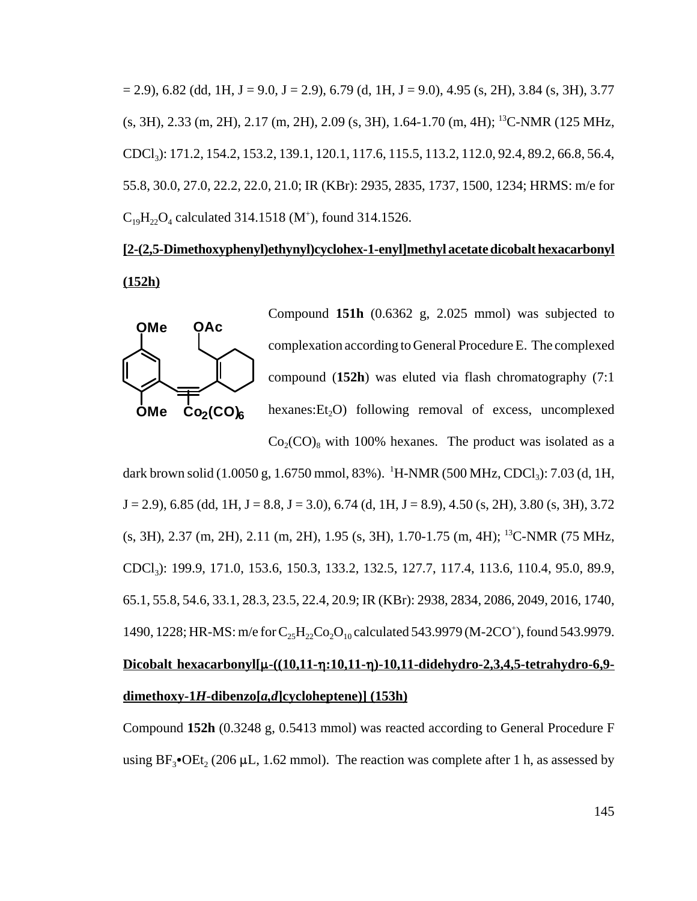$(2, 9)$ , 6.82 (dd, 1H, J = 9.0, J = 2.9), 6.79 (d, 1H, J = 9.0), 4.95 (s, 2H), 3.84 (s, 3H), 3.77 (s, 3H), 2.33 (m, 2H), 2.17 (m, 2H), 2.09 (s, 3H), 1.64-1.70 (m, 4H); 13C-NMR (125 MHz, CDCl3): 171.2, 154.2, 153.2, 139.1, 120.1, 117.6, 115.5, 113.2, 112.0, 92.4, 89.2, 66.8, 56.4, 55.8, 30.0, 27.0, 22.2, 22.0, 21.0; IR (KBr): 2935, 2835, 1737, 1500, 1234; HRMS: m/e for  $C_{19}H_{22}O_4$  calculated 314.1518 (M<sup>+</sup>), found 314.1526.

# **[2-(2,5-Dimethoxyphenyl)ethynyl)cyclohex-1-enyl]methyl acetate dicobalt hexacarbonyl (152h)**



Compound **151h** (0.6362 g, 2.025 mmol) was subjected to complexation according to General Procedure E. The complexed compound (**152h**) was eluted via flash chromatography (7:1 hexanes: Et<sub>2</sub>O) following removal of excess, uncomplexed  $Co_2(CO)$ <sub>8</sub> with 100% hexanes. The product was isolated as a

dark brown solid (1.0050 g, 1.6750 mmol, 83%). <sup>1</sup>H-NMR (500 MHz, CDCl<sub>3</sub>): 7.03 (d, 1H,  $J = 2.9$ , 6.85 (dd, 1H,  $J = 8.8$ ,  $J = 3.0$ ), 6.74 (d, 1H,  $J = 8.9$ ), 4.50 (s, 2H), 3.80 (s, 3H), 3.72 (s, 3H), 2.37 (m, 2H), 2.11 (m, 2H), 1.95 (s, 3H), 1.70-1.75 (m, 4H); 13C-NMR (75 MHz, CDCl3): 199.9, 171.0, 153.6, 150.3, 133.2, 132.5, 127.7, 117.4, 113.6, 110.4, 95.0, 89.9, 65.1, 55.8, 54.6, 33.1, 28.3, 23.5, 22.4, 20.9; IR (KBr): 2938, 2834, 2086, 2049, 2016, 1740, 1490, 1228; HR-MS: m/e for  $C_{25}H_{22}Co_{2}O_{10}$  calculated 543.9979 (M-2CO<sup>+</sup>), found 543.9979. **Dicobalt hexacarbonyl[**:**-((10,11-**0**:10,11-**0**)-10,11-didehydro-2,3,4,5-tetrahydro-6,9 dimethoxy-1***H***-dibenzo[***a,d***]cycloheptene)] (153h)**

Compound **152h** (0.3248 g, 0.5413 mmol) was reacted according to General Procedure F using  $BF_3$ •OEt<sub>2</sub> (206 µL, 1.62 mmol). The reaction was complete after 1 h, as assessed by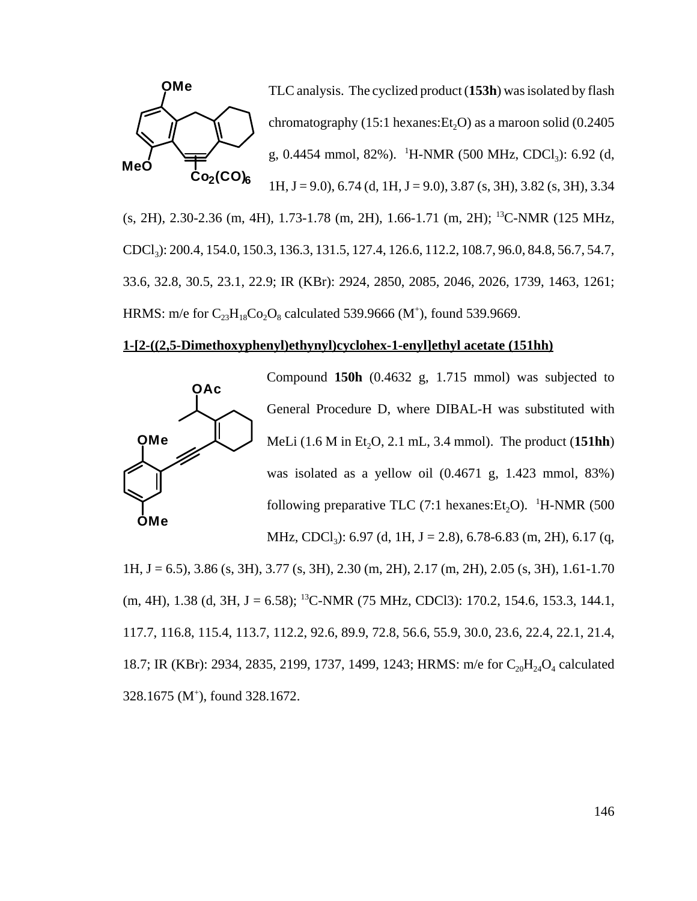

(s, 2H), 2.30-2.36 (m, 4H), 1.73-1.78 (m, 2H), 1.66-1.71 (m, 2H); 13C-NMR (125 MHz, CDCl3): 200.4, 154.0, 150.3, 136.3, 131.5, 127.4, 126.6, 112.2, 108.7, 96.0, 84.8, 56.7, 54.7, 33.6, 32.8, 30.5, 23.1, 22.9; IR (KBr): 2924, 2850, 2085, 2046, 2026, 1739, 1463, 1261; HRMS: m/e for  $C_{23}H_{18}Co_2O_8$  calculated 539.9666 (M<sup>+</sup>), found 539.9669.

#### **1-[2-((2,5-Dimethoxyphenyl)ethynyl)cyclohex-1-enyl]ethyl acetate (151hh)**



Compound **150h** (0.4632 g, 1.715 mmol) was subjected to General Procedure D, where DIBAL-H was substituted with MeLi  $(1.6 M$  in Et<sub>2</sub>O, 2.1 mL, 3.4 mmol). The product  $(151hh)$ was isolated as a yellow oil (0.4671 g, 1.423 mmol, 83%) following preparative TLC (7:1 hexanes:  $Et_2O$ ). <sup>1</sup>H-NMR (500 MHz, CDCl<sub>3</sub>): 6.97 (d, 1H, J = 2.8), 6.78-6.83 (m, 2H), 6.17 (q,

1H, J = 6.5), 3.86 (s, 3H), 3.77 (s, 3H), 2.30 (m, 2H), 2.17 (m, 2H), 2.05 (s, 3H), 1.61-1.70  $(m, 4H), 1.38$  (d, 3H, J = 6.58); <sup>13</sup>C-NMR (75 MHz, CDCl3): 170.2, 154.6, 153.3, 144.1, 117.7, 116.8, 115.4, 113.7, 112.2, 92.6, 89.9, 72.8, 56.6, 55.9, 30.0, 23.6, 22.4, 22.1, 21.4, 18.7; IR (KBr): 2934, 2835, 2199, 1737, 1499, 1243; HRMS: m/e for  $C_{20}H_{24}O_4$  calculated 328.1675 (M+ ), found 328.1672.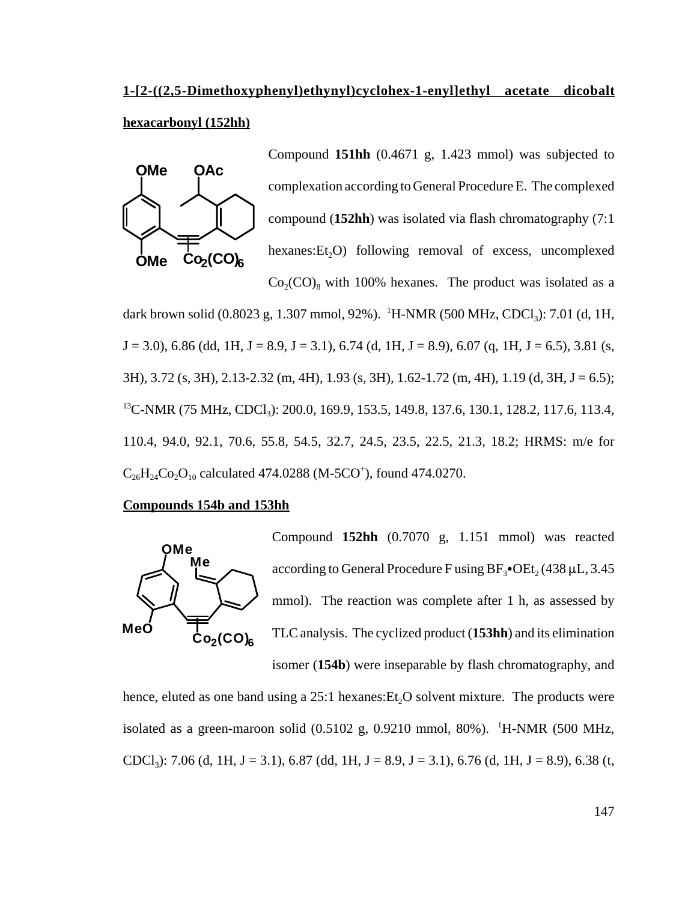# **1-[2-((2,5-Dimethoxyphenyl)ethynyl)cyclohex-1-enyl]ethyl acetate dicobalt hexacarbonyl (152hh)**



Compound **151hh** (0.4671 g, 1.423 mmol) was subjected to complexation according to General Procedure E. The complexed compound (**152hh**) was isolated via flash chromatography (7:1 hexanes: Et<sub>2</sub>O) following removal of excess, uncomplexed  $Co_2(CO)$ <sub>8</sub> with 100% hexanes. The product was isolated as a

dark brown solid (0.8023 g, 1.307 mmol, 92%). <sup>1</sup>H-NMR (500 MHz, CDCl<sub>3</sub>): 7.01 (d, 1H,  $J = 3.0$ ), 6.86 (dd, 1H,  $J = 8.9$ ,  $J = 3.1$ ), 6.74 (d, 1H,  $J = 8.9$ ), 6.07 (q, 1H,  $J = 6.5$ ), 3.81 (s, 3H), 3.72 (s, 3H), 2.13-2.32 (m, 4H), 1.93 (s, 3H), 1.62-1.72 (m, 4H), 1.19 (d, 3H, J = 6.5); <sup>13</sup>C-NMR (75 MHz, CDCl<sub>3</sub>): 200.0, 169.9, 153.5, 149.8, 137.6, 130.1, 128.2, 117.6, 113.4, 110.4, 94.0, 92.1, 70.6, 55.8, 54.5, 32.7, 24.5, 23.5, 22.5, 21.3, 18.2; HRMS: m/e for  $C_{26}H_{24}Co_2O_{10}$  calculated 474.0288 (M-5CO<sup>+</sup>), found 474.0270.

### **Compounds 154b and 153hh**



Compound **152hh** (0.7070 g, 1.151 mmol) was reacted according to General Procedure F using  $BF_3$  OEt<sub>2</sub> (438  $\mu$ L, 3.45) mmol). The reaction was complete after 1 h, as assessed by TLC analysis. The cyclized product (**153hh**) and its elimination isomer (**154b**) were inseparable by flash chromatography, and

hence, eluted as one band using a  $25:1$  hexanes:  $Et<sub>2</sub>O$  solvent mixture. The products were isolated as a green-maroon solid  $(0.5102 \text{ g}, 0.9210 \text{ mmol}, 80\%)$ . <sup>1</sup>H-NMR (500 MHz, CDCl<sub>3</sub>): 7.06 (d, 1H, J = 3.1), 6.87 (dd, 1H, J = 8.9, J = 3.1), 6.76 (d, 1H, J = 8.9), 6.38 (t,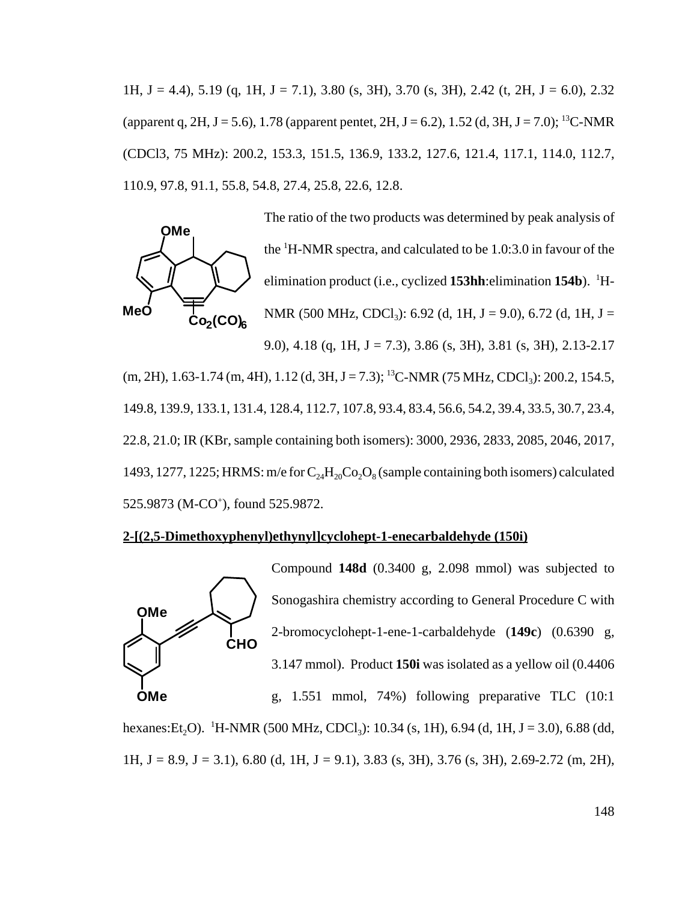1H, J = 4.4), 5.19 (q, 1H, J = 7.1), 3.80 (s, 3H), 3.70 (s, 3H), 2.42 (t, 2H, J = 6.0), 2.32 (apparent q, 2H, J = 5.6), 1.78 (apparent pentet, 2H, J = 6.2), 1.52 (d, 3H, J = 7.0); <sup>13</sup>C-NMR (CDCl3, 75 MHz): 200.2, 153.3, 151.5, 136.9, 133.2, 127.6, 121.4, 117.1, 114.0, 112.7, 110.9, 97.8, 91.1, 55.8, 54.8, 27.4, 25.8, 22.6, 12.8.



 $(m, 2H), 1.63-1.74$   $(m, 4H), 1.12$   $(d, 3H, J = 7.3);$  <sup>13</sup>C-NMR (75 MHz, CDCl<sub>3</sub>): 200.2, 154.5, 149.8, 139.9, 133.1, 131.4, 128.4, 112.7, 107.8, 93.4, 83.4, 56.6, 54.2, 39.4, 33.5, 30.7, 23.4, 22.8, 21.0; IR (KBr, sample containing both isomers): 3000, 2936, 2833, 2085, 2046, 2017, 1493, 1277, 1225; HRMS: m/e for  $C_{24}H_{20}Co_2O_8$  (sample containing both isomers) calculated 525.9873 (M-CO<sup>+</sup>), found 525.9872.

#### **2-[(2,5-Dimethoxyphenyl)ethynyl]cyclohept-1-enecarbaldehyde (150i)**



Compound **148d** (0.3400 g, 2.098 mmol) was subjected to Sonogashira chemistry according to General Procedure C with 2-bromocyclohept-1-ene-1-carbaldehyde (**149c**) (0.6390 g, 3.147 mmol). Product **150i** was isolated as a yellow oil (0.4406

g, 1.551 mmol, 74%) following preparative TLC (10:1

hexanes:Et<sub>2</sub>O). <sup>1</sup>H-NMR (500 MHz, CDCl<sub>3</sub>): 10.34 (s, 1H), 6.94 (d, 1H, J = 3.0), 6.88 (dd, 1H,  $J = 8.9$ ,  $J = 3.1$ ), 6.80 (d, 1H,  $J = 9.1$ ), 3.83 (s, 3H), 3.76 (s, 3H), 2.69-2.72 (m, 2H),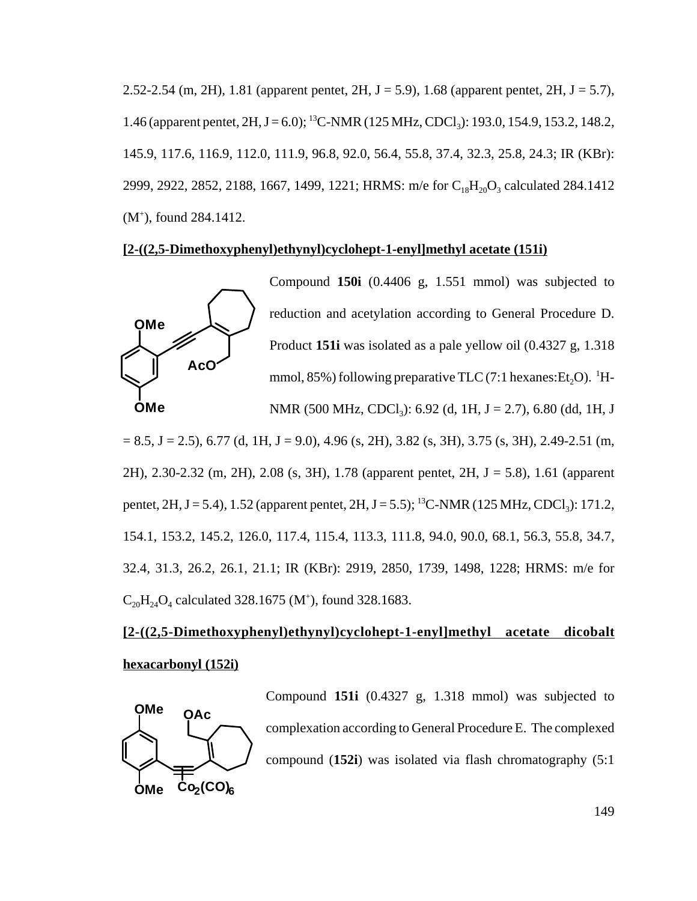2.52-2.54 (m, 2H), 1.81 (apparent pentet, 2H,  $J = 5.9$ ), 1.68 (apparent pentet, 2H,  $J = 5.7$ ), 1.46 (apparent pentet, 2H, J = 6.0); <sup>13</sup>C-NMR (125 MHz, CDCl<sub>3</sub>): 193.0, 154.9, 153.2, 148.2, 145.9, 117.6, 116.9, 112.0, 111.9, 96.8, 92.0, 56.4, 55.8, 37.4, 32.3, 25.8, 24.3; IR (KBr): 2999, 2922, 2852, 2188, 1667, 1499, 1221; HRMS: m/e for  $C_{18}H_{20}O_3$  calculated 284.1412 (M+ ), found 284.1412.

### **[2-((2,5-Dimethoxyphenyl)ethynyl)cyclohept-1-enyl]methyl acetate (151i)**



Compound **150i** (0.4406 g, 1.551 mmol) was subjected to reduction and acetylation according to General Procedure D. Product **151i** was isolated as a pale yellow oil (0.4327 g, 1.318 mmol, 85%) following preparative TLC (7:1 hexanes:  $Et_2O$ ). <sup>1</sup>H-

 $= 8.5$ , J  $= 2.5$ ), 6.77 (d, 1H, J  $= 9.0$ ), 4.96 (s, 2H), 3.82 (s, 3H), 3.75 (s, 3H), 2.49-2.51 (m, 2H), 2.30-2.32 (m, 2H), 2.08 (s, 3H), 1.78 (apparent pentet, 2H, J = 5.8), 1.61 (apparent pentet, 2H, J = 5.4), 1.52 (apparent pentet, 2H, J = 5.5); <sup>13</sup>C-NMR (125 MHz, CDCl<sub>3</sub>): 171.2, 154.1, 153.2, 145.2, 126.0, 117.4, 115.4, 113.3, 111.8, 94.0, 90.0, 68.1, 56.3, 55.8, 34.7, 32.4, 31.3, 26.2, 26.1, 21.1; IR (KBr): 2919, 2850, 1739, 1498, 1228; HRMS: m/e for  $C_{20}H_{24}O_4$  calculated 328.1675 (M<sup>+</sup>), found 328.1683.

# **[2-((2,5-Dimethoxyphenyl)ethynyl)cyclohept-1-enyl]methyl acetate dicobalt hexacarbonyl (152i)**



Compound **151i** (0.4327 g, 1.318 mmol) was subjected to complexation according to General Procedure E. The complexed compound (**152i**) was isolated via flash chromatography (5:1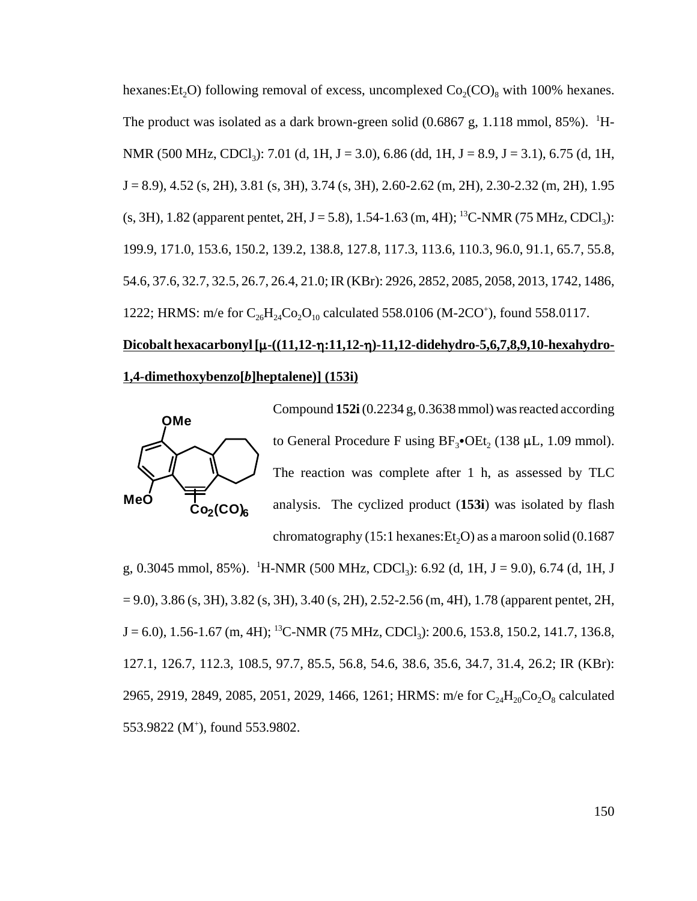hexanes: Et<sub>2</sub>O) following removal of excess, uncomplexed  $Co_2(CO)$ <sub>s</sub> with 100% hexanes. The product was isolated as a dark brown-green solid  $(0.6867 \text{ g}, 1.118 \text{ mmol}, 85\%)$ . <sup>1</sup>H-NMR (500 MHz, CDCl<sub>3</sub>): 7.01 (d, 1H, J = 3.0), 6.86 (dd, 1H, J = 8.9, J = 3.1), 6.75 (d, 1H,  $J = 8.9$ ,  $4.52$  (s,  $2H$ ),  $3.81$  (s,  $3H$ ),  $3.74$  (s,  $3H$ ),  $2.60-2.62$  (m,  $2H$ ),  $2.30-2.32$  (m,  $2H$ ),  $1.95$ (s, 3H), 1.82 (apparent pentet, 2H, J = 5.8), 1.54-1.63 (m, 4H); <sup>13</sup>C-NMR (75 MHz, CDCl<sub>3</sub>): 199.9, 171.0, 153.6, 150.2, 139.2, 138.8, 127.8, 117.3, 113.6, 110.3, 96.0, 91.1, 65.7, 55.8, 54.6, 37.6, 32.7, 32.5, 26.7, 26.4, 21.0; IR (KBr): 2926, 2852, 2085, 2058, 2013, 1742, 1486, 1222; HRMS: m/e for  $C_{26}H_{24}Co_2O_{10}$  calculated 558.0106 (M-2CO<sup>+</sup>), found 558.0117.

# Dicobalt hexacarbonyl [ $\mu$ -((11,12- $\eta$ :11,12- $\eta$ )-11,12-didehydro-5,6,7,8,9,10-hexahydro-**1,4-dimethoxybenzo[***b***]heptalene)] (153i)**



Compound **152i** (0.2234 g, 0.3638 mmol) was reacted according to General Procedure F using  $BF_3$ •OEt, (138 µL, 1.09 mmol). The reaction was complete after 1 h, as assessed by TLC analysis. The cyclized product (**153i**) was isolated by flash chromatography (15:1 hexanes:  $Et<sub>2</sub>O$ ) as a maroon solid (0.1687

g, 0.3045 mmol, 85%). <sup>1</sup>H-NMR (500 MHz, CDCl<sub>3</sub>): 6.92 (d, 1H, J = 9.0), 6.74 (d, 1H, J  $= 9.0$ ), 3.86 (s, 3H), 3.82 (s, 3H), 3.40 (s, 2H), 2.52-2.56 (m, 4H), 1.78 (apparent pentet, 2H,  $J = 6.0$ ), 1.56-1.67 (m, 4H); <sup>13</sup>C-NMR (75 MHz, CDCl<sub>3</sub>): 200.6, 153.8, 150.2, 141.7, 136.8, 127.1, 126.7, 112.3, 108.5, 97.7, 85.5, 56.8, 54.6, 38.6, 35.6, 34.7, 31.4, 26.2; IR (KBr): 2965, 2919, 2849, 2085, 2051, 2029, 1466, 1261; HRMS: m/e for  $C_{24}H_{20}Co_2O_8$  calculated 553.9822 (M<sup>+</sup>), found 553.9802.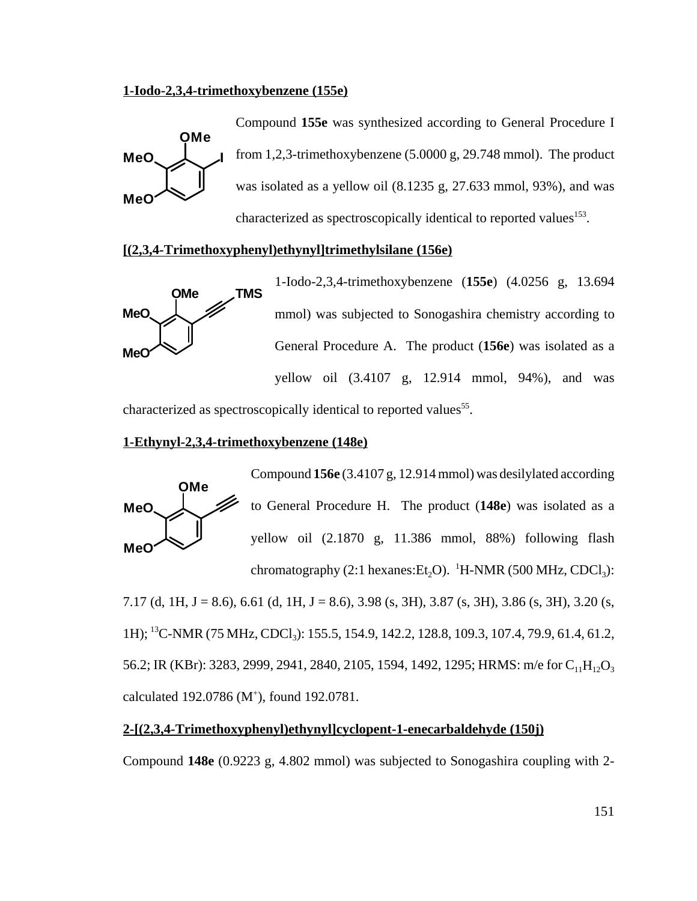### **1-Iodo-2,3,4-trimethoxybenzene (155e)**



### **[(2,3,4-Trimethoxyphenyl)ethynyl]trimethylsilane (156e)**



characterized as spectroscopically identical to reported values<sup>55</sup>.

### **1-Ethynyl-2,3,4-trimethoxybenzene (148e)**



Compound **156e** (3.4107 g, 12.914 mmol) was desilylated according to General Procedure H. The product (**148e**) was isolated as a yellow oil (2.1870 g, 11.386 mmol, 88%) following flash chromatography (2:1 hexanes: $Et_2O$ ). <sup>1</sup>H-NMR (500 MHz, CDCl<sub>3</sub>):

7.17 (d, 1H, J = 8.6), 6.61 (d, 1H, J = 8.6), 3.98 (s, 3H), 3.87 (s, 3H), 3.86 (s, 3H), 3.20 (s, 1H); <sup>13</sup>C-NMR (75 MHz, CDCl<sub>3</sub>): 155.5, 154.9, 142.2, 128.8, 109.3, 107.4, 79.9, 61.4, 61.2, 56.2; IR (KBr): 3283, 2999, 2941, 2840, 2105, 1594, 1492, 1295; HRMS: m/e for C<sub>11</sub>H<sub>12</sub>O<sub>3</sub> calculated 192.0786 (M<sup>+</sup>), found 192.0781.

# **2-[(2,3,4-Trimethoxyphenyl)ethynyl]cyclopent-1-enecarbaldehyde (150j)**

Compound **148e** (0.9223 g, 4.802 mmol) was subjected to Sonogashira coupling with 2-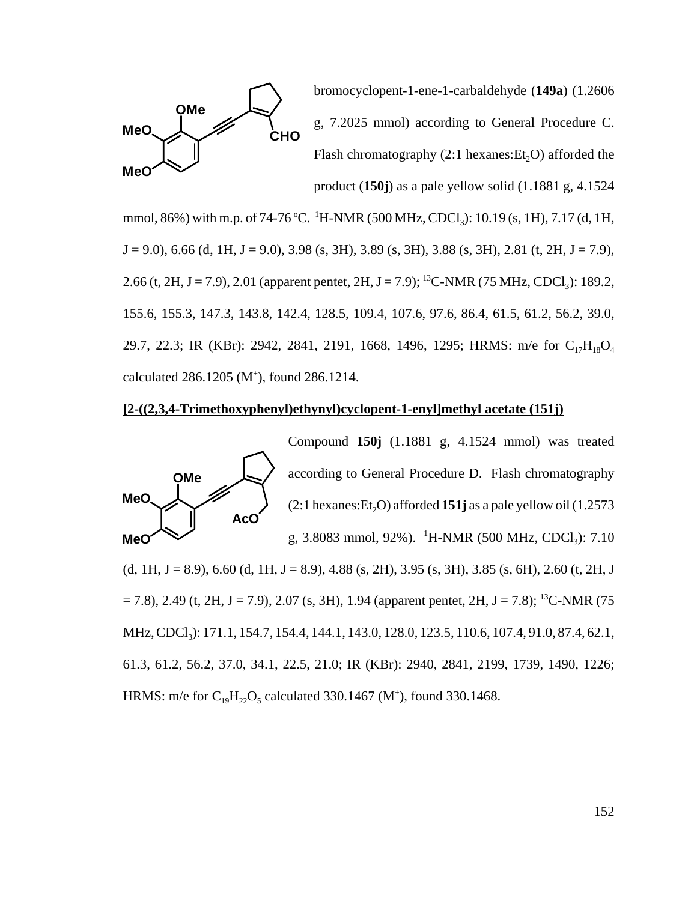

bromocyclopent-1-ene-1-carbaldehyde (**149a**) (1.2606 g, 7.2025 mmol) according to General Procedure C. Flash chromatography  $(2:1$  hexanes:  $Et<sub>2</sub>O$ ) afforded the product (**150j**) as a pale yellow solid (1.1881 g, 4.1524

mmol, 86%) with m.p. of 74-76 °C. <sup>1</sup>H-NMR (500 MHz, CDCl<sub>3</sub>): 10.19 (s, 1H), 7.17 (d, 1H,  $J = 9.0$ ), 6.66 (d, 1H,  $J = 9.0$ ), 3.98 (s, 3H), 3.89 (s, 3H), 3.88 (s, 3H), 2.81 (t, 2H,  $J = 7.9$ ), 2.66 (t, 2H, J = 7.9), 2.01 (apparent pentet, 2H, J = 7.9); <sup>13</sup>C-NMR (75 MHz, CDCl<sub>3</sub>): 189.2, 155.6, 155.3, 147.3, 143.8, 142.4, 128.5, 109.4, 107.6, 97.6, 86.4, 61.5, 61.2, 56.2, 39.0, 29.7, 22.3; IR (KBr): 2942, 2841, 2191, 1668, 1496, 1295; HRMS: m/e for C<sub>17</sub>H<sub>18</sub>O<sub>4</sub> calculated  $286.1205$  (M<sup>+</sup>), found  $286.1214$ .

### **[2-((2,3,4-Trimethoxyphenyl)ethynyl)cyclopent-1-enyl]methyl acetate (151j)**



Compound **150j** (1.1881 g, 4.1524 mmol) was treated according to General Procedure D. Flash chromatography  $(2:1$  hexanes:  $Et<sub>2</sub>O$ ) afforded **151j** as a pale yellow oil (1.2573) g, 3.8083 mmol, 92%). <sup>1</sup>H-NMR (500 MHz, CDCl<sub>3</sub>): 7.10

(d, 1H, J = 8.9), 6.60 (d, 1H, J = 8.9), 4.88 (s, 2H), 3.95 (s, 3H), 3.85 (s, 6H), 2.60 (t, 2H, J  $= 7.8$ ), 2.49 (t, 2H, J = 7.9), 2.07 (s, 3H), 1.94 (apparent pentet, 2H, J = 7.8); <sup>13</sup>C-NMR (75 MHz, CDCl<sub>3</sub>): 171.1, 154.7, 154.4, 144.1, 143.0, 128.0, 123.5, 110.6, 107.4, 91.0, 87.4, 62.1, 61.3, 61.2, 56.2, 37.0, 34.1, 22.5, 21.0; IR (KBr): 2940, 2841, 2199, 1739, 1490, 1226; HRMS: m/e for  $C_{19}H_{22}O_5$  calculated 330.1467 (M<sup>+</sup>), found 330.1468.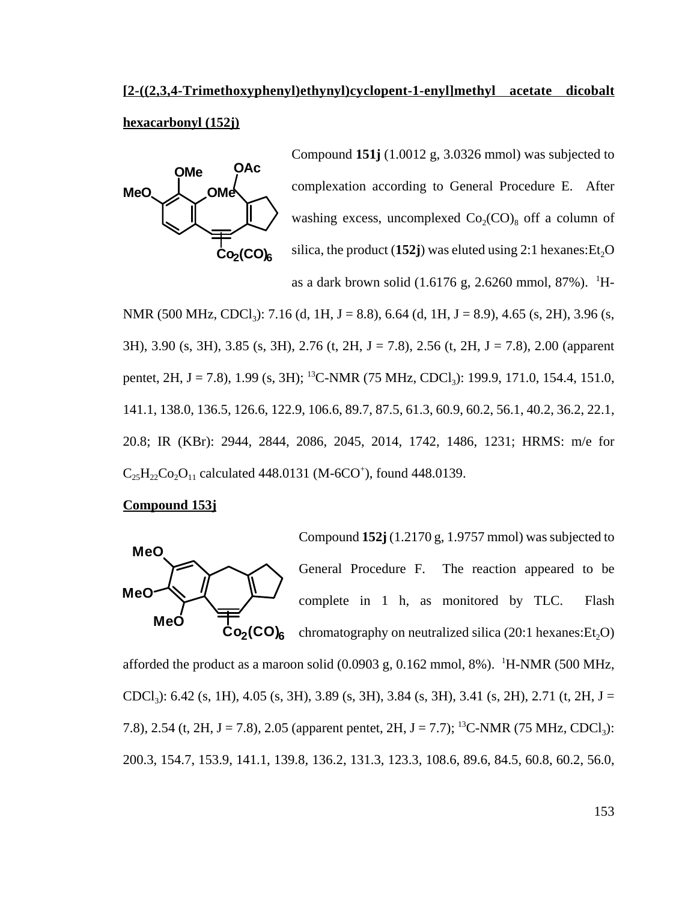# **[2-((2,3,4-Trimethoxyphenyl)ethynyl)cyclopent-1-enyl]methyl acetate dicobalt hexacarbonyl (152j)**



Compound **151j** (1.0012 g, 3.0326 mmol) was subjected to complexation according to General Procedure E. After washing excess, uncomplexed  $Co_2(CO)_8$  off a column of silica, the product  $(152j)$  was eluted using 2:1 hexanes: Et<sub>2</sub>O as a dark brown solid  $(1.6176 \text{ g}, 2.6260 \text{ mmol}, 87\%)$ . <sup>1</sup>H-

NMR (500 MHz, CDCl<sub>3</sub>): 7.16 (d, 1H, J = 8.8), 6.64 (d, 1H, J = 8.9), 4.65 (s, 2H), 3.96 (s, 3H), 3.90 (s, 3H), 3.85 (s, 3H), 2.76 (t, 2H, J = 7.8), 2.56 (t, 2H, J = 7.8), 2.00 (apparent pentet, 2H, J = 7.8), 1.99 (s, 3H); <sup>13</sup>C-NMR (75 MHz, CDCl<sub>3</sub>): 199.9, 171.0, 154.4, 151.0, 141.1, 138.0, 136.5, 126.6, 122.9, 106.6, 89.7, 87.5, 61.3, 60.9, 60.2, 56.1, 40.2, 36.2, 22.1, 20.8; IR (KBr): 2944, 2844, 2086, 2045, 2014, 1742, 1486, 1231; HRMS: m/e for  $C_{25}H_{22}Co_{2}O_{11}$  calculated 448.0131 (M-6CO<sup>+</sup>), found 448.0139.

### **Compound 153j**



Compound **152j** (1.2170 g, 1.9757 mmol) was subjected to General Procedure F. The reaction appeared to be complete in 1 h, as monitored by TLC. Flash chromatography on neutralized silica  $(20:1$  hexanes: $Et<sub>2</sub>O$ )

afforded the product as a maroon solid  $(0.0903 \text{ g}, 0.162 \text{ mmol}, 8\%)$ . <sup>1</sup>H-NMR (500 MHz, CDCl<sub>3</sub>): 6.42 (s, 1H), 4.05 (s, 3H), 3.89 (s, 3H), 3.84 (s, 3H), 3.41 (s, 2H), 2.71 (t, 2H, J = 7.8), 2.54 (t, 2H, J = 7.8), 2.05 (apparent pentet, 2H, J = 7.7); <sup>13</sup>C-NMR (75 MHz, CDCl<sub>3</sub>): 200.3, 154.7, 153.9, 141.1, 139.8, 136.2, 131.3, 123.3, 108.6, 89.6, 84.5, 60.8, 60.2, 56.0,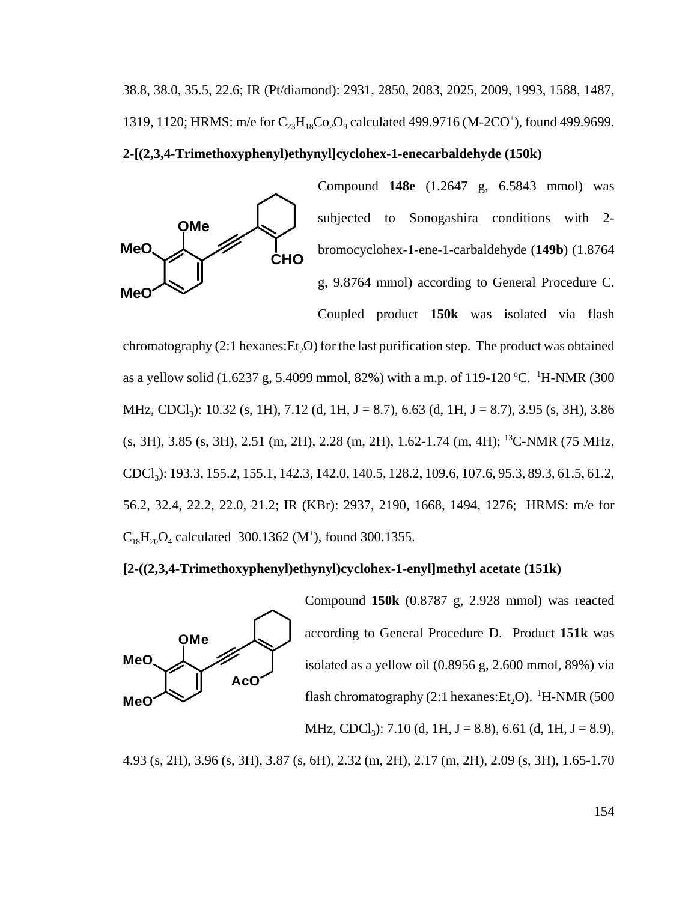38.8, 38.0, 35.5, 22.6; IR (Pt/diamond): 2931, 2850, 2083, 2025, 2009, 1993, 1588, 1487, 1319, 1120; HRMS: m/e for  $C_{23}H_{18}Co_2O_9$  calculated 499.9716 (M-2CO<sup>+</sup>), found 499.9699.

### **2-[(2,3,4-Trimethoxyphenyl)ethynyl]cyclohex-1-enecarbaldehyde (150k)**



Compound **148e** (1.2647 g, 6.5843 mmol) was subjected to Sonogashira conditions with 2 bromocyclohex-1-ene-1-carbaldehyde (**149b**) (1.8764 g, 9.8764 mmol) according to General Procedure C. Coupled product **150k** was isolated via flash

chromatography  $(2:1 \text{ hexanes}:\text{Et}, O)$  for the last purification step. The product was obtained as a yellow solid (1.6237 g, 5.4099 mmol, 82%) with a m.p. of 119-120 °C. <sup>1</sup>H-NMR (300 MHz, CDCl<sub>3</sub>): 10.32 (s, 1H), 7.12 (d, 1H, J = 8.7), 6.63 (d, 1H, J = 8.7), 3.95 (s, 3H), 3.86 (s, 3H), 3.85 (s, 3H), 2.51 (m, 2H), 2.28 (m, 2H), 1.62-1.74 (m, 4H); 13C-NMR (75 MHz, CDCl3): 193.3, 155.2, 155.1, 142.3, 142.0, 140.5, 128.2, 109.6, 107.6, 95.3, 89.3, 61.5, 61.2, 56.2, 32.4, 22.2, 22.0, 21.2; IR (KBr): 2937, 2190, 1668, 1494, 1276; HRMS: m/e for  $C_{18}H_{20}O_4$  calculated 300.1362 (M<sup>+</sup>), found 300.1355.

### **[2-((2,3,4-Trimethoxyphenyl)ethynyl)cyclohex-1-enyl]methyl acetate (151k)**



Compound **150k** (0.8787 g, 2.928 mmol) was reacted according to General Procedure D. Product **151k** was isolated as a yellow oil (0.8956 g, 2.600 mmol, 89%) via flash chromatography (2:1 hexanes: $Et_2O$ ).  $^1H\text{-NMR}$  (500 MHz, CDCl<sub>3</sub>): 7.10 (d, 1H, J = 8.8), 6.61 (d, 1H, J = 8.9),

4.93 (s, 2H), 3.96 (s, 3H), 3.87 (s, 6H), 2.32 (m, 2H), 2.17 (m, 2H), 2.09 (s, 3H), 1.65-1.70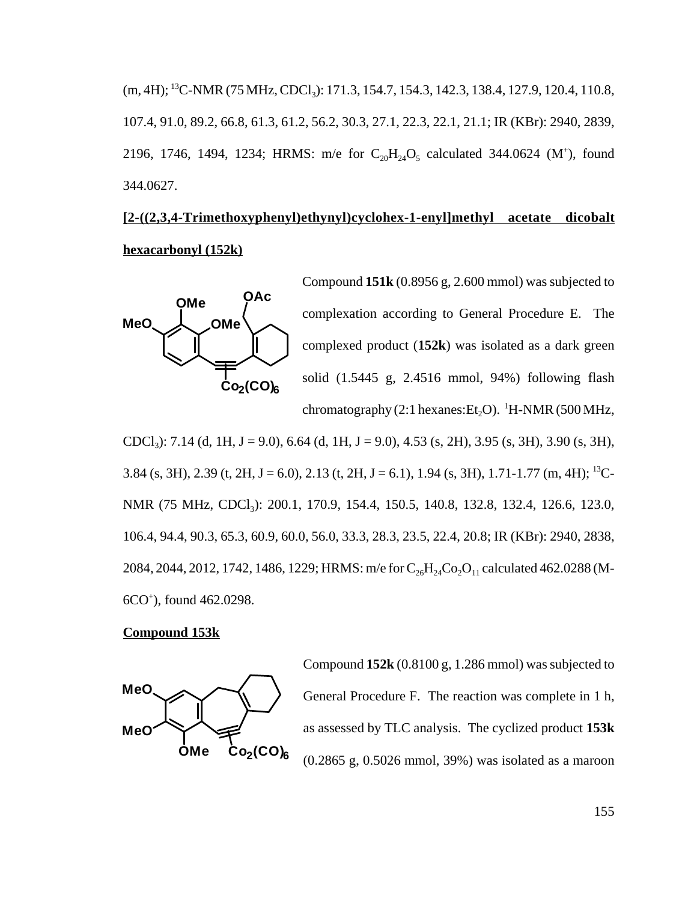$(m, 4H)$ ; <sup>13</sup>C-NMR (75 MHz, CDCl<sub>3</sub>): 171.3, 154.7, 154.3, 142.3, 138.4, 127.9, 120.4, 110.8, 107.4, 91.0, 89.2, 66.8, 61.3, 61.2, 56.2, 30.3, 27.1, 22.3, 22.1, 21.1; IR (KBr): 2940, 2839, 2196, 1746, 1494, 1234; HRMS: m/e for  $C_{20}H_{24}O_5$  calculated 344.0624 (M<sup>+</sup>), found 344.0627.

# **[2-((2,3,4-Trimethoxyphenyl)ethynyl)cyclohex-1-enyl]methyl acetate dicobalt hexacarbonyl (152k)**



Compound **151k** (0.8956 g, 2.600 mmol) was subjected to complexation according to General Procedure E. The complexed product (**152k**) was isolated as a dark green solid (1.5445 g, 2.4516 mmol, 94%) following flash chromatography (2:1 hexanes: $Et_2O$ ).  $^1H\text{-NMR}$  (500 MHz,

CDCl<sub>3</sub>): 7.14 (d, 1H, J = 9.0), 6.64 (d, 1H, J = 9.0), 4.53 (s, 2H), 3.95 (s, 3H), 3.90 (s, 3H), 3.84 (s, 3H), 2.39 (t, 2H, J = 6.0), 2.13 (t, 2H, J = 6.1), 1.94 (s, 3H), 1.71-1.77 (m, 4H); <sup>13</sup>C-NMR (75 MHz, CDCl<sub>3</sub>): 200.1, 170.9, 154.4, 150.5, 140.8, 132.8, 132.4, 126.6, 123.0, 106.4, 94.4, 90.3, 65.3, 60.9, 60.0, 56.0, 33.3, 28.3, 23.5, 22.4, 20.8; IR (KBr): 2940, 2838, 2084, 2044, 2012, 1742, 1486, 1229; HRMS: m/e for  $C_{26}H_{24}Co_2O_{11}$  calculated 462.0288 (M-6CO+ ), found 462.0298.

### **Compound 153k**



Compound **152k** (0.8100 g, 1.286 mmol) was subjected to General Procedure F. The reaction was complete in 1 h, as assessed by TLC analysis. The cyclized product **153k** (0.2865 g, 0.5026 mmol, 39%) was isolated as a maroon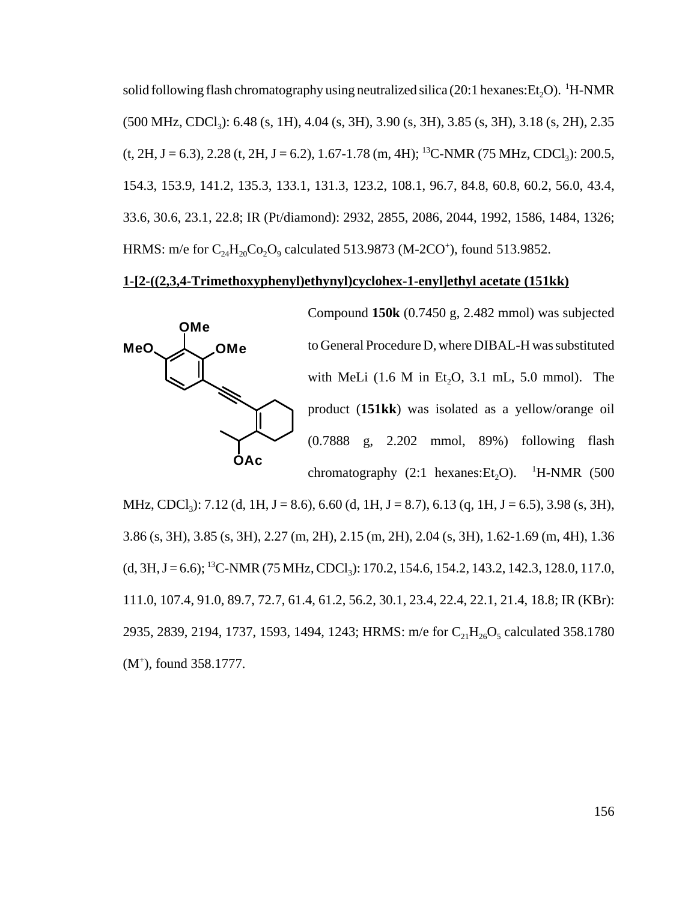solid following flash chromatography using neutralized silica (20:1 hexanes:Et<sub>2</sub>O). <sup>1</sup>H-NMR  $(500 \text{ MHz}, \text{CDCl}_3)$ : 6.48 (s, 1H), 4.04 (s, 3H), 3.90 (s, 3H), 3.85 (s, 3H), 3.18 (s, 2H), 2.35  $(t, 2H, J = 6.3)$ , 2.28  $(t, 2H, J = 6.2)$ , 1.67-1.78  $(m, 4H)$ ; <sup>13</sup>C-NMR (75 MHz, CDCl<sub>3</sub>): 200.5, 154.3, 153.9, 141.2, 135.3, 133.1, 131.3, 123.2, 108.1, 96.7, 84.8, 60.8, 60.2, 56.0, 43.4, 33.6, 30.6, 23.1, 22.8; IR (Pt/diamond): 2932, 2855, 2086, 2044, 1992, 1586, 1484, 1326; HRMS: m/e for  $C_{24}H_{20}Co_2O_9$  calculated 513.9873 (M-2CO<sup>+</sup>), found 513.9852.

# **1-[2-((2,3,4-Trimethoxyphenyl)ethynyl)cyclohex-1-enyl]ethyl acetate (151kk)**



Compound **150k** (0.7450 g, 2.482 mmol) was subjected to General Procedure D, where DIBAL-H was substituted with MeLi  $(1.6 \text{ M} \text{ in } Et_2O, 3.1 \text{ mL}, 5.0 \text{ mmol})$ . The product (**151kk**) was isolated as a yellow/orange oil (0.7888 g, 2.202 mmol, 89%) following flash chromatography  $(2:1 \text{ hexanes:Et}_2O)$ . <sup>1</sup>H-NMR (500

MHz, CDCl<sub>3</sub>): 7.12 (d, 1H, J = 8.6), 6.60 (d, 1H, J = 8.7), 6.13 (q, 1H, J = 6.5), 3.98 (s, 3H), 3.86 (s, 3H), 3.85 (s, 3H), 2.27 (m, 2H), 2.15 (m, 2H), 2.04 (s, 3H), 1.62-1.69 (m, 4H), 1.36  $(d, 3H, J = 6.6);$  <sup>13</sup>C-NMR (75 MHz, CDCl<sub>3</sub>): 170.2, 154.6, 154.2, 143.2, 142.3, 128.0, 117.0, 111.0, 107.4, 91.0, 89.7, 72.7, 61.4, 61.2, 56.2, 30.1, 23.4, 22.4, 22.1, 21.4, 18.8; IR (KBr): 2935, 2839, 2194, 1737, 1593, 1494, 1243; HRMS: m/e for  $C_{21}H_{26}O_5$  calculated 358.1780 (M+ ), found 358.1777.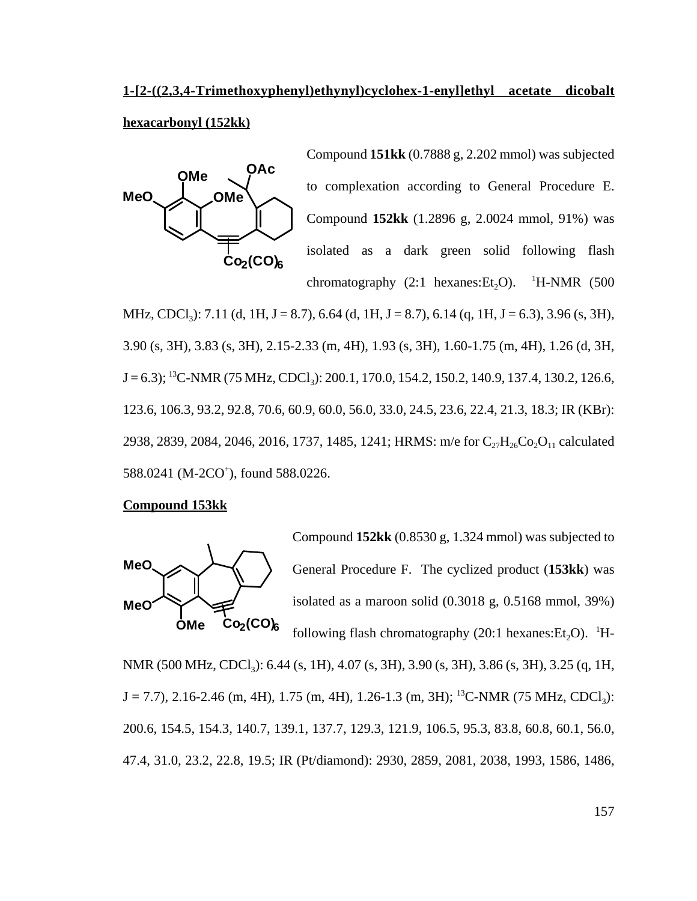# **1-[2-((2,3,4-Trimethoxyphenyl)ethynyl)cyclohex-1-enyl]ethyl acetate dicobalt**

# **hexacarbonyl (152kk)**



Compound **151kk** (0.7888 g, 2.202 mmol) was subjected to complexation according to General Procedure E. Compound **152kk** (1.2896 g, 2.0024 mmol, 91%) was isolated as a dark green solid following flash chromatography  $(2:1$  hexanes: $Et<sub>2</sub>O$ ).  $\mathrm{^1H\text{-}NMR}$  (500)

MHz, CDCl<sub>3</sub>): 7.11 (d, 1H, J = 8.7), 6.64 (d, 1H, J = 8.7), 6.14 (q, 1H, J = 6.3), 3.96 (s, 3H), 3.90 (s, 3H), 3.83 (s, 3H), 2.15-2.33 (m, 4H), 1.93 (s, 3H), 1.60-1.75 (m, 4H), 1.26 (d, 3H,  $J = 6.3$ ; <sup>13</sup>C-NMR (75 MHz, CDCl<sub>3</sub>): 200.1, 170.0, 154.2, 150.2, 140.9, 137.4, 130.2, 126.6, 123.6, 106.3, 93.2, 92.8, 70.6, 60.9, 60.0, 56.0, 33.0, 24.5, 23.6, 22.4, 21.3, 18.3; IR (KBr): 2938, 2839, 2084, 2046, 2016, 1737, 1485, 1241; HRMS: m/e for  $C_{27}H_{26}Co_2O_{11}$  calculated 588.0241 (M-2CO<sup>+</sup>), found 588.0226.

## **Compound 153kk**



Compound **152kk** (0.8530 g, 1.324 mmol) was subjected to General Procedure F. The cyclized product (**153kk**) was isolated as a maroon solid (0.3018 g, 0.5168 mmol, 39%) following flash chromatography (20:1 hexanes: $Et_2O$ ). <sup>1</sup>H-

NMR (500 MHz, CDCl<sub>3</sub>): 6.44 (s, 1H), 4.07 (s, 3H), 3.90 (s, 3H), 3.86 (s, 3H), 3.25 (q, 1H,  $J = 7.7$ ), 2.16-2.46 (m, 4H), 1.75 (m, 4H), 1.26-1.3 (m, 3H); <sup>13</sup>C-NMR (75 MHz, CDCl<sub>3</sub>): 200.6, 154.5, 154.3, 140.7, 139.1, 137.7, 129.3, 121.9, 106.5, 95.3, 83.8, 60.8, 60.1, 56.0, 47.4, 31.0, 23.2, 22.8, 19.5; IR (Pt/diamond): 2930, 2859, 2081, 2038, 1993, 1586, 1486,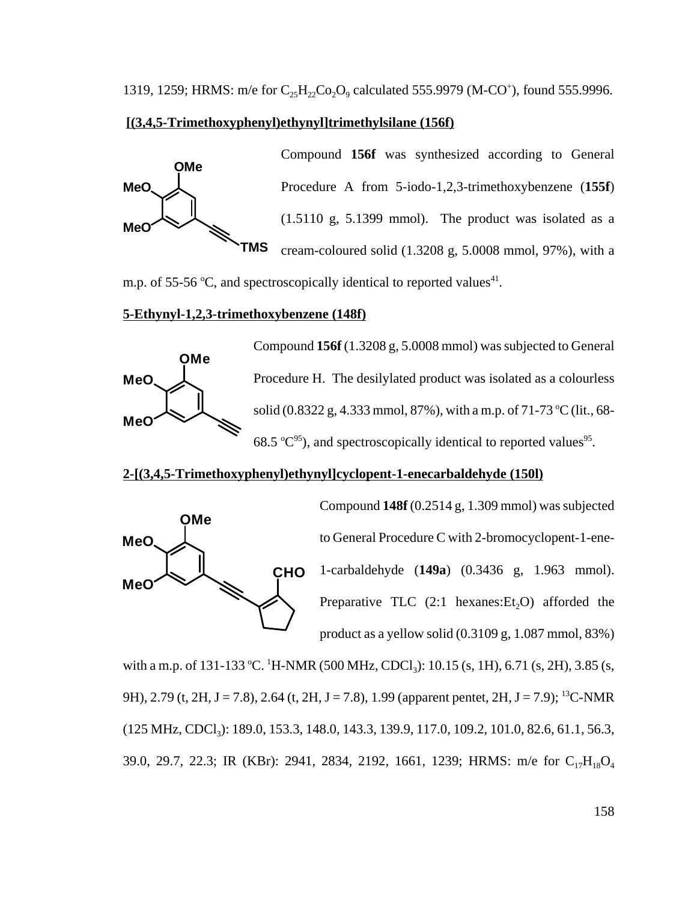#### **[(3,4,5-Trimethoxyphenyl)ethynyl]trimethylsilane (156f)**



Compound **156f** was synthesized according to General Procedure A from 5-iodo-1,2,3-trimethoxybenzene (**155f**) (1.5110 g, 5.1399 mmol). The product was isolated as a cream-coloured solid (1.3208 g, 5.0008 mmol, 97%), with a

m.p. of 55-56 °C, and spectroscopically identical to reported values<sup>41</sup>.

### **5-Ethynyl-1,2,3-trimethoxybenzene (148f)**



Compound **156f** (1.3208 g, 5.0008 mmol) was subjected to General Procedure H. The desilylated product was isolated as a colourless solid (0.8322 g, 4.333 mmol, 87%), with a m.p. of 71-73 °C (lit., 68-68.5  $\textdegree$ C<sup>95</sup>), and spectroscopically identical to reported values<sup>95</sup>.

#### **2-[(3,4,5-Trimethoxyphenyl)ethynyl]cyclopent-1-enecarbaldehyde (150l)**



Compound **148f** (0.2514 g, 1.309 mmol) was subjected to General Procedure C with 2-bromocyclopent-1-ene-1-carbaldehyde (**149a**) (0.3436 g, 1.963 mmol). Preparative TLC  $(2:1 \text{ hexanes:Et}, O)$  afforded the product as a yellow solid (0.3109 g, 1.087 mmol, 83%)

with a m.p. of 131-133 °C. <sup>1</sup>H-NMR (500 MHz, CDCl<sub>3</sub>): 10.15 (s, 1H), 6.71 (s, 2H), 3.85 (s, 9H), 2.79 (t, 2H, J = 7.8), 2.64 (t, 2H, J = 7.8), 1.99 (apparent pentet, 2H, J = 7.9); <sup>13</sup>C-NMR (125 MHz, CDCl<sub>3</sub>): 189.0, 153.3, 148.0, 143.3, 139.9, 117.0, 109.2, 101.0, 82.6, 61.1, 56.3, 39.0, 29.7, 22.3; IR (KBr): 2941, 2834, 2192, 1661, 1239; HRMS: m/e for C<sub>17</sub>H<sub>18</sub>O<sub>4</sub>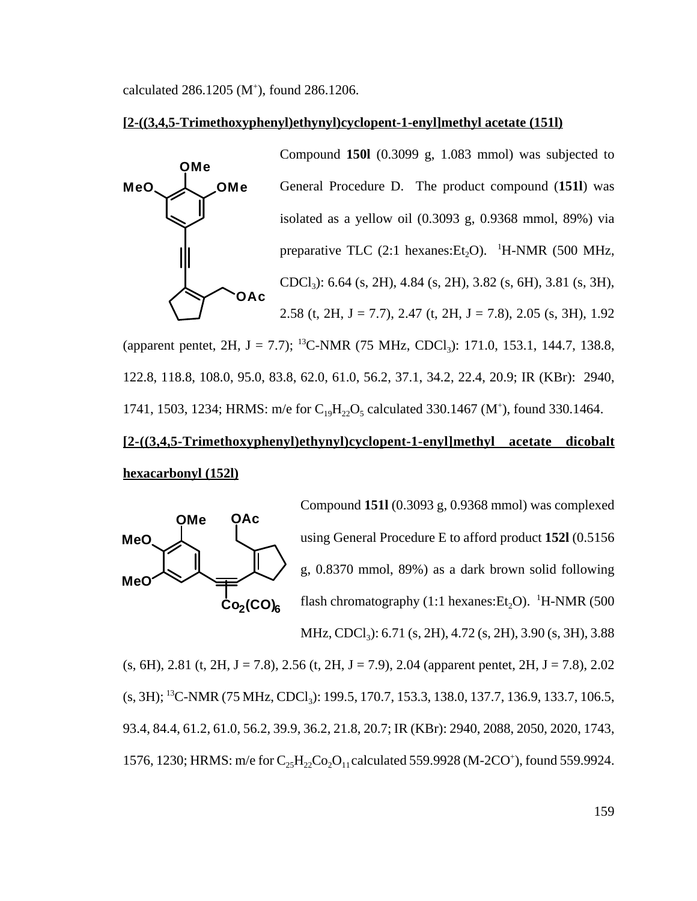calculated  $286.1205$  (M<sup>+</sup>), found  $286.1206$ .

#### **[2-((3,4,5-Trimethoxyphenyl)ethynyl)cyclopent-1-enyl]methyl acetate (151l)**



(apparent pentet, 2H, J = 7.7); <sup>13</sup>C-NMR (75 MHz, CDCl<sub>3</sub>): 171.0, 153.1, 144.7, 138.8, 122.8, 118.8, 108.0, 95.0, 83.8, 62.0, 61.0, 56.2, 37.1, 34.2, 22.4, 20.9; IR (KBr): 2940, 1741, 1503, 1234; HRMS: m/e for  $C_{19}H_{22}O_5$  calculated 330.1467 (M<sup>+</sup>), found 330.1464.

# **[2-((3,4,5-Trimethoxyphenyl)ethynyl)cyclopent-1-enyl]methyl acetate dicobalt hexacarbonyl (152l)**



Compound **151l** (0.3093 g, 0.9368 mmol) was complexed using General Procedure E to afford product **152l** (0.5156 g, 0.8370 mmol, 89%) as a dark brown solid following flash chromatography (1:1 hexanes: $Et_2O$ ). <sup>1</sup>H-NMR (500 MHz, CDCl<sub>3</sub>): 6.71 (s, 2H), 4.72 (s, 2H), 3.90 (s, 3H), 3.88

 $(s, 6H)$ , 2.81 (t, 2H, J = 7.8), 2.56 (t, 2H, J = 7.9), 2.04 (apparent pentet, 2H, J = 7.8), 2.02 (s, 3H); <sup>13</sup>C-NMR (75 MHz, CDCl<sub>3</sub>): 199.5, 170.7, 153.3, 138.0, 137.7, 136.9, 133.7, 106.5, 93.4, 84.4, 61.2, 61.0, 56.2, 39.9, 36.2, 21.8, 20.7; IR (KBr): 2940, 2088, 2050, 2020, 1743, 1576, 1230; HRMS: m/e for  $C_{25}H_{22}Co_2O_{11}$  calculated 559.9928 (M-2CO<sup>+</sup>), found 559.9924.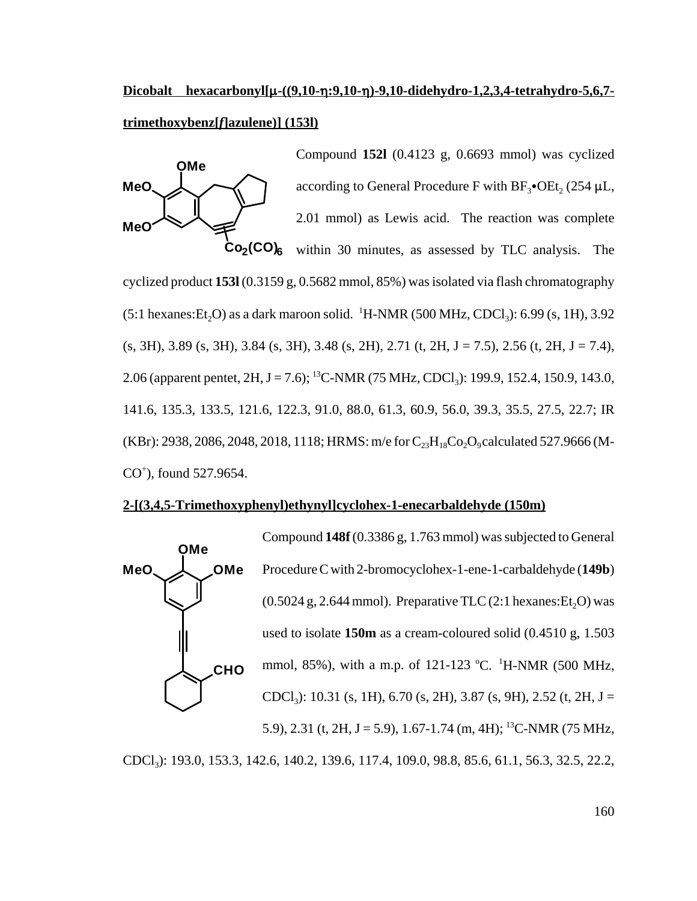# **Dicobalt hexacarbonyl[µ-((9,10-**p; 9,10-p)-9,10-didehydro-1,2,3,4-tetrahydro-5,6,7**trimethoxybenz[***f***]azulene)] (153l)**



Compound **152l** (0.4123 g, 0.6693 mmol) was cyclized according to General Procedure F with  $BF_3$ •OEt, (254  $\mu$ L, 2.01 mmol) as Lewis acid. The reaction was complete within 30 minutes, as assessed by TLC analysis. The

cyclized product **153l** (0.3159 g, 0.5682 mmol, 85%) was isolated via flash chromatography  $(5:1 \text{ hexanes:} Et_2O)$  as a dark maroon solid. <sup>1</sup>H-NMR (500 MHz, CDCl<sub>3</sub>): 6.99 (s, 1H), 3.92  $(s, 3H)$ , 3.89  $(s, 3H)$ , 3.84  $(s, 3H)$ , 3.48  $(s, 2H)$ , 2.71  $(t, 2H, J = 7.5)$ , 2.56  $(t, 2H, J = 7.4)$ , 2.06 (apparent pentet,  $2H$ , J = 7.6); <sup>13</sup>C-NMR (75 MHz, CDCl<sub>3</sub>): 199.9, 152.4, 150.9, 143.0, 141.6, 135.3, 133.5, 121.6, 122.3, 91.0, 88.0, 61.3, 60.9, 56.0, 39.3, 35.5, 27.5, 22.7; IR (KBr): 2938, 2086, 2048, 2018, 1118; HRMS: m/e for  $C_{23}H_{18}Co_2O_9$  calculated 527.9666 (M-CO+ ), found 527.9654.

#### **2-[(3,4,5-Trimethoxyphenyl)ethynyl]cyclohex-1-enecarbaldehyde (150m)**



CDCl3): 193.0, 153.3, 142.6, 140.2, 139.6, 117.4, 109.0, 98.8, 85.6, 61.1, 56.3, 32.5, 22.2,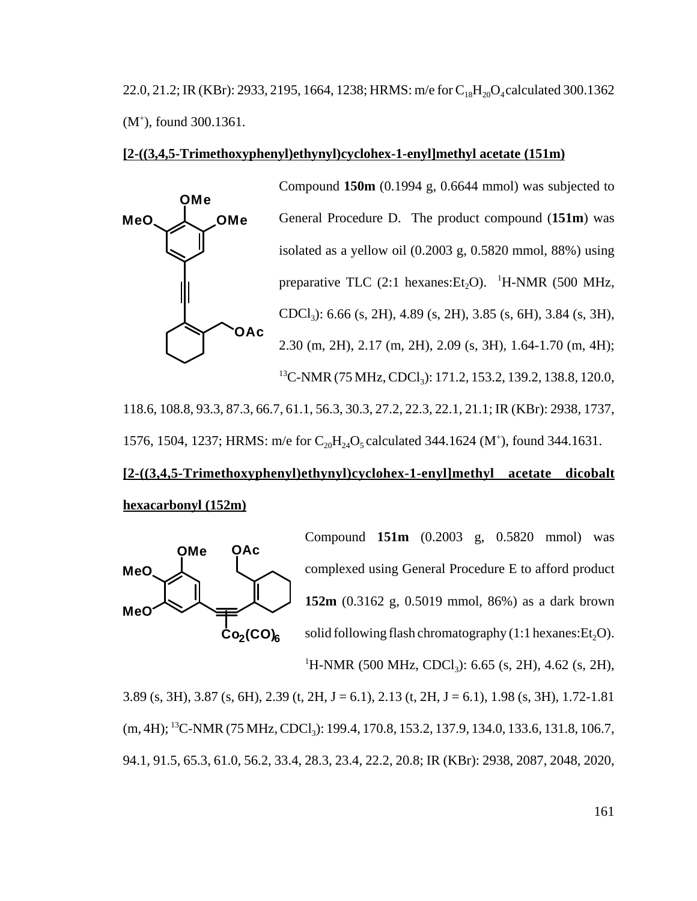22.0, 21.2; IR (KBr): 2933, 2195, 1664, 1238; HRMS: m/e for  $C_{18}H_{20}O_4$  calculated 300.1362 (M<sup>+</sup>), found 300.1361.

#### **[2-((3,4,5-Trimethoxyphenyl)ethynyl)cyclohex-1-enyl]methyl acetate (151m)**



118.6, 108.8, 93.3, 87.3, 66.7, 61.1, 56.3, 30.3, 27.2, 22.3, 22.1, 21.1; IR (KBr): 2938, 1737, 1576, 1504, 1237; HRMS: m/e for  $C_{20}H_{24}O_5$  calculated 344.1624 (M<sup>+</sup>), found 344.1631.

# **[2-((3,4,5-Trimethoxyphenyl)ethynyl)cyclohex-1-enyl]methyl acetate dicobalt hexacarbonyl (152m)**



Compound **151m** (0.2003 g, 0.5820 mmol) was complexed using General Procedure E to afford product **152m** (0.3162 g, 0.5019 mmol, 86%) as a dark brown solid following flash chromatography  $(1:1$  hexanes:  $Et<sub>2</sub>O$ ). <sup>1</sup>H-NMR (500 MHz, CDCl<sub>3</sub>): 6.65 (s, 2H), 4.62 (s, 2H),

3.89 (s, 3H), 3.87 (s, 6H), 2.39 (t, 2H, J = 6.1), 2.13 (t, 2H, J = 6.1), 1.98 (s, 3H), 1.72-1.81 (m, 4H); <sup>13</sup>C-NMR (75 MHz, CDCl<sub>3</sub>): 199.4, 170.8, 153.2, 137.9, 134.0, 133.6, 131.8, 106.7, 94.1, 91.5, 65.3, 61.0, 56.2, 33.4, 28.3, 23.4, 22.2, 20.8; IR (KBr): 2938, 2087, 2048, 2020,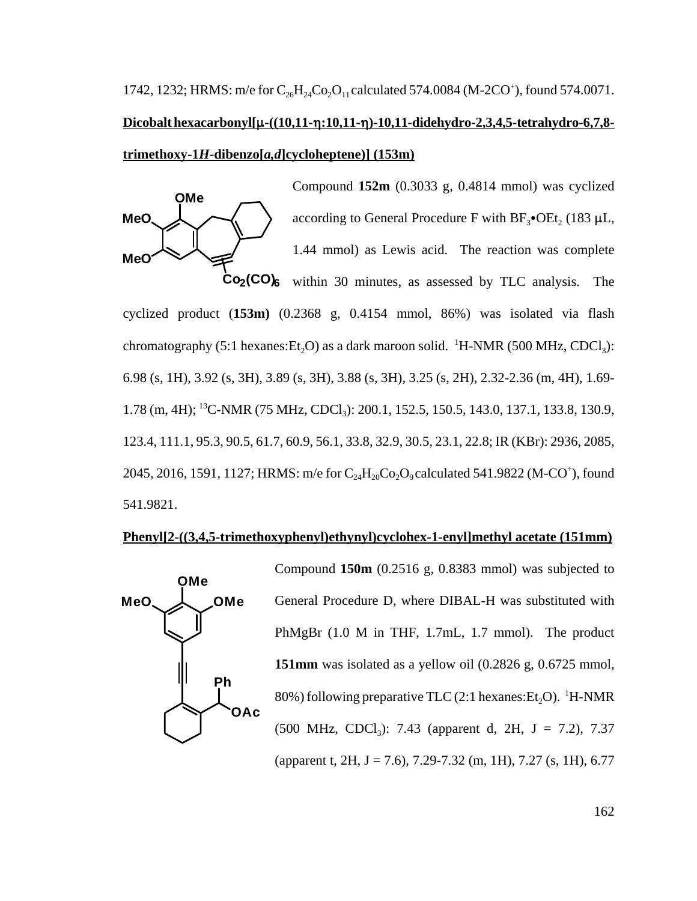1742, 1232; HRMS: m/e for  $C_{26}H_{24}Co_2O_{11}$  calculated 574.0084 (M-2CO<sup>+</sup>), found 574.0071. **Dicobalt hexacarbonyl[µ-((10,11-** $\eta$ :10,11- $\eta$ )-10,11-didehydro-2,3,4,5-tetrahydro-6,7,8**trimethoxy-1***H***-dibenzo[***a,d***]cycloheptene)] (153m)**



Compound **152m** (0.3033 g, 0.4814 mmol) was cyclized according to General Procedure F with  $BF_3$ •OEt, (183  $\mu$ L, 1.44 mmol) as Lewis acid. The reaction was complete

**Co2(CO)6** within 30 minutes, as assessed by TLC analysis. The cyclized product (**153m)** (0.2368 g, 0.4154 mmol, 86%) was isolated via flash chromatography (5:1 hexanes: $Et_2O$ ) as a dark maroon solid. <sup>1</sup>H-NMR (500 MHz, CDCl<sub>3</sub>): 6.98 (s, 1H), 3.92 (s, 3H), 3.89 (s, 3H), 3.88 (s, 3H), 3.25 (s, 2H), 2.32-2.36 (m, 4H), 1.69- 1.78 (m, 4H); <sup>13</sup>C-NMR (75 MHz, CDCl<sub>3</sub>): 200.1, 152.5, 150.5, 143.0, 137.1, 133.8, 130.9, 123.4, 111.1, 95.3, 90.5, 61.7, 60.9, 56.1, 33.8, 32.9, 30.5, 23.1, 22.8; IR (KBr): 2936, 2085, 2045, 2016, 1591, 1127; HRMS: m/e for  $C_{24}H_{20}Co_2O_9$  calculated 541.9822 (M-CO<sup>+</sup>), found 541.9821.

## **Phenyl[2-((3,4,5-trimethoxyphenyl)ethynyl)cyclohex-1-enyl]methyl acetate (151mm)**



Compound **150m** (0.2516 g, 0.8383 mmol) was subjected to General Procedure D, where DIBAL-H was substituted with PhMgBr (1.0 M in THF, 1.7mL, 1.7 mmol). The product **151mm** was isolated as a yellow oil (0.2826 g, 0.6725 mmol, 80%) following preparative TLC  $(2:1 \text{ hexanes:} Et_2O)$ . <sup>1</sup>H-NMR (500 MHz, CDCl<sub>3</sub>): 7.43 (apparent d, 2H, J = 7.2), 7.37 (apparent t, 2H, J = 7.6), 7.29-7.32 (m, 1H), 7.27 (s, 1H), 6.77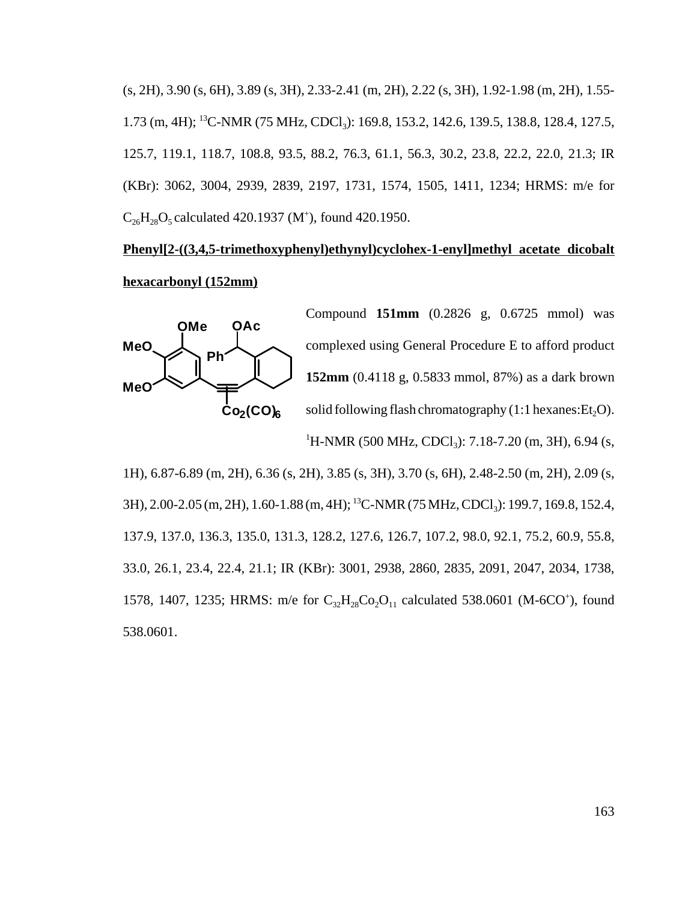(s, 2H), 3.90 (s, 6H), 3.89 (s, 3H), 2.33-2.41 (m, 2H), 2.22 (s, 3H), 1.92-1.98 (m, 2H), 1.55- 1.73 (m, 4H); <sup>13</sup>C-NMR (75 MHz, CDCl<sub>3</sub>): 169.8, 153.2, 142.6, 139.5, 138.8, 128.4, 127.5, 125.7, 119.1, 118.7, 108.8, 93.5, 88.2, 76.3, 61.1, 56.3, 30.2, 23.8, 22.2, 22.0, 21.3; IR (KBr): 3062, 3004, 2939, 2839, 2197, 1731, 1574, 1505, 1411, 1234; HRMS: m/e for  $C_{26}H_{28}O_5$  calculated 420.1937 (M<sup>+</sup>), found 420.1950.

# **Phenyl[2-((3,4,5-trimethoxyphenyl)ethynyl)cyclohex-1-enyl]methyl acetate dicobalt hexacarbonyl (152mm)**



Compound **151mm** (0.2826 g, 0.6725 mmol) was complexed using General Procedure E to afford product **152mm** (0.4118 g, 0.5833 mmol, 87%) as a dark brown solid following flash chromatography  $(1:1$  hexanes: $Et<sub>2</sub>O$ ). <sup>1</sup>H-NMR (500 MHz, CDCl<sub>3</sub>): 7.18-7.20 (m, 3H), 6.94 (s,

1H), 6.87-6.89 (m, 2H), 6.36 (s, 2H), 3.85 (s, 3H), 3.70 (s, 6H), 2.48-2.50 (m, 2H), 2.09 (s, 3H), 2.00-2.05 (m, 2H), 1.60-1.88 (m, 4H); <sup>13</sup>C-NMR (75 MHz, CDCl<sub>3</sub>): 199.7, 169.8, 152.4, 137.9, 137.0, 136.3, 135.0, 131.3, 128.2, 127.6, 126.7, 107.2, 98.0, 92.1, 75.2, 60.9, 55.8, 33.0, 26.1, 23.4, 22.4, 21.1; IR (KBr): 3001, 2938, 2860, 2835, 2091, 2047, 2034, 1738, 1578, 1407, 1235; HRMS: m/e for  $C_{32}H_{28}Co_2O_{11}$  calculated 538.0601 (M-6CO<sup>+</sup>), found 538.0601.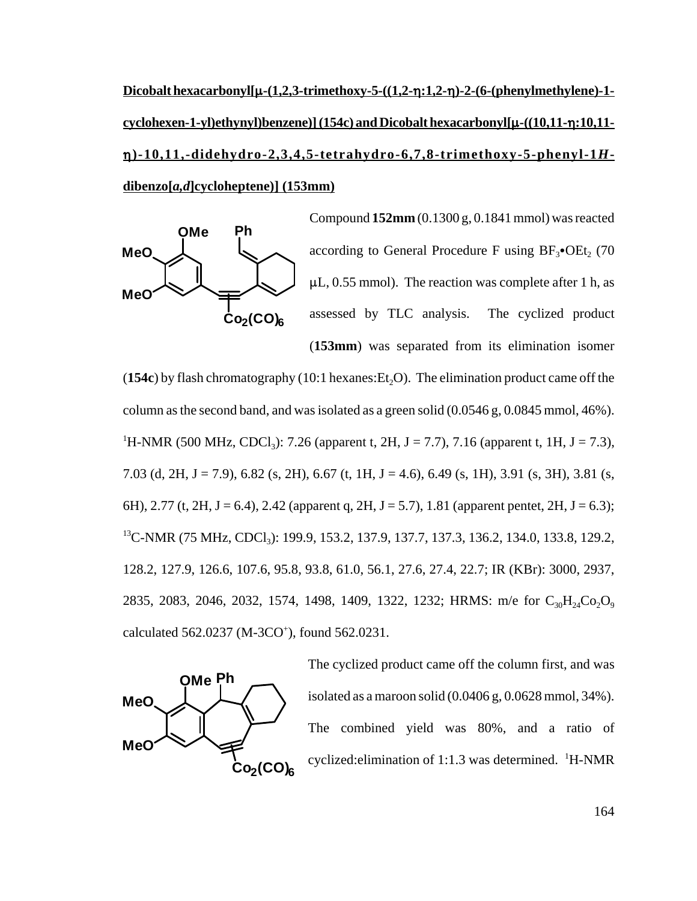**Dicobalt hexacarbonyl[**:**-(1,2,3-trimethoxy-5-((1,2-**0**:1,2-**0**)-2-(6-(phenylmethylene)-1 cyclohexen-1-yl)ethynyl)benzene)] (154c) and Dicobalt hexacarbonyl[**:**-((10,11-**0**:10,11-** 0**)-10,11,-didehydro-2,3,4,5-tetrahydro-6,7,8-trimethoxy-5-phenyl-1***H***dibenzo[***a,d***]cycloheptene)] (153mm)**



Compound **152mm** (0.1300 g, 0.1841 mmol) was reacted according to General Procedure F using  $BF_3$ •OEt<sub>2</sub> (70  $\mu$ L, 0.55 mmol). The reaction was complete after 1 h, as assessed by TLC analysis. The cyclized product (**153mm**) was separated from its elimination isomer

 $(154c)$  by flash chromatography  $(10:1$  hexanes:  $Et<sub>2</sub>O$ ). The elimination product came off the column as the second band, and was isolated as a green solid  $(0.0546 \text{ g}, 0.0845 \text{ mmol}, 46\%)$ . <sup>1</sup>H-NMR (500 MHz, CDCl<sub>3</sub>): 7.26 (apparent t, 2H, J = 7.7), 7.16 (apparent t, 1H, J = 7.3), 7.03 (d, 2H, J = 7.9), 6.82 (s, 2H), 6.67 (t, 1H, J = 4.6), 6.49 (s, 1H), 3.91 (s, 3H), 3.81 (s, 6H), 2.77 (t, 2H, J = 6.4), 2.42 (apparent q, 2H, J = 5.7), 1.81 (apparent pentet, 2H, J = 6.3); <sup>13</sup>C-NMR (75 MHz, CDCl<sub>3</sub>): 199.9, 153.2, 137.9, 137.7, 137.3, 136.2, 134.0, 133.8, 129.2, 128.2, 127.9, 126.6, 107.6, 95.8, 93.8, 61.0, 56.1, 27.6, 27.4, 22.7; IR (KBr): 3000, 2937, 2835, 2083, 2046, 2032, 1574, 1498, 1409, 1322, 1232; HRMS: m/e for  $C_{30}H_{24}Co_{2}O_{9}$ calculated 562.0237 (M-3CO<sup>+</sup>), found 562.0231.



The cyclized product came off the column first, and was isolated as a maroon solid (0.0406 g, 0.0628 mmol, 34%). The combined yield was 80%, and a ratio of cyclized: elimination of 1:1.3 was determined.  ${}^{1}$ H-NMR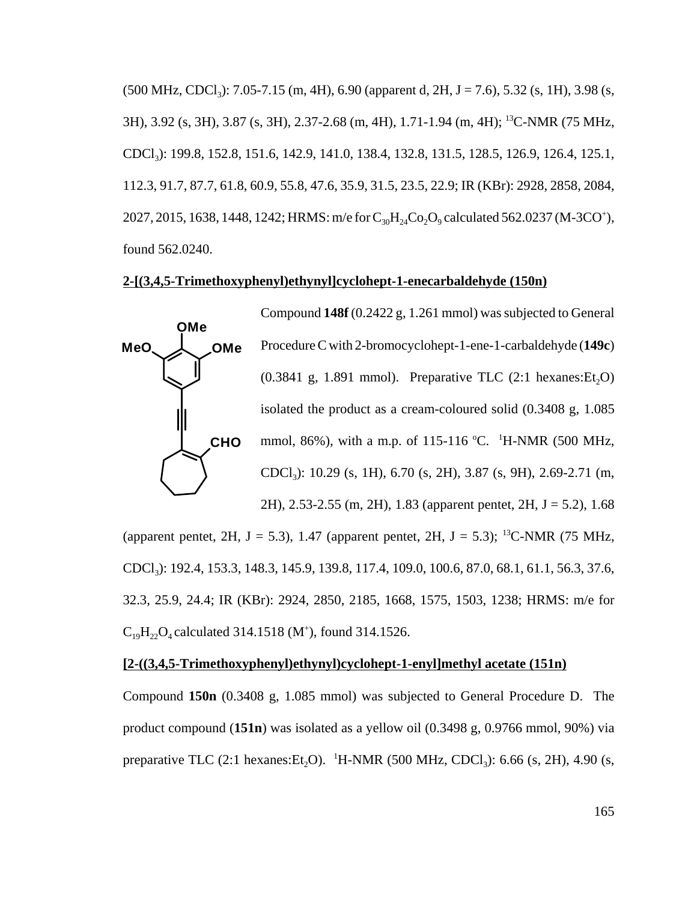$(500 \text{ MHz}, \text{CDCl}_3)$ : 7.05-7.15 (m, 4H), 6.90 (apparent d, 2H, J = 7.6), 5.32 (s, 1H), 3.98 (s, 3H), 3.92 (s, 3H), 3.87 (s, 3H), 2.37-2.68 (m, 4H), 1.71-1.94 (m, 4H); 13C-NMR (75 MHz, CDCl3): 199.8, 152.8, 151.6, 142.9, 141.0, 138.4, 132.8, 131.5, 128.5, 126.9, 126.4, 125.1, 112.3, 91.7, 87.7, 61.8, 60.9, 55.8, 47.6, 35.9, 31.5, 23.5, 22.9; IR (KBr): 2928, 2858, 2084, 2027, 2015, 1638, 1448, 1242; HRMS: m/e for  $C_{30}H_{24}Co_2O_9$  calculated 562.0237 (M-3CO<sup>+</sup>), found 562.0240.

### **2-[(3,4,5-Trimethoxyphenyl)ethynyl]cyclohept-1-enecarbaldehyde (150n)**



(apparent pentet, 2H, J = 5.3), 1.47 (apparent pentet, 2H, J = 5.3); <sup>13</sup>C-NMR (75 MHz, CDCl3): 192.4, 153.3, 148.3, 145.9, 139.8, 117.4, 109.0, 100.6, 87.0, 68.1, 61.1, 56.3, 37.6, 32.3, 25.9, 24.4; IR (KBr): 2924, 2850, 2185, 1668, 1575, 1503, 1238; HRMS: m/e for  $C_{19}H_{22}O_4$  calculated 314.1518 (M<sup>+</sup>), found 314.1526.

#### **[2-((3,4,5-Trimethoxyphenyl)ethynyl)cyclohept-1-enyl]methyl acetate (151n)**

Compound **150n** (0.3408 g, 1.085 mmol) was subjected to General Procedure D. The product compound (**151n**) was isolated as a yellow oil (0.3498 g, 0.9766 mmol, 90%) via preparative TLC (2:1 hexanes:  $Et_2O$ ). <sup>1</sup>H-NMR (500 MHz, CDCl<sub>3</sub>): 6.66 (s, 2H), 4.90 (s,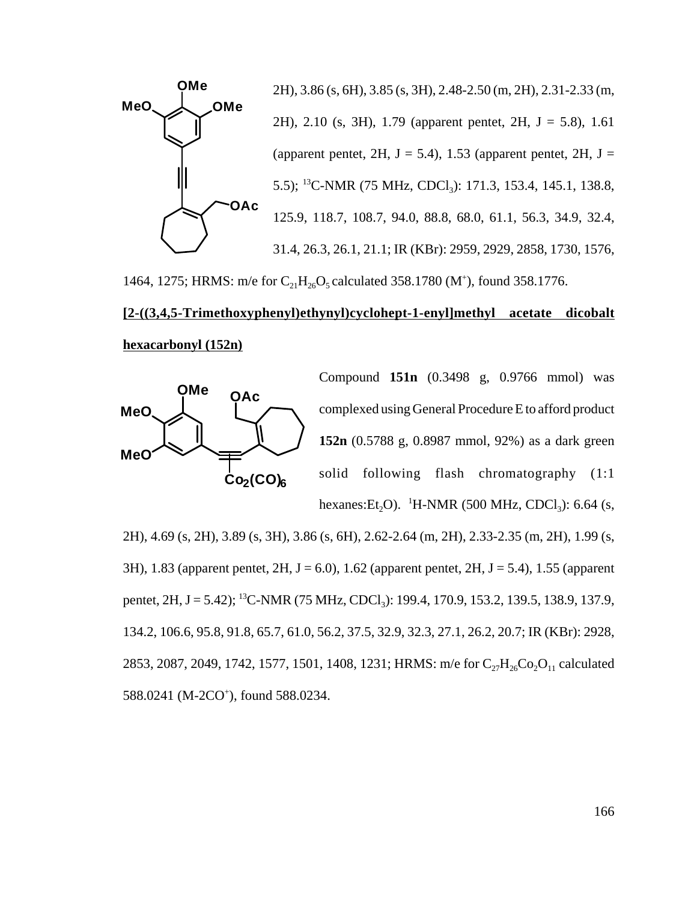

1464, 1275; HRMS: m/e for  $C_{21}H_{26}O_5$  calculated 358.1780 (M<sup>+</sup>), found 358.1776.

# **[2-((3,4,5-Trimethoxyphenyl)ethynyl)cyclohept-1-enyl]methyl acetate dicobalt hexacarbonyl (152n)**



Compound **151n** (0.3498 g, 0.9766 mmol) was complexed using General Procedure E to afford product **152n** (0.5788 g, 0.8987 mmol, 92%) as a dark green solid following flash chromatography (1:1 hexanes: $Et_2O$ ). <sup>1</sup>H-NMR (500 MHz, CDCl<sub>3</sub>): 6.64 (s,

2H), 4.69 (s, 2H), 3.89 (s, 3H), 3.86 (s, 6H), 2.62-2.64 (m, 2H), 2.33-2.35 (m, 2H), 1.99 (s, 3H), 1.83 (apparent pentet,  $2H$ ,  $J = 6.0$ ), 1.62 (apparent pentet,  $2H$ ,  $J = 5.4$ ), 1.55 (apparent pentet, 2H, J = 5.42); <sup>13</sup>C-NMR (75 MHz, CDCl<sub>3</sub>): 199.4, 170.9, 153.2, 139.5, 138.9, 137.9, 134.2, 106.6, 95.8, 91.8, 65.7, 61.0, 56.2, 37.5, 32.9, 32.3, 27.1, 26.2, 20.7; IR (KBr): 2928, 2853, 2087, 2049, 1742, 1577, 1501, 1408, 1231; HRMS: m/e for  $C_{27}H_{26}Co_2O_{11}$  calculated 588.0241 (M-2CO<sup>+</sup>), found 588.0234.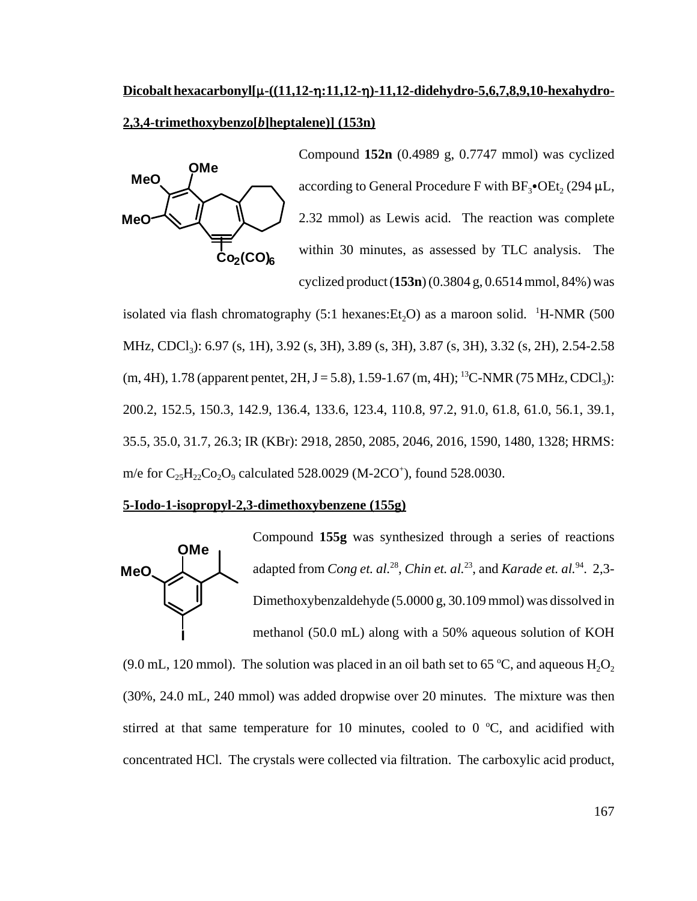# **Dicobalt hexacarbonyl[µ-((11,12-ŋ:11,12-ŋ)-11,12-didehydro-5,6,7,8,9,10-hexahydro-2,3,4-trimethoxybenzo[***b***]heptalene)] (153n)**



Compound **152n** (0.4989 g, 0.7747 mmol) was cyclized according to General Procedure F with  $BF_3$ • $OEt$ , (294  $\mu L$ , 2.32 mmol) as Lewis acid. The reaction was complete within 30 minutes, as assessed by TLC analysis. The cyclized product (**153n**) (0.3804 g, 0.6514 mmol, 84%) was

isolated via flash chromatography (5:1 hexanes: $Et_2O$ ) as a maroon solid. <sup>1</sup>H-NMR (500 MHz, CDCl<sub>3</sub>): 6.97 (s, 1H), 3.92 (s, 3H), 3.89 (s, 3H), 3.87 (s, 3H), 3.32 (s, 2H), 2.54-2.58  $(m, 4H), 1.78$  (apparent pentet,  $2H, J = 5.8$ ), 1.59-1.67  $(m, 4H);$  <sup>13</sup>C-NMR (75 MHz, CDCl<sub>3</sub>): 200.2, 152.5, 150.3, 142.9, 136.4, 133.6, 123.4, 110.8, 97.2, 91.0, 61.8, 61.0, 56.1, 39.1, 35.5, 35.0, 31.7, 26.3; IR (KBr): 2918, 2850, 2085, 2046, 2016, 1590, 1480, 1328; HRMS: m/e for  $C_{25}H_{22}Co_2O_9$  calculated 528.0029 (M-2CO<sup>+</sup>), found 528.0030.

#### **5-Iodo-1-isopropyl-2,3-dimethoxybenzene (155g)**



(9.0 mL, 120 mmol). The solution was placed in an oil bath set to 65 °C, and aqueous  $H_2O_2$ (30%, 24.0 mL, 240 mmol) was added dropwise over 20 minutes. The mixture was then stirred at that same temperature for 10 minutes, cooled to  $0^{\circ}$ C, and acidified with concentrated HCl. The crystals were collected via filtration. The carboxylic acid product,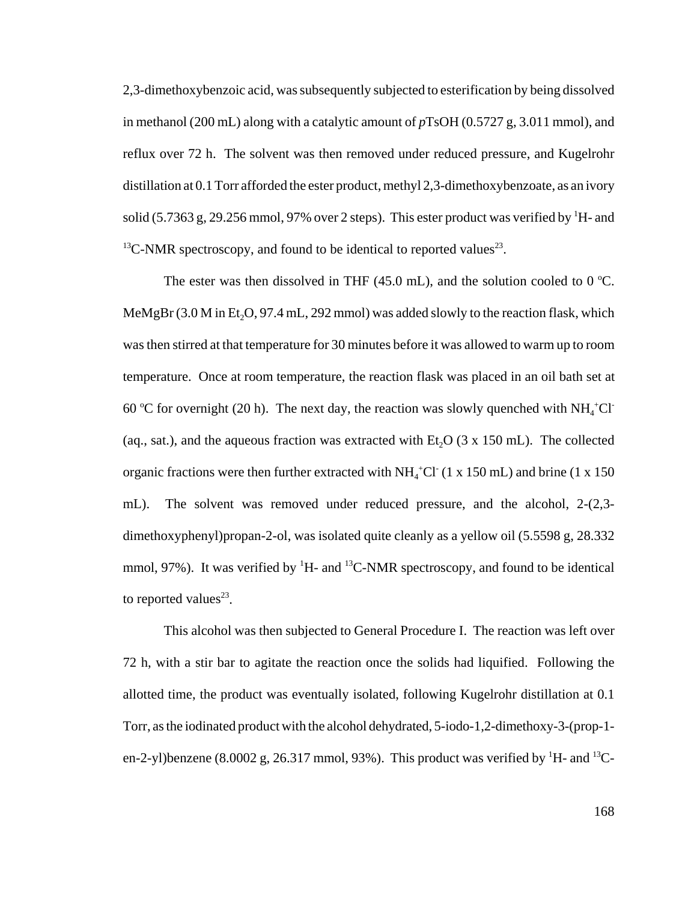2,3-dimethoxybenzoic acid, was subsequently subjected to esterification by being dissolved in methanol (200 mL) along with a catalytic amount of *p*TsOH (0.5727 g, 3.011 mmol), and reflux over 72 h. The solvent was then removed under reduced pressure, and Kugelrohr distillation at 0.1 Torr afforded the ester product, methyl 2,3-dimethoxybenzoate, as an ivory solid (5.7363 g, 29.256 mmol, 97% over 2 steps). This ester product was verified by  ${}^{1}$ H- and <sup>13</sup>C-NMR spectroscopy, and found to be identical to reported values<sup>23</sup>.

The ester was then dissolved in THF (45.0 mL), and the solution cooled to 0 °C. MeMgBr  $(3.0 M$  in Et<sub>2</sub>O, 97.4 mL, 292 mmol) was added slowly to the reaction flask, which was then stirred at that temperature for 30 minutes before it was allowed to warm up to room temperature. Once at room temperature, the reaction flask was placed in an oil bath set at 60 °C for overnight (20 h). The next day, the reaction was slowly quenched with  $NH_4^+Cl^-$ (aq., sat.), and the aqueous fraction was extracted with Et<sub>2</sub>O ( $3 \times 150$  mL). The collected organic fractions were then further extracted with  $NH<sub>4</sub>$ <sup>+</sup>Cl<sup>-</sup> (1 x 150 mL) and brine (1 x 150 mL). The solvent was removed under reduced pressure, and the alcohol, 2-(2,3 dimethoxyphenyl)propan-2-ol, was isolated quite cleanly as a yellow oil (5.5598 g, 28.332 mmol, 97%). It was verified by  ${}^{1}H$ - and  ${}^{13}C$ -NMR spectroscopy, and found to be identical to reported values<sup>23</sup>.

This alcohol was then subjected to General Procedure I. The reaction was left over 72 h, with a stir bar to agitate the reaction once the solids had liquified. Following the allotted time, the product was eventually isolated, following Kugelrohr distillation at 0.1 Torr, as the iodinated product with the alcohol dehydrated, 5-iodo-1,2-dimethoxy-3-(prop-1 en-2-yl)benzene (8.0002 g, 26.317 mmol, 93%). This product was verified by  ${}^{1}$ H- and  ${}^{13}$ C-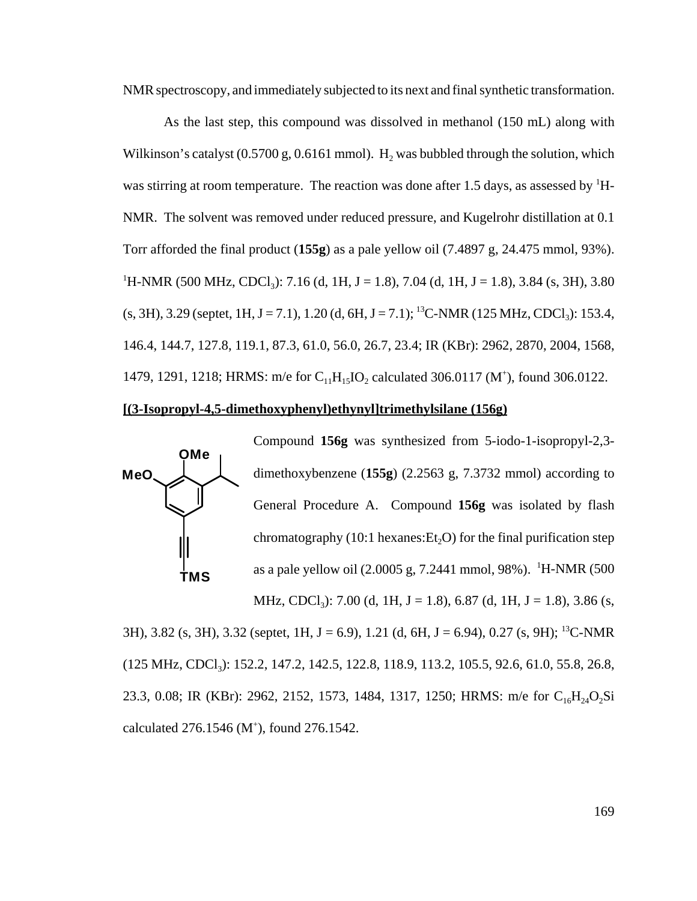NMR spectroscopy, and immediately subjected to its next and final synthetic transformation.

As the last step, this compound was dissolved in methanol (150 mL) along with Wilkinson's catalyst  $(0.5700 \text{ g}, 0.6161 \text{ mmol})$ . H<sub>2</sub> was bubbled through the solution, which was stirring at room temperature. The reaction was done after 1.5 days, as assessed by  ${}^{1}$ H-NMR. The solvent was removed under reduced pressure, and Kugelrohr distillation at 0.1 Torr afforded the final product (**155g**) as a pale yellow oil (7.4897 g, 24.475 mmol, 93%). <sup>1</sup>H-NMR (500 MHz, CDCl<sub>3</sub>): 7.16 (d, 1H, J = 1.8), 7.04 (d, 1H, J = 1.8), 3.84 (s, 3H), 3.80  $(s, 3H), 3.29$  (septet, 1H, J = 7.1), 1.20 (d, 6H, J = 7.1); <sup>13</sup>C-NMR (125 MHz, CDCl<sub>3</sub>): 153.4, 146.4, 144.7, 127.8, 119.1, 87.3, 61.0, 56.0, 26.7, 23.4; IR (KBr): 2962, 2870, 2004, 1568, 1479, 1291, 1218; HRMS: m/e for  $C_{11}H_{15}IO_2$  calculated 306.0117 (M<sup>+</sup>), found 306.0122.

#### **[(3-Isopropyl-4,5-dimethoxyphenyl)ethynyl]trimethylsilane (156g)**



3H), 3.82 (s, 3H), 3.32 (septet, 1H, J = 6.9), 1.21 (d, 6H, J = 6.94), 0.27 (s, 9H); <sup>13</sup>C-NMR (125 MHz, CDCl<sub>3</sub>): 152.2, 147.2, 142.5, 122.8, 118.9, 113.2, 105.5, 92.6, 61.0, 55.8, 26.8, 23.3, 0.08; IR (KBr): 2962, 2152, 1573, 1484, 1317, 1250; HRMS: m/e for C<sub>16</sub>H<sub>24</sub>O<sub>2</sub>Si calculated 276.1546 (M<sup>+</sup>), found 276.1542.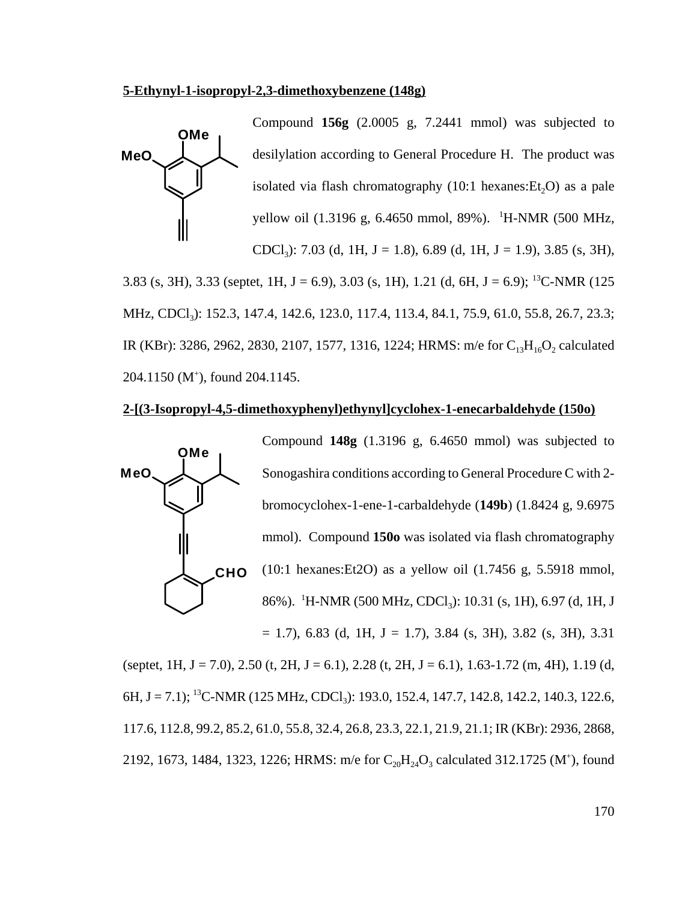#### **5-Ethynyl-1-isopropyl-2,3-dimethoxybenzene (148g)**



MHz, CDCl<sub>3</sub>): 152.3, 147.4, 142.6, 123.0, 117.4, 113.4, 84.1, 75.9, 61.0, 55.8, 26.7, 23.3; IR (KBr): 3286, 2962, 2830, 2107, 1577, 1316, 1224; HRMS: m/e for  $C_{13}H_{16}O_2$  calculated 204.1150 (M+ ), found 204.1145.

#### **2-[(3-Isopropyl-4,5-dimethoxyphenyl)ethynyl]cyclohex-1-enecarbaldehyde (150o)**



(septet, 1H, J = 7.0), 2.50 (t, 2H, J = 6.1), 2.28 (t, 2H, J = 6.1), 1.63-1.72 (m, 4H), 1.19 (d, 6H, J = 7.1); <sup>13</sup>C-NMR (125 MHz, CDCl<sub>3</sub>): 193.0, 152.4, 147.7, 142.8, 142.2, 140.3, 122.6, 117.6, 112.8, 99.2, 85.2, 61.0, 55.8, 32.4, 26.8, 23.3, 22.1, 21.9, 21.1; IR (KBr): 2936, 2868, 2192, 1673, 1484, 1323, 1226; HRMS: m/e for  $C_{20}H_{24}O_3$  calculated 312.1725 (M<sup>+</sup>), found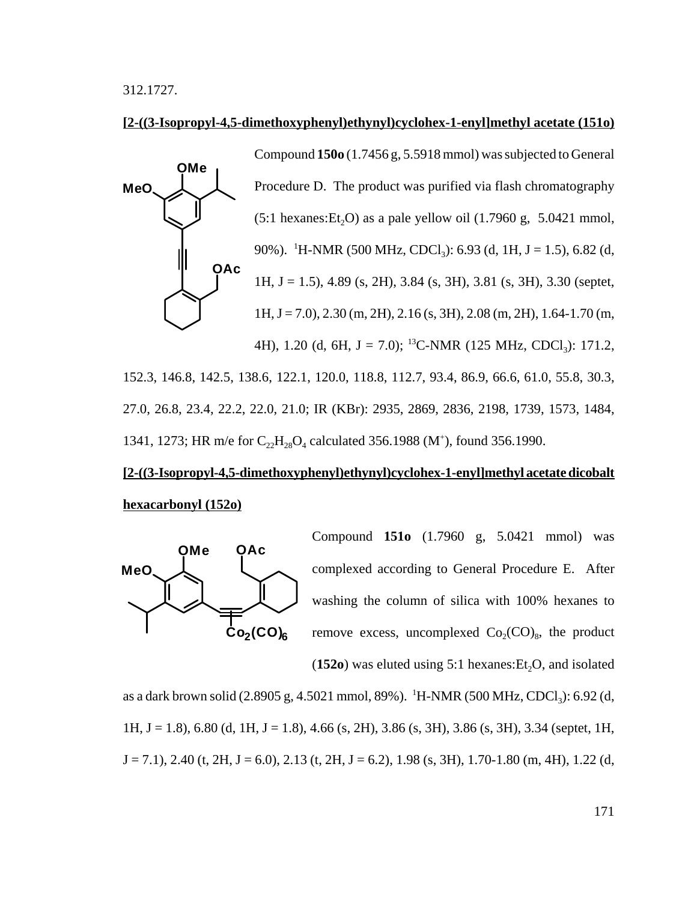312.1727.

#### **[2-((3-Isopropyl-4,5-dimethoxyphenyl)ethynyl)cyclohex-1-enyl]methyl acetate (151o)**



152.3, 146.8, 142.5, 138.6, 122.1, 120.0, 118.8, 112.7, 93.4, 86.9, 66.6, 61.0, 55.8, 30.3, 27.0, 26.8, 23.4, 22.2, 22.0, 21.0; IR (KBr): 2935, 2869, 2836, 2198, 1739, 1573, 1484, 1341, 1273; HR m/e for  $C_{22}H_{28}O_4$  calculated 356.1988 (M<sup>+</sup>), found 356.1990.

# **[2-((3-Isopropyl-4,5-dimethoxyphenyl)ethynyl)cyclohex-1-enyl]methyl acetate dicobalt hexacarbonyl (152o)**



Compound **151o** (1.7960 g, 5.0421 mmol) was complexed according to General Procedure E. After washing the column of silica with 100% hexanes to remove excess, uncomplexed  $Co_2(CO)_8$ , the product

 $(152o)$  was eluted using 5:1 hexanes: Et<sub>2</sub>O, and isolated

as a dark brown solid (2.8905 g, 4.5021 mmol, 89%). <sup>1</sup>H-NMR (500 MHz, CDCl<sub>3</sub>): 6.92 (d, 1H, J = 1.8), 6.80 (d, 1H, J = 1.8), 4.66 (s, 2H), 3.86 (s, 3H), 3.86 (s, 3H), 3.34 (septet, 1H,  $J = 7.1$ ), 2.40 (t, 2H,  $J = 6.0$ ), 2.13 (t, 2H,  $J = 6.2$ ), 1.98 (s, 3H), 1.70-1.80 (m, 4H), 1.22 (d,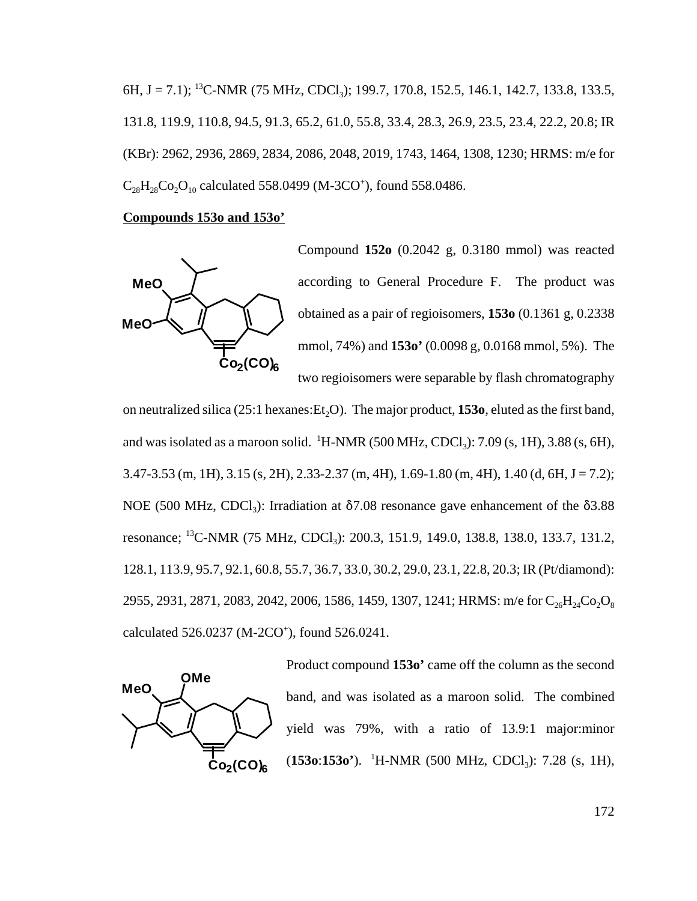6H, J = 7.1); <sup>13</sup>C-NMR (75 MHz, CDCl<sub>3</sub>); 199.7, 170.8, 152.5, 146.1, 142.7, 133.8, 133.5, 131.8, 119.9, 110.8, 94.5, 91.3, 65.2, 61.0, 55.8, 33.4, 28.3, 26.9, 23.5, 23.4, 22.2, 20.8; IR (KBr): 2962, 2936, 2869, 2834, 2086, 2048, 2019, 1743, 1464, 1308, 1230; HRMS: m/e for  $C_{28}H_{28}Co_2O_{10}$  calculated 558.0499 (M-3CO<sup>+</sup>), found 558.0486.

#### **Compounds 153o and 153o'**



Compound **152o** (0.2042 g, 0.3180 mmol) was reacted according to General Procedure F. The product was obtained as a pair of regioisomers, **153o** (0.1361 g, 0.2338 mmol, 74%) and **153o'** (0.0098 g, 0.0168 mmol, 5%). The two regioisomers were separable by flash chromatography

on neutralized silica  $(25:1 \text{ hexanes:Et}, O)$ . The major product, **153o**, eluted as the first band, and was isolated as a maroon solid. <sup>1</sup>H-NMR (500 MHz, CDCl<sub>3</sub>): 7.09 (s, 1H), 3.88 (s, 6H),  $3.47 - 3.53$  (m, 1H),  $3.15$  (s, 2H),  $2.33 - 2.37$  (m, 4H),  $1.69 - 1.80$  (m, 4H),  $1.40$  (d, 6H, J = 7.2); NOE (500 MHz, CDCl<sub>3</sub>): Irradiation at  $\delta$ 7.08 resonance gave enhancement of the  $\delta$ 3.88 resonance; <sup>13</sup>C-NMR (75 MHz, CDCl<sub>3</sub>): 200.3, 151.9, 149.0, 138.8, 138.0, 133.7, 131.2, 128.1, 113.9, 95.7, 92.1, 60.8, 55.7, 36.7, 33.0, 30.2, 29.0, 23.1, 22.8, 20.3; IR (Pt/diamond): 2955, 2931, 2871, 2083, 2042, 2006, 1586, 1459, 1307, 1241; HRMS: m/e for  $C_{26}H_{24}Co_2O_8$ calculated 526.0237 (M-2CO<sup>+</sup>), found 526.0241.



Product compound **153o'** came off the column as the second band, and was isolated as a maroon solid. The combined yield was 79%, with a ratio of 13.9:1 major:minor (**153o**:**153o**<sup>\*</sup>). <sup>1</sup>H-NMR (500 MHz, CDCl<sub>3</sub>): 7.28 (s, 1H),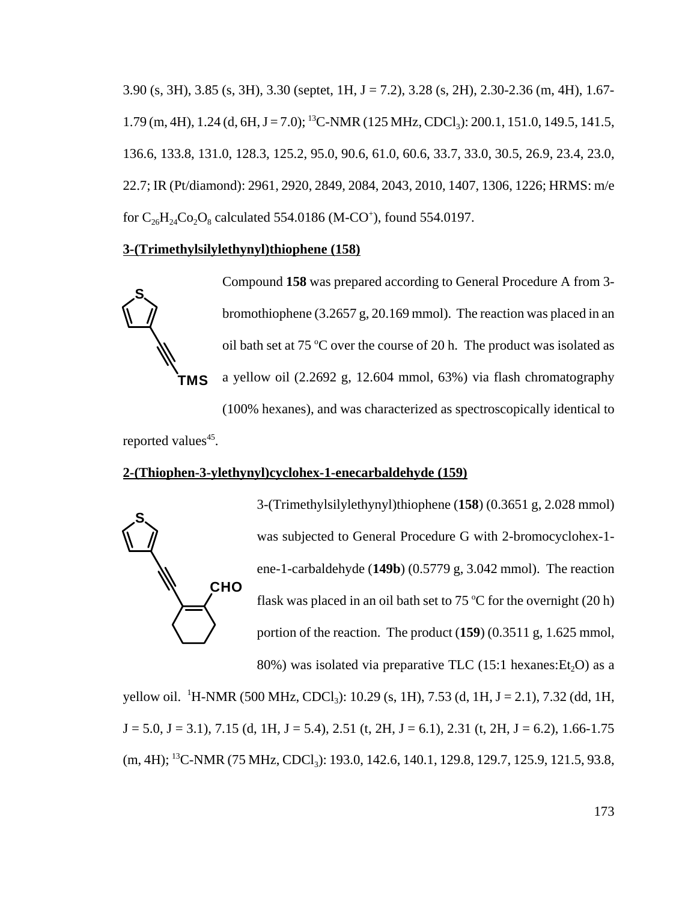$3.90$  (s, 3H),  $3.85$  (s, 3H),  $3.30$  (septet, 1H, J = 7.2),  $3.28$  (s, 2H),  $2.30$ - $2.36$  (m, 4H),  $1.67$ -1.79 (m, 4H), 1.24 (d, 6H, J = 7.0); <sup>13</sup>C-NMR (125 MHz, CDCl<sub>3</sub>): 200.1, 151.0, 149.5, 141.5, 136.6, 133.8, 131.0, 128.3, 125.2, 95.0, 90.6, 61.0, 60.6, 33.7, 33.0, 30.5, 26.9, 23.4, 23.0, 22.7; IR (Pt/diamond): 2961, 2920, 2849, 2084, 2043, 2010, 1407, 1306, 1226; HRMS: m/e for  $C_{26}H_{24}Co_2O_8$  calculated 554.0186 (M-CO<sup>+</sup>), found 554.0197.

### **3-(Trimethylsilylethynyl)thiophene (158)**



Compound **158** was prepared according to General Procedure A from 3 bromothiophene (3.2657 g, 20.169 mmol). The reaction was placed in an oil bath set at 75 °C over the course of 20 h. The product was isolated as a yellow oil (2.2692 g, 12.604 mmol, 63%) via flash chromatography (100% hexanes), and was characterized as spectroscopically identical to

reported values<sup>45</sup>.

# **2-(Thiophen-3-ylethynyl)cyclohex-1-enecarbaldehyde (159)**



3-(Trimethylsilylethynyl)thiophene (**158**) (0.3651 g, 2.028 mmol) was subjected to General Procedure G with 2-bromocyclohex-1 ene-1-carbaldehyde (**149b**) (0.5779 g, 3.042 mmol). The reaction flask was placed in an oil bath set to 75  $\mathrm{^{\circ}C}$  for the overnight (20 h) portion of the reaction. The product (**159**) (0.3511 g, 1.625 mmol, 80%) was isolated via preparative TLC  $(15:1 \text{ hexanes:Et}_{2}O)$  as a

yellow oil. <sup>1</sup>H-NMR (500 MHz, CDCl<sub>3</sub>): 10.29 (s, 1H), 7.53 (d, 1H, J = 2.1), 7.32 (dd, 1H,  $J = 5.0$ ,  $J = 3.1$ ),  $7.15$  (d,  $1H$ ,  $J = 5.4$ ),  $2.51$  (t,  $2H$ ,  $J = 6.1$ ),  $2.31$  (t,  $2H$ ,  $J = 6.2$ ),  $1.66 - 1.75$ (m, 4H); <sup>13</sup>C-NMR (75 MHz, CDCl<sub>3</sub>): 193.0, 142.6, 140.1, 129.8, 129.7, 125.9, 121.5, 93.8,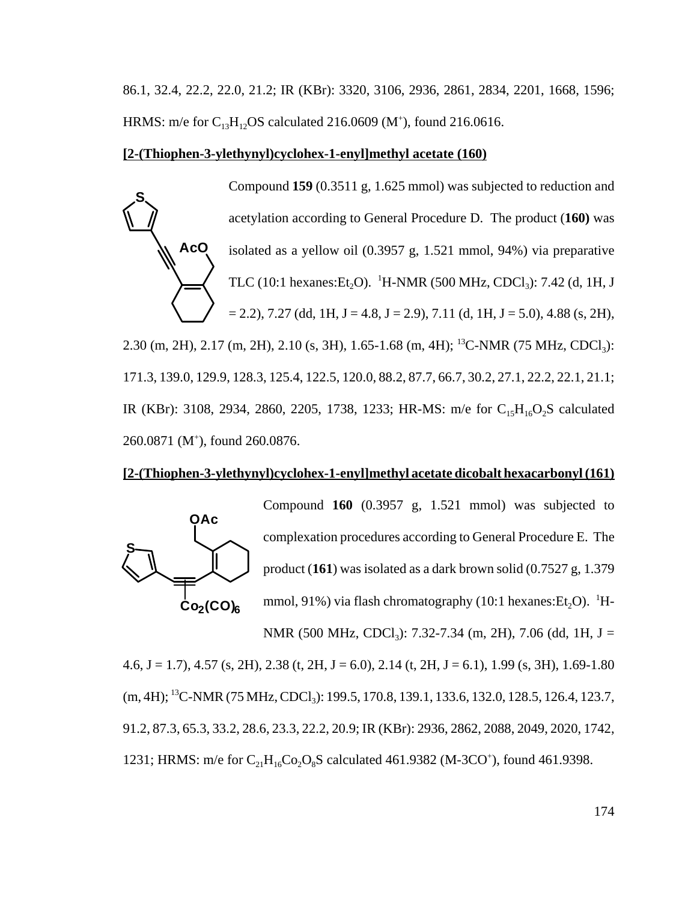86.1, 32.4, 22.2, 22.0, 21.2; IR (KBr): 3320, 3106, 2936, 2861, 2834, 2201, 1668, 1596; HRMS: m/e for  $C_{13}H_{12}OS$  calculated 216.0609 (M<sup>+</sup>), found 216.0616.

#### **[2-(Thiophen-3-ylethynyl)cyclohex-1-enyl]methyl acetate (160)**

**AcO S** Compound **159** (0.3511 g, 1.625 mmol) was subjected to reduction and acetylation according to General Procedure D. The product (**160)** was isolated as a yellow oil (0.3957 g, 1.521 mmol, 94%) via preparative TLC (10:1 hexanes:  $Et_2O$ ). <sup>1</sup>H-NMR (500 MHz, CDCl<sub>3</sub>): 7.42 (d, 1H, J  $= 2.2$ ), 7.27 (dd, 1H, J = 4.8, J = 2.9), 7.11 (d, 1H, J = 5.0), 4.88 (s, 2H),

2.30 (m, 2H), 2.17 (m, 2H), 2.10 (s, 3H), 1.65-1.68 (m, 4H); <sup>13</sup>C-NMR (75 MHz, CDCl<sub>3</sub>): 171.3, 139.0, 129.9, 128.3, 125.4, 122.5, 120.0, 88.2, 87.7, 66.7, 30.2, 27.1, 22.2, 22.1, 21.1; IR (KBr): 3108, 2934, 2860, 2205, 1738, 1233; HR-MS: m/e for  $C_{15}H_{16}O_2S$  calculated 260.0871 (M+ ), found 260.0876.

#### **[2-(Thiophen-3-ylethynyl)cyclohex-1-enyl]methyl acetate dicobalt hexacarbonyl (161)**



4.6, J = 1.7), 4.57 (s, 2H), 2.38 (t, 2H, J = 6.0), 2.14 (t, 2H, J = 6.1), 1.99 (s, 3H), 1.69-1.80 (m, 4H); <sup>13</sup>C-NMR (75 MHz, CDCl<sub>3</sub>): 199.5, 170.8, 139.1, 133.6, 132.0, 128.5, 126.4, 123.7, 91.2, 87.3, 65.3, 33.2, 28.6, 23.3, 22.2, 20.9; IR (KBr): 2936, 2862, 2088, 2049, 2020, 1742, 1231; HRMS: m/e for  $C_{21}H_{16}Co_2O_8S$  calculated 461.9382 (M-3CO<sup>+</sup>), found 461.9398.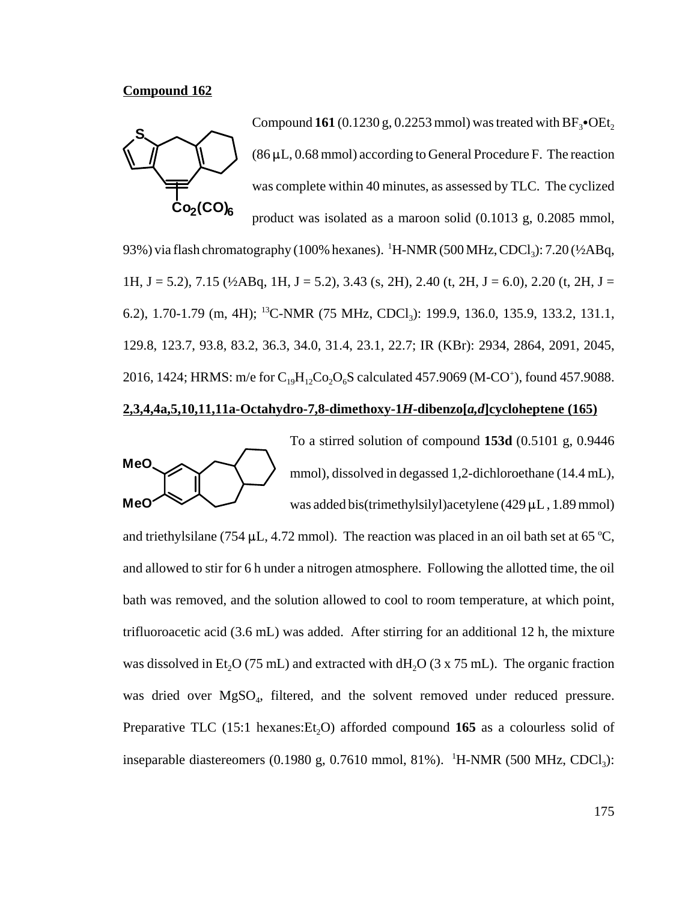#### **Compound 162**



Compound  $161$  (0.1230 g, 0.2253 mmol) was treated with  $BF_3$ • $OE_2$  $(86 \,\mu L, 0.68 \,\text{mmol})$  according to General Procedure F. The reaction was complete within 40 minutes, as assessed by TLC. The cyclized product was isolated as a maroon solid (0.1013 g, 0.2085 mmol,

93%) via flash chromatography (100% hexanes).  $\,^1$ H-NMR (500 MHz, CDCl<sub>3</sub>): 7.20 (½ABq, 1H, J = 5.2), 7.15 ( $\frac{1}{2}ABq$ , 1H, J = 5.2), 3.43 (s, 2H), 2.40 (t, 2H, J = 6.0), 2.20 (t, 2H, J = 6.2), 1.70-1.79 (m, 4H); <sup>13</sup>C-NMR (75 MHz, CDCl<sub>3</sub>): 199.9, 136.0, 135.9, 133.2, 131.1, 129.8, 123.7, 93.8, 83.2, 36.3, 34.0, 31.4, 23.1, 22.7; IR (KBr): 2934, 2864, 2091, 2045, 2016, 1424; HRMS: m/e for  $C_{19}H_{12}Co_2O_6S$  calculated 457.9069 (M-CO<sup>+</sup>), found 457.9088.

#### **2,3,4,4a,5,10,11,11a-Octahydro-7,8-dimethoxy-1***H***-dibenzo[***a,d***]cycloheptene (165)**



To a stirred solution of compound **153d** (0.5101 g, 0.9446 mmol), dissolved in degassed 1,2-dichloroethane (14.4 mL), was added bis(trimethylsilyl)acetylene (429  $\mu$ L, 1.89 mmol)

and triethylsilane (754  $\mu$ L, 4.72 mmol). The reaction was placed in an oil bath set at 65 °C, and allowed to stir for 6 h under a nitrogen atmosphere. Following the allotted time, the oil bath was removed, and the solution allowed to cool to room temperature, at which point, trifluoroacetic acid (3.6 mL) was added. After stirring for an additional 12 h, the mixture was dissolved in Et<sub>2</sub>O (75 mL) and extracted with dH<sub>2</sub>O (3 x 75 mL). The organic fraction was dried over  $MgSO<sub>4</sub>$ , filtered, and the solvent removed under reduced pressure. Preparative TLC (15:1 hexanes: Et<sub>2</sub>O) afforded compound 165 as a colourless solid of inseparable diastereomers  $(0.1980 \text{ g}, 0.7610 \text{ mmol}, 81\%)$ . <sup>1</sup>H-NMR  $(500 \text{ MHz}, \text{CDCl}_3)$ :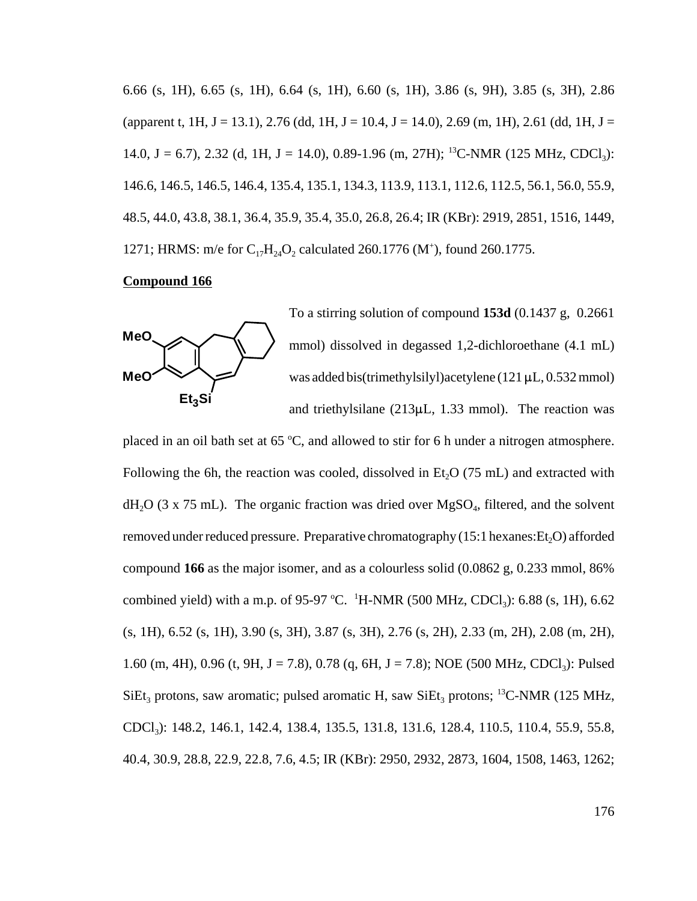6.66 (s, 1H), 6.65 (s, 1H), 6.64 (s, 1H), 6.60 (s, 1H), 3.86 (s, 9H), 3.85 (s, 3H), 2.86 (apparent t, 1H, J = 13.1), 2.76 (dd, 1H, J = 10.4, J = 14.0), 2.69 (m, 1H), 2.61 (dd, 1H, J = 14.0, J = 6.7), 2.32 (d, 1H, J = 14.0), 0.89-1.96 (m, 27H); <sup>13</sup>C-NMR (125 MHz, CDCl<sub>3</sub>): 146.6, 146.5, 146.5, 146.4, 135.4, 135.1, 134.3, 113.9, 113.1, 112.6, 112.5, 56.1, 56.0, 55.9, 48.5, 44.0, 43.8, 38.1, 36.4, 35.9, 35.4, 35.0, 26.8, 26.4; IR (KBr): 2919, 2851, 1516, 1449, 1271; HRMS: m/e for  $C_{17}H_{24}O_2$  calculated 260.1776 (M<sup>+</sup>), found 260.1775.

#### **Compound 166**



To a stirring solution of compound **153d** (0.1437 g, 0.2661 mmol) dissolved in degassed 1,2-dichloroethane (4.1 mL) was added bis(trimethylsilyl)acetylene (121  $\mu$ L, 0.532 mmol) and triethylsilane  $(213\mu L, 1.33 \text{ mmol})$ . The reaction was

placed in an oil bath set at  $65^{\circ}$ C, and allowed to stir for 6 h under a nitrogen atmosphere. Following the 6h, the reaction was cooled, dissolved in  $Et<sub>2</sub>O$  (75 mL) and extracted with  $dH_2O$  (3 x 75 mL). The organic fraction was dried over MgSO<sub>4</sub>, filtered, and the solvent removed under reduced pressure. Preparative chromatography  $(15:1$  hexanes:  $Et<sub>2</sub>O$ ) afforded compound **166** as the major isomer, and as a colourless solid (0.0862 g, 0.233 mmol, 86% combined yield) with a m.p. of 95-97 °C. <sup>1</sup>H-NMR (500 MHz, CDCl<sub>3</sub>): 6.88 (s, 1H), 6.62 (s, 1H), 6.52 (s, 1H), 3.90 (s, 3H), 3.87 (s, 3H), 2.76 (s, 2H), 2.33 (m, 2H), 2.08 (m, 2H), 1.60 (m, 4H), 0.96 (t, 9H, J = 7.8), 0.78 (q, 6H, J = 7.8); NOE (500 MHz, CDCl<sub>3</sub>): Pulsed  $SiEt_3$  protons, saw aromatic; pulsed aromatic H, saw  $SiEt_3$  protons; <sup>13</sup>C-NMR (125 MHz, CDCl3): 148.2, 146.1, 142.4, 138.4, 135.5, 131.8, 131.6, 128.4, 110.5, 110.4, 55.9, 55.8, 40.4, 30.9, 28.8, 22.9, 22.8, 7.6, 4.5; IR (KBr): 2950, 2932, 2873, 1604, 1508, 1463, 1262;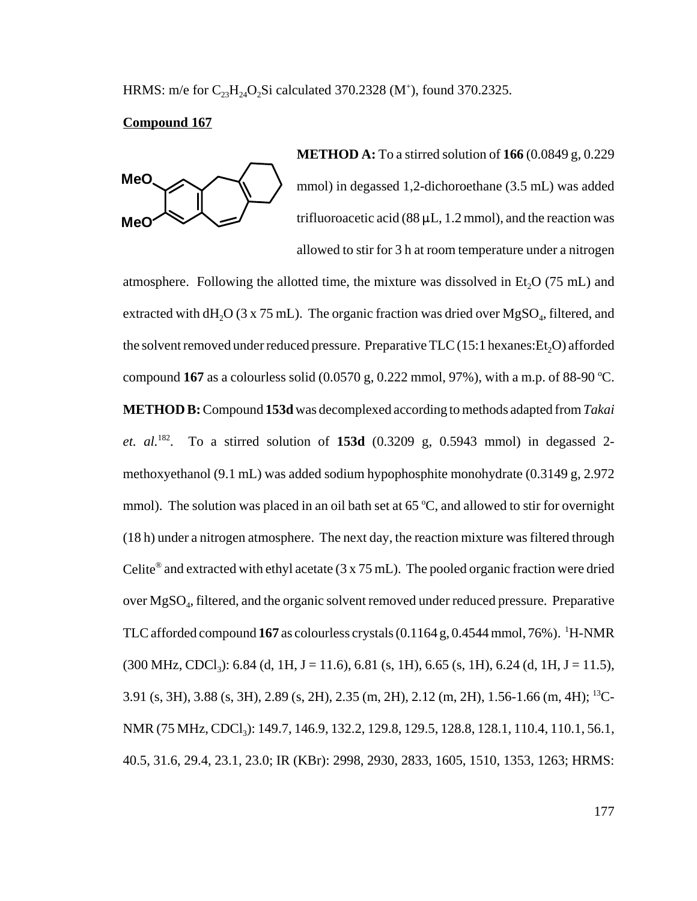HRMS: m/e for  $C_{23}H_{24}O_2Si$  calculated 370.2328 (M<sup>+</sup>), found 370.2325.

#### **Compound 167**



**METHOD A:** To a stirred solution of **166** (0.0849 g, 0.229 mmol) in degassed 1,2-dichoroethane (3.5 mL) was added trifluoroacetic acid ( $88 \mu L$ , 1.2 mmol), and the reaction was allowed to stir for 3 h at room temperature under a nitrogen

atmosphere. Following the allotted time, the mixture was dissolved in Et<sub>2</sub>O ( $75$  mL) and extracted with  $dH_2O$  (3 x 75 mL). The organic fraction was dried over  $MgSO_4$ , filtered, and the solvent removed under reduced pressure. Preparative  $TLC(15:1$  hexanes: $Et<sub>2</sub>O$ ) afforded compound  $167$  as a colourless solid (0.0570 g, 0.222 mmol, 97%), with a m.p. of 88-90 °C. **METHOD B:** Compound **153d** was decomplexed according to methods adapted from *Takai et. al.*182. To a stirred solution of **153d** (0.3209 g, 0.5943 mmol) in degassed 2 methoxyethanol (9.1 mL) was added sodium hypophosphite monohydrate (0.3149 g, 2.972 mmol). The solution was placed in an oil bath set at  $65^{\circ}$ C, and allowed to stir for overnight (18 h) under a nitrogen atmosphere. The next day, the reaction mixture was filtered through Celite<sup>®</sup> and extracted with ethyl acetate  $(3 \times 75 \text{ mL})$ . The pooled organic fraction were dried over MgSO4, filtered, and the organic solvent removed under reduced pressure. Preparative TLC afforded compound  $167$  as colourless crystals  $(0.1164 \text{ g}, 0.4544 \text{ mmol}, 76\%)$ . <sup>1</sup>H-NMR  $(300 \text{ MHz}, \text{CDCl}_3)$ : 6.84 (d, 1H, J = 11.6), 6.81 (s, 1H), 6.65 (s, 1H), 6.24 (d, 1H, J = 11.5), 3.91 (s, 3H), 3.88 (s, 3H), 2.89 (s, 2H), 2.35 (m, 2H), 2.12 (m, 2H), 1.56-1.66 (m, 4H); 13C-NMR (75 MHz, CDCl<sub>3</sub>): 149.7, 146.9, 132.2, 129.8, 129.5, 128.8, 128.1, 110.4, 110.1, 56.1, 40.5, 31.6, 29.4, 23.1, 23.0; IR (KBr): 2998, 2930, 2833, 1605, 1510, 1353, 1263; HRMS: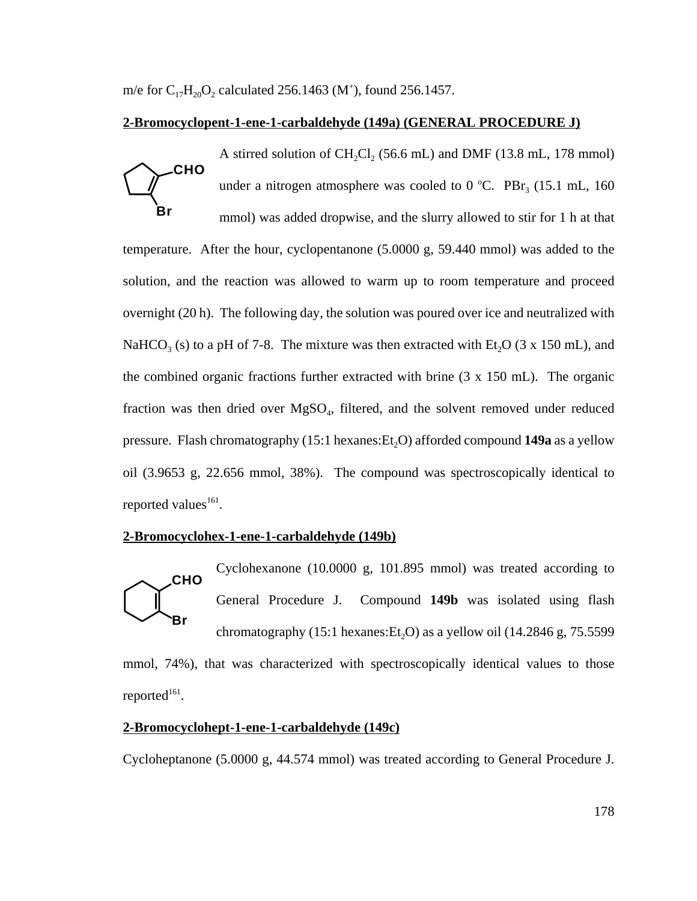m/e for  $C_{17}H_{20}O_2$  calculated 256.1463 (M<sup>+</sup>), found 256.1457.

### **2-Bromocyclopent-1-ene-1-carbaldehyde (149a) (GENERAL PROCEDURE J)**

**CHO Br** A stirred solution of  $CH_2Cl_2$  (56.6 mL) and DMF (13.8 mL, 178 mmol) under a nitrogen atmosphere was cooled to  $0^{\circ}$ C. PBr<sub>3</sub> (15.1 mL, 160) mmol) was added dropwise, and the slurry allowed to stir for 1 h at that temperature. After the hour, cyclopentanone (5.0000 g, 59.440 mmol) was added to the solution, and the reaction was allowed to warm up to room temperature and proceed overnight (20 h). The following day, the solution was poured over ice and neutralized with NaHCO<sub>3</sub> (s) to a pH of 7-8. The mixture was then extracted with Et<sub>2</sub>O (3 x 150 mL), and the combined organic fractions further extracted with brine (3 x 150 mL). The organic fraction was then dried over MgSO<sub>4</sub>, filtered, and the solvent removed under reduced pressure. Flash chromatography (15:1 hexanes: Et<sub>2</sub>O) afforded compound **149a** as a yellow oil (3.9653 g, 22.656 mmol, 38%). The compound was spectroscopically identical to reported values<sup>161</sup>.

## **2-Bromocyclohex-1-ene-1-carbaldehyde (149b)**



Cyclohexanone (10.0000 g, 101.895 mmol) was treated according to General Procedure J. Compound **149b** was isolated using flash chromatography  $(15:1 \text{ hexanes:Et}, O)$  as a yellow oil  $(14.2846 \text{ g}, 75.5599$ 

mmol, 74%), that was characterized with spectroscopically identical values to those reported $161$ .

## **2-Bromocyclohept-1-ene-1-carbaldehyde (149c)**

Cycloheptanone (5.0000 g, 44.574 mmol) was treated according to General Procedure J.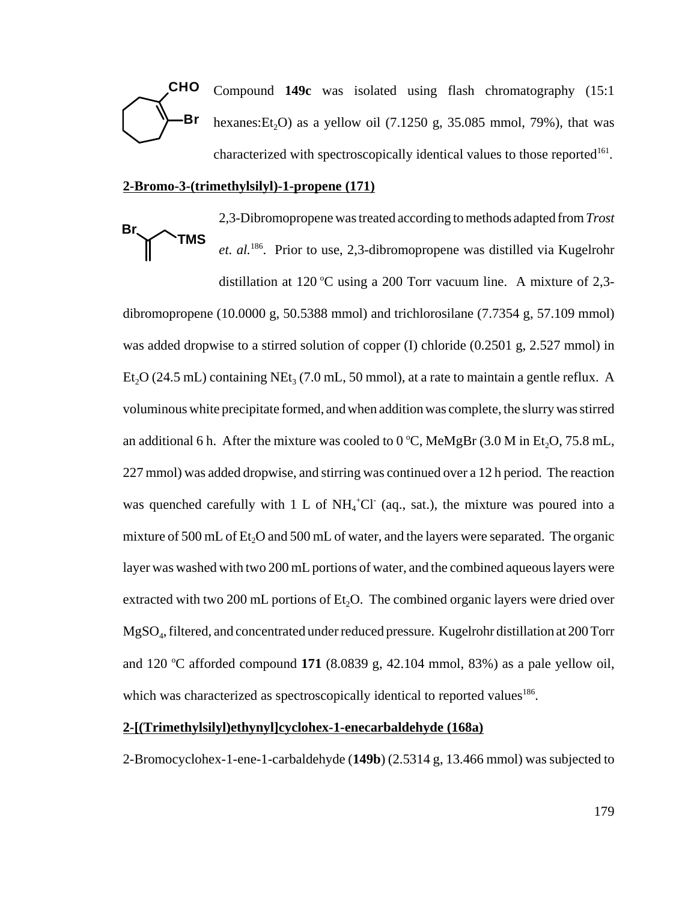

Compound **149c** was isolated using flash chromatography (15:1 hexanes: Et<sub>2</sub>O) as a yellow oil (7.1250 g, 35.085 mmol, 79%), that was characterized with spectroscopically identical values to those reported<sup>161</sup>.

#### **2-Bromo-3-(trimethylsilyl)-1-propene (171)**

**TMS Br**

2,3-Dibromopropene was treated according to methods adapted from *Trost et. al.*186. Prior to use, 2,3-dibromopropene was distilled via Kugelrohr

distillation at 120 °C using a 200 Torr vacuum line. A mixture of 2,3dibromopropene (10.0000 g, 50.5388 mmol) and trichlorosilane (7.7354 g, 57.109 mmol) was added dropwise to a stirred solution of copper (I) chloride (0.2501 g, 2.527 mmol) in Et<sub>2</sub>O (24.5 mL) containing NEt<sub>3</sub> (7.0 mL, 50 mmol), at a rate to maintain a gentle reflux. A voluminous white precipitate formed, and when addition was complete, the slurry was stirred an additional 6 h. After the mixture was cooled to  $0^{\circ}$ C, MeMgBr (3.0 M in Et<sub>2</sub>O, 75.8 mL, 227 mmol) was added dropwise, and stirring was continued over a 12 h period. The reaction was quenched carefully with 1 L of  $NH_4^+Cl^-$  (aq., sat.), the mixture was poured into a mixture of  $500 \text{ mL of } Et_2O$  and  $500 \text{ mL of } water$ , and the layers were separated. The organic layer was washed with two 200 mL portions of water, and the combined aqueous layers were extracted with two 200 mL portions of  $Et<sub>2</sub>O$ . The combined organic layers were dried over MgSO4, filtered, and concentrated under reduced pressure. Kugelrohr distillation at 200 Torr and 120  $\degree$ C afforded compound 171 (8.0839 g, 42.104 mmol, 83%) as a pale yellow oil, which was characterized as spectroscopically identical to reported values<sup>186</sup>.

#### **2-[(Trimethylsilyl)ethynyl]cyclohex-1-enecarbaldehyde (168a)**

2-Bromocyclohex-1-ene-1-carbaldehyde (**149b**) (2.5314 g, 13.466 mmol) was subjected to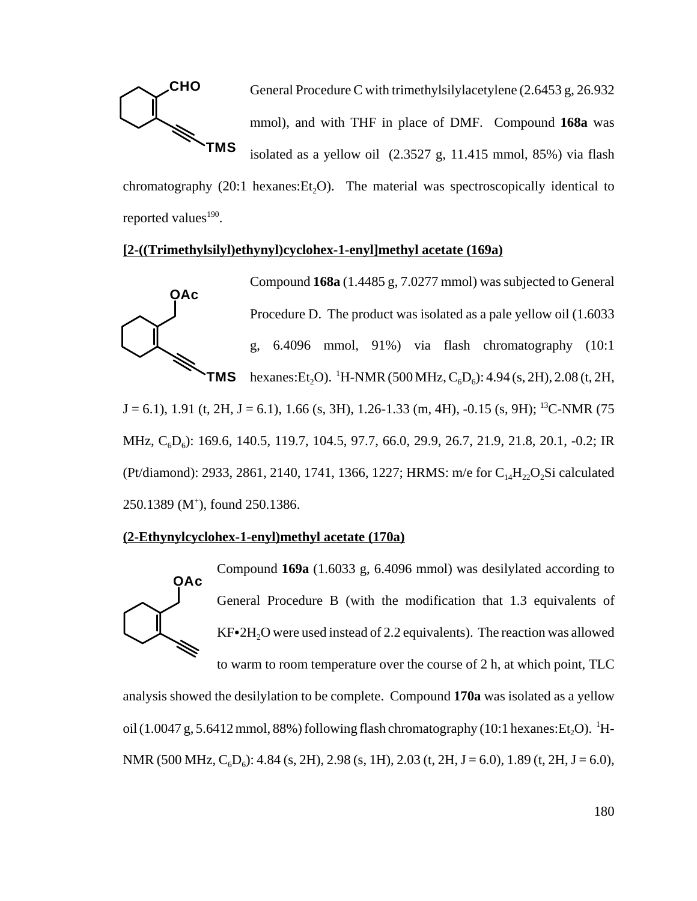

General Procedure C with trimethylsilylacetylene (2.6453 g, 26.932 mmol), and with THF in place of DMF. Compound **168a** was isolated as a yellow oil (2.3527 g, 11.415 mmol, 85%) via flash

chromatography  $(20:1 \text{ hexanes:Et}, O)$ . The material was spectroscopically identical to reported values $190$ .

#### **[2-((Trimethylsilyl)ethynyl)cyclohex-1-enyl]methyl acetate (169a)**



Compound **168a** (1.4485 g, 7.0277 mmol) was subjected to General Procedure D. The product was isolated as a pale yellow oil (1.6033 g, 6.4096 mmol, 91%) via flash chromatography (10:1 hexanes:Et<sub>2</sub>O). <sup>1</sup>H-NMR (500 MHz, C<sub>6</sub>D<sub>6</sub>): 4.94 (s, 2H), 2.08 (t, 2H,

 $J = 6.1$ ), 1.91 (t, 2H,  $J = 6.1$ ), 1.66 (s, 3H), 1.26-1.33 (m, 4H), -0.15 (s, 9H); <sup>13</sup>C-NMR (75 MHz, C<sub>6</sub>D<sub>6</sub>): 169.6, 140.5, 119.7, 104.5, 97.7, 66.0, 29.9, 26.7, 21.9, 21.8, 20.1, -0.2; IR (Pt/diamond): 2933, 2861, 2140, 1741, 1366, 1227; HRMS: m/e for  $C_{14}H_{22}O_2Si$  calculated 250.1389 (M<sup>+</sup>), found 250.1386.

## **(2-Ethynylcyclohex-1-enyl)methyl acetate (170a)**



Compound **169a** (1.6033 g, 6.4096 mmol) was desilylated according to General Procedure B (with the modification that 1.3 equivalents of  $KF•2H<sub>2</sub>O$  were used instead of 2.2 equivalents). The reaction was allowed to warm to room temperature over the course of 2 h, at which point, TLC

analysis showed the desilylation to be complete. Compound **170a** was isolated as a yellow oil (1.0047 g, 5.6412 mmol, 88%) following flash chromatography (10:1 hexanes:Et<sub>2</sub>O). <sup>1</sup>H-NMR (500 MHz,  $C_6D_6$ ): 4.84 (s, 2H), 2.98 (s, 1H), 2.03 (t, 2H, J = 6.0), 1.89 (t, 2H, J = 6.0),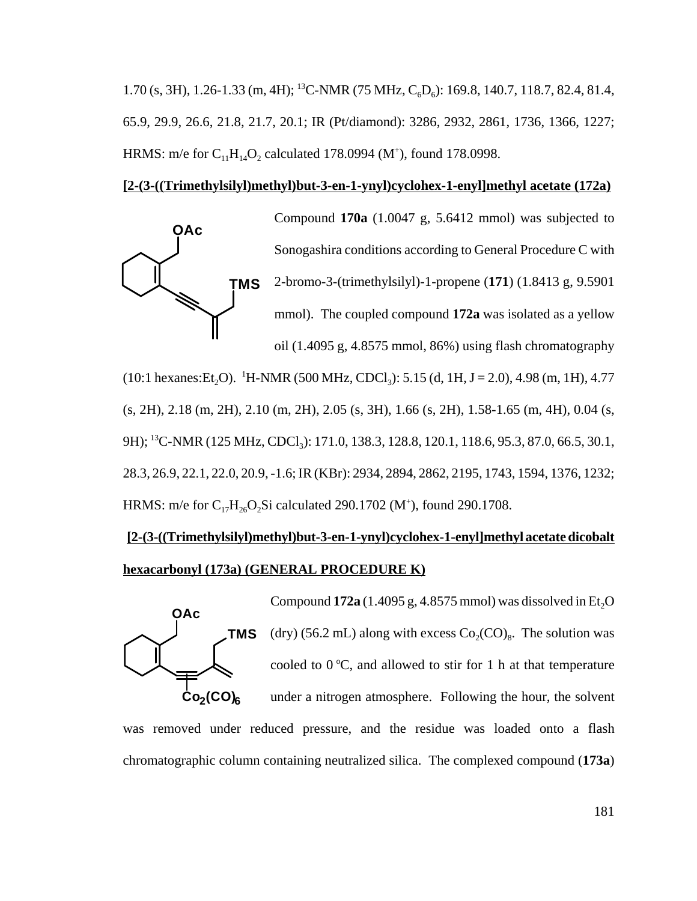1.70 (s, 3H), 1.26-1.33 (m, 4H); <sup>13</sup>C-NMR (75 MHz, C<sub>6</sub>D<sub>6</sub>): 169.8, 140.7, 118.7, 82.4, 81.4, 65.9, 29.9, 26.6, 21.8, 21.7, 20.1; IR (Pt/diamond): 3286, 2932, 2861, 1736, 1366, 1227; HRMS: m/e for  $C_{11}H_{14}O_2$  calculated 178.0994 (M<sup>+</sup>), found 178.0998.

#### **[2-(3-((Trimethylsilyl)methyl)but-3-en-1-ynyl)cyclohex-1-enyl]methyl acetate (172a)**



Compound **170a** (1.0047 g, 5.6412 mmol) was subjected to Sonogashira conditions according to General Procedure C with 2-bromo-3-(trimethylsilyl)-1-propene (**171**) (1.8413 g, 9.5901 mmol). The coupled compound **172a** was isolated as a yellow oil (1.4095 g, 4.8575 mmol, 86%) using flash chromatography

(10:1 hexanes: Et<sub>2</sub>O). <sup>1</sup>H-NMR (500 MHz, CDCl<sub>3</sub>): 5.15 (d, 1H, J = 2.0), 4.98 (m, 1H), 4.77 (s, 2H), 2.18 (m, 2H), 2.10 (m, 2H), 2.05 (s, 3H), 1.66 (s, 2H), 1.58-1.65 (m, 4H), 0.04 (s, 9H); <sup>13</sup>C-NMR (125 MHz, CDCl<sub>3</sub>): 171.0, 138.3, 128.8, 120.1, 118.6, 95.3, 87.0, 66.5, 30.1, 28.3, 26.9, 22.1, 22.0, 20.9, -1.6; IR (KBr): 2934, 2894, 2862, 2195, 1743, 1594, 1376, 1232; HRMS: m/e for  $C_{17}H_{26}O_2Si$  calculated 290.1702 (M<sup>+</sup>), found 290.1708.

# **[2-(3-((Trimethylsilyl)methyl)but-3-en-1-ynyl)cyclohex-1-enyl]methyl acetate dicobalt hexacarbonyl (173a) (GENERAL PROCEDURE K)**



Compound  $172a(1.4095 g, 4.8575 mmol)$  was dissolved in Et<sub>2</sub>O (dry) (56.2 mL) along with excess  $Co_2(CO)_{8}$ . The solution was cooled to  $0^{\circ}$ C, and allowed to stir for 1 h at that temperature under a nitrogen atmosphere. Following the hour, the solvent

was removed under reduced pressure, and the residue was loaded onto a flash chromatographic column containing neutralized silica. The complexed compound (**173a**)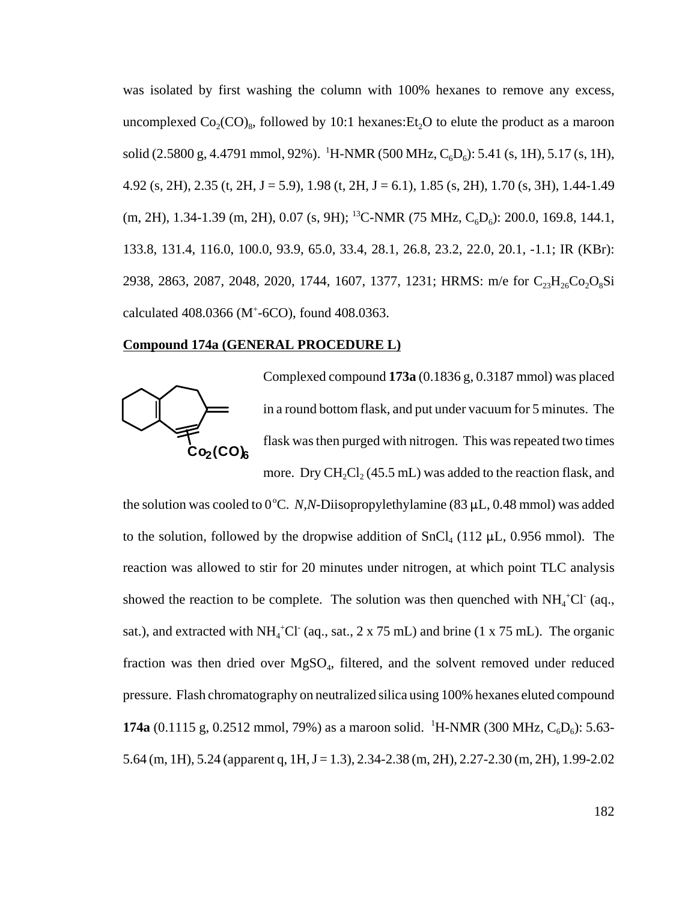was isolated by first washing the column with 100% hexanes to remove any excess, uncomplexed  $Co_2(CO)_8$ , followed by 10:1 hexanes: Et<sub>2</sub>O to elute the product as a maroon solid (2.5800 g, 4.4791 mmol, 92%). <sup>1</sup>H-NMR (500 MHz, C<sub>6</sub>D<sub>6</sub>): 5.41 (s, 1H), 5.17 (s, 1H), 4.92 (s, 2H), 2.35 (t, 2H, J = 5.9), 1.98 (t, 2H, J = 6.1), 1.85 (s, 2H), 1.70 (s, 3H), 1.44-1.49  $(m, 2H)$ , 1.34-1.39  $(m, 2H)$ , 0.07  $(s, 9H)$ ; <sup>13</sup>C-NMR (75 MHz, C<sub>6</sub>D<sub>6</sub>): 200.0, 169.8, 144.1, 133.8, 131.4, 116.0, 100.0, 93.9, 65.0, 33.4, 28.1, 26.8, 23.2, 22.0, 20.1, -1.1; IR (KBr): 2938, 2863, 2087, 2048, 2020, 1744, 1607, 1377, 1231; HRMS: m/e for  $C_{23}H_{26}Co_2O_8Si$ calculated 408.0366 (M+ -6CO), found 408.0363.

#### **Compound 174a (GENERAL PROCEDURE L)**



Complexed compound **173a** (0.1836 g, 0.3187 mmol) was placed in a round bottom flask, and put under vacuum for 5 minutes. The flask was then purged with nitrogen. This was repeated two times more. Dry  $CH_2Cl_2 (45.5 mL)$  was added to the reaction flask, and

the solution was cooled to  $0^{\circ}$ C. *N,N*-Diisopropylethylamine (83  $\mu$ L, 0.48 mmol) was added to the solution, followed by the dropwise addition of  $SnCl<sub>4</sub>$  (112 µL, 0.956 mmol). The reaction was allowed to stir for 20 minutes under nitrogen, at which point TLC analysis showed the reaction to be complete. The solution was then quenched with  $NH_4^+Cl^-$  (aq., sat.), and extracted with  $NH_4^+Cl^+(aq., sat., 2 \times 75 \text{ mL})$  and brine (1 x 75 mL). The organic fraction was then dried over  $MgSO<sub>4</sub>$ , filtered, and the solvent removed under reduced pressure. Flash chromatography on neutralized silica using 100% hexanes eluted compound **174a** (0.1115 g, 0.2512 mmol, 79%) as a maroon solid. <sup>1</sup>H-NMR (300 MHz,  $C_6D_6$ ): 5.63-5.64 (m, 1H), 5.24 (apparent q, 1H, J = 1.3), 2.34-2.38 (m, 2H), 2.27-2.30 (m, 2H), 1.99-2.02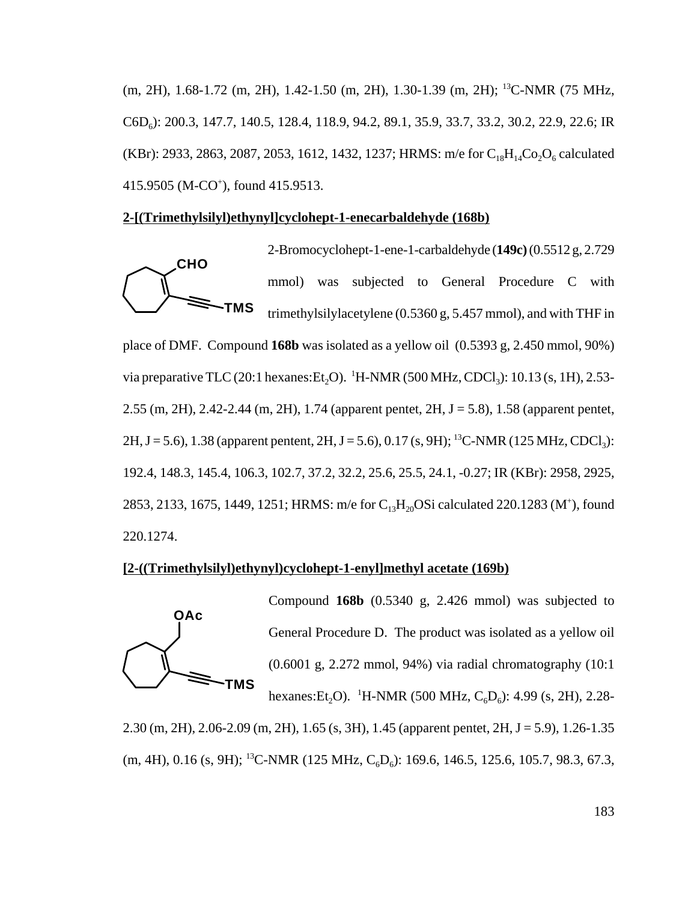(m, 2H), 1.68-1.72 (m, 2H), 1.42-1.50 (m, 2H), 1.30-1.39 (m, 2H); 13C-NMR (75 MHz, C6D<sub>6</sub>): 200.3, 147.7, 140.5, 128.4, 118.9, 94.2, 89.1, 35.9, 33.7, 33.2, 30.2, 22.9, 22.6; IR (KBr): 2933, 2863, 2087, 2053, 1612, 1432, 1237; HRMS: m/e for  $C_{18}H_{14}Co_2O_6$  calculated 415.9505 (M-CO<sup>+</sup>), found 415.9513.

# **2-[(Trimethylsilyl)ethynyl]cyclohept-1-enecarbaldehyde (168b)**

**CHO TMS** 2-Bromocyclohept-1-ene-1-carbaldehyde (**149c)** (0.5512 g, 2.729 mmol) was subjected to General Procedure C with trimethylsilylacetylene (0.5360 g, 5.457 mmol), and with THF in place of DMF. Compound **168b** was isolated as a yellow oil (0.5393 g, 2.450 mmol, 90%) via preparative TLC (20:1 hexanes: Et<sub>2</sub>O). <sup>1</sup>H-NMR (500 MHz, CDCl<sub>3</sub>): 10.13 (s, 1H), 2.53-2.55 (m, 2H), 2.42-2.44 (m, 2H), 1.74 (apparent pentet, 2H, J = 5.8), 1.58 (apparent pentet, 2H, J = 5.6), 1.38 (apparent pentent, 2H, J = 5.6), 0.17 (s, 9H); <sup>13</sup>C-NMR (125 MHz, CDCl<sub>3</sub>): 192.4, 148.3, 145.4, 106.3, 102.7, 37.2, 32.2, 25.6, 25.5, 24.1, -0.27; IR (KBr): 2958, 2925, 2853, 2133, 1675, 1449, 1251; HRMS: m/e for  $C_{13}H_{20}$ OSi calculated 220.1283 (M<sup>+</sup>), found 220.1274.

# **[2-((Trimethylsilyl)ethynyl)cyclohept-1-enyl]methyl acetate (169b)**



Compound **168b** (0.5340 g, 2.426 mmol) was subjected to General Procedure D. The product was isolated as a yellow oil (0.6001 g, 2.272 mmol, 94%) via radial chromatography (10:1 hexanes:Et<sub>2</sub>O). <sup>1</sup>H-NMR (500 MHz, C<sub>6</sub>D<sub>6</sub>): 4.99 (s, 2H), 2.28-

2.30 (m, 2H), 2.06-2.09 (m, 2H), 1.65 (s, 3H), 1.45 (apparent pentet, 2H, J = 5.9), 1.26-1.35  $(m, 4H), 0.16$  (s, 9H); <sup>13</sup>C-NMR (125 MHz, C<sub>6</sub>D<sub>6</sub>): 169.6, 146.5, 125.6, 105.7, 98.3, 67.3,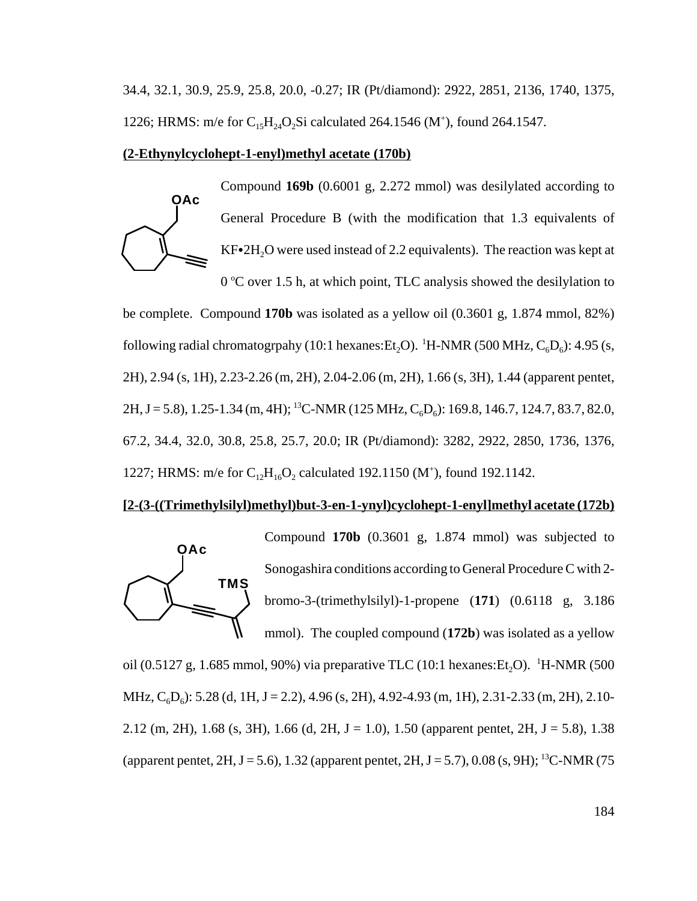34.4, 32.1, 30.9, 25.9, 25.8, 20.0, -0.27; IR (Pt/diamond): 2922, 2851, 2136, 1740, 1375, 1226; HRMS: m/e for  $C_{15}H_{24}O_2Si$  calculated 264.1546 (M<sup>+</sup>), found 264.1547.

#### **(2-Ethynylcyclohept-1-enyl)methyl acetate (170b)**

**OAc** Compound **169b** (0.6001 g, 2.272 mmol) was desilylated according to General Procedure B (with the modification that 1.3 equivalents of  $KF•2H<sub>2</sub>O$  were used instead of 2.2 equivalents). The reaction was kept at 0 °C over 1.5 h, at which point, TLC analysis showed the desilylation to

be complete. Compound **170b** was isolated as a yellow oil (0.3601 g, 1.874 mmol, 82%) following radial chromatogrpahy (10:1 hexanes: Et<sub>2</sub>O). <sup>1</sup>H-NMR (500 MHz, C<sub>6</sub>D<sub>6</sub>): 4.95 (s, 2H), 2.94 (s, 1H), 2.23-2.26 (m, 2H), 2.04-2.06 (m, 2H), 1.66 (s, 3H), 1.44 (apparent pentet, 2H, J = 5.8), 1.25-1.34 (m, 4H); <sup>13</sup>C-NMR (125 MHz, C<sub>6</sub>D<sub>6</sub>): 169.8, 146.7, 124.7, 83.7, 82.0, 67.2, 34.4, 32.0, 30.8, 25.8, 25.7, 20.0; IR (Pt/diamond): 3282, 2922, 2850, 1736, 1376, 1227; HRMS: m/e for  $C_{12}H_{16}O_2$  calculated 192.1150 (M<sup>+</sup>), found 192.1142.

#### **[2-(3-((Trimethylsilyl)methyl)but-3-en-1-ynyl)cyclohept-1-enyl]methyl acetate (172b)**



Compound **170b** (0.3601 g, 1.874 mmol) was subjected to Sonogashira conditions according to General Procedure C with 2 bromo-3-(trimethylsilyl)-1-propene (**171**) (0.6118 g, 3.186 mmol). The coupled compound (**172b**) was isolated as a yellow

oil (0.5127 g, 1.685 mmol, 90%) via preparative TLC (10:1 hexanes: Et<sub>2</sub>O). <sup>1</sup>H-NMR (500 MHz,  $C_6D_6$ ): 5.28 (d, 1H, J = 2.2), 4.96 (s, 2H), 4.92-4.93 (m, 1H), 2.31-2.33 (m, 2H), 2.10-2.12 (m, 2H), 1.68 (s, 3H), 1.66 (d, 2H, J = 1.0), 1.50 (apparent pentet, 2H, J = 5.8), 1.38 (apparent pentet, 2H, J = 5.6), 1.32 (apparent pentet, 2H, J = 5.7), 0.08 (s, 9H); <sup>13</sup>C-NMR (75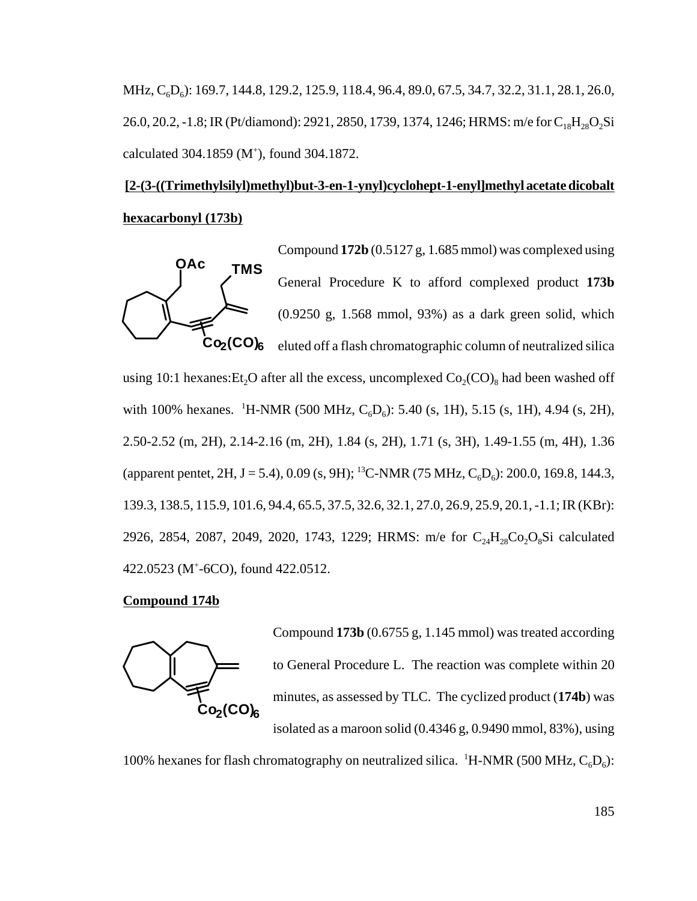MHz, C<sub>6</sub>D<sub>6</sub>): 169.7, 144.8, 129.2, 125.9, 118.4, 96.4, 89.0, 67.5, 34.7, 32.2, 31.1, 28.1, 26.0, 26.0, 20.2, -1.8; IR (Pt/diamond): 2921, 2850, 1739, 1374, 1246; HRMS: m/e for C<sub>18</sub>H<sub>28</sub>O<sub>2</sub>Si calculated 304.1859 (M<sup>+</sup>), found 304.1872.

# **[2-(3-((Trimethylsilyl)methyl)but-3-en-1-ynyl)cyclohept-1-enyl]methyl acetate dicobalt hexacarbonyl (173b)**



Compound **172b** (0.5127 g, 1.685 mmol) was complexed using General Procedure K to afford complexed product **173b** (0.9250 g, 1.568 mmol, 93%) as a dark green solid, which eluted off a flash chromatographic column of neutralized silica

using 10:1 hexanes: Et<sub>2</sub>O after all the excess, uncomplexed  $Co_2(CO)_8$  had been washed off with 100% hexanes. <sup>1</sup>H-NMR (500 MHz, C<sub>6</sub>D<sub>6</sub>): 5.40 (s, 1H), 5.15 (s, 1H), 4.94 (s, 2H), 2.50-2.52 (m, 2H), 2.14-2.16 (m, 2H), 1.84 (s, 2H), 1.71 (s, 3H), 1.49-1.55 (m, 4H), 1.36 (apparent pentet, 2H, J = 5.4), 0.09 (s, 9H); <sup>13</sup>C-NMR (75 MHz, C<sub>6</sub>D<sub>6</sub>): 200.0, 169.8, 144.3, 139.3, 138.5, 115.9, 101.6, 94.4, 65.5, 37.5, 32.6, 32.1, 27.0, 26.9, 25.9, 20.1, -1.1; IR (KBr): 2926, 2854, 2087, 2049, 2020, 1743, 1229; HRMS: m/e for C<sub>24</sub>H<sub>28</sub>Co<sub>2</sub>O<sub>8</sub>Si calculated 422.0523 (M+ -6CO), found 422.0512.

#### **Compound 174b**



Compound **173b** (0.6755 g, 1.145 mmol) was treated according to General Procedure L. The reaction was complete within 20 minutes, as assessed by TLC. The cyclized product (**174b**) was isolated as a maroon solid (0.4346 g, 0.9490 mmol, 83%), using

100% hexanes for flash chromatography on neutralized silica. <sup>1</sup>H-NMR (500 MHz,  $C_6D_6$ ):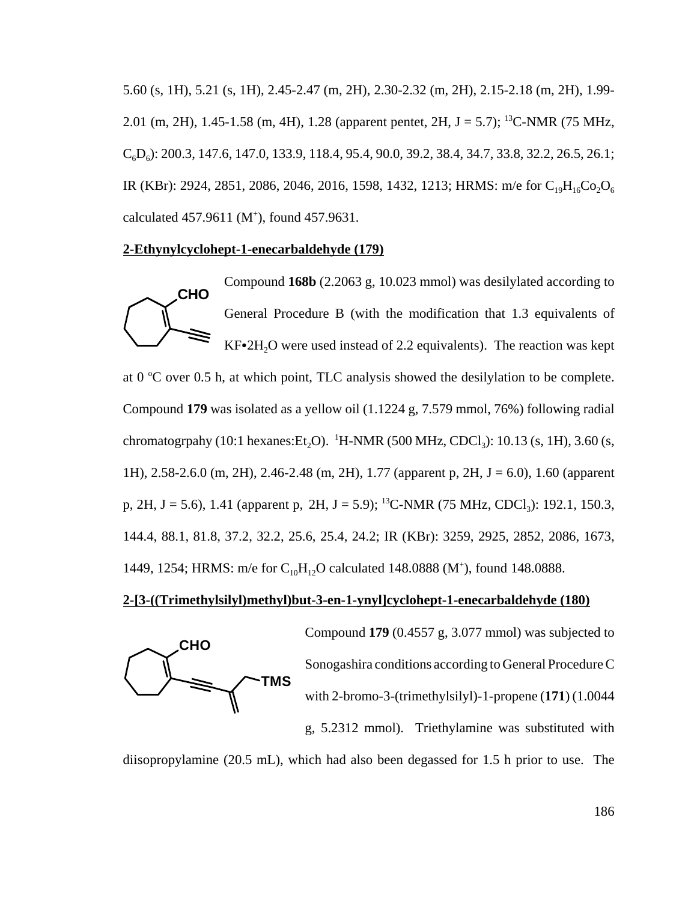5.60 (s, 1H), 5.21 (s, 1H), 2.45-2.47 (m, 2H), 2.30-2.32 (m, 2H), 2.15-2.18 (m, 2H), 1.99- 2.01 (m, 2H), 1.45-1.58 (m, 4H), 1.28 (apparent pentet, 2H, J = 5.7); <sup>13</sup>C-NMR (75 MHz,  $C_6D_6$ : 200.3, 147.6, 147.0, 133.9, 118.4, 95.4, 90.0, 39.2, 38.4, 34.7, 33.8, 32.2, 26.5, 26.1; IR (KBr): 2924, 2851, 2086, 2046, 2016, 1598, 1432, 1213; HRMS: m/e for  $C_{19}H_{16}Co_2O_6$ calculated  $457.9611$  (M<sup>+</sup>), found  $457.9631$ .

#### **2-Ethynylcyclohept-1-enecarbaldehyde (179)**



Compound **168b** (2.2063 g, 10.023 mmol) was desilylated according to General Procedure B (with the modification that 1.3 equivalents of  $KF•2H<sub>2</sub>O$  were used instead of 2.2 equivalents). The reaction was kept

at  $0^{\circ}$ C over 0.5 h, at which point, TLC analysis showed the desilylation to be complete. Compound **179** was isolated as a yellow oil (1.1224 g, 7.579 mmol, 76%) following radial chromatogrpahy (10:1 hexanes:Et<sub>2</sub>O). <sup>1</sup>H-NMR (500 MHz, CDCl<sub>3</sub>): 10.13 (s, 1H), 3.60 (s, 1H), 2.58-2.6.0 (m, 2H), 2.46-2.48 (m, 2H), 1.77 (apparent p, 2H, J = 6.0), 1.60 (apparent p, 2H, J = 5.6), 1.41 (apparent p, 2H, J = 5.9); <sup>13</sup>C-NMR (75 MHz, CDCl<sub>3</sub>): 192.1, 150.3, 144.4, 88.1, 81.8, 37.2, 32.2, 25.6, 25.4, 24.2; IR (KBr): 3259, 2925, 2852, 2086, 1673, 1449, 1254; HRMS: m/e for  $C_{10}H_{12}O$  calculated 148.0888 (M<sup>+</sup>), found 148.0888.

# **2-[3-((Trimethylsilyl)methyl)but-3-en-1-ynyl]cyclohept-1-enecarbaldehyde (180)**



Compound **179** (0.4557 g, 3.077 mmol) was subjected to Sonogashira conditions according to General Procedure C with 2-bromo-3-(trimethylsilyl)-1-propene (**171**) (1.0044 g, 5.2312 mmol). Triethylamine was substituted with

diisopropylamine (20.5 mL), which had also been degassed for 1.5 h prior to use. The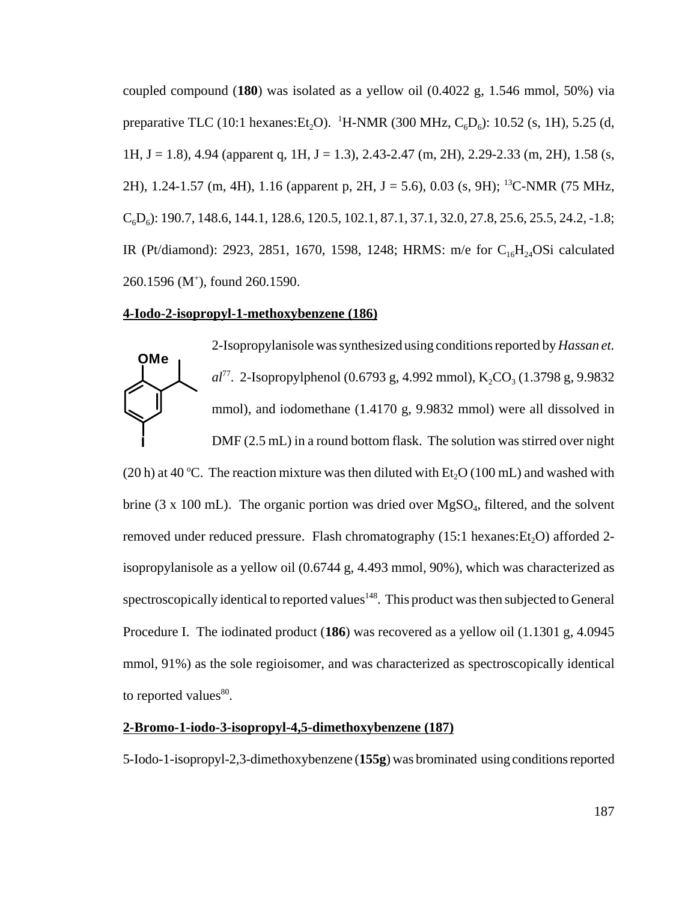coupled compound (**180**) was isolated as a yellow oil (0.4022 g, 1.546 mmol, 50%) via preparative TLC (10:1 hexanes: Et<sub>2</sub>O). <sup>1</sup>H-NMR (300 MHz, C<sub>6</sub>D<sub>6</sub>): 10.52 (s, 1H), 5.25 (d, 1H, J = 1.8), 4.94 (apparent q, 1H, J = 1.3), 2.43-2.47 (m, 2H), 2.29-2.33 (m, 2H), 1.58 (s, 2H), 1.24-1.57 (m, 4H), 1.16 (apparent p, 2H, J = 5.6), 0.03 (s, 9H); <sup>13</sup>C-NMR (75 MHz,  $C_6D_6$ : 190.7, 148.6, 144.1, 128.6, 120.5, 102.1, 87.1, 37.1, 32.0, 27.8, 25.6, 25.5, 24.2, -1.8; IR (Pt/diamond): 2923, 2851, 1670, 1598, 1248; HRMS: m/e for  $C_{16}H_{24}$ OSi calculated 260.1596 (M+ ), found 260.1590.

#### **4-Iodo-2-isopropyl-1-methoxybenzene (186)**



2-Isopropylanisole was synthesized using conditions reported by *Hassan et. al*<sup>77</sup>. 2-Isopropylphenol (0.6793 g, 4.992 mmol), K<sub>2</sub>CO<sub>3</sub> (1.3798 g, 9.9832 mmol), and iodomethane (1.4170 g, 9.9832 mmol) were all dissolved in

DMF (2.5 mL) in a round bottom flask. The solution was stirred over night (20 h) at 40 °C. The reaction mixture was then diluted with  $Et_2O(100 \text{ mL})$  and washed with brine (3 x 100 mL). The organic portion was dried over  $MgSO<sub>4</sub>$ , filtered, and the solvent removed under reduced pressure. Flash chromatography  $(15:1$  hexanes:  $Et<sub>2</sub>O$ ) afforded 2isopropylanisole as a yellow oil (0.6744 g, 4.493 mmol, 90%), which was characterized as spectroscopically identical to reported values<sup>148</sup>. This product was then subjected to General Procedure I. The iodinated product (**186**) was recovered as a yellow oil (1.1301 g, 4.0945 mmol, 91%) as the sole regioisomer, and was characterized as spectroscopically identical to reported values $^{80}$ .

#### **2-Bromo-1-iodo-3-isopropyl-4,5-dimethoxybenzene (187)**

5-Iodo-1-isopropyl-2,3-dimethoxybenzene (**155g**) was brominated using conditions reported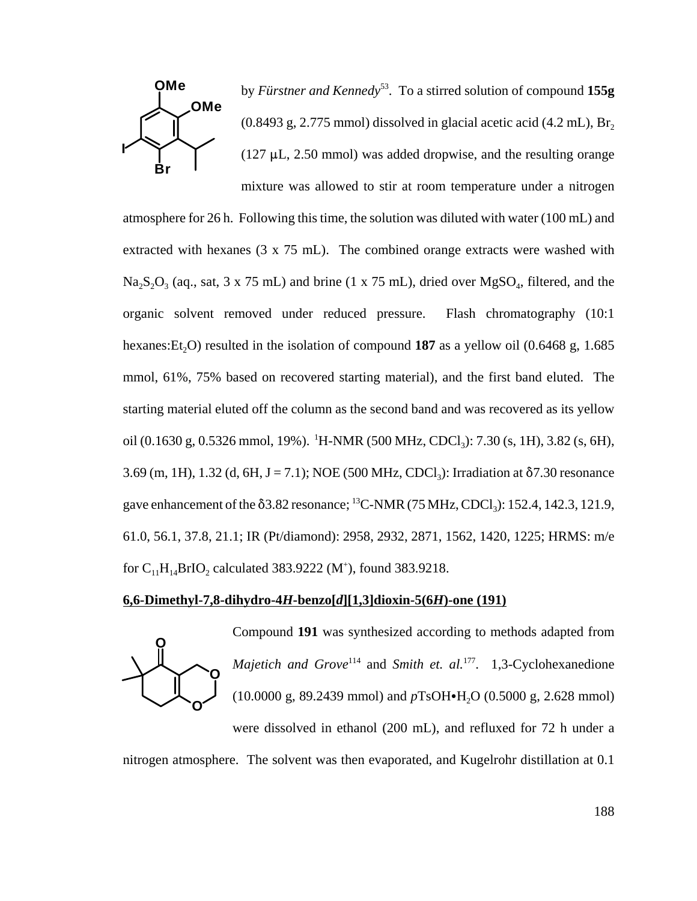

by *Fürstner and Kennedy*53. To a stirred solution of compound **155g**  $(0.8493 \text{ g}, 2.775 \text{ mmol})$  dissolved in glacial acetic acid  $(4.2 \text{ mL})$ , Br<sub>2</sub>  $(127 \mu L, 2.50 \text{ mmol})$  was added dropwise, and the resulting orange mixture was allowed to stir at room temperature under a nitrogen

atmosphere for 26 h. Following this time, the solution was diluted with water (100 mL) and extracted with hexanes (3 x 75 mL). The combined orange extracts were washed with  $Na<sub>2</sub>S<sub>2</sub>O<sub>3</sub>$  (aq., sat, 3 x 75 mL) and brine (1 x 75 mL), dried over MgSO<sub>4</sub>, filtered, and the organic solvent removed under reduced pressure. Flash chromatography (10:1 hexanes: Et<sub>2</sub>O) resulted in the isolation of compound **187** as a yellow oil  $(0.6468 \text{ g}, 1.685 \text{ m})$ mmol, 61%, 75% based on recovered starting material), and the first band eluted. The starting material eluted off the column as the second band and was recovered as its yellow oil (0.1630 g, 0.5326 mmol, 19%). <sup>1</sup>H-NMR (500 MHz, CDCl<sub>3</sub>): 7.30 (s, 1H), 3.82 (s, 6H), 3.69 (m, 1H), 1.32 (d, 6H, J = 7.1); NOE (500 MHz, CDCl<sub>3</sub>): Irradiation at  $\delta$ 7.30 resonance gave enhancement of the  $\delta$ 3.82 resonance; <sup>13</sup>C-NMR (75 MHz, CDCl<sub>3</sub>): 152.4, 142.3, 121.9, 61.0, 56.1, 37.8, 21.1; IR (Pt/diamond): 2958, 2932, 2871, 1562, 1420, 1225; HRMS: m/e for  $C_{11}H_{14}BrIO_2$  calculated 383.9222 (M<sup>+</sup>), found 383.9218.

## **6,6-Dimethyl-7,8-dihydro-4***H***-benzo[***d***][1,3]dioxin-5(6***H***)-one (191)**



Compound **191** was synthesized according to methods adapted from *Majetich and Grove*<sup>114</sup> and *Smith et. al.*<sup>177</sup>. 1,3-Cyclohexanedione  $(10.0000 \text{ g}, 89.2439 \text{ mmol})$  and  $pTsOH \bullet H<sub>2</sub>O (0.5000 \text{ g}, 2.628 \text{ mmol})$ were dissolved in ethanol (200 mL), and refluxed for 72 h under a

nitrogen atmosphere. The solvent was then evaporated, and Kugelrohr distillation at 0.1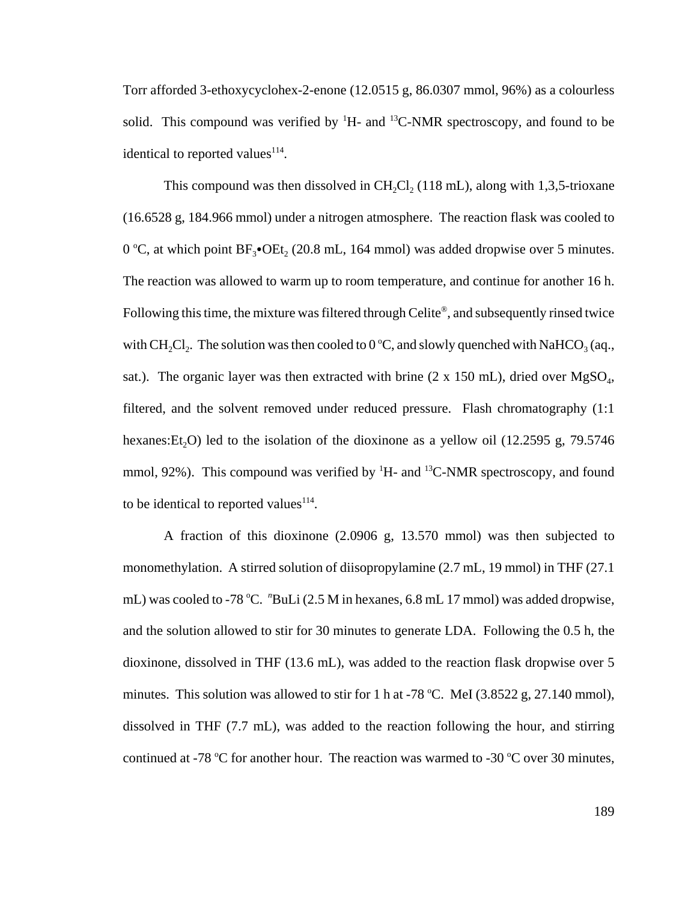Torr afforded 3-ethoxycyclohex-2-enone (12.0515 g, 86.0307 mmol, 96%) as a colourless solid. This compound was verified by  ${}^{1}H$ - and  ${}^{13}C$ -NMR spectroscopy, and found to be identical to reported values $114$ .

This compound was then dissolved in  $CH_2Cl_2$  (118 mL), along with 1,3,5-trioxane (16.6528 g, 184.966 mmol) under a nitrogen atmosphere. The reaction flask was cooled to 0 °C, at which point  $BF_3$ • $OEt_2$  (20.8 mL, 164 mmol) was added dropwise over 5 minutes. The reaction was allowed to warm up to room temperature, and continue for another 16 h. Following this time, the mixture was filtered through Celite®, and subsequently rinsed twice with CH<sub>2</sub>Cl<sub>2</sub>. The solution was then cooled to 0 °C, and slowly quenched with NaHCO<sub>3</sub> (aq., sat.). The organic layer was then extracted with brine  $(2 \times 150 \text{ mL})$ , dried over MgSO<sub>4</sub>, filtered, and the solvent removed under reduced pressure. Flash chromatography (1:1 hexanes: Et<sub>2</sub>O) led to the isolation of the dioxinone as a yellow oil (12.2595 g, 79.5746) mmol, 92%). This compound was verified by  ${}^{1}H$ - and  ${}^{13}C$ -NMR spectroscopy, and found to be identical to reported values<sup>114</sup>.

A fraction of this dioxinone (2.0906 g, 13.570 mmol) was then subjected to monomethylation. A stirred solution of diisopropylamine (2.7 mL, 19 mmol) in THF (27.1 mL) was cooled to -78 °C. "BuLi (2.5 M in hexanes, 6.8 mL 17 mmol) was added dropwise, and the solution allowed to stir for 30 minutes to generate LDA. Following the 0.5 h, the dioxinone, dissolved in THF (13.6 mL), was added to the reaction flask dropwise over 5 minutes. This solution was allowed to stir for 1 h at -78 °C. MeI  $(3.8522 \text{ g}, 27.140 \text{ mmol})$ , dissolved in THF (7.7 mL), was added to the reaction following the hour, and stirring continued at -78 °C for another hour. The reaction was warmed to -30 °C over 30 minutes,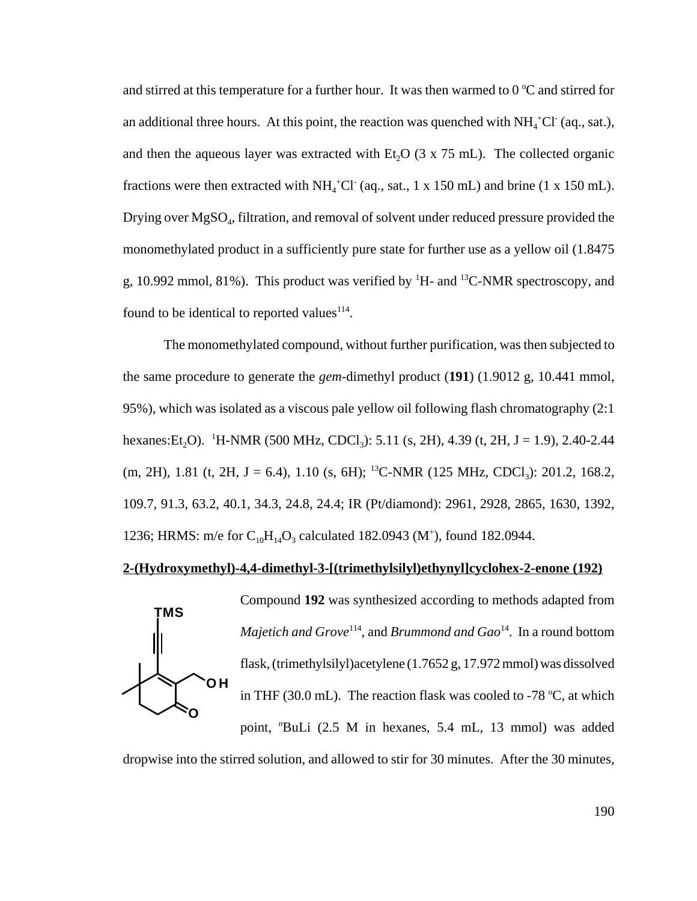and stirred at this temperature for a further hour. It was then warmed to  $0^{\circ}$ C and stirred for an additional three hours. At this point, the reaction was quenched with  $NH_4^+Cl^-(aq., sat.),$ and then the aqueous layer was extracted with Et<sub>2</sub>O ( $3 \times 75$  mL). The collected organic fractions were then extracted with  $NH_4^+Cl^-(aq., sat., 1 \times 150 \text{ mL})$  and brine (1 x 150 mL). Drying over MgSO<sub>4</sub>, filtration, and removal of solvent under reduced pressure provided the monomethylated product in a sufficiently pure state for further use as a yellow oil (1.8475 g, 10.992 mmol, 81%). This product was verified by  ${}^{1}$ H- and  ${}^{13}$ C-NMR spectroscopy, and found to be identical to reported values $^{114}$ .

The monomethylated compound, without further purification, was then subjected to the same procedure to generate the *gem*-dimethyl product (**191**) (1.9012 g, 10.441 mmol, 95%), which was isolated as a viscous pale yellow oil following flash chromatography (2:1 hexanes:Et<sub>2</sub>O). <sup>1</sup>H-NMR (500 MHz, CDCl<sub>3</sub>): 5.11 (s, 2H), 4.39 (t, 2H, J = 1.9), 2.40-2.44 (m, 2H), 1.81 (t, 2H, J = 6.4), 1.10 (s, 6H); <sup>13</sup>C-NMR (125 MHz, CDCl<sub>3</sub>): 201.2, 168.2, 109.7, 91.3, 63.2, 40.1, 34.3, 24.8, 24.4; IR (Pt/diamond): 2961, 2928, 2865, 1630, 1392, 1236; HRMS: m/e for  $C_{10}H_{14}O_3$  calculated 182.0943 (M<sup>+</sup>), found 182.0944.

### **2-(Hydroxymethyl)-4,4-dimethyl-3-[(trimethylsilyl)ethynyl]cyclohex-2-enone (192)**



Compound **192** was synthesized according to methods adapted from *Majetich and Grove*<sup>114</sup>, and *Brummond and Gao*<sup>14</sup>. In a round bottom flask, (trimethylsilyl)acetylene (1.7652 g, 17.972 mmol) was dissolved in THF (30.0 mL). The reaction flask was cooled to -78  $^{\circ}$ C, at which point, "BuLi (2.5 M in hexanes, 5.4 mL, 13 mmol) was added

dropwise into the stirred solution, and allowed to stir for 30 minutes. After the 30 minutes,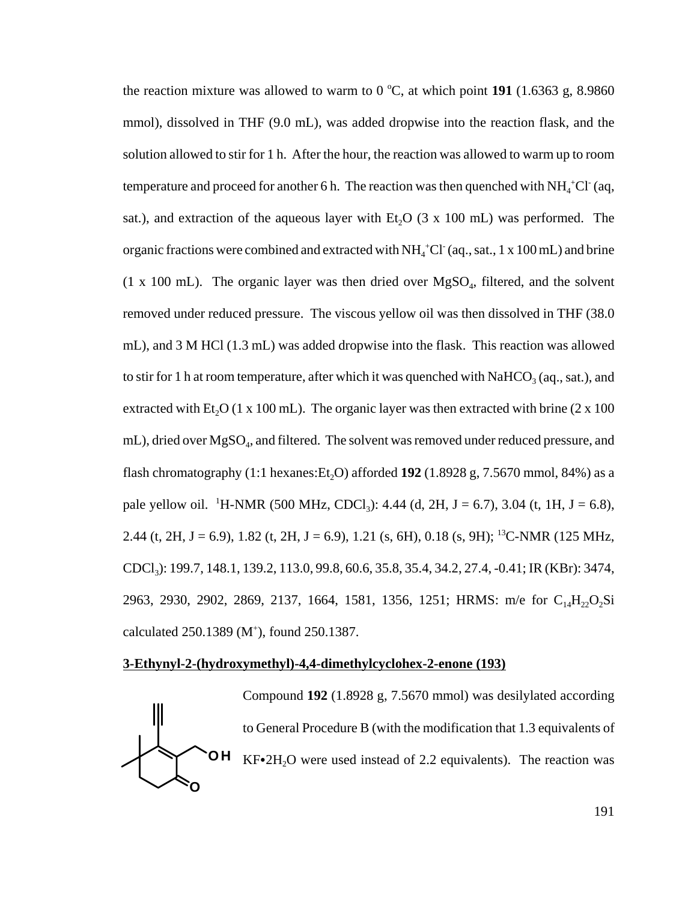the reaction mixture was allowed to warm to  $0^{\circ}$ C, at which point **191** (1.6363 g, 8.9860) mmol), dissolved in THF (9.0 mL), was added dropwise into the reaction flask, and the solution allowed to stir for 1 h. After the hour, the reaction was allowed to warm up to room temperature and proceed for another 6 h. The reaction was then quenched with  $NH_4^+Cl^-(aq,$ sat.), and extraction of the aqueous layer with  $Et<sub>2</sub>O$  (3 x 100 mL) was performed. The organic fractions were combined and extracted with  $NH_4^+Cl^-(aq., sat., 1 \times 100 \text{ mL})$  and brine  $(1 \times 100 \text{ mL})$ . The organic layer was then dried over MgSO<sub>4</sub>, filtered, and the solvent removed under reduced pressure. The viscous yellow oil was then dissolved in THF (38.0 mL), and 3 M HCl (1.3 mL) was added dropwise into the flask. This reaction was allowed to stir for 1 h at room temperature, after which it was quenched with NaHCO<sub>3</sub> (aq., sat.), and extracted with Et<sub>2</sub>O (1 x 100 mL). The organic layer was then extracted with brine (2 x 100 mL), dried over MgSO<sub>4</sub>, and filtered. The solvent was removed under reduced pressure, and flash chromatography  $(1:1 \text{ hexanes:Et}, O)$  afforded **192**  $(1.8928 \text{ g}, 7.5670 \text{ mmol}, 84\%)$  as a pale yellow oil. <sup>1</sup>H-NMR (500 MHz, CDCl<sub>3</sub>): 4.44 (d, 2H, J = 6.7), 3.04 (t, 1H, J = 6.8), 2.44 (t, 2H, J = 6.9), 1.82 (t, 2H, J = 6.9), 1.21 (s, 6H), 0.18 (s, 9H); <sup>13</sup>C-NMR (125 MHz, CDCl3): 199.7, 148.1, 139.2, 113.0, 99.8, 60.6, 35.8, 35.4, 34.2, 27.4, -0.41; IR (KBr): 3474, 2963, 2930, 2902, 2869, 2137, 1664, 1581, 1356, 1251; HRMS: m/e for C<sub>14</sub>H<sub>22</sub>O<sub>2</sub>Si calculated  $250.1389$  (M<sup>+</sup>), found  $250.1387$ .

#### **3-Ethynyl-2-(hydroxymethyl)-4,4-dimethylcyclohex-2-enone (193)**



Compound **192** (1.8928 g, 7.5670 mmol) was desilylated according to General Procedure B (with the modification that 1.3 equivalents of  $KF•2H<sub>2</sub>O$  were used instead of 2.2 equivalents). The reaction was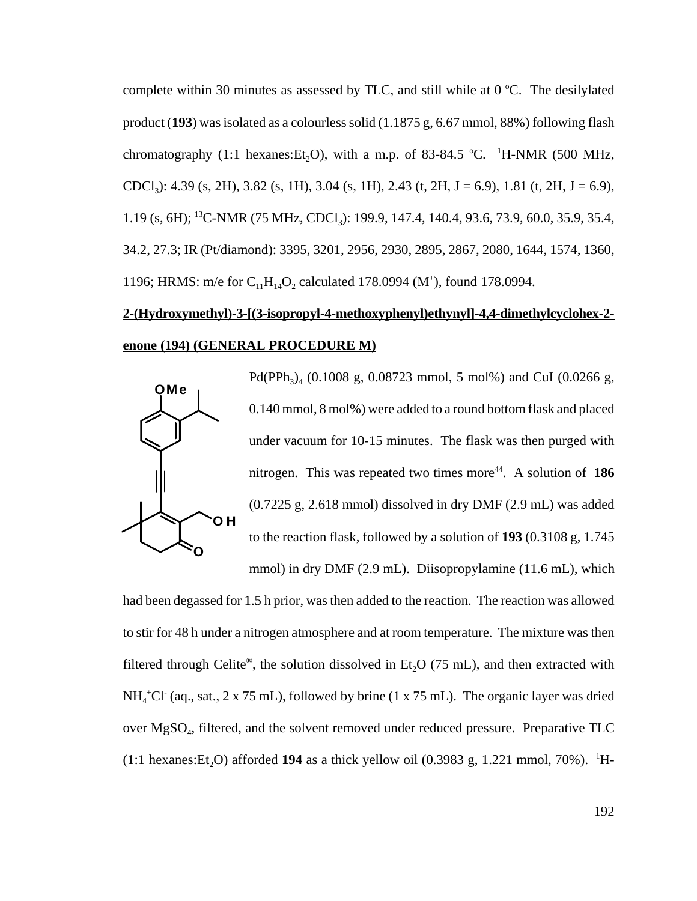complete within 30 minutes as assessed by TLC, and still while at  $0^{\circ}$ C. The desilylated product (**193**) was isolated as a colourless solid (1.1875 g, 6.67 mmol, 88%) following flash chromatography (1:1 hexanes:Et<sub>2</sub>O), with a m.p. of 83-84.5 °C. <sup>1</sup>H-NMR (500 MHz, CDCl<sub>3</sub>): 4.39 (s, 2H), 3.82 (s, 1H), 3.04 (s, 1H), 2.43 (t, 2H, J = 6.9), 1.81 (t, 2H, J = 6.9), 1.19 (s, 6H); <sup>13</sup>C-NMR (75 MHz, CDCl<sub>3</sub>): 199.9, 147.4, 140.4, 93.6, 73.9, 60.0, 35.9, 35.4, 34.2, 27.3; IR (Pt/diamond): 3395, 3201, 2956, 2930, 2895, 2867, 2080, 1644, 1574, 1360, 1196; HRMS: m/e for  $C_{11}H_{14}O_2$  calculated 178.0994 (M<sup>+</sup>), found 178.0994.

# **2-(Hydroxymethyl)-3-[(3-isopropyl-4-methoxyphenyl)ethynyl]-4,4-dimethylcyclohex-2 enone (194) (GENERAL PROCEDURE M)**



Pd(PPh<sub>3</sub>)<sub>4</sub> (0.1008 g, 0.08723 mmol, 5 mol%) and CuI (0.0266 g, 0.140 mmol, 8 mol%) were added to a round bottom flask and placed under vacuum for 10-15 minutes. The flask was then purged with nitrogen. This was repeated two times more<sup>44</sup>. A solution of **186** (0.7225 g, 2.618 mmol) dissolved in dry DMF (2.9 mL) was added to the reaction flask, followed by a solution of **193** (0.3108 g, 1.745 mmol) in dry DMF (2.9 mL). Diisopropylamine (11.6 mL), which

had been degassed for 1.5 h prior, was then added to the reaction. The reaction was allowed to stir for 48 h under a nitrogen atmosphere and at room temperature. The mixture was then filtered through Celite®, the solution dissolved in Et<sub>2</sub>O (75 mL), and then extracted with  $NH<sub>4</sub><sup>+</sup>Cl<sup>-</sup>$  (aq., sat., 2 x 75 mL), followed by brine (1 x 75 mL). The organic layer was dried over MgSO4, filtered, and the solvent removed under reduced pressure. Preparative TLC  $(1:1 \text{ hexanes:} Et_2O)$  afforded 194 as a thick yellow oil  $(0.3983 \text{ g}, 1.221 \text{ mmol}, 70\%)$ . <sup>1</sup>H-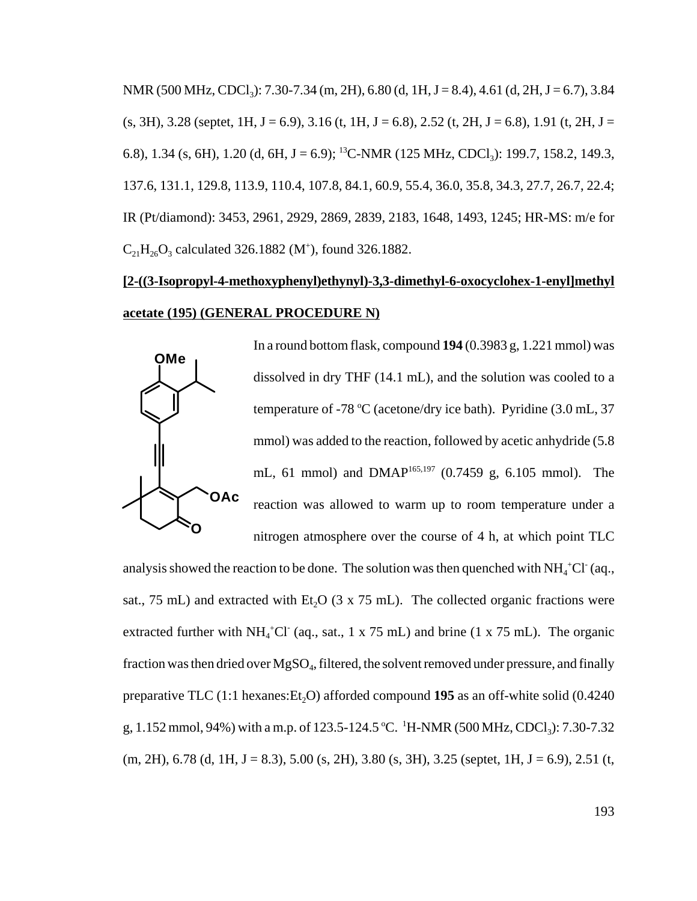NMR (500 MHz, CDCl<sub>3</sub>): 7.30-7.34 (m, 2H), 6.80 (d, 1H, J = 8.4), 4.61 (d, 2H, J = 6.7), 3.84  $(s, 3H), 3.28$  (septet, 1H, J = 6.9), 3.16 (t, 1H, J = 6.8), 2.52 (t, 2H, J = 6.8), 1.91 (t, 2H, J = 6.8), 1.34 (s, 6H), 1.20 (d, 6H, J = 6.9); <sup>13</sup>C-NMR (125 MHz, CDCl<sub>3</sub>): 199.7, 158.2, 149.3, 137.6, 131.1, 129.8, 113.9, 110.4, 107.8, 84.1, 60.9, 55.4, 36.0, 35.8, 34.3, 27.7, 26.7, 22.4; IR (Pt/diamond): 3453, 2961, 2929, 2869, 2839, 2183, 1648, 1493, 1245; HR-MS: m/e for  $C_{21}H_{26}O_3$  calculated 326.1882 (M<sup>+</sup>), found 326.1882.

# **[2-((3-Isopropyl-4-methoxyphenyl)ethynyl)-3,3-dimethyl-6-oxocyclohex-1-enyl]methyl acetate (195) (GENERAL PROCEDURE N)**



In a round bottom flask, compound **194** (0.3983 g, 1.221 mmol) was dissolved in dry THF (14.1 mL), and the solution was cooled to a temperature of -78 °C (acetone/dry ice bath). Pyridine (3.0 mL, 37 mmol) was added to the reaction, followed by acetic anhydride (5.8 mL, 61 mmol) and DMAP165,197 (0.7459 g, 6.105 mmol). The reaction was allowed to warm up to room temperature under a nitrogen atmosphere over the course of 4 h, at which point TLC

analysis showed the reaction to be done. The solution was then quenched with  $NH_4^+Cl^-(aq)$ . sat., 75 mL) and extracted with Et<sub>2</sub>O (3 x 75 mL). The collected organic fractions were extracted further with  $NH_4^+Cl^-(aq_4, sat., 1 \times 75 \text{ mL})$  and brine (1 x 75 mL). The organic fraction was then dried over  $MgSO_4$ , filtered, the solvent removed under pressure, and finally preparative TLC  $(1:1 \text{ hexanes:Et}, O)$  afforded compound 195 as an off-white solid  $(0.4240 \text{ }})$ g, 1.152 mmol, 94%) with a m.p. of 123.5-124.5 °C. <sup>1</sup>H-NMR (500 MHz, CDCl<sub>3</sub>): 7.30-7.32  $(m, 2H)$ , 6.78 (d, 1H, J = 8.3), 5.00 (s, 2H), 3.80 (s, 3H), 3.25 (septet, 1H, J = 6.9), 2.51 (t,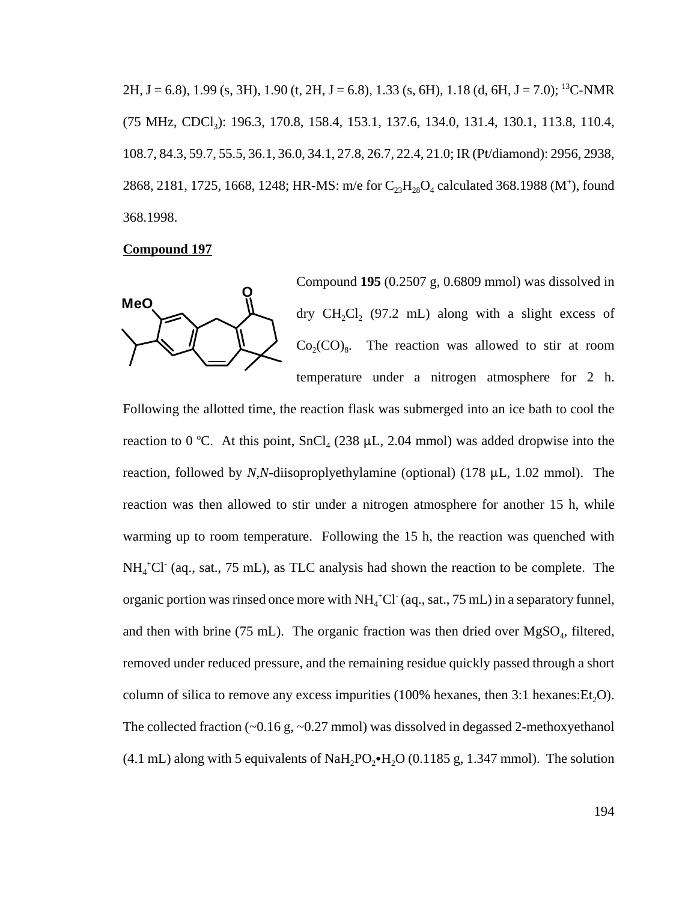2H, J = 6.8), 1.99 (s, 3H), 1.90 (t, 2H, J = 6.8), 1.33 (s, 6H), 1.18 (d, 6H, J = 7.0); <sup>13</sup>C-NMR (75 MHz, CDCl<sub>3</sub>): 196.3, 170.8, 158.4, 153.1, 137.6, 134.0, 131.4, 130.1, 113.8, 110.4, 108.7, 84.3, 59.7, 55.5, 36.1, 36.0, 34.1, 27.8, 26.7, 22.4, 21.0; IR (Pt/diamond): 2956, 2938, 2868, 2181, 1725, 1668, 1248; HR-MS: m/e for  $C_{23}H_{28}O_4$  calculated 368.1988 (M<sup>+</sup>), found 368.1998.

#### **Compound 197**



Compound **195** (0.2507 g, 0.6809 mmol) was dissolved in dry  $CH_2Cl$ , (97.2 mL) along with a slight excess of  $Co_2(CO)_8$ . The reaction was allowed to stir at room temperature under a nitrogen atmosphere for 2 h.

Following the allotted time, the reaction flask was submerged into an ice bath to cool the reaction to 0 °C. At this point,  $SnCl<sub>4</sub>$  (238 µL, 2.04 mmol) was added dropwise into the reaction, followed by *N,N*-diisoproplyethylamine (optional) (178  $\mu$ L, 1.02 mmol). The reaction was then allowed to stir under a nitrogen atmosphere for another 15 h, while warming up to room temperature. Following the 15 h, the reaction was quenched with  $NH<sub>4</sub><sup>+</sup>Cl<sup>-</sup>$  (aq., sat., 75 mL), as TLC analysis had shown the reaction to be complete. The organic portion was rinsed once more with NH<sub>4</sub><sup>+</sup>Cl<sup>-</sup> (aq., sat., 75 mL) in a separatory funnel, and then with brine (75 mL). The organic fraction was then dried over  $MgSO<sub>4</sub>$ , filtered, removed under reduced pressure, and the remaining residue quickly passed through a short column of silica to remove any excess impurities  $(100\%$  hexanes, then 3:1 hexanes: Et.O. The collected fraction  $(-0.16 \text{ g}, -0.27 \text{ mmol})$  was dissolved in degassed 2-methoxyethanol (4.1 mL) along with 5 equivalents of NaH<sub>2</sub>PO<sub>2</sub> $\bullet$ H<sub>2</sub>O (0.1185 g, 1.347 mmol). The solution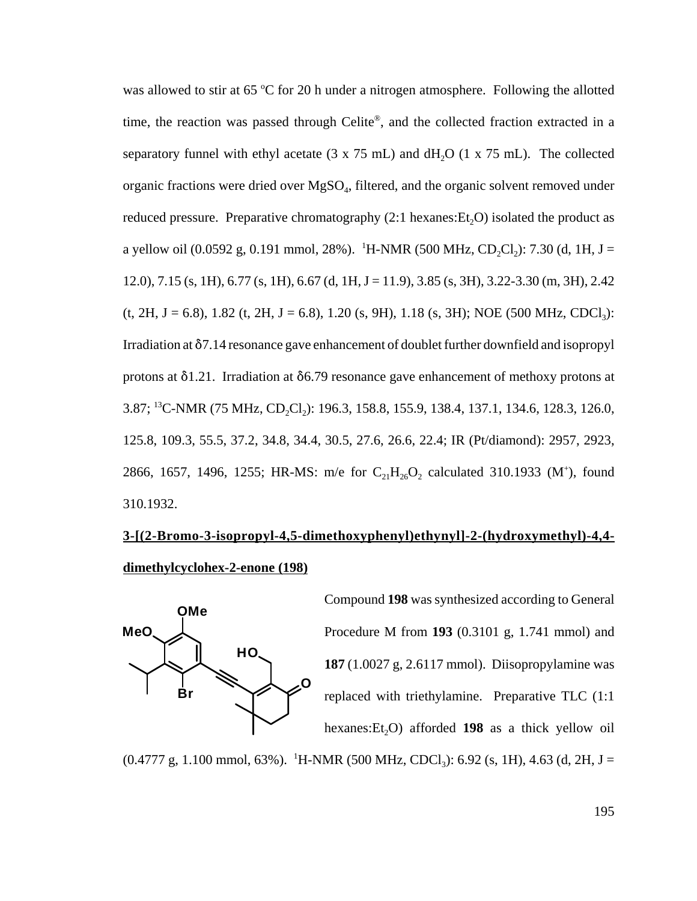was allowed to stir at 65 °C for 20 h under a nitrogen atmosphere. Following the allotted time, the reaction was passed through Celite®, and the collected fraction extracted in a separatory funnel with ethyl acetate  $(3 \times 75 \text{ mL})$  and  $dH_2O$   $(1 \times 75 \text{ mL})$ . The collected organic fractions were dried over  $MgSO_4$ , filtered, and the organic solvent removed under reduced pressure. Preparative chromatography  $(2.1 \text{ hexanes:Et}_{2}O)$  isolated the product as a yellow oil (0.0592 g, 0.191 mmol, 28%). <sup>1</sup>H-NMR (500 MHz, CD<sub>2</sub>Cl<sub>2</sub>): 7.30 (d, 1H, J = 12.0), 7.15 (s, 1H), 6.77 (s, 1H), 6.67 (d, 1H, J = 11.9), 3.85 (s, 3H), 3.22-3.30 (m, 3H), 2.42  $(t, 2H, J = 6.8)$ , 1.82  $(t, 2H, J = 6.8)$ , 1.20  $(s, 9H)$ , 1.18  $(s, 3H)$ ; NOE (500 MHz, CDCl<sub>3</sub>): Irradiation at  $\delta$ 7.14 resonance gave enhancement of doublet further downfield and isopropyl protons at  $\delta$ 1.21. Irradiation at  $\delta$ 6.79 resonance gave enhancement of methoxy protons at 3.87; <sup>13</sup>C-NMR (75 MHz, CD<sub>2</sub>Cl<sub>2</sub>): 196.3, 158.8, 155.9, 138.4, 137.1, 134.6, 128.3, 126.0, 125.8, 109.3, 55.5, 37.2, 34.8, 34.4, 30.5, 27.6, 26.6, 22.4; IR (Pt/diamond): 2957, 2923, 2866, 1657, 1496, 1255; HR-MS: m/e for  $C_{21}H_{26}O_2$  calculated 310.1933 (M<sup>+</sup>), found 310.1932.

## **3-[(2-Bromo-3-isopropyl-4,5-dimethoxyphenyl)ethynyl]-2-(hydroxymethyl)-4,4 dimethylcyclohex-2-enone (198)**



Compound **198** was synthesized according to General Procedure M from **193** (0.3101 g, 1.741 mmol) and **187** (1.0027 g, 2.6117 mmol). Diisopropylamine was replaced with triethylamine. Preparative TLC (1:1 hexanes: Et<sub>2</sub>O) afforded **198** as a thick yellow oil

 $(0.4777 \text{ g}, 1.100 \text{ mmol}, 63\%)$ . <sup>1</sup>H-NMR (500 MHz, CDCl<sub>3</sub>): 6.92 (s, 1H), 4.63 (d, 2H, J =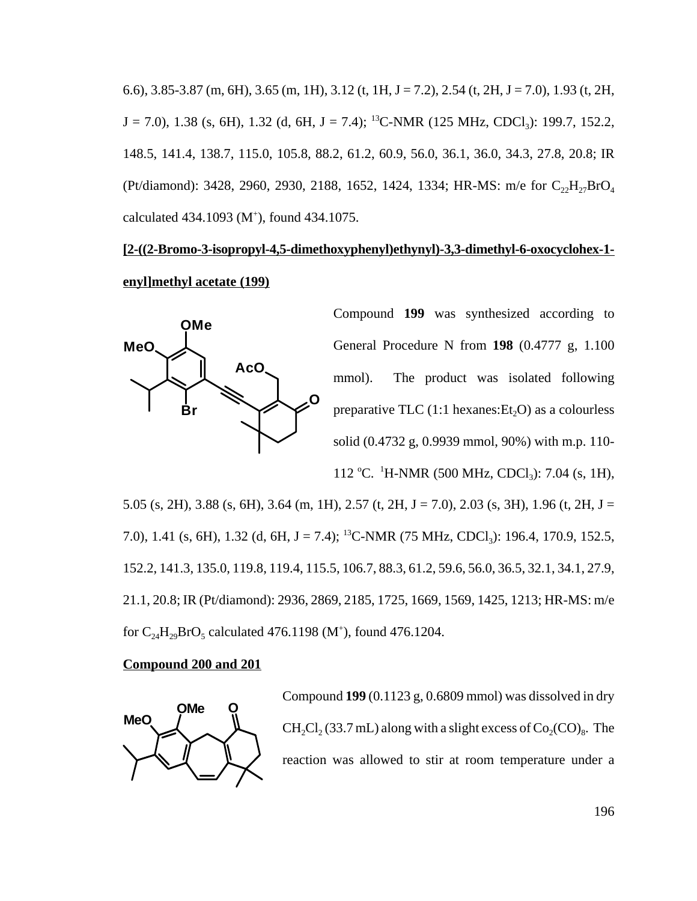6.6), 3.85-3.87 (m, 6H), 3.65 (m, 1H), 3.12 (t, 1H, J = 7.2), 2.54 (t, 2H, J = 7.0), 1.93 (t, 2H,  $J = 7.0$ ), 1.38 (s, 6H), 1.32 (d, 6H,  $J = 7.4$ ); <sup>13</sup>C-NMR (125 MHz, CDCl<sub>3</sub>): 199.7, 152.2, 148.5, 141.4, 138.7, 115.0, 105.8, 88.2, 61.2, 60.9, 56.0, 36.1, 36.0, 34.3, 27.8, 20.8; IR (Pt/diamond): 3428, 2960, 2930, 2188, 1652, 1424, 1334; HR-MS: m/e for C<sub>22</sub>H<sub>27</sub>BrO<sub>4</sub> calculated 434.1093 (M<sup>+</sup>), found 434.1075.

### **[2-((2-Bromo-3-isopropyl-4,5-dimethoxyphenyl)ethynyl)-3,3-dimethyl-6-oxocyclohex-1 enyl]methyl acetate (199)**



Compound **199** was synthesized according to General Procedure N from **198** (0.4777 g, 1.100 mmol). The product was isolated following preparative TLC  $(1:1 \text{ hexanes:Et}, O)$  as a colourless solid (0.4732 g, 0.9939 mmol, 90%) with m.p. 110-

112 °C. <sup>1</sup>H-NMR (500 MHz, CDCl<sub>3</sub>): 7.04 (s, 1H),

5.05 (s, 2H), 3.88 (s, 6H), 3.64 (m, 1H), 2.57 (t, 2H, J = 7.0), 2.03 (s, 3H), 1.96 (t, 2H, J = 7.0), 1.41 (s, 6H), 1.32 (d, 6H, J = 7.4); <sup>13</sup>C-NMR (75 MHz, CDCl<sub>3</sub>): 196.4, 170.9, 152.5, 152.2, 141.3, 135.0, 119.8, 119.4, 115.5, 106.7, 88.3, 61.2, 59.6, 56.0, 36.5, 32.1, 34.1, 27.9, 21.1, 20.8; IR (Pt/diamond): 2936, 2869, 2185, 1725, 1669, 1569, 1425, 1213; HR-MS: m/e for  $C_{24}H_{29}BrO_5$  calculated 476.1198 (M<sup>+</sup>), found 476.1204.

#### **Compound 200 and 201**



Compound **199** (0.1123 g, 0.6809 mmol) was dissolved in dry  $CH_2Cl_2 (33.7 \text{ mL})$  along with a slight excess of  $Co_2(CO)_8$ . The reaction was allowed to stir at room temperature under a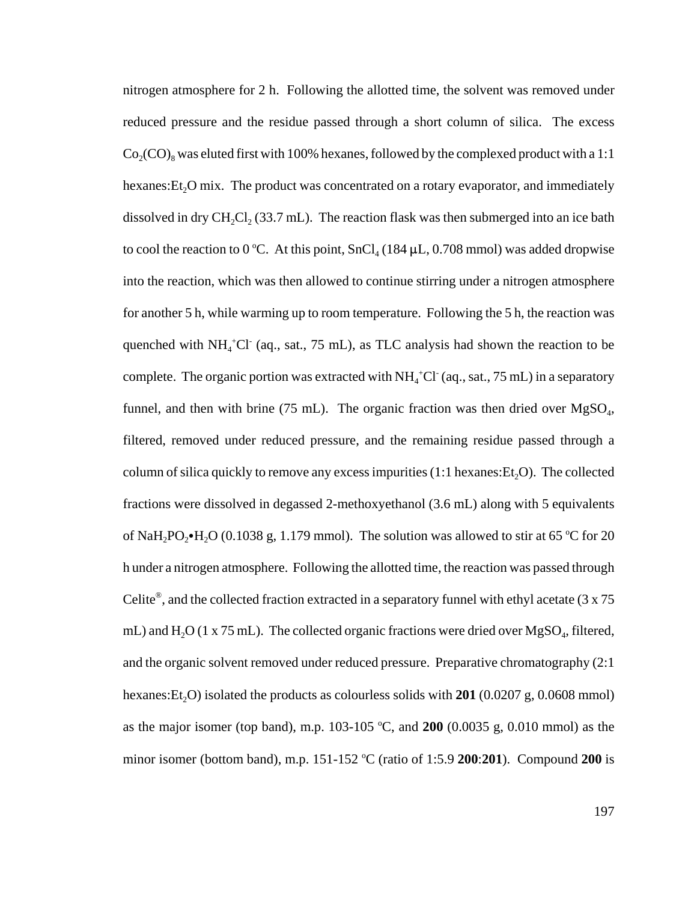nitrogen atmosphere for 2 h. Following the allotted time, the solvent was removed under reduced pressure and the residue passed through a short column of silica. The excess  $Co_2(CO)$ <sub>8</sub> was eluted first with 100% hexanes, followed by the complexed product with a 1:1 hexanes:  $Et<sub>2</sub>O$  mix. The product was concentrated on a rotary evaporator, and immediately dissolved in dry  $CH_2Cl_2$  (33.7 mL). The reaction flask was then submerged into an ice bath to cool the reaction to 0 °C. At this point,  $SnCl<sub>4</sub>$  (184  $\mu$ L, 0.708 mmol) was added dropwise into the reaction, which was then allowed to continue stirring under a nitrogen atmosphere for another 5 h, while warming up to room temperature. Following the 5 h, the reaction was quenched with  $NH_4^+Cl^-$  (aq., sat., 75 mL), as TLC analysis had shown the reaction to be complete. The organic portion was extracted with  $NH<sub>4</sub>$ <sup>+</sup>Cl<sup>-</sup> (aq., sat., 75 mL) in a separatory funnel, and then with brine (75 mL). The organic fraction was then dried over  $MgSO<sub>4</sub>$ , filtered, removed under reduced pressure, and the remaining residue passed through a column of silica quickly to remove any excess impurities  $(1:1 \text{ hexanes:Et}, O)$ . The collected fractions were dissolved in degassed 2-methoxyethanol (3.6 mL) along with 5 equivalents of NaH<sub>2</sub>PO<sub>2</sub> $\cdot$ H<sub>2</sub>O (0.1038 g, 1.179 mmol). The solution was allowed to stir at 65 °C for 20 h under a nitrogen atmosphere. Following the allotted time, the reaction was passed through Celite<sup>®</sup>, and the collected fraction extracted in a separatory funnel with ethyl acetate (3 x 75 mL) and  $H_2O$  (1 x 75 mL). The collected organic fractions were dried over  $MgSO_4$ , filtered, and the organic solvent removed under reduced pressure. Preparative chromatography (2:1 hexanes: Et<sub>2</sub>O) isolated the products as colourless solids with  $201$  (0.0207 g, 0.0608 mmol) as the major isomer (top band), m.p.  $103-105$  °C, and  $200$  (0.0035 g, 0.010 mmol) as the minor isomer (bottom band), m.p. 151-152 °C (ratio of 1:5.9 **200:201**). Compound **200** is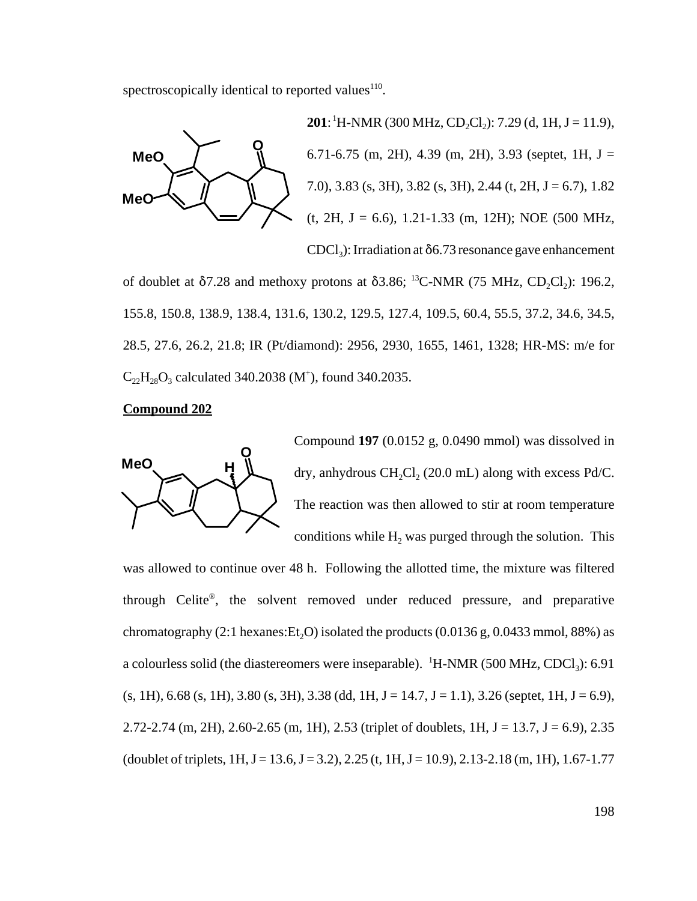spectroscopically identical to reported values $110$ .



**201**: <sup>1</sup>H-NMR (300 MHz, CD<sub>2</sub>Cl<sub>2</sub>): 7.29 (d, 1H, J = 11.9), 6.71-6.75 (m, 2H), 4.39 (m, 2H), 3.93 (septet, 1H,  $J =$ 7.0), 3.83 (s, 3H), 3.82 (s, 3H), 2.44 (t, 2H,  $J = 6.7$ ), 1.82  $(t, 2H, J = 6.6)$ , 1.21-1.33 (m, 12H); NOE (500 MHz,  $CDCl<sub>3</sub>$ : Irradiation at  $\delta$ 6.73 resonance gave enhancement

of doublet at  $\delta$ 7.28 and methoxy protons at  $\delta$ 3.86; <sup>13</sup>C-NMR (75 MHz, CD<sub>2</sub>Cl<sub>2</sub>): 196.2, 155.8, 150.8, 138.9, 138.4, 131.6, 130.2, 129.5, 127.4, 109.5, 60.4, 55.5, 37.2, 34.6, 34.5, 28.5, 27.6, 26.2, 21.8; IR (Pt/diamond): 2956, 2930, 1655, 1461, 1328; HR-MS: m/e for  $C_{22}H_{28}O_3$  calculated 340.2038 (M<sup>+</sup>), found 340.2035.

#### **Compound 202**



Compound **197** (0.0152 g, 0.0490 mmol) was dissolved in dry, anhydrous CH<sub>2</sub>Cl<sub>2</sub> (20.0 mL) along with excess Pd/C. The reaction was then allowed to stir at room temperature conditions while  $H_2$  was purged through the solution. This

was allowed to continue over 48 h. Following the allotted time, the mixture was filtered through Celite®, the solvent removed under reduced pressure, and preparative chromatography (2:1 hexanes: Et<sub>2</sub>O) isolated the products (0.0136 g, 0.0433 mmol, 88%) as a colourless solid (the diastereomers were inseparable).  ${}^{1}$ H-NMR (500 MHz, CDCl<sub>3</sub>): 6.91  $(s, 1H)$ , 6.68  $(s, 1H)$ , 3.80  $(s, 3H)$ , 3.38 (dd, 1H, J = 14.7, J = 1.1), 3.26 (septet, 1H, J = 6.9), 2.72-2.74 (m, 2H), 2.60-2.65 (m, 1H), 2.53 (triplet of doublets, 1H, J = 13.7, J = 6.9), 2.35 (doublet of triplets,  $1H, J = 13.6, J = 3.2$ ),  $2.25$  (t,  $1H, J = 10.9$ ),  $2.13-2.18$  (m,  $1H$ ),  $1.67-1.77$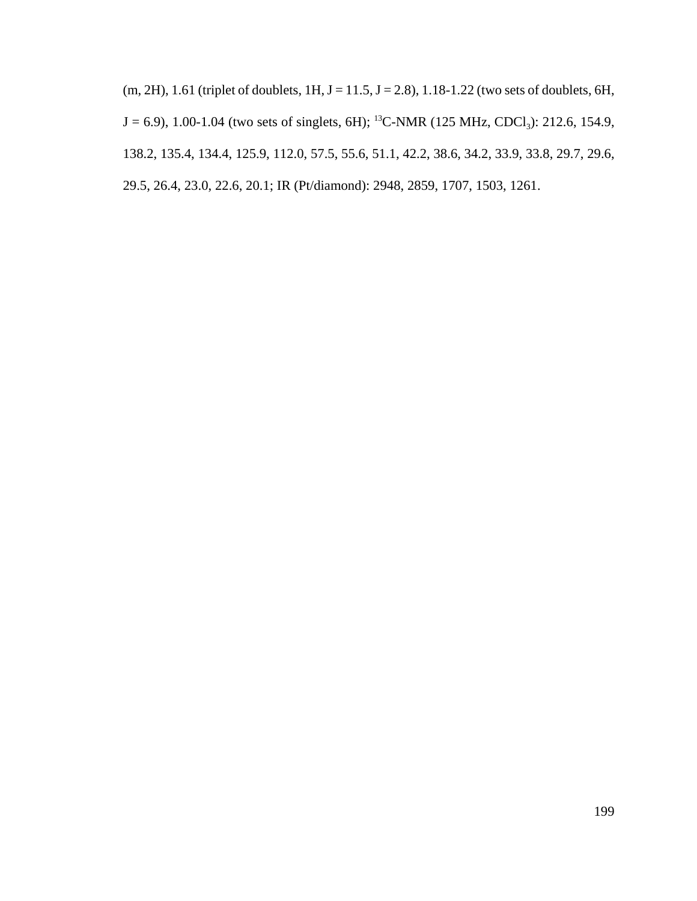$(m, 2H)$ , 1.61 (triplet of doublets, 1H, J = 11.5, J = 2.8), 1.18-1.22 (two sets of doublets, 6H,  $J = 6.9$ ), 1.00-1.04 (two sets of singlets, 6H); <sup>13</sup>C-NMR (125 MHz, CDCl<sub>3</sub>): 212.6, 154.9, 138.2, 135.4, 134.4, 125.9, 112.0, 57.5, 55.6, 51.1, 42.2, 38.6, 34.2, 33.9, 33.8, 29.7, 29.6, 29.5, 26.4, 23.0, 22.6, 20.1; IR (Pt/diamond): 2948, 2859, 1707, 1503, 1261.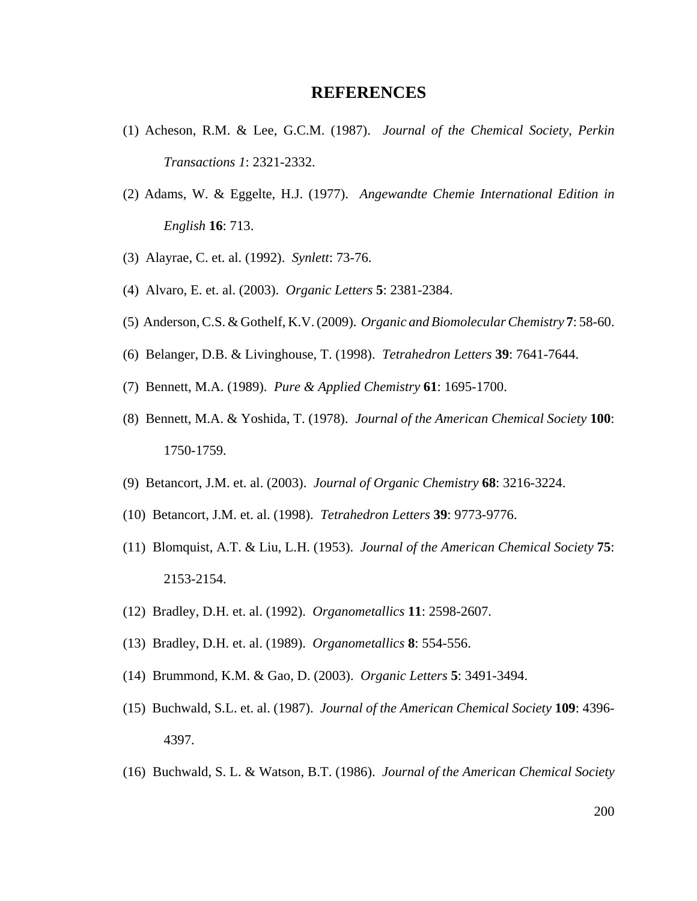### **REFERENCES**

- (1) Acheson, R.M. & Lee, G.C.M. (1987). *Journal of the Chemical Society, Perkin Transactions 1*: 2321-2332.
- (2) Adams, W. & Eggelte, H.J. (1977). *Angewandte Chemie International Edition in English* **16**: 713.
- (3) Alayrae, C. et. al. (1992). *Synlett*: 73-76.
- (4) Alvaro, E. et. al. (2003). *Organic Letters* **5**: 2381-2384.
- (5) Anderson, C.S. & Gothelf, K.V. (2009). *Organic and Biomolecular Chemistry* **7**: 58-60.
- (6) Belanger, D.B. & Livinghouse, T. (1998). *Tetrahedron Letters* **39**: 7641-7644.
- (7) Bennett, M.A. (1989). *Pure & Applied Chemistry* **61**: 1695-1700.
- (8) Bennett, M.A. & Yoshida, T. (1978). *Journal of the American Chemical Society* **100**: 1750-1759.
- (9) Betancort, J.M. et. al. (2003). *Journal of Organic Chemistry* **68**: 3216-3224.
- (10) Betancort, J.M. et. al. (1998). *Tetrahedron Letters* **39**: 9773-9776.
- (11) Blomquist, A.T. & Liu, L.H. (1953). *Journal of the American Chemical Society* **75**: 2153-2154.
- (12) Bradley, D.H. et. al. (1992). *Organometallics* **11**: 2598-2607.
- (13) Bradley, D.H. et. al. (1989). *Organometallics* **8**: 554-556.
- (14) Brummond, K.M. & Gao, D. (2003). *Organic Letters* **5**: 3491-3494.
- (15) Buchwald, S.L. et. al. (1987). *Journal of the American Chemical Society* **109**: 4396- 4397.
- (16) Buchwald, S. L. & Watson, B.T. (1986). *Journal of the American Chemical Society*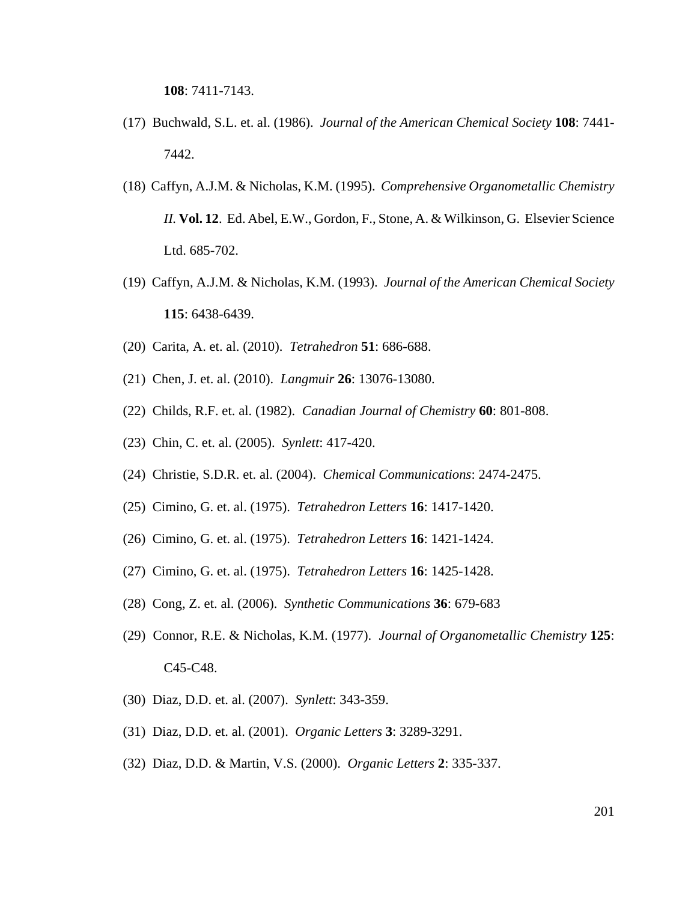**108**: 7411-7143.

- (17) Buchwald, S.L. et. al. (1986). *Journal of the American Chemical Society* **108**: 7441- 7442.
- (18) Caffyn, A.J.M. & Nicholas, K.M. (1995). *Comprehensive Organometallic Chemistry II.* **Vol. 12**. Ed. Abel, E.W., Gordon, F., Stone, A. & Wilkinson, G. Elsevier Science Ltd. 685-702.
- (19) Caffyn, A.J.M. & Nicholas, K.M. (1993). *Journal of the American Chemical Society* **115**: 6438-6439.
- (20) Carita, A. et. al. (2010). *Tetrahedron* **51**: 686-688.
- (21) Chen, J. et. al. (2010). *Langmuir* **26**: 13076-13080.
- (22) Childs, R.F. et. al. (1982). *Canadian Journal of Chemistry* **60**: 801-808.
- (23) Chin, C. et. al. (2005). *Synlett*: 417-420.
- (24) Christie, S.D.R. et. al. (2004). *Chemical Communications*: 2474-2475.
- (25) Cimino, G. et. al. (1975). *Tetrahedron Letters* **16**: 1417-1420.
- (26) Cimino, G. et. al. (1975). *Tetrahedron Letters* **16**: 1421-1424.
- (27) Cimino, G. et. al. (1975). *Tetrahedron Letters* **16**: 1425-1428.
- (28) Cong, Z. et. al. (2006). *Synthetic Communications* **36**: 679-683
- (29) Connor, R.E. & Nicholas, K.M. (1977). *Journal of Organometallic Chemistry* **125**: C45-C48.
- (30) Diaz, D.D. et. al. (2007). *Synlett*: 343-359.
- (31) Diaz, D.D. et. al. (2001). *Organic Letters* **3**: 3289-3291.
- (32) Diaz, D.D. & Martin, V.S. (2000). *Organic Letters* **2**: 335-337.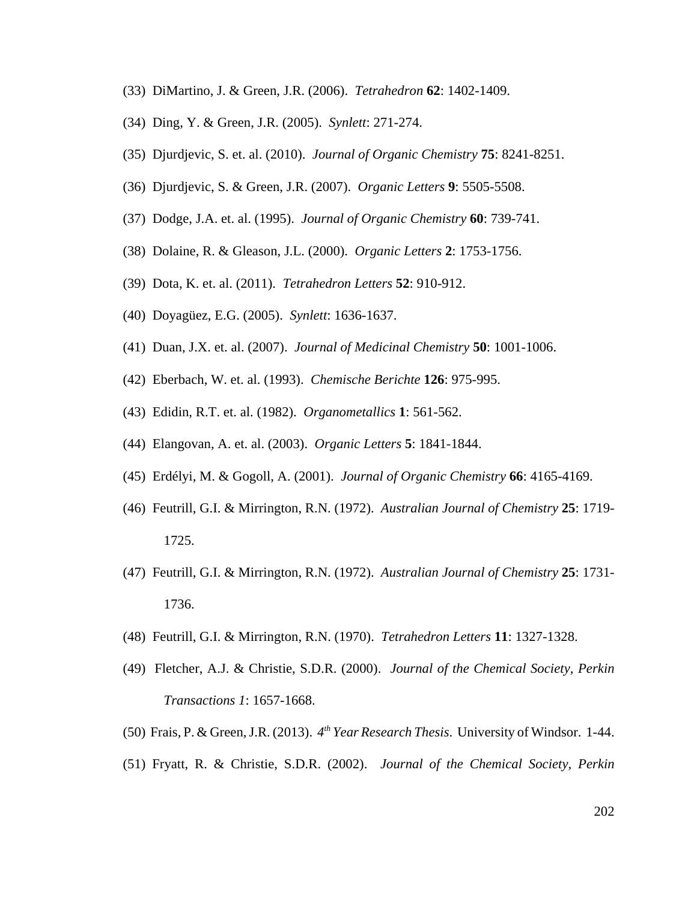- (33) DiMartino, J. & Green, J.R. (2006). *Tetrahedron* **62**: 1402-1409.
- (34) Ding, Y. & Green, J.R. (2005). *Synlett*: 271-274.
- (35) Djurdjevic, S. et. al. (2010). *Journal of Organic Chemistry* **75**: 8241-8251.
- (36) Djurdjevic, S. & Green, J.R. (2007). *Organic Letters* **9**: 5505-5508.
- (37) Dodge, J.A. et. al. (1995). *Journal of Organic Chemistry* **60**: 739-741.
- (38) Dolaine, R. & Gleason, J.L. (2000). *Organic Letters* **2**: 1753-1756.
- (39) Dota, K. et. al. (2011). *Tetrahedron Letters* **52**: 910-912.
- (40) Doyagüez, E.G. (2005). *Synlett*: 1636-1637.
- (41) Duan, J.X. et. al. (2007). *Journal of Medicinal Chemistry* **50**: 1001-1006.
- (42) Eberbach, W. et. al. (1993). *Chemische Berichte* **126**: 975-995.
- (43) Edidin, R.T. et. al. (1982). *Organometallics* **1**: 561-562.
- (44) Elangovan, A. et. al. (2003). *Organic Letters* **5**: 1841-1844.
- (45) Erdélyi, M. & Gogoll, A. (2001). *Journal of Organic Chemistry* **66**: 4165-4169.
- (46) Feutrill, G.I. & Mirrington, R.N. (1972). *Australian Journal of Chemistry* **25**: 1719- 1725.
- (47) Feutrill, G.I. & Mirrington, R.N. (1972). *Australian Journal of Chemistry* **25**: 1731- 1736.
- (48) Feutrill, G.I. & Mirrington, R.N. (1970). *Tetrahedron Letters* **11**: 1327-1328.
- (49) Fletcher, A.J. & Christie, S.D.R. (2000). *Journal of the Chemical Society, Perkin Transactions 1*: 1657-1668.
- (50) Frais, P. & Green, J.R. (2013). *4th Year Research Thesis*. University of Windsor. 1-44.
- (51) Fryatt, R. & Christie, S.D.R. (2002). *Journal of the Chemical Society, Perkin*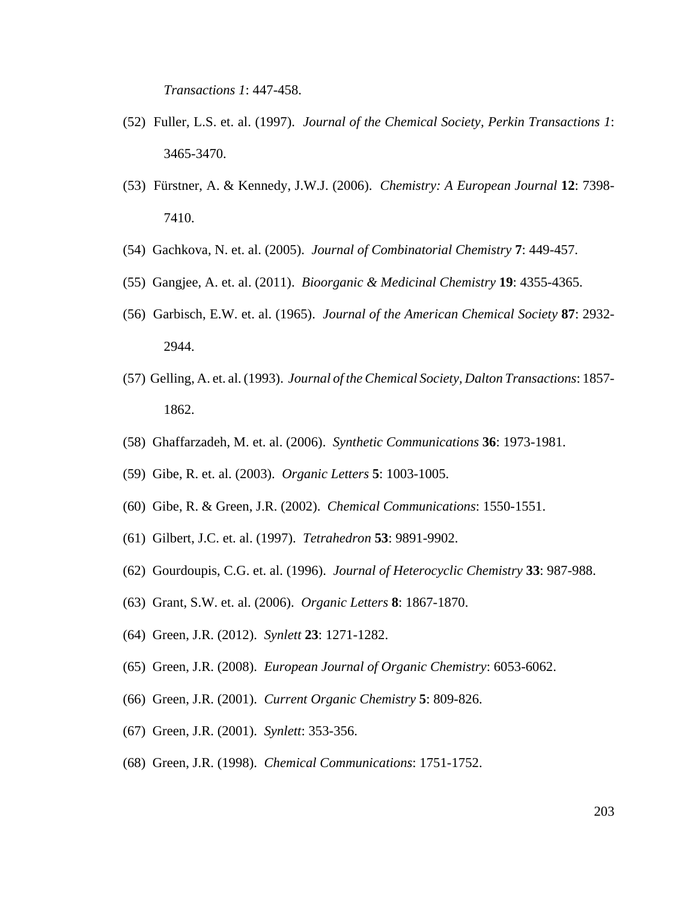*Transactions 1*: 447-458.

- (52) Fuller, L.S. et. al. (1997). *Journal of the Chemical Society, Perkin Transactions 1*: 3465-3470.
- (53) Fürstner, A. & Kennedy, J.W.J. (2006). *Chemistry: A European Journal* **12**: 7398- 7410.
- (54) Gachkova, N. et. al. (2005). *Journal of Combinatorial Chemistry* **7**: 449-457.
- (55) Gangjee, A. et. al. (2011). *Bioorganic & Medicinal Chemistry* **19**: 4355-4365.
- (56) Garbisch, E.W. et. al. (1965). *Journal of the American Chemical Society* **87**: 2932- 2944.
- (57) Gelling, A. et. al. (1993). *Journal of the Chemical Society, Dalton Transactions*: 1857- 1862.
- (58) Ghaffarzadeh, M. et. al. (2006). *Synthetic Communications* **36**: 1973-1981.
- (59) Gibe, R. et. al. (2003). *Organic Letters* **5**: 1003-1005.
- (60) Gibe, R. & Green, J.R. (2002). *Chemical Communications*: 1550-1551.
- (61) Gilbert, J.C. et. al. (1997). *Tetrahedron* **53**: 9891-9902.
- (62) Gourdoupis, C.G. et. al. (1996). *Journal of Heterocyclic Chemistry* **33**: 987-988.
- (63) Grant, S.W. et. al. (2006). *Organic Letters* **8**: 1867-1870.
- (64) Green, J.R. (2012). *Synlett* **23**: 1271-1282.
- (65) Green, J.R. (2008). *European Journal of Organic Chemistry*: 6053-6062.
- (66) Green, J.R. (2001). *Current Organic Chemistry* **5**: 809-826.
- (67) Green, J.R. (2001). *Synlett*: 353-356.
- (68) Green, J.R. (1998). *Chemical Communications*: 1751-1752.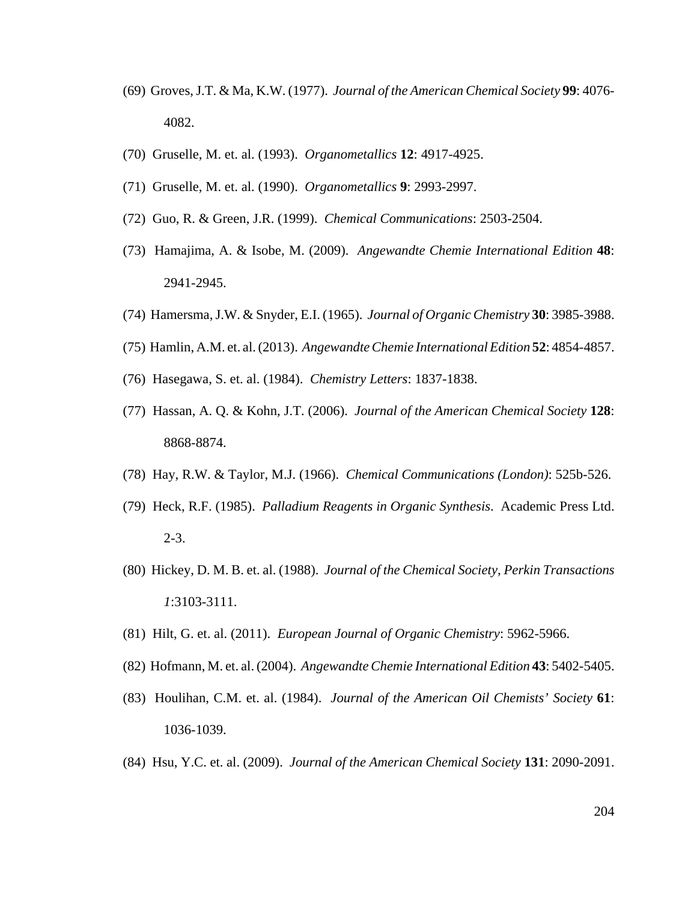- (69) Groves, J.T. & Ma, K.W. (1977). *Journal of the American Chemical Society* **99**: 4076- 4082.
- (70) Gruselle, M. et. al. (1993). *Organometallics* **12**: 4917-4925.
- (71) Gruselle, M. et. al. (1990). *Organometallics* **9**: 2993-2997.
- (72) Guo, R. & Green, J.R. (1999). *Chemical Communications*: 2503-2504.
- (73) Hamajima, A. & Isobe, M. (2009). *Angewandte Chemie International Edition* **48**: 2941-2945.
- (74) Hamersma, J.W. & Snyder, E.I. (1965). *Journal of Organic Chemistry* **30**: 3985-3988.
- (75) Hamlin, A.M. et. al. (2013). *Angewandte Chemie International Edition* **52**: 4854-4857.
- (76) Hasegawa, S. et. al. (1984). *Chemistry Letters*: 1837-1838.
- (77) Hassan, A. Q. & Kohn, J.T. (2006). *Journal of the American Chemical Society* **128**: 8868-8874.
- (78) Hay, R.W. & Taylor, M.J. (1966). *Chemical Communications (London)*: 525b-526.
- (79) Heck, R.F. (1985). *Palladium Reagents in Organic Synthesis*. Academic Press Ltd. 2-3.
- (80) Hickey, D. M. B. et. al. (1988). *Journal of the Chemical Society, Perkin Transactions 1*:3103-3111.
- (81) Hilt, G. et. al. (2011). *European Journal of Organic Chemistry*: 5962-5966.
- (82) Hofmann, M. et. al. (2004). *Angewandte Chemie International Edition* **43**: 5402-5405.
- (83) Houlihan, C.M. et. al. (1984). *Journal of the American Oil Chemists' Society* **61**: 1036-1039.
- (84) Hsu, Y.C. et. al. (2009). *Journal of the American Chemical Society* **131**: 2090-2091.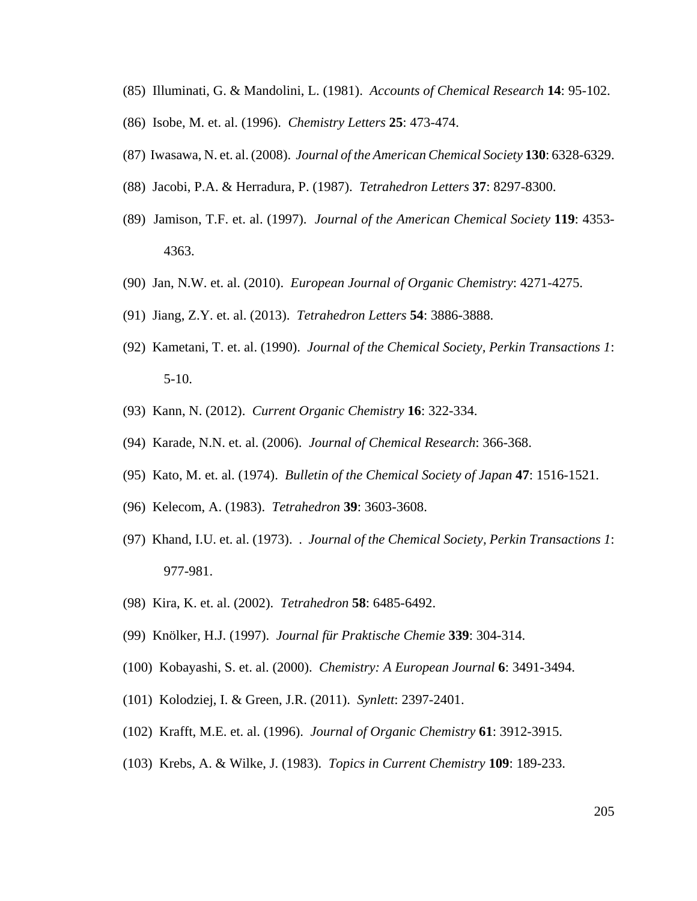- (85) Illuminati, G. & Mandolini, L. (1981). *Accounts of Chemical Research* **14**: 95-102.
- (86) Isobe, M. et. al. (1996). *Chemistry Letters* **25**: 473-474.
- (87) Iwasawa, N. et. al. (2008). *Journal of the American Chemical Society* **130**: 6328-6329.
- (88) Jacobi, P.A. & Herradura, P. (1987). *Tetrahedron Letters* **37**: 8297-8300.
- (89) Jamison, T.F. et. al. (1997). *Journal of the American Chemical Society* **119**: 4353- 4363.
- (90) Jan, N.W. et. al. (2010). *European Journal of Organic Chemistry*: 4271-4275.
- (91) Jiang, Z.Y. et. al. (2013). *Tetrahedron Letters* **54**: 3886-3888.
- (92) Kametani, T. et. al. (1990). *Journal of the Chemical Society, Perkin Transactions 1*: 5-10.
- (93) Kann, N. (2012). *Current Organic Chemistry* **16**: 322-334.
- (94) Karade, N.N. et. al. (2006). *Journal of Chemical Research*: 366-368.
- (95) Kato, M. et. al. (1974). *Bulletin of the Chemical Society of Japan* **47**: 1516-1521.
- (96) Kelecom, A. (1983). *Tetrahedron* **39**: 3603-3608.
- (97) Khand, I.U. et. al. (1973). . *Journal of the Chemical Society, Perkin Transactions 1*: 977-981.
- (98) Kira, K. et. al. (2002). *Tetrahedron* **58**: 6485-6492.
- (99) Knölker, H.J. (1997). *Journal für Praktische Chemie* **339**: 304-314.
- (100) Kobayashi, S. et. al. (2000). *Chemistry: A European Journal* **6**: 3491-3494.
- (101) Kolodziej, I. & Green, J.R. (2011). *Synlett*: 2397-2401.
- (102) Krafft, M.E. et. al. (1996). *Journal of Organic Chemistry* **61**: 3912-3915.
- (103) Krebs, A. & Wilke, J. (1983). *Topics in Current Chemistry* **109**: 189-233.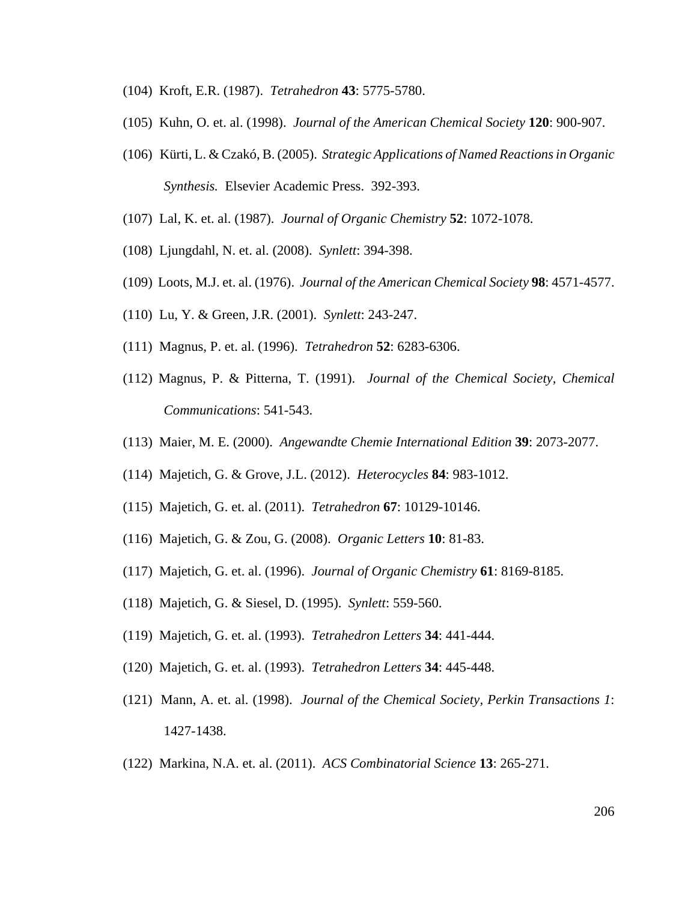- (104) Kroft, E.R. (1987). *Tetrahedron* **43**: 5775-5780.
- (105) Kuhn, O. et. al. (1998). *Journal of the American Chemical Society* **120**: 900-907.
- (106) Kürti, L. & Czakó, B. (2005). *Strategic Applications of Named Reactions in Organic Synthesis.* Elsevier Academic Press. 392-393.
- (107) Lal, K. et. al. (1987). *Journal of Organic Chemistry* **52**: 1072-1078.
- (108) Ljungdahl, N. et. al. (2008). *Synlett*: 394-398.
- (109) Loots, M.J. et. al. (1976). *Journal of the American Chemical Society* **98**: 4571-4577.
- (110) Lu, Y. & Green, J.R. (2001). *Synlett*: 243-247.
- (111) Magnus, P. et. al. (1996). *Tetrahedron* **52**: 6283-6306.
- (112) Magnus, P. & Pitterna, T. (1991). *Journal of the Chemical Society, Chemical Communications*: 541-543.
- (113) Maier, M. E. (2000). *Angewandte Chemie International Edition* **39**: 2073-2077.
- (114) Majetich, G. & Grove, J.L. (2012). *Heterocycles* **84**: 983-1012.
- (115) Majetich, G. et. al. (2011). *Tetrahedron* **67**: 10129-10146.
- (116) Majetich, G. & Zou, G. (2008). *Organic Letters* **10**: 81-83.
- (117) Majetich, G. et. al. (1996). *Journal of Organic Chemistry* **61**: 8169-8185.
- (118) Majetich, G. & Siesel, D. (1995). *Synlett*: 559-560.
- (119) Majetich, G. et. al. (1993). *Tetrahedron Letters* **34**: 441-444.
- (120) Majetich, G. et. al. (1993). *Tetrahedron Letters* **34**: 445-448.
- (121) Mann, A. et. al. (1998). *Journal of the Chemical Society, Perkin Transactions 1*: 1427-1438.
- (122) Markina, N.A. et. al. (2011). *ACS Combinatorial Science* **13**: 265-271.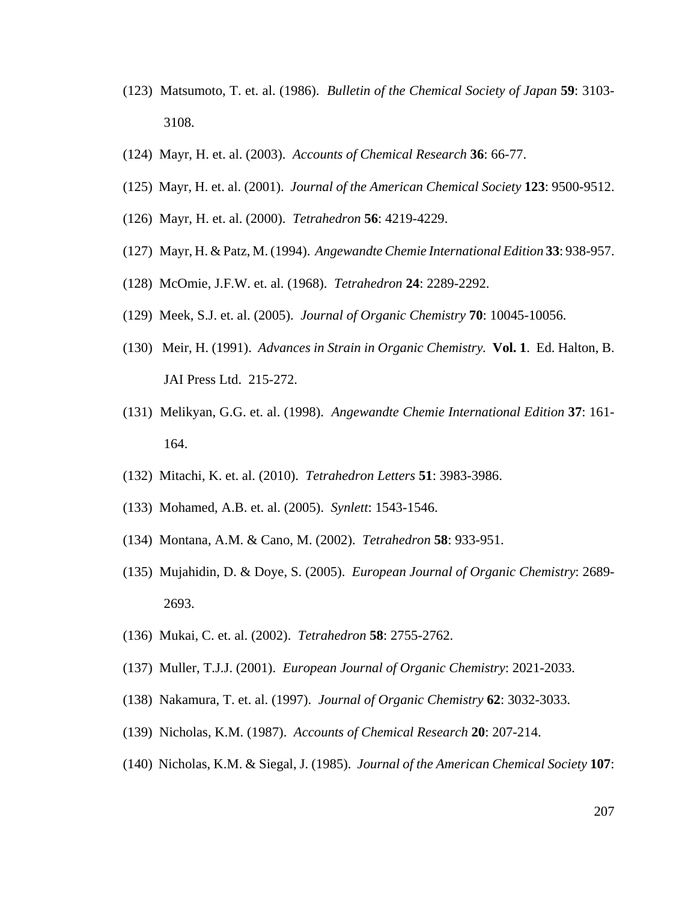- (123) Matsumoto, T. et. al. (1986). *Bulletin of the Chemical Society of Japan* **59**: 3103- 3108.
- (124) Mayr, H. et. al. (2003). *Accounts of Chemical Research* **36**: 66-77.
- (125) Mayr, H. et. al. (2001). *Journal of the American Chemical Society* **123**: 9500-9512.
- (126) Mayr, H. et. al. (2000). *Tetrahedron* **56**: 4219-4229.
- (127) Mayr, H. & Patz, M. (1994). *Angewandte Chemie International Edition* **33**: 938-957.
- (128) McOmie, J.F.W. et. al. (1968). *Tetrahedron* **24**: 2289-2292.
- (129) Meek, S.J. et. al. (2005). *Journal of Organic Chemistry* **70**: 10045-10056.
- (130) Meir, H. (1991). *Advances in Strain in Organic Chemistry.* **Vol. 1**. Ed. Halton, B. JAI Press Ltd. 215-272.
- (131) Melikyan, G.G. et. al. (1998). *Angewandte Chemie International Edition* **37**: 161- 164.
- (132) Mitachi, K. et. al. (2010). *Tetrahedron Letters* **51**: 3983-3986.
- (133) Mohamed, A.B. et. al. (2005). *Synlett*: 1543-1546.
- (134) Montana, A.M. & Cano, M. (2002). *Tetrahedron* **58**: 933-951.
- (135) Mujahidin, D. & Doye, S. (2005). *European Journal of Organic Chemistry*: 2689- 2693.
- (136) Mukai, C. et. al. (2002). *Tetrahedron* **58**: 2755-2762.
- (137) Muller, T.J.J. (2001). *European Journal of Organic Chemistry*: 2021-2033.
- (138) Nakamura, T. et. al. (1997). *Journal of Organic Chemistry* **62**: 3032-3033.
- (139) Nicholas, K.M. (1987). *Accounts of Chemical Research* **20**: 207-214.
- (140) Nicholas, K.M. & Siegal, J. (1985). *Journal of the American Chemical Society* **107**: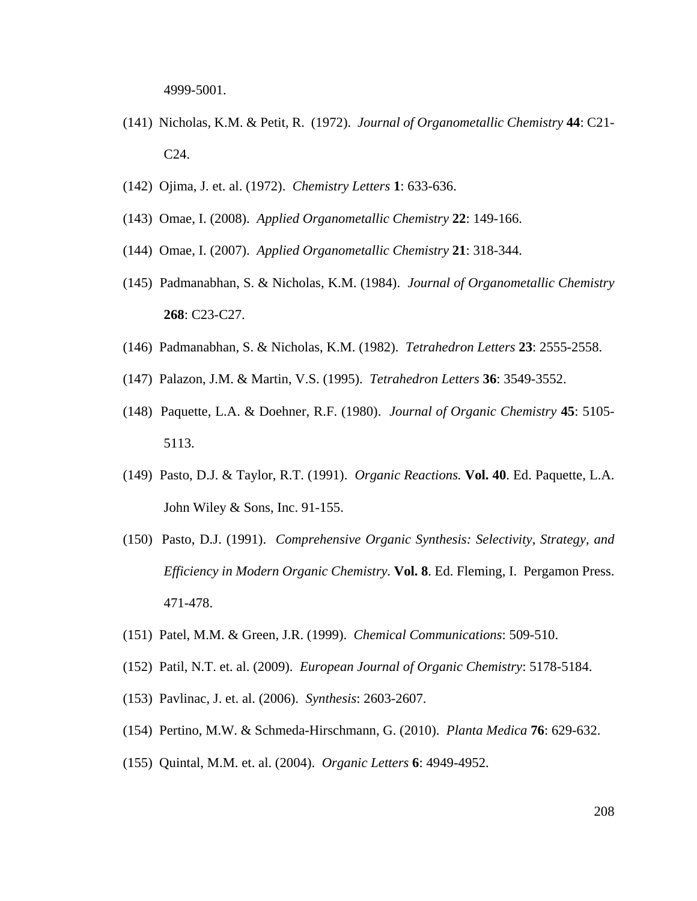4999-5001.

- (141) Nicholas, K.M. & Petit, R. (1972). *Journal of Organometallic Chemistry* **44**: C21- C24.
- (142) Ojima, J. et. al. (1972). *Chemistry Letters* **1**: 633-636.
- (143) Omae, I. (2008). *Applied Organometallic Chemistry* **22**: 149-166.
- (144) Omae, I. (2007). *Applied Organometallic Chemistry* **21**: 318-344.
- (145) Padmanabhan, S. & Nicholas, K.M. (1984). *Journal of Organometallic Chemistry* **268**: C23-C27.
- (146) Padmanabhan, S. & Nicholas, K.M. (1982). *Tetrahedron Letters* **23**: 2555-2558.
- (147) Palazon, J.M. & Martin, V.S. (1995). *Tetrahedron Letters* **36**: 3549-3552.
- (148) Paquette, L.A. & Doehner, R.F. (1980). *Journal of Organic Chemistry* **45**: 5105- 5113.
- (149) Pasto, D.J. & Taylor, R.T. (1991). *Organic Reactions.* **Vol. 40**. Ed. Paquette, L.A. John Wiley & Sons, Inc. 91-155.
- (150) Pasto, D.J. (1991). *Comprehensive Organic Synthesis: Selectivity, Strategy, and Efficiency in Modern Organic Chemistry.* **Vol. 8**. Ed. Fleming, I. Pergamon Press. 471-478.
- (151) Patel, M.M. & Green, J.R. (1999). *Chemical Communications*: 509-510.
- (152) Patil, N.T. et. al. (2009). *European Journal of Organic Chemistry*: 5178-5184.
- (153) Pavlinac, J. et. al. (2006). *Synthesis*: 2603-2607.
- (154) Pertino, M.W. & Schmeda-Hirschmann, G. (2010). *Planta Medica* **76**: 629-632.
- (155) Quintal, M.M. et. al. (2004). *Organic Letters* **6**: 4949-4952.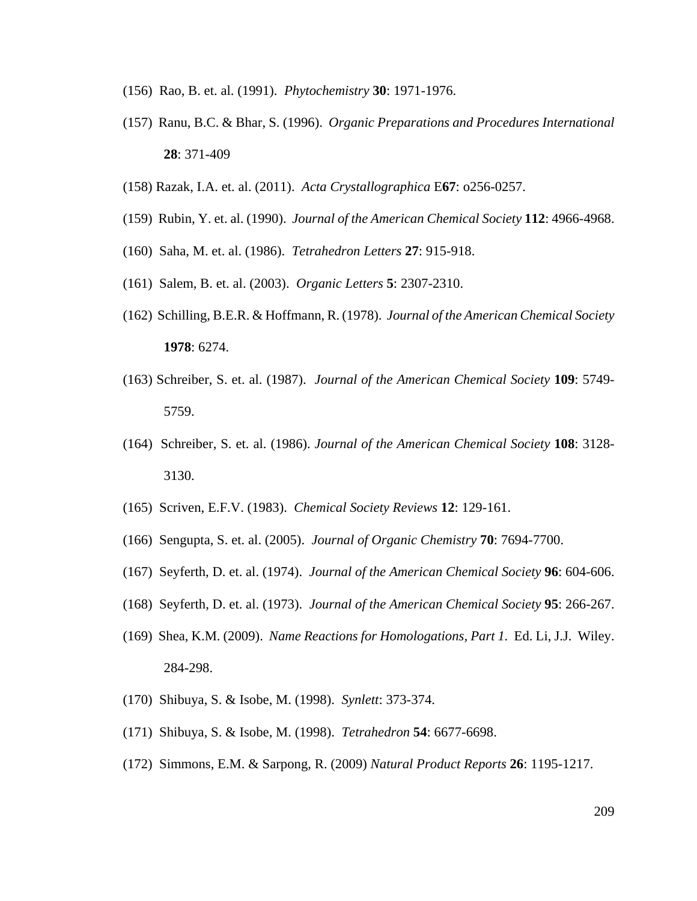- (156) Rao, B. et. al. (1991). *Phytochemistry* **30**: 1971-1976.
- (157) Ranu, B.C. & Bhar, S. (1996). *Organic Preparations and Procedures International* **28**: 371-409
- (158) Razak, I.A. et. al. (2011). *Acta Crystallographica* E**67**: o256-0257.
- (159) Rubin, Y. et. al. (1990). *Journal of the American Chemical Society* **112**: 4966-4968.
- (160) Saha, M. et. al. (1986). *Tetrahedron Letters* **27**: 915-918.
- (161) Salem, B. et. al. (2003). *Organic Letters* **5**: 2307-2310.
- (162) Schilling, B.E.R. & Hoffmann, R. (1978). *Journal of the American Chemical Society* **1978**: 6274.
- (163) Schreiber, S. et. al. (1987). *Journal of the American Chemical Society* **109**: 5749- 5759.
- (164) Schreiber, S. et. al. (1986). *Journal of the American Chemical Society* **108**: 3128- 3130.
- (165) Scriven, E.F.V. (1983). *Chemical Society Reviews* **12**: 129-161.
- (166) Sengupta, S. et. al. (2005). *Journal of Organic Chemistry* **70**: 7694-7700.
- (167) Seyferth, D. et. al. (1974). *Journal of the American Chemical Society* **96**: 604-606.
- (168) Seyferth, D. et. al. (1973). *Journal of the American Chemical Society* **95**: 266-267.
- (169) Shea, K.M. (2009). *Name Reactions for Homologations, Part 1.* Ed. Li, J.J. Wiley. 284-298.
- (170) Shibuya, S. & Isobe, M. (1998). *Synlett*: 373-374.
- (171) Shibuya, S. & Isobe, M. (1998). *Tetrahedron* **54**: 6677-6698.
- (172) Simmons, E.M. & Sarpong, R. (2009) *Natural Product Reports* **26**: 1195-1217.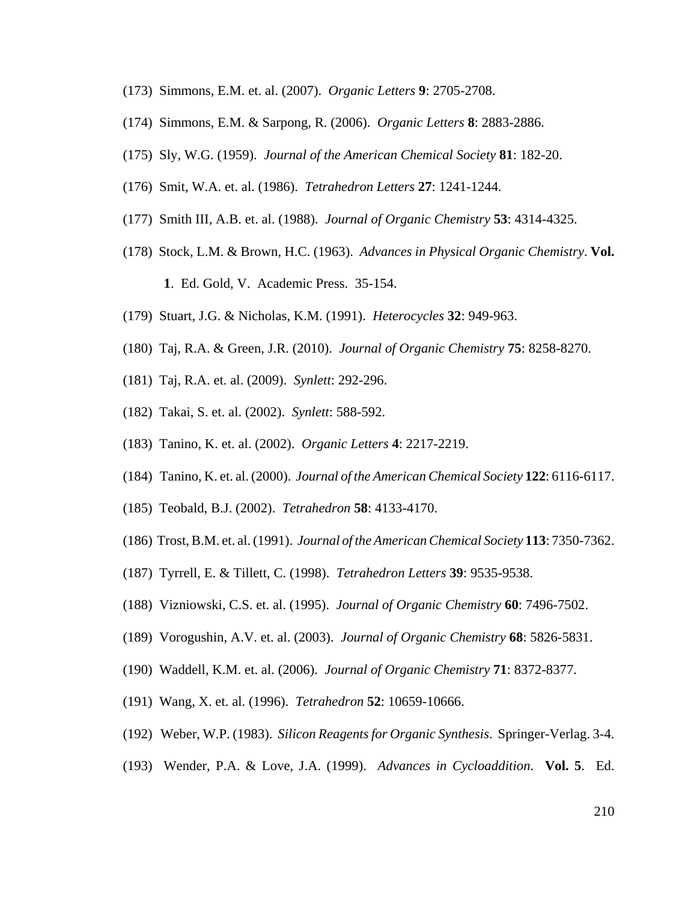- (173) Simmons, E.M. et. al. (2007). *Organic Letters* **9**: 2705-2708.
- (174) Simmons, E.M. & Sarpong, R. (2006). *Organic Letters* **8**: 2883-2886.
- (175) Sly, W.G. (1959). *Journal of the American Chemical Society* **81**: 182-20.
- (176) Smit, W.A. et. al. (1986). *Tetrahedron Letters* **27**: 1241-1244.
- (177) Smith III, A.B. et. al. (1988). *Journal of Organic Chemistry* **53**: 4314-4325.
- (178) Stock, L.M. & Brown, H.C. (1963). *Advances in Physical Organic Chemistry*. **Vol. 1**. Ed. Gold, V. Academic Press. 35-154.
- (179) Stuart, J.G. & Nicholas, K.M. (1991). *Heterocycles* **32**: 949-963.
- (180) Taj, R.A. & Green, J.R. (2010). *Journal of Organic Chemistry* **75**: 8258-8270.
- (181) Taj, R.A. et. al. (2009). *Synlett*: 292-296.
- (182) Takai, S. et. al. (2002). *Synlett*: 588-592.
- (183) Tanino, K. et. al. (2002). *Organic Letters* **4**: 2217-2219.
- (184) Tanino, K. et. al. (2000). *Journal of the American Chemical Society* **122**: 6116-6117.
- (185) Teobald, B.J. (2002). *Tetrahedron* **58**: 4133-4170.
- (186) Trost, B.M. et. al. (1991). *Journal of the American Chemical Society* **113**: 7350-7362.
- (187) Tyrrell, E. & Tillett, C. (1998). *Tetrahedron Letters* **39**: 9535-9538.
- (188) Vizniowski, C.S. et. al. (1995). *Journal of Organic Chemistry* **60**: 7496-7502.
- (189) Vorogushin, A.V. et. al. (2003). *Journal of Organic Chemistry* **68**: 5826-5831.
- (190) Waddell, K.M. et. al. (2006). *Journal of Organic Chemistry* **71**: 8372-8377.
- (191) Wang, X. et. al. (1996). *Tetrahedron* **52**: 10659-10666.
- (192) Weber, W.P. (1983). *Silicon Reagents for Organic Synthesis*. Springer-Verlag. 3-4.
- (193) Wender, P.A. & Love, J.A. (1999). *Advances in Cycloaddition*. **Vol. 5**. Ed.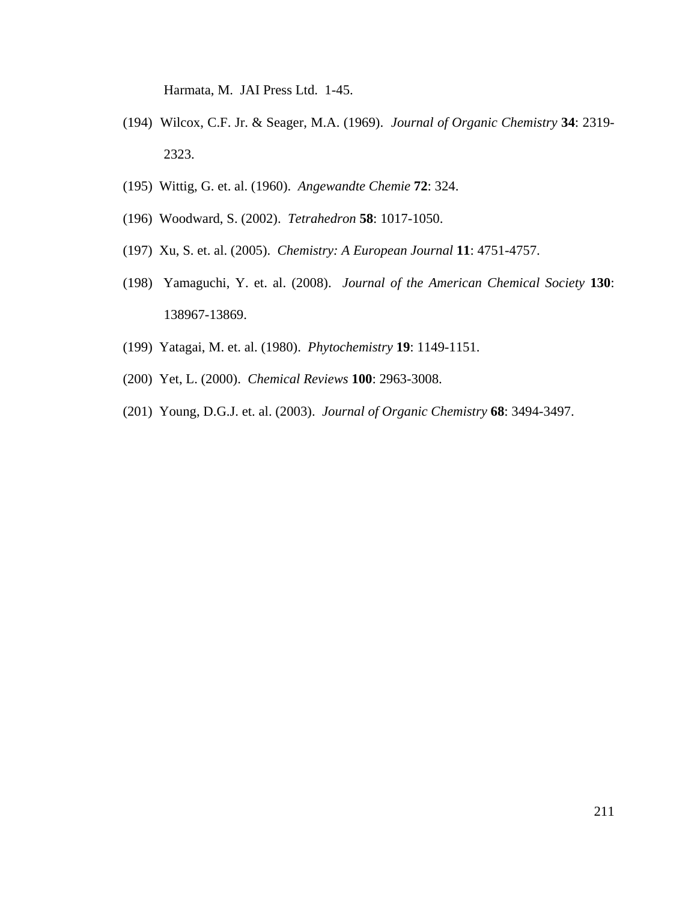Harmata, M. JAI Press Ltd. 1-45.

- (194) Wilcox, C.F. Jr. & Seager, M.A. (1969). *Journal of Organic Chemistry* **34**: 2319- 2323.
- (195) Wittig, G. et. al. (1960). *Angewandte Chemie* **72**: 324.
- (196) Woodward, S. (2002). *Tetrahedron* **58**: 1017-1050.
- (197) Xu, S. et. al. (2005). *Chemistry: A European Journal* **11**: 4751-4757.
- (198) Yamaguchi, Y. et. al. (2008). *Journal of the American Chemical Society* **130**: 138967-13869.
- (199) Yatagai, M. et. al. (1980). *Phytochemistry* **19**: 1149-1151.
- (200) Yet, L. (2000). *Chemical Reviews* **100**: 2963-3008.
- (201) Young, D.G.J. et. al. (2003). *Journal of Organic Chemistry* **68**: 3494-3497.